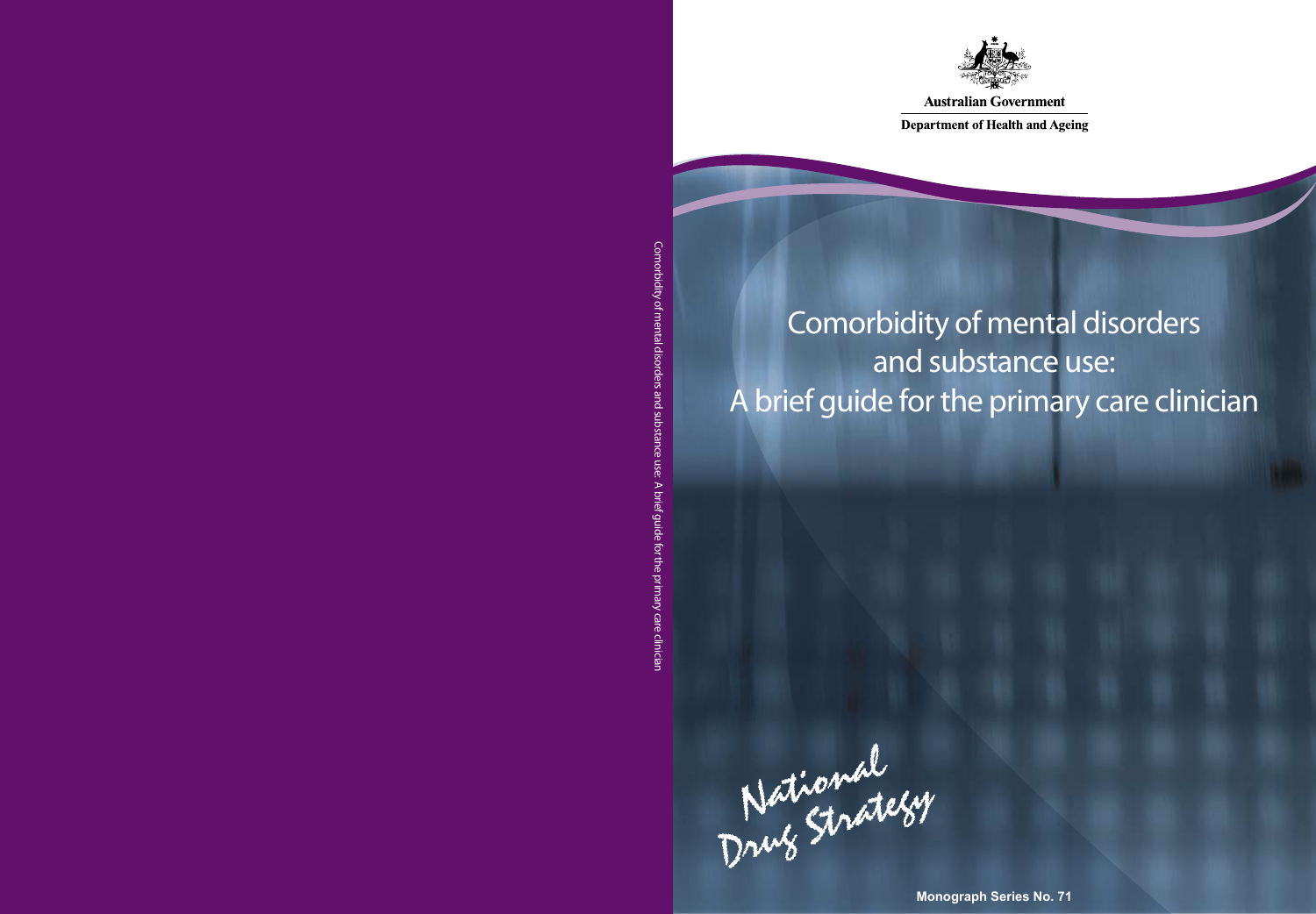

**Australian Government** 

**Department of Health and Ageing** 

# Comorbidity of mental disorders and substance use: A brief guide for the primary care clinician

National<br>Drug Strategy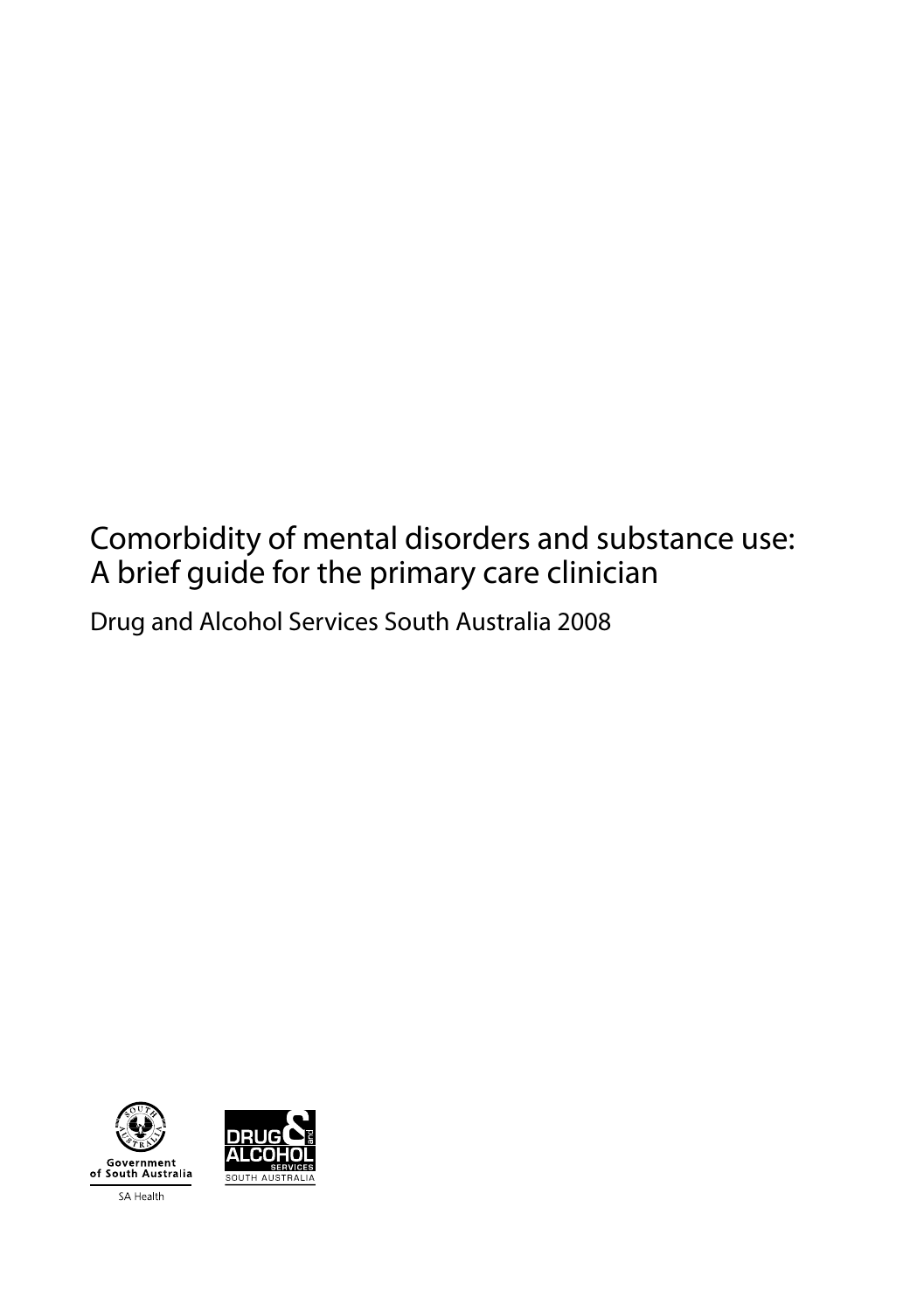# Comorbidity of mental disorders and substance use: A brief guide for the primary care clinician

Drug and Alcohol Services South Australia 2008



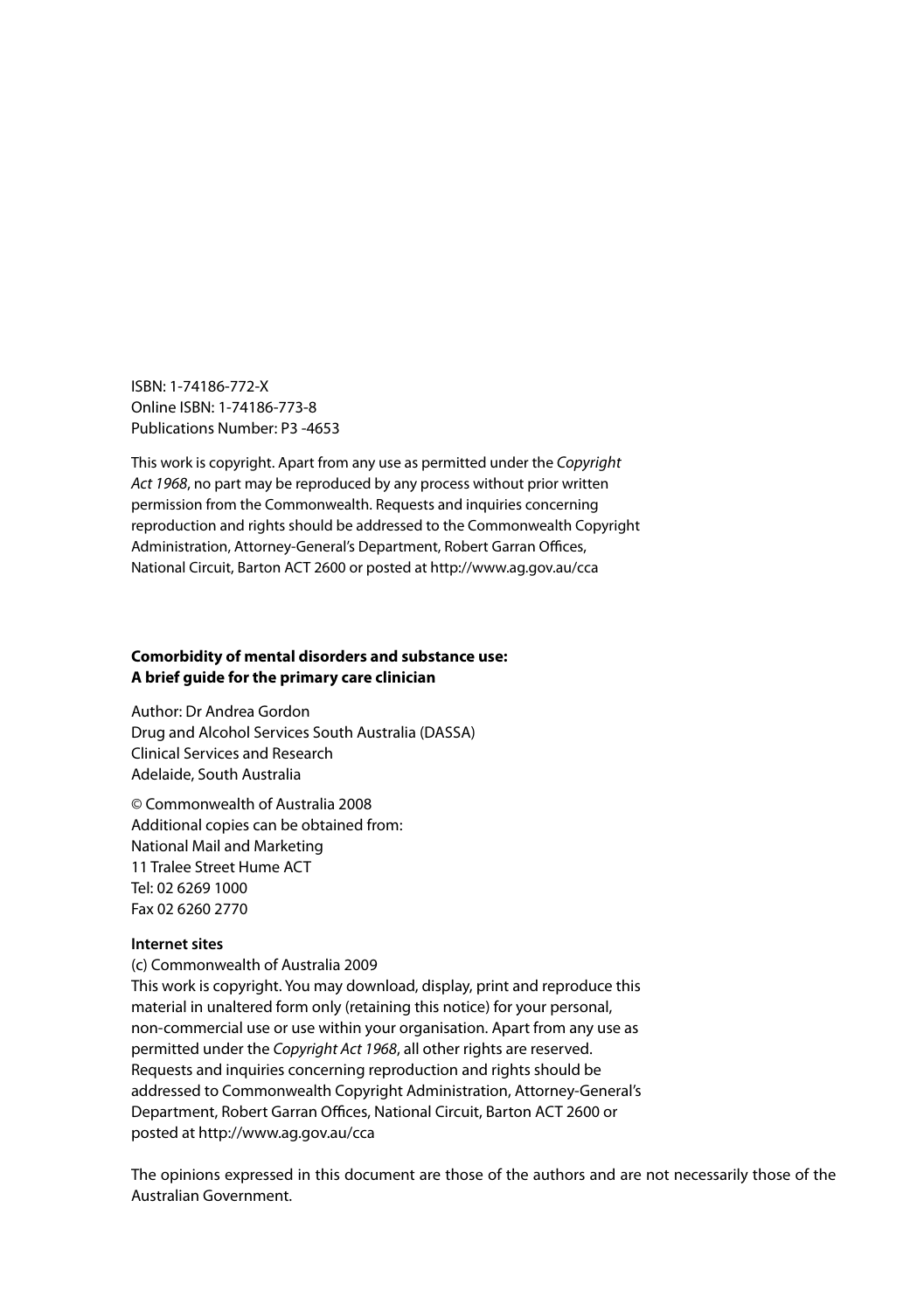ISBN: 1-74186-772-X Online ISBN: 1-74186-773-8 Publications Number: P3 -4653

This work is copyright. Apart from any use as permitted under the *Copyright Act 1968*, no part may be reproduced by any process without prior written permission from the Commonwealth. Requests and inquiries concerning reproduction and rights should be addressed to the Commonwealth Copyright Administration, Attorney-General's Department, Robert Garran Offices, National Circuit, Barton ACT 2600 or posted at http://www.ag.gov.au/cca

#### **Comorbidity of mental disorders and substance use: A brief guide for the primary care clinician**

Author: Dr Andrea Gordon Drug and Alcohol Services South Australia (DASSA) Clinical Services and Research Adelaide, South Australia

© Commonwealth of Australia 2008 Additional copies can be obtained from: National Mail and Marketing 11 Tralee Street Hume ACT Tel: 02 6269 1000 Fax 02 6260 2770

#### **Internet sites**

(c) Commonwealth of Australia 2009

This work is copyright. You may download, display, print and reproduce this material in unaltered form only (retaining this notice) for your personal, non-commercial use or use within your organisation. Apart from any use as permitted under the *Copyright Act 1968*, all other rights are reserved. Requests and inquiries concerning reproduction and rights should be addressed to Commonwealth Copyright Administration, Attorney-General's Department, Robert Garran Offices, National Circuit, Barton ACT 2600 or posted at http://www.ag.gov.au/cca

The opinions expressed in this document are those of the authors and are not necessarily those of the Australian Government.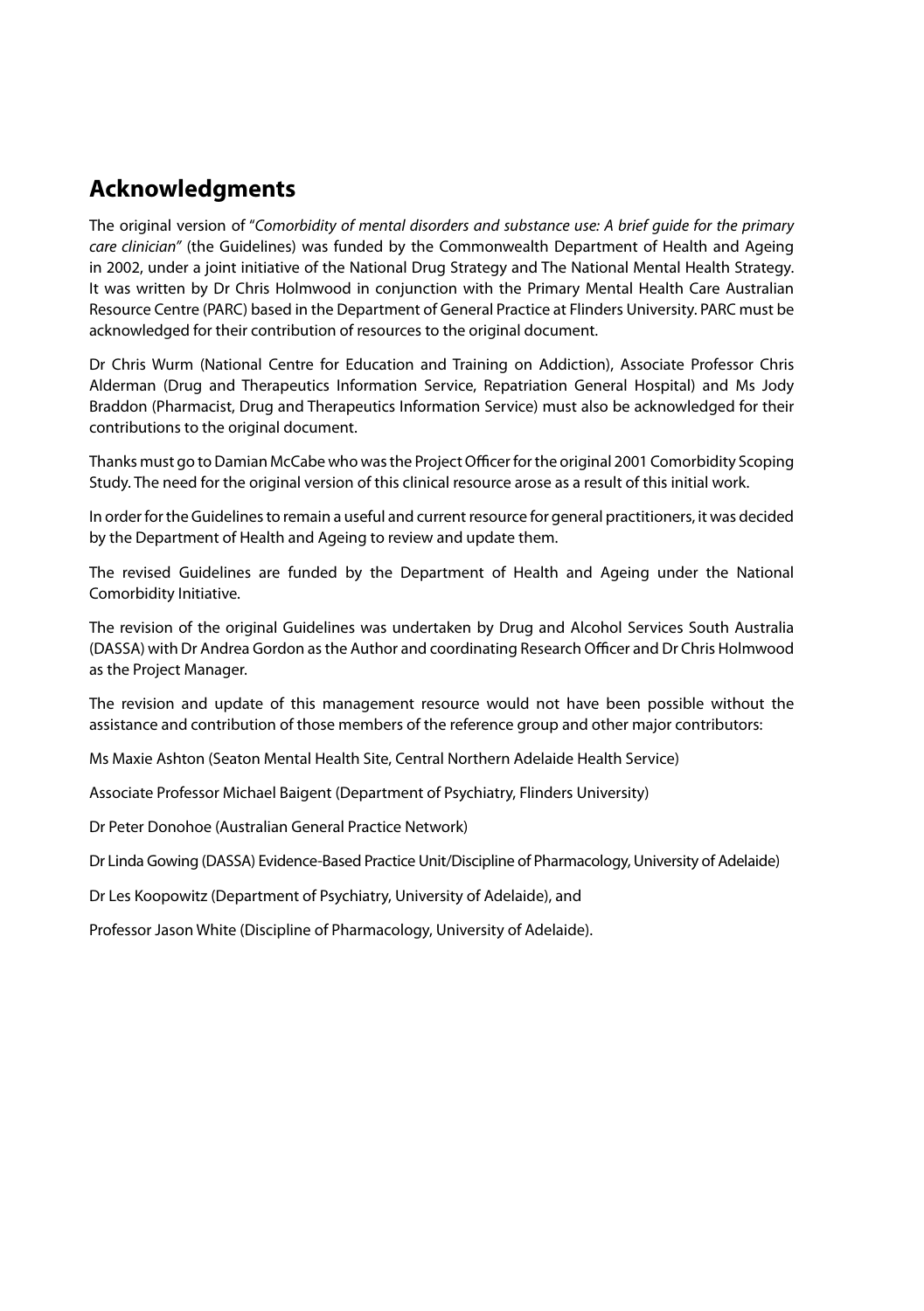# **Acknowledgments**

The original version of "*Comorbidity of mental disorders and substance use: A brief guide for the primary care clinician"* (the Guidelines) was funded by the Commonwealth Department of Health and Ageing in 2002, under a joint initiative of the National Drug Strategy and The National Mental Health Strategy. It was written by Dr Chris Holmwood in conjunction with the Primary Mental Health Care Australian Resource Centre (PARC) based in the Department of General Practice at Flinders University. PARC must be acknowledged for their contribution of resources to the original document.

Dr Chris Wurm (National Centre for Education and Training on Addiction), Associate Professor Chris Alderman (Drug and Therapeutics Information Service, Repatriation General Hospital) and Ms Jody Braddon (Pharmacist, Drug and Therapeutics Information Service) must also be acknowledged for their contributions to the original document.

Thanks must go to Damian McCabe who was the Project Officer for the original 2001 Comorbidity Scoping Study. The need for the original version of this clinical resource arose as a result of this initial work.

In order for the Guidelines to remain a useful and current resource for general practitioners, it was decided by the Department of Health and Ageing to review and update them.

The revised Guidelines are funded by the Department of Health and Ageing under the National Comorbidity Initiative.

The revision of the original Guidelines was undertaken by Drug and Alcohol Services South Australia (DASSA) with Dr Andrea Gordon as the Author and coordinating Research Officer and Dr Chris Holmwood as the Project Manager.

The revision and update of this management resource would not have been possible without the assistance and contribution of those members of the reference group and other major contributors:

Ms Maxie Ashton (Seaton Mental Health Site, Central Northern Adelaide Health Service)

Associate Professor Michael Baigent (Department of Psychiatry, Flinders University)

Dr Peter Donohoe (Australian General Practice Network)

Dr Linda Gowing (DASSA) Evidence-Based Practice Unit/Discipline of Pharmacology, University of Adelaide)

Dr Les Koopowitz (Department of Psychiatry, University of Adelaide), and

Professor Jason White (Discipline of Pharmacology, University of Adelaide).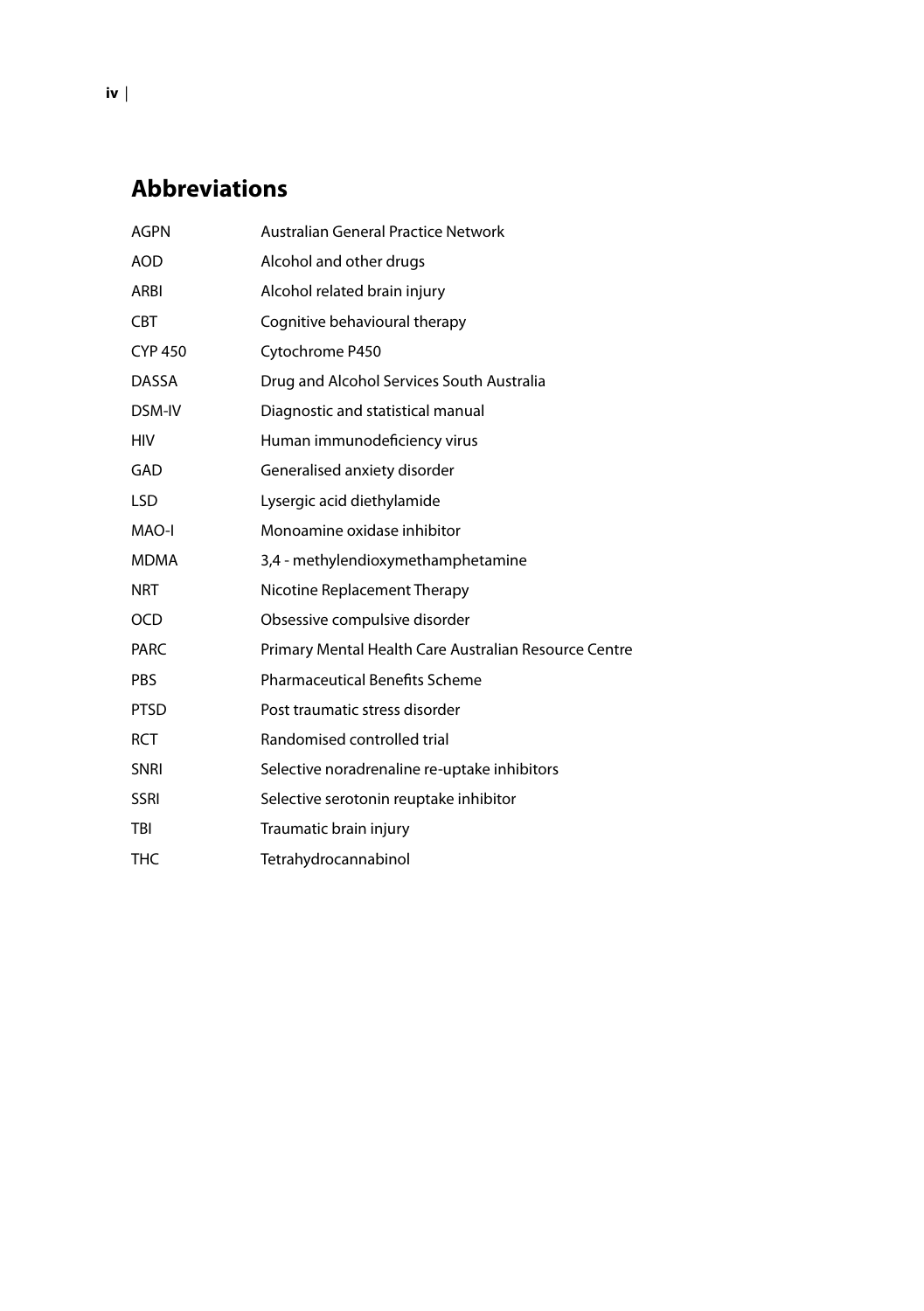# **Abbreviations**

| <b>AGPN</b>    | Australian General Practice Network                   |
|----------------|-------------------------------------------------------|
| <b>AOD</b>     | Alcohol and other drugs                               |
| ARBI           | Alcohol related brain injury                          |
| <b>CBT</b>     | Cognitive behavioural therapy                         |
| <b>CYP 450</b> | Cytochrome P450                                       |
| <b>DASSA</b>   | Drug and Alcohol Services South Australia             |
| <b>DSM-IV</b>  | Diagnostic and statistical manual                     |
| <b>HIV</b>     | Human immunodeficiency virus                          |
| GAD            | Generalised anxiety disorder                          |
| <b>LSD</b>     | Lysergic acid diethylamide                            |
| MAO-I          | Monoamine oxidase inhibitor                           |
| <b>MDMA</b>    | 3,4 - methylendioxymethamphetamine                    |
| <b>NRT</b>     | Nicotine Replacement Therapy                          |
| <b>OCD</b>     | Obsessive compulsive disorder                         |
| <b>PARC</b>    | Primary Mental Health Care Australian Resource Centre |
| <b>PBS</b>     | <b>Pharmaceutical Benefits Scheme</b>                 |
| <b>PTSD</b>    | Post traumatic stress disorder                        |
| <b>RCT</b>     | Randomised controlled trial                           |
| <b>SNRI</b>    | Selective noradrenaline re-uptake inhibitors          |
| <b>SSRI</b>    | Selective serotonin reuptake inhibitor                |
| TBI            | Traumatic brain injury                                |
| <b>THC</b>     | Tetrahydrocannabinol                                  |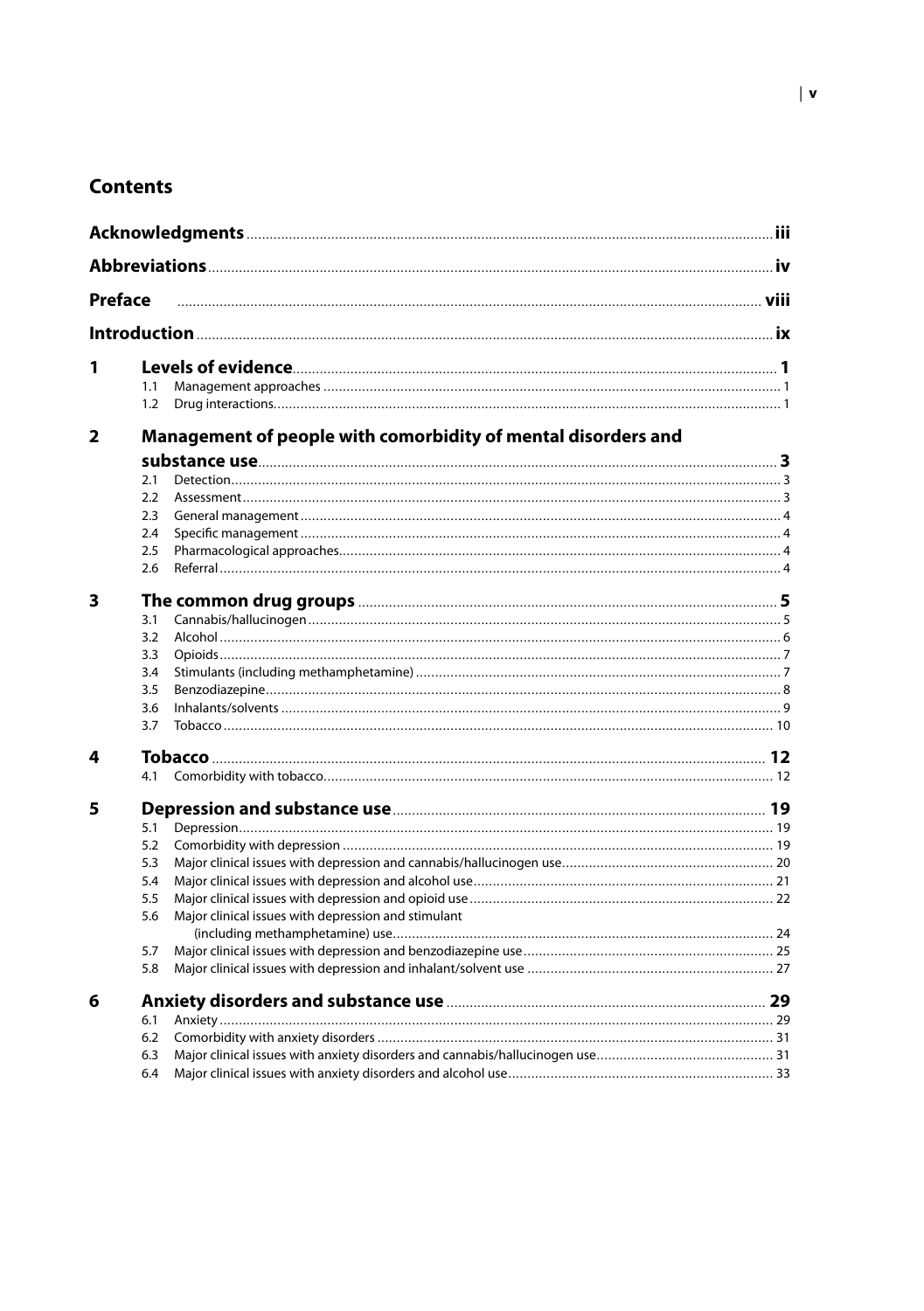# **Contents**

| <b>Preface</b>          |     |                                                               |  |  |  |
|-------------------------|-----|---------------------------------------------------------------|--|--|--|
|                         |     |                                                               |  |  |  |
| 1                       |     |                                                               |  |  |  |
|                         | 1.1 |                                                               |  |  |  |
|                         | 1.2 |                                                               |  |  |  |
| $\overline{\mathbf{2}}$ |     | Management of people with comorbidity of mental disorders and |  |  |  |
|                         |     |                                                               |  |  |  |
|                         | 2.1 |                                                               |  |  |  |
|                         | 2.2 |                                                               |  |  |  |
|                         | 2.3 |                                                               |  |  |  |
|                         | 2.4 |                                                               |  |  |  |
|                         | 2.5 |                                                               |  |  |  |
|                         | 2.6 |                                                               |  |  |  |
| 3                       |     |                                                               |  |  |  |
|                         | 3.1 |                                                               |  |  |  |
|                         | 3.2 |                                                               |  |  |  |
|                         | 3.3 |                                                               |  |  |  |
|                         | 3.4 |                                                               |  |  |  |
|                         | 3.5 |                                                               |  |  |  |
|                         | 3.6 |                                                               |  |  |  |
|                         | 3.7 |                                                               |  |  |  |
| 4                       |     |                                                               |  |  |  |
|                         | 4.1 |                                                               |  |  |  |
| 5                       |     |                                                               |  |  |  |
|                         | 5.1 |                                                               |  |  |  |
|                         | 5.2 |                                                               |  |  |  |
|                         | 5.3 |                                                               |  |  |  |
|                         | 5.4 |                                                               |  |  |  |
|                         | 5.5 |                                                               |  |  |  |
|                         | 5.6 | Major clinical issues with depression and stimulant           |  |  |  |
|                         | 5.7 |                                                               |  |  |  |
|                         | 5.8 |                                                               |  |  |  |
| 6                       |     |                                                               |  |  |  |
|                         | 6.1 |                                                               |  |  |  |
|                         | 6.2 |                                                               |  |  |  |
|                         | 6.3 |                                                               |  |  |  |
|                         | 6.4 |                                                               |  |  |  |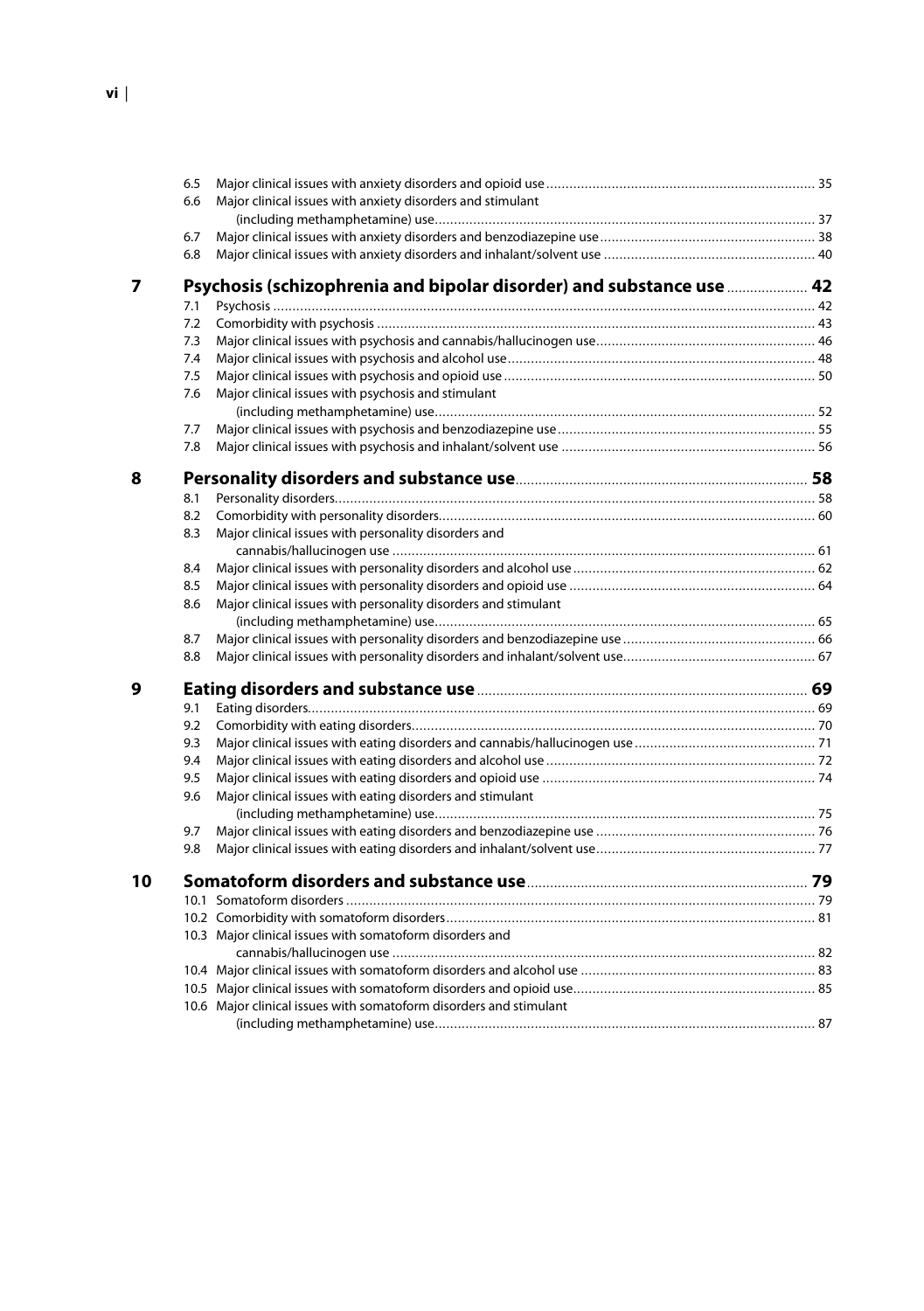|    | 6.5 |                                                                      |  |
|----|-----|----------------------------------------------------------------------|--|
|    | 6.6 | Major clinical issues with anxiety disorders and stimulant           |  |
|    |     |                                                                      |  |
|    | 6.7 |                                                                      |  |
|    | 6.8 |                                                                      |  |
|    |     |                                                                      |  |
| 7  |     | Psychosis (schizophrenia and bipolar disorder) and substance use  42 |  |
|    | 7.1 |                                                                      |  |
|    | 7.2 |                                                                      |  |
|    | 7.3 |                                                                      |  |
|    | 7.4 |                                                                      |  |
|    | 7.5 |                                                                      |  |
|    | 7.6 | Major clinical issues with psychosis and stimulant                   |  |
|    |     |                                                                      |  |
|    | 7.7 |                                                                      |  |
|    | 7.8 |                                                                      |  |
| 8  |     |                                                                      |  |
|    | 8.1 |                                                                      |  |
|    | 8.2 |                                                                      |  |
|    | 8.3 | Major clinical issues with personality disorders and                 |  |
|    |     |                                                                      |  |
|    | 8.4 |                                                                      |  |
|    | 8.5 |                                                                      |  |
|    | 8.6 | Major clinical issues with personality disorders and stimulant       |  |
|    |     |                                                                      |  |
|    | 8.7 |                                                                      |  |
|    | 8.8 |                                                                      |  |
| 9  |     |                                                                      |  |
|    | 9.1 |                                                                      |  |
|    | 9.2 |                                                                      |  |
|    | 9.3 |                                                                      |  |
|    | 9.4 |                                                                      |  |
|    | 9.5 |                                                                      |  |
|    | 9.6 | Major clinical issues with eating disorders and stimulant            |  |
|    |     |                                                                      |  |
|    | 9.7 |                                                                      |  |
|    | 9.8 |                                                                      |  |
| 10 |     |                                                                      |  |
|    |     |                                                                      |  |
|    |     |                                                                      |  |
|    |     | 10.3 Major clinical issues with somatoform disorders and             |  |
|    |     |                                                                      |  |
|    |     |                                                                      |  |
|    |     |                                                                      |  |
|    |     | 10.6 Major clinical issues with somatoform disorders and stimulant   |  |
|    |     |                                                                      |  |
|    |     |                                                                      |  |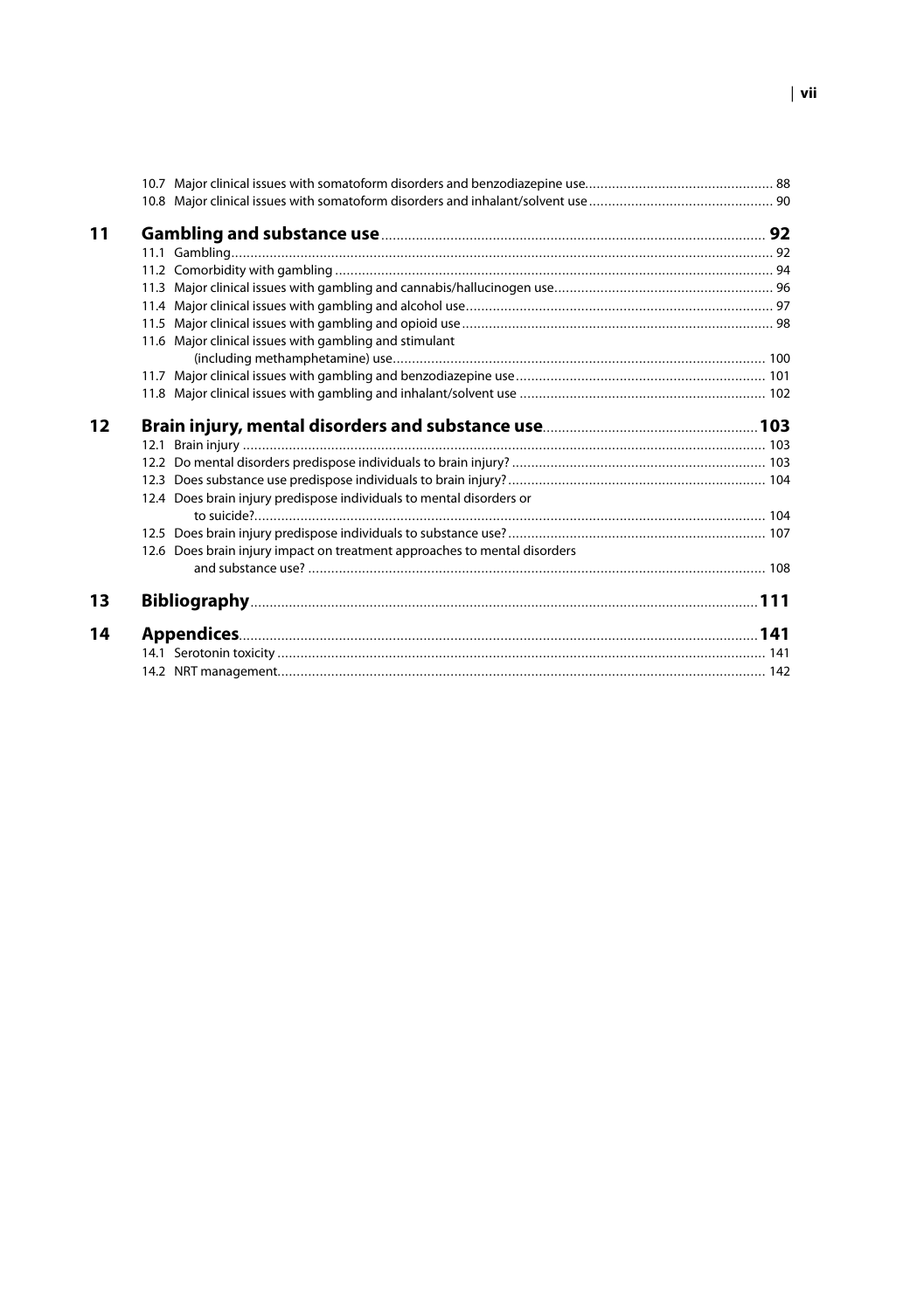| 11                |                                                                           |  |
|-------------------|---------------------------------------------------------------------------|--|
|                   |                                                                           |  |
|                   |                                                                           |  |
|                   |                                                                           |  |
|                   |                                                                           |  |
|                   |                                                                           |  |
|                   | 11.6 Major clinical issues with gambling and stimulant                    |  |
|                   |                                                                           |  |
|                   |                                                                           |  |
|                   |                                                                           |  |
| $12 \ \mathsf{ }$ |                                                                           |  |
|                   |                                                                           |  |
|                   |                                                                           |  |
|                   |                                                                           |  |
|                   | 12.4 Does brain injury predispose individuals to mental disorders or      |  |
|                   |                                                                           |  |
|                   |                                                                           |  |
|                   | 12.6 Does brain injury impact on treatment approaches to mental disorders |  |
|                   |                                                                           |  |
| 13                |                                                                           |  |
| 14                |                                                                           |  |
|                   |                                                                           |  |
|                   |                                                                           |  |
|                   |                                                                           |  |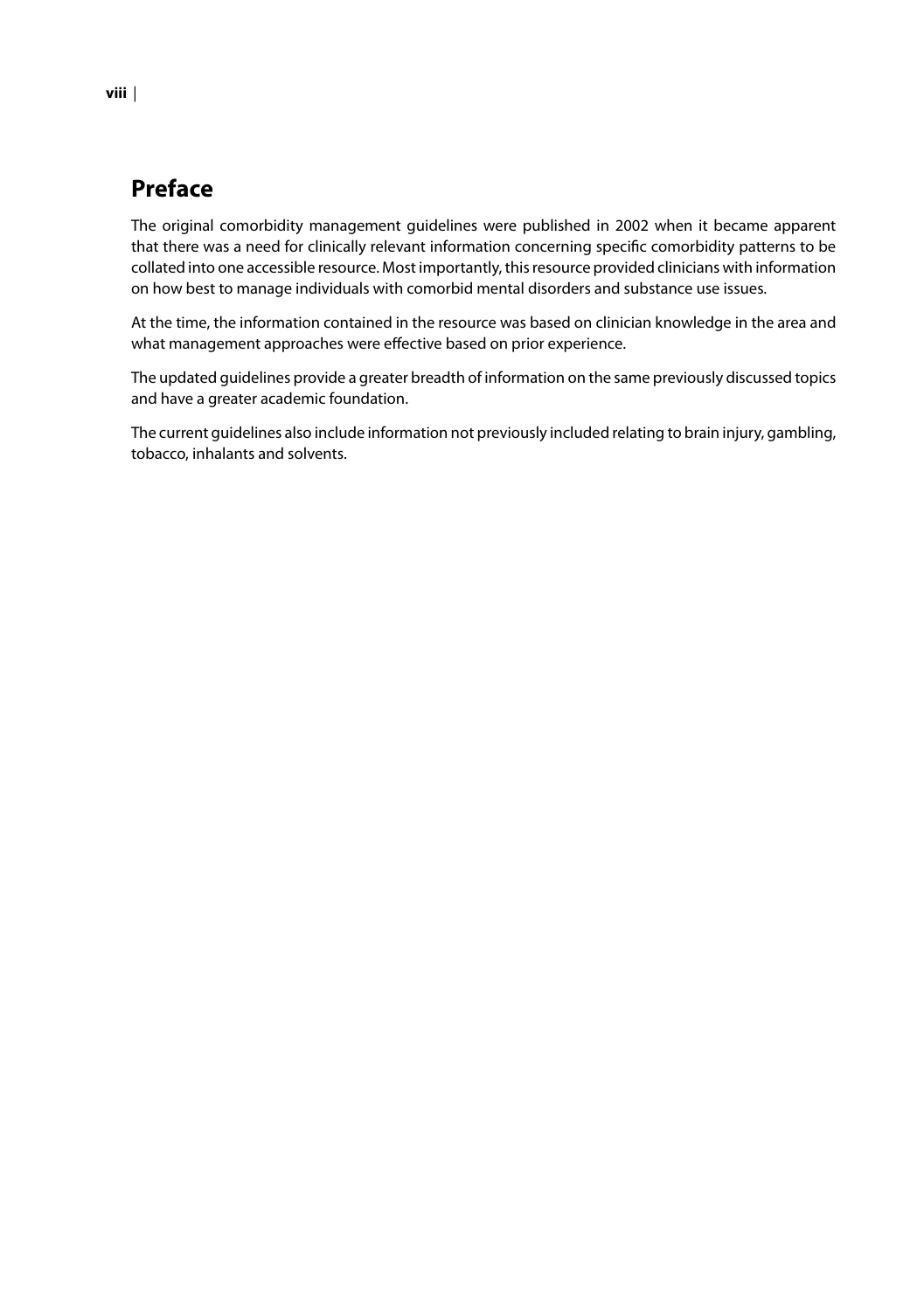# **Preface**

The original comorbidity management guidelines were published in 2002 when it became apparent that there was a need for clinically relevant information concerning specific comorbidity patterns to be collated into one accessible resource. Most importantly, this resource provided clinicians with information on how best to manage individuals with comorbid mental disorders and substance use issues.

At the time, the information contained in the resource was based on clinician knowledge in the area and what management approaches were effective based on prior experience.

The updated guidelines provide a greater breadth of information on the same previously discussed topics and have a greater academic foundation.

The current guidelines also include information not previously included relating to brain injury, gambling, tobacco, inhalants and solvents.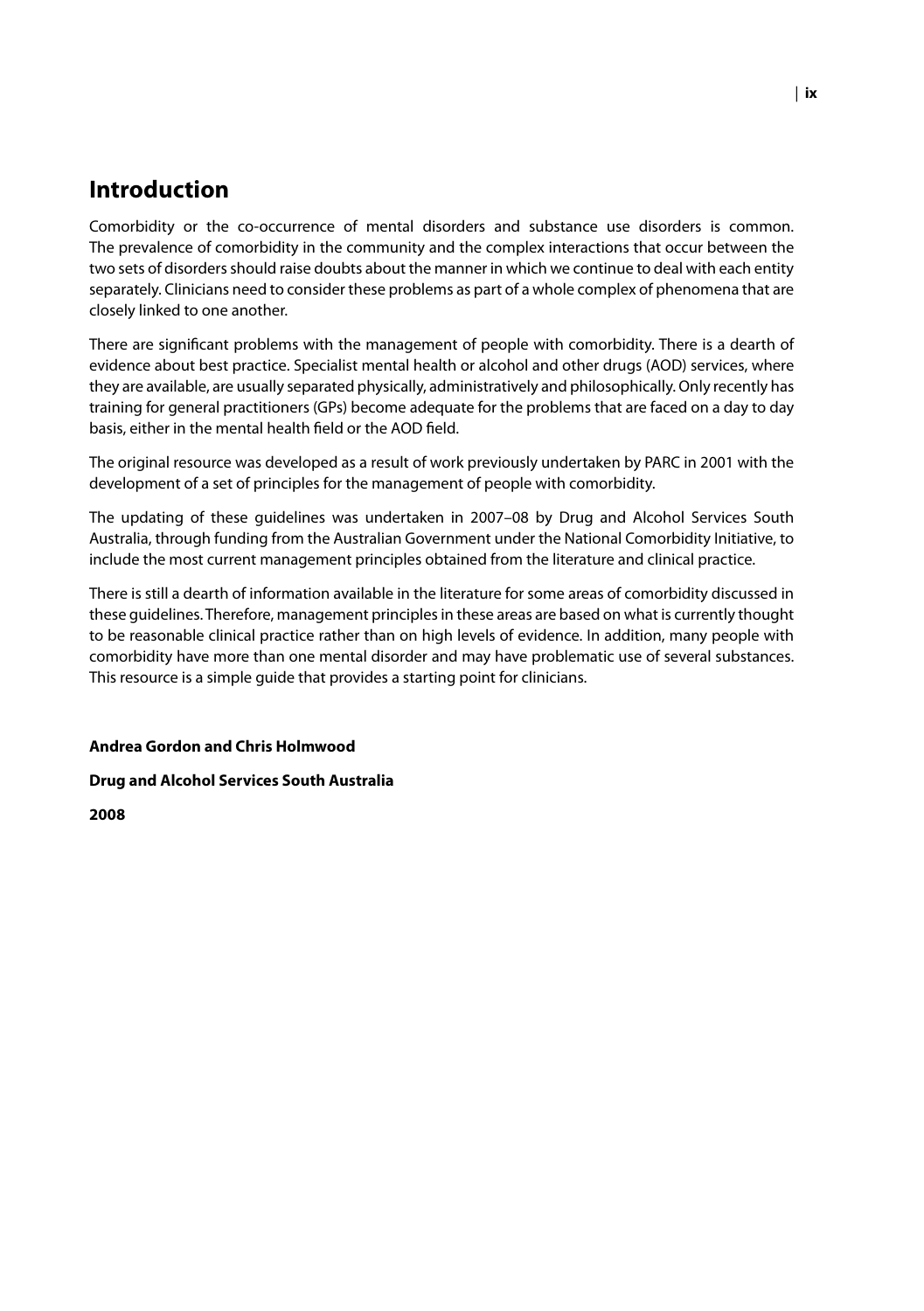# **Introduction**

Comorbidity or the co-occurrence of mental disorders and substance use disorders is common. The prevalence of comorbidity in the community and the complex interactions that occur between the two sets of disorders should raise doubts about the manner in which we continue to deal with each entity separately. Clinicians need to consider these problems as part of a whole complex of phenomena that are closely linked to one another.

There are significant problems with the management of people with comorbidity. There is a dearth of evidence about best practice. Specialist mental health or alcohol and other drugs (AOD) services, where they are available, are usually separated physically, administratively and philosophically. Only recently has training for general practitioners (GPs) become adequate for the problems that are faced on a day to day basis, either in the mental health field or the AOD field.

The original resource was developed as a result of work previously undertaken by PARC in 2001 with the development of a set of principles for the management of people with comorbidity.

The updating of these guidelines was undertaken in 2007–08 by Drug and Alcohol Services South Australia, through funding from the Australian Government under the National Comorbidity Initiative, to include the most current management principles obtained from the literature and clinical practice.

There is still a dearth of information available in the literature for some areas of comorbidity discussed in these guidelines. Therefore, management principles in these areas are based on what is currently thought to be reasonable clinical practice rather than on high levels of evidence. In addition, many people with comorbidity have more than one mental disorder and may have problematic use of several substances. This resource is a simple guide that provides a starting point for clinicians.

#### **Andrea Gordon and Chris Holmwood**

#### **Drug and Alcohol Services South Australia**

**2008**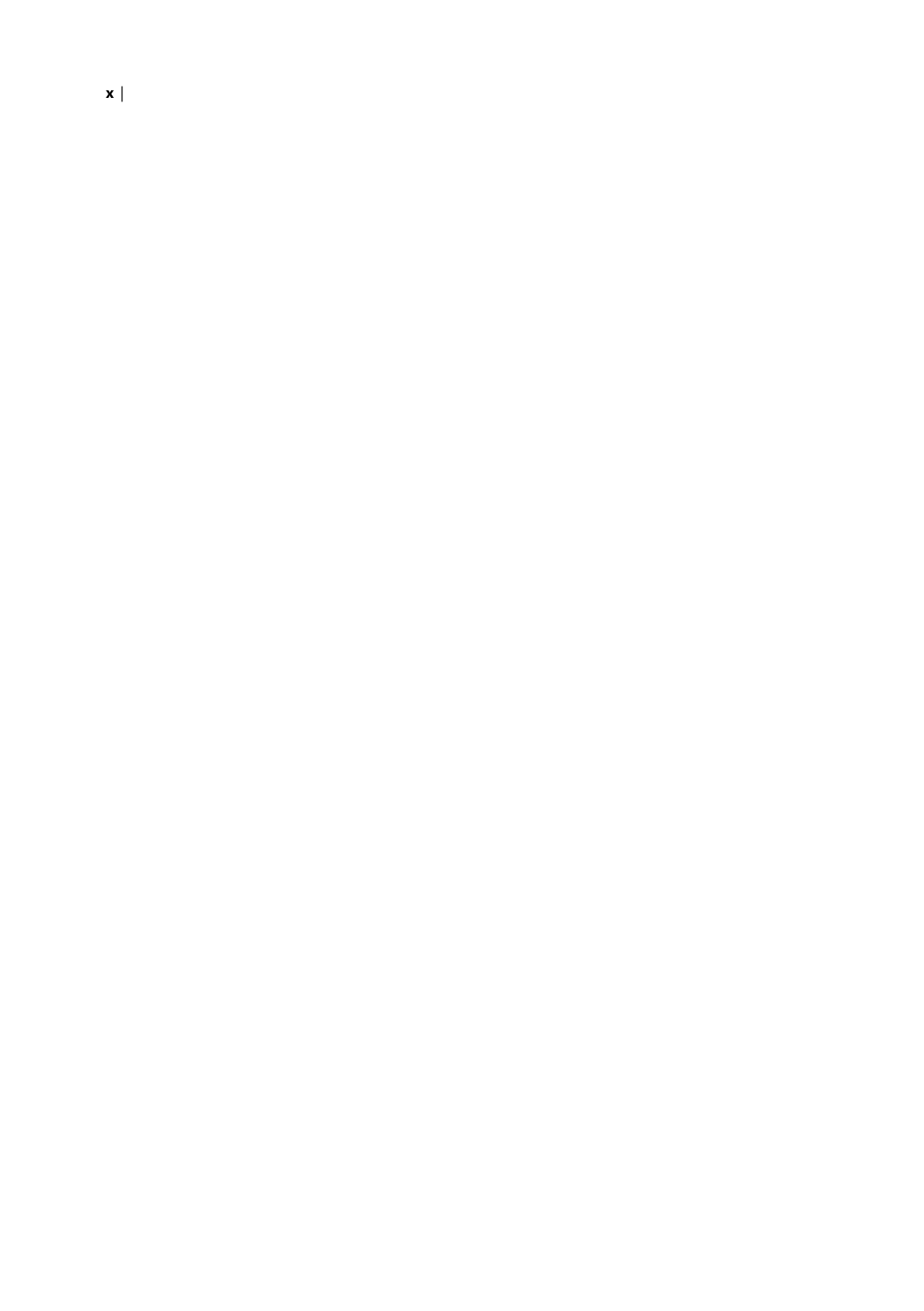**x** |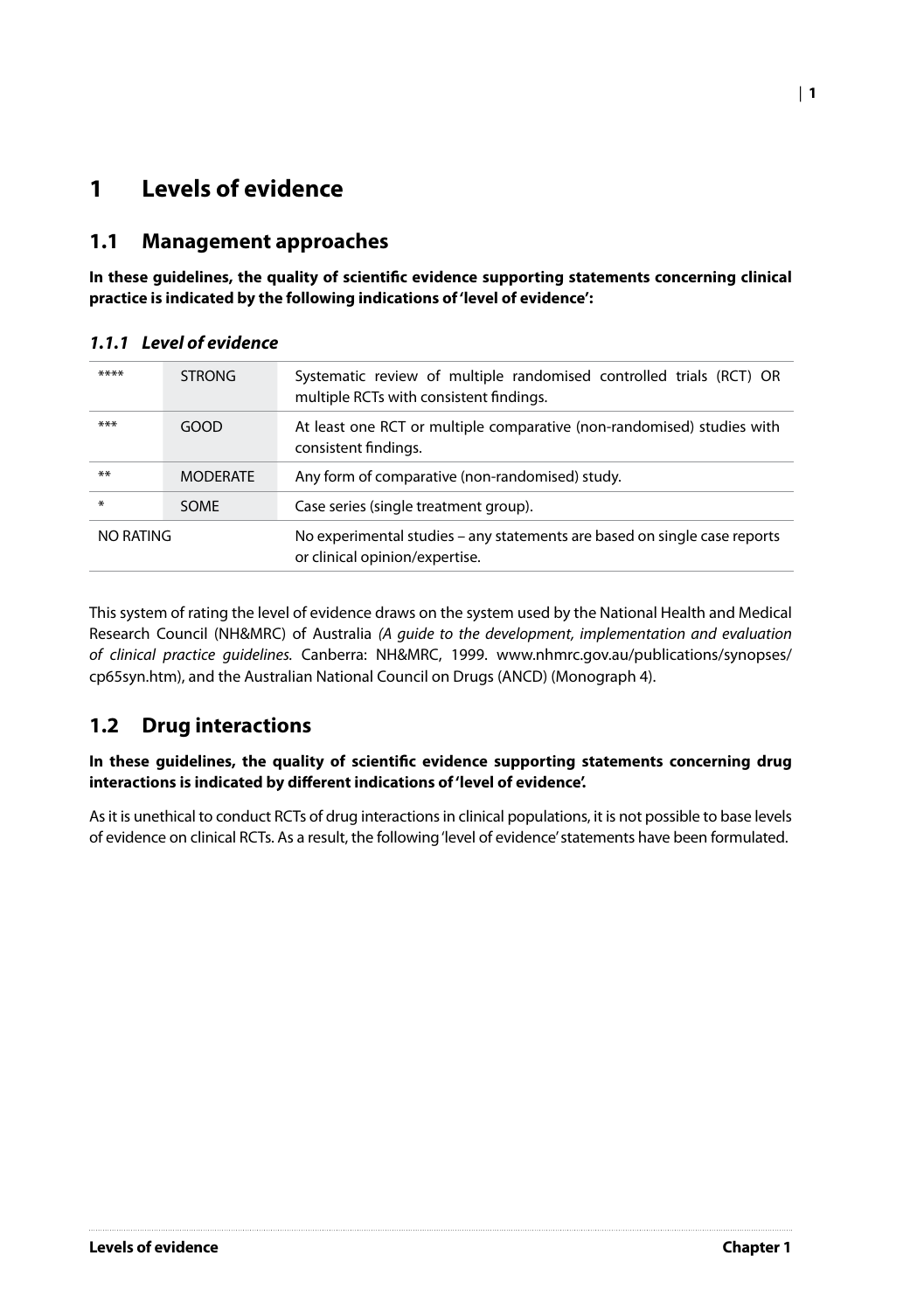# **1 Levels of evidence**

# **1.1 Management approaches**

**In these guidelines, the quality of scientific evidence supporting statements concerning clinical practice is indicated by the following indications of 'level of evidence':**

| $****$           | <b>STRONG</b>   | Systematic review of multiple randomised controlled trials (RCT) OR<br>multiple RCTs with consistent findings. |
|------------------|-----------------|----------------------------------------------------------------------------------------------------------------|
| $***$            | GOOD            | At least one RCT or multiple comparative (non-randomised) studies with<br>consistent findings.                 |
| $**$             | <b>MODERATE</b> | Any form of comparative (non-randomised) study.                                                                |
| ⋇                | <b>SOME</b>     | Case series (single treatment group).                                                                          |
| <b>NO RATING</b> |                 | No experimental studies – any statements are based on single case reports<br>or clinical opinion/expertise.    |

### *1.1.1 Level of evidence*

This system of rating the level of evidence draws on the system used by the National Health and Medical Research Council (NH&MRC) of Australia *(A guide to the development, implementation and evaluation of clinical practice guidelines.* Canberra: NH&MRC, 1999. www.nhmrc.gov.au/publications/synopses/ cp65syn.htm), and the Australian National Council on Drugs (ANCD) (Monograph 4).

# **1.2 Drug interactions**

#### **In these guidelines, the quality of scientific evidence supporting statements concerning drug interactions is indicated by different indications of 'level of evidence'.**

As it is unethical to conduct RCTs of drug interactions in clinical populations, it is not possible to base levels of evidence on clinical RCTs. As a result, the following 'level of evidence' statements have been formulated.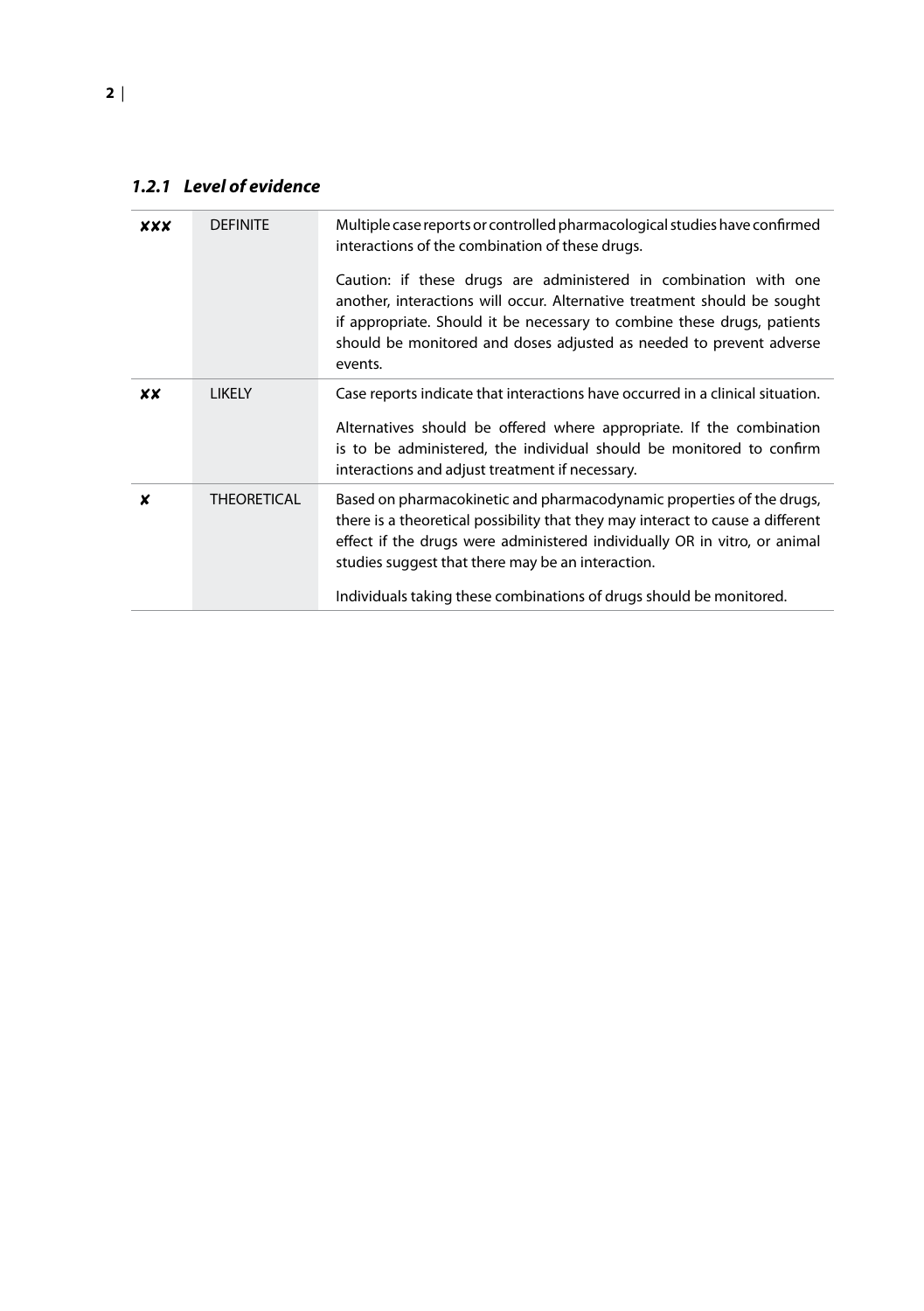# *1.2.1 Level of evidence*

| <b>XXX</b> | <b>DEFINITE</b>    | Multiple case reports or controlled pharmacological studies have confirmed<br>interactions of the combination of these drugs.<br>Caution: if these drugs are administered in combination with one<br>another, interactions will occur. Alternative treatment should be sought<br>if appropriate. Should it be necessary to combine these drugs, patients<br>should be monitored and doses adjusted as needed to prevent adverse<br>events. |
|------------|--------------------|--------------------------------------------------------------------------------------------------------------------------------------------------------------------------------------------------------------------------------------------------------------------------------------------------------------------------------------------------------------------------------------------------------------------------------------------|
| XX         | LIKELY             | Case reports indicate that interactions have occurred in a clinical situation.<br>Alternatives should be offered where appropriate. If the combination<br>is to be administered, the individual should be monitored to confirm<br>interactions and adjust treatment if necessary.                                                                                                                                                          |
| x          | <b>THEORETICAL</b> | Based on pharmacokinetic and pharmacodynamic properties of the drugs,<br>there is a theoretical possibility that they may interact to cause a different<br>effect if the drugs were administered individually OR in vitro, or animal<br>studies suggest that there may be an interaction.<br>Individuals taking these combinations of drugs should be monitored.                                                                           |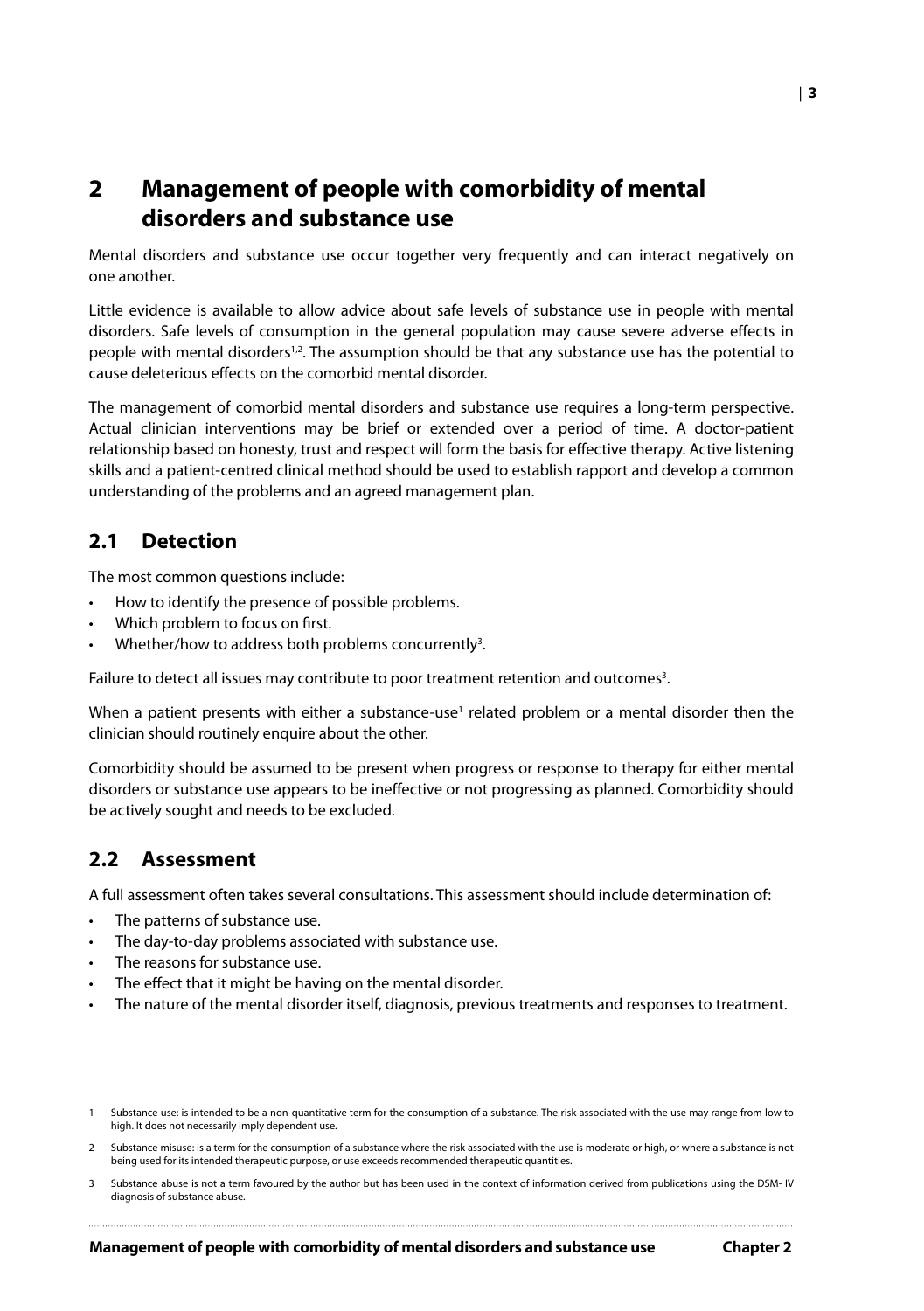# **2 Management of people with comorbidity of mental disorders and substance use**

Mental disorders and substance use occur together very frequently and can interact negatively on one another.

Little evidence is available to allow advice about safe levels of substance use in people with mental disorders. Safe levels of consumption in the general population may cause severe adverse effects in people with mental disorders<sup>1,2</sup>. The assumption should be that any substance use has the potential to cause deleterious effects on the comorbid mental disorder.

The management of comorbid mental disorders and substance use requires a long-term perspective. Actual clinician interventions may be brief or extended over a period of time. A doctor-patient relationship based on honesty, trust and respect will form the basis for effective therapy. Active listening skills and a patient-centred clinical method should be used to establish rapport and develop a common understanding of the problems and an agreed management plan.

### **2.1 Detection**

The most common questions include:

- • How to identify the presence of possible problems.
- Which problem to focus on first.
- Whether/how to address both problems concurrently<sup>3</sup>.

Failure to detect all issues may contribute to poor treatment retention and outcomes<sup>3</sup>.

When a patient presents with either a substance-use<sup>1</sup> related problem or a mental disorder then the clinician should routinely enquire about the other.

Comorbidity should be assumed to be present when progress or response to therapy for either mental disorders or substance use appears to be ineffective or not progressing as planned. Comorbidity should be actively sought and needs to be excluded.

### **2.2 Assessment**

A full assessment often takes several consultations. This assessment should include determination of:

- The patterns of substance use.
- The day-to-day problems associated with substance use.
- The reasons for substance use.
- • The effect that it might be having on the mental disorder.
- The nature of the mental disorder itself, diagnosis, previous treatments and responses to treatment.

Substance use: is intended to be a non-quantitative term for the consumption of a substance. The risk associated with the use may range from low to high. It does not necessarily imply dependent use.

<sup>2</sup> Substance misuse: is a term for the consumption of a substance where the risk associated with the use is moderate or high, or where a substance is not being used for its intended therapeutic purpose, or use exceeds recommended therapeutic quantities.

<sup>3</sup> Substance abuse is not a term favoured by the author but has been used in the context of information derived from publications using the DSM- IV diagnosis of substance abuse.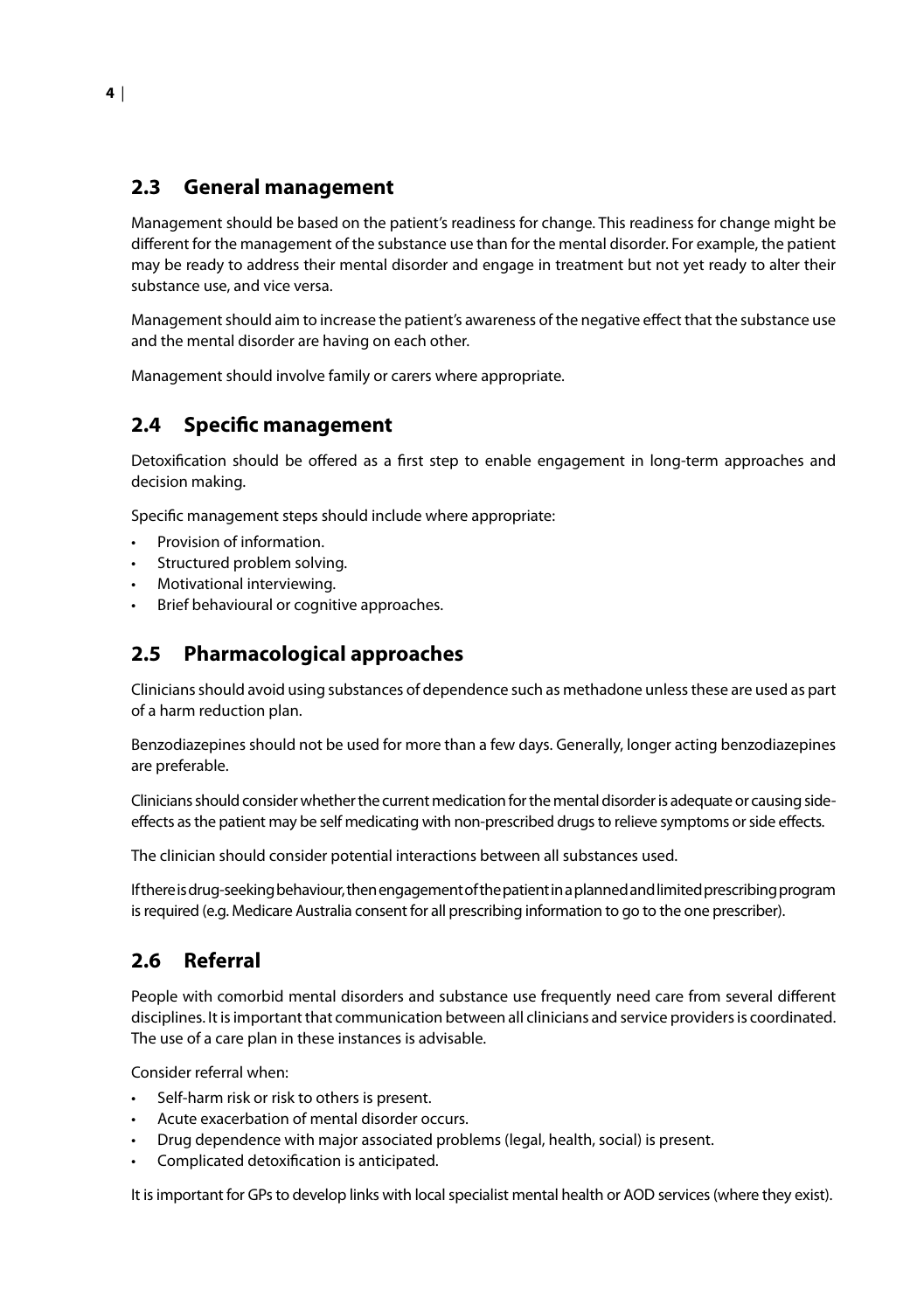### **2.3 General management**

Management should be based on the patient's readiness for change. This readiness for change might be different for the management of the substance use than for the mental disorder. For example, the patient may be ready to address their mental disorder and engage in treatment but not yet ready to alter their substance use, and vice versa.

Management should aim to increase the patient's awareness of the negative effect that the substance use and the mental disorder are having on each other.

Management should involve family or carers where appropriate.

# **2.4 Specific management**

Detoxification should be offered as a first step to enable engagement in long-term approaches and decision making.

Specific management steps should include where appropriate:

- Provision of information.
- Structured problem solving.
- Motivational interviewing.
- Brief behavioural or cognitive approaches.

# **2.5 Pharmacological approaches**

Clinicians should avoid using substances of dependence such as methadone unless these are used as part of a harm reduction plan.

Benzodiazepines should not be used for more than a few days. Generally, longer acting benzodiazepines are preferable.

Clinicians should consider whether the current medication for the mental disorder is adequate or causing sideeffects as the patient may be self medicating with non-prescribed drugs to relieve symptoms or side effects.

The clinician should consider potential interactions between all substances used.

If there is drug-seeking behaviour, then engagement of the patient in a planned and limited prescribing program is required (e.g. Medicare Australia consent for all prescribing information to go to the one prescriber).

# **2.6 Referral**

People with comorbid mental disorders and substance use frequently need care from several different disciplines. It is important that communication between all clinicians and service providers is coordinated. The use of a care plan in these instances is advisable.

Consider referral when:

- Self-harm risk or risk to others is present.
- Acute exacerbation of mental disorder occurs.
- Drug dependence with major associated problems (legal, health, social) is present.
- Complicated detoxification is anticipated.

It is important for GPs to develop links with local specialist mental health or AOD services (where they exist).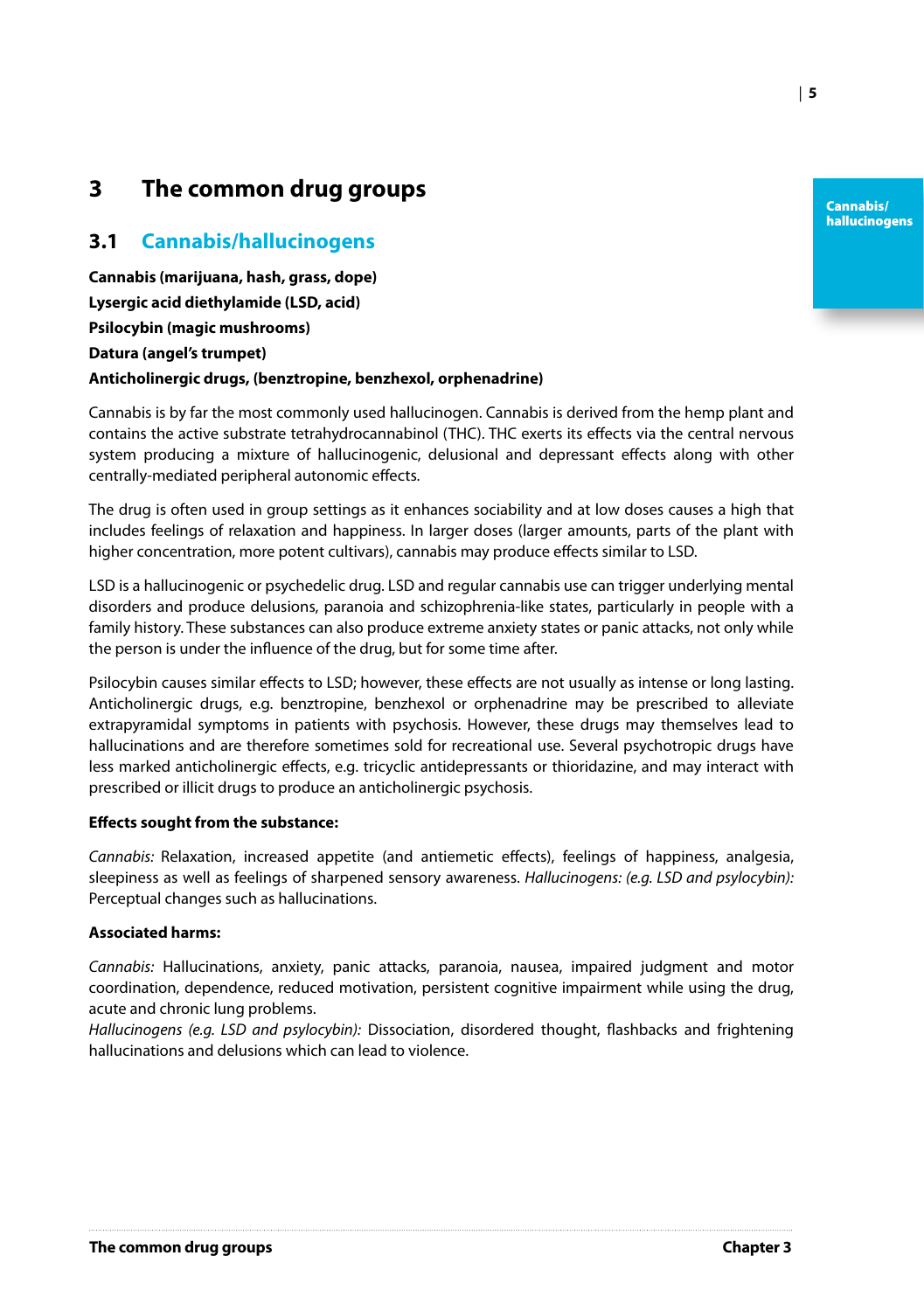# **3 The common drug groups**

# **3.1 Cannabis/hallucinogens**

**Cannabis (marijuana, hash, grass, dope) Lysergic acid diethylamide (LSD, acid) Psilocybin (magic mushrooms) Datura (angel's trumpet) Anticholinergic drugs, (benztropine, benzhexol, orphenadrine)**

Cannabis is by far the most commonly used hallucinogen. Cannabis is derived from the hemp plant and contains the active substrate tetrahydrocannabinol (THC). THC exerts its effects via the central nervous system producing a mixture of hallucinogenic, delusional and depressant effects along with other centrally-mediated peripheral autonomic effects.

The drug is often used in group settings as it enhances sociability and at low doses causes a high that includes feelings of relaxation and happiness. In larger doses (larger amounts, parts of the plant with higher concentration, more potent cultivars), cannabis may produce effects similar to LSD.

LSD is a hallucinogenic or psychedelic drug. LSD and regular cannabis use can trigger underlying mental disorders and produce delusions, paranoia and schizophrenia-like states, particularly in people with a family history. These substances can also produce extreme anxiety states or panic attacks, not only while the person is under the influence of the drug, but for some time after.

Psilocybin causes similar effects to LSD; however, these effects are not usually as intense or long lasting. Anticholinergic drugs, e.g. benztropine, benzhexol or orphenadrine may be prescribed to alleviate extrapyramidal symptoms in patients with psychosis. However, these drugs may themselves lead to hallucinations and are therefore sometimes sold for recreational use. Several psychotropic drugs have less marked anticholinergic effects, e.g. tricyclic antidepressants or thioridazine, and may interact with prescribed or illicit drugs to produce an anticholinergic psychosis.

#### **Effects sought from the substance:**

*Cannabis:* Relaxation, increased appetite (and antiemetic effects), feelings of happiness, analgesia, sleepiness as well as feelings of sharpened sensory awareness. *Hallucinogens: (e.g. LSD and psylocybin):*  Perceptual changes such as hallucinations.

#### **Associated harms:**

*Cannabis:* Hallucinations, anxiety, panic attacks, paranoia, nausea, impaired judgment and motor coordination, dependence, reduced motivation, persistent cognitive impairment while using the drug, acute and chronic lung problems.

*Hallucinogens (e.g. LSD and psylocybin):* Dissociation, disordered thought, flashbacks and frightening hallucinations and delusions which can lead to violence.

| **5**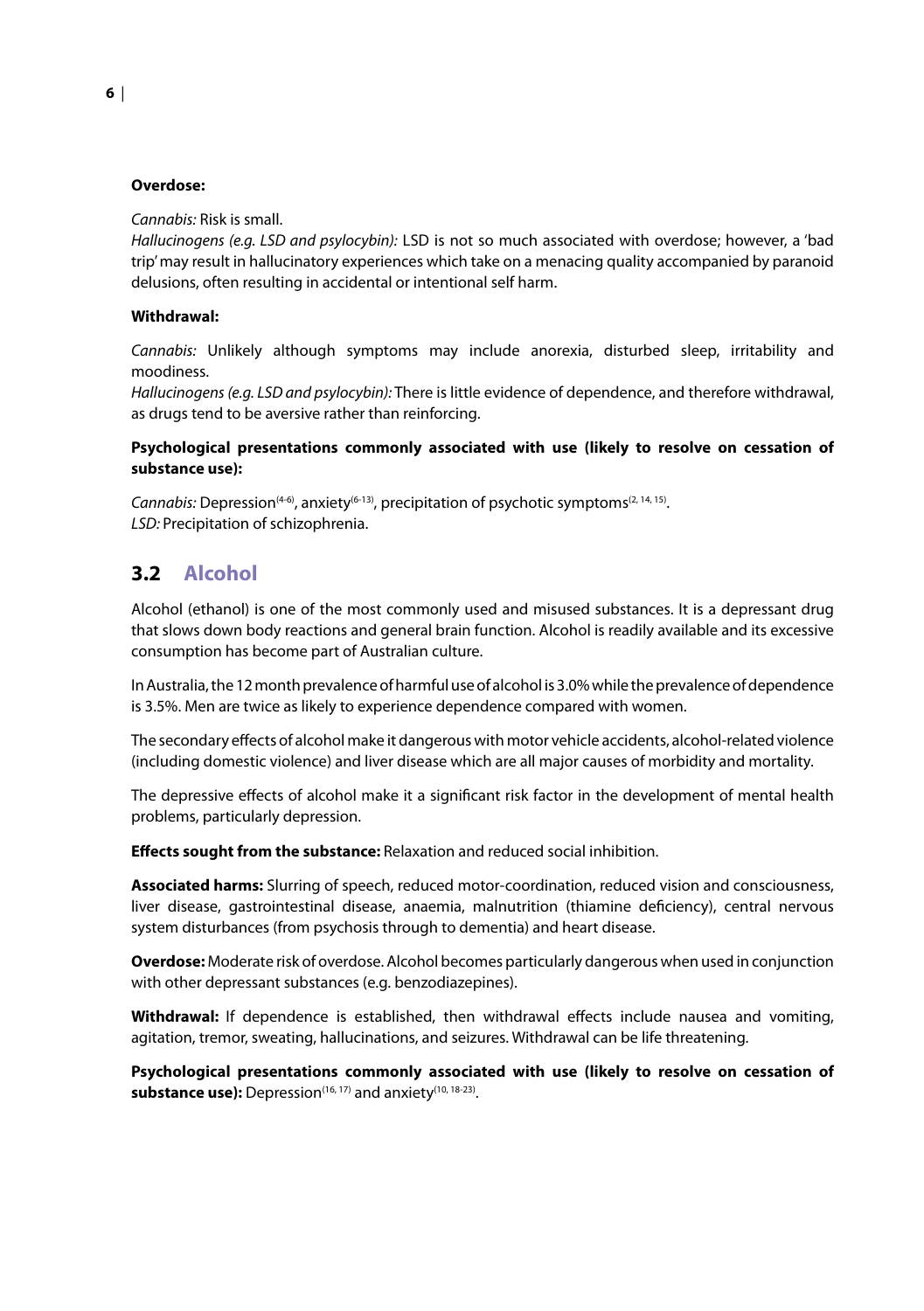#### **Overdose:**

*Cannabis:* Risk is small.

*Hallucinogens (e.g. LSD and psylocybin):* LSD is not so much associated with overdose; however, a 'bad trip' may result in hallucinatory experiences which take on a menacing quality accompanied by paranoid delusions, often resulting in accidental or intentional self harm.

#### **Withdrawal:**

*Cannabis:* Unlikely although symptoms may include anorexia, disturbed sleep, irritability and moodiness.

*Hallucinogens (e.g. LSD and psylocybin):* There is little evidence of dependence, and therefore withdrawal, as drugs tend to be aversive rather than reinforcing.

#### **Psychological presentations commonly associated with use (likely to resolve on cessation of substance use):**

*Cannabis:* Depression<sup>(4-6)</sup>, anxiety<sup>(6-13)</sup>, precipitation of psychotic symptoms<sup> $(2, 14, 15)$ </sup>. *LSD:* Precipitation of schizophrenia.

### **3.2 Alcohol**

Alcohol (ethanol) is one of the most commonly used and misused substances. It is a depressant drug that slows down body reactions and general brain function. Alcohol is readily available and its excessive consumption has become part of Australian culture.

In Australia, the 12 month prevalence of harmful use of alcohol is 3.0% while the prevalence of dependence is 3.5%. Men are twice as likely to experience dependence compared with women.

The secondary effects of alcohol make it dangerous with motor vehicle accidents, alcohol-related violence (including domestic violence) and liver disease which are all major causes of morbidity and mortality.

The depressive effects of alcohol make it a significant risk factor in the development of mental health problems, particularly depression.

**Effects sought from the substance:** Relaxation and reduced social inhibition.

**Associated harms:** Slurring of speech, reduced motor-coordination, reduced vision and consciousness, liver disease, gastrointestinal disease, anaemia, malnutrition (thiamine deficiency), central nervous system disturbances (from psychosis through to dementia) and heart disease.

**Overdose:** Moderate risk of overdose. Alcohol becomes particularly dangerous when used in conjunction with other depressant substances (e.g. benzodiazepines).

**Withdrawal:** If dependence is established, then withdrawal effects include nausea and vomiting, agitation, tremor, sweating, hallucinations, and seizures. Withdrawal can be life threatening.

**Psychological presentations commonly associated with use (likely to resolve on cessation of**  substance use): Depression<sup>(16, 17)</sup> and anxiety<sup>(10, 18-23)</sup>.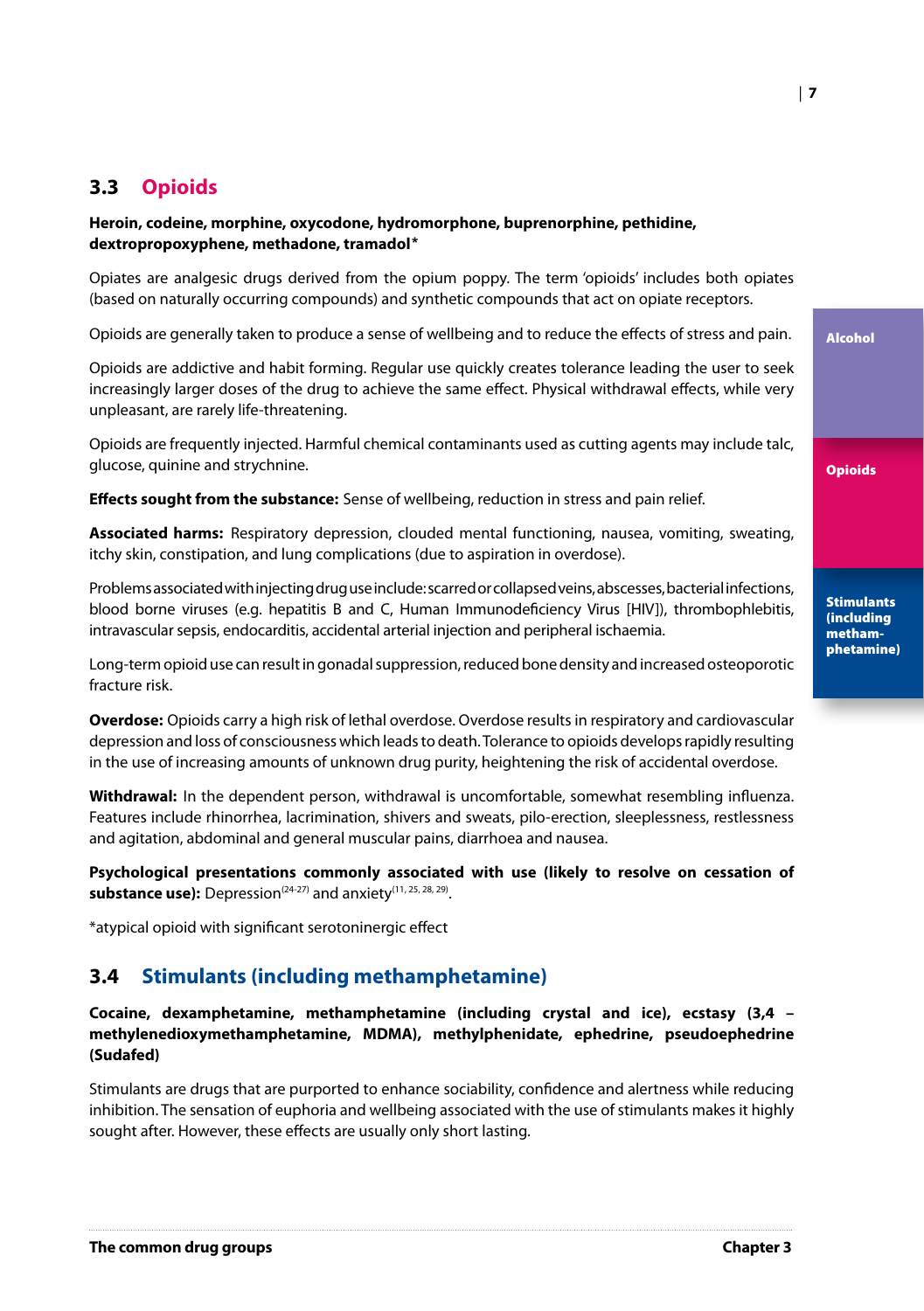### **3.3 Opioids**

#### **Heroin, codeine, morphine, oxycodone, hydromorphone, buprenorphine, pethidine, dextropropoxyphene, methadone, tramadol***\**

Opiates are analgesic drugs derived from the opium poppy. The term 'opioids' includes both opiates (based on naturally occurring compounds) and synthetic compounds that act on opiate receptors.

Opioids are generally taken to produce a sense of wellbeing and to reduce the effects of stress and pain.

Opioids are addictive and habit forming. Regular use quickly creates tolerance leading the user to seek increasingly larger doses of the drug to achieve the same effect. Physical withdrawal effects, while very unpleasant, are rarely life-threatening.

Opioids are frequently injected. Harmful chemical contaminants used as cutting agents may include talc, glucose, quinine and strychnine.

**Effects sought from the substance:** Sense of wellbeing, reduction in stress and pain relief.

**Associated harms:** Respiratory depression, clouded mental functioning, nausea, vomiting, sweating, itchy skin, constipation, and lung complications (due to aspiration in overdose).

Problems associated with injecting drug use include: scarred or collapsed veins, abscesses, bacterial infections, blood borne viruses (e.g. hepatitis B and C, Human Immunodeficiency Virus [HIV]), thrombophlebitis, intravascular sepsis, endocarditis, accidental arterial injection and peripheral ischaemia.

Long-term opioid use can result in gonadal suppression, reduced bone density and increased osteoporotic fracture risk.

**Overdose:** Opioids carry a high risk of lethal overdose. Overdose results in respiratory and cardiovascular depression and loss of consciousness which leads to death. Tolerance to opioids develops rapidly resulting in the use of increasing amounts of unknown drug purity, heightening the risk of accidental overdose.

**Withdrawal:** In the dependent person, withdrawal is uncomfortable, somewhat resembling influenza. Features include rhinorrhea, lacrimination, shivers and sweats, pilo-erection, sleeplessness, restlessness and agitation, abdominal and general muscular pains, diarrhoea and nausea.

**Psychological presentations commonly associated with use (likely to resolve on cessation of**  substance use): Depression<sup>(24-27)</sup> and anxiety<sup>(11, 25, 28, 29)</sup>.

\*atypical opioid with significant serotoninergic effect

# **3.4 Stimulants (including methamphetamine)**

**Cocaine, dexamphetamine, methamphetamine (including crystal and ice), ecstasy (3,4 – methylenedioxymethamphetamine, MDMA), methylphenidate, ephedrine, pseudoephedrine (Sudafed)** 

Stimulants are drugs that are purported to enhance sociability, confidence and alertness while reducing inhibition. The sensation of euphoria and wellbeing associated with the use of stimulants makes it highly sought after. However, these effects are usually only short lasting.

**Stimulants** (including methamphetamine)

Alcohol

**Opioids**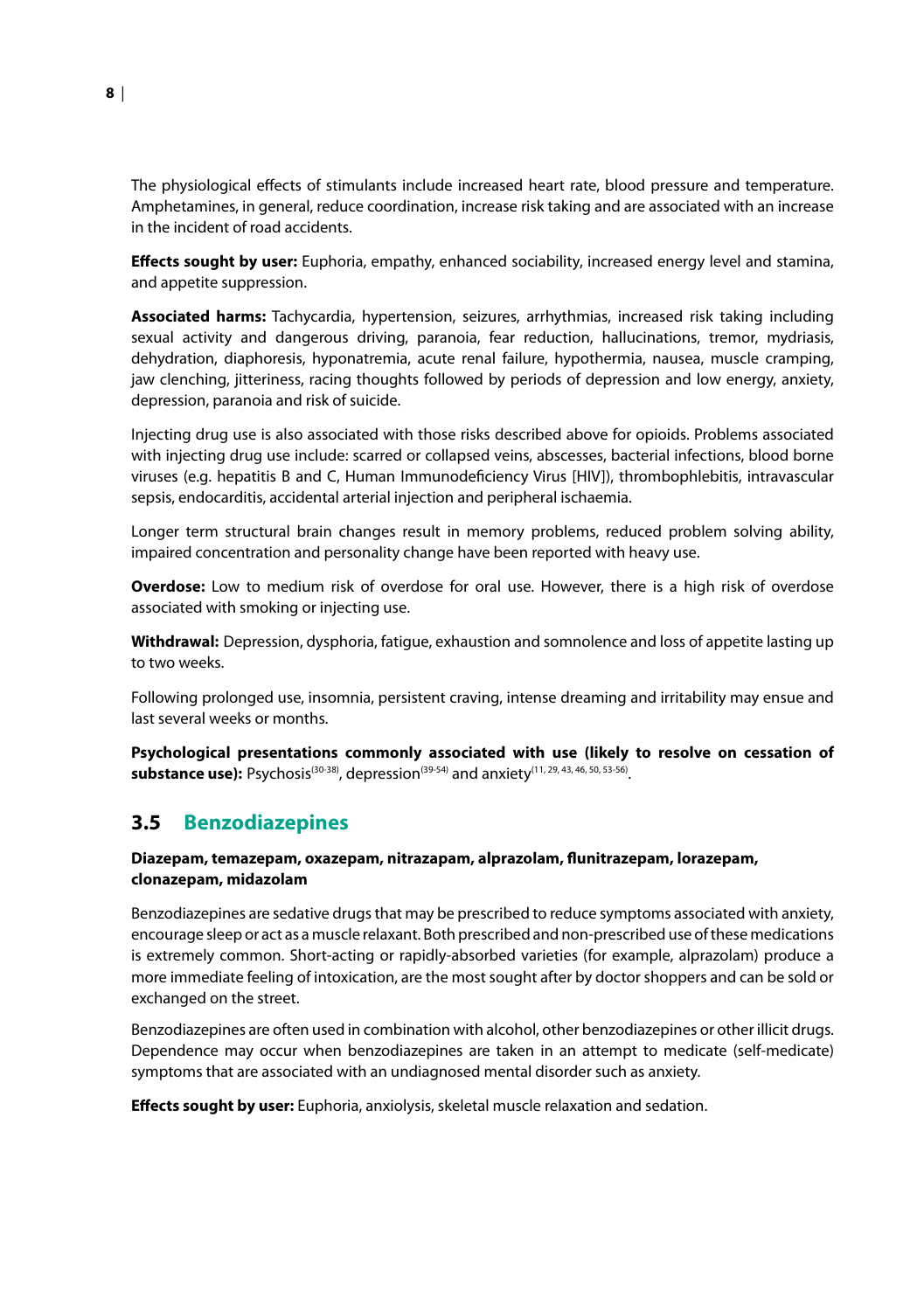The physiological effects of stimulants include increased heart rate, blood pressure and temperature. Amphetamines, in general, reduce coordination, increase risk taking and are associated with an increase in the incident of road accidents.

**Effects sought by user:** Euphoria, empathy, enhanced sociability, increased energy level and stamina, and appetite suppression.

**Associated harms:** Tachycardia, hypertension, seizures, arrhythmias, increased risk taking including sexual activity and dangerous driving, paranoia, fear reduction, hallucinations, tremor, mydriasis, dehydration, diaphoresis, hyponatremia, acute renal failure, hypothermia, nausea, muscle cramping, jaw clenching, jitteriness, racing thoughts followed by periods of depression and low energy, anxiety, depression, paranoia and risk of suicide.

Injecting drug use is also associated with those risks described above for opioids. Problems associated with injecting drug use include: scarred or collapsed veins, abscesses, bacterial infections, blood borne viruses (e.g. hepatitis B and C, Human Immunodeficiency Virus [HIV]), thrombophlebitis, intravascular sepsis, endocarditis, accidental arterial injection and peripheral ischaemia.

Longer term structural brain changes result in memory problems, reduced problem solving ability, impaired concentration and personality change have been reported with heavy use.

**Overdose:** Low to medium risk of overdose for oral use. However, there is a high risk of overdose associated with smoking or injecting use.

**Withdrawal:** Depression, dysphoria, fatigue, exhaustion and somnolence and loss of appetite lasting up to two weeks.

Following prolonged use, insomnia, persistent craving, intense dreaming and irritability may ensue and last several weeks or months.

**Psychological presentations commonly associated with use (likely to resolve on cessation of**  substance use): Psychosis<sup>(30-38)</sup>, depression<sup>(39-54)</sup> and anxiety<sup>(11, 29, 43, 46, 50, 53-56).</sup>

### **3.5 Benzodiazepines**

#### **Diazepam, temazepam, oxazepam, nitrazapam, alprazolam, flunitrazepam, lorazepam, clonazepam, midazolam**

Benzodiazepines are sedative drugs that may be prescribed to reduce symptoms associated with anxiety, encourage sleep or act as a muscle relaxant. Both prescribed and non-prescribed use of these medications is extremely common. Short-acting or rapidly-absorbed varieties (for example, alprazolam) produce a more immediate feeling of intoxication, are the most sought after by doctor shoppers and can be sold or exchanged on the street.

Benzodiazepines are often used in combination with alcohol, other benzodiazepines or other illicit drugs. Dependence may occur when benzodiazepines are taken in an attempt to medicate (self-medicate) symptoms that are associated with an undiagnosed mental disorder such as anxiety.

**Effects sought by user:** Euphoria, anxiolysis, skeletal muscle relaxation and sedation.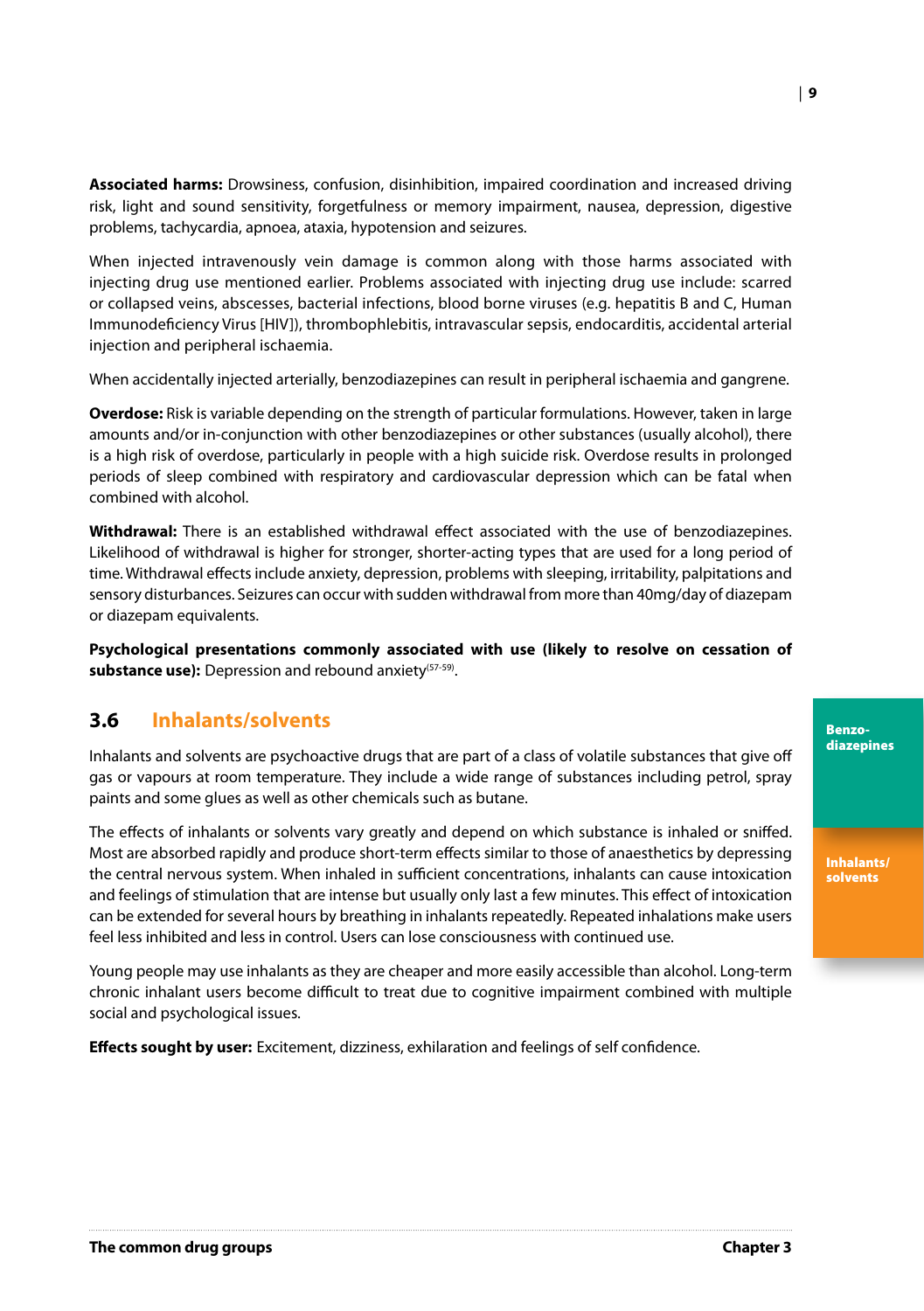**Associated harms:** Drowsiness, confusion, disinhibition, impaired coordination and increased driving risk, light and sound sensitivity, forgetfulness or memory impairment, nausea, depression, digestive problems, tachycardia, apnoea, ataxia, hypotension and seizures.

When injected intravenously vein damage is common along with those harms associated with injecting drug use mentioned earlier. Problems associated with injecting drug use include: scarred or collapsed veins, abscesses, bacterial infections, blood borne viruses (e.g. hepatitis B and C, Human Immunodeficiency Virus [HIV]), thrombophlebitis, intravascular sepsis, endocarditis, accidental arterial injection and peripheral ischaemia.

When accidentally injected arterially, benzodiazepines can result in peripheral ischaemia and gangrene.

**Overdose:** Risk is variable depending on the strength of particular formulations. However, taken in large amounts and/or in-conjunction with other benzodiazepines or other substances (usually alcohol), there is a high risk of overdose, particularly in people with a high suicide risk. Overdose results in prolonged periods of sleep combined with respiratory and cardiovascular depression which can be fatal when combined with alcohol.

**Withdrawal:** There is an established withdrawal effect associated with the use of benzodiazepines. Likelihood of withdrawal is higher for stronger, shorter-acting types that are used for a long period of time. Withdrawal effects include anxiety, depression, problems with sleeping, irritability, palpitations and sensory disturbances. Seizures can occur with sudden withdrawal from more than 40mg/day of diazepam or diazepam equivalents.

**Psychological presentations commonly associated with use (likely to resolve on cessation of**  substance use): Depression and rebound anxiety<sup>(57-59)</sup>.

# **3.6 Inhalants/solvents**

Inhalants and solvents are psychoactive drugs that are part of a class of volatile substances that give off gas or vapours at room temperature. They include a wide range of substances including petrol, spray paints and some glues as well as other chemicals such as butane.

The effects of inhalants or solvents vary greatly and depend on which substance is inhaled or sniffed. Most are absorbed rapidly and produce short-term effects similar to those of anaesthetics by depressing the central nervous system. When inhaled in sufficient concentrations, inhalants can cause intoxication and feelings of stimulation that are intense but usually only last a few minutes. This effect of intoxication can be extended for several hours by breathing in inhalants repeatedly. Repeated inhalations make users feel less inhibited and less in control. Users can lose consciousness with continued use.

Young people may use inhalants as they are cheaper and more easily accessible than alcohol. Long-term chronic inhalant users become difficult to treat due to cognitive impairment combined with multiple social and psychological issues.

**Effects sought by user:** Excitement, dizziness, exhilaration and feelings of self confidence.

#### Benzodiazepines

Inhalants/ solvents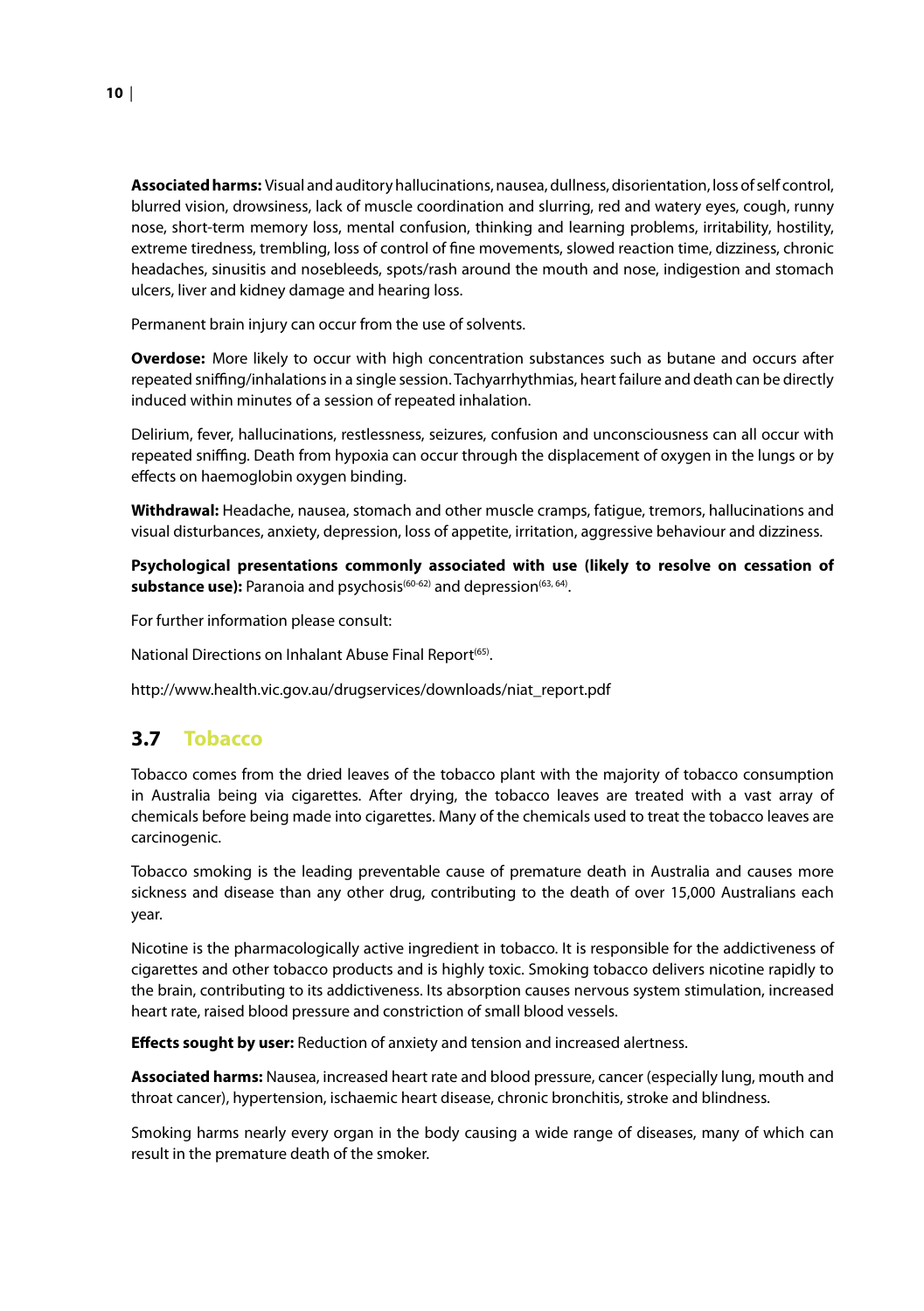**Associated harms:** Visual and auditory hallucinations, nausea, dullness, disorientation, loss of self control, blurred vision, drowsiness, lack of muscle coordination and slurring, red and watery eyes, cough, runny nose, short-term memory loss, mental confusion, thinking and learning problems, irritability, hostility, extreme tiredness, trembling, loss of control of fine movements, slowed reaction time, dizziness, chronic headaches, sinusitis and nosebleeds, spots/rash around the mouth and nose, indigestion and stomach ulcers, liver and kidney damage and hearing loss.

Permanent brain injury can occur from the use of solvents.

**Overdose:** More likely to occur with high concentration substances such as butane and occurs after repeated sniffing/inhalations in a single session. Tachyarrhythmias, heart failure and death can be directly induced within minutes of a session of repeated inhalation.

Delirium, fever, hallucinations, restlessness, seizures, confusion and unconsciousness can all occur with repeated sniffing. Death from hypoxia can occur through the displacement of oxygen in the lungs or by effects on haemoglobin oxygen binding.

**Withdrawal:** Headache, nausea, stomach and other muscle cramps, fatigue, tremors, hallucinations and visual disturbances, anxiety, depression, loss of appetite, irritation, aggressive behaviour and dizziness.

**Psychological presentations commonly associated with use (likely to resolve on cessation of**  substance use): Paranoia and psychosis<sup>(60-62)</sup> and depression<sup>(63, 64)</sup>.

For further information please consult:

National Directions on Inhalant Abuse Final Report<sup>(65)</sup>.

http://www.health.vic.gov.au/drugservices/downloads/niat\_report.pdf

### **3.7 Tobacco**

Tobacco comes from the dried leaves of the tobacco plant with the majority of tobacco consumption in Australia being via cigarettes. After drying, the tobacco leaves are treated with a vast array of chemicals before being made into cigarettes. Many of the chemicals used to treat the tobacco leaves are carcinogenic.

Tobacco smoking is the leading preventable cause of premature death in Australia and causes more sickness and disease than any other drug, contributing to the death of over 15,000 Australians each year.

Nicotine is the pharmacologically active ingredient in tobacco. It is responsible for the addictiveness of cigarettes and other tobacco products and is highly toxic. Smoking tobacco delivers nicotine rapidly to the brain, contributing to its addictiveness. Its absorption causes nervous system stimulation, increased heart rate, raised blood pressure and constriction of small blood vessels.

**Effects sought by user:** Reduction of anxiety and tension and increased alertness.

**Associated harms:** Nausea, increased heart rate and blood pressure, cancer (especially lung, mouth and throat cancer), hypertension, ischaemic heart disease, chronic bronchitis, stroke and blindness.

Smoking harms nearly every organ in the body causing a wide range of diseases, many of which can result in the premature death of the smoker.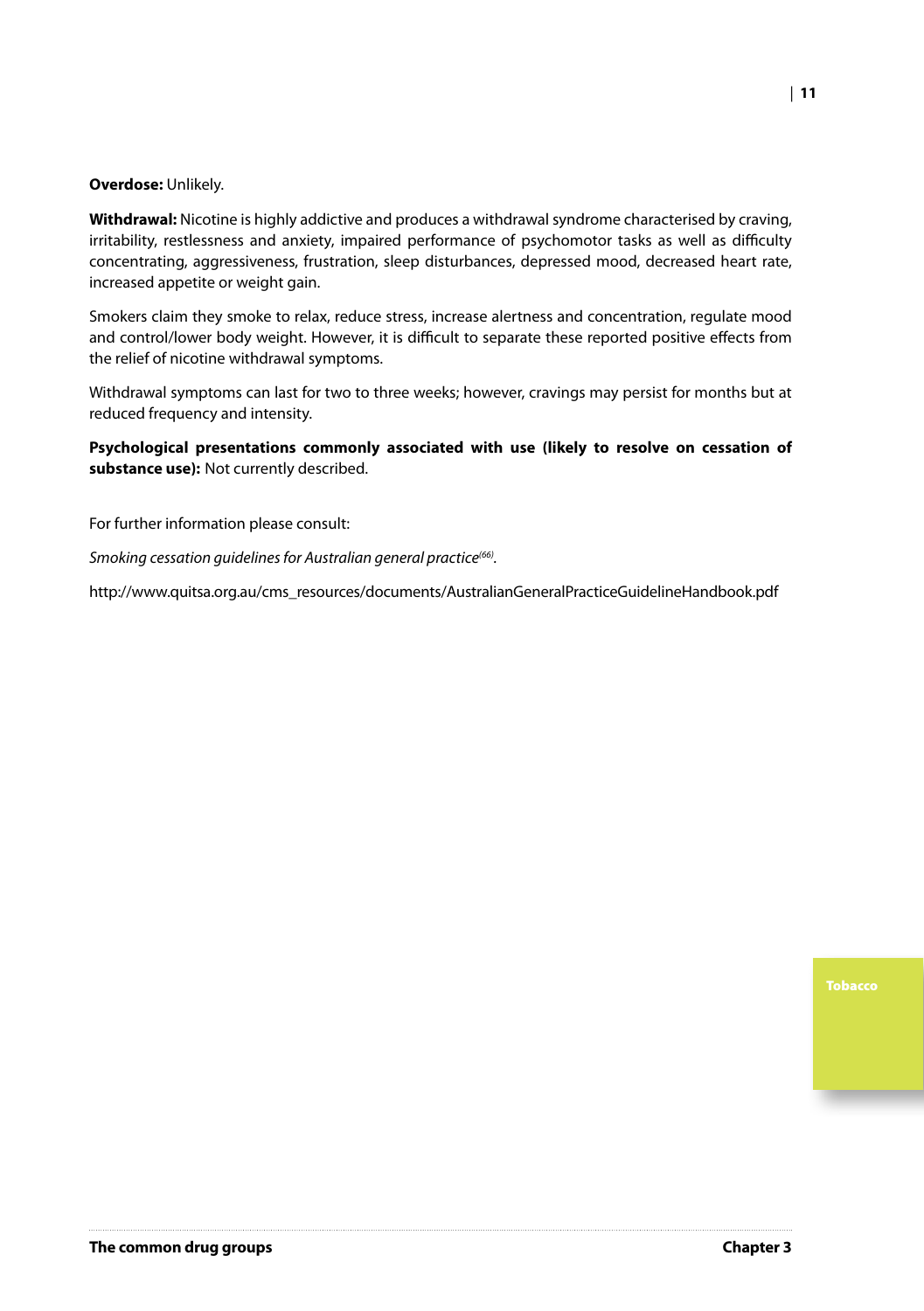#### **Overdose:** Unlikely.

**Withdrawal:** Nicotine is highly addictive and produces a withdrawal syndrome characterised by craving, irritability, restlessness and anxiety, impaired performance of psychomotor tasks as well as difficulty concentrating, aggressiveness, frustration, sleep disturbances, depressed mood, decreased heart rate, increased appetite or weight gain.

Smokers claim they smoke to relax, reduce stress, increase alertness and concentration, regulate mood and control/lower body weight. However, it is difficult to separate these reported positive effects from the relief of nicotine withdrawal symptoms.

Withdrawal symptoms can last for two to three weeks; however, cravings may persist for months but at reduced frequency and intensity.

#### **Psychological presentations commonly associated with use (likely to resolve on cessation of substance use):** Not currently described.

For further information please consult:

*Smoking cessation guidelines for Australian general practice(66).*

http://www.quitsa.org.au/cms\_resources/documents/AustralianGeneralPracticeGuidelineHandbook.pdf

| **11**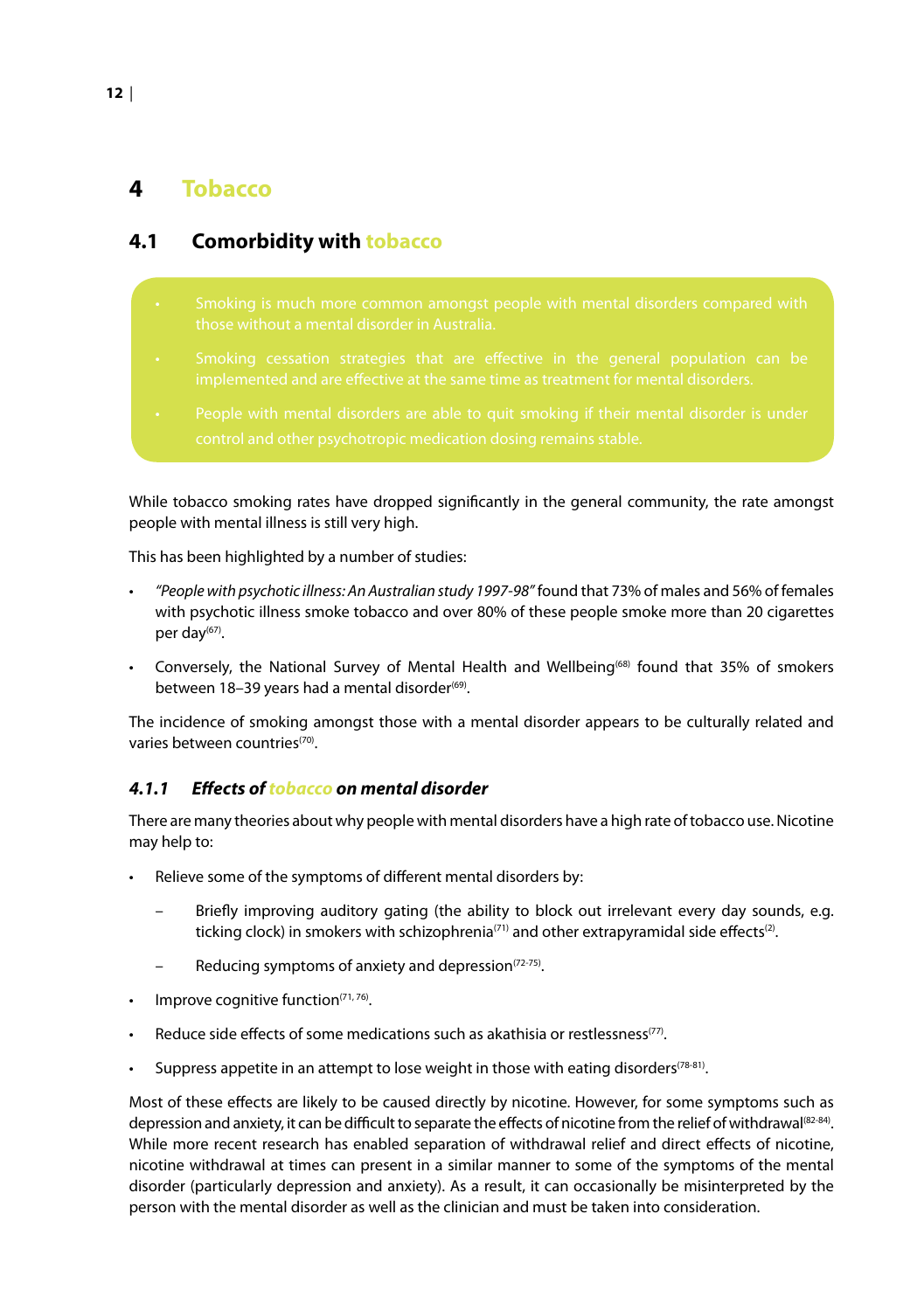# **4 Tobacco**

# **4.1 Comorbidity with tobacco**

- 
- 
- 

While tobacco smoking rates have dropped significantly in the general community, the rate amongst people with mental illness is still very high.

This has been highlighted by a number of studies:

- • *"People with psychotic illness: An Australian study 1997-98"* found that 73% of males and 56% of females with psychotic illness smoke tobacco and over 80% of these people smoke more than 20 cigarettes per day<sup>(67)</sup>.
- Conversely, the National Survey of Mental Health and Wellbeing<sup>(68)</sup> found that 35% of smokers between  $18-39$  years had a mental disorder<sup>(69)</sup>.

The incidence of smoking amongst those with a mental disorder appears to be culturally related and varies between countries<sup>(70)</sup>.

#### *4.1.1 Effects of tobacco on mental disorder*

There are many theories about why people with mental disorders have a high rate of tobacco use. Nicotine may help to:

- Relieve some of the symptoms of different mental disorders by:
	- Briefly improving auditory gating (the ability to block out irrelevant every day sounds, e.g. ticking clock) in smokers with schizophrenia<sup>(71)</sup> and other extrapyramidal side effects<sup>(2)</sup>.
	- Reducing symptoms of anxiety and depression $(72-75)$ .
- Improve cognitive function $(71, 76)$ .
- Reduce side effects of some medications such as akathisia or restlessness<sup>(77)</sup>.
- Suppress appetite in an attempt to lose weight in those with eating disorders<sup>(78-81)</sup>.

Most of these effects are likely to be caused directly by nicotine. However, for some symptoms such as depression and anxiety, it can be difficult to separate the effects of nicotine from the relief of withdrawal<sup>(82-84)</sup>. While more recent research has enabled separation of withdrawal relief and direct effects of nicotine, nicotine withdrawal at times can present in a similar manner to some of the symptoms of the mental disorder (particularly depression and anxiety). As a result, it can occasionally be misinterpreted by the person with the mental disorder as well as the clinician and must be taken into consideration.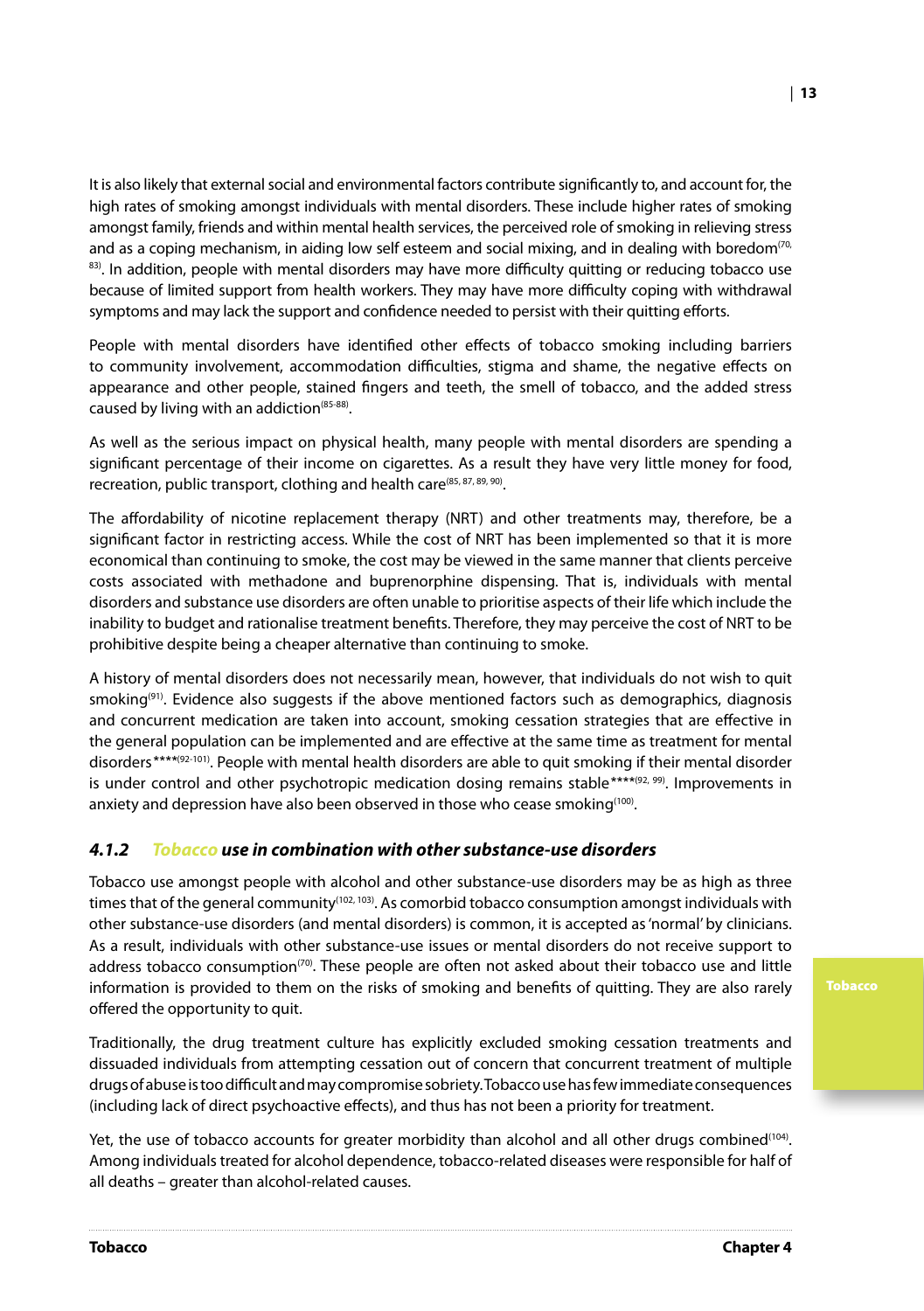It is also likely that external social and environmental factors contribute significantly to, and account for, the high rates of smoking amongst individuals with mental disorders. These include higher rates of smoking amongst family, friends and within mental health services, the perceived role of smoking in relieving stress and as a coping mechanism, in aiding low self esteem and social mixing, and in dealing with boredom<sup>(70,</sup> 83). In addition, people with mental disorders may have more difficulty quitting or reducing tobacco use because of limited support from health workers. They may have more difficulty coping with withdrawal symptoms and may lack the support and confidence needed to persist with their quitting efforts.

People with mental disorders have identified other effects of tobacco smoking including barriers to community involvement, accommodation difficulties, stigma and shame, the negative effects on appearance and other people, stained fingers and teeth, the smell of tobacco, and the added stress caused by living with an addiction<sup>(85-88)</sup>.

As well as the serious impact on physical health, many people with mental disorders are spending a significant percentage of their income on cigarettes. As a result they have very little money for food, recreation, public transport, clothing and health care<sup>(85, 87, 89, 90)</sup>.

The affordability of nicotine replacement therapy (NRT) and other treatments may, therefore, be a significant factor in restricting access. While the cost of NRT has been implemented so that it is more economical than continuing to smoke, the cost may be viewed in the same manner that clients perceive costs associated with methadone and buprenorphine dispensing. That is, individuals with mental disorders and substance use disorders are often unable to prioritise aspects of their life which include the inability to budget and rationalise treatment benefits. Therefore, they may perceive the cost of NRT to be prohibitive despite being a cheaper alternative than continuing to smoke.

A history of mental disorders does not necessarily mean, however, that individuals do not wish to quit smoking<sup>(91)</sup>. Evidence also suggests if the above mentioned factors such as demographics, diagnosis and concurrent medication are taken into account, smoking cessation strategies that are effective in the general population can be implemented and are effective at the same time as treatment for mental disorders*\*\*\*\**(92-101). People with mental health disorders are able to quit smoking if their mental disorder is under control and other psychotropic medication dosing remains stable*\*\*\*\**(92, 99). Improvements in anxiety and depression have also been observed in those who cease smoking<sup>(100)</sup>.

#### *4.1.2 Tobacco use in combination with other substance-use disorders*

Tobacco use amongst people with alcohol and other substance-use disorders may be as high as three times that of the general community<sup>(102, 103)</sup>. As comorbid tobacco consumption amongst individuals with other substance-use disorders (and mental disorders) is common, it is accepted as 'normal' by clinicians. As a result, individuals with other substance-use issues or mental disorders do not receive support to address tobacco consumption<sup>(70)</sup>. These people are often not asked about their tobacco use and little information is provided to them on the risks of smoking and benefits of quitting. They are also rarely offered the opportunity to quit.

Traditionally, the drug treatment culture has explicitly excluded smoking cessation treatments and dissuaded individuals from attempting cessation out of concern that concurrent treatment of multiple drugs of abuse is too difficult and may compromise sobriety. Tobacco use has few immediate consequences (including lack of direct psychoactive effects), and thus has not been a priority for treatment.

Yet, the use of tobacco accounts for greater morbidity than alcohol and all other drugs combined<sup>(104)</sup>. Among individuals treated for alcohol dependence, tobacco-related diseases were responsible for half of all deaths – greater than alcohol-related causes.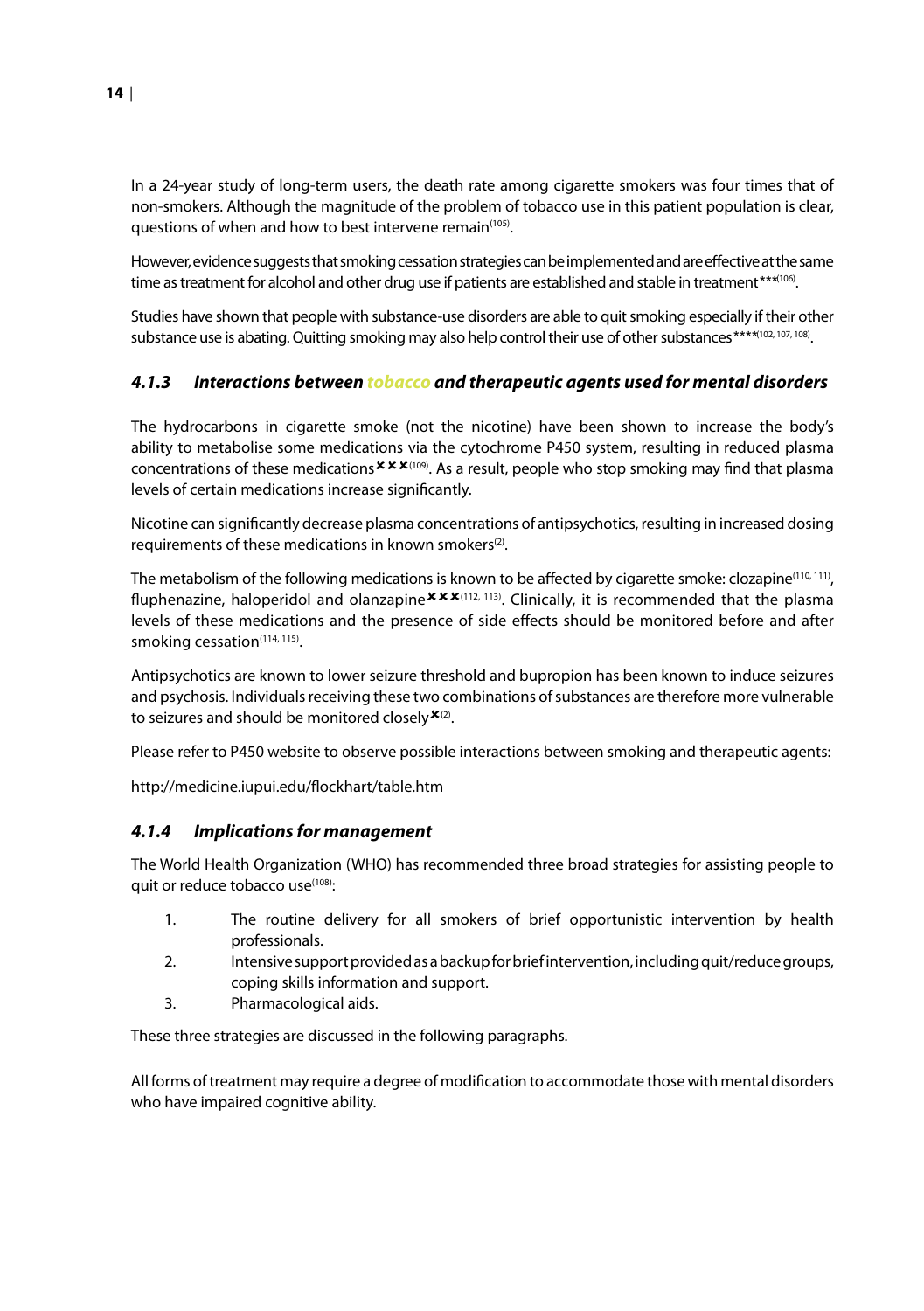In a 24-year study of long-term users, the death rate among cigarette smokers was four times that of non-smokers. Although the magnitude of the problem of tobacco use in this patient population is clear, questions of when and how to best intervene remain<sup>(105)</sup>.

However, evidence suggests that smoking cessation strategies can be implemented and are effective at the same time as treatment for alcohol and other drug use if patients are established and stable in treatment*\*\*\**(106).

Studies have shown that people with substance-use disorders are able to quit smoking especially if their other substance use is abating. Quitting smoking may also help control their use of other substances*\*\*\*\**(102, 107, 108).

#### *4.1.3 Interactions between tobacco and therapeutic agents used for mental disorders*

The hydrocarbons in cigarette smoke (not the nicotine) have been shown to increase the body's ability to metabolise some medications via the cytochrome P450 system, resulting in reduced plasma concentrations of these medications $\mathbf{x} \times \mathbf{x}$ <sup>109)</sup>. As a result, people who stop smoking may find that plasma levels of certain medications increase significantly.

Nicotine can significantly decrease plasma concentrations of antipsychotics, resulting in increased dosing requirements of these medications in known smokers<sup>(2)</sup>.

The metabolism of the following medications is known to be affected by cigarette smoke: clozapine(110, 111), fluphenazine, haloperidol and olanzapine  $\star \star \star (112, 113)$ . Clinically, it is recommended that the plasma levels of these medications and the presence of side effects should be monitored before and after smoking cessation<sup>(114, 115)</sup>.

Antipsychotics are known to lower seizure threshold and bupropion has been known to induce seizures and psychosis. Individuals receiving these two combinations of substances are therefore more vulnerable to seizures and should be monitored closely $x_{(2)}$ .

Please refer to P450 website to observe possible interactions between smoking and therapeutic agents:

http://medicine.iupui.edu/flockhart/table.htm

#### *4.1.4 Implications for management*

The World Health Organization (WHO) has recommended three broad strategies for assisting people to quit or reduce tobacco use<sup>(108)</sup>:

- 1. The routine delivery for all smokers of brief opportunistic intervention by health professionals.
- 2. Intensive support provided as a backup for brief intervention, including quit/reduce groups, coping skills information and support.
- 3. Pharmacological aids.

These three strategies are discussed in the following paragraphs.

All forms of treatment may require a degree of modification to accommodate those with mental disorders who have impaired cognitive ability.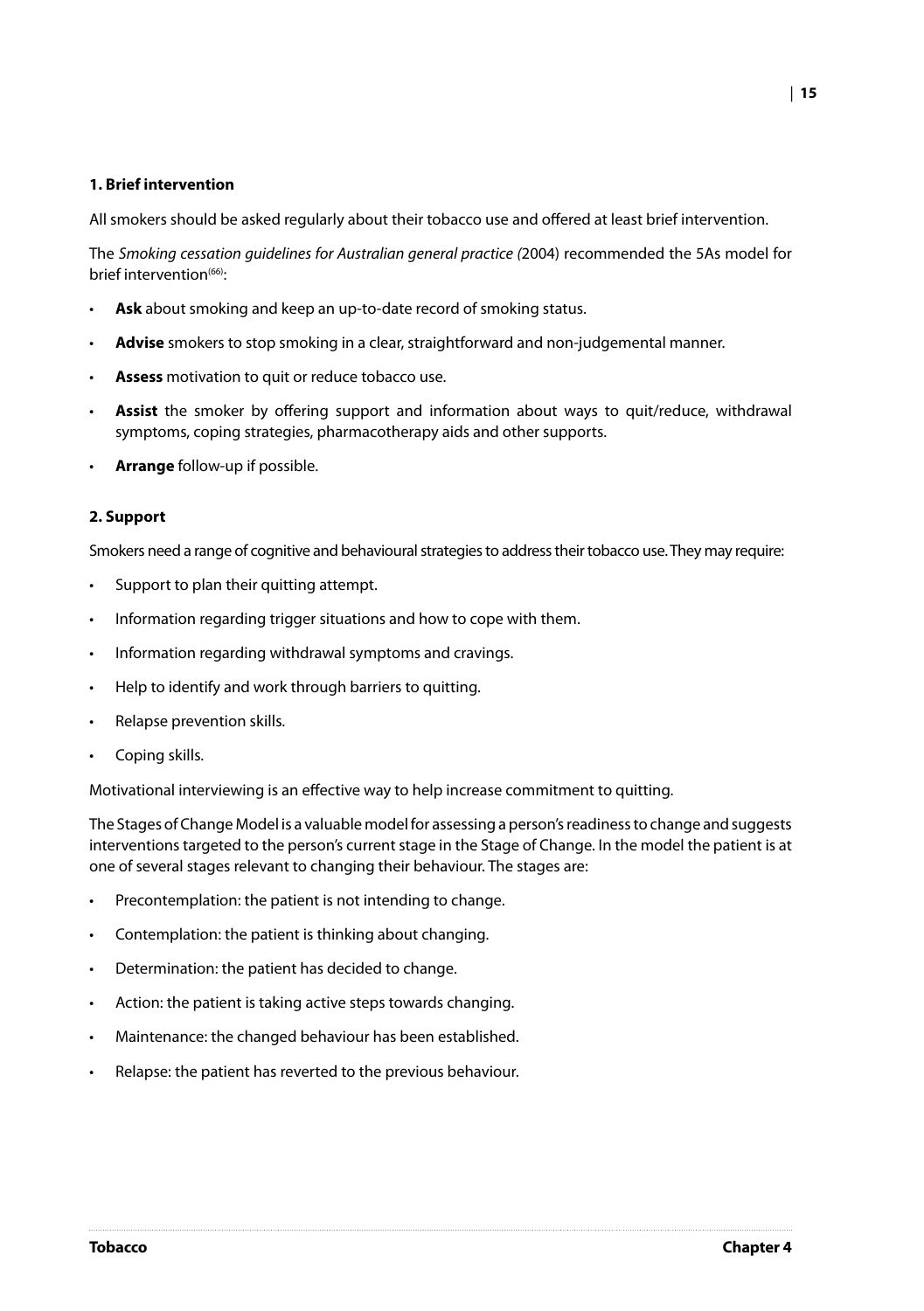#### **1. Brief intervention**

All smokers should be asked regularly about their tobacco use and offered at least brief intervention.

The *Smoking cessation guidelines for Australian general practice (*2004) recommended the 5As model for brief intervention<sup>(66)</sup>:

- Ask about smoking and keep an up-to-date record of smoking status.
- • **Advise** smokers to stop smoking in a clear, straightforward and non-judgemental manner.
- • **Assess** motivation to quit or reduce tobacco use.
- **Assist** the smoker by offering support and information about ways to quit/reduce, withdrawal symptoms, coping strategies, pharmacotherapy aids and other supports.
- Arrange follow-up if possible.

#### **2. Support**

Smokers need a range of cognitive and behavioural strategies to address their tobacco use. They may require:

- • Support to plan their quitting attempt.
- Information regarding trigger situations and how to cope with them.
- Information regarding withdrawal symptoms and cravings.
- Help to identify and work through barriers to quitting.
- Relapse prevention skills.
- Coping skills.

Motivational interviewing is an effective way to help increase commitment to quitting.

The Stages of Change Model is a valuable model for assessing a person's readiness to change and suggests interventions targeted to the person's current stage in the Stage of Change. In the model the patient is at one of several stages relevant to changing their behaviour. The stages are:

- • Precontemplation: the patient is not intending to change.
- • Contemplation: the patient is thinking about changing.
- • Determination: the patient has decided to change.
- Action: the patient is taking active steps towards changing.
- Maintenance: the changed behaviour has been established.
- Relapse: the patient has reverted to the previous behaviour.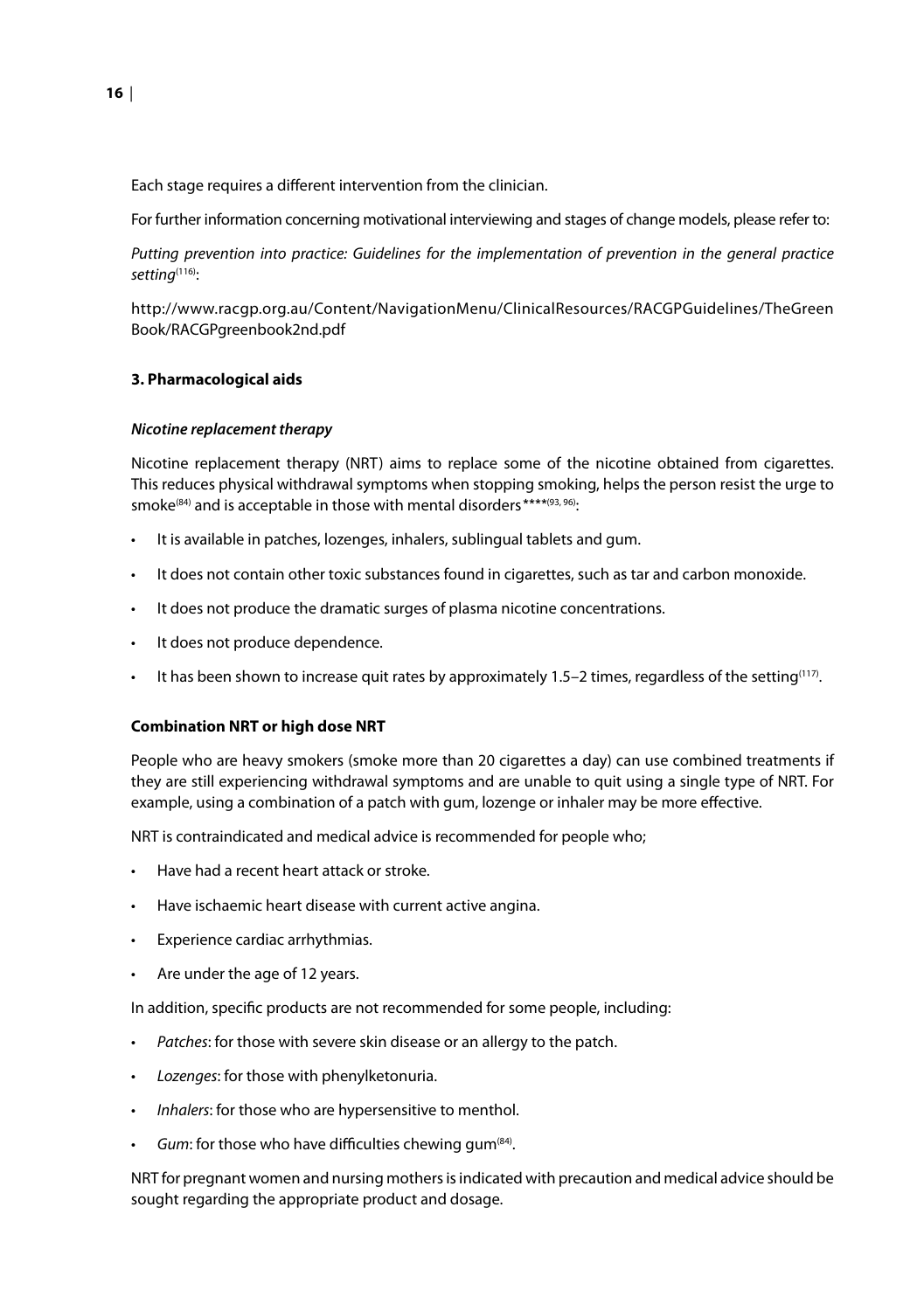Each stage requires a different intervention from the clinician.

For further information concerning motivational interviewing and stages of change models, please refer to:

*Putting prevention into practice: Guidelines for the implementation of prevention in the general practice setting*(116):

http://www.racgp.org.au/Content/NavigationMenu/ClinicalResources/RACGPGuidelines/TheGreen Book/RACGPgreenbook2nd.pdf

#### **3. Pharmacological aids**

#### *Nicotine replacement therapy*

Nicotine replacement therapy (NRT) aims to replace some of the nicotine obtained from cigarettes. This reduces physical withdrawal symptoms when stopping smoking, helps the person resist the urge to smoke<sup>(84)</sup> and is acceptable in those with mental disorders<sup>\*\*\*\*(93, 96)</sup>:

- It is available in patches, lozenges, inhalers, sublingual tablets and gum.
- It does not contain other toxic substances found in cigarettes, such as tar and carbon monoxide.
- It does not produce the dramatic surges of plasma nicotine concentrations.
- It does not produce dependence.
- It has been shown to increase quit rates by approximately 1.5–2 times, regardless of the setting<sup>(117)</sup>.

#### **Combination NRT or high dose NRT**

People who are heavy smokers (smoke more than 20 cigarettes a day) can use combined treatments if they are still experiencing withdrawal symptoms and are unable to quit using a single type of NRT. For example, using a combination of a patch with gum, lozenge or inhaler may be more effective.

NRT is contraindicated and medical advice is recommended for people who;

- Have had a recent heart attack or stroke.
- Have ischaemic heart disease with current active angina.
- Experience cardiac arrhythmias.
- Are under the age of 12 years.

In addition, specific products are not recommended for some people, including:

- Patches: for those with severe skin disease or an allergy to the patch.
- Lozenges: for those with phenylketonuria.
- Inhalers: for those who are hypersensitive to menthol.
- Gum: for those who have difficulties chewing gum<sup>(84)</sup>.

NRT for pregnant women and nursing mothers is indicated with precaution and medical advice should be sought regarding the appropriate product and dosage.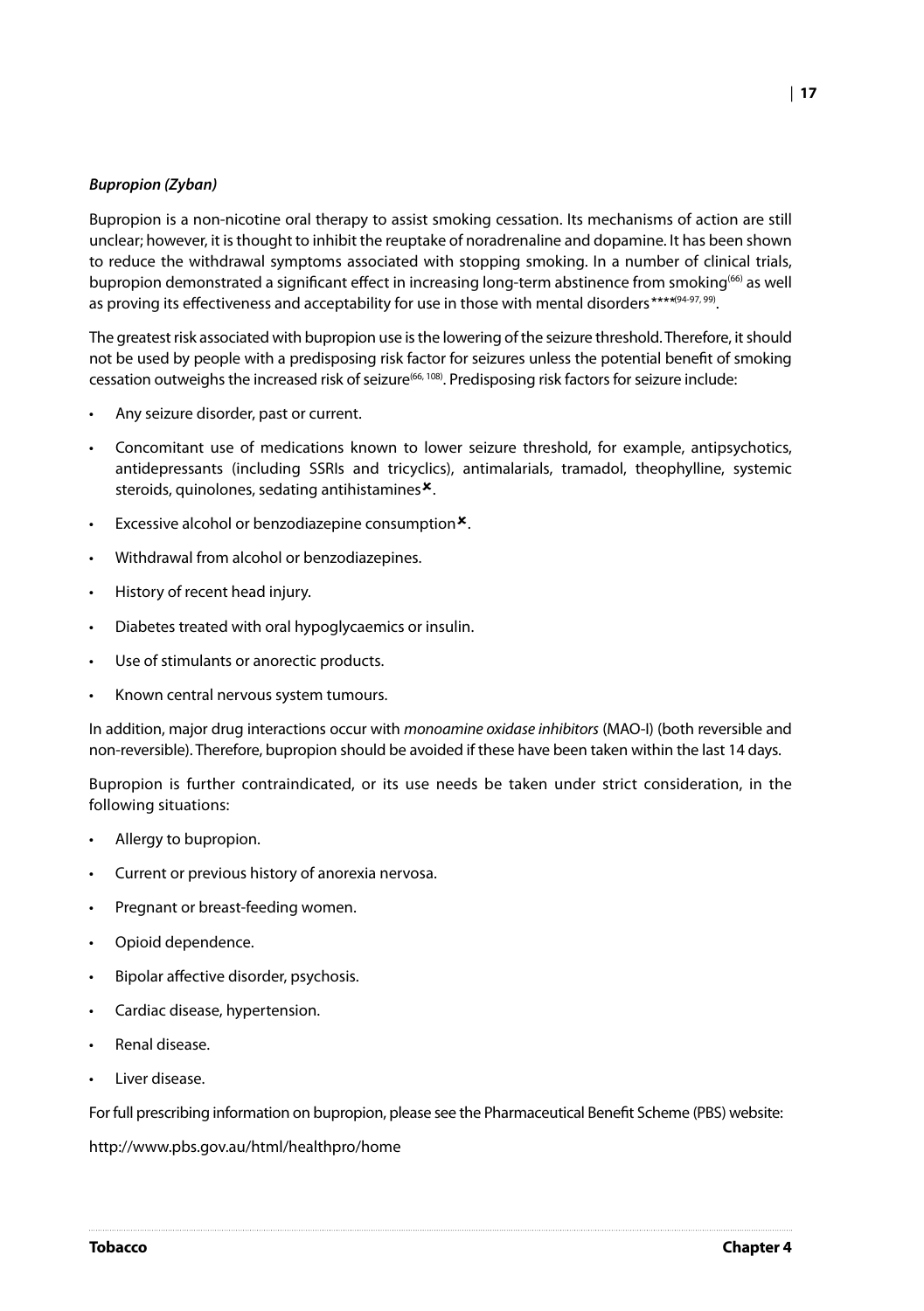#### *Bupropion (Zyban)*

Bupropion is a non-nicotine oral therapy to assist smoking cessation. Its mechanisms of action are still unclear; however, it is thought to inhibit the reuptake of noradrenaline and dopamine. It has been shown to reduce the withdrawal symptoms associated with stopping smoking. In a number of clinical trials, bupropion demonstrated a significant effect in increasing long-term abstinence from smoking<sup>(66)</sup> as well as proving its effectiveness and acceptability for use in those with mental disorders*\*\*\*\**(94-97, 99).

The greatest risk associated with bupropion use is the lowering of the seizure threshold. Therefore, it should not be used by people with a predisposing risk factor for seizures unless the potential benefit of smoking cessation outweighs the increased risk of seizure<sup>(66, 108)</sup>. Predisposing risk factors for seizure include:

- • Any seizure disorder, past or current.
- Concomitant use of medications known to lower seizure threshold, for example, antipsychotics, antidepressants (including SSRIs and tricyclics), antimalarials, tramadol, theophylline, systemic steroids, quinolones, sedating antihistamines $x$ .
- Excessive alcohol or benzodiazepine consumption $x$ .
- Withdrawal from alcohol or benzodiazepines.
- History of recent head injury.
- Diabetes treated with oral hypoglycaemics or insulin.
- Use of stimulants or anorectic products.
- Known central nervous system tumours.

In addition, major drug interactions occur with *monoamine oxidase inhibitors* (MAO-I) (both reversible and non-reversible). Therefore, bupropion should be avoided if these have been taken within the last 14 days.

Bupropion is further contraindicated, or its use needs be taken under strict consideration, in the following situations:

- Allergy to bupropion.
- Current or previous history of anorexia nervosa.
- Pregnant or breast-feeding women.
- Opioid dependence.
- Bipolar affective disorder, psychosis.
- Cardiac disease, hypertension.
- Renal disease.
- Liver disease.

For full prescribing information on bupropion, please see the Pharmaceutical Benefit Scheme (PBS) website:

http://www.pbs.gov.au/html/healthpro/home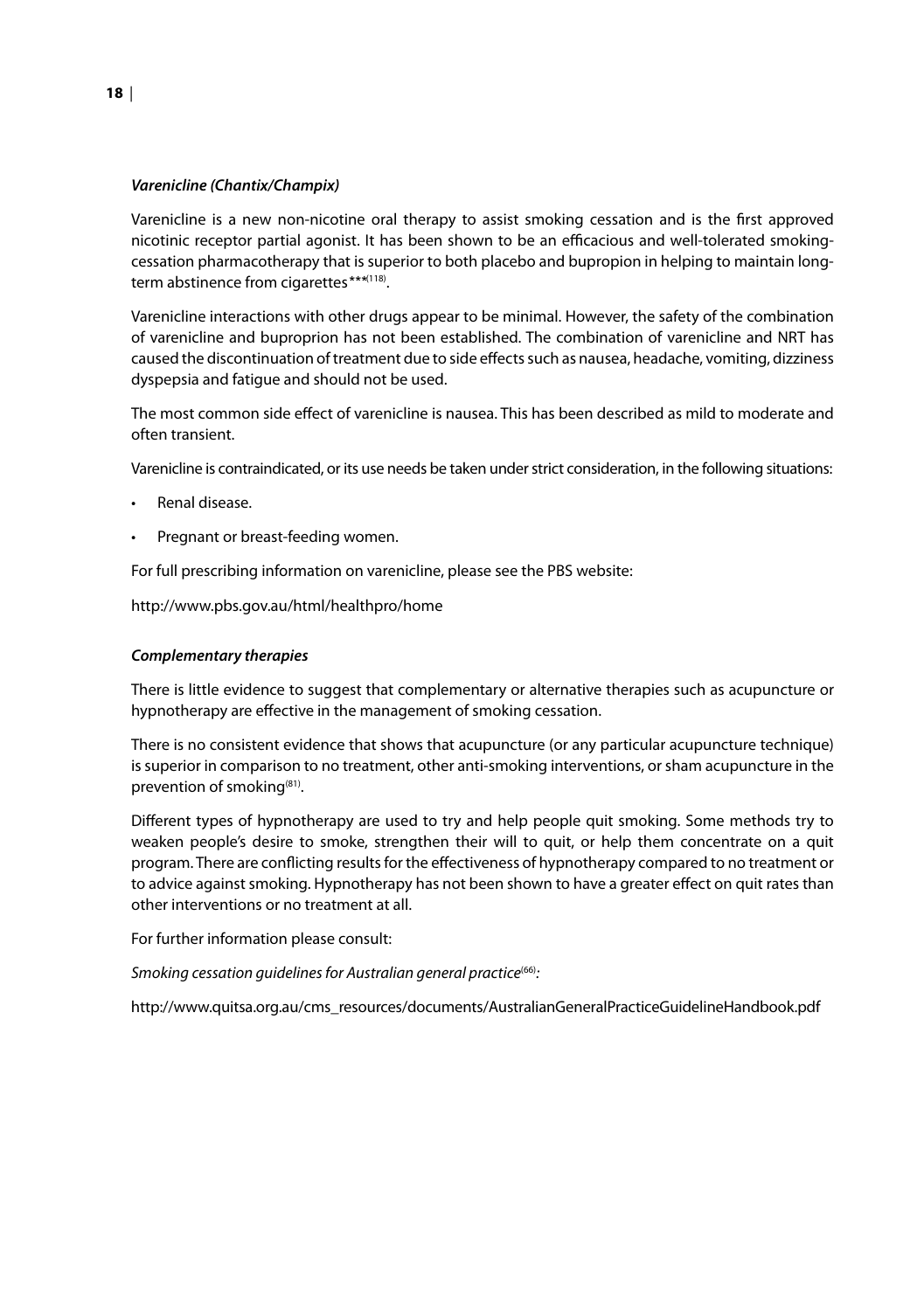#### *Varenicline (Chantix/Champix)*

Varenicline is a new non-nicotine oral therapy to assist smoking cessation and is the first approved nicotinic receptor partial agonist. It has been shown to be an efficacious and well-tolerated smokingcessation pharmacotherapy that is superior to both placebo and bupropion in helping to maintain longterm abstinence from cigarettes*\*\*\**(118).

Varenicline interactions with other drugs appear to be minimal. However, the safety of the combination of varenicline and buproprion has not been established. The combination of varenicline and NRT has caused the discontinuation of treatment due to side effects such as nausea, headache, vomiting, dizziness dyspepsia and fatigue and should not be used.

The most common side effect of varenicline is nausea. This has been described as mild to moderate and often transient.

Varenicline is contraindicated, or its use needs be taken under strict consideration, in the following situations:

- Renal disease.
- Pregnant or breast-feeding women.

For full prescribing information on varenicline, please see the PBS website:

http://www.pbs.gov.au/html/healthpro/home

#### *Complementary therapies*

There is little evidence to suggest that complementary or alternative therapies such as acupuncture or hypnotherapy are effective in the management of smoking cessation.

There is no consistent evidence that shows that acupuncture (or any particular acupuncture technique) is superior in comparison to no treatment, other anti-smoking interventions, or sham acupuncture in the prevention of smoking<sup>(81)</sup>.

Different types of hypnotherapy are used to try and help people quit smoking. Some methods try to weaken people's desire to smoke, strengthen their will to quit, or help them concentrate on a quit program. There are conflicting results for the effectiveness of hypnotherapy compared to no treatment or to advice against smoking. Hypnotherapy has not been shown to have a greater effect on quit rates than other interventions or no treatment at all.

For further information please consult:

*Smoking cessation guidelines for Australian general practice*<sup>(66)</sup>:

http://www.quitsa.org.au/cms\_resources/documents/AustralianGeneralPracticeGuidelineHandbook.pdf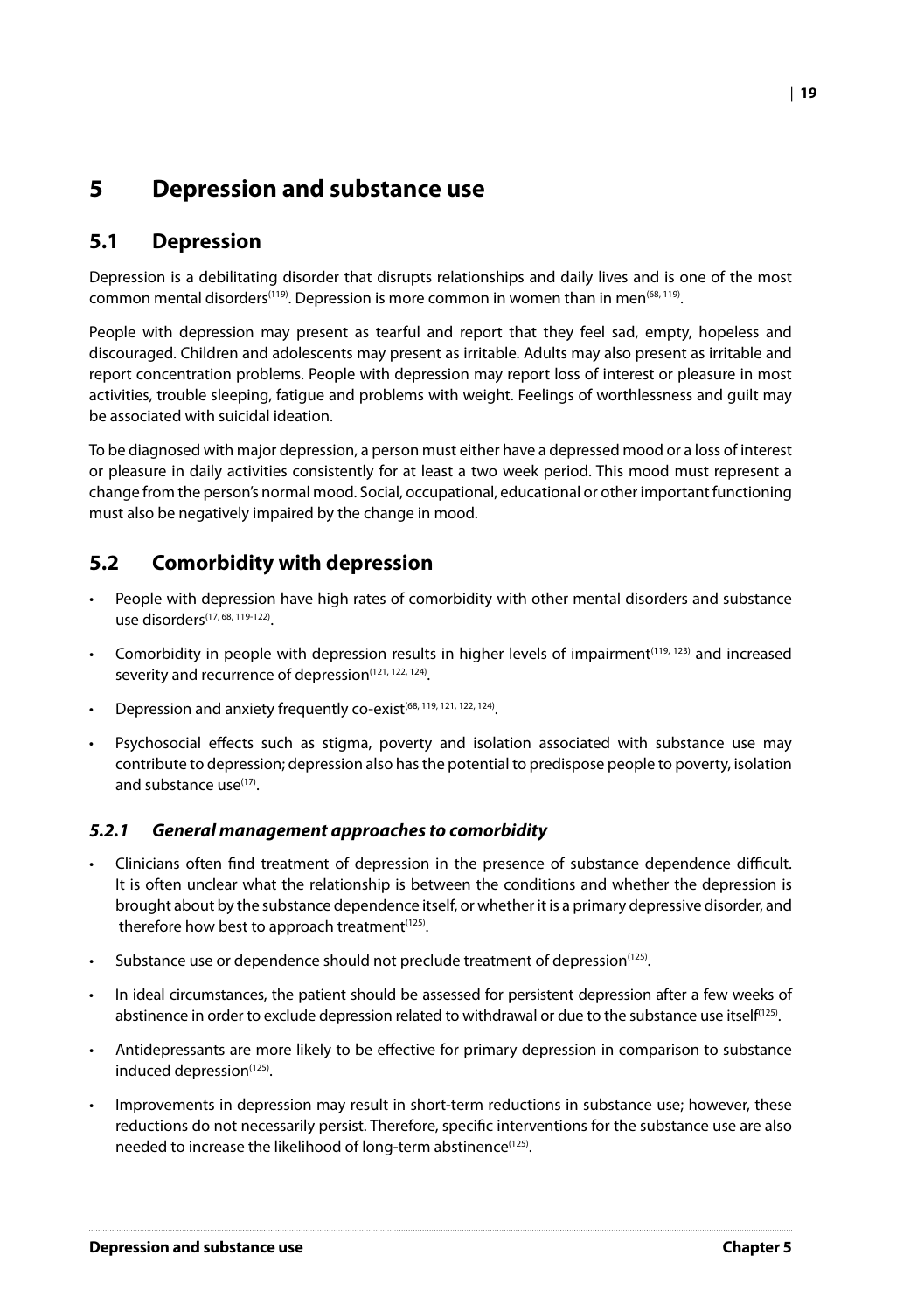# **5 Depression and substance use**

# **5.1 Depression**

Depression is a debilitating disorder that disrupts relationships and daily lives and is one of the most common mental disorders<sup>(119)</sup>. Depression is more common in women than in men<sup>(68, 119)</sup>.

People with depression may present as tearful and report that they feel sad, empty, hopeless and discouraged. Children and adolescents may present as irritable. Adults may also present as irritable and report concentration problems. People with depression may report loss of interest or pleasure in most activities, trouble sleeping, fatigue and problems with weight. Feelings of worthlessness and guilt may be associated with suicidal ideation.

To be diagnosed with major depression, a person must either have a depressed mood or a loss of interest or pleasure in daily activities consistently for at least a two week period. This mood must represent a change from the person's normal mood. Social, occupational, educational or other important functioning must also be negatively impaired by the change in mood.

# **5.2 Comorbidity with depression**

- People with depression have high rates of comorbidity with other mental disorders and substance use disorders<sup>(17, 68, 119-122)</sup>.
- Comorbidity in people with depression results in higher levels of impairment<sup>(119, 123)</sup> and increased severity and recurrence of depression<sup>(121, 122, 124)</sup>.
- Depression and anxiety frequently co-exist<sup>(68, 119, 121, 122, 124)</sup>.
- • Psychosocial effects such as stigma, poverty and isolation associated with substance use may contribute to depression; depression also has the potential to predispose people to poverty, isolation and substance use $(17)$ .

### *5.2.1 General management approaches to comorbidity*

- • Clinicians often find treatment of depression in the presence of substance dependence difficult. It is often unclear what the relationship is between the conditions and whether the depression is brought about by the substance dependence itself, or whether it is a primary depressive disorder, and therefore how best to approach treatment $(125)$ .
- Substance use or dependence should not preclude treatment of depression<sup>(125)</sup>.
- In ideal circumstances, the patient should be assessed for persistent depression after a few weeks of abstinence in order to exclude depression related to withdrawal or due to the substance use itself<sup>(125)</sup>.
- • Antidepressants are more likely to be effective for primary depression in comparison to substance induced depression<sup>(125)</sup>.
- Improvements in depression may result in short-term reductions in substance use; however, these reductions do not necessarily persist. Therefore, specific interventions for the substance use are also needed to increase the likelihood of long-term abstinence<sup>(125)</sup>.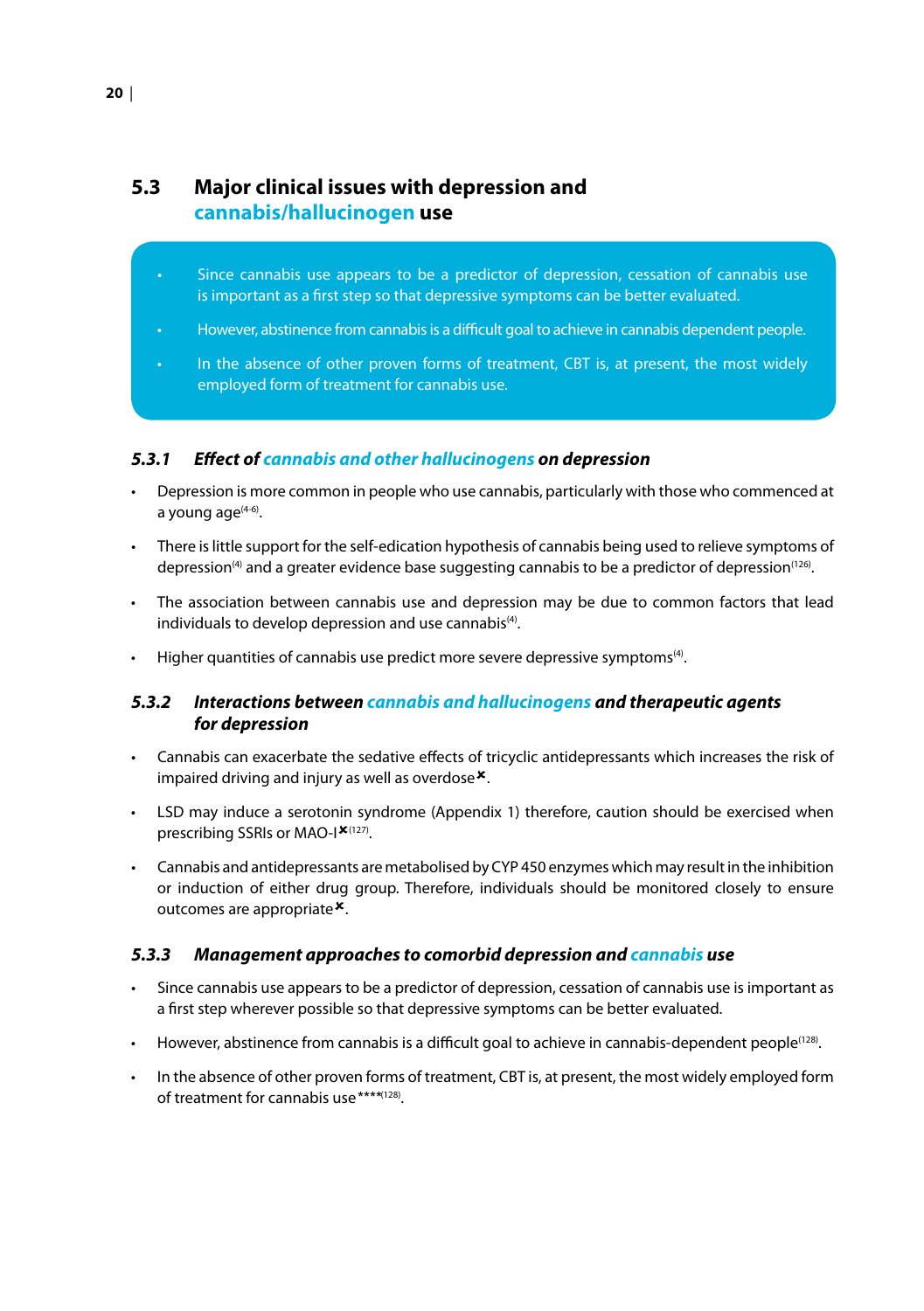# **5.3 Major clinical issues with depression and cannabis/hallucinogen use**

- Since cannabis use appears to be a predictor of depression, cessation of cannabis use is important as a first step so that depressive symptoms can be better evaluated.
- However, abstinence from cannabis is a difficult goal to achieve in cannabis dependent people.
- In the absence of other proven forms of treatment, CBT is, at present, the most widely employed form of treatment for cannabis use.

#### *5.3.1 Effect of cannabis and other hallucinogens on depression*

- Depression is more common in people who use cannabis, particularly with those who commenced at a young  $age^{(4-6)}$ .
- There is little support for the self-edication hypothesis of cannabis being used to relieve symptoms of depression<sup>(4)</sup> and a greater evidence base suggesting cannabis to be a predictor of depression<sup>(126)</sup>.
- The association between cannabis use and depression may be due to common factors that lead individuals to develop depression and use cannabis<sup>(4)</sup>.
- $\cdot$  Higher quantities of cannabis use predict more severe depressive symptoms<sup>(4)</sup>.

#### *5.3.2 Interactions between cannabis and hallucinogens and therapeutic agents for depression*

- Cannabis can exacerbate the sedative effects of tricyclic antidepressants which increases the risk of impaired driving and injury as well as overdose $x$ .
- LSD may induce a serotonin syndrome (Appendix 1) therefore, caution should be exercised when prescribing SSRIs or MAO-I<sup>X(127)</sup>.
- Cannabis and antidepressants are metabolised by CYP 450 enzymes which may result in the inhibition or induction of either drug group. Therefore, individuals should be monitored closely to ensure outcomes are appropriate  $x$ .

#### *5.3.3 Management approaches to comorbid depression and cannabis use*

- Since cannabis use appears to be a predictor of depression, cessation of cannabis use is important as a first step wherever possible so that depressive symptoms can be better evaluated.
- However, abstinence from cannabis is a difficult goal to achieve in cannabis-dependent people<sup>(128)</sup>.
- • In the absence of other proven forms of treatment, CBT is, at present, the most widely employed form of treatment for cannabis use*\*\*\*\**(128).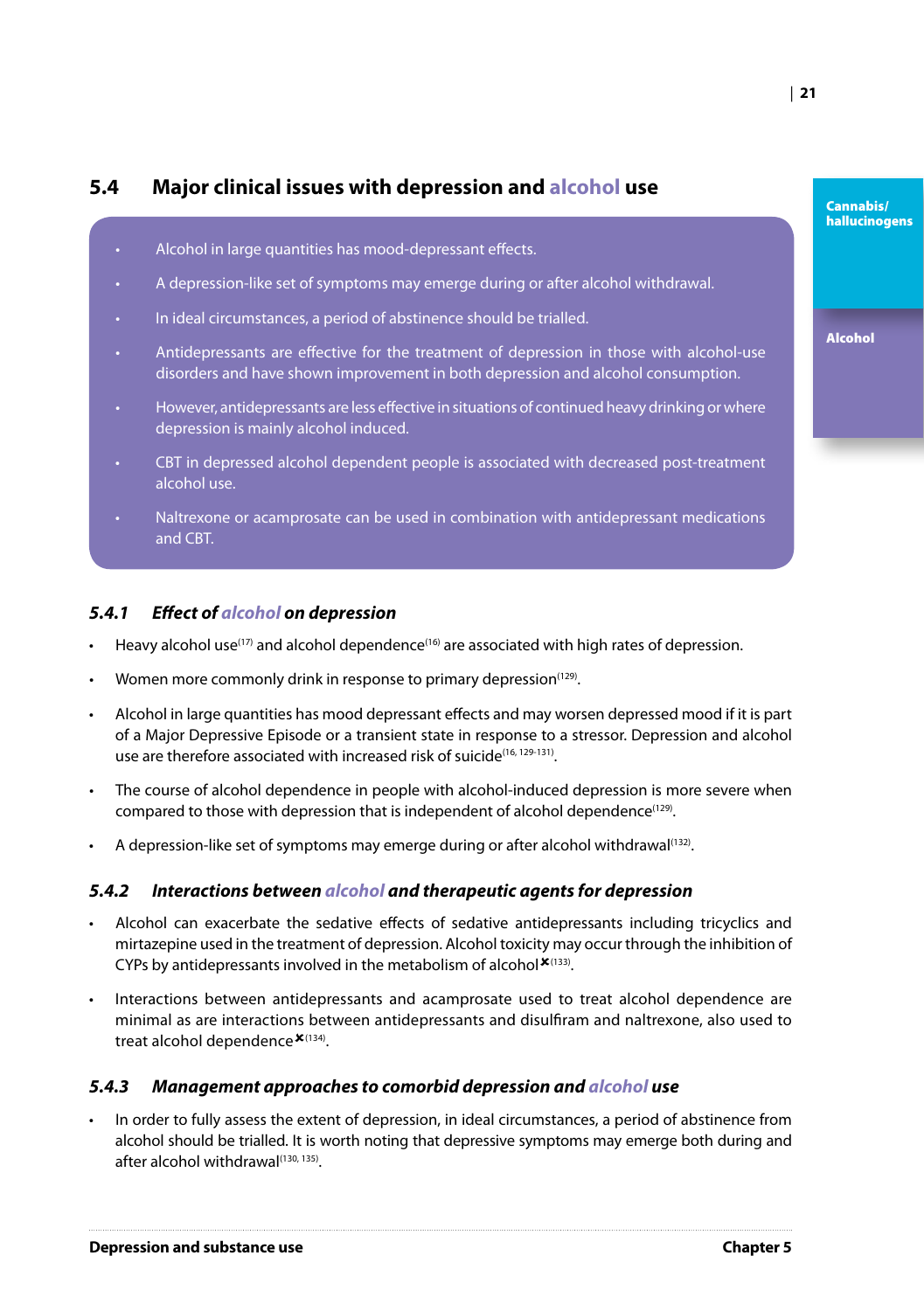# **5.4 Major clinical issues with depression and alcohol use**

- Alcohol in large quantities has mood-depressant effects.
- A depression-like set of symptoms may emerge during or after alcohol withdrawal.
- In ideal circumstances, a period of abstinence should be trialled.
- Antidepressants are effective for the treatment of depression in those with alcohol-use disorders and have shown improvement in both depression and alcohol consumption.
- However, antidepressants are less effective in situations of continued heavy drinking or where depression is mainly alcohol induced.
- CBT in depressed alcohol dependent people is associated with decreased post-treatment alcohol use.
- Naltrexone or acamprosate can be used in combination with antidepressant medications and CBT.

#### *5.4.1 Effect of alcohol on depression*

- Heavy alcohol use<sup>(17)</sup> and alcohol dependence<sup>(16)</sup> are associated with high rates of depression.
- Women more commonly drink in response to primary depression $(129)$ .
- Alcohol in large quantities has mood depressant effects and may worsen depressed mood if it is part of a Major Depressive Episode or a transient state in response to a stressor. Depression and alcohol use are therefore associated with increased risk of suicide<sup>(16, 129-131)</sup>.
- The course of alcohol dependence in people with alcohol-induced depression is more severe when compared to those with depression that is independent of alcohol dependence<sup>(129)</sup>.
- A depression-like set of symptoms may emerge during or after alcohol withdrawal(132).

#### *5.4.2 Interactions between alcohol and therapeutic agents for depression*

- Alcohol can exacerbate the sedative effects of sedative antidepressants including tricyclics and mirtazepine used in the treatment of depression. Alcohol toxicity may occur through the inhibition of CYPs by antidepressants involved in the metabolism of alcohol $\mathbf{x}$ <sup>(133)</sup>.
- Interactions between antidepressants and acamprosate used to treat alcohol dependence are minimal as are interactions between antidepressants and disulfiram and naltrexone, also used to treat alcohol dependence  $x$ <sup>(134)</sup>.

#### *5.4.3 Management approaches to comorbid depression and alcohol use*

In order to fully assess the extent of depression, in ideal circumstances, a period of abstinence from alcohol should be trialled. It is worth noting that depressive symptoms may emerge both during and after alcohol withdrawal<sup>(130, 135)</sup>.

| **21**

Alcohol

Cannabis/ hallucinogens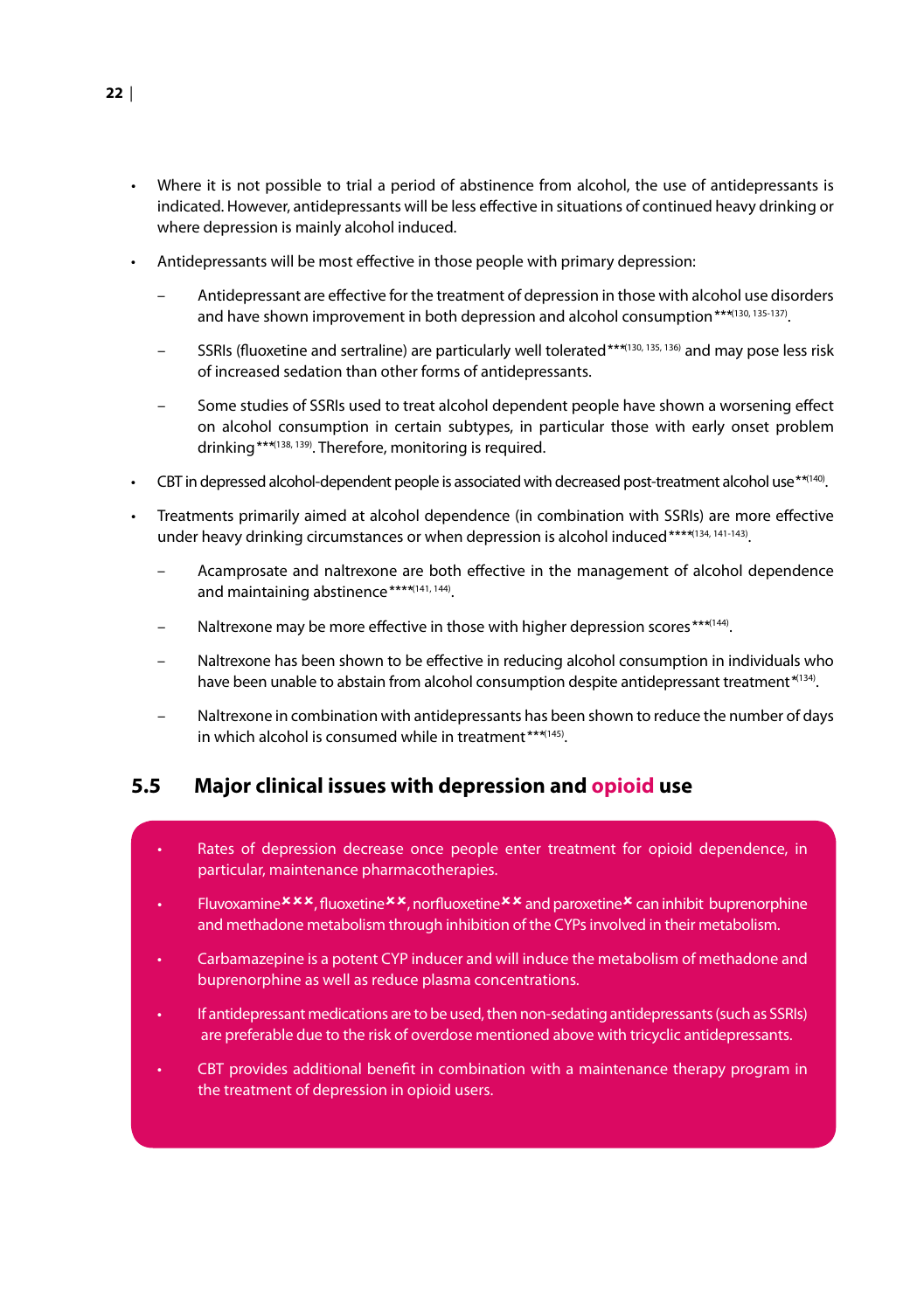- • Where it is not possible to trial a period of abstinence from alcohol, the use of antidepressants is indicated. However, antidepressants will be less effective in situations of continued heavy drinking or where depression is mainly alcohol induced.
- Antidepressants will be most effective in those people with primary depression:
	- Antidepressant are effective for the treatment of depression in those with alcohol use disorders and have shown improvement in both depression and alcohol consumption<sup>\*\*\*(130, 135-137)</sup>.
	- SSRIs (fluoxetine and sertraline) are particularly well tolerated*\*\*\**(130, 135, 136) and may pose less risk of increased sedation than other forms of antidepressants.
	- Some studies of SSRIs used to treat alcohol dependent people have shown a worsening effect on alcohol consumption in certain subtypes, in particular those with early onset problem drinking*\*\*\**(138, 139). Therefore, monitoring is required.
- CBT in depressed alcohol-dependent people is associated with decreased post-treatment alcohol use<sup>\*\*(140)</sup>.
- Treatments primarily aimed at alcohol dependence (in combination with SSRIs) are more effective under heavy drinking circumstances or when depression is alcohol induced*\*\*\*\**(134, 141-143).
	- Acamprosate and naltrexone are both effective in the management of alcohol dependence and maintaining abstinence*\*\*\*\**(141, 144).
	- Naltrexone may be more effective in those with higher depression scores*\*\*\**(144).
	- Naltrexone has been shown to be effective in reducing alcohol consumption in individuals who have been unable to abstain from alcohol consumption despite antidepressant treatment*\**(134).
	- Naltrexone in combination with antidepressants has been shown to reduce the number of days in which alcohol is consumed while in treatment*\*\*\**(145).

# **5.5 Major clinical issues with depression and opioid use**

- Rates of depression decrease once people enter treatment for opioid dependence, in particular, maintenance pharmacotherapies.
- Fluvoxamine  $\star \star \star$ , fluoxetine  $\star \star$ , norfluoxetine  $\star \star$  and paroxetine  $\star$  can inhibit buprenorphine and methadone metabolism through inhibition of the CYPs involved in their metabolism.
- Carbamazepine is a potent CYP inducer and will induce the metabolism of methadone and buprenorphine as well as reduce plasma concentrations.
- If antidepressant medications are to be used, then non-sedating antidepressants (such as SSRIs) are preferable due to the risk of overdose mentioned above with tricyclic antidepressants.
- CBT provides additional benefit in combination with a maintenance therapy program in the treatment of depression in opioid users.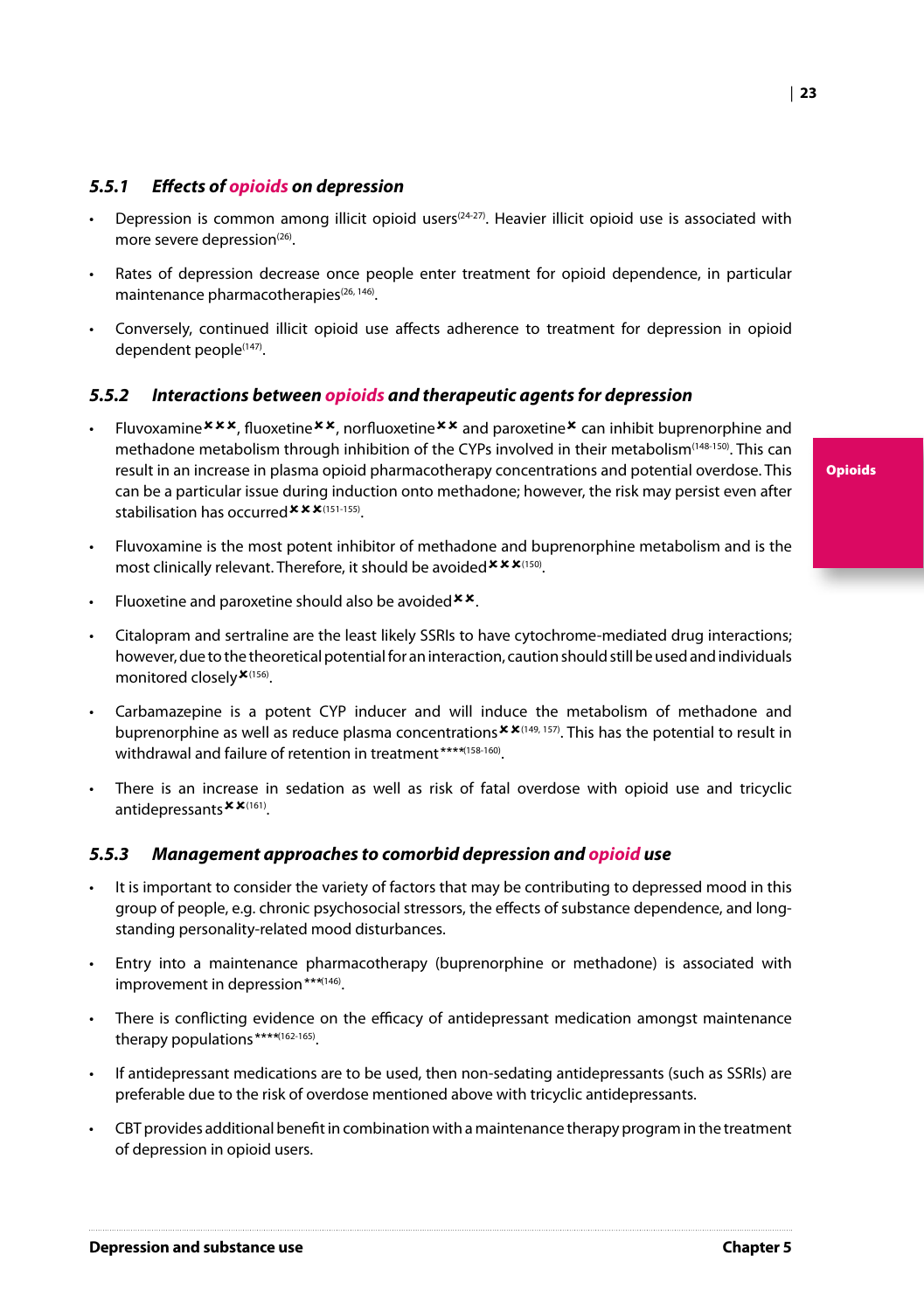#### *5.5.1 Effects of opioids on depression*

- Depression is common among illicit opioid users<sup>(24-27)</sup>. Heavier illicit opioid use is associated with more severe depression $(26)$ .
- • Rates of depression decrease once people enter treatment for opioid dependence, in particular maintenance pharmacotherapies<sup>(26, 146)</sup>.
- Conversely, continued illicit opioid use affects adherence to treatment for depression in opioid dependent people<sup>(147)</sup>.

#### *5.5.2 Interactions between opioids and therapeutic agents for depression*

- Fluvoxamine  $\star \star \star$ , fluoxetine  $\star \star$ , norfluoxetine  $\star \star$  and paroxetine  $\star$  can inhibit buprenorphine and methadone metabolism through inhibition of the CYPs involved in their metabolism<sup>(148-150)</sup>. This can result in an increase in plasma opioid pharmacotherapy concentrations and potential overdose. This can be a particular issue during induction onto methadone; however, the risk may persist even after stabilisation has occurred  $x \times x$ <sup>(151-155)</sup>.
- • Fluvoxamine is the most potent inhibitor of methadone and buprenorphine metabolism and is the most clinically relevant. Therefore, it should be avoided **x x x**(150).
- Fluoxetine and paroxetine should also be avoided $x$ .
- Citalopram and sertraline are the least likely SSRIs to have cytochrome-mediated drug interactions; however, due to the theoretical potential for an interaction, caution should still be used and individuals monitored closely $x$ <sup>(156)</sup>.
- Carbamazepine is a potent CYP inducer and will induce the metabolism of methadone and buprenorphine as well as reduce plasma concentrations $\mathbf{X} \mathbf{X}^{(149, 157)}$ . This has the potential to result in withdrawal and failure of retention in treatment<sup>\*\*\*\*</sup><sup>(158-160)</sup>.
- There is an increase in sedation as well as risk of fatal overdose with opioid use and tricyclic antidepressants  $x x$ <sup>(161)</sup>.

#### *5.5.3 Management approaches to comorbid depression and opioid use*

- It is important to consider the variety of factors that may be contributing to depressed mood in this group of people, e.g. chronic psychosocial stressors, the effects of substance dependence, and longstanding personality-related mood disturbances.
- • Entry into a maintenance pharmacotherapy (buprenorphine or methadone) is associated with improvement in depression<sup>\*\*\*(146)</sup>.
- There is conflicting evidence on the efficacy of antidepressant medication amongst maintenance therapy populations*\*\*\*\**(162-165).
- • If antidepressant medications are to be used, then non-sedating antidepressants (such as SSRIs) are preferable due to the risk of overdose mentioned above with tricyclic antidepressants.
- • CBT provides additional benefitin combinationwith a maintenance therapy program in the treatment of depression in opioid users.

**Opioids**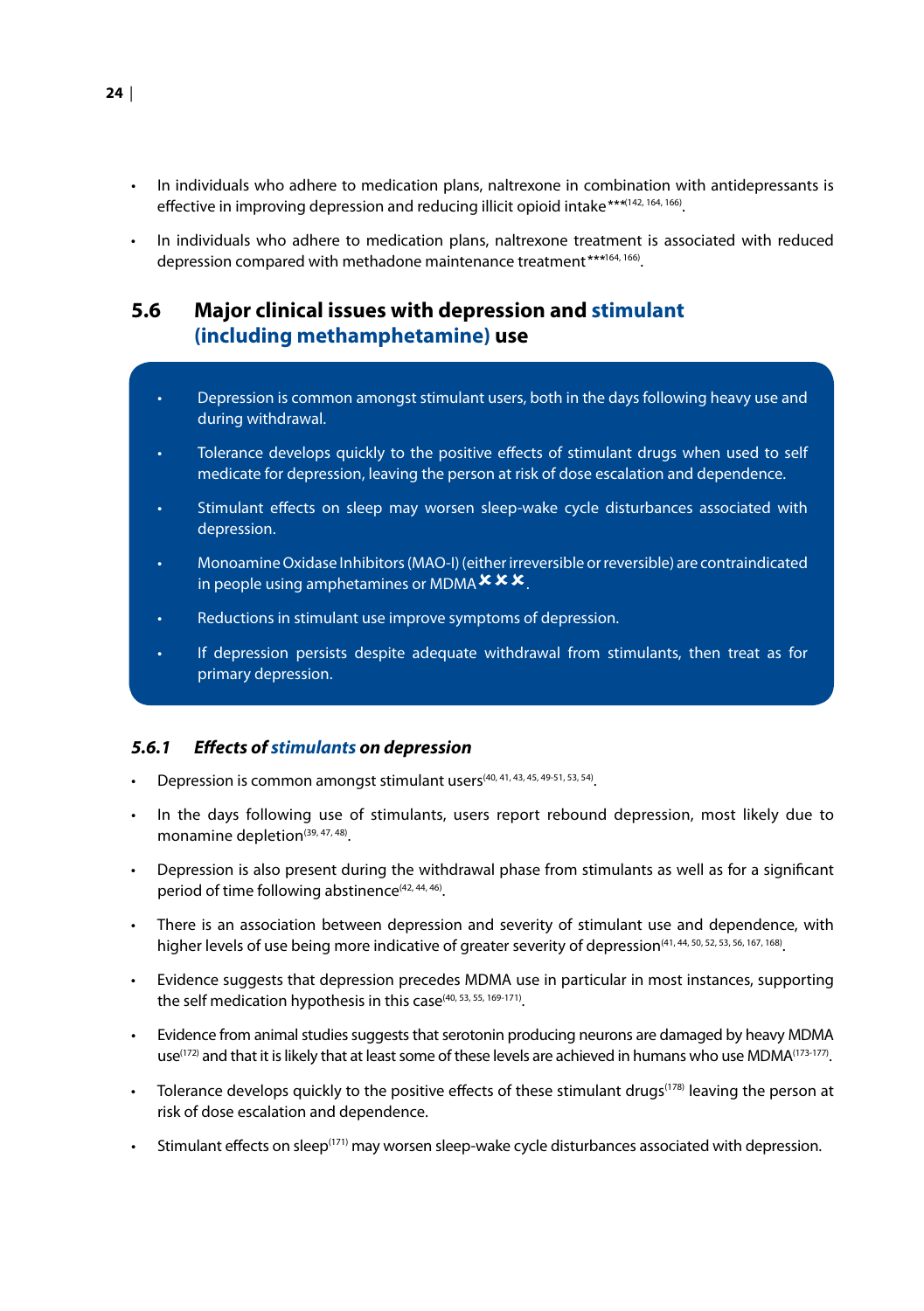- In individuals who adhere to medication plans, naltrexone in combination with antidepressants is effective in improving depression and reducing illicit opioid intake*\*\*\**(142, 164, 166).
- In individuals who adhere to medication plans, naltrexone treatment is associated with reduced depression compared with methadone maintenance treatment*\*\*\**164, 166).

### **5.6 Major clinical issues with depression and stimulant (including methamphetamine) use**

- Depression is common amongst stimulant users, both in the days following heavy use and during withdrawal.
- Tolerance develops quickly to the positive effects of stimulant drugs when used to self medicate for depression, leaving the person at risk of dose escalation and dependence.
- Stimulant effects on sleep may worsen sleep-wake cycle disturbances associated with depression.
- Monoamine Oxidase Inhibitors (MAO-I) (either irreversible or reversible) are contraindicated in people using amphetamines or MDMA  $\star \star$ .
- Reductions in stimulant use improve symptoms of depression.
- If depression persists despite adequate withdrawal from stimulants, then treat as for primary depression.

#### *5.6.1 Effects of stimulants on depression*

- Depression is common amongst stimulant users<sup>(40, 41, 43, 45, 49-51, 53, 54)</sup>.
- In the days following use of stimulants, users report rebound depression, most likely due to monamine depletion<sup>(39, 47, 48)</sup>.
- Depression is also present during the withdrawal phase from stimulants as well as for a significant period of time following abstinence<sup>(42, 44, 46)</sup>.
- There is an association between depression and severity of stimulant use and dependence, with higher levels of use being more indicative of greater severity of depression<sup>(41, 44, 50, 52, 53, 56, 167, 168)</sup>.
- • Evidence suggests that depression precedes MDMA use in particular in most instances, supporting the self medication hypothesis in this case<sup>(40, 53, 55, 169-171)</sup>.
- Evidence from animal studies suggests that serotonin producing neurons are damaged by heavy MDMA use<sup>(172)</sup> and that it is likely that at least some of these levels are achieved in humans who use MDMA<sup>(173-177)</sup>.
- Tolerance develops quickly to the positive effects of these stimulant drugs<sup>(178)</sup> leaving the person at risk of dose escalation and dependence.
- $\cdot$  Stimulant effects on sleep<sup>(171)</sup> may worsen sleep-wake cycle disturbances associated with depression.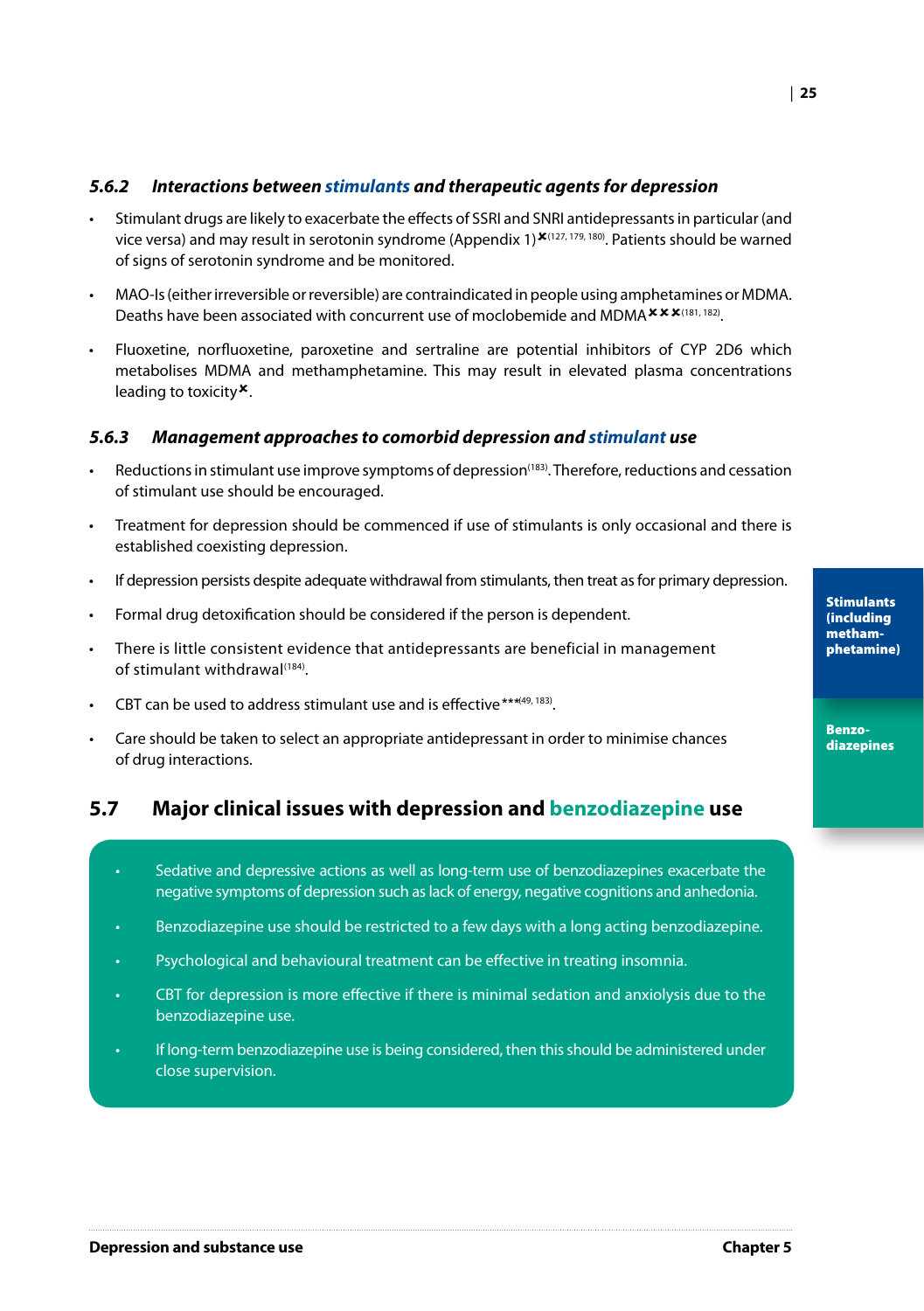## *5.6.2 Interactions between stimulants and therapeutic agents for depression*

- • Stimulant drugs are likely to exacerbate the effects of SSRI and SNRI antidepressantsin particular (and vice versa) and may result in serotonin syndrome (Appendix 1) $\mathbf{x}$ <sup>(127, 179, 180</sup>). Patients should be warned of signs of serotonin syndrome and be monitored.
- MAO-Is (either irreversible or reversible) are contraindicated in people using amphetamines or MDMA. Deaths have been associated with concurrent use of moclobemide and MDMA $\star\star\star$ (181, 182).
- Fluoxetine, norfluoxetine, paroxetine and sertraline are potential inhibitors of CYP 2D6 which metabolises MDMA and methamphetamine. This may result in elevated plasma concentrations leading to toxicity $x$ .

### *5.6.3 Management approaches to comorbid depression and stimulant use*

- Reductions in stimulant use improve symptoms of depression<sup>(183)</sup>. Therefore, reductions and cessation of stimulant use should be encouraged.
- • Treatment for depression should be commenced if use of stimulants is only occasional and there is established coexisting depression.
- If depression persists despite adequate withdrawal from stimulants, then treat as for primary depression.
- Formal drug detoxification should be considered if the person is dependent.
- There is little consistent evidence that antidepressants are beneficial in management of stimulant withdrawal(184).
- CBT can be used to address stimulant use and is effective<sup>\*\*\*(49, 183)</sup>.
- Care should be taken to select an appropriate antidepressant in order to minimise chances of drug interactions.

## **5.7 Major clinical issues with depression and benzodiazepine use**

- Sedative and depressive actions as well as long-term use of benzodiazepines exacerbate the negative symptoms of depression such as lack of energy, negative cognitions and anhedonia.
- Benzodiazepine use should be restricted to a few days with a long acting benzodiazepine.
- • Psychological and behavioural treatment can be effective in treating insomnia.
- • CBT for depression is more effective if there is minimal sedation and anxiolysis due to the benzodiazepine use.
- If long-term benzodiazepine use is being considered, then this should be administered under close supervision.

**Stimulants** (including methamphetamine)

Benzodiazepines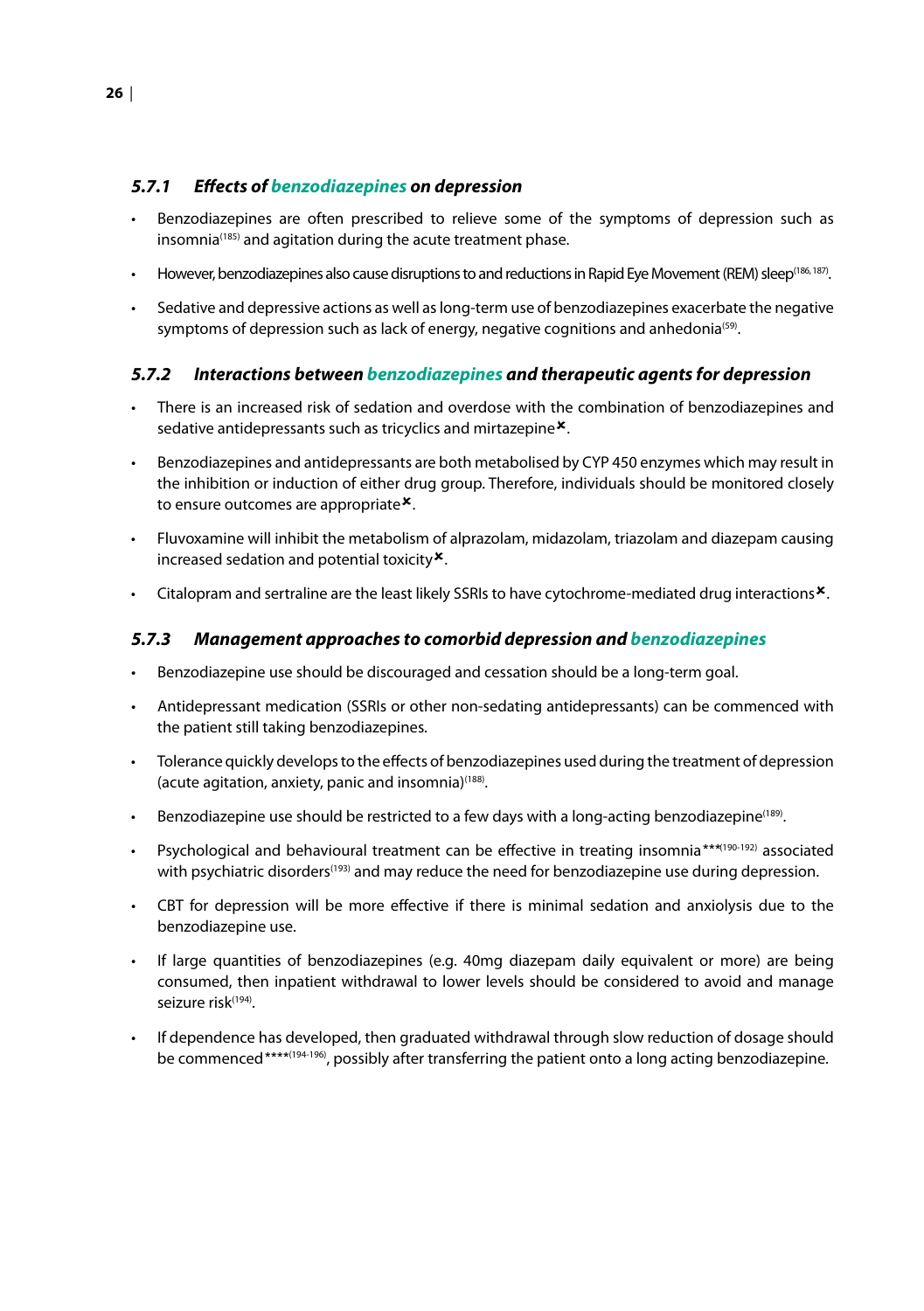## *5.7.1 Effects of benzodiazepines on depression*

- Benzodiazepines are often prescribed to relieve some of the symptoms of depression such as insomnia<sup>(185)</sup> and agitation during the acute treatment phase.
- However, benzodiazepines also cause disruptions to and reductions in Rapid Eye Movement (REM) sleep<sup>(186, 187)</sup>.
- • Sedative and depressive actions as well aslong-term use of benzodiazepines exacerbate the negative symptoms of depression such as lack of energy, negative cognitions and anhedonia<sup>(59)</sup>.

## *5.7.2 Interactions between benzodiazepines and therapeutic agents for depression*

- There is an increased risk of sedation and overdose with the combination of benzodiazepines and sedative antidepressants such as tricyclics and mirtazepine $x$ .
- Benzodiazepines and antidepressants are both metabolised by CYP 450 enzymes which may result in the inhibition or induction of either drug group. Therefore, individuals should be monitored closely to ensure outcomes are appropriate $x$ .
- Fluvoxamine will inhibit the metabolism of alprazolam, midazolam, triazolam and diazepam causing increased sedation and potential toxicity $x$ .
- Citalopram and sertraline are the least likely SSRIs to have cytochrome-mediated drug interactions $\mathbf{x}$ .

### *5.7.3 Management approaches to comorbid depression and benzodiazepines*

- Benzodiazepine use should be discouraged and cessation should be a long-term goal.
- Antidepressant medication (SSRIs or other non-sedating antidepressants) can be commenced with the patient still taking benzodiazepines.
- • Tolerance quickly developsto the effects of benzodiazepines used during the treatment of depression (acute agitation, anxiety, panic and insomnia) $(188)$ .
- Benzodiazepine use should be restricted to a few days with a long-acting benzodiazepine<sup>(189)</sup>.
- Psychological and behavioural treatment can be effective in treating insomnia<sup>\*\*\*(190-192)</sup> associated with psychiatric disorders<sup>(193)</sup> and may reduce the need for benzodiazepine use during depression.
- CBT for depression will be more effective if there is minimal sedation and anxiolysis due to the benzodiazepine use.
- If large quantities of benzodiazepines (e.g. 40mg diazepam daily equivalent or more) are being consumed, then inpatient withdrawal to lower levels should be considered to avoid and manage seizure risk(194).
- If dependence has developed, then graduated withdrawal through slow reduction of dosage should be commenced*\*\*\*\**(194-196), possibly after transferring the patient onto a long acting benzodiazepine.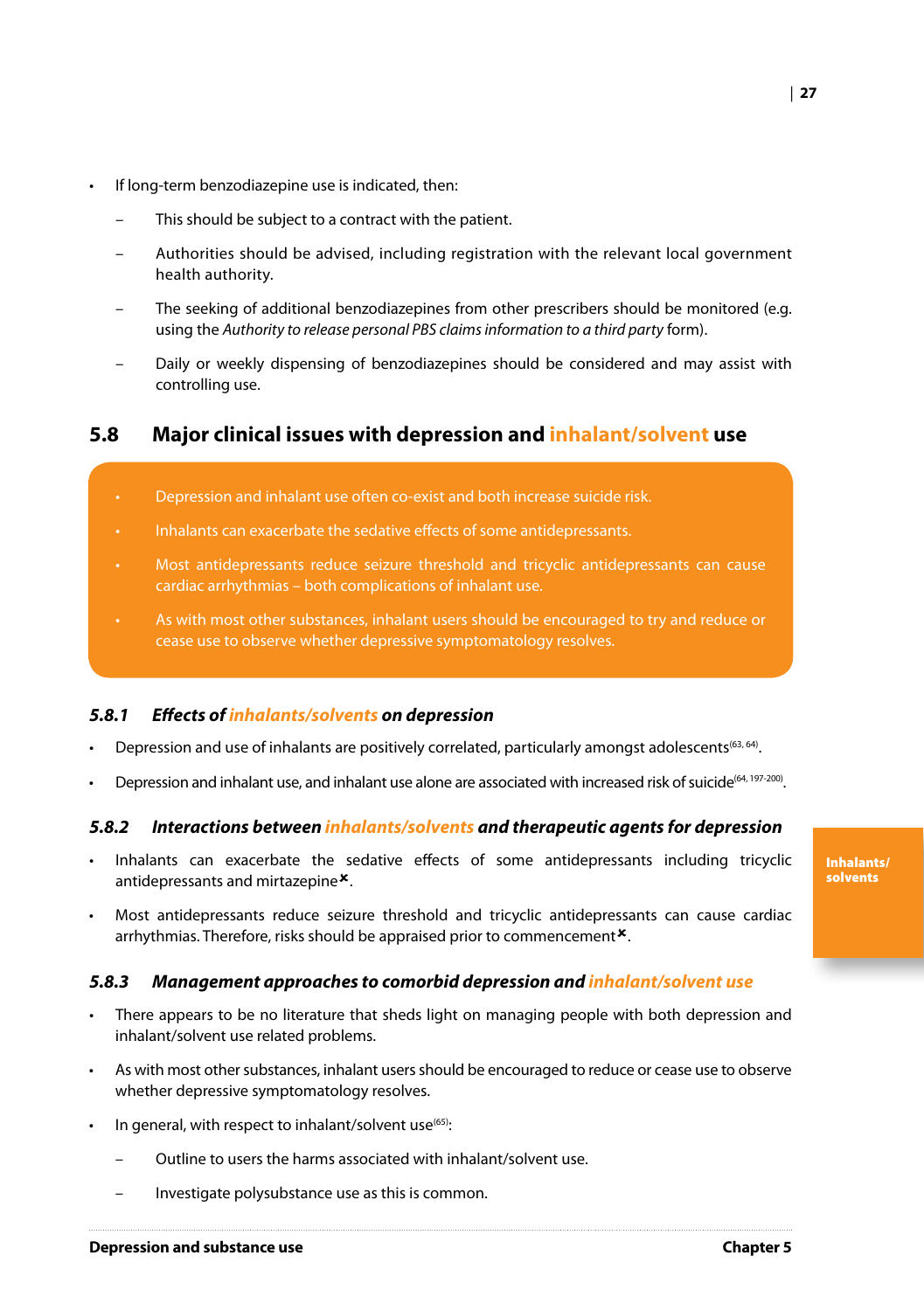- If long-term benzodiazepine use is indicated, then:
	- This should be subject to a contract with the patient.
	- Authorities should be advised, including registration with the relevant local government health authority.
	- The seeking of additional benzodiazepines from other prescribers should be monitored (e.g. using the *Authority to release personal PBS claims information to a third party* form).
	- Daily or weekly dispensing of benzodiazepines should be considered and may assist with controlling use.

## **5.8 Major clinical issues with depression and inhalant/solvent use**

- Depression and inhalant use often co-exist and both increase suicide risk.
- Inhalants can exacerbate the sedative effects of some antidepressants.
- Most antidepressants reduce seizure threshold and tricyclic antidepressants can cause cardiac arrhythmias – both complications of inhalant use.
- As with most other substances, inhalant users should be encouraged to try and reduce or cease use to observe whether depressive symptomatology resolves.

#### *5.8.1 Effects of inhalants/solvents on depression*

- Depression and use of inhalants are positively correlated, particularly amongst adolescents<sup>(63, 64)</sup>.
- Depression and inhalant use, and inhalant use alone are associated with increased risk of suicide<sup>(64, 197-200</sup>.

#### *5.8.2 Interactions between inhalants/solvents and therapeutic agents for depression*

- Inhalants can exacerbate the sedative effects of some antidepressants including tricyclic antidepressants and mirtazepine $x$ .
- Most antidepressants reduce seizure threshold and tricyclic antidepressants can cause cardiac arrhythmias. Therefore, risks should be appraised prior to commencement $x$ .

#### *5.8.3 Management approaches to comorbid depression and inhalant/solvent use*

- There appears to be no literature that sheds light on managing people with both depression and inhalant/solvent use related problems.
- As with most other substances, inhalant users should be encouraged to reduce or cease use to observe whether depressive symptomatology resolves.
- In general, with respect to inhalant/solvent use $(65)$ :
	- Outline to users the harms associated with inhalant/solvent use.
	- Investigate polysubstance use as this is common.

Inhalants/ solvents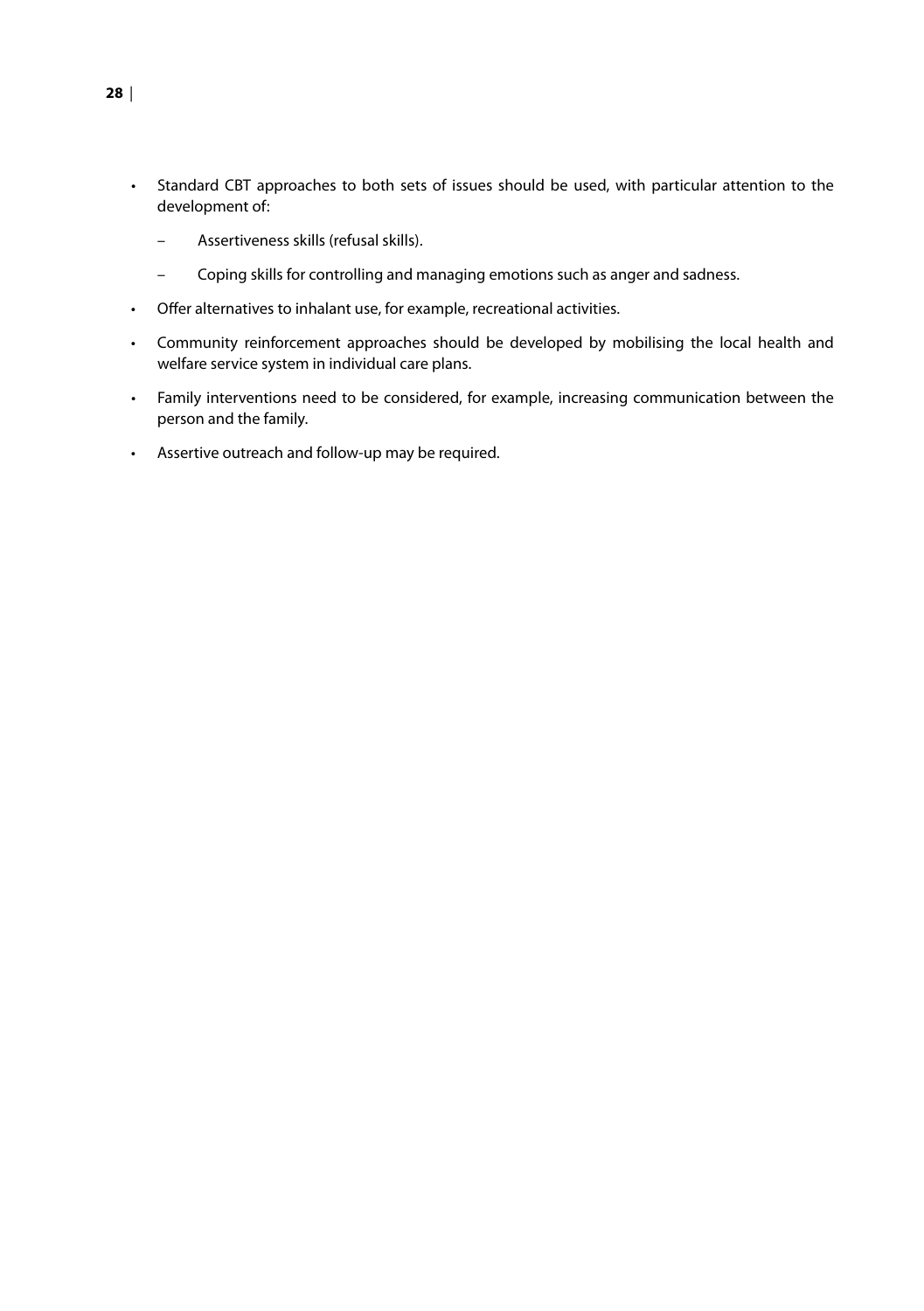- • Standard CBT approaches to both sets of issues should be used, with particular attention to the development of:
	- Assertiveness skills (refusal skills).
	- Coping skills for controlling and managing emotions such as anger and sadness.
- • Offer alternatives to inhalant use, for example, recreational activities.
- • Community reinforcement approaches should be developed by mobilising the local health and welfare service system in individual care plans.
- • Family interventions need to be considered, for example, increasing communication between the person and the family.
- • Assertive outreach and follow-up may be required.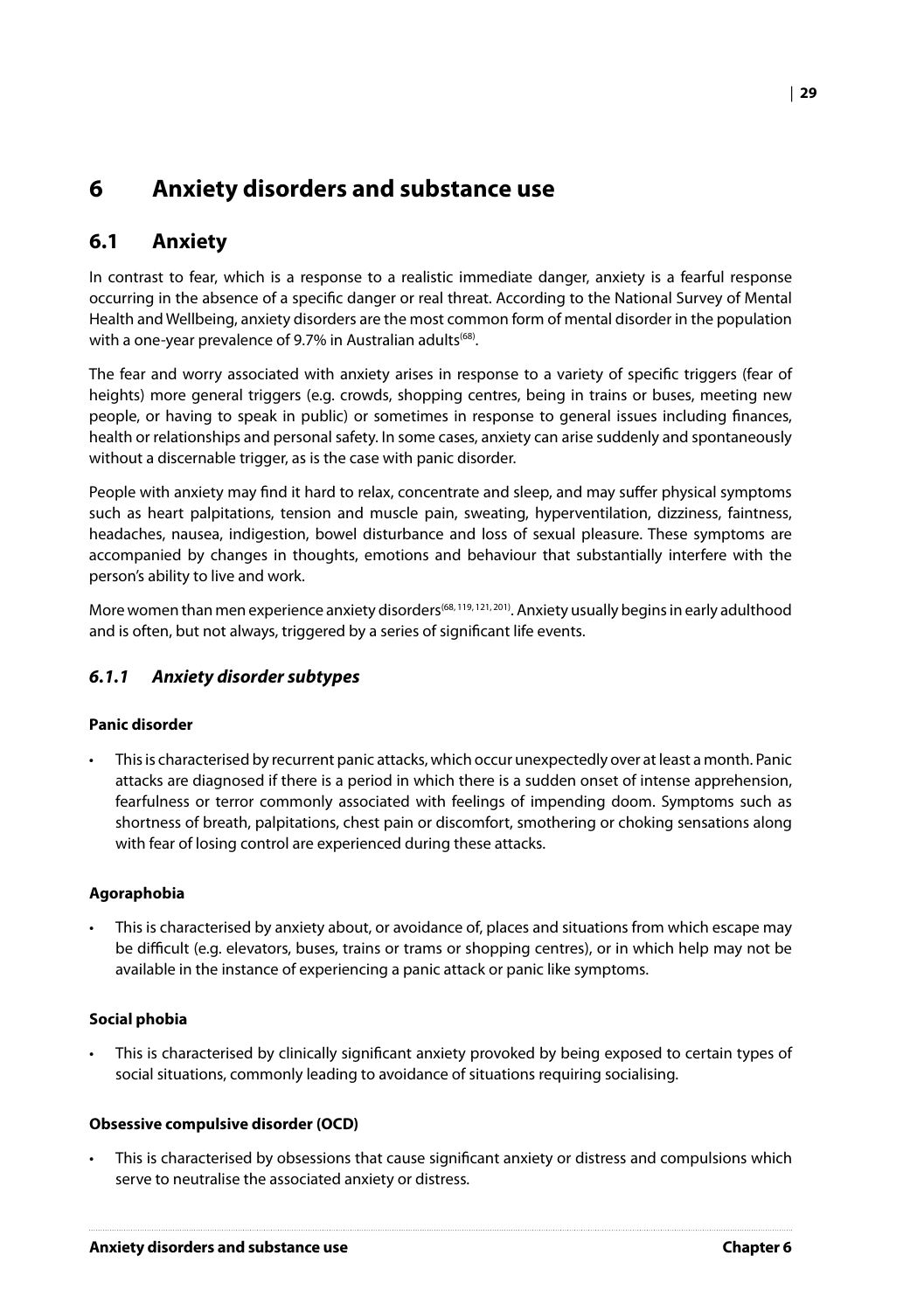# **6 Anxiety disorders and substance use**

## **6.1 Anxiety**

In contrast to fear, which is a response to a realistic immediate danger, anxiety is a fearful response occurring in the absence of a specific danger or real threat. According to the National Survey of Mental Health and Wellbeing, anxiety disorders are the most common form of mental disorder in the population with a one-year prevalence of 9.7% in Australian adults<sup>(68)</sup>.

The fear and worry associated with anxiety arises in response to a variety of specific triggers (fear of heights) more general triggers (e.g. crowds, shopping centres, being in trains or buses, meeting new people, or having to speak in public) or sometimes in response to general issues including finances, health or relationships and personal safety. In some cases, anxiety can arise suddenly and spontaneously without a discernable trigger, as is the case with panic disorder.

People with anxiety may find it hard to relax, concentrate and sleep, and may suffer physical symptoms such as heart palpitations, tension and muscle pain, sweating, hyperventilation, dizziness, faintness, headaches, nausea, indigestion, bowel disturbance and loss of sexual pleasure. These symptoms are accompanied by changes in thoughts, emotions and behaviour that substantially interfere with the person's ability to live and work.

More women than men experience anxiety disorders<sup>(68, 119, 121, 201)</sup>. Anxiety usually begins in early adulthood and is often, but not always, triggered by a series of significant life events.

## *6.1.1 Anxiety disorder subtypes*

## **Panic disorder**

This is characterised by recurrent panic attacks, which occur unexpectedly over at least a month. Panic attacks are diagnosed if there is a period in which there is a sudden onset of intense apprehension, fearfulness or terror commonly associated with feelings of impending doom. Symptoms such as shortness of breath, palpitations, chest pain or discomfort, smothering or choking sensations along with fear of losing control are experienced during these attacks.

#### **Agoraphobia**

This is characterised by anxiety about, or avoidance of, places and situations from which escape may be difficult (e.g. elevators, buses, trains or trams or shopping centres), or in which help may not be available in the instance of experiencing a panic attack or panic like symptoms.

#### **Social phobia**

This is characterised by clinically significant anxiety provoked by being exposed to certain types of social situations, commonly leading to avoidance of situations requiring socialising.

#### **Obsessive compulsive disorder (OCD)**

This is characterised by obsessions that cause significant anxiety or distress and compulsions which serve to neutralise the associated anxiety or distress.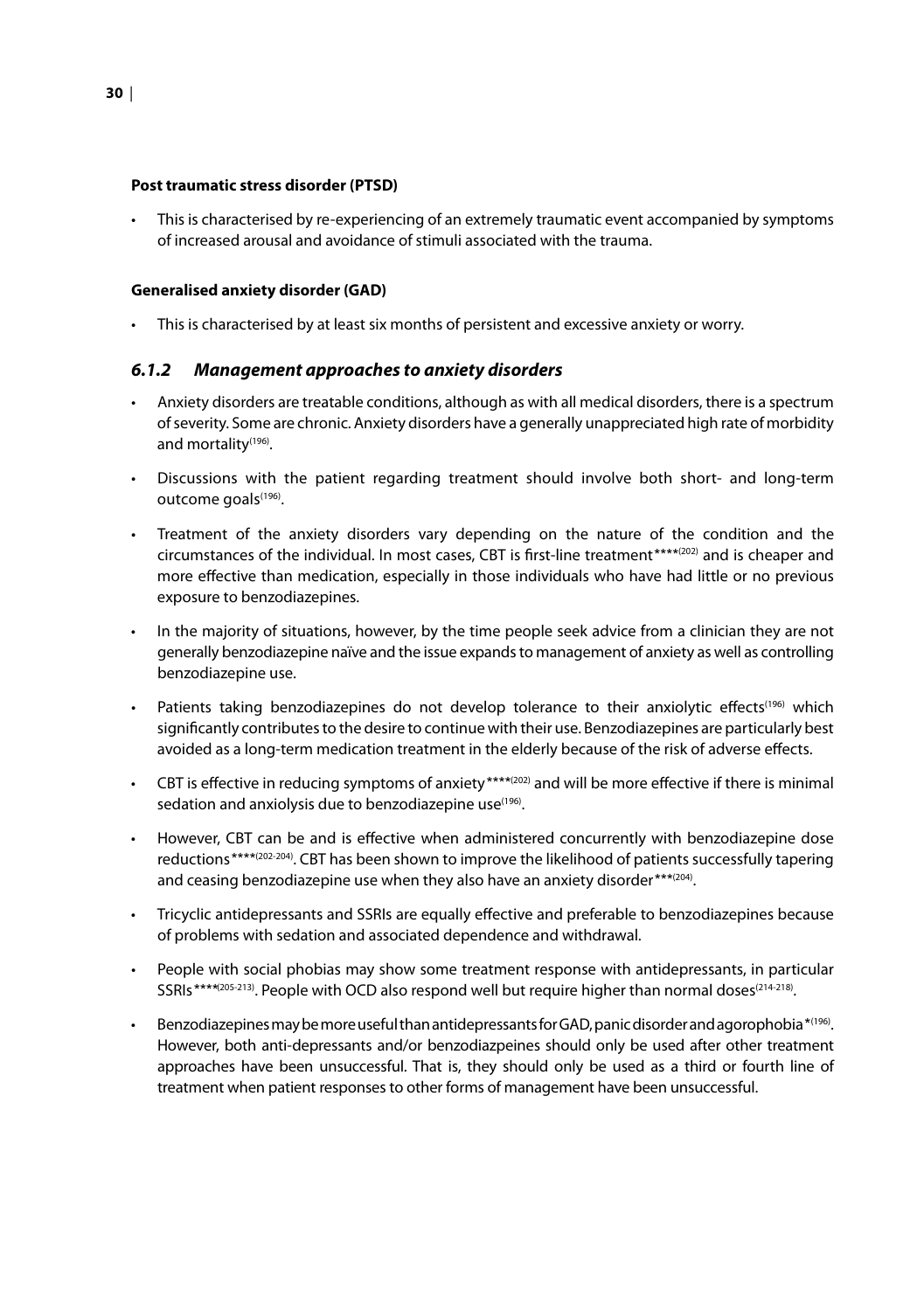#### **Post traumatic stress disorder (PTSD)**

This is characterised by re-experiencing of an extremely traumatic event accompanied by symptoms of increased arousal and avoidance of stimuli associated with the trauma.

#### **Generalised anxiety disorder (GAD)**

This is characterised by at least six months of persistent and excessive anxiety or worry.

#### *6.1.2 Management approaches to anxiety disorders*

- Anxiety disorders are treatable conditions, although as with all medical disorders, there is a spectrum of severity. Some are chronic. Anxiety disorders have a generally unappreciated high rate of morbidity and mortality<sup>(196)</sup>.
- Discussions with the patient regarding treatment should involve both short- and long-term outcome goals<sup>(196)</sup>.
- • Treatment of the anxiety disorders vary depending on the nature of the condition and the circumstances of the individual. In most cases, CBT is first-line treatment*\*\*\*\**(202) and is cheaper and more effective than medication, especially in those individuals who have had little or no previous exposure to benzodiazepines.
- In the majority of situations, however, by the time people seek advice from a clinician they are not generally benzodiazepine naïve and the issue expands to management of anxiety as well as controlling benzodiazepine use.
- Patients taking benzodiazepines do not develop tolerance to their anxiolytic effects<sup>(196)</sup> which significantly contributes to the desire to continue with their use. Benzodiazepines are particularly best avoided as a long-term medication treatment in the elderly because of the risk of adverse effects.
- CBT is effective in reducing symptoms of anxiety<sup>\*\*\*\*(202)</sup> and will be more effective if there is minimal sedation and anxiolysis due to benzodiazepine use<sup>(196)</sup>.
- However, CBT can be and is effective when administered concurrently with benzodiazepine dose reductions*\*\*\*\**(202-204). CBT has been shown to improve the likelihood of patients successfully tapering and ceasing benzodiazepine use when they also have an anxiety disorder<sup>\*\*\*(204)</sup>.
- Tricyclic antidepressants and SSRIs are equally effective and preferable to benzodiazepines because of problems with sedation and associated dependence and withdrawal.
- People with social phobias may show some treatment response with antidepressants, in particular SSRIs<sup>\*\*\*\*(205-213)</sup>. People with OCD also respond well but require higher than normal doses<sup>(214-218)</sup>.
- Benzodiazepines may be more useful than antidepressants for GAD, panic disorder and agorophobia<sup>\*(196)</sup>. However, both anti-depressants and/or benzodiazpeines should only be used after other treatment approaches have been unsuccessful. That is, they should only be used as a third or fourth line of treatment when patient responses to other forms of management have been unsuccessful.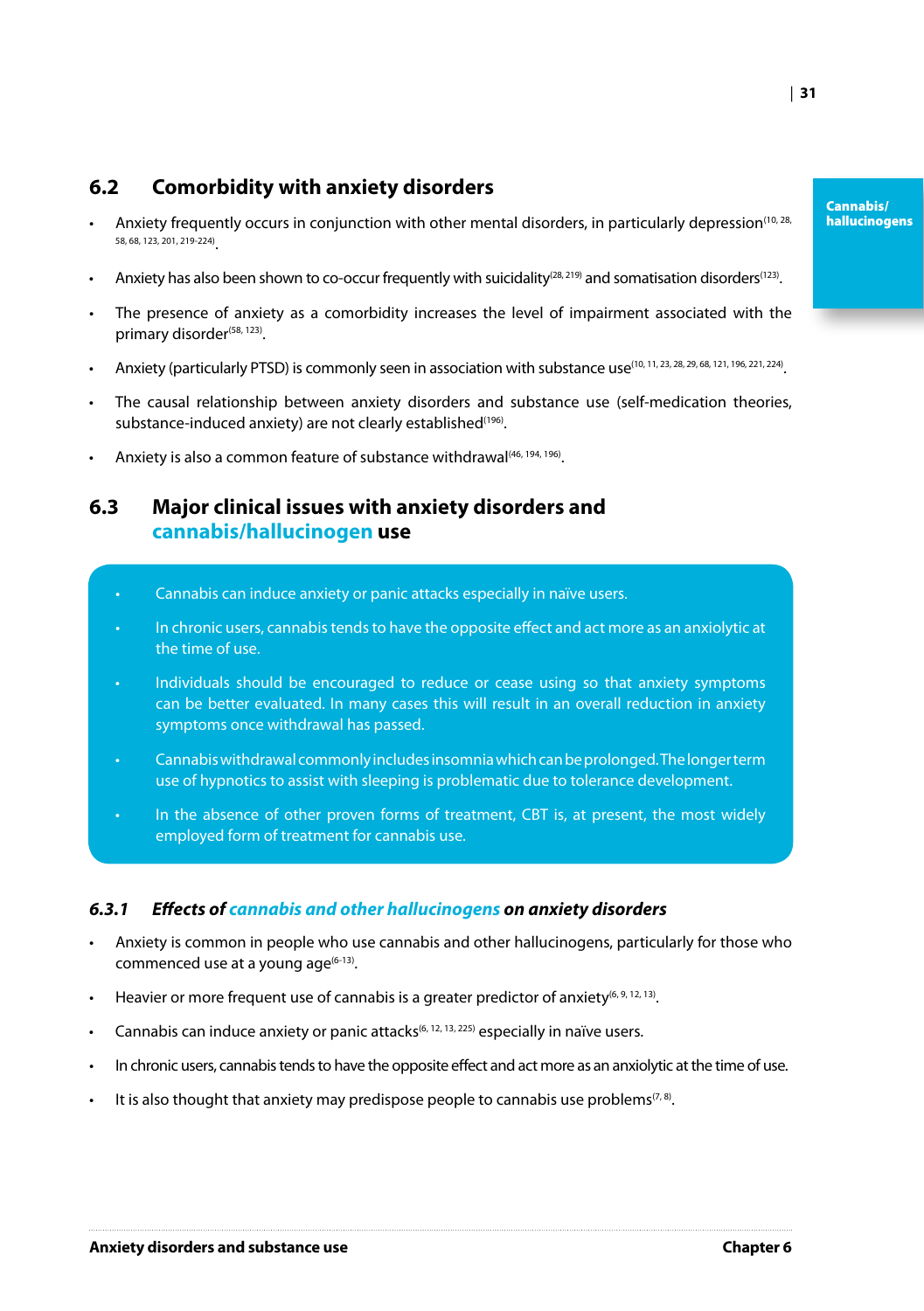## **6.2 Comorbidity with anxiety disorders**

- Anxiety frequently occurs in conjunction with other mental disorders, in particularly depression<sup>(10, 28,</sup> 58, 68, 123, 201, 219-224).
- Anxiety has also been shown to co-occur frequently with suicidality<sup>(28, 219)</sup> and somatisation disorders<sup>(123)</sup>.
- The presence of anxiety as a comorbidity increases the level of impairment associated with the primary disorder<sup>(58, 123)</sup>.
- Anxiety (particularly PTSD) is commonly seen in association with substance use<sup>(10, 11, 23, 28, 29, 68, 121, 196, 221, 224)</sup>.
- The causal relationship between anxiety disorders and substance use (self-medication theories, substance-induced anxiety) are not clearly established<sup>(196)</sup>.
- Anxiety is also a common feature of substance withdrawal<sup>(46, 194, 196)</sup>.

## **6.3 Major clinical issues with anxiety disorders and cannabis/hallucinogen use**

- Cannabis can induce anxiety or panic attacks especially in naïve users.
- In chronic users, cannabis tends to have the opposite effect and act more as an anxiolytic at the time of use.
- Individuals should be encouraged to reduce or cease using so that anxiety symptoms can be better evaluated. In many cases this will result in an overall reduction in anxiety symptoms once withdrawal has passed.
- Cannabis withdrawal commonly includes insomnia which can be prolonged. The longer term use of hypnotics to assist with sleeping is problematic due to tolerance development.
- In the absence of other proven forms of treatment, CBT is, at present, the most widely employed form of treatment for cannabis use.

## *6.3.1 Effects of cannabis and other hallucinogens on anxiety disorders*

- Anxiety is common in people who use cannabis and other hallucinogens, particularly for those who commenced use at a young age $(6-13)$ .
- Heavier or more frequent use of cannabis is a greater predictor of anxiety $^{(6, 9, 12, 13)}$ .
- Cannabis can induce anxiety or panic attacks<sup>(6, 12, 13, 225)</sup> especially in naïve users.
- In chronic users, cannabis tends to have the opposite effect and act more as an anxiolytic at the time of use.
- It is also thought that anxiety may predispose people to cannabis use problems<sup> $(7, 8)$ </sup>.

Cannabis/ hallucinogens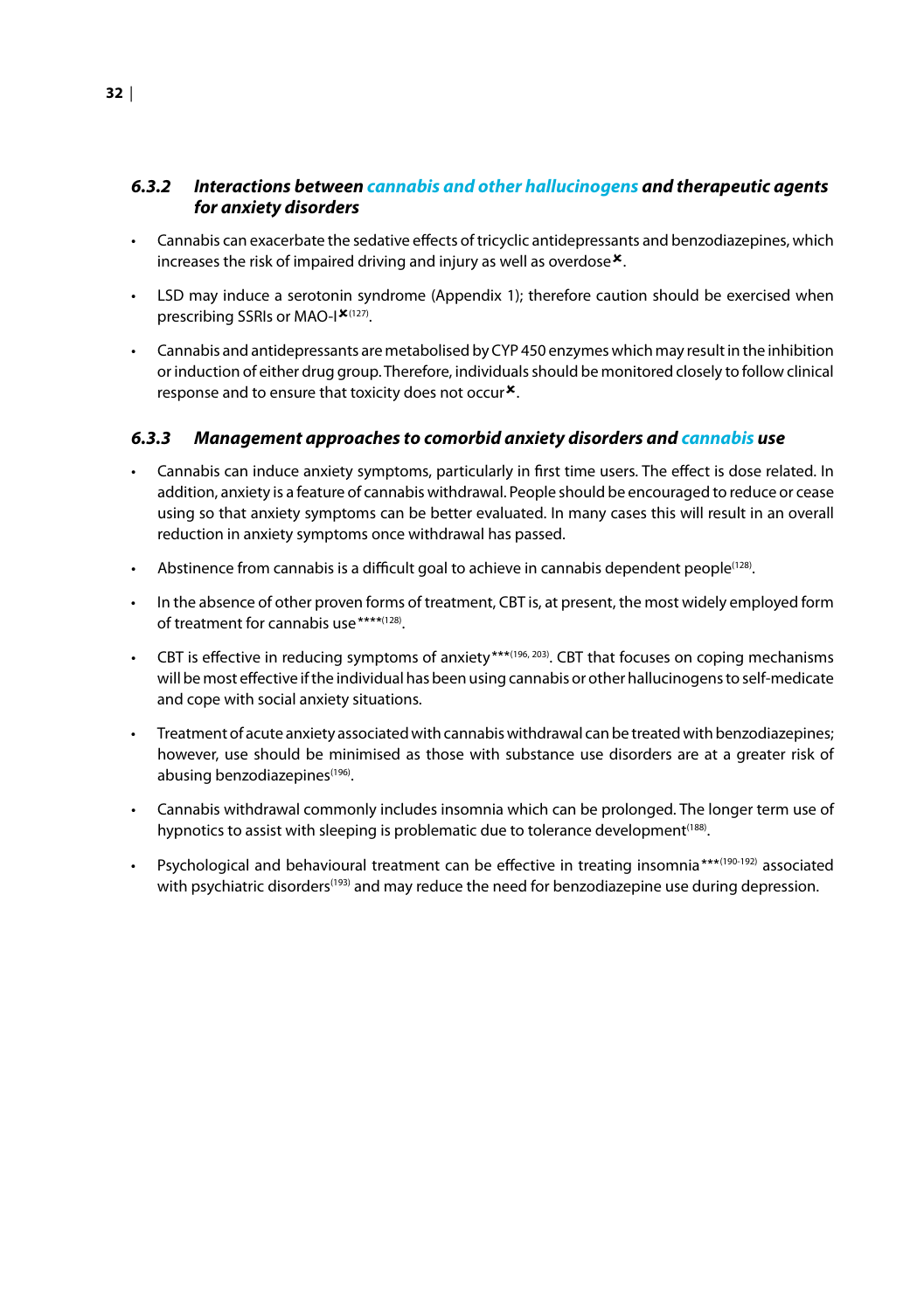## *6.3.2 Interactions between cannabis and other hallucinogens and therapeutic agents for anxiety disorders*

- Cannabis can exacerbate the sedative effects of tricyclic antidepressants and benzodiazepines, which increases the risk of impaired driving and injury as well as overdose $\mathbf{x}$ .
- LSD may induce a serotonin syndrome (Appendix 1); therefore caution should be exercised when prescribing SSRIs or MAO-I<sup>X(127)</sup>.
- Cannabis and antidepressants are metabolised by CYP 450 enzymes which may result in the inhibition or induction of either drug group. Therefore, individuals should be monitored closely to follow clinical response and to ensure that toxicity does not occur $x$ .

### *6.3.3 Management approaches to comorbid anxiety disorders and cannabis use*

- Cannabis can induce anxiety symptoms, particularly in first time users. The effect is dose related. In addition, anxiety is a feature of cannabis withdrawal. People should be encouraged to reduce or cease using so that anxiety symptoms can be better evaluated. In many cases this will result in an overall reduction in anxiety symptoms once withdrawal has passed.
- Abstinence from cannabis is a difficult goal to achieve in cannabis dependent people<sup> $(128)$ </sup>.
- In the absence of other proven forms of treatment, CBT is, at present, the most widely employed form of treatment for cannabis use*\*\*\*\**(128).
- • CBT is effective in reducing symptoms of anxiety*\*\*\**(196, 203). CBT that focuses on coping mechanisms will be most effective if the individual has been using cannabis or other hallucinogens to self-medicate and cope with social anxiety situations.
- Treatment of acute anxiety associated with cannabis withdrawal can be treated with benzodiazepines; however, use should be minimised as those with substance use disorders are at a greater risk of abusing benzodiazepines<sup>(196)</sup>.
- Cannabis withdrawal commonly includes insomnia which can be prolonged. The longer term use of hypnotics to assist with sleeping is problematic due to tolerance development<sup>(188)</sup>.
- Psychological and behavioural treatment can be effective in treating insomnia<sup>\*\*\*(190-192)</sup> associated with psychiatric disorders<sup>(193)</sup> and may reduce the need for benzodiazepine use during depression.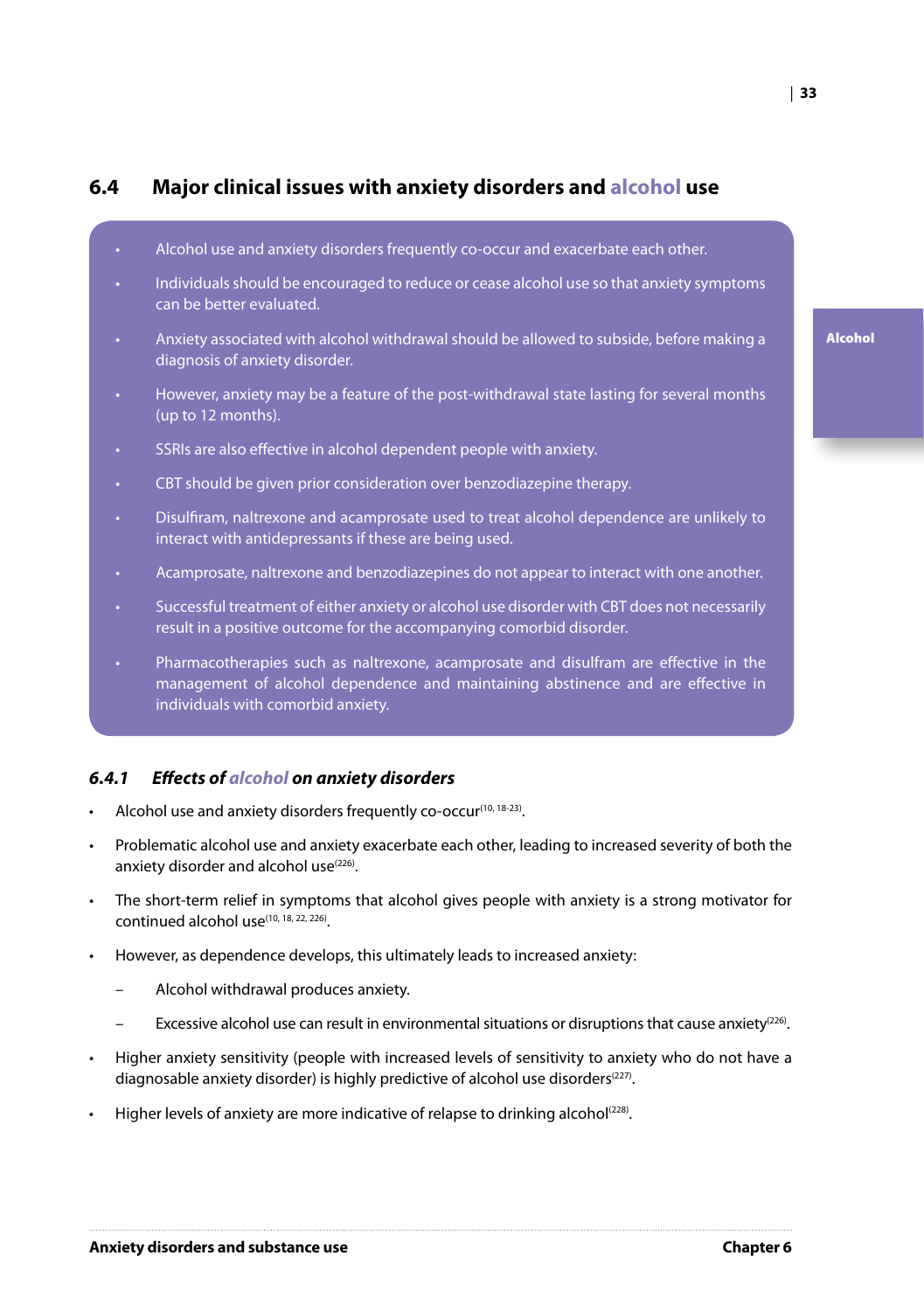## **6.4 Major clinical issues with anxiety disorders and alcohol use**

- Alcohol use and anxiety disorders frequently co-occur and exacerbate each other.
- Individuals should be encouraged to reduce or cease alcohol use so that anxiety symptoms can be better evaluated.
- Anxiety associated with alcohol withdrawal should be allowed to subside, before making a diagnosis of anxiety disorder.
- However, anxiety may be a feature of the post-withdrawal state lasting for several months (up to 12 months).
- SSRIs are also effective in alcohol dependent people with anxiety.
- CBT should be given prior consideration over benzodiazepine therapy.
- Disulfiram, naltrexone and acamprosate used to treat alcohol dependence are unlikely to interact with antidepressants if these are being used.
- Acamprosate, naltrexone and benzodiazepines do not appear to interact with one another.
- Successful treatment of either anxiety or alcohol use disorder with CBT does not necessarily result in a positive outcome for the accompanying comorbid disorder.
- Pharmacotherapies such as naltrexone, acamprosate and disulfram are effective in the management of alcohol dependence and maintaining abstinence and are effective in individuals with comorbid anxiety.

## *6.4.1 Effects of alcohol on anxiety disorders*

- Alcohol use and anxiety disorders frequently co-occur $(10, 18-23)$ .
- Problematic alcohol use and anxiety exacerbate each other, leading to increased severity of both the anxiety disorder and alcohol use $(226)$ .
- • The short-term relief in symptoms that alcohol gives people with anxiety is a strong motivator for continued alcohol use<sup>(10, 18, 22, 226)</sup>.
- • However, as dependence develops, this ultimately leads to increased anxiety:
	- Alcohol withdrawal produces anxiety.
	- Excessive alcohol use can result in environmental situations or disruptions that cause anxiety<sup>(226)</sup>.
- • Higher anxiety sensitivity (people with increased levels of sensitivity to anxiety who do not have a diagnosable anxiety disorder) is highly predictive of alcohol use disorders<sup>(227)</sup>.
- Higher levels of anxiety are more indicative of relapse to drinking alcohol<sup>(228)</sup>.

Alcohol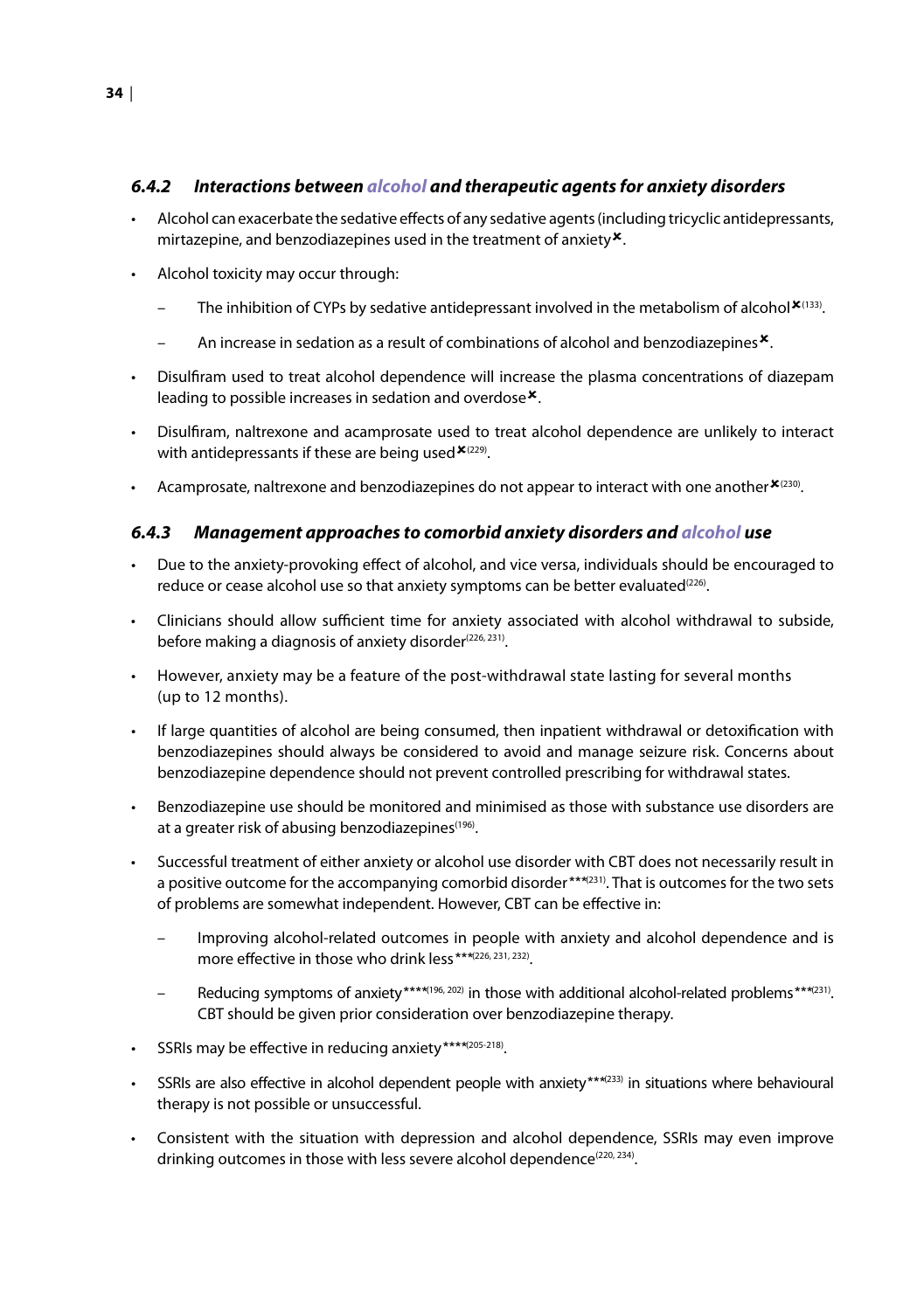## *6.4.2 Interactions between alcohol and therapeutic agents for anxiety disorders*

- Alcohol can exacerbate the sedative effects of any sedative agents (including tricyclic antidepressants, mirtazepine, and benzodiazepines used in the treatment of anxiety $x$ .
- • Alcohol toxicity may occur through:
	- The inhibition of CYPs by sedative antidepressant involved in the metabolism of alcohol $\mathbf{x}_{(133)}$ .
	- An increase in sedation as a result of combinations of alcohol and benzodiazepines $\mathbf{x}$ .
- Disulfiram used to treat alcohol dependence will increase the plasma concentrations of diazepam leading to possible increases in sedation and overdose $x$ .
- Disulfiram, naltrexone and acamprosate used to treat alcohol dependence are unlikely to interact with antidepressants if these are being used  $x_{(229)}$ .
- Acamprosate, naltrexone and benzodiazepines do not appear to interact with one another  $\mathbf{x}_{(230)}$ .

## *6.4.3 Management approaches to comorbid anxiety disorders and alcohol use*

- Due to the anxiety-provoking effect of alcohol, and vice versa, individuals should be encouraged to reduce or cease alcohol use so that anxiety symptoms can be better evaluated<sup>(226)</sup>.
- • Clinicians should allow sufficient time for anxiety associated with alcohol withdrawal to subside, before making a diagnosis of anxiety disorder<sup>(226, 231)</sup>.
- However, anxiety may be a feature of the post-withdrawal state lasting for several months (up to 12 months).
- If large quantities of alcohol are being consumed, then inpatient withdrawal or detoxification with benzodiazepines should always be considered to avoid and manage seizure risk. Concerns about benzodiazepine dependence should not prevent controlled prescribing for withdrawal states.
- Benzodiazepine use should be monitored and minimised as those with substance use disorders are at a greater risk of abusing benzodiazepines<sup>(196)</sup>.
- Successful treatment of either anxiety or alcohol use disorder with CBT does not necessarily result in a positive outcome for the accompanying comorbid disorder*\*\*\**(231). That is outcomes for the two sets of problems are somewhat independent. However, CBT can be effective in:
	- Improving alcohol-related outcomes in people with anxiety and alcohol dependence and is more effective in those who drink less*\*\*\**(226, 231, 232).
	- Reducing symptoms of anxiety*\*\*\*\**(196, 202) in those with additional alcohol-related problems*\*\*\**(231). CBT should be given prior consideration over benzodiazepine therapy.
- SSRIs may be effective in reducing anxiety\*\*\*\*(205-218).
- SSRIs are also effective in alcohol dependent people with anxiety<sup>\*\*\*(233)</sup> in situations where behavioural therapy is not possible or unsuccessful.
- Consistent with the situation with depression and alcohol dependence, SSRIs may even improve drinking outcomes in those with less severe alcohol dependence<sup>(220, 234)</sup>.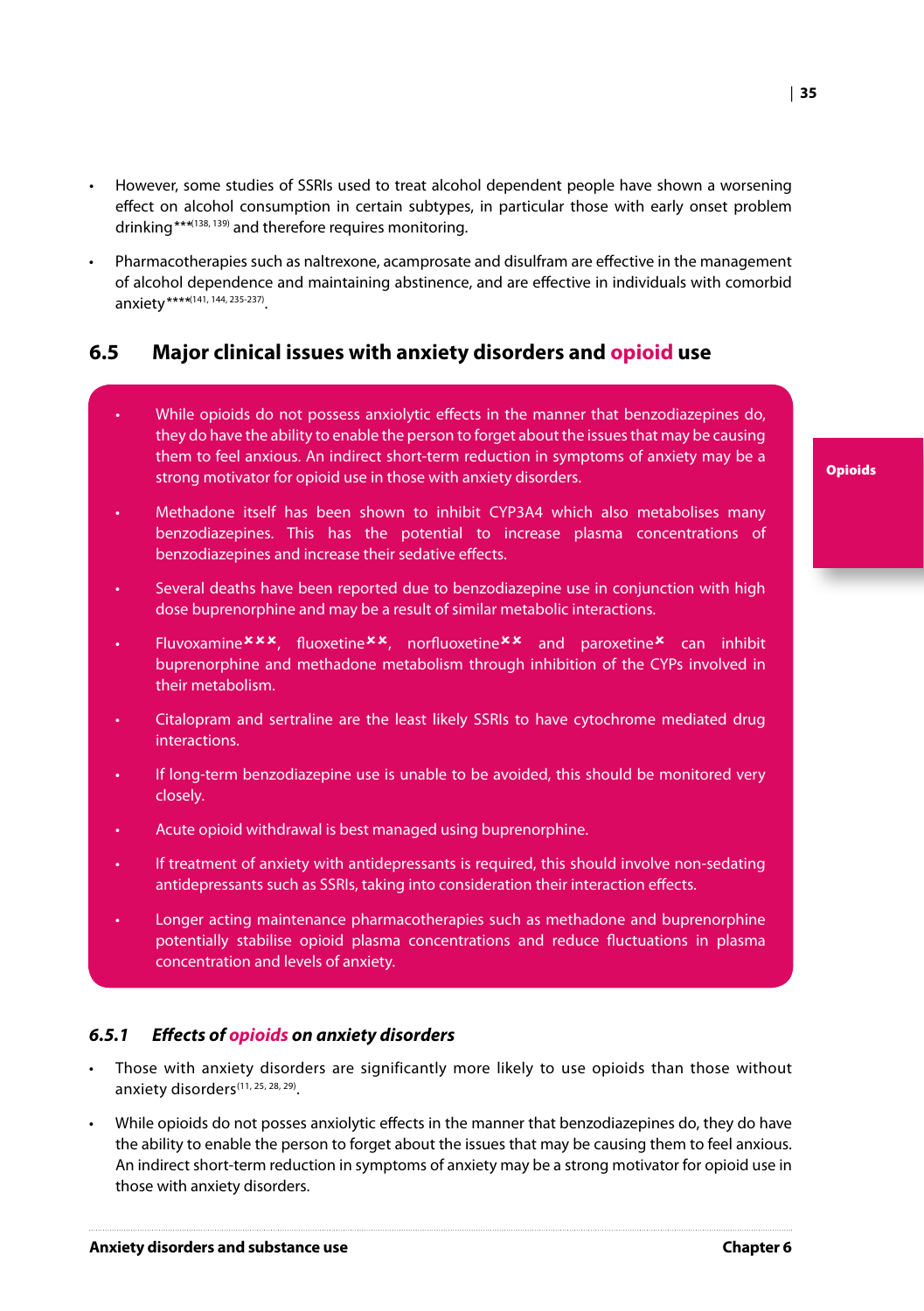- However, some studies of SSRIs used to treat alcohol dependent people have shown a worsening effect on alcohol consumption in certain subtypes, in particular those with early onset problem drinking*\*\*\**(138, 139) and therefore requires monitoring.
- Pharmacotherapies such as naltrexone, acamprosate and disulfram are effective in the management of alcohol dependence and maintaining abstinence, and are effective in individuals with comorbid anxiety*\*\*\*\**(141, 144, 235-237).

## **6.5 Major clinical issues with anxiety disorders and opioid use**

- While opioids do not possess anxiolytic effects in the manner that benzodiazepines do, they do have the ability to enable the person to forget about the issues that may be causing them to feel anxious. An indirect short-term reduction in symptoms of anxiety may be a strong motivator for opioid use in those with anxiety disorders.
- Methadone itself has been shown to inhibit CYP3A4 which also metabolises many benzodiazepines. This has the potential to increase plasma concentrations of benzodiazepines and increase their sedative effects.
- Several deaths have been reported due to benzodiazepine use in conjunction with high dose buprenorphine and may be a result of similar metabolic interactions.
- Fluvoxamine $\star \star \star$ , fluoxetine $\star \star$ , norfluoxetine $\star$  and paroxetine can inhibit buprenorphine and methadone metabolism through inhibition of the CYPs involved in their metabolism.
- Citalopram and sertraline are the least likely SSRIs to have cytochrome mediated drug interactions.
- If long-term benzodiazepine use is unable to be avoided, this should be monitored very closely.
- Acute opioid withdrawal is best managed using buprenorphine.
- If treatment of anxiety with antidepressants is required, this should involve non-sedating antidepressants such as SSRIs, taking into consideration their interaction effects.
- Longer acting maintenance pharmacotherapies such as methadone and buprenorphine potentially stabilise opioid plasma concentrations and reduce fluctuations in plasma concentration and levels of anxiety.

## *6.5.1 Effects of opioids on anxiety disorders*

- Those with anxiety disorders are significantly more likely to use opioids than those without anxiety disorders<sup>(11, 25, 28, 29)</sup>.
- While opioids do not posses anxiolytic effects in the manner that benzodiazepines do, they do have the ability to enable the person to forget about the issues that may be causing them to feel anxious. An indirect short-term reduction in symptoms of anxiety may be a strong motivator for opioid use in those with anxiety disorders.

Opioids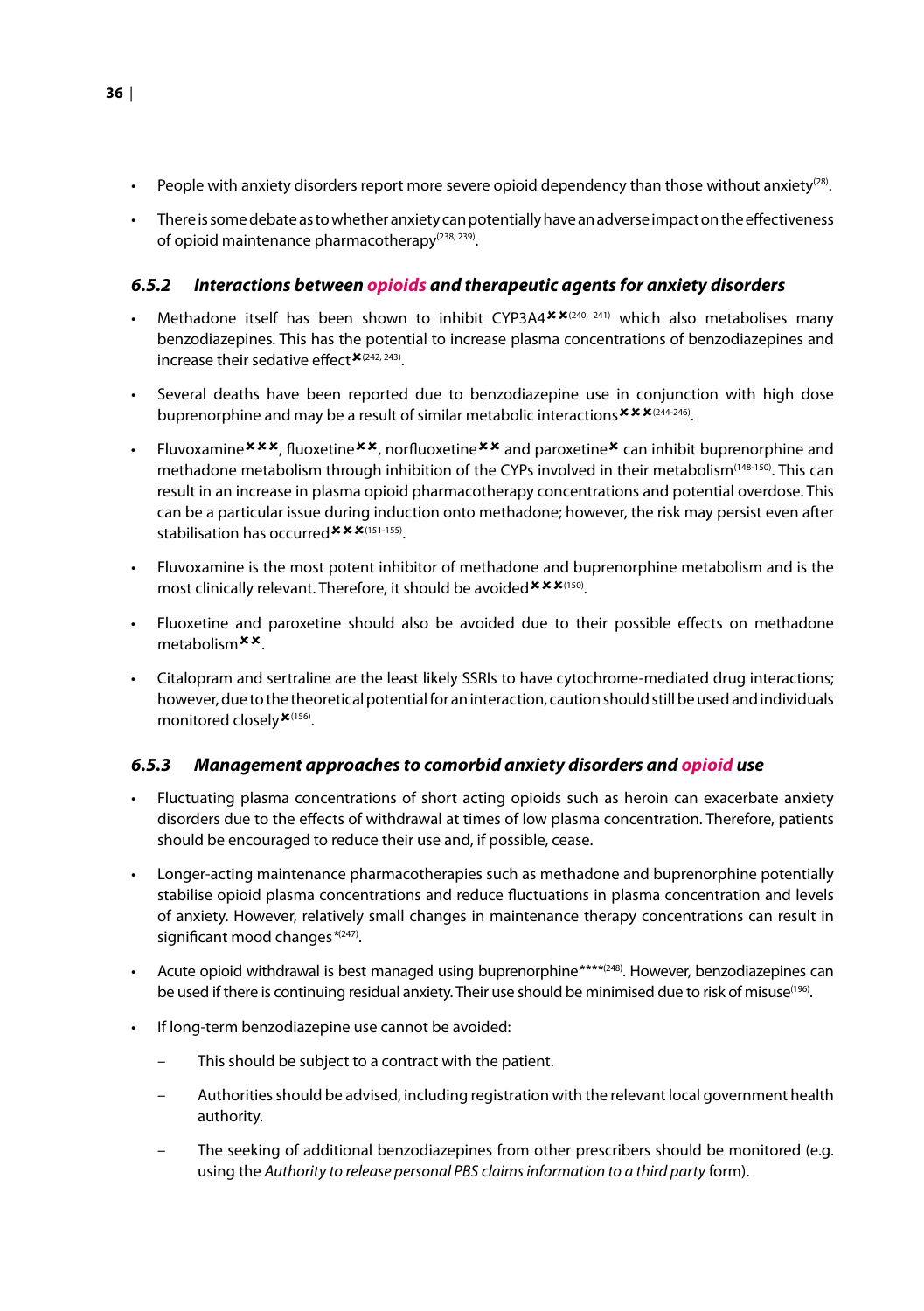- People with anxiety disorders report more severe opioid dependency than those without anxiety<sup>(28)</sup>.
- There is some debate as to whether anxiety can potentially have an adverse impact on the effectiveness of opioid maintenance pharmacotherapy(238, 239).

## *6.5.2 Interactions between opioids and therapeutic agents for anxiety disorders*

- Methadone itself has been shown to inhibit CYP3A4 $\star \times 240$ , 241) which also metabolises many benzodiazepines. This has the potential to increase plasma concentrations of benzodiazepines and increase their sedative effect  $x_{(242, 243)}$ .
- Several deaths have been reported due to benzodiazepine use in conjunction with high dose buprenorphine and may be a result of similar metabolic interactions **x x x** (244-246).
- Fluvoxamine  $\star \star \star$ , fluoxetine  $\star \star$ , norfluoxetine  $\star \star$  and paroxetine  $\star$  can inhibit buprenorphine and methadone metabolism through inhibition of the CYPs involved in their metabolism(148-150). This can result in an increase in plasma opioid pharmacotherapy concentrations and potential overdose. This can be a particular issue during induction onto methadone; however, the risk may persist even after stabilisation has occurred **x x x**<sup>(151-155)</sup>.
- Fluvoxamine is the most potent inhibitor of methadone and buprenorphine metabolism and is the most clinically relevant. Therefore, it should be avoided<sup>\*\*\*</sup>.150).
- • Fluoxetine and paroxetine should also be avoided due to their possible effects on methadone metabolism<sup>xx</sup>.
- Citalopram and sertraline are the least likely SSRIs to have cytochrome-mediated drug interactions; however, due to the theoretical potential for an interaction, caution should still be used and individuals monitored closely $x$ <sup>(156)</sup>.

## *6.5.3 Management approaches to comorbid anxiety disorders and opioid use*

- Fluctuating plasma concentrations of short acting opioids such as heroin can exacerbate anxiety disorders due to the effects of withdrawal at times of low plasma concentration. Therefore, patients should be encouraged to reduce their use and, if possible, cease.
- Longer-acting maintenance pharmacotherapies such as methadone and buprenorphine potentially stabilise opioid plasma concentrations and reduce fluctuations in plasma concentration and levels of anxiety. However, relatively small changes in maintenance therapy concentrations can result in significant mood changes*\**(247).
- Acute opioid withdrawal is best managed using buprenorphine<sup>\*\*\*\*(248)</sup>. However, benzodiazepines can be used if there is continuing residual anxiety. Their use should be minimised due to risk of misuse<sup>(196)</sup>.
- If long-term benzodiazepine use cannot be avoided:
	- This should be subject to a contract with the patient.
	- Authorities should be advised, including registration with the relevant local government health authority.
	- The seeking of additional benzodiazepines from other prescribers should be monitored (e.g. using the *Authority to release personal PBS claims information to a third party* form).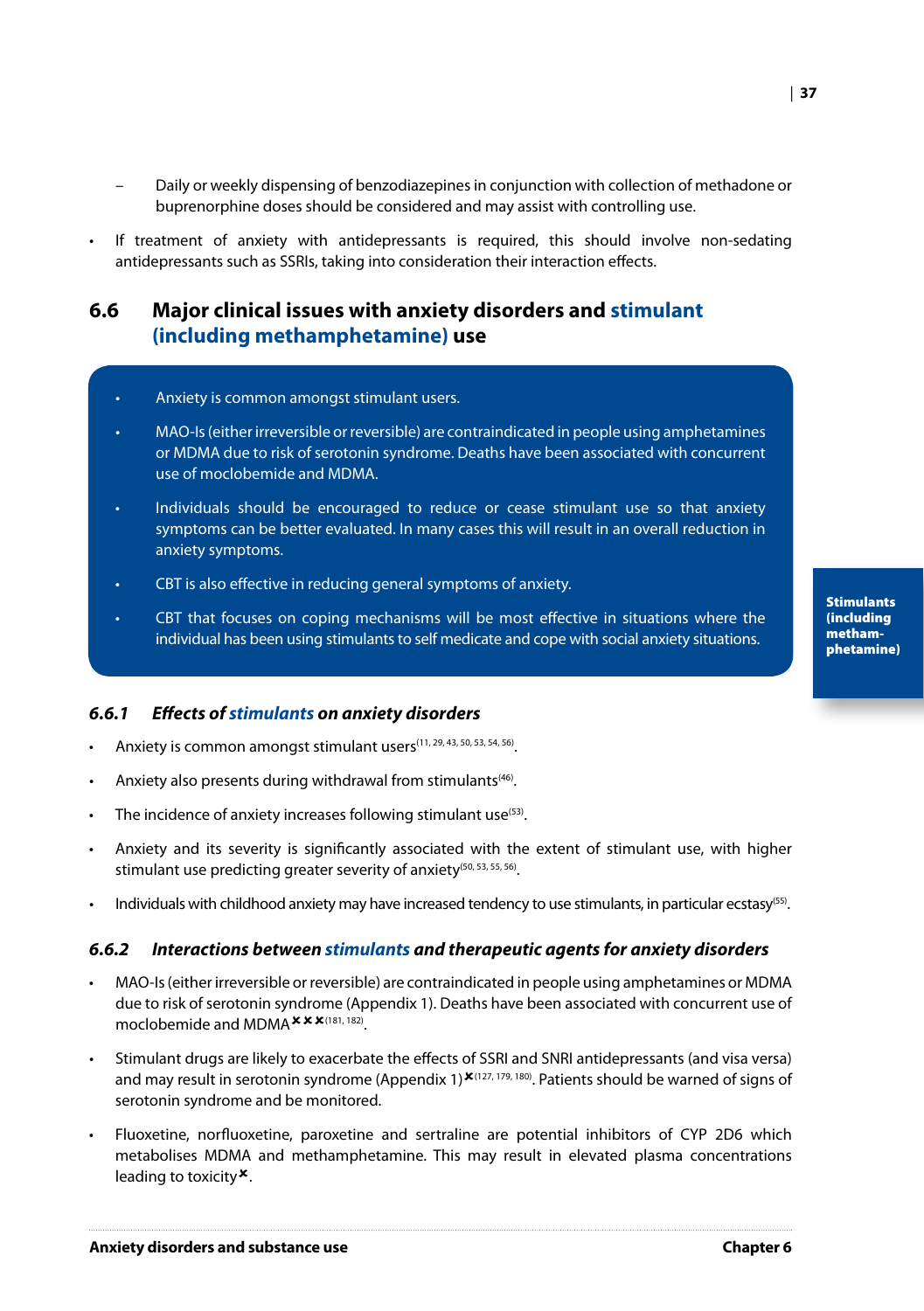- Daily or weekly dispensing of benzodiazepines in conjunction with collection of methadone or buprenorphine doses should be considered and may assist with controlling use.
- If treatment of anxiety with antidepressants is required, this should involve non-sedating antidepressants such as SSRIs, taking into consideration their interaction effects.

## **6.6 Major clinical issues with anxiety disorders and stimulant (including methamphetamine) use**

- Anxiety is common amongst stimulant users.
- MAO-Is (either irreversible or reversible) are contraindicated in people using amphetamines or MDMA due to risk of serotonin syndrome. Deaths have been associated with concurrent use of moclobemide and MDMA.
- Individuals should be encouraged to reduce or cease stimulant use so that anxiety symptoms can be better evaluated. In many cases this will result in an overall reduction in anxiety symptoms.
- CBT is also effective in reducing general symptoms of anxiety.
- CBT that focuses on coping mechanisms will be most effective in situations where the individual has been using stimulants to self medicate and cope with social anxiety situations.

**Stimulants** (including methamphetamine)

## *6.6.1 Effects of stimulants on anxiety disorders*

- Anxiety is common amongst stimulant users<sup>(11, 29, 43, 50, 53, 54, 56)</sup>.
- Anxiety also presents during withdrawal from stimulants<sup>(46)</sup>.
- $\cdot$  The incidence of anxiety increases following stimulant use<sup>(53)</sup>.
- • Anxiety and its severity is significantly associated with the extent of stimulant use, with higher stimulant use predicting greater severity of anxiety<sup>(50, 53, 55, 56)</sup>.
- Individuals with childhood anxiety may have increased tendency to use stimulants, in particular ecstasy<sup>(55)</sup>.

### *6.6.2 Interactions between stimulants and therapeutic agents for anxiety disorders*

- MAO-Is (either irreversible or reversible) are contraindicated in people using amphetamines or MDMA due to risk of serotonin syndrome (Appendix 1). Deaths have been associated with concurrent use of moclobemide and MDMA $\star\star\star$  (181, 182).
- • Stimulant drugs are likely to exacerbate the effects of SSRI and SNRI antidepressants (and visa versa) and may result in serotonin syndrome (Appendix 1) $x_{(127, 179, 180)}$ . Patients should be warned of signs of serotonin syndrome and be monitored.
- Fluoxetine, norfluoxetine, paroxetine and sertraline are potential inhibitors of CYP 2D6 which metabolises MDMA and methamphetamine. This may result in elevated plasma concentrations leading to toxicity $x$ .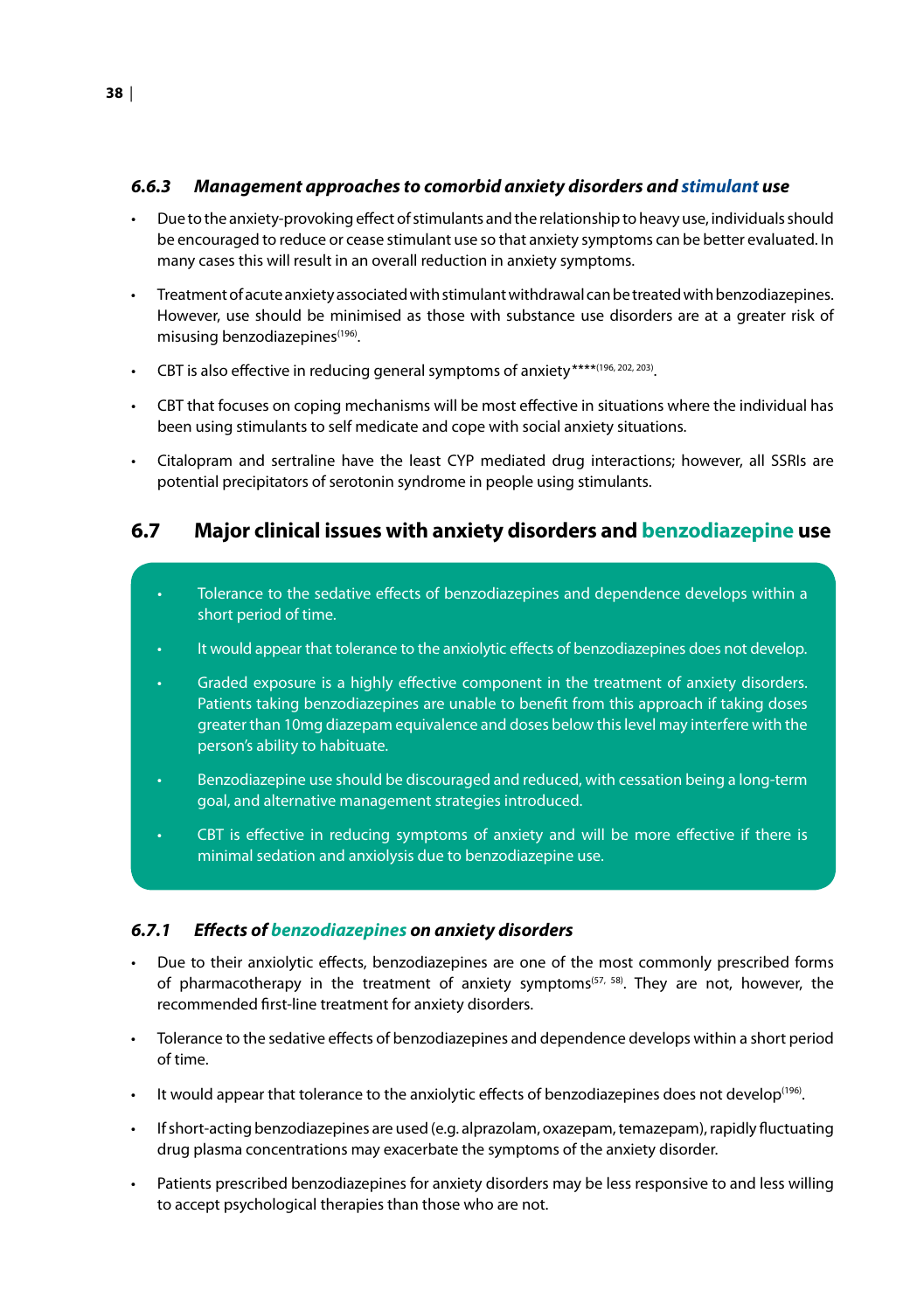## *6.6.3 Management approaches to comorbid anxiety disorders and stimulant use*

- Due to the anxiety-provoking effect of stimulants and the relationship to heavy use, individuals should be encouraged to reduce or cease stimulant use so that anxiety symptoms can be better evaluated. In many cases this will result in an overall reduction in anxiety symptoms.
- Treatment of acute anxiety associated with stimulant withdrawal can be treated with benzodiazepines. However, use should be minimised as those with substance use disorders are at a greater risk of misusing benzodiazepines<sup>(196)</sup>.
- CBT is also effective in reducing general symptoms of anxiety<sup>\*\*\*\*(196, 202, 203)</sup>.
- CBT that focuses on coping mechanisms will be most effective in situations where the individual has been using stimulants to self medicate and cope with social anxiety situations.
- Citalopram and sertraline have the least CYP mediated drug interactions; however, all SSRIs are potential precipitators of serotonin syndrome in people using stimulants.

## **6.7 Major clinical issues with anxiety disorders and benzodiazepine use**

- Tolerance to the sedative effects of benzodiazepines and dependence develops within a short period of time.
- It would appear that tolerance to the anxiolytic effects of benzodiazepines does not develop.
- Graded exposure is a highly effective component in the treatment of anxiety disorders. Patients taking benzodiazepines are unable to benefit from this approach if taking doses greater than 10mg diazepam equivalence and doses below this level may interfere with the person's ability to habituate.
- Benzodiazepine use should be discouraged and reduced, with cessation being a long-term goal, and alternative management strategies introduced.
- CBT is effective in reducing symptoms of anxiety and will be more effective if there is minimal sedation and anxiolysis due to benzodiazepine use.

## *6.7.1 Effects of benzodiazepines on anxiety disorders*

- Due to their anxiolytic effects, benzodiazepines are one of the most commonly prescribed forms of pharmacotherapy in the treatment of anxiety symptoms<sup>(57, 58)</sup>. They are not, however, the recommended first-line treatment for anxiety disorders.
- Tolerance to the sedative effects of benzodiazepines and dependence develops within a short period of time.
- It would appear that tolerance to the anxiolytic effects of benzodiazepines does not develop<sup>(196)</sup>.
- If short-acting benzodiazepines are used (e.g. alprazolam, oxazepam, temazepam), rapidly fluctuating drug plasma concentrations may exacerbate the symptoms of the anxiety disorder.
- Patients prescribed benzodiazepines for anxiety disorders may be less responsive to and less willing to accept psychological therapies than those who are not.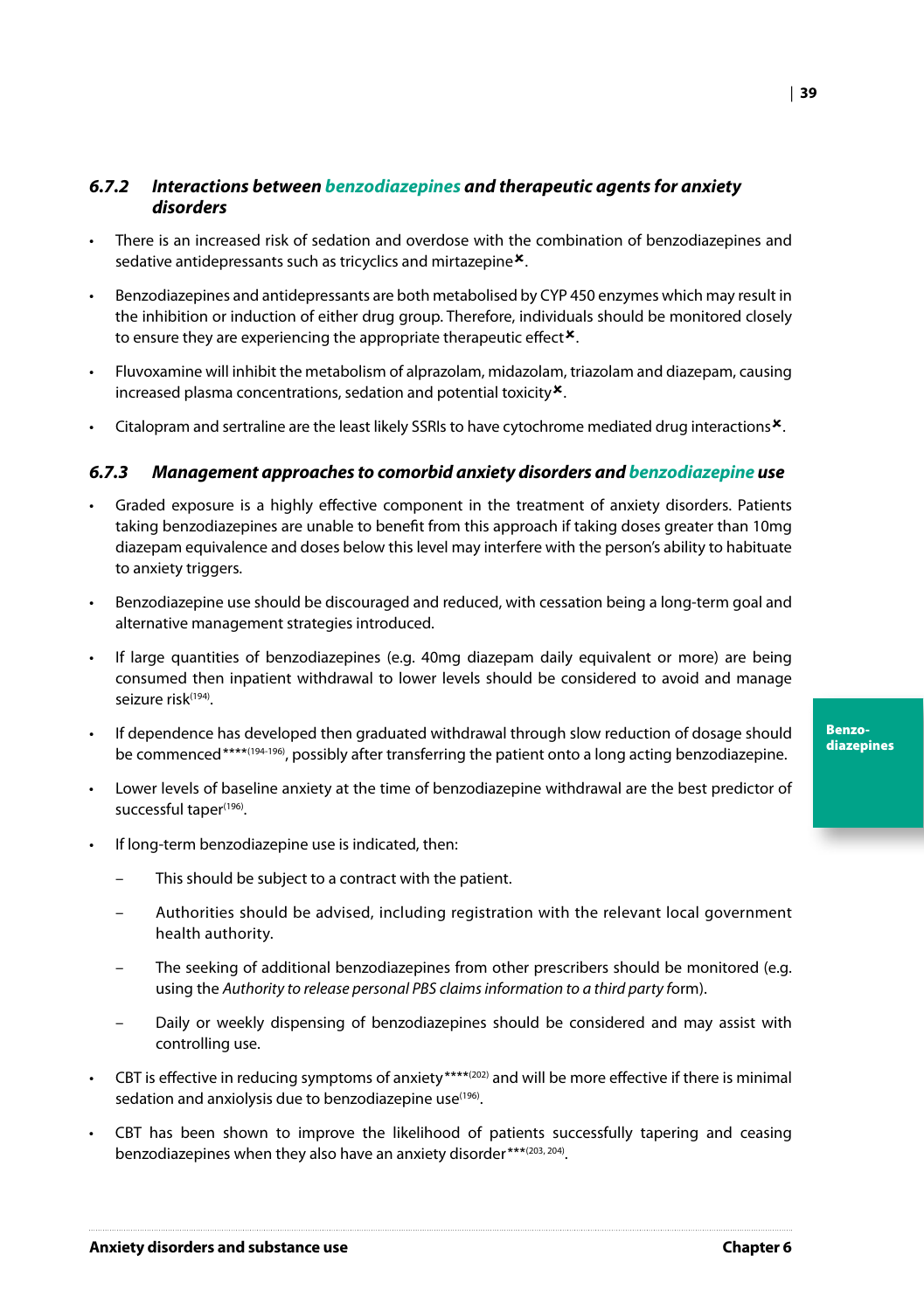## *6.7.2 Interactions between benzodiazepines and therapeutic agents for anxiety disorders*

- There is an increased risk of sedation and overdose with the combination of benzodiazepines and sedative antidepressants such as tricyclics and mirtazepine $\mathbf{x}$ .
- Benzodiazepines and antidepressants are both metabolised by CYP 450 enzymes which may result in the inhibition or induction of either drug group. Therefore, individuals should be monitored closely to ensure they are experiencing the appropriate therapeutic effect $x$ .
- Fluvoxamine will inhibit the metabolism of alprazolam, midazolam, triazolam and diazepam, causing increased plasma concentrations, sedation and potential toxicity $x$ .
- $\cdot$  Citalopram and sertraline are the least likely SSRIs to have cytochrome mediated drug interactions.

#### *6.7.3 Management approaches to comorbid anxiety disorders and benzodiazepine use*

- Graded exposure is a highly effective component in the treatment of anxiety disorders. Patients taking benzodiazepines are unable to benefit from this approach if taking doses greater than 10mg diazepam equivalence and doses below this level may interfere with the person's ability to habituate to anxiety triggers.
- Benzodiazepine use should be discouraged and reduced, with cessation being a long-term goal and alternative management strategies introduced.
- If large quantities of benzodiazepines (e.g. 40mg diazepam daily equivalent or more) are being consumed then inpatient withdrawal to lower levels should be considered to avoid and manage seizure risk(194).
- If dependence has developed then graduated withdrawal through slow reduction of dosage should be commenced*\*\*\*\**(194-196), possibly after transferring the patient onto a long acting benzodiazepine.
- Lower levels of baseline anxiety at the time of benzodiazepine withdrawal are the best predictor of successful taper(196).
- If long-term benzodiazepine use is indicated, then:
	- This should be subject to a contract with the patient.
	- Authorities should be advised, including registration with the relevant local government health authority.
	- The seeking of additional benzodiazepines from other prescribers should be monitored (e.g. using the *Authority to release personal PBS claims information to a third party f*orm).
	- Daily or weekly dispensing of benzodiazepines should be considered and may assist with controlling use.
- • CBT is effective in reducing symptoms of anxiety*\*\*\*\**(202) and will be more effective if there is minimal sedation and anxiolysis due to benzodiazepine use<sup>(196)</sup>.
- CBT has been shown to improve the likelihood of patients successfully tapering and ceasing benzodiazepines when they also have an anxiety disorder*\*\*\**(203, 204).

Benzodiazepines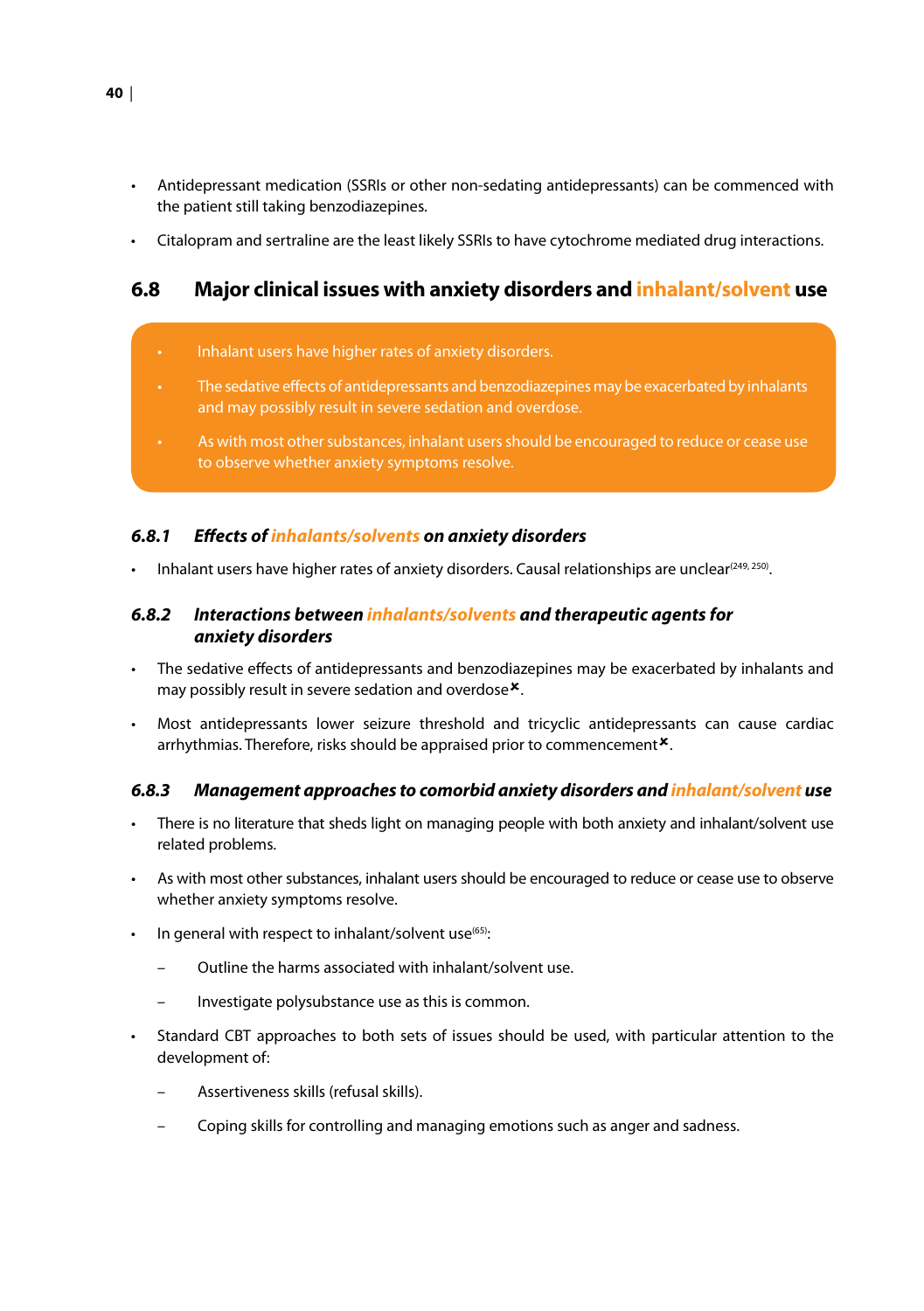- • Antidepressant medication (SSRIs or other non-sedating antidepressants) can be commenced with the patient still taking benzodiazepines.
- Citalopram and sertraline are the least likely SSRIs to have cytochrome mediated drug interactions.

## **6.8 Major clinical issues with anxiety disorders and inhalant/solvent use**

- Inhalant users have higher rates of anxiety disorders.
- The sedative effects of antidepressants and benzodiazepines may be exacerbated by inhalants and may possibly result in severe sedation and overdose.
- As with most other substances, inhalant users should be encouraged to reduce or cease use to observe whether anxiety symptoms resolve.

## *6.8.1 Effects of inhalants/solvents on anxiety disorders*

Inhalant users have higher rates of anxiety disorders. Causal relationships are unclear<sup>(249, 250)</sup>.

## *6.8.2 Interactions between inhalants/solvents and therapeutic agents for anxiety disorders*

- The sedative effects of antidepressants and benzodiazepines may be exacerbated by inhalants and may possibly result in severe sedation and overdose $x$ .
- Most antidepressants lower seizure threshold and tricyclic antidepressants can cause cardiac arrhythmias. Therefore, risks should be appraised prior to commencement<sup>x</sup>.

#### *6.8.3 Management approaches to comorbid anxiety disorders and inhalant/solvent use*

- There is no literature that sheds light on managing people with both anxiety and inhalant/solvent use related problems.
- As with most other substances, inhalant users should be encouraged to reduce or cease use to observe whether anxiety symptoms resolve.
- In general with respect to inhalant/solvent use $(65)$ :
	- Outline the harms associated with inhalant/solvent use.
	- Investigate polysubstance use as this is common.
- Standard CBT approaches to both sets of issues should be used, with particular attention to the development of:
	- Assertiveness skills (refusal skills).
	- Coping skills for controlling and managing emotions such as anger and sadness.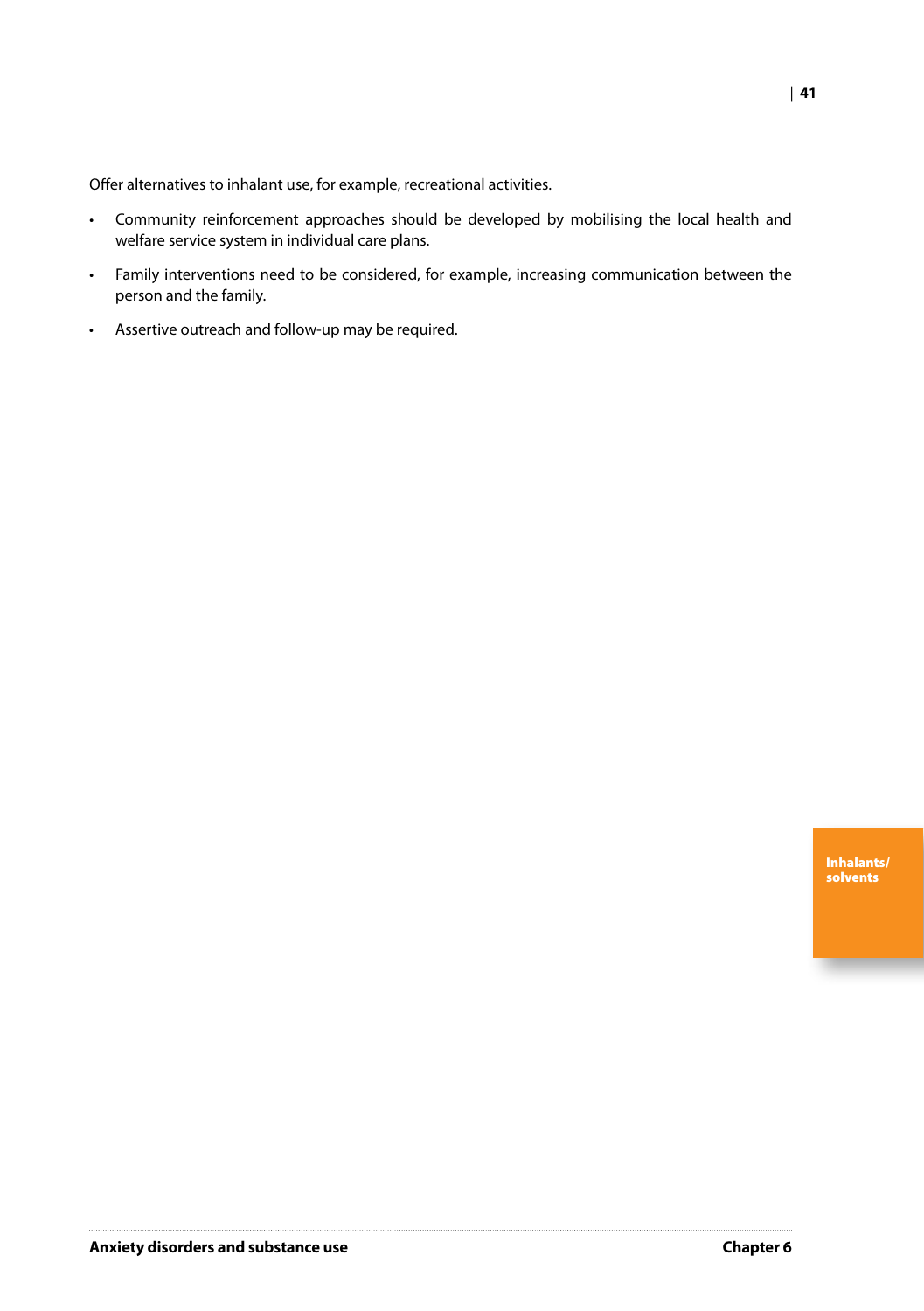Offer alternatives to inhalant use, for example, recreational activities.

- • Community reinforcement approaches should be developed by mobilising the local health and welfare service system in individual care plans.
- • Family interventions need to be considered, for example, increasing communication between the person and the family.
- • Assertive outreach and follow-up may be required.

Inhalants/ solvents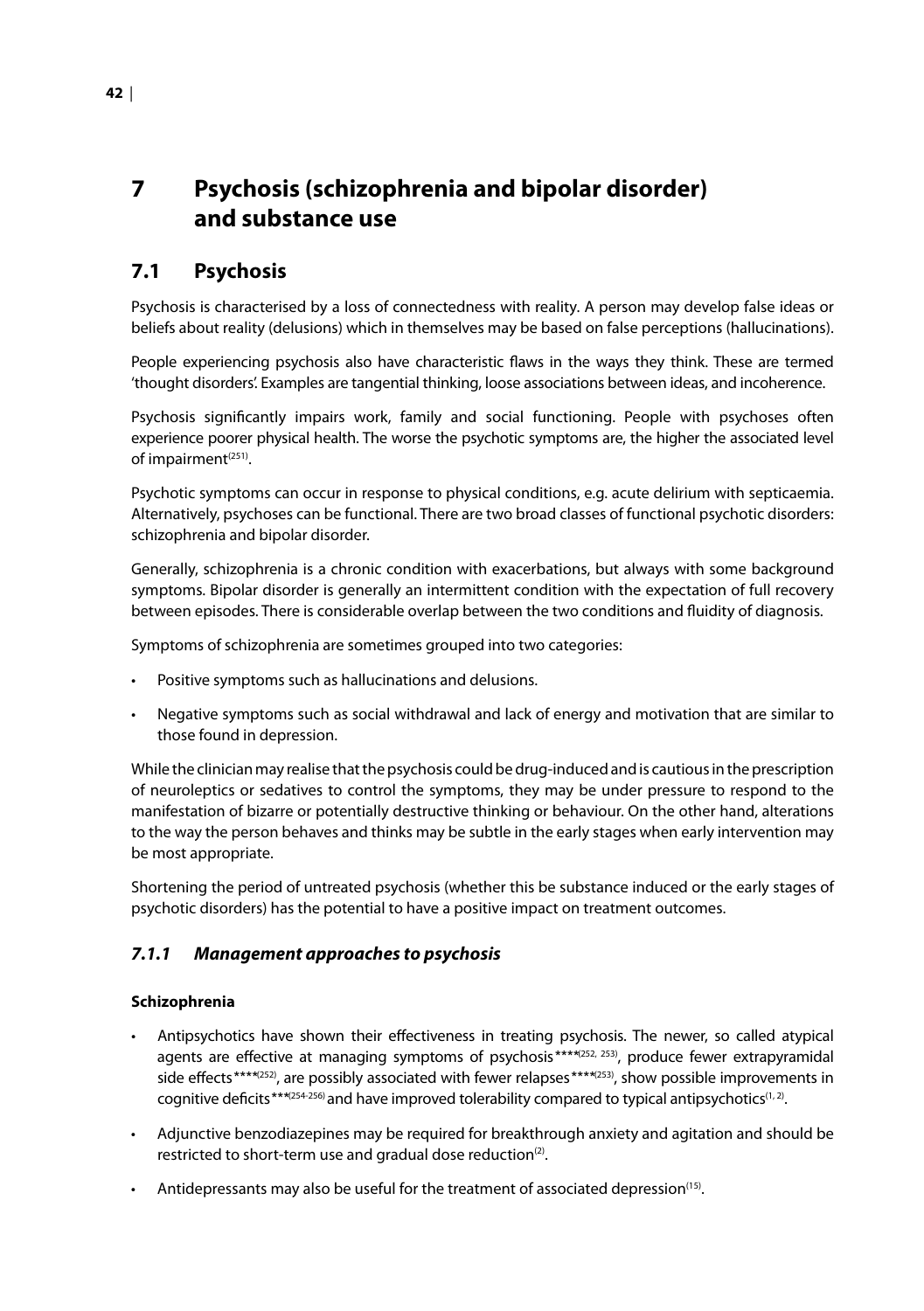# **7 Psychosis (schizophrenia and bipolar disorder) and substance use**

## **7.1 Psychosis**

Psychosis is characterised by a loss of connectedness with reality. A person may develop false ideas or beliefs about reality (delusions) which in themselves may be based on false perceptions (hallucinations).

People experiencing psychosis also have characteristic flaws in the ways they think. These are termed 'thought disorders'. Examples are tangential thinking, loose associations between ideas, and incoherence.

Psychosis significantly impairs work, family and social functioning. People with psychoses often experience poorer physical health. The worse the psychotic symptoms are, the higher the associated level of impairment<sup>(251)</sup>.

Psychotic symptoms can occur in response to physical conditions, e.g. acute delirium with septicaemia. Alternatively, psychoses can be functional. There are two broad classes of functional psychotic disorders: schizophrenia and bipolar disorder.

Generally, schizophrenia is a chronic condition with exacerbations, but always with some background symptoms. Bipolar disorder is generally an intermittent condition with the expectation of full recovery between episodes. There is considerable overlap between the two conditions and fluidity of diagnosis.

Symptoms of schizophrenia are sometimes grouped into two categories:

- Positive symptoms such as hallucinations and delusions.
- Negative symptoms such as social withdrawal and lack of energy and motivation that are similar to those found in depression.

While the clinician may realise that the psychosis could be drug-induced and is cautious in the prescription of neuroleptics or sedatives to control the symptoms, they may be under pressure to respond to the manifestation of bizarre or potentially destructive thinking or behaviour. On the other hand, alterations to the way the person behaves and thinks may be subtle in the early stages when early intervention may be most appropriate.

Shortening the period of untreated psychosis (whether this be substance induced or the early stages of psychotic disorders) has the potential to have a positive impact on treatment outcomes.

## *7.1.1 Management approaches to psychosis*

#### **Schizophrenia**

- Antipsychotics have shown their effectiveness in treating psychosis. The newer, so called atypical agents are effective at managing symptoms of psychosis*\*\*\*\**(252, 253), produce fewer extrapyramidal side effects*\*\*\*\**(252), are possibly associated with fewer relapses*\*\*\*\**(253), show possible improvements in cognitive deficits<sup>\*\*\*(254-256)</sup> and have improved tolerability compared to typical antipsychotics<sup>(1, 2)</sup>.
- • Adjunctive benzodiazepines may be required for breakthrough anxiety and agitation and should be restricted to short-term use and gradual dose reduction<sup>(2)</sup>.
- Antidepressants may also be useful for the treatment of associated depression $(15)$ .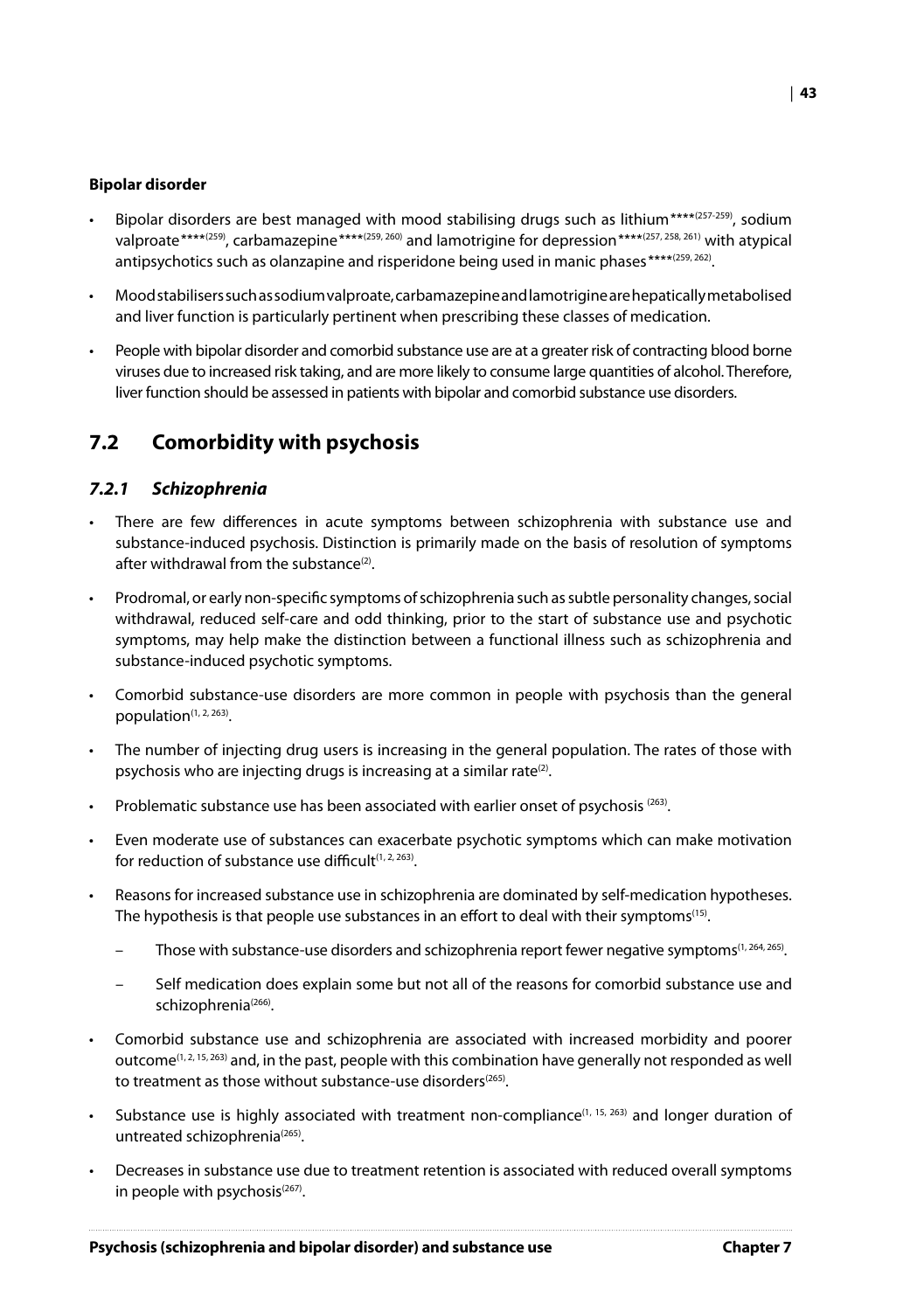#### **Bipolar disorder**

- • Bipolar disorders are best managed with mood stabilising drugs such as lithium*\*\*\*\**(257-259), sodium valproate*\*\*\*\**(259), carbamazepine*\*\*\*\**(259, 260) and lamotrigine for depression*\*\*\*\**(257, 258, 261) with atypical antipsychotics such as olanzapine and risperidone being used in manic phases*\*\*\*\**(259, 262).
- • Moodstabiliserssuchassodiumvalproate,carbamazepineandlamotriginearehepaticallymetabolised and liver function is particularly pertinent when prescribing these classes of medication.
- • People with bipolar disorder and comorbid substance use are at a greater risk of contracting blood borne viruses due to increased risk taking, and are more likely to consume large quantities of alcohol. Therefore, liver function should be assessed in patients with bipolar and comorbid substance use disorders.

## **7.2 Comorbidity with psychosis**

## *7.2.1 Schizophrenia*

- There are few differences in acute symptoms between schizophrenia with substance use and substance-induced psychosis. Distinction is primarily made on the basis of resolution of symptoms after withdrawal from the substance $(2)$ .
- Prodromal, or early non-specific symptoms of schizophrenia such as subtle personality changes, social withdrawal, reduced self-care and odd thinking, prior to the start of substance use and psychotic symptoms, may help make the distinction between a functional illness such as schizophrenia and substance-induced psychotic symptoms.
- Comorbid substance-use disorders are more common in people with psychosis than the general population<sup>(1, 2, 263)</sup>.
- The number of injecting drug users is increasing in the general population. The rates of those with psychosis who are injecting drugs is increasing at a similar rate<sup>(2)</sup>.
- Problematic substance use has been associated with earlier onset of psychosis  $(263)$ .
- Even moderate use of substances can exacerbate psychotic symptoms which can make motivation for reduction of substance use difficult $(1, 2, 263)$ .
- Reasons for increased substance use in schizophrenia are dominated by self-medication hypotheses. The hypothesis is that people use substances in an effort to deal with their symptoms<sup>(15)</sup>.
	- Those with substance-use disorders and schizophrenia report fewer negative symptoms<sup>(1, 264, 265)</sup>.
	- Self medication does explain some but not all of the reasons for comorbid substance use and schizophrenia<sup>(266)</sup>.
- • Comorbid substance use and schizophrenia are associated with increased morbidity and poorer outcome<sup>(1, 2, 15, 263)</sup> and, in the past, people with this combination have generally not responded as well to treatment as those without substance-use disorders(265).
- Substance use is highly associated with treatment non-compliance<sup>(1, 15, 263)</sup> and longer duration of untreated schizophrenia(265).
- Decreases in substance use due to treatment retention is associated with reduced overall symptoms in people with psychosis $(267)$ .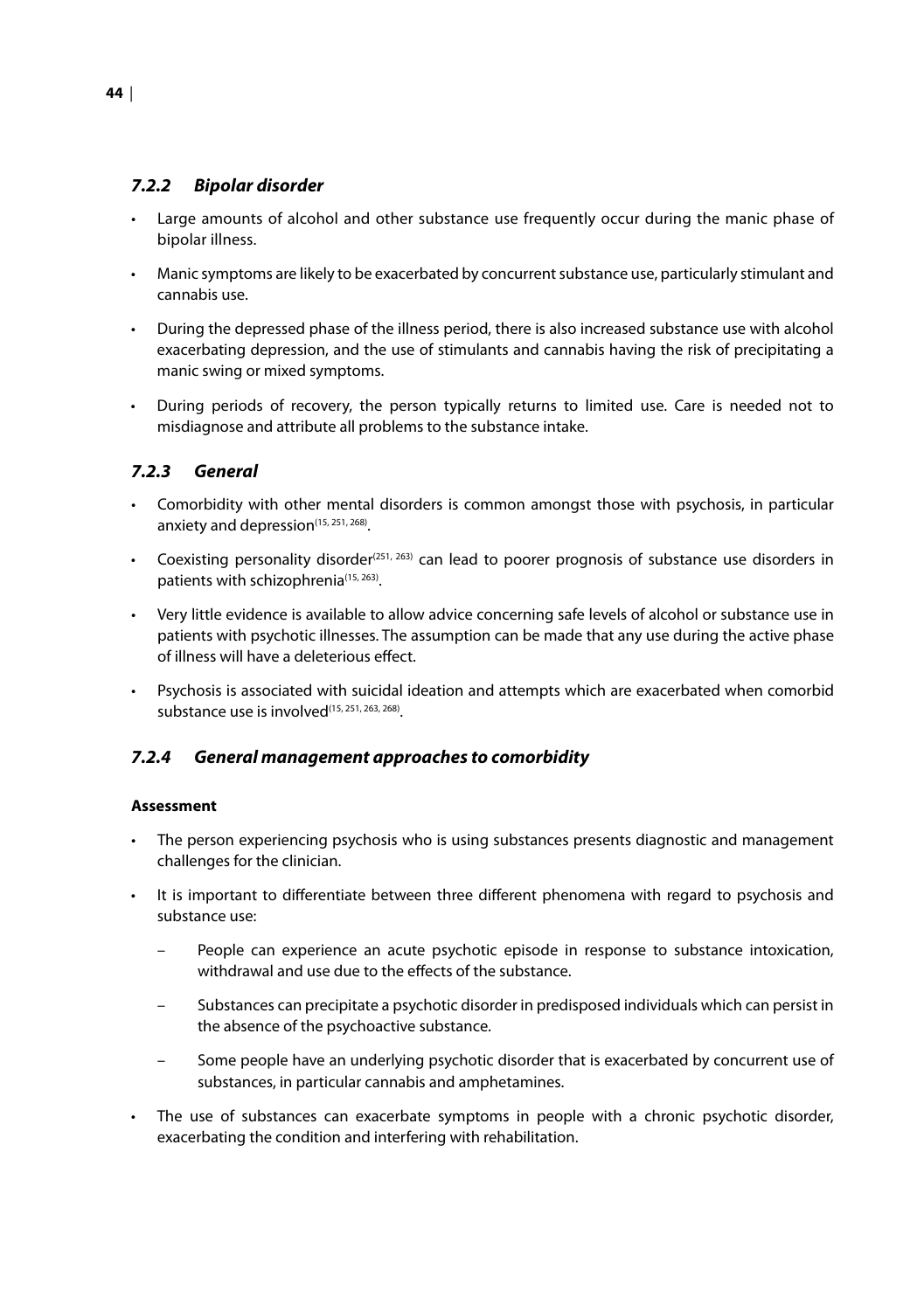## *7.2.2 Bipolar disorder*

- Large amounts of alcohol and other substance use frequently occur during the manic phase of bipolar illness.
- Manic symptoms are likely to be exacerbated by concurrent substance use, particularly stimulant and cannabis use.
- During the depressed phase of the illness period, there is also increased substance use with alcohol exacerbating depression, and the use of stimulants and cannabis having the risk of precipitating a manic swing or mixed symptoms.
- During periods of recovery, the person typically returns to limited use. Care is needed not to misdiagnose and attribute all problems to the substance intake.

## *7.2.3 General*

- Comorbidity with other mental disorders is common amongst those with psychosis, in particular anxiety and depression<sup>(15, 251, 268)</sup>.
- Coexisting personality disorder<sup>(251, 263)</sup> can lead to poorer prognosis of substance use disorders in patients with schizophrenia<sup>(15, 263)</sup>.
- Very little evidence is available to allow advice concerning safe levels of alcohol or substance use in patients with psychotic illnesses. The assumption can be made that any use during the active phase of illness will have a deleterious effect.
- Psychosis is associated with suicidal ideation and attempts which are exacerbated when comorbid substance use is involved<sup>(15, 251, 263, 268)</sup>.

## *7.2.4 General management approaches to comorbidity*

#### **Assessment**

- The person experiencing psychosis who is using substances presents diagnostic and management challenges for the clinician.
- It is important to differentiate between three different phenomena with regard to psychosis and substance use:
	- People can experience an acute psychotic episode in response to substance intoxication, withdrawal and use due to the effects of the substance.
	- Substances can precipitate a psychotic disorder in predisposed individuals which can persist in the absence of the psychoactive substance.
	- Some people have an underlying psychotic disorder that is exacerbated by concurrent use of substances, in particular cannabis and amphetamines.
- The use of substances can exacerbate symptoms in people with a chronic psychotic disorder, exacerbating the condition and interfering with rehabilitation.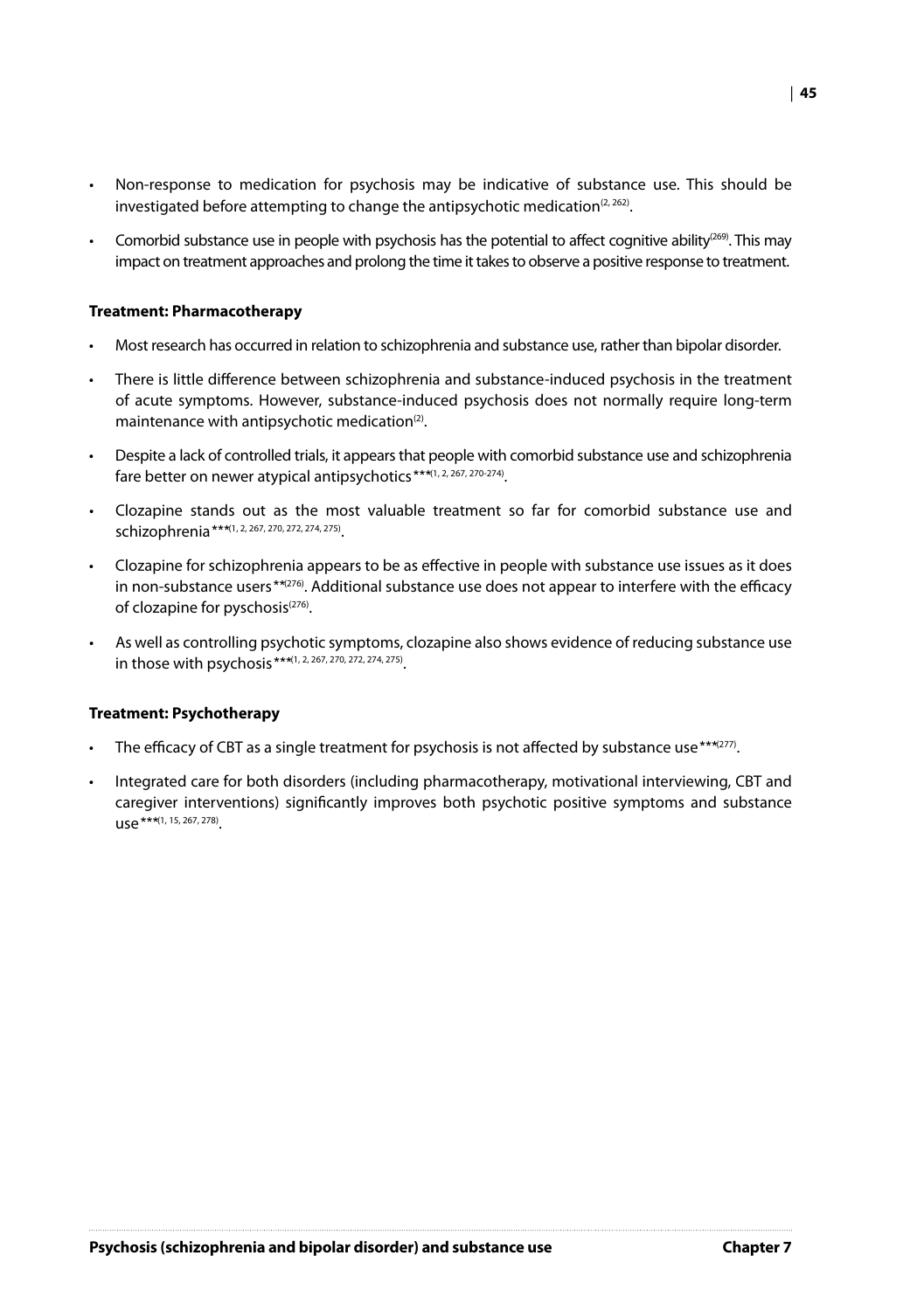- • Non-response to medication for psychosis may be indicative of substance use. This should be investigated before attempting to change the antipsychotic medication<sup> $(2, 262)$ </sup>.
- Comorbid substance use in people with psychosis has the potential to affect cognitive ability<sup>(269)</sup>. This may impact on treatment approaches and prolong the time it takes to observe a positive response to treatment.

#### **Treatment: Pharmacotherapy**

- Most research has occurred in relation to schizophrenia and substance use, rather than bipolar disorder.
- There is little difference between schizophrenia and substance-induced psychosis in the treatment of acute symptoms. However, substance-induced psychosis does not normally require long-term maintenance with antipsychotic medication<sup>(2)</sup>.
- Despite a lack of controlled trials, it appears that people with comorbid substance use and schizophrenia fare better on newer atypical antipsychotics<sup>\*\*\*</sup><sup>(1, 2, 267, 270-274)</sup>.
- • Clozapine stands out as the most valuable treatment so far for comorbid substance use and schizophrenia*\*\*\**(1, 2, 267, 270, 272, 274, 275).
- Clozapine for schizophrenia appears to be as effective in people with substance use issues as it does in non-substance users*\*\**(276). Additional substance use does not appear to interfere with the efficacy of clozapine for pyschosis<sup>(276)</sup>.
- As well as controlling psychotic symptoms, clozapine also shows evidence of reducing substance use in those with psychosis*\*\*\**(1, 2, 267, 270, 272, 274, 275).

#### **Treatment: Psychotherapy**

- The efficacy of CBT as a single treatment for psychosis is not affected by substance use<sup>\*\*\*(277)</sup>.
- Integrated care for both disorders (including pharmacotherapy, motivational interviewing, CBT and caregiver interventions) significantly improves both psychotic positive symptoms and substance use*\*\*\**(1, 15, 267, 278).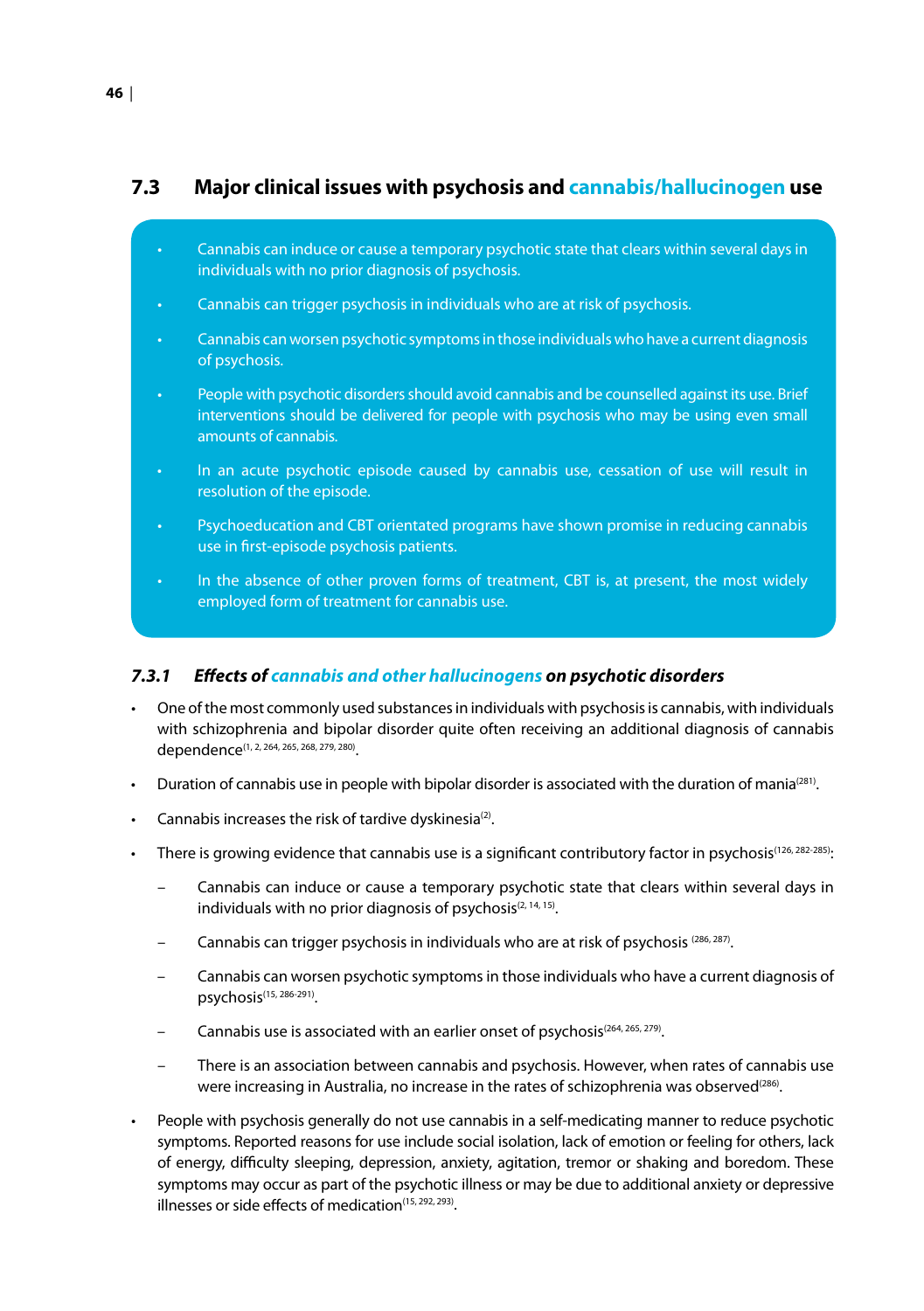## **7.3 Major clinical issues with psychosis and cannabis/hallucinogen use**

- Cannabis can induce or cause a temporary psychotic state that clears within several days in individuals with no prior diagnosis of psychosis.
- Cannabis can trigger psychosis in individuals who are at risk of psychosis.
- Cannabis can worsen psychotic symptoms in those individuals who have a current diagnosis of psychosis.
- People with psychotic disorders should avoid cannabis and be counselled against its use. Brief interventions should be delivered for people with psychosis who may be using even small amounts of cannabis.
- In an acute psychotic episode caused by cannabis use, cessation of use will result in resolution of the episode.
- Psychoeducation and CBT orientated programs have shown promise in reducing cannabis use in first-episode psychosis patients.
- In the absence of other proven forms of treatment, CBT is, at present, the most widely employed form of treatment for cannabis use.

## *7.3.1 Effects of cannabis and other hallucinogens on psychotic disorders*

- One of the most commonly used substances in individuals with psychosis is cannabis, with individuals with schizophrenia and bipolar disorder quite often receiving an additional diagnosis of cannabis dependence<sup>(1, 2, 264, 265, 268, 279, 280)</sup>
- Duration of cannabis use in people with bipolar disorder is associated with the duration of mania<sup>(281)</sup>.
- Cannabis increases the risk of tardive dyskinesia<sup>(2)</sup>.
- There is growing evidence that cannabis use is a significant contributory factor in psychosis<sup>(126, 282-285)</sup>:
	- Cannabis can induce or cause a temporary psychotic state that clears within several days in individuals with no prior diagnosis of psychosis<sup> $(2, 14, 15)$ </sup>.
	- Cannabis can trigger psychosis in individuals who are at risk of psychosis (286, 287).
	- Cannabis can worsen psychotic symptoms in those individuals who have a current diagnosis of psychosis(15, 286-291).
	- Cannabis use is associated with an earlier onset of psychosis<sup>(264, 265, 279)</sup>.
	- There is an association between cannabis and psychosis. However, when rates of cannabis use were increasing in Australia, no increase in the rates of schizophrenia was observed<sup>(286)</sup>.
- People with psychosis generally do not use cannabis in a self-medicating manner to reduce psychotic symptoms. Reported reasons for use include social isolation, lack of emotion or feeling for others, lack of energy, difficulty sleeping, depression, anxiety, agitation, tremor or shaking and boredom. These symptoms may occur as part of the psychotic illness or may be due to additional anxiety or depressive illnesses or side effects of medication $(15, 292, 293)$ .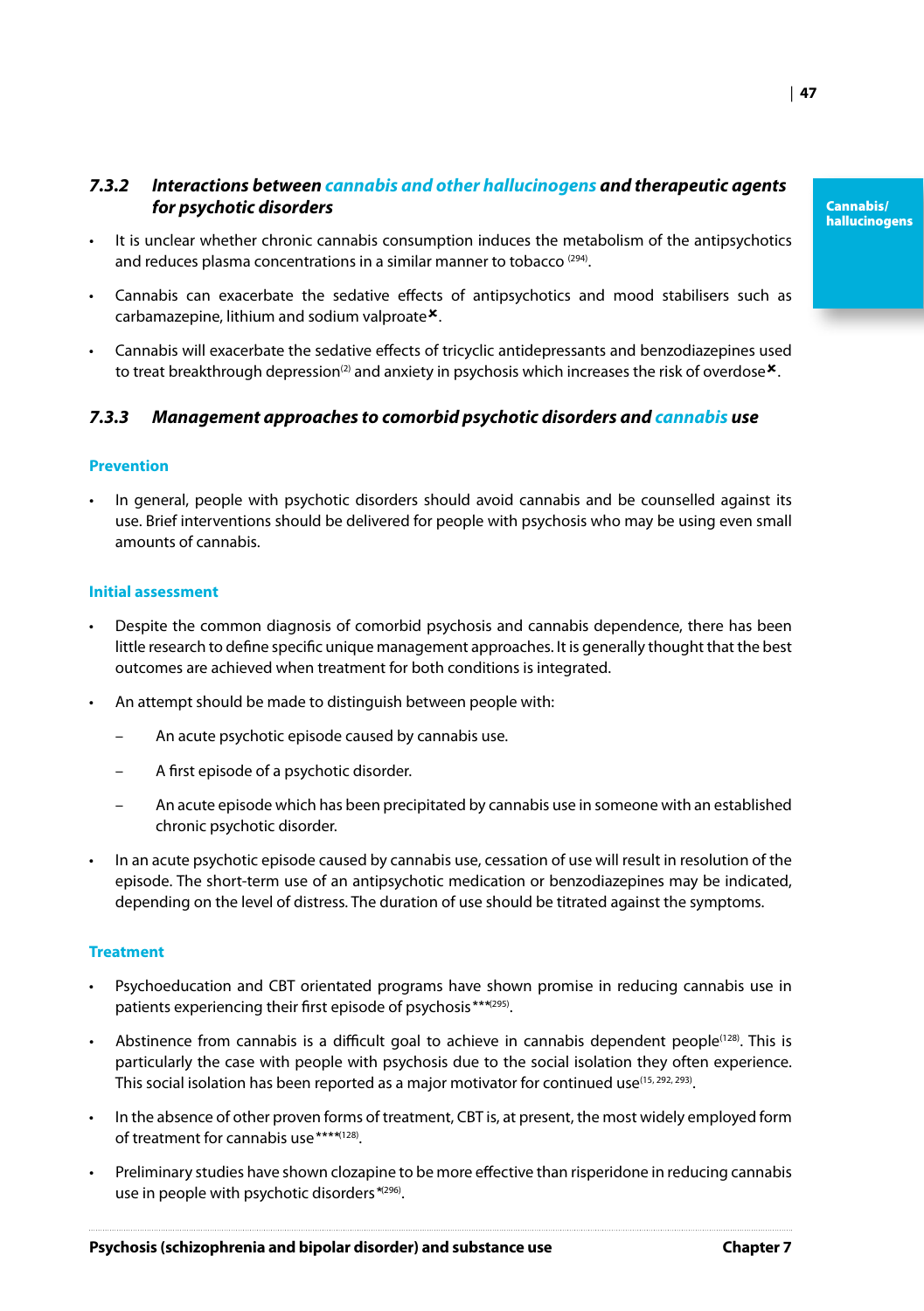## *7.3.2 Interactions between cannabis and other hallucinogens and therapeutic agents for psychotic disorders*

- It is unclear whether chronic cannabis consumption induces the metabolism of the antipsychotics and reduces plasma concentrations in a similar manner to tobacco <sup>(294)</sup>.
- Cannabis can exacerbate the sedative effects of antipsychotics and mood stabilisers such as carbamazepine, lithium and sodium valproate $x$ .
- • Cannabis will exacerbate the sedative effects of tricyclic antidepressants and benzodiazepines used to treat breakthrough depression<sup>(2)</sup> and anxiety in psychosis which increases the risk of overdose.

## *7.3.3 Management approaches to comorbid psychotic disorders and cannabis use*

#### **Prevention**

In general, people with psychotic disorders should avoid cannabis and be counselled against its use. Brief interventions should be delivered for people with psychosis who may be using even small amounts of cannabis.

#### **Initial assessment**

- Despite the common diagnosis of comorbid psychosis and cannabis dependence, there has been little research to define specific unique management approaches. It is generally thought that the best outcomes are achieved when treatment for both conditions is integrated.
- An attempt should be made to distinguish between people with:
	- An acute psychotic episode caused by cannabis use.
	- A first episode of a psychotic disorder.
	- An acute episode which has been precipitated by cannabis use in someone with an established chronic psychotic disorder.
- In an acute psychotic episode caused by cannabis use, cessation of use will result in resolution of the episode. The short-term use of an antipsychotic medication or benzodiazepines may be indicated, depending on the level of distress. The duration of use should be titrated against the symptoms.

#### **Treatment**

- Psychoeducation and CBT orientated programs have shown promise in reducing cannabis use in patients experiencing their first episode of psychosis*\*\*\**(295).
- Abstinence from cannabis is a difficult goal to achieve in cannabis dependent people<sup>(128)</sup>. This is particularly the case with people with psychosis due to the social isolation they often experience. This social isolation has been reported as a major motivator for continued use<sup>(15, 292, 293)</sup>.
- In the absence of other proven forms of treatment, CBT is, at present, the most widely employed form of treatment for cannabis use*\*\*\*\**(128).
- Preliminary studies have shown clozapine to be more effective than risperidone in reducing cannabis use in people with psychotic disorders*\**(296).

Cannabis/ hallucinogens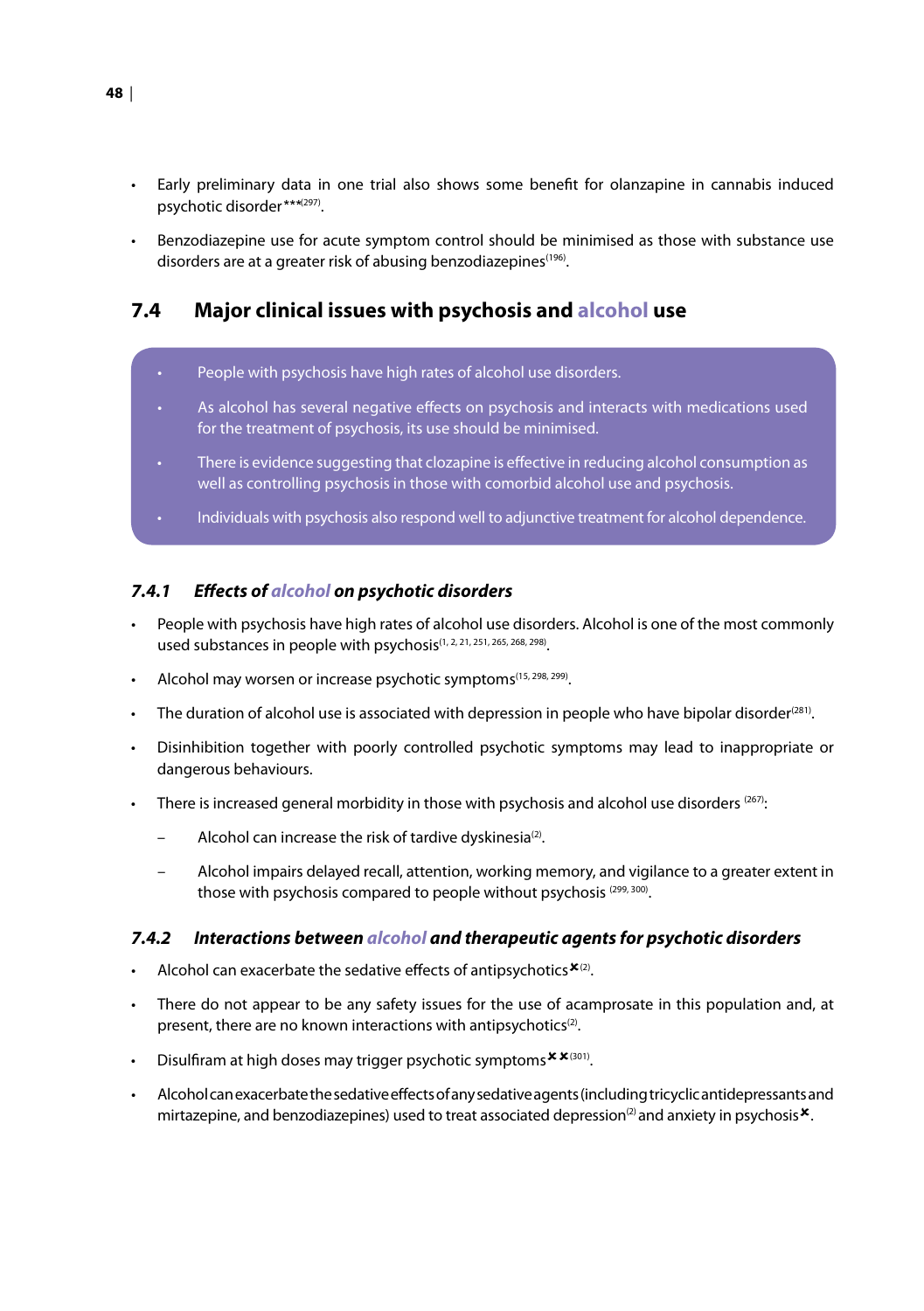- • Early preliminary data in one trial also shows some benefit for olanzapine in cannabis induced psychotic disorder*\*\*\**(297).
- Benzodiazepine use for acute symptom control should be minimised as those with substance use disorders are at a greater risk of abusing benzodiazepines<sup>(196)</sup>.

## **7.4 Major clinical issues with psychosis and alcohol use**

- People with psychosis have high rates of alcohol use disorders.
- As alcohol has several negative effects on psychosis and interacts with medications used for the treatment of psychosis, its use should be minimised.
- There is evidence suggesting that clozapine is effective in reducing alcohol consumption as well as controlling psychosis in those with comorbid alcohol use and psychosis.
- Individuals with psychosis also respond well to adjunctive treatment for alcohol dependence.

## *7.4.1 Effects of alcohol on psychotic disorders*

- People with psychosis have high rates of alcohol use disorders. Alcohol is one of the most commonly used substances in people with psychosis<sup>(1, 2, 21, 251, 265, 268, 298)</sup>.
- Alcohol may worsen or increase psychotic symptoms<sup>(15, 298, 299)</sup>.
- The duration of alcohol use is associated with depression in people who have bipolar disorder<sup>(281)</sup>.
- Disinhibition together with poorly controlled psychotic symptoms may lead to inappropriate or dangerous behaviours.
- There is increased general morbidity in those with psychosis and alcohol use disorders  $(267)$ :
	- Alcohol can increase the risk of tardive dyskinesia<sup>(2)</sup>.
	- Alcohol impairs delayed recall, attention, working memory, and vigilance to a greater extent in those with psychosis compared to people without psychosis (299, 300).

## *7.4.2 Interactions between alcohol and therapeutic agents for psychotic disorders*

- Alcohol can exacerbate the sedative effects of antipsychotics $x_{(2)}$ .
- There do not appear to be any safety issues for the use of acamprosate in this population and, at present, there are no known interactions with antipsychotics<sup>(2)</sup>.
- Disulfiram at high doses may trigger psychotic symptoms $x x$ <sup>(301)</sup>.
- Alcohol can exacerbate the sedative effects of any sedative agents (including tricyclic antidepressants and mirtazepine, and benzodiazepines) used to treat associated depression<sup>(2)</sup> and anxiety in psychosis $\mathbf{x}$ .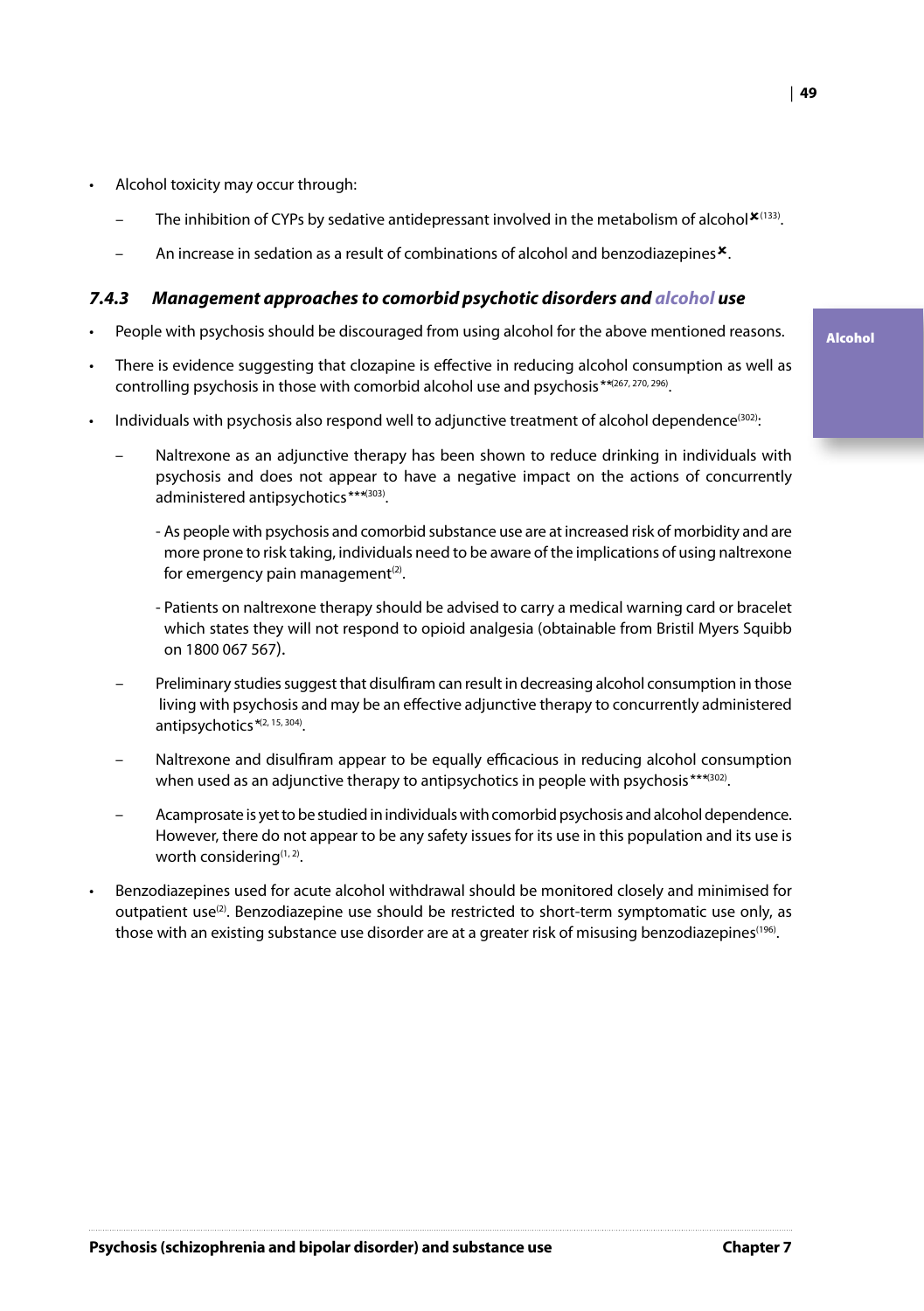- Alcohol toxicity may occur through:
	- The inhibition of CYPs by sedative antidepressant involved in the metabolism of alcohol $\mathbf{x}_{(133)}$ .
	- An increase in sedation as a result of combinations of alcohol and benzodiazepines $x$ .

### *7.4.3 Management approaches to comorbid psychotic disorders and alcohol use*

- People with psychosis should be discouraged from using alcohol for the above mentioned reasons.
- There is evidence suggesting that clozapine is effective in reducing alcohol consumption as well as controlling psychosis in those with comorbid alcohol use and psychosis<sup>\*\*(267, 270, 296)</sup>.
- Individuals with psychosis also respond well to adjunctive treatment of alcohol dependence<sup>(302)</sup>:
	- Naltrexone as an adjunctive therapy has been shown to reduce drinking in individuals with psychosis and does not appear to have a negative impact on the actions of concurrently administered antipsychotics*\*\*\**(303).
		- As people with psychosis and comorbid substance use are at increased risk of morbidity and are more prone to risk taking, individuals need to be aware of the implications of using naltrexone for emergency pain management $(2)$ .
		- Patients on naltrexone therapy should be advised to carry a medical warning card or bracelet which states they will not respond to opioid analgesia (obtainable from Bristil Myers Squibb on 1800 067 567).
	- Preliminary studies suggest that disulfiram can result in decreasing alcohol consumption in those living with psychosis and may be an effective adjunctive therapy to concurrently administered antipsychotics*\**(2, 15, 304).
	- Naltrexone and disulfiram appear to be equally efficacious in reducing alcohol consumption when used as an adjunctive therapy to antipsychotics in people with psychosis*\*\*\**(302).
	- Acamprosate is yet to be studied in individuals with comorbid psychosis and alcohol dependence. However, there do not appear to be any safety issues for its use in this population and its use is worth considering<sup>(1, 2)</sup>.
- Benzodiazepines used for acute alcohol withdrawal should be monitored closely and minimised for outpatient use<sup>(2)</sup>. Benzodiazepine use should be restricted to short-term symptomatic use only, as those with an existing substance use disorder are at a greater risk of misusing benzodiazepines<sup>(196)</sup>.

Alcohol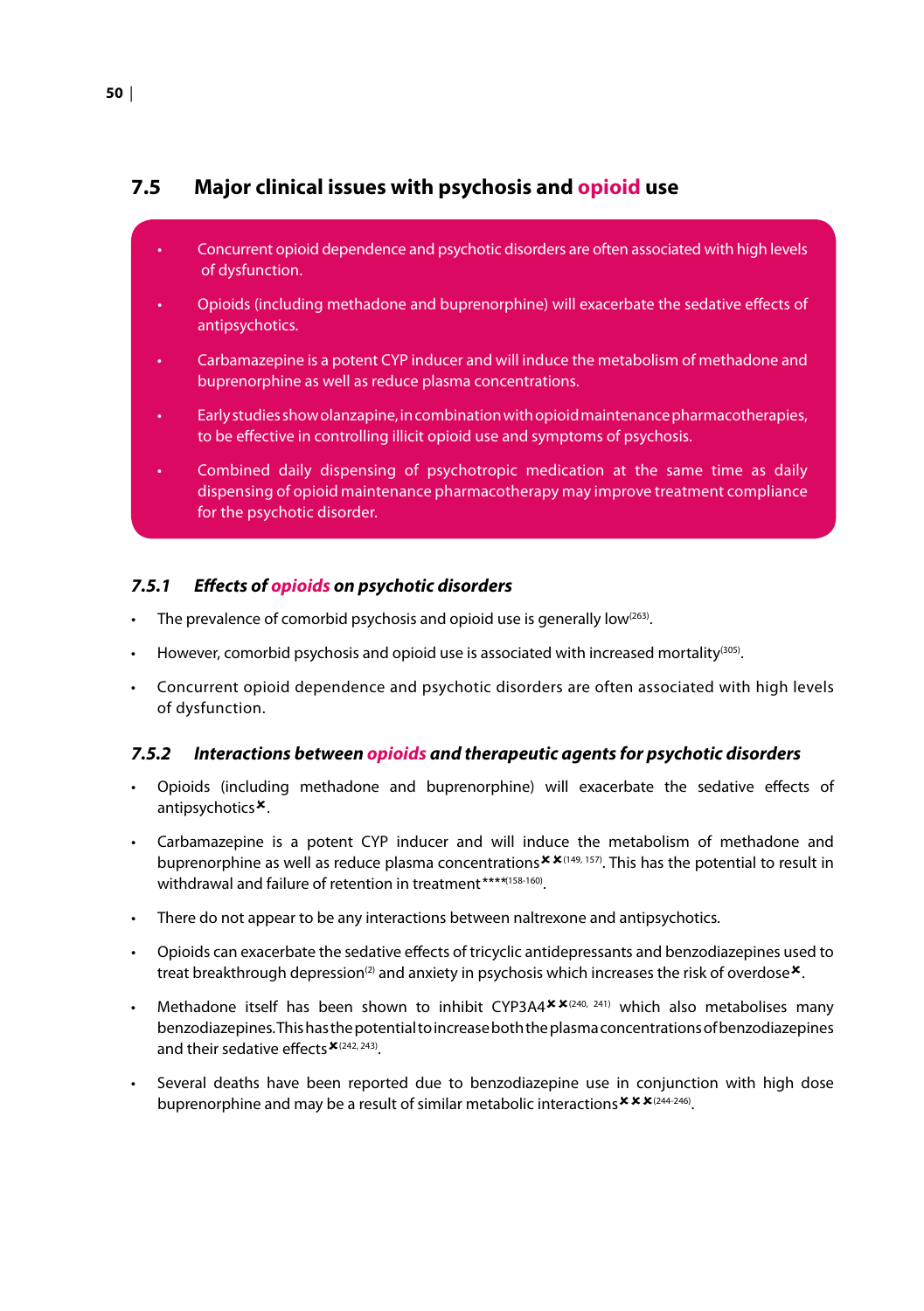## **7.5 Major clinical issues with psychosis and opioid use**

- Concurrent opioid dependence and psychotic disorders are often associated with high levels of dysfunction.
- • Opioids (including methadone and buprenorphine) will exacerbate the sedative effects of antipsychotics.
- Carbamazepine is a potent CYP inducer and will induce the metabolism of methadone and buprenorphine as well as reduce plasma concentrations.
- Early studies show olanzapine, in combination with opioid maintenance pharmacotherapies, to be effective in controlling illicit opioid use and symptoms of psychosis.
- Combined daily dispensing of psychotropic medication at the same time as daily dispensing of opioid maintenance pharmacotherapy may improve treatment compliance for the psychotic disorder.

## *7.5.1 Effects of opioids on psychotic disorders*

- The prevalence of comorbid psychosis and opioid use is generally low $(263)$ .
- However, comorbid psychosis and opioid use is associated with increased mortality<sup>(305)</sup>.
- Concurrent opioid dependence and psychotic disorders are often associated with high levels of dysfunction.

## *7.5.2 Interactions between opioids and therapeutic agents for psychotic disorders*

- Opioids (including methadone and buprenorphine) will exacerbate the sedative effects of antipsychotics $x$ .
- Carbamazepine is a potent CYP inducer and will induce the metabolism of methadone and buprenorphine as well as reduce plasma concentrations $\mathbf{x} \times (149, 157)$ . This has the potential to result in withdrawal and failure of retention in treatment<sup>\*\*\*\*</sup><sup>(158-160)</sup>.
- There do not appear to be any interactions between naltrexone and antipsychotics.
- • Opioids can exacerbate the sedative effects of tricyclic antidepressants and benzodiazepines used to treat breakthrough depression<sup>(2)</sup> and anxiety in psychosis which increases the risk of overdose<sup> $x$ </sup>.
- Methadone itself has been shown to inhibit CYP3A4 $\star \times 240$ , 241) which also metabolises many benzodiazepines. This has the potential to increase both the plasma concentrations of benzodiazepines and their sedative effects  $x$ <sup>(242, 243)</sup>.
- Several deaths have been reported due to benzodiazepine use in conjunction with high dose buprenorphine and may be a result of similar metabolic interactions  $\mathbf{x} \times \mathbf{x}_{(244-246)}$ .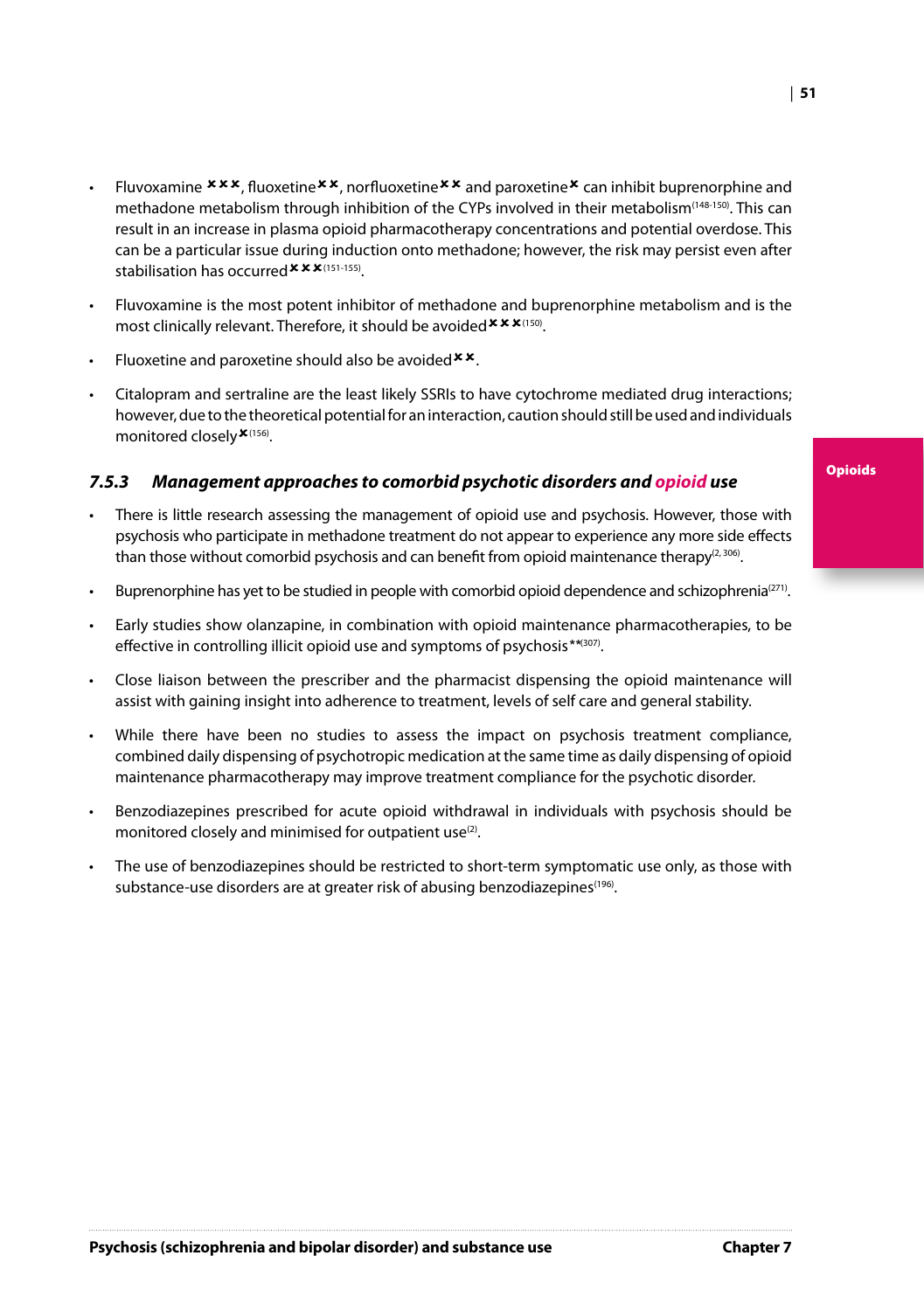- Fluvoxamine  $***$ , fluoxetine  $**$ , norfluoxetine  $***$  and paroxetine  $*$  can inhibit buprenorphine and methadone metabolism through inhibition of the CYPs involved in their metabolism(148-150). This can result in an increase in plasma opioid pharmacotherapy concentrations and potential overdose. This can be a particular issue during induction onto methadone; however, the risk may persist even after stabilisation has occurred  $x \times x$ <sup>(151-155)</sup>.
- Fluvoxamine is the most potent inhibitor of methadone and buprenorphine metabolism and is the most clinically relevant. Therefore, it should be avoided  $x \times x$ <sup>(150)</sup>.
- Fluoxetine and paroxetine should also be avoided $x \cdot x$ .
- • Citalopram and sertraline are the least likely SSRIs to have cytochrome mediated drug interactions; however, due to the theoretical potential for an interaction, caution should still be used and individuals monitored closely $x$ <sup>(156)</sup>.

### *7.5.3 Management approaches to comorbid psychotic disorders and opioid use*

- There is little research assessing the management of opioid use and psychosis. However, those with psychosis who participate in methadone treatment do not appear to experience any more side effects than those without comorbid psychosis and can benefit from opioid maintenance therapy<sup>(2, 306)</sup>.
- Buprenorphine has yet to be studied in people with comorbid opioid dependence and schizophrenia<sup>(271)</sup>.
- Early studies show olanzapine, in combination with opioid maintenance pharmacotherapies, to be effective in controlling illicit opioid use and symptoms of psychosis*\*\**(307).
- Close liaison between the prescriber and the pharmacist dispensing the opioid maintenance will assist with gaining insight into adherence to treatment, levels of self care and general stability.
- While there have been no studies to assess the impact on psychosis treatment compliance, combined daily dispensing of psychotropic medication at the same time as daily dispensing of opioid maintenance pharmacotherapy may improve treatment compliance for the psychotic disorder.
- Benzodiazepines prescribed for acute opioid withdrawal in individuals with psychosis should be monitored closely and minimised for outpatient use<sup>(2)</sup>.
- The use of benzodiazepines should be restricted to short-term symptomatic use only, as those with substance-use disorders are at greater risk of abusing benzodiazepines<sup>(196)</sup>.

Opioids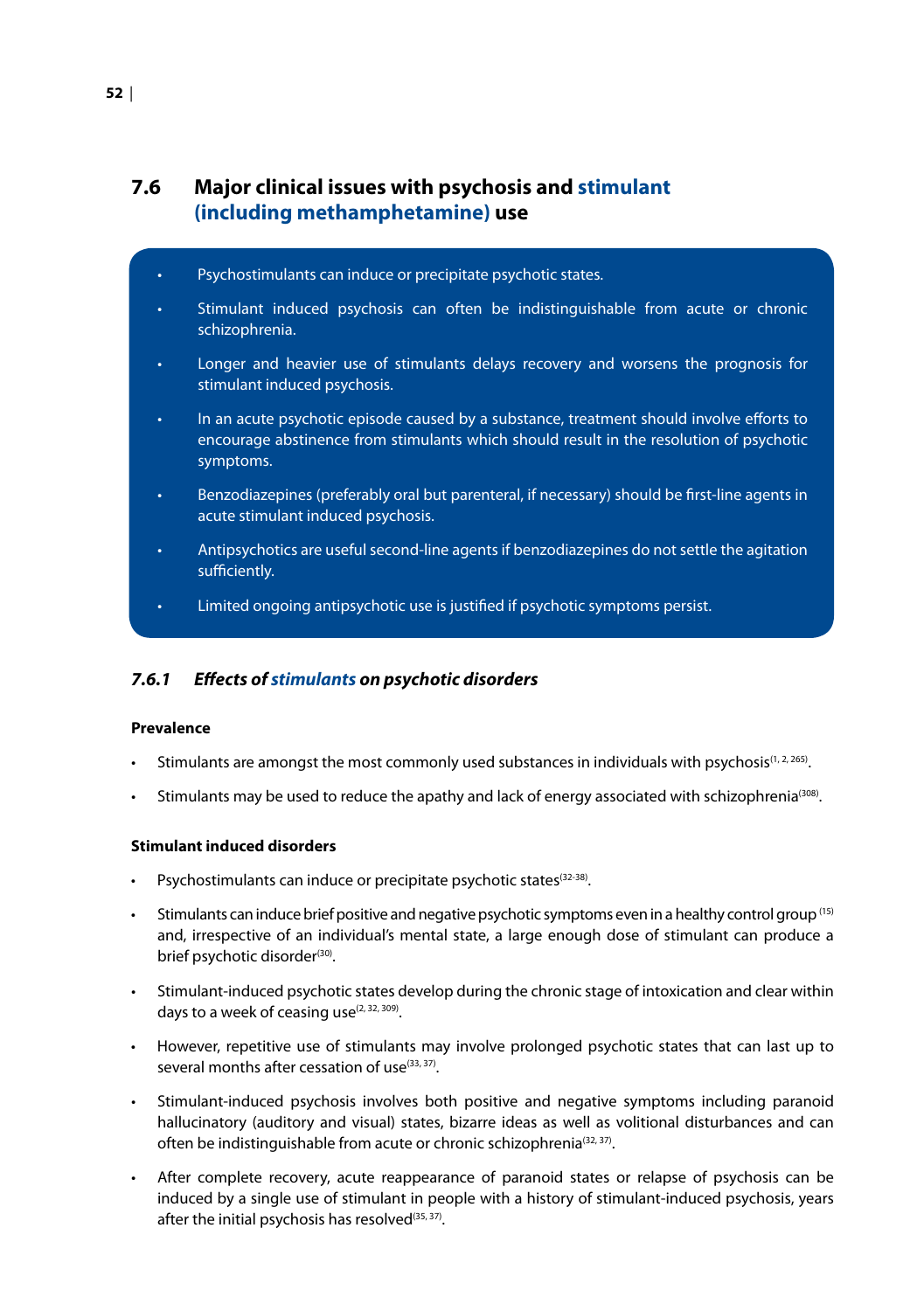## **7.6 Major clinical issues with psychosis and stimulant (including methamphetamine) use**

- Psychostimulants can induce or precipitate psychotic states.
- Stimulant induced psychosis can often be indistinguishable from acute or chronic schizophrenia.
- Longer and heavier use of stimulants delays recovery and worsens the prognosis for stimulant induced psychosis.
- In an acute psychotic episode caused by a substance, treatment should involve efforts to encourage abstinence from stimulants which should result in the resolution of psychotic symptoms.
- Benzodiazepines (preferably oral but parenteral, if necessary) should be first-line agents in acute stimulant induced psychosis.
- Antipsychotics are useful second-line agents if benzodiazepines do not settle the agitation sufficiently.
- Limited ongoing antipsychotic use is justified if psychotic symptoms persist.

## *7.6.1 Effects of stimulants on psychotic disorders*

#### **Prevalence**

- Stimulants are amongst the most commonly used substances in individuals with psychosis<sup>(1, 2, 265)</sup>.
- Stimulants may be used to reduce the apathy and lack of energy associated with schizophrenia<sup>(308)</sup>.

#### **Stimulant induced disorders**

- Psychostimulants can induce or precipitate psychotic states<sup>(32-38)</sup>.
- Stimulants can induce brief positive and negative psychotic symptoms even in a healthy control group<sup>(15)</sup> and, irrespective of an individual's mental state, a large enough dose of stimulant can produce a brief psychotic disorder<sup>(30)</sup>.
- Stimulant-induced psychotic states develop during the chronic stage of intoxication and clear within days to a week of ceasing use $(2, 32, 309)$ .
- • However, repetitive use of stimulants may involve prolonged psychotic states that can last up to several months after cessation of use $(33, 37)$ .
- Stimulant-induced psychosis involves both positive and negative symptoms including paranoid hallucinatory (auditory and visual) states, bizarre ideas as well as volitional disturbances and can often be indistinguishable from acute or chronic schizophrenia<sup>(32, 37)</sup>.
- After complete recovery, acute reappearance of paranoid states or relapse of psychosis can be induced by a single use of stimulant in people with a history of stimulant-induced psychosis, years after the initial psychosis has resolved $(35, 37)$ .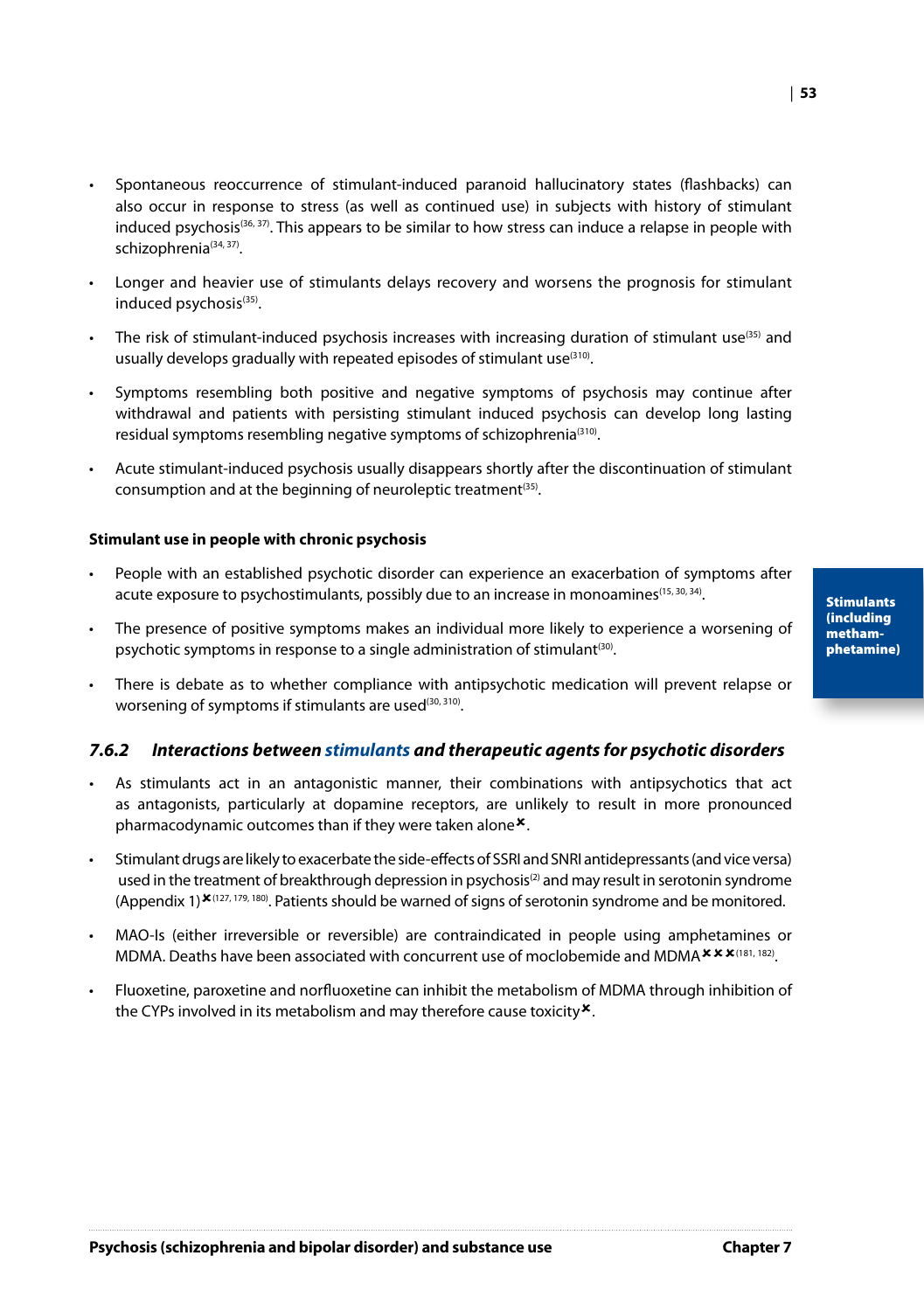- • Spontaneous reoccurrence of stimulant-induced paranoid hallucinatory states (flashbacks) can also occur in response to stress (as well as continued use) in subjects with history of stimulant induced psychosis<sup>(36, 37)</sup>. This appears to be similar to how stress can induce a relapse in people with schizophrenia<sup>(34, 37)</sup>.
- Longer and heavier use of stimulants delays recovery and worsens the prognosis for stimulant induced psychosis(35).
- The risk of stimulant-induced psychosis increases with increasing duration of stimulant use<sup>(35)</sup> and usually develops gradually with repeated episodes of stimulant use<sup>(310)</sup>.
- Symptoms resembling both positive and negative symptoms of psychosis may continue after withdrawal and patients with persisting stimulant induced psychosis can develop long lasting residual symptoms resembling negative symptoms of schizophrenia<sup>(310)</sup>.
- Acute stimulant-induced psychosis usually disappears shortly after the discontinuation of stimulant consumption and at the beginning of neuroleptic treatment<sup>(35)</sup>.

#### **Stimulant use in people with chronic psychosis**

- People with an established psychotic disorder can experience an exacerbation of symptoms after acute exposure to psychostimulants, possibly due to an increase in monoamines<sup>(15, 30, 34)</sup>.
- The presence of positive symptoms makes an individual more likely to experience a worsening of psychotic symptoms in response to a single administration of stimulant<sup>(30)</sup>.
- There is debate as to whether compliance with antipsychotic medication will prevent relapse or worsening of symptoms if stimulants are used $(30, 310)$ .

### *7.6.2 Interactions between stimulants and therapeutic agents for psychotic disorders*

- As stimulants act in an antagonistic manner, their combinations with antipsychotics that act as antagonists, particularly at dopamine receptors, are unlikely to result in more pronounced pharmacodynamic outcomes than if they were taken alone $x$ .
- Stimulant drugs are likely to exacerbate the side-effects of SSRI and SNRI antidepressants (and vice versa) used in the treatment of breakthrough depression in psychosis<sup>(2)</sup> and may result in serotonin syndrome (Appendix 1) $\mathbf{x}$ (127, 179, 180). Patients should be warned of signs of serotonin syndrome and be monitored.
- MAO-Is (either irreversible or reversible) are contraindicated in people using amphetamines or MDMA. Deaths have been associated with concurrent use of moclobemide and MDMA $\star \star \star \text{m1, 182}$ .
- Fluoxetine, paroxetine and norfluoxetine can inhibit the metabolism of MDMA through inhibition of the CYPs involved in its metabolism and may therefore cause toxicity $x$ .

**Stimulants** (including methamphetamine)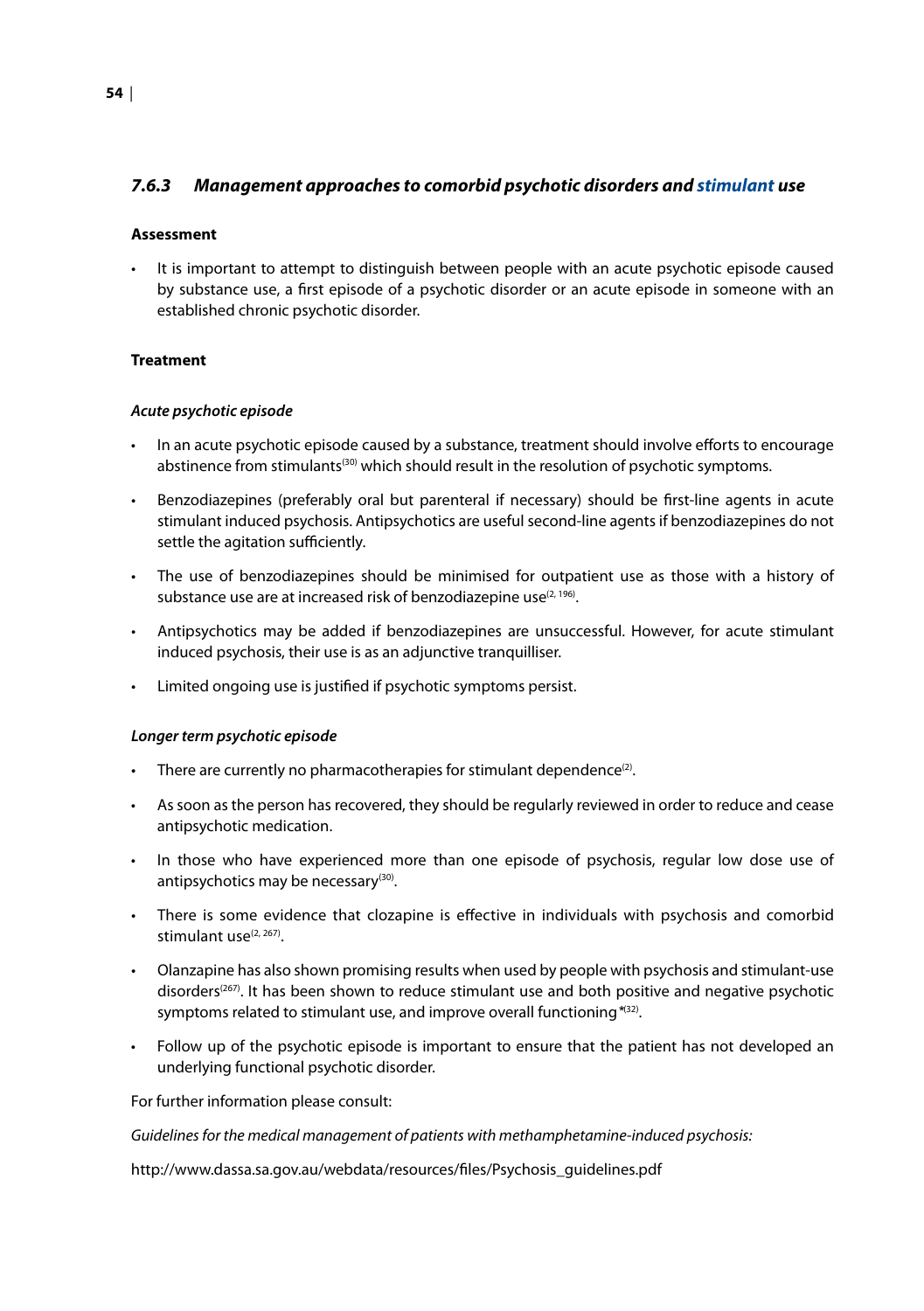## *7.6.3 Management approaches to comorbid psychotic disorders and stimulant use*

#### **Assessment**

It is important to attempt to distinguish between people with an acute psychotic episode caused by substance use, a first episode of a psychotic disorder or an acute episode in someone with an established chronic psychotic disorder.

#### **Treatment**

#### *Acute psychotic episode*

- In an acute psychotic episode caused by a substance, treatment should involve efforts to encourage abstinence from stimulants<sup>(30)</sup> which should result in the resolution of psychotic symptoms.
- Benzodiazepines (preferably oral but parenteral if necessary) should be first-line agents in acute stimulant induced psychosis. Antipsychotics are useful second-line agents if benzodiazepines do not settle the agitation sufficiently.
- The use of benzodiazepines should be minimised for outpatient use as those with a history of substance use are at increased risk of benzodiazepine use $(2, 196)$ .
- • Antipsychotics may be added if benzodiazepines are unsuccessful. However, for acute stimulant induced psychosis, their use is as an adjunctive tranquilliser.
- Limited ongoing use is justified if psychotic symptoms persist.

#### *Longer term psychotic episode*

- There are currently no pharmacotherapies for stimulant dependence<sup>(2)</sup>.
- As soon as the person has recovered, they should be regularly reviewed in order to reduce and cease antipsychotic medication.
- In those who have experienced more than one episode of psychosis, regular low dose use of antipsychotics may be necessary<sup>(30)</sup>.
- There is some evidence that clozapine is effective in individuals with psychosis and comorbid stimulant use<sup>(2, 267)</sup>.
- Olanzapine has also shown promising results when used by people with psychosis and stimulant-use disorders<sup>(267)</sup>. It has been shown to reduce stimulant use and both positive and negative psychotic symptoms related to stimulant use, and improve overall functioning<sup>\*(32)</sup>.
- Follow up of the psychotic episode is important to ensure that the patient has not developed an underlying functional psychotic disorder.

For further information please consult:

*Guidelines for the medical management of patients with methamphetamine-induced psychosis:*

http://www.dassa.sa.gov.au/webdata/resources/files/Psychosis\_guidelines.pdf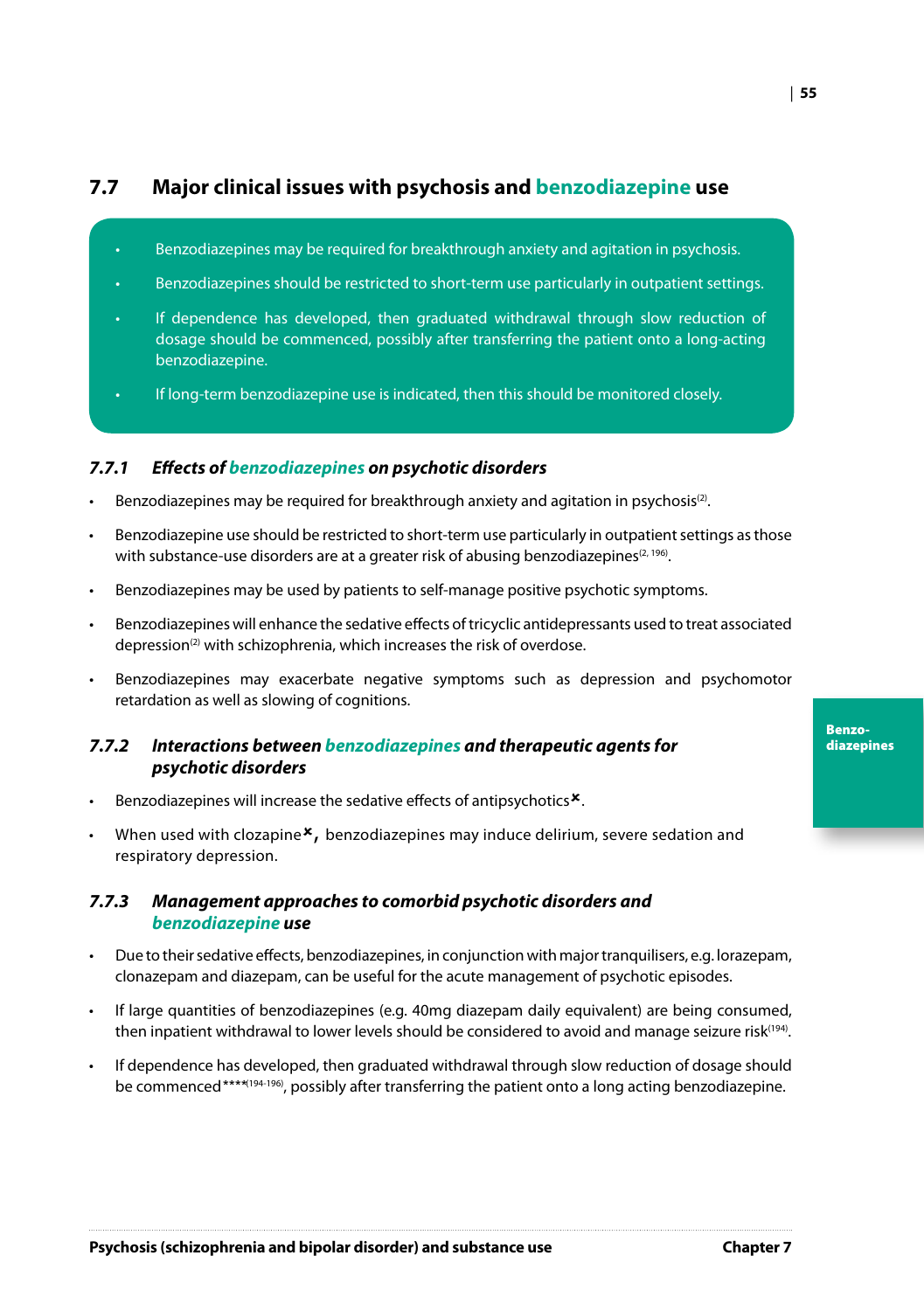## **7.7 Major clinical issues with psychosis and benzodiazepine use**

- Benzodiazepines may be required for breakthrough anxiety and agitation in psychosis.
- Benzodiazepines should be restricted to short-term use particularly in outpatient settings.
- If dependence has developed, then graduated withdrawal through slow reduction of dosage should be commenced, possibly after transferring the patient onto a long-acting benzodiazepine.
- If long-term benzodiazepine use is indicated, then this should be monitored closely.

## *7.7.1 Effects of benzodiazepines on psychotic disorders*

- Benzodiazepines may be required for breakthrough anxiety and agitation in psychosis<sup>(2)</sup>.
- Benzodiazepine use should be restricted to short-term use particularly in outpatient settings as those with substance-use disorders are at a greater risk of abusing benzodiazepines<sup>(2, 196)</sup>.
- Benzodiazepines may be used by patients to self-manage positive psychotic symptoms.
- Benzodiazepines will enhance the sedative effects of tricyclic antidepressants used to treat associated depression<sup>(2)</sup> with schizophrenia, which increases the risk of overdose.
- Benzodiazepines may exacerbate negative symptoms such as depression and psychomotor retardation as well as slowing of cognitions.

## *7.7.2 Interactions between benzodiazepines and therapeutic agents for psychotic disorders*

- Benzodiazepines will increase the sedative effects of antipsychotics $x$ .
- When used with clozapine $\boldsymbol{\ast}$ , benzodiazepines may induce delirium, severe sedation and respiratory depression.

## *7.7.3 Management approaches to comorbid psychotic disorders and benzodiazepine use*

- Due to their sedative effects, benzodiazepines, in conjunction with major tranquilisers, e.g. lorazepam, clonazepam and diazepam, can be useful for the acute management of psychotic episodes.
- If large quantities of benzodiazepines (e.g. 40mg diazepam daily equivalent) are being consumed, then inpatient withdrawal to lower levels should be considered to avoid and manage seizure risk<sup>(194)</sup>.
- If dependence has developed, then graduated withdrawal through slow reduction of dosage should be commenced*\*\*\*\**(194-196), possibly after transferring the patient onto a long acting benzodiazepine.

Benzodiazepines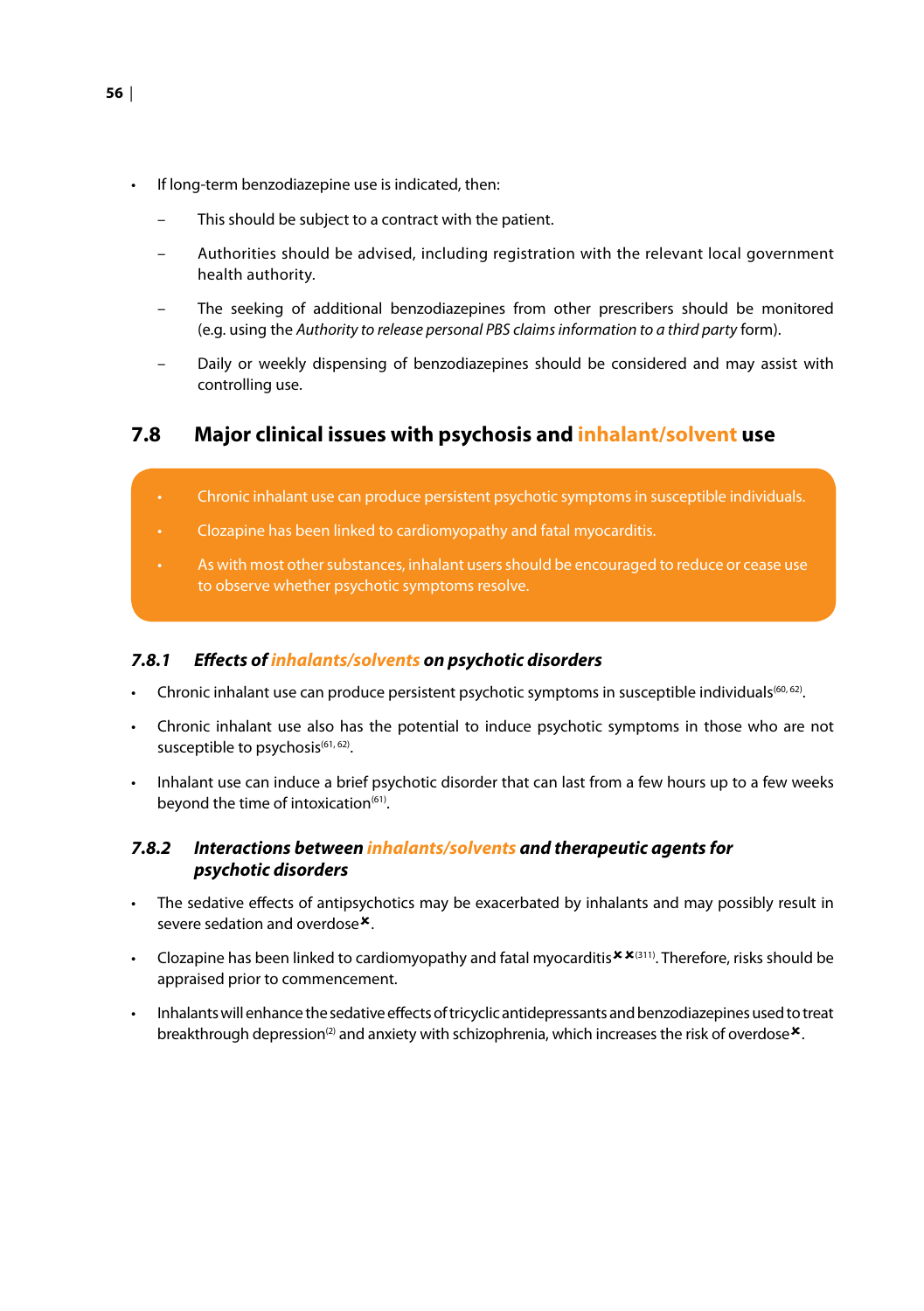- • If long-term benzodiazepine use is indicated, then:
	- This should be subject to a contract with the patient.
	- Authorities should be advised, including registration with the relevant local government health authority.
	- The seeking of additional benzodiazepines from other prescribers should be monitored (e.g. using the *Authority to release personal PBS claims information to a third party* form).
	- Daily or weekly dispensing of benzodiazepines should be considered and may assist with controlling use.

## **7.8 Major clinical issues with psychosis and inhalant/solvent use**

- Chronic inhalant use can produce persistent psychotic symptoms in susceptible individuals.
- Clozapine has been linked to cardiomyopathy and fatal myocarditis.
- As with most other substances, inhalant users should be encouraged to reduce or cease use to observe whether psychotic symptoms resolve.

#### *7.8.1 Effects of inhalants/solvents on psychotic disorders*

- Chronic inhalant use can produce persistent psychotic symptoms in susceptible individuals<sup>(60, 62)</sup>.
- • Chronic inhalant use also has the potential to induce psychotic symptoms in those who are not susceptible to psychosis<sup>(61, 62)</sup>.
- Inhalant use can induce a brief psychotic disorder that can last from a few hours up to a few weeks beyond the time of intoxication<sup>(61)</sup>.

### *7.8.2 Interactions between inhalants/solvents and therapeutic agents for psychotic disorders*

- The sedative effects of antipsychotics may be exacerbated by inhalants and may possibly result in severe sedation and overdose $x$ .
- Clozapine has been linked to cardiomyopathy and fatal myocarditis  $\star \star$   $\star$ <sup>(311)</sup>. Therefore, risks should be appraised prior to commencement.
- Inhalants will enhance the sedative effects of tricyclic antidepressants and benzodiazepines used to treat breakthrough depression<sup>(2)</sup> and anxiety with schizophrenia, which increases the risk of overdose<sup> $\mathbf{x}$ </sup>.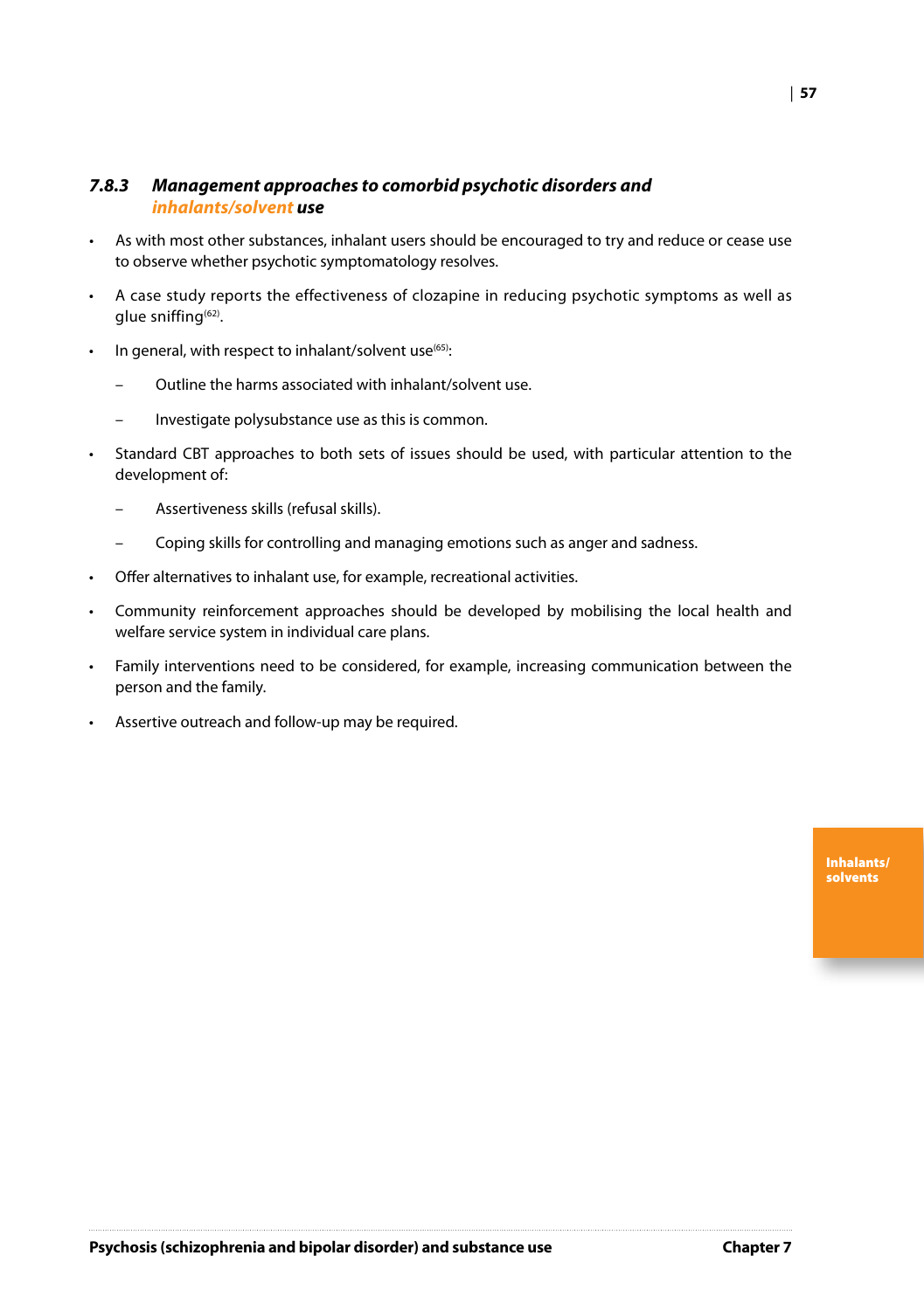## *7.8.3 Management approaches to comorbid psychotic disorders and inhalants/solvent use*

- • As with most other substances, inhalant users should be encouraged to try and reduce or cease use to observe whether psychotic symptomatology resolves.
- • A case study reports the effectiveness of clozapine in reducing psychotic symptoms as well as glue sniffing<sup>(62)</sup>.
- In general, with respect to inhalant/solvent use<sup> $(65)$ </sup>:
	- Outline the harms associated with inhalant/solvent use.
	- Investigate polysubstance use as this is common.
- Standard CBT approaches to both sets of issues should be used, with particular attention to the development of:
	- Assertiveness skills (refusal skills).
	- Coping skills for controlling and managing emotions such as anger and sadness.
- • Offer alternatives to inhalant use, for example, recreational activities.
- Community reinforcement approaches should be developed by mobilising the local health and welfare service system in individual care plans.
- • Family interventions need to be considered, for example, increasing communication between the person and the family.
- Assertive outreach and follow-up may be required.

Inhalants/ solvents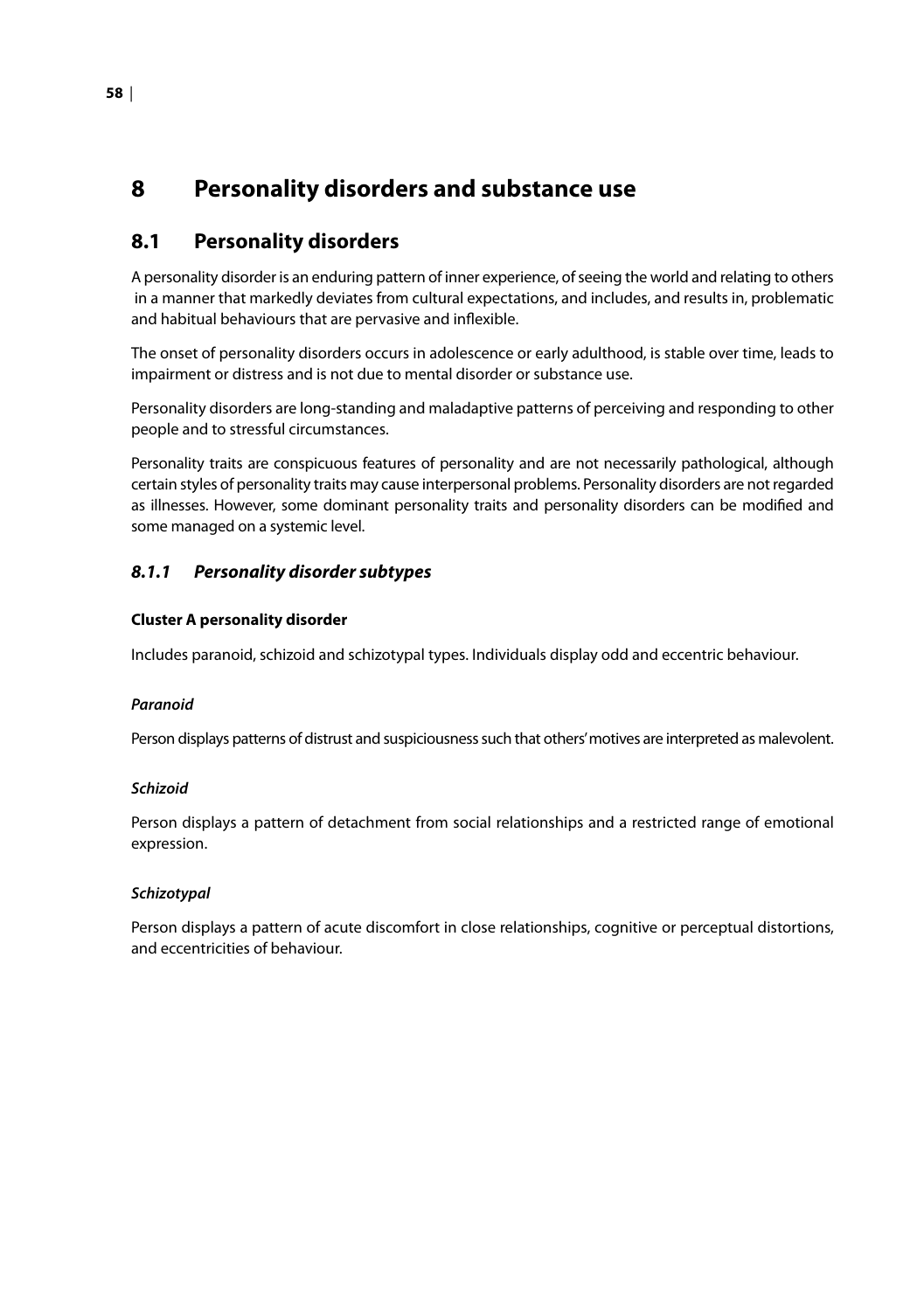# **8 Personality disorders and substance use**

## **8.1 Personality disorders**

A personality disorder is an enduring pattern of inner experience, of seeing the world and relating to others in a manner that markedly deviates from cultural expectations, and includes, and results in, problematic and habitual behaviours that are pervasive and inflexible.

The onset of personality disorders occurs in adolescence or early adulthood, is stable over time, leads to impairment or distress and is not due to mental disorder or substance use.

Personality disorders are long-standing and maladaptive patterns of perceiving and responding to other people and to stressful circumstances.

Personality traits are conspicuous features of personality and are not necessarily pathological, although certain styles of personality traits may cause interpersonal problems. Personality disorders are not regarded as illnesses. However, some dominant personality traits and personality disorders can be modified and some managed on a systemic level.

## *8.1.1 Personality disorder subtypes*

#### **Cluster A personality disorder**

Includes paranoid, schizoid and schizotypal types. Individuals display odd and eccentric behaviour.

#### *Paranoid*

Person displays patterns of distrust and suspiciousness such that others' motives are interpreted as malevolent.

#### *Schizoid*

Person displays a pattern of detachment from social relationships and a restricted range of emotional expression.

#### *Schizotypal*

Person displays a pattern of acute discomfort in close relationships, cognitive or perceptual distortions, and eccentricities of behaviour.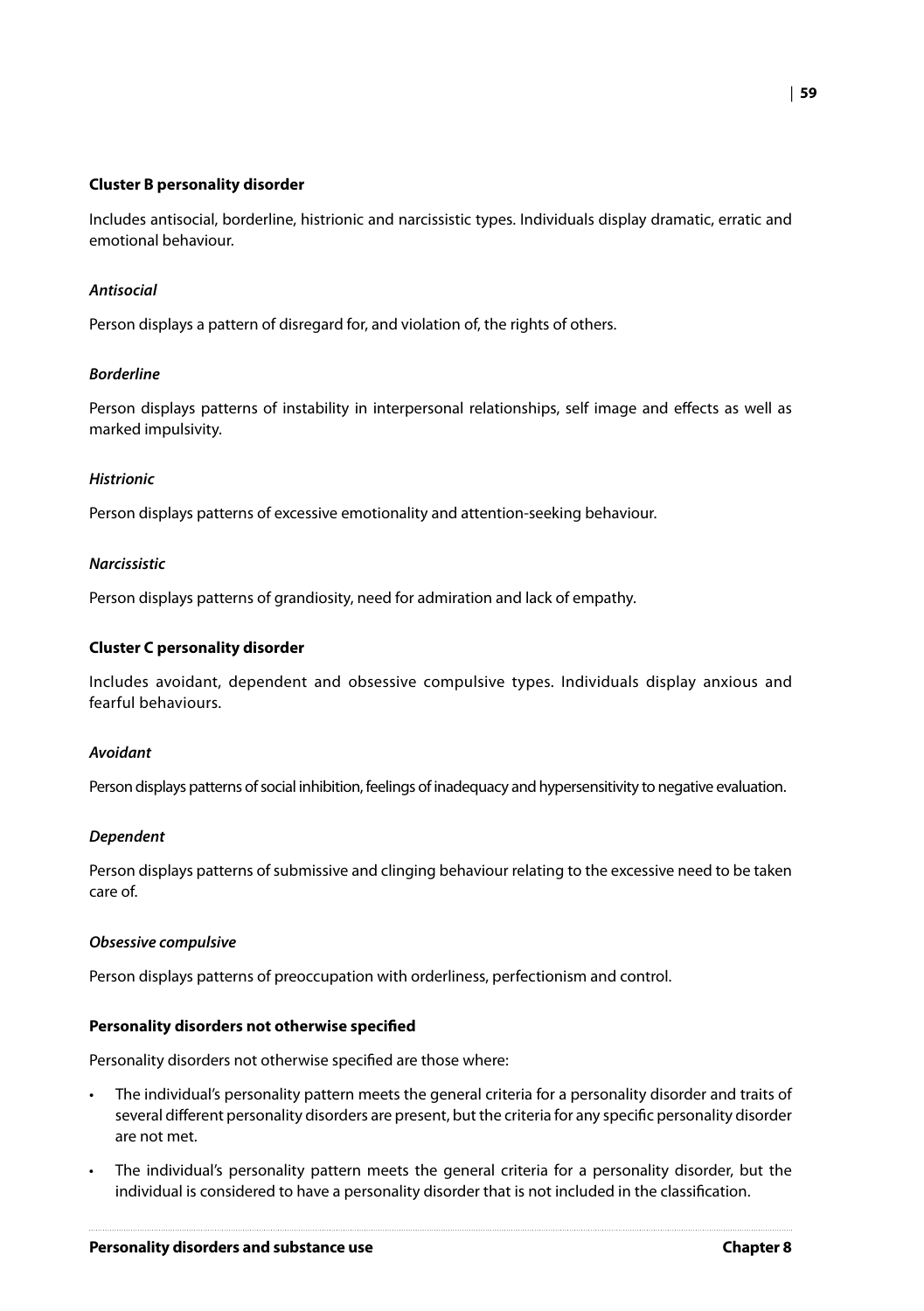#### **Cluster B personality disorder**

Includes antisocial, borderline, histrionic and narcissistic types. Individuals display dramatic, erratic and emotional behaviour.

#### *Antisocial*

Person displays a pattern of disregard for, and violation of, the rights of others.

#### *Borderline*

Person displays patterns of instability in interpersonal relationships, self image and effects as well as marked impulsivity.

#### *Histrionic*

Person displays patterns of excessive emotionality and attention-seeking behaviour.

#### *Narcissistic*

Person displays patterns of grandiosity, need for admiration and lack of empathy.

#### **Cluster C personality disorder**

Includes avoidant, dependent and obsessive compulsive types. Individuals display anxious and fearful behaviours.

#### *Avoidant*

Person displays patterns of social inhibition, feelings of inadequacy and hypersensitivity to negative evaluation.

#### *Dependent*

Person displays patterns of submissive and clinging behaviour relating to the excessive need to be taken care of.

#### *Obsessive compulsive*

Person displays patterns of preoccupation with orderliness, perfectionism and control.

#### **Personality disorders not otherwise specified**

Personality disorders not otherwise specified are those where:

- • The individual's personality pattern meets the general criteria for a personality disorder and traits of several different personality disorders are present, but the criteria for any specific personality disorder are not met.
- The individual's personality pattern meets the general criteria for a personality disorder, but the individual is considered to have a personality disorder that is not included in the classification.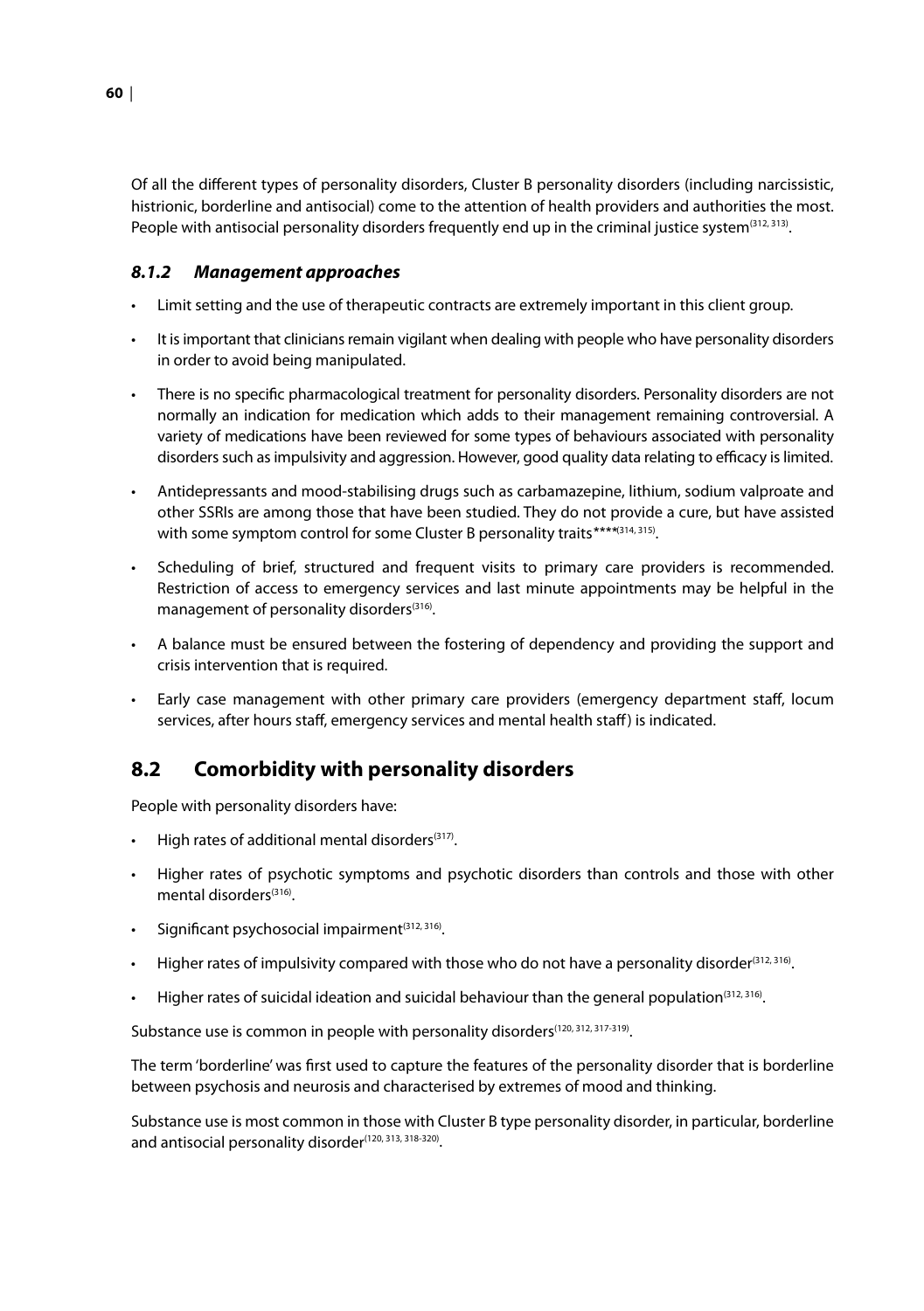Of all the different types of personality disorders, Cluster B personality disorders (including narcissistic, histrionic, borderline and antisocial) come to the attention of health providers and authorities the most. People with antisocial personality disorders frequently end up in the criminal justice system(312, 313).

## *8.1.2 Management approaches*

- Limit setting and the use of therapeutic contracts are extremely important in this client group.
- It is important that clinicians remain vigilant when dealing with people who have personality disorders in order to avoid being manipulated.
- There is no specific pharmacological treatment for personality disorders. Personality disorders are not normally an indication for medication which adds to their management remaining controversial. A variety of medications have been reviewed for some types of behaviours associated with personality disorders such as impulsivity and aggression. However, good quality data relating to efficacy is limited.
- • Antidepressants and mood-stabilising drugs such as carbamazepine, lithium, sodium valproate and other SSRIs are among those that have been studied. They do not provide a cure, but have assisted with some symptom control for some Cluster B personality traits*\*\*\*\**(314, 315).
- Scheduling of brief, structured and frequent visits to primary care providers is recommended. Restriction of access to emergency services and last minute appointments may be helpful in the management of personality disorders<sup>(316)</sup>.
- A balance must be ensured between the fostering of dependency and providing the support and crisis intervention that is required.
- Early case management with other primary care providers (emergency department staff, locum services, after hours staff, emergency services and mental health staff) is indicated.

## **8.2 Comorbidity with personality disorders**

People with personality disorders have:

- High rates of additional mental disorders $(317)$ .
- Higher rates of psychotic symptoms and psychotic disorders than controls and those with other mental disorders<sup>(316)</sup>.
- Significant psychosocial impairment<sup>(312, 316)</sup>.
- Higher rates of impulsivity compared with those who do not have a personality disorder<sup>(312, 316)</sup>.
- Higher rates of suicidal ideation and suicidal behaviour than the general population  $(312, 316)$ .

Substance use is common in people with personality disorders<sup>(120, 312, 317-319)</sup>.

The term 'borderline' was first used to capture the features of the personality disorder that is borderline between psychosis and neurosis and characterised by extremes of mood and thinking.

Substance use is most common in those with Cluster B type personality disorder, in particular, borderline and antisocial personality disorder<sup>(120, 313, 318-320)</sup>.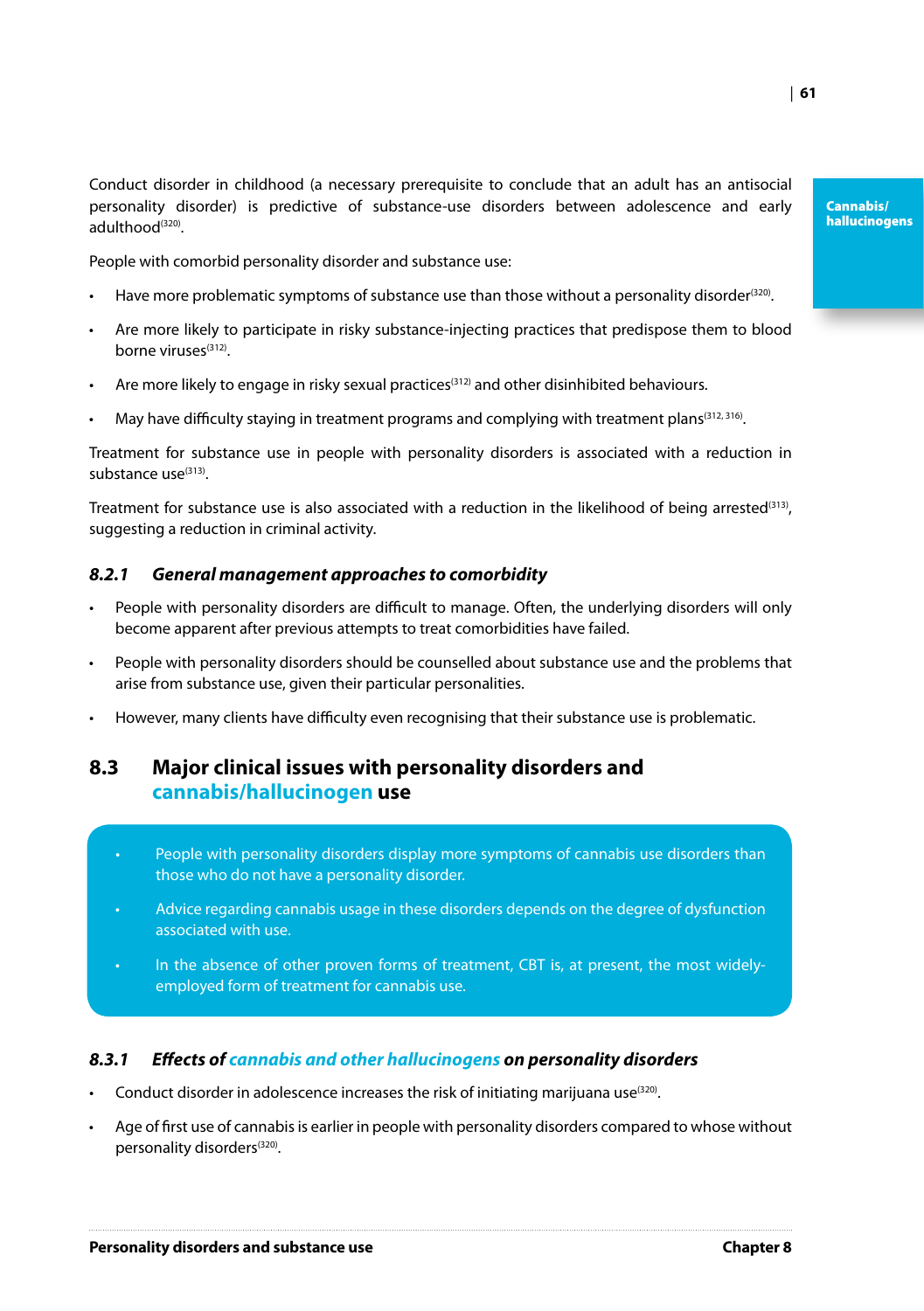Cannabis/ hallucinogens

Conduct disorder in childhood (a necessary prerequisite to conclude that an adult has an antisocial personality disorder) is predictive of substance-use disorders between adolescence and early adulthood<sup>(320)</sup>.

People with comorbid personality disorder and substance use:

- Have more problematic symptoms of substance use than those without a personality disorder<sup>(320)</sup>.
- Are more likely to participate in risky substance-injecting practices that predispose them to blood borne viruses<sup>(312)</sup>.
- Are more likely to engage in risky sexual practices<sup>(312)</sup> and other disinhibited behaviours.
- May have difficulty staying in treatment programs and complying with treatment plans<sup>(312, 316)</sup>.

Treatment for substance use in people with personality disorders is associated with a reduction in substance use<sup>(313)</sup>.

Treatment for substance use is also associated with a reduction in the likelihood of being arrested<sup>(313)</sup>, suggesting a reduction in criminal activity.

### *8.2.1 General management approaches to comorbidity*

- People with personality disorders are difficult to manage. Often, the underlying disorders will only become apparent after previous attempts to treat comorbidities have failed.
- People with personality disorders should be counselled about substance use and the problems that arise from substance use, given their particular personalities.
- • However, many clients have difficulty even recognising that their substance use is problematic.

# **8.3 Major clinical issues with personality disorders and cannabis/hallucinogen use**

- People with personality disorders display more symptoms of cannabis use disorders than those who do not have a personality disorder.
- Advice regarding cannabis usage in these disorders depends on the degree of dysfunction associated with use.
- In the absence of other proven forms of treatment, CBT is, at present, the most widelyemployed form of treatment for cannabis use.

### *8.3.1 Effects of cannabis and other hallucinogens on personality disorders*

- Conduct disorder in adolescence increases the risk of initiating marijuana use $(320)$ .
- Age of first use of cannabis is earlier in people with personality disorders compared to whose without personality disorders(320).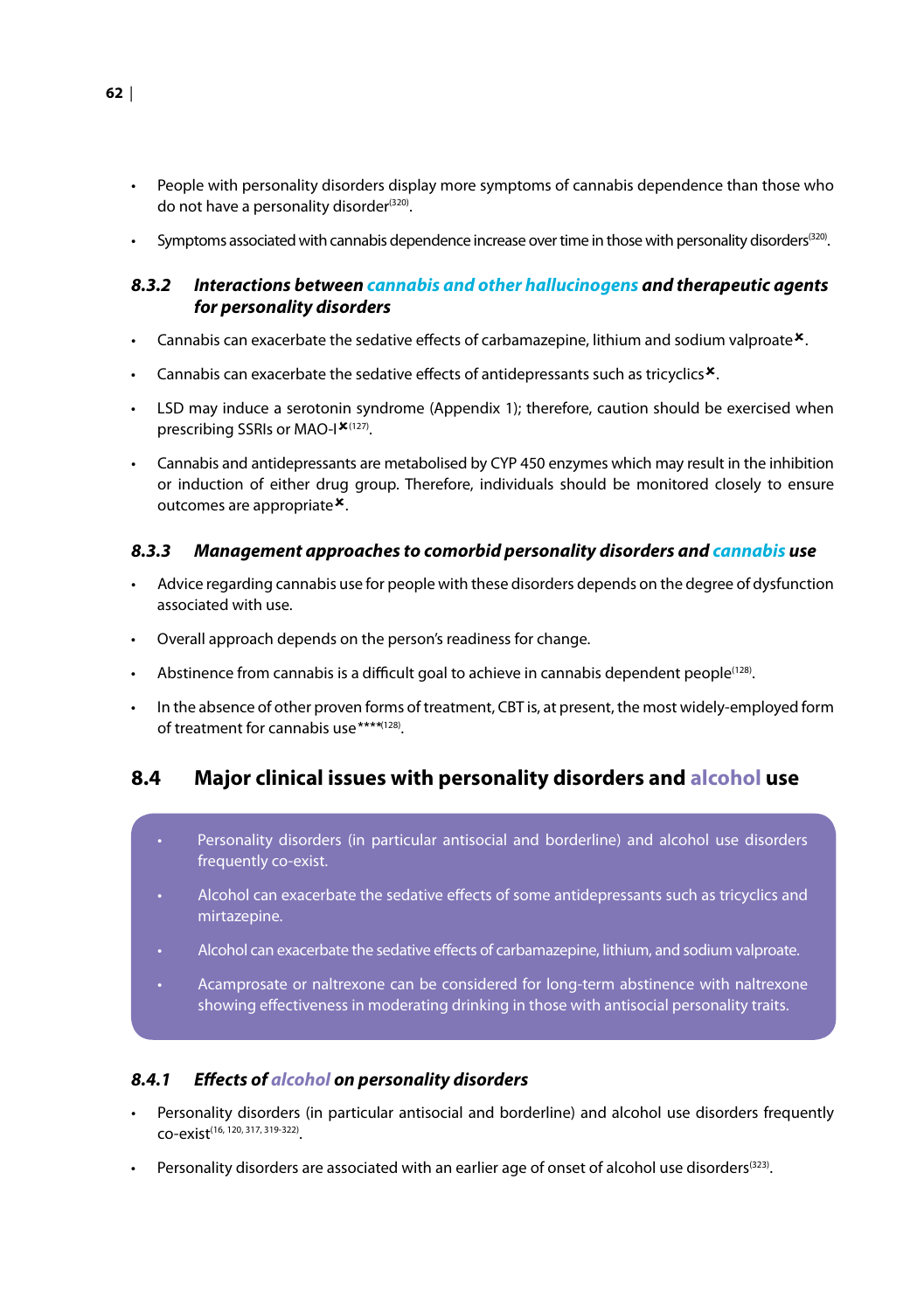- • People with personality disorders display more symptoms of cannabis dependence than those who do not have a personality disorder<sup>(320)</sup>.
- Symptoms associated with cannabis dependence increase over time in those with personality disorders<sup>(320)</sup>.

# *8.3.2 Interactions between cannabis and other hallucinogens and therapeutic agents for personality disorders*

- Cannabis can exacerbate the sedative effects of carbamazepine, lithium and sodium valproate $\mathbf{x}$ .
- Cannabis can exacerbate the sedative effects of antidepressants such as tricyclics $x$ .
- LSD may induce a serotonin syndrome (Appendix 1); therefore, caution should be exercised when prescribing SSRIs or MAO-I<sup>X(127)</sup>.
- • Cannabis and antidepressants are metabolised by CYP 450 enzymes which may result in the inhibition or induction of either drug group. Therefore, individuals should be monitored closely to ensure outcomes are appropriate $x$ .

## *8.3.3 Management approaches to comorbid personality disorders and cannabis use*

- Advice regarding cannabis use for people with these disorders depends on the degree of dysfunction associated with use.
- • Overall approach depends on the person's readiness for change.
- Abstinence from cannabis is a difficult goal to achieve in cannabis dependent people<sup>(128)</sup>.
- In the absence of other proven forms of treatment, CBT is, at present, the most widely-employed form of treatment for cannabis use*\*\*\*\**(128).

# **8.4 Major clinical issues with personality disorders and alcohol use**

- Personality disorders (in particular antisocial and borderline) and alcohol use disorders frequently co-exist.
- Alcohol can exacerbate the sedative effects of some antidepressants such as tricyclics and mirtazepine.
- Alcohol can exacerbate the sedative effects of carbamazepine, lithium, and sodium valproate.
- Acamprosate or naltrexone can be considered for long-term abstinence with naltrexone showing effectiveness in moderating drinking in those with antisocial personality traits.

### *8.4.1 Effects of alcohol on personality disorders*

- Personality disorders (in particular antisocial and borderline) and alcohol use disorders frequently co-exist(16, 120, 317, 319-322).
- Personality disorders are associated with an earlier age of onset of alcohol use disorders<sup>(323)</sup>.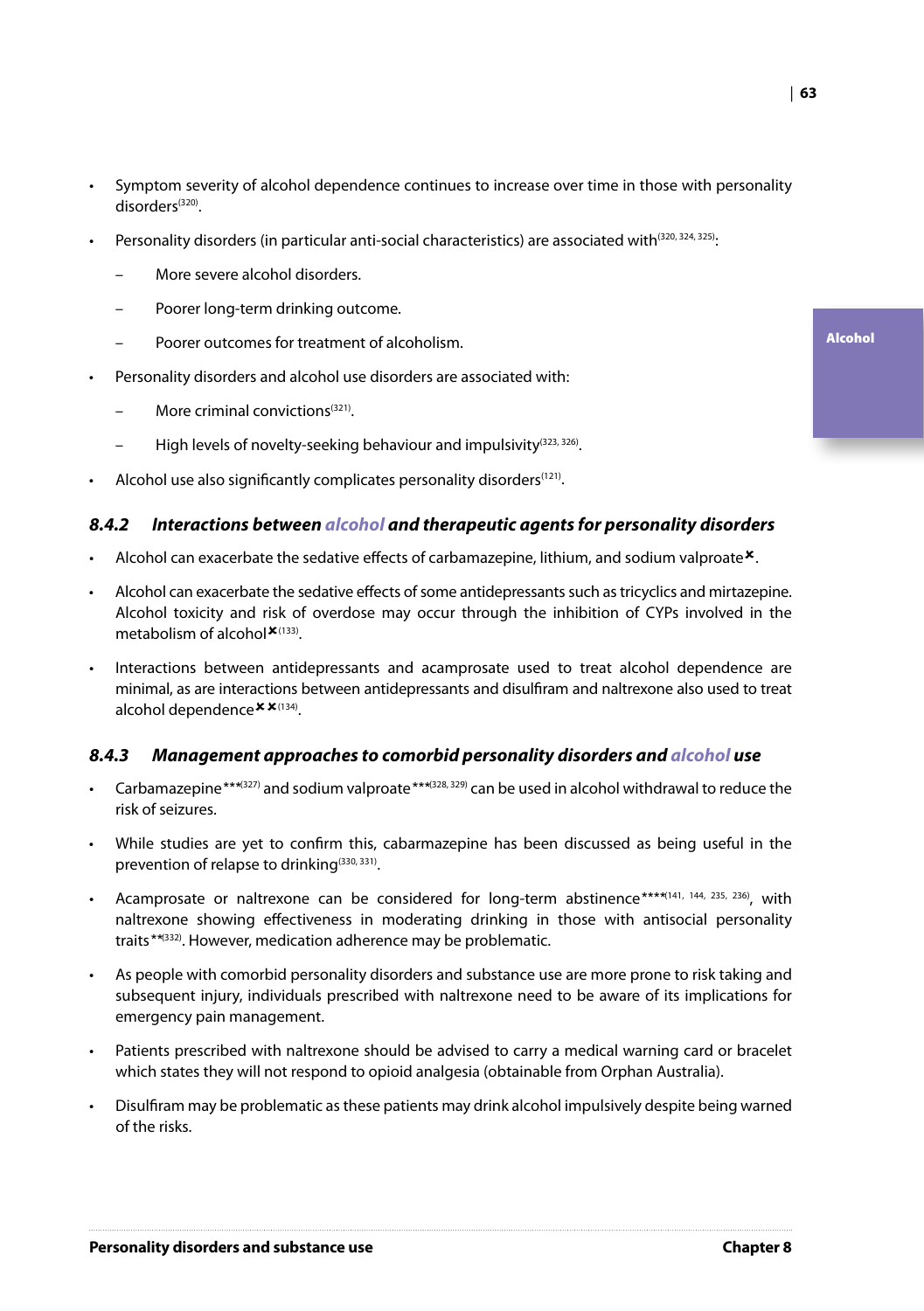- Symptom severity of alcohol dependence continues to increase over time in those with personality disorders(320).
- Personality disorders (in particular anti-social characteristics) are associated with $(320, 324, 325)$ :
	- More severe alcohol disorders.
	- Poorer long-term drinking outcome.
	- Poorer outcomes for treatment of alcoholism.
- • Personality disorders and alcohol use disorders are associated with:
	- More criminal convictions<sup>(321)</sup>.
	- High levels of novelty-seeking behaviour and impulsivity<sup>(323, 326)</sup>.
- Alcohol use also significantly complicates personality disorders $(121)$ .

### *8.4.2 Interactions between alcohol and therapeutic agents for personality disorders*

- Alcohol can exacerbate the sedative effects of carbamazepine, lithium, and sodium valproate $\mathbf{x}$ .
- Alcohol can exacerbate the sedative effects of some antidepressants such as tricyclics and mirtazepine. Alcohol toxicity and risk of overdose may occur through the inhibition of CYPs involved in the metabolism of alcohol $\mathbf{x}$ <sup>(133)</sup>.
- Interactions between antidepressants and acamprosate used to treat alcohol dependence are minimal, as are interactions between antidepressants and disulfiram and naltrexone also used to treat alcohol dependence  $x x_{(134)}$ .

### *8.4.3 Management approaches to comorbid personality disorders and alcohol use*

- Carbamazepine<sup>\*\*\*(327)</sup> and sodium valproate<sup>\*\*\*(328, 329)</sup> can be used in alcohol withdrawal to reduce the risk of seizures.
- • While studies are yet to confirm this, cabarmazepine has been discussed as being useful in the prevention of relapse to drinking<sup>(330, 331)</sup>.
- Acamprosate or naltrexone can be considered for long-term abstinence<sup>\*\*\*\*</sup>(141, 144, 235, 236), with naltrexone showing effectiveness in moderating drinking in those with antisocial personality traits*\*\**(332). However, medication adherence may be problematic.
- As people with comorbid personality disorders and substance use are more prone to risk taking and subsequent injury, individuals prescribed with naltrexone need to be aware of its implications for emergency pain management.
- • Patients prescribed with naltrexone should be advised to carry a medical warning card or bracelet which states they will not respond to opioid analgesia (obtainable from Orphan Australia).
- Disulfiram may be problematic as these patients may drink alcohol impulsively despite being warned of the risks.

Alcohol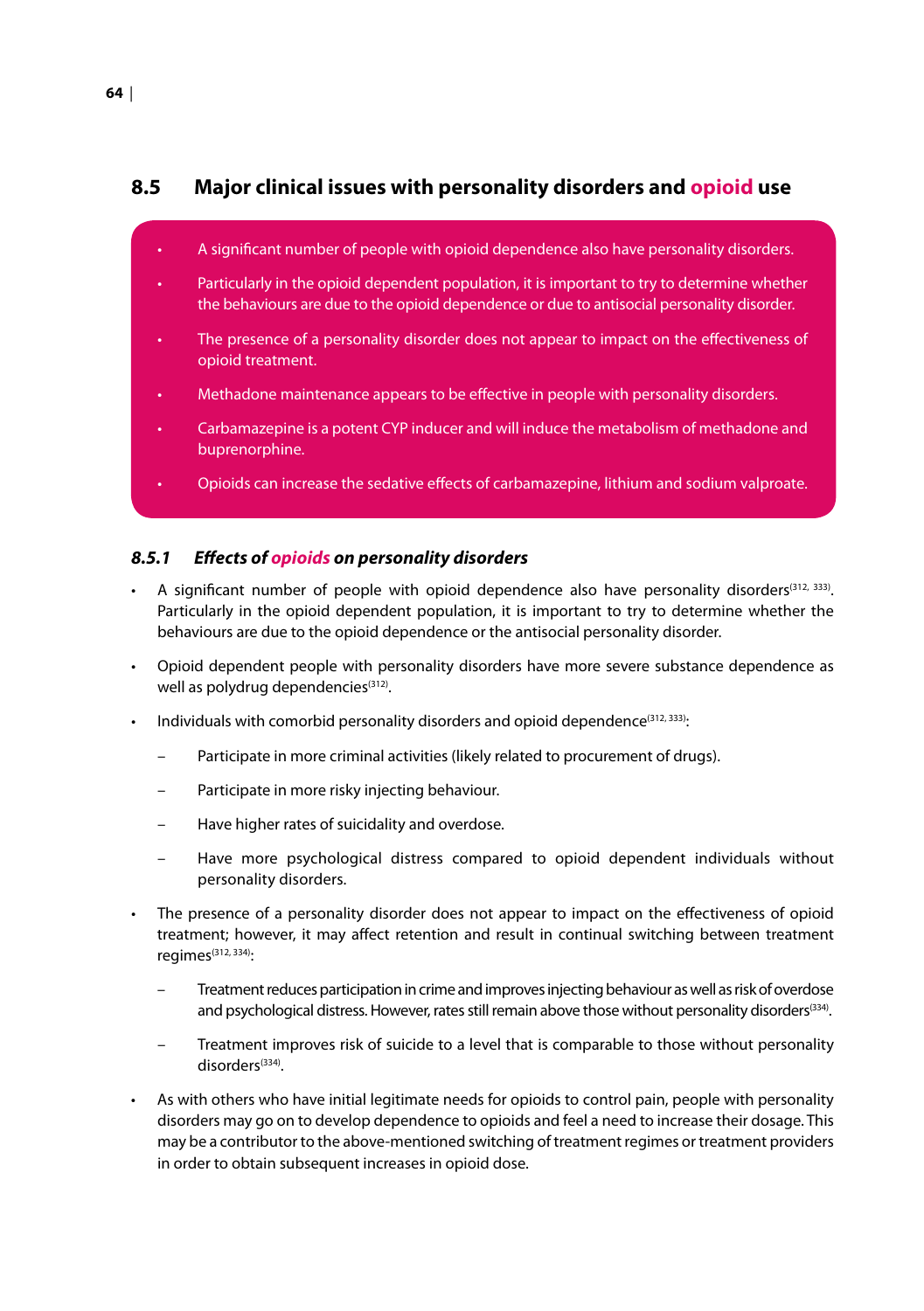# **8.5 Major clinical issues with personality disorders and opioid use**

- A significant number of people with opioid dependence also have personality disorders.
- Particularly in the opioid dependent population, it is important to try to determine whether the behaviours are due to the opioid dependence or due to antisocial personality disorder.
- The presence of a personality disorder does not appear to impact on the effectiveness of opioid treatment.
- Methadone maintenance appears to be effective in people with personality disorders.
- Carbamazepine is a potent CYP inducer and will induce the metabolism of methadone and buprenorphine.
- Opioids can increase the sedative effects of carbamazepine, lithium and sodium valproate.

### *8.5.1 Effects of opioids on personality disorders*

- A significant number of people with opioid dependence also have personality disorders<sup>(312, 333)</sup>. Particularly in the opioid dependent population, it is important to try to determine whether the behaviours are due to the opioid dependence or the antisocial personality disorder.
- Opioid dependent people with personality disorders have more severe substance dependence as well as polydrug dependencies<sup>(312)</sup>.
- Individuals with comorbid personality disorders and opioid dependence<sup>(312, 333)</sup>:
	- Participate in more criminal activities (likely related to procurement of drugs).
	- Participate in more risky injecting behaviour.
	- Have higher rates of suicidality and overdose.
	- Have more psychological distress compared to opioid dependent individuals without personality disorders.
- The presence of a personality disorder does not appear to impact on the effectiveness of opioid treatment; however, it may affect retention and result in continual switching between treatment regimes $(312, 334)$ :
	- Treatment reduces participation in crime and improves injecting behaviour as well as risk of overdose and psychological distress. However, rates still remain above those without personality disorders<sup>(334)</sup>.
	- Treatment improves risk of suicide to a level that is comparable to those without personality disorders(334).
- As with others who have initial legitimate needs for opioids to control pain, people with personality disorders may go on to develop dependence to opioids and feel a need to increase their dosage. This may be a contributor to the above-mentioned switching of treatment regimes or treatment providers in order to obtain subsequent increases in opioid dose.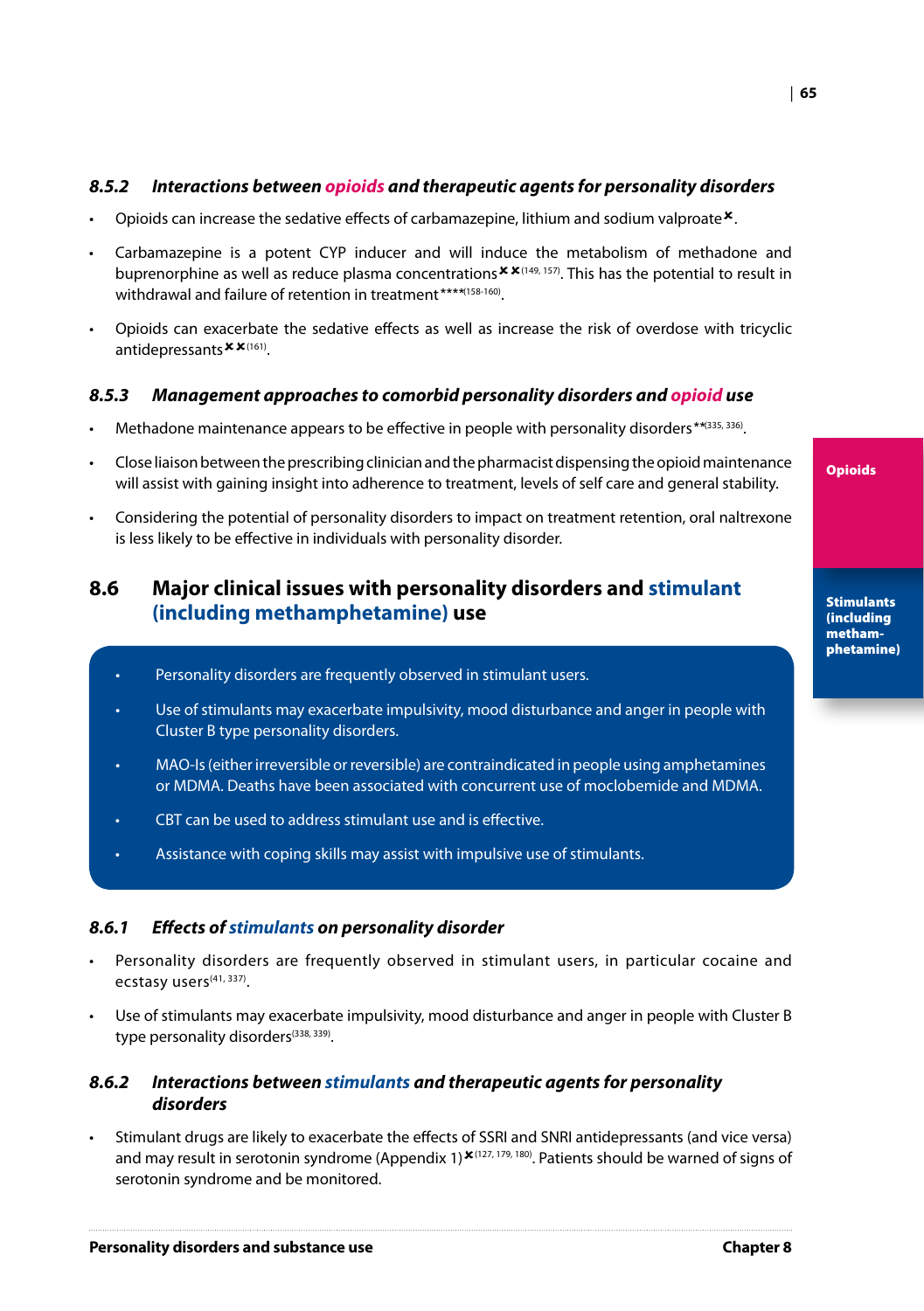### *8.5.2 Interactions between opioids and therapeutic agents for personality disorders*

- Opioids can increase the sedative effects of carbamazepine, lithium and sodium valproate $\mathbf{x}$ .
- Carbamazepine is a potent CYP inducer and will induce the metabolism of methadone and buprenorphine as well as reduce plasma concentrations  $\mathbf{x}$   $\mathbf{x}$ <sup>(149, 157)</sup>. This has the potential to result in withdrawal and failure of retention in treatment*\*\*\*\**(158-160).
- Opioids can exacerbate the sedative effects as well as increase the risk of overdose with tricyclic antidepressants<sup>xx(161)</sup>.

## *8.5.3 Management approaches to comorbid personality disorders and opioid use*

- Methadone maintenance appears to be effective in people with personality disorders<sup>\*\*(335, 336)</sup>.
- Close liaison between the prescribing clinician and the pharmacist dispensing the opioid maintenance will assist with gaining insight into adherence to treatment, levels of self care and general stability.
- • Considering the potential of personality disorders to impact on treatment retention, oral naltrexone is less likely to be effective in individuals with personality disorder.

# **8.6 Major clinical issues with personality disorders and stimulant (including methamphetamine) use**

- Personality disorders are frequently observed in stimulant users.
- Use of stimulants may exacerbate impulsivity, mood disturbance and anger in people with Cluster B type personality disorders.
- MAO-Is (either irreversible or reversible) are contraindicated in people using amphetamines or MDMA. Deaths have been associated with concurrent use of moclobemide and MDMA.
- CBT can be used to address stimulant use and is effective.
- Assistance with coping skills may assist with impulsive use of stimulants.

### *8.6.1 Effects of stimulants on personality disorder*

- Personality disorders are frequently observed in stimulant users, in particular cocaine and ecstasy users<sup>(41, 337)</sup>.
- Use of stimulants may exacerbate impulsivity, mood disturbance and anger in people with Cluster B type personality disorders<sup>(338, 339)</sup>.

### *8.6.2 Interactions between stimulants and therapeutic agents for personality disorders*

Stimulant drugs are likely to exacerbate the effects of SSRI and SNRI antidepressants (and vice versa) and may result in serotonin syndrome (Appendix 1) $x^{127, 179, 180}$ . Patients should be warned of signs of serotonin syndrome and be monitored.

**Stimulants** (including methamphetamine)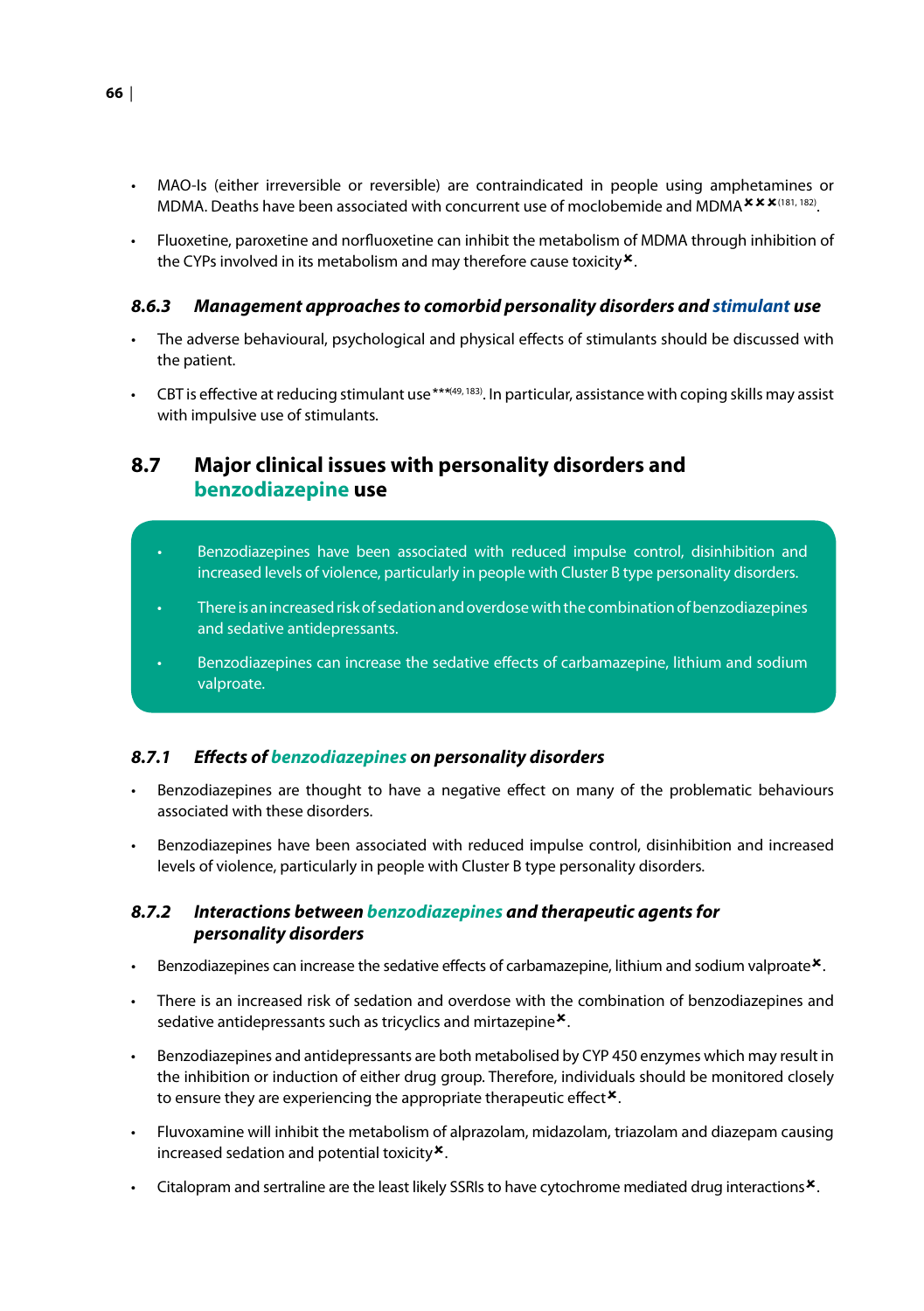- • MAO-Is (either irreversible or reversible) are contraindicated in people using amphetamines or MDMA. Deaths have been associated with concurrent use of moclobemide and MDMA $\star \star \star \text{{}^{(181, 182)}}$ .
- Fluoxetine, paroxetine and norfluoxetine can inhibit the metabolism of MDMA through inhibition of the CYPs involved in its metabolism and may therefore cause toxicity $x$ .

### *8.6.3 Management approaches to comorbid personality disorders and stimulant use*

- The adverse behavioural, psychological and physical effects of stimulants should be discussed with the patient.
- • CBT is effective at reducing stimulant use*\*\*\**(49, 183). In particular, assistance with coping skills may assist with impulsive use of stimulants.

# **8.7 Major clinical issues with personality disorders and benzodiazepine use**

- Benzodiazepines have been associated with reduced impulse control, disinhibition and increased levels of violence, particularly in people with Cluster B type personality disorders.
- There is an increased risk of sedation and overdose with the combination of benzodiazepines and sedative antidepressants.
- Benzodiazepines can increase the sedative effects of carbamazepine, lithium and sodium valproate.

### *8.7.1 Effects of benzodiazepines on personality disorders*

- Benzodiazepines are thought to have a negative effect on many of the problematic behaviours associated with these disorders.
- Benzodiazepines have been associated with reduced impulse control, disinhibition and increased levels of violence, particularly in people with Cluster B type personality disorders.

### *8.7.2 Interactions between benzodiazepines and therapeutic agents for personality disorders*

- Benzodiazepines can increase the sedative effects of carbamazepine, lithium and sodium valproate<sup>x</sup>.
- There is an increased risk of sedation and overdose with the combination of benzodiazepines and sedative antidepressants such as tricyclics and mirtazepine $x$ .
- Benzodiazepines and antidepressants are both metabolised by CYP 450 enzymes which may result in the inhibition or induction of either drug group. Therefore, individuals should be monitored closely to ensure they are experiencing the appropriate therapeutic effect $x$ .
- Fluvoxamine will inhibit the metabolism of alprazolam, midazolam, triazolam and diazepam causing increased sedation and potential toxicity $x$ .
- Citalopram and sertraline are the least likely SSRIs to have cytochrome mediated drug interactions.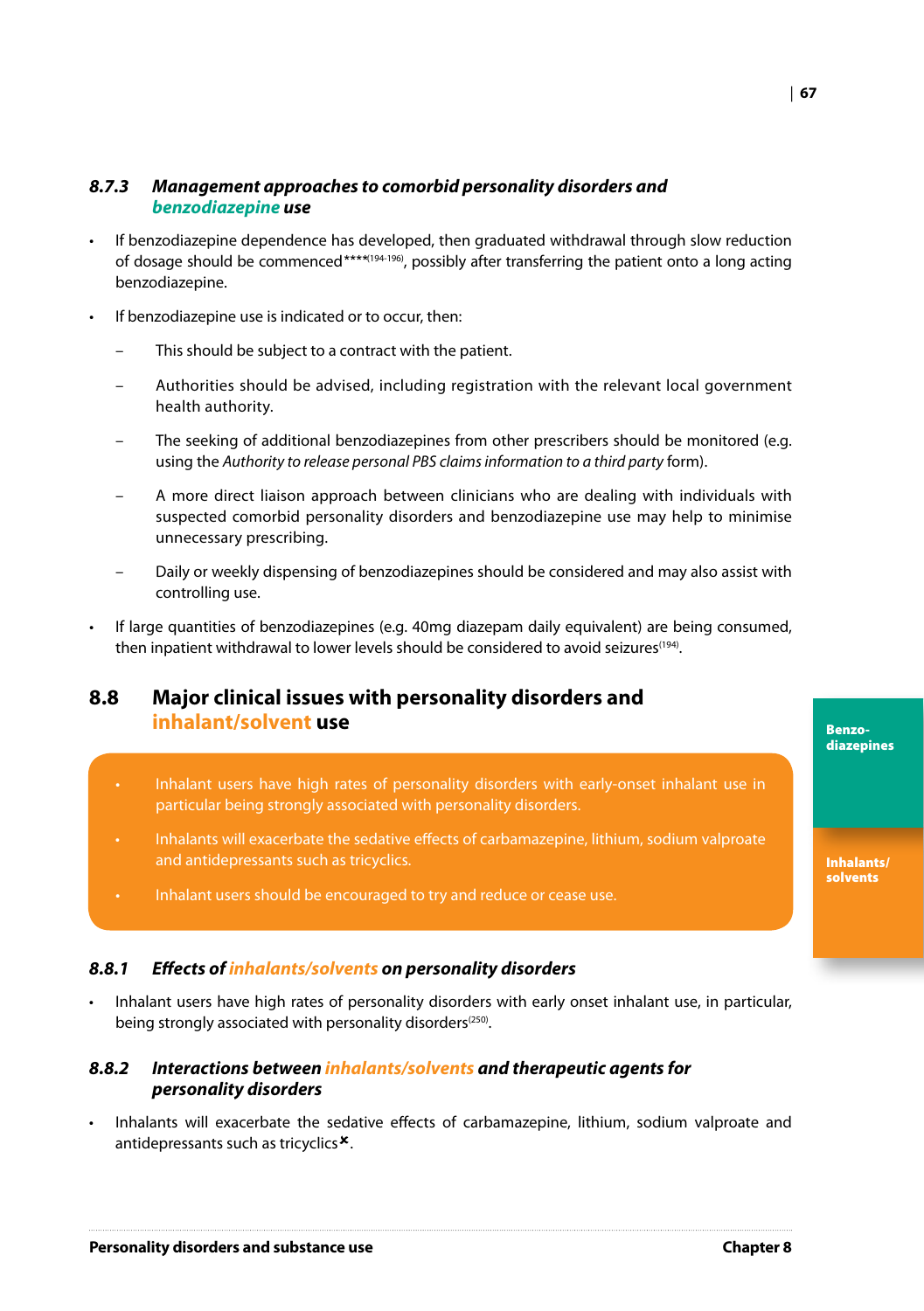## *8.7.3 Management approaches to comorbid personality disorders and benzodiazepine use*

- If benzodiazepine dependence has developed, then graduated withdrawal through slow reduction of dosage should be commenced*\*\*\*\**(194-196), possibly after transferring the patient onto a long acting benzodiazepine.
- • If benzodiazepine use is indicated or to occur, then:
	- This should be subject to a contract with the patient.
	- Authorities should be advised, including registration with the relevant local government health authority.
	- The seeking of additional benzodiazepines from other prescribers should be monitored (e.g. using the *Authority to release personal PBS claims information to a third party* form).
	- A more direct liaison approach between clinicians who are dealing with individuals with suspected comorbid personality disorders and benzodiazepine use may help to minimise unnecessary prescribing.
	- Daily or weekly dispensing of benzodiazepines should be considered and may also assist with controlling use.
- If large quantities of benzodiazepines (e.g. 40mg diazepam daily equivalent) are being consumed, then inpatient withdrawal to lower levels should be considered to avoid seizures<sup>(194)</sup>.

# **8.8 Major clinical issues with personality disorders and inhalant/solvent use**

- Inhalant users have high rates of personality disorders with early-onset inhalant use in particular being strongly associated with personality disorders.
- Inhalants will exacerbate the sedative effects of carbamazepine, lithium, sodium valproate and antidepressants such as tricyclics.
- Inhalant users should be encouraged to try and reduce or cease use.

### *8.8.1 Effects of inhalants/solvents on personality disorders*

Inhalant users have high rates of personality disorders with early onset inhalant use, in particular, being strongly associated with personality disorders<sup>(250)</sup>.

### *8.8.2 Interactions between inhalants/solvents and therapeutic agents for personality disorders*

Inhalants will exacerbate the sedative effects of carbamazepine, lithium, sodium valproate and antidepressants such as tricyclics $x$ .

| **67**

Benzodiazepines

Inhalants/ solvents

**Personality disorders and substance use Chapter 8**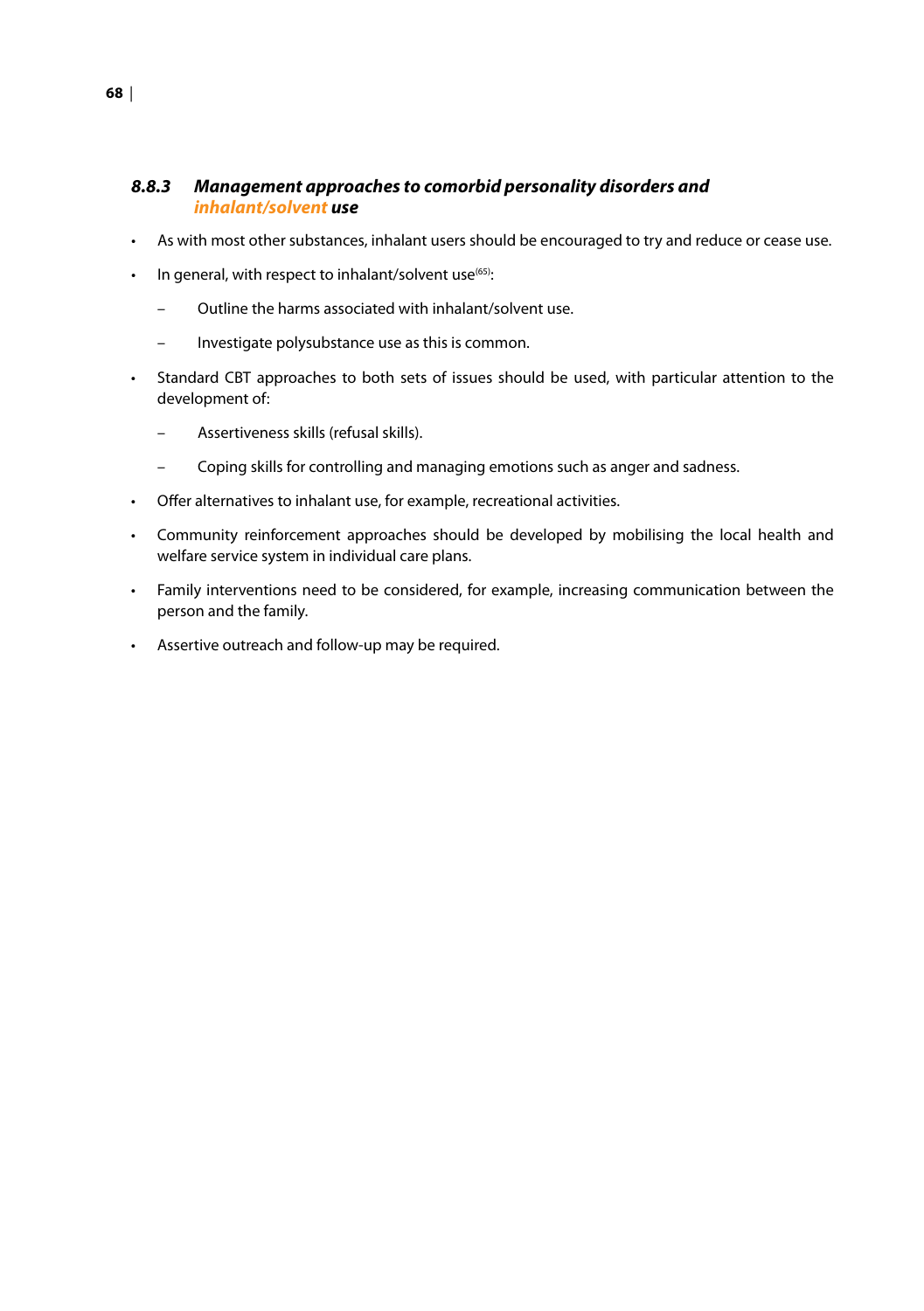# *8.8.3 Management approaches to comorbid personality disorders and inhalant/solvent use*

- As with most other substances, inhalant users should be encouraged to try and reduce or cease use.
- In general, with respect to inhalant/solvent use<sup>(65)</sup>:
	- Outline the harms associated with inhalant/solvent use.
	- Investigate polysubstance use as this is common.
- • Standard CBT approaches to both sets of issues should be used, with particular attention to the development of:
	- Assertiveness skills (refusal skills).
	- Coping skills for controlling and managing emotions such as anger and sadness.
- • Offer alternatives to inhalant use, for example, recreational activities.
- • Community reinforcement approaches should be developed by mobilising the local health and welfare service system in individual care plans.
- • Family interventions need to be considered, for example, increasing communication between the person and the family.
- Assertive outreach and follow-up may be required.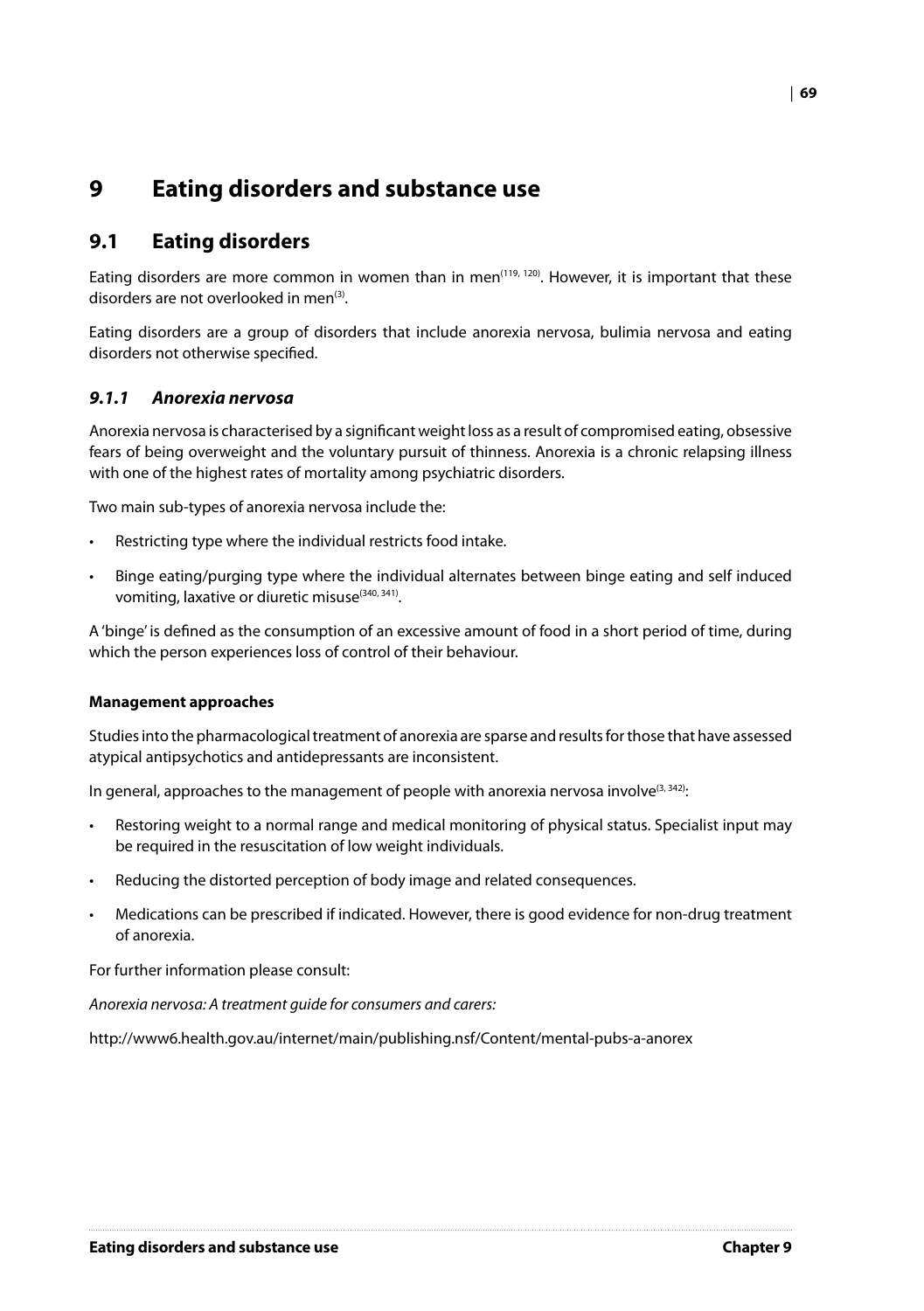# **9 Eating disorders and substance use**

# **9.1 Eating disorders**

Eating disorders are more common in women than in men $(119, 120)$ . However, it is important that these disorders are not overlooked in men<sup>(3)</sup>.

Eating disorders are a group of disorders that include anorexia nervosa, bulimia nervosa and eating disorders not otherwise specified.

### *9.1.1 Anorexia nervosa*

Anorexia nervosa is characterised by a significant weight loss as a result of compromised eating, obsessive fears of being overweight and the voluntary pursuit of thinness. Anorexia is a chronic relapsing illness with one of the highest rates of mortality among psychiatric disorders.

Two main sub-types of anorexia nervosa include the:

- Restricting type where the individual restricts food intake.
- Binge eating/purging type where the individual alternates between binge eating and self induced vomiting, laxative or diuretic misuse<sup>(340, 341)</sup>.

A 'binge' is defined as the consumption of an excessive amount of food in a short period of time, during which the person experiences loss of control of their behaviour.

#### **Management approaches**

Studies into the pharmacological treatment of anorexia are sparse and results for those that have assessed atypical antipsychotics and antidepressants are inconsistent.

In general, approaches to the management of people with anorexia nervosa involve<sup>(3, 342)</sup>:

- • Restoring weight to a normal range and medical monitoring of physical status. Specialist input may be required in the resuscitation of low weight individuals.
- Reducing the distorted perception of body image and related consequences.
- • Medications can be prescribed if indicated. However, there is good evidence for non-drug treatment of anorexia.

For further information please consult:

*Anorexia nervosa: A treatment guide for consumers and carers:*

http://www6.health.gov.au/internet/main/publishing.nsf/Content/mental-pubs-a-anorex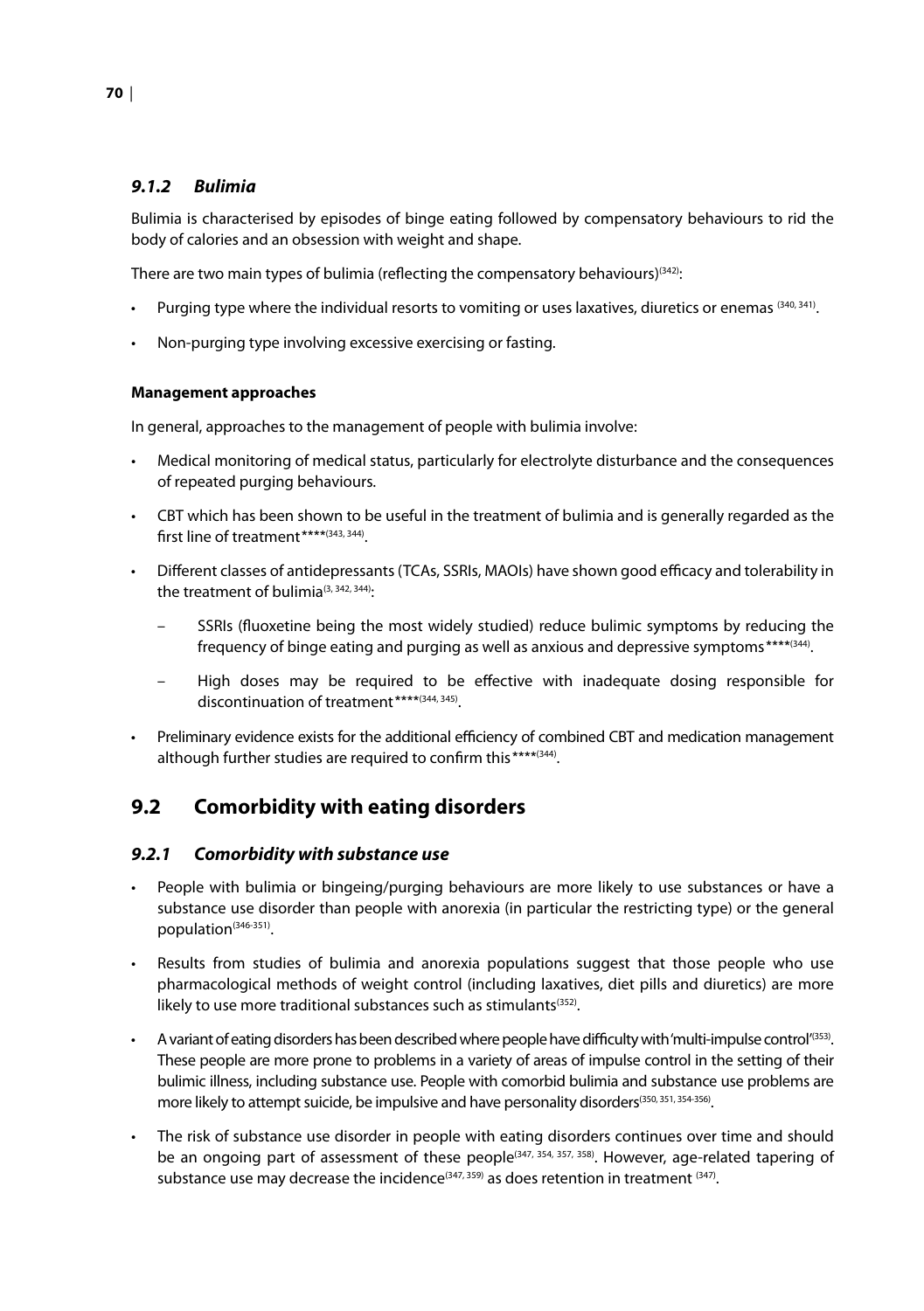## *9.1.2 Bulimia*

Bulimia is characterised by episodes of binge eating followed by compensatory behaviours to rid the body of calories and an obsession with weight and shape.

There are two main types of bulimia (reflecting the compensatory behaviours)<sup>(342)</sup>:

- Purging type where the individual resorts to vomiting or uses laxatives, diuretics or enemas (340, 341).
- Non-purging type involving excessive exercising or fasting.

#### **Management approaches**

In general, approaches to the management of people with bulimia involve:

- Medical monitoring of medical status, particularly for electrolyte disturbance and the consequences of repeated purging behaviours.
- • CBT which has been shown to be useful in the treatment of bulimia and is generally regarded as the first line of treatment*\*\*\*\**(343, 344).
- Different classes of antidepressants (TCAs, SSRIs, MAOIs) have shown good efficacy and tolerability in the treatment of bulimia<sup>(3, 342, 344)</sup>:
	- SSRIs (fluoxetine being the most widely studied) reduce bulimic symptoms by reducing the frequency of binge eating and purging as well as anxious and depressive symptoms<sup>\*\*\*\*(344)</sup>.
	- High doses may be required to be effective with inadequate dosing responsible for discontinuation of treatment*\*\*\*\**(344, 345).
- Preliminary evidence exists for the additional efficiency of combined CBT and medication management although further studies are required to confirm this*\*\*\*\**(344).

# **9.2 Comorbidity with eating disorders**

### *9.2.1 Comorbidity with substance use*

- People with bulimia or bingeing/purging behaviours are more likely to use substances or have a substance use disorder than people with anorexia (in particular the restricting type) or the general population<sup>(346-351)</sup>.
- Results from studies of bulimia and anorexia populations suggest that those people who use pharmacological methods of weight control (including laxatives, diet pills and diuretics) are more likely to use more traditional substances such as stimulants $(352)$ .
- A variant of eating disorders has been described where people have difficulty with 'multi-impulse control'<sup>(353)</sup>. These people are more prone to problems in a variety of areas of impulse control in the setting of their bulimic illness, including substance use. People with comorbid bulimia and substance use problems are more likely to attempt suicide, be impulsive and have personality disorders<sup>(350, 351, 354-356)</sup>.
- The risk of substance use disorder in people with eating disorders continues over time and should be an ongoing part of assessment of these people<sup> $(347, 354, 357, 358)$ .</sup> However, age-related tapering of substance use may decrease the incidence<sup>(347, 359)</sup> as does retention in treatment  $(347)$ .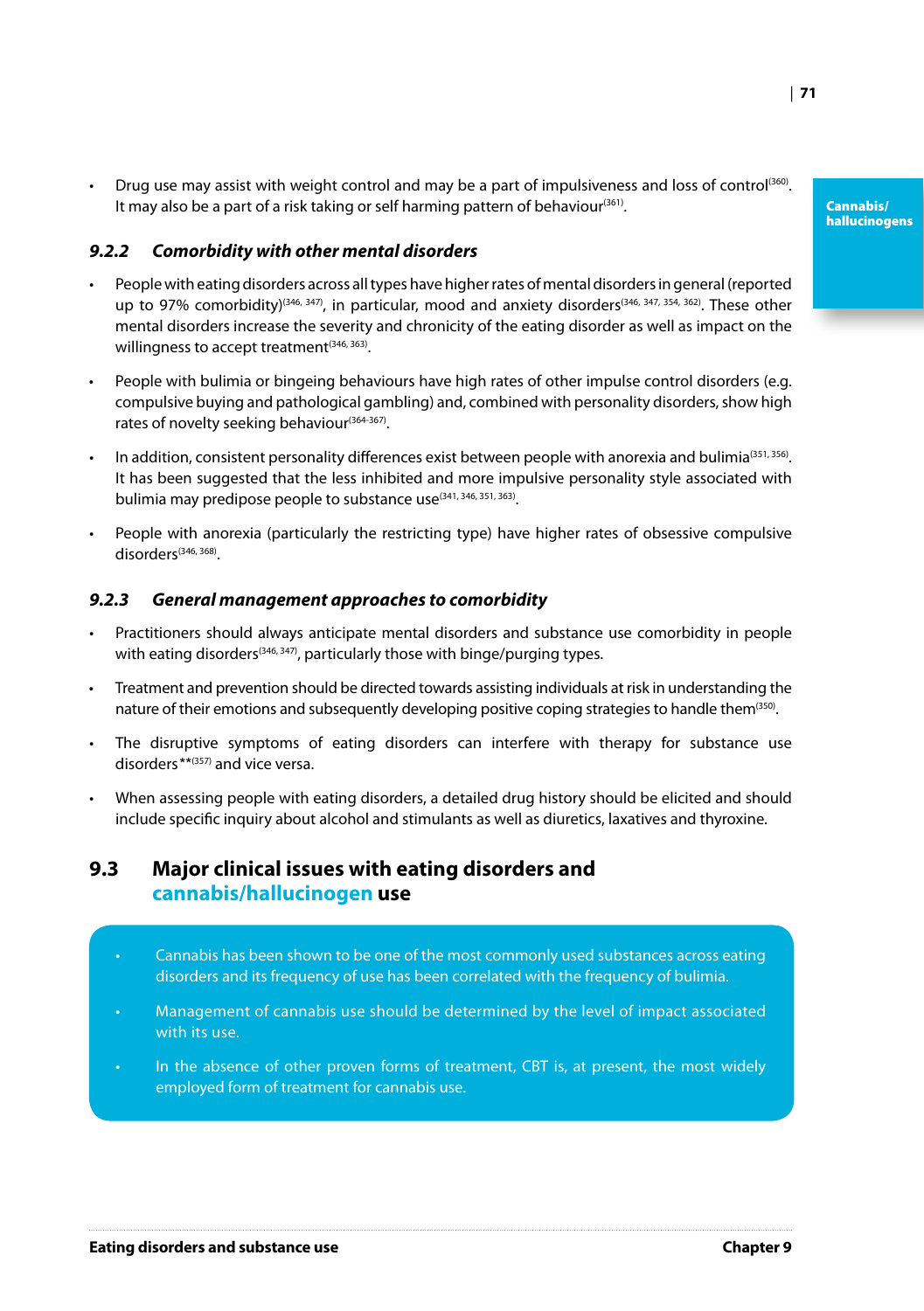Cannabis/ hallucinogens

• Drug use may assist with weight control and may be a part of impulsiveness and loss of control<sup>(360)</sup>. It may also be a part of a risk taking or self harming pattern of behaviour<sup>(361)</sup>.

#### *9.2.2 Comorbidity with other mental disorders*

- People with eating disorders across all types have higher rates of mental disorders in general (reported up to 97% comorbidity)<sup>(346, 347</sup>), in particular, mood and anxiety disorders<sup>(346, 347, 354, 362)</sup>. These other mental disorders increase the severity and chronicity of the eating disorder as well as impact on the willingness to accept treatment<sup>(346, 363)</sup>.
- People with bulimia or bingeing behaviours have high rates of other impulse control disorders (e.g. compulsive buying and pathological gambling) and, combined with personality disorders, show high rates of novelty seeking behaviour<sup>(364-367)</sup>.
- In addition, consistent personality differences exist between people with anorexia and bulimia<sup>(351, 356)</sup>. It has been suggested that the less inhibited and more impulsive personality style associated with bulimia may predipose people to substance use<sup>(341, 346, 351, 363)</sup>.
- • People with anorexia (particularly the restricting type) have higher rates of obsessive compulsive disorders(346, 368).

#### *9.2.3 General management approaches to comorbidity*

- Practitioners should always anticipate mental disorders and substance use comorbidity in people with eating disorders<sup>(346, 347)</sup>, particularly those with binge/purging types.
- • Treatment and prevention should be directed towards assisting individuals at risk in understanding the nature of their emotions and subsequently developing positive coping strategies to handle them<sup>(350)</sup>.
- • The disruptive symptoms of eating disorders can interfere with therapy for substance use disorders*\*\**(357) and vice versa.
- • When assessing people with eating disorders, a detailed drug history should be elicited and should include specific inquiry about alcohol and stimulants as well as diuretics, laxatives and thyroxine.

# **9.3 Major clinical issues with eating disorders and cannabis/hallucinogen use**

- Cannabis has been shown to be one of the most commonly used substances across eating disorders and its frequency of use has been correlated with the frequency of bulimia.
- Management of cannabis use should be determined by the level of impact associated with its use.
- In the absence of other proven forms of treatment, CBT is, at present, the most widely employed form of treatment for cannabis use.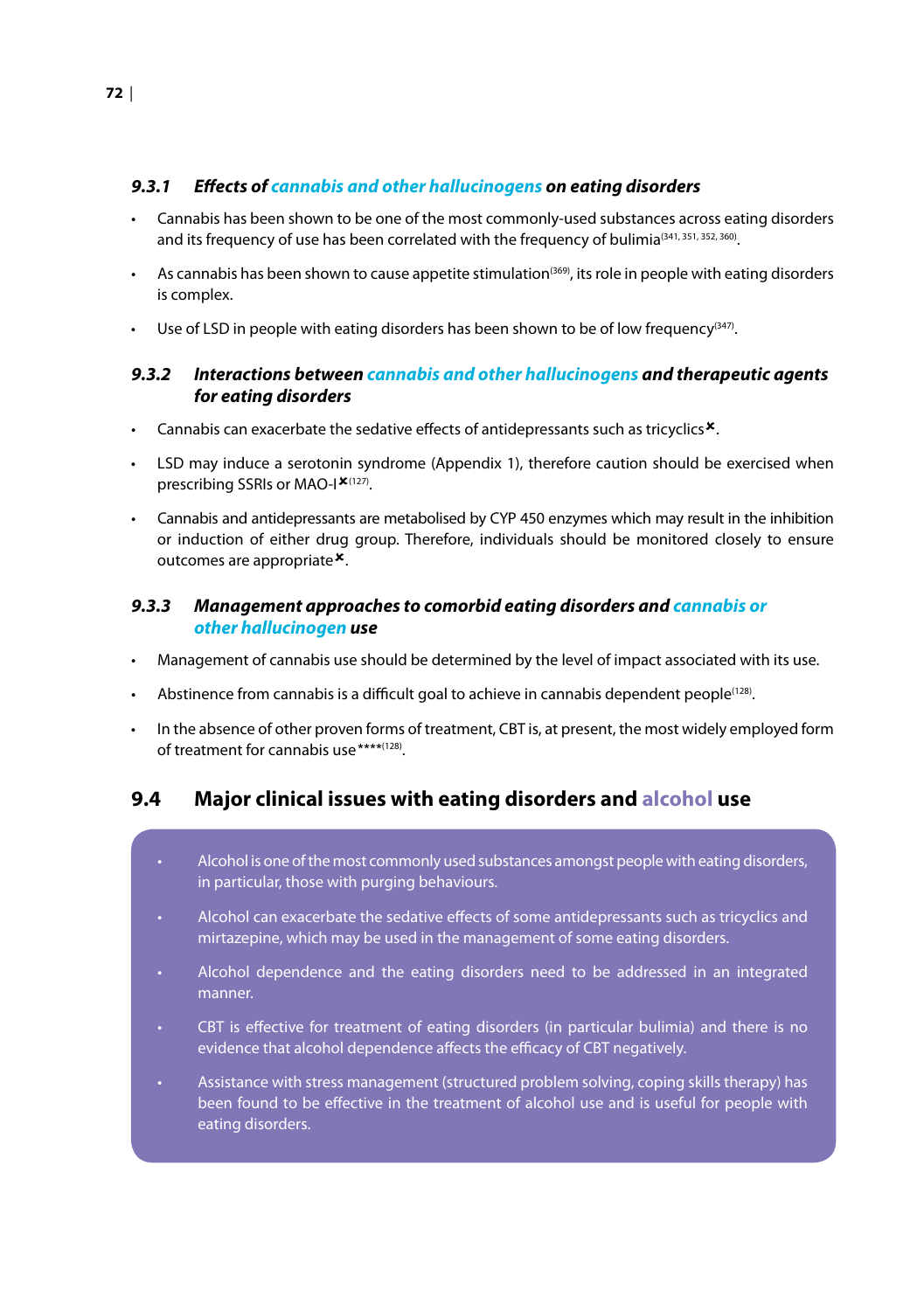# *9.3.1 Effects of cannabis and other hallucinogens on eating disorders*

- Cannabis has been shown to be one of the most commonly-used substances across eating disorders and its frequency of use has been correlated with the frequency of bulimia<sup>(341, 351, 352, 360)</sup>.
- As cannabis has been shown to cause appetite stimulation<sup>(369)</sup>, its role in people with eating disorders is complex.
- Use of LSD in people with eating disorders has been shown to be of low frequency<sup>(347)</sup>.

## *9.3.2 Interactions between cannabis and other hallucinogens and therapeutic agents for eating disorders*

- Cannabis can exacerbate the sedative effects of antidepressants such as tricyclics $x$ .
- LSD may induce a serotonin syndrome (Appendix 1), therefore caution should be exercised when prescribing SSRIs or MAO-I<sup>X(127)</sup>.
- • Cannabis and antidepressants are metabolised by CYP 450 enzymes which may result in the inhibition or induction of either drug group. Therefore, individuals should be monitored closely to ensure outcomes are appropriate $x$ .

## *9.3.3 Management approaches to comorbid eating disorders and cannabis or other hallucinogen use*

- Management of cannabis use should be determined by the level of impact associated with its use.
- Abstinence from cannabis is a difficult goal to achieve in cannabis dependent people<sup>(128)</sup>.
- In the absence of other proven forms of treatment, CBT is, at present, the most widely employed form of treatment for cannabis use*\*\*\*\**(128).

# **9.4 Major clinical issues with eating disorders and alcohol use**

- Alcohol is one of the most commonly used substances amongst people with eating disorders, in particular, those with purging behaviours.
- Alcohol can exacerbate the sedative effects of some antidepressants such as tricyclics and mirtazepine, which may be used in the management of some eating disorders.
- Alcohol dependence and the eating disorders need to be addressed in an integrated manner.
- CBT is effective for treatment of eating disorders (in particular bulimia) and there is no evidence that alcohol dependence affects the efficacy of CBT negatively.
- Assistance with stress management (structured problem solving, coping skills therapy) has been found to be effective in the treatment of alcohol use and is useful for people with eating disorders.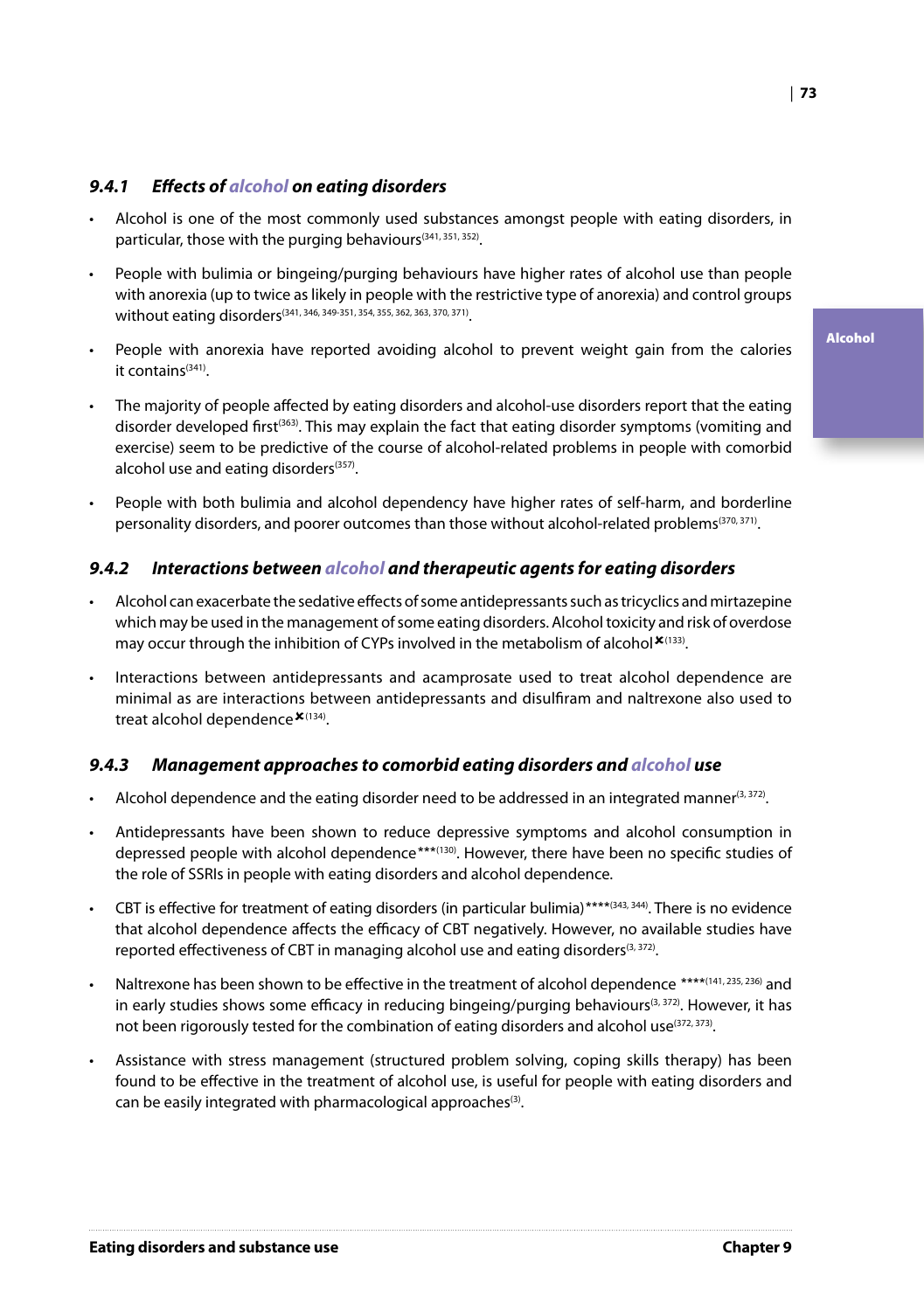# People with both bulimia and alcohol dependency have higher rates of self-harm, and borderline

alcohol use and eating disorders<sup>(357)</sup>.

it contains<sup>(341)</sup>.

*9.4.1 Effects of alcohol on eating disorders*

particular, those with the purging behaviours<sup>(341, 351, 352)</sup>.

without eating disorders<sup>(341, 346, 349-351, 354, 355, 362, 363, 370, 371)</sup>.

# *9.4.2 Interactions between alcohol and therapeutic agents for eating disorders*

Alcohol can exacerbate the sedative effects of some antidepressants such as tricyclics and mirtazepine which may be used in the management of some eating disorders. Alcohol toxicity and risk of overdose may occur through the inhibition of CYPs involved in the metabolism of alcohol $\mathbf{x}$ <sup>(133)</sup>.

personality disorders, and poorer outcomes than those without alcohol-related problems<sup>(370, 371)</sup>.

• Alcohol is one of the most commonly used substances amongst people with eating disorders, in

People with bulimia or bingeing/purging behaviours have higher rates of alcohol use than people

People with anorexia have reported avoiding alcohol to prevent weight gain from the calories

The majority of people affected by eating disorders and alcohol-use disorders report that the eating disorder developed first<sup>(363)</sup>. This may explain the fact that eating disorder symptoms (vomiting and exercise) seem to be predictive of the course of alcohol-related problems in people with comorbid

Interactions between antidepressants and acamprosate used to treat alcohol dependence are minimal as are interactions between antidepressants and disulfiram and naltrexone also used to treat alcohol dependence  $x_{(134)}$ .

#### *9.4.3 Management approaches to comorbid eating disorders and alcohol use*

- Alcohol dependence and the eating disorder need to be addressed in an integrated manner<sup>(3, 372)</sup>.
- • Antidepressants have been shown to reduce depressive symptoms and alcohol consumption in depressed people with alcohol dependence*\*\*\**(130). However, there have been no specific studies of the role of SSRIs in people with eating disorders and alcohol dependence.
- CBT is effective for treatment of eating disorders (in particular bulimia)<sup>\*\*\*\*(343, 344)</sup>. There is no evidence that alcohol dependence affects the efficacy of CBT negatively. However, no available studies have reported effectiveness of CBT in managing alcohol use and eating disorders<sup>(3, 372)</sup>.
- Naltrexone has been shown to be effective in the treatment of alcohol dependence \*\*\*\*(141, 235, 236) and in early studies shows some efficacy in reducing bingeing/purging behaviours<sup>(3, 372)</sup>. However, it has not been rigorously tested for the combination of eating disorders and alcohol use<sup>(372, 373)</sup>.
- Assistance with stress management (structured problem solving, coping skills therapy) has been found to be effective in the treatment of alcohol use, is useful for people with eating disorders and can be easily integrated with pharmacological approaches<sup>(3)</sup>.

with anorexia (up to twice as likely in people with the restrictive type of anorexia) and control groups

Alcohol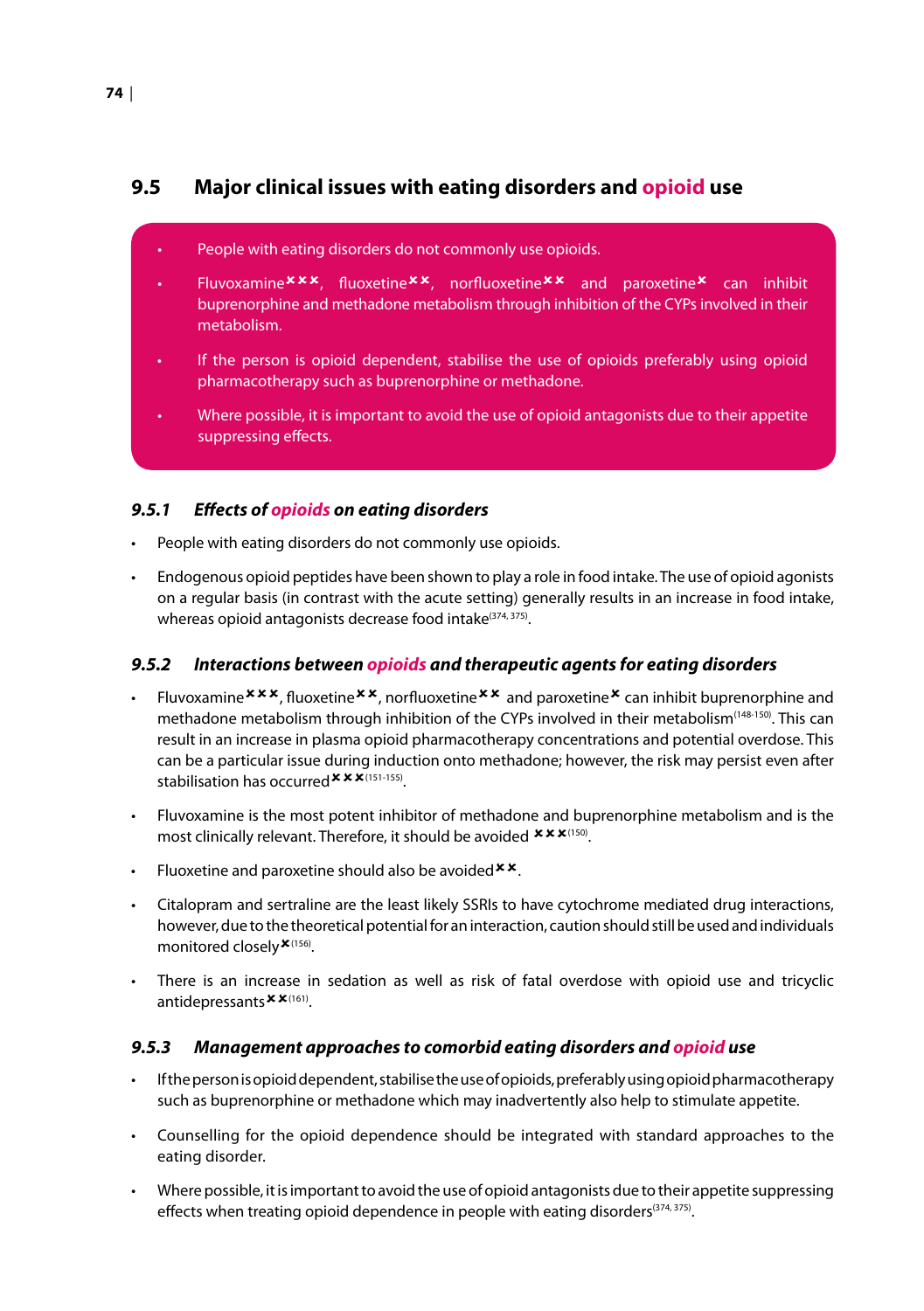# **9.5 Major clinical issues with eating disorders and opioid use**

- People with eating disorders do not commonly use opioids.
- Fluvoxamine  $\boldsymbol{z} \times \boldsymbol{x}$ , fluoxetine  $\boldsymbol{z} \times \boldsymbol{z}$ , norfluoxetine  $\boldsymbol{z} \times \boldsymbol{z}$  and paroxetine  $\boldsymbol{z}$  can inhibit buprenorphine and methadone metabolism through inhibition of the CYPs involved in their metabolism.
- If the person is opioid dependent, stabilise the use of opioids preferably using opioid pharmacotherapy such as buprenorphine or methadone.
- Where possible, it is important to avoid the use of opioid antagonists due to their appetite suppressing effects.

## *9.5.1 Effects of opioids on eating disorders*

- People with eating disorders do not commonly use opioids.
- Endogenous opioid peptides have been shown to play a role in food intake. The use of opioid agonists on a regular basis (in contrast with the acute setting) generally results in an increase in food intake, whereas opioid antagonists decrease food intake<sup>(374, 375)</sup>.

# *9.5.2 Interactions between opioids and therapeutic agents for eating disorders*

- Fluvoxamine  $\star \star \star$ , fluoxetine  $\star \star$ , norfluoxetine  $\star \star$  and paroxetine  $\star$  can inhibit buprenorphine and methadone metabolism through inhibition of the CYPs involved in their metabolism(148-150). This can result in an increase in plasma opioid pharmacotherapy concentrations and potential overdose. This can be a particular issue during induction onto methadone; however, the risk may persist even after stabilisation has occurred  $x \times x$ <sup>(151-155)</sup>.
- Fluvoxamine is the most potent inhibitor of methadone and buprenorphine metabolism and is the most clinically relevant. Therefore, it should be avoided  $x \cdot x$  (150).
- Fluoxetine and paroxetine should also be avoided  $**$ .
- Citalopram and sertraline are the least likely SSRIs to have cytochrome mediated drug interactions, however, due to the theoretical potential for an interaction, caution should still be used and individuals monitored closely $x$ <sup>(156)</sup>.
- There is an increase in sedation as well as risk of fatal overdose with opioid use and tricyclic antidepressants $x x$ <sup>(161)</sup>.

### *9.5.3 Management approaches to comorbid eating disorders and opioid use*

- If the person is opioid dependent, stabilise the use of opioids, preferably using opioid pharmacotherapy such as buprenorphine or methadone which may inadvertently also help to stimulate appetite.
- • Counselling for the opioid dependence should be integrated with standard approaches to the eating disorder.
- Where possible, it is important to avoid the use of opioid antagonists due to their appetite suppressing effects when treating opioid dependence in people with eating disorders $(374, 375)$ .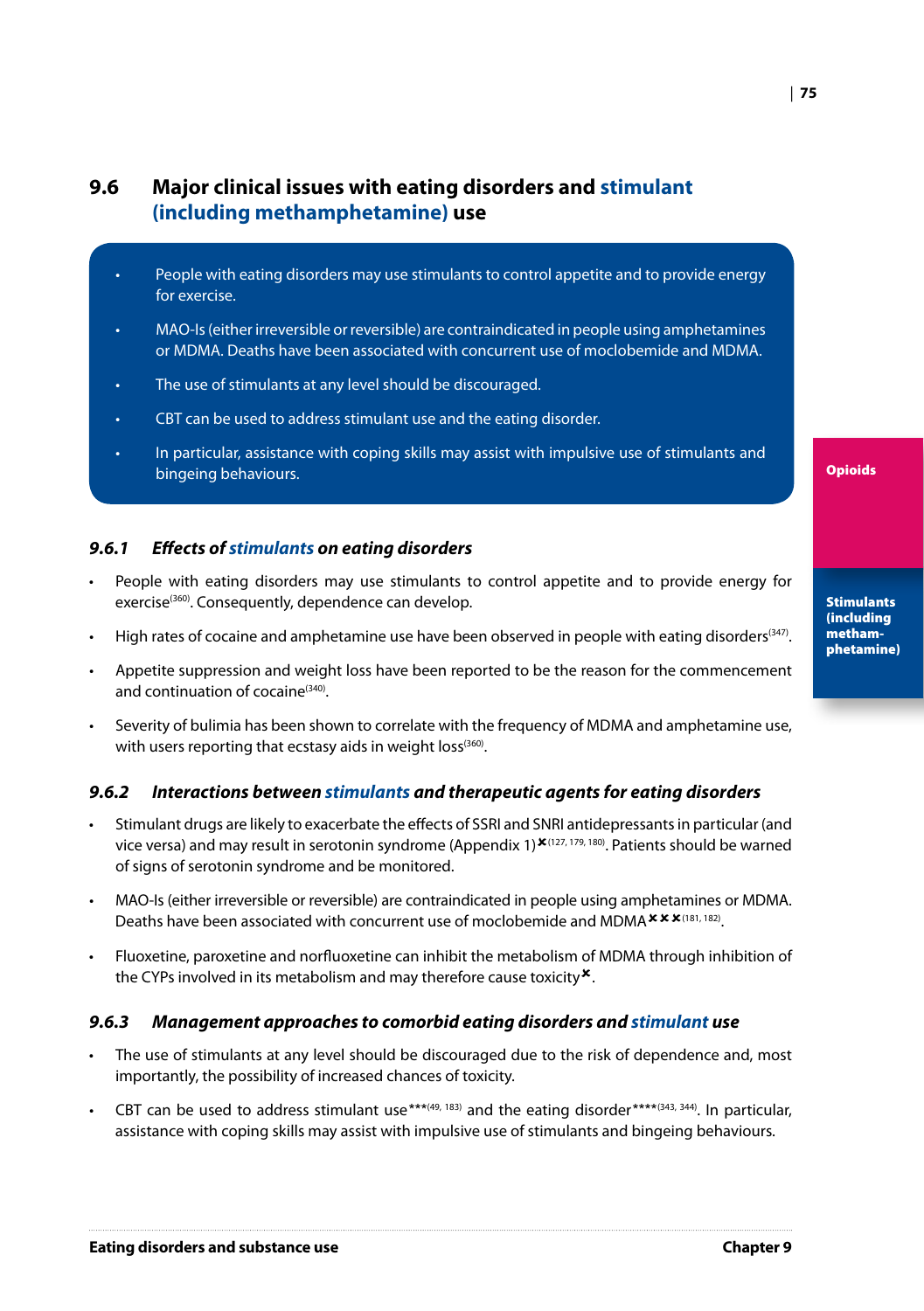# **9.6 Major clinical issues with eating disorders and stimulant (including methamphetamine) use**

- People with eating disorders may use stimulants to control appetite and to provide energy for exercise.
- MAO-Is (either irreversible or reversible) are contraindicated in people using amphetamines or MDMA. Deaths have been associated with concurrent use of moclobemide and MDMA.
- The use of stimulants at any level should be discouraged.
- CBT can be used to address stimulant use and the eating disorder.
- In particular, assistance with coping skills may assist with impulsive use of stimulants and bingeing behaviours.

### *9.6.1 Effects of stimulants on eating disorders*

- People with eating disorders may use stimulants to control appetite and to provide energy for exercise<sup>(360)</sup>. Consequently, dependence can develop.
- High rates of cocaine and amphetamine use have been observed in people with eating disorders<sup>(347)</sup>.
- Appetite suppression and weight loss have been reported to be the reason for the commencement and continuation of cocaine<sup>(340)</sup>.
- Severity of bulimia has been shown to correlate with the frequency of MDMA and amphetamine use, with users reporting that ecstasy aids in weight loss<sup>(360)</sup>.

### *9.6.2 Interactions between stimulants and therapeutic agents for eating disorders*

- Stimulant drugs are likely to exacerbate the effects of SSRI and SNRI antidepressants in particular (and vice versa) and may result in serotonin syndrome (Appendix 1) $\mathbf{x}$ <sup>(127, 179, 180</sup>). Patients should be warned of signs of serotonin syndrome and be monitored.
- MAO-Is (either irreversible or reversible) are contraindicated in people using amphetamines or MDMA. Deaths have been associated with concurrent use of moclobemide and MDMA $\star\star\star$ <sup>(181, 182)</sup>.
- Fluoxetine, paroxetine and norfluoxetine can inhibit the metabolism of MDMA through inhibition of the CYPs involved in its metabolism and may therefore cause toxicity $x$ .

### *9.6.3 Management approaches to comorbid eating disorders and stimulant use*

- • The use of stimulants at any level should be discouraged due to the risk of dependence and, most importantly, the possibility of increased chances of toxicity.
- • CBT can be used to address stimulant use*\*\*\**(49, 183) and the eating disorder*\*\*\*\**(343, 344). In particular, assistance with coping skills may assist with impulsive use of stimulants and bingeing behaviours.

**Stimulants** (including methamphetamine)

**Opioids**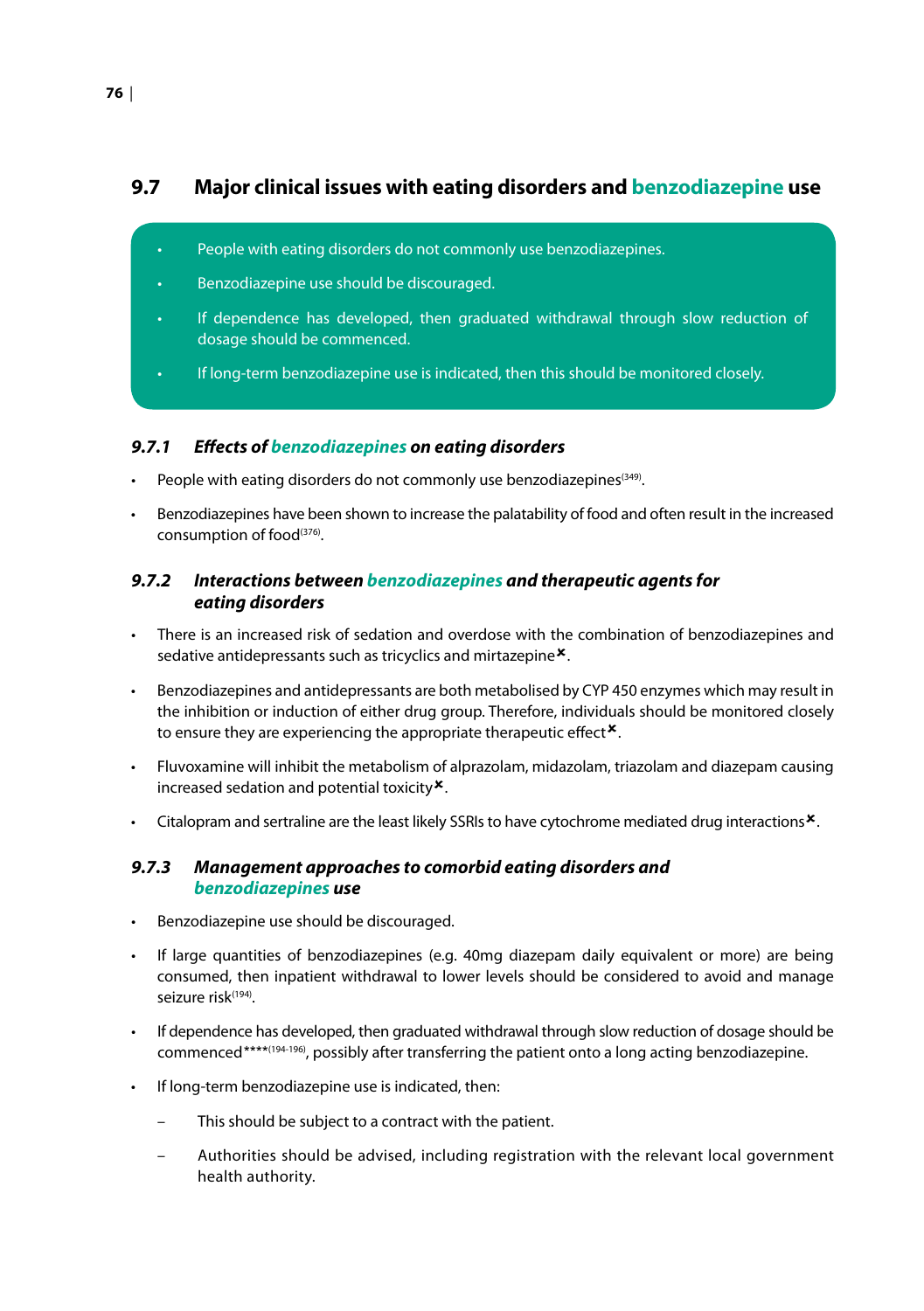# **9.7 Major clinical issues with eating disorders and benzodiazepine use**

- People with eating disorders do not commonly use benzodiazepines.
- Benzodiazepine use should be discouraged.
- If dependence has developed, then graduated withdrawal through slow reduction of dosage should be commenced.
- If long-term benzodiazepine use is indicated, then this should be monitored closely.

## *9.7.1 Effects of benzodiazepines on eating disorders*

- People with eating disorders do not commonly use benzodiazepines<sup>(349)</sup>.
- Benzodiazepines have been shown to increase the palatability of food and often result in the increased consumption of food<sup>(376)</sup>.

## *9.7.2 Interactions between benzodiazepines and therapeutic agents for eating disorders*

- There is an increased risk of sedation and overdose with the combination of benzodiazepines and sedative antidepressants such as tricyclics and mirtazepine $x$ .
- Benzodiazepines and antidepressants are both metabolised by CYP 450 enzymes which may result in the inhibition or induction of either drug group. Therefore, individuals should be monitored closely to ensure they are experiencing the appropriate therapeutic effect $x$ .
- Fluvoxamine will inhibit the metabolism of alprazolam, midazolam, triazolam and diazepam causing increased sedation and potential toxicity $x$ .
- Citalopram and sertraline are the least likely SSRIs to have cytochrome mediated drug interactions.

# *9.7.3 Management approaches to comorbid eating disorders and benzodiazepines use*

- Benzodiazepine use should be discouraged.
- If large quantities of benzodiazepines (e.g. 40mg diazepam daily equivalent or more) are being consumed, then inpatient withdrawal to lower levels should be considered to avoid and manage seizure risk<sup>(194)</sup>.
- If dependence has developed, then graduated withdrawal through slow reduction of dosage should be commenced*\*\*\*\**(194-196), possibly after transferring the patient onto a long acting benzodiazepine.
- If long-term benzodiazepine use is indicated, then:
	- This should be subject to a contract with the patient.
	- Authorities should be advised, including registration with the relevant local government health authority.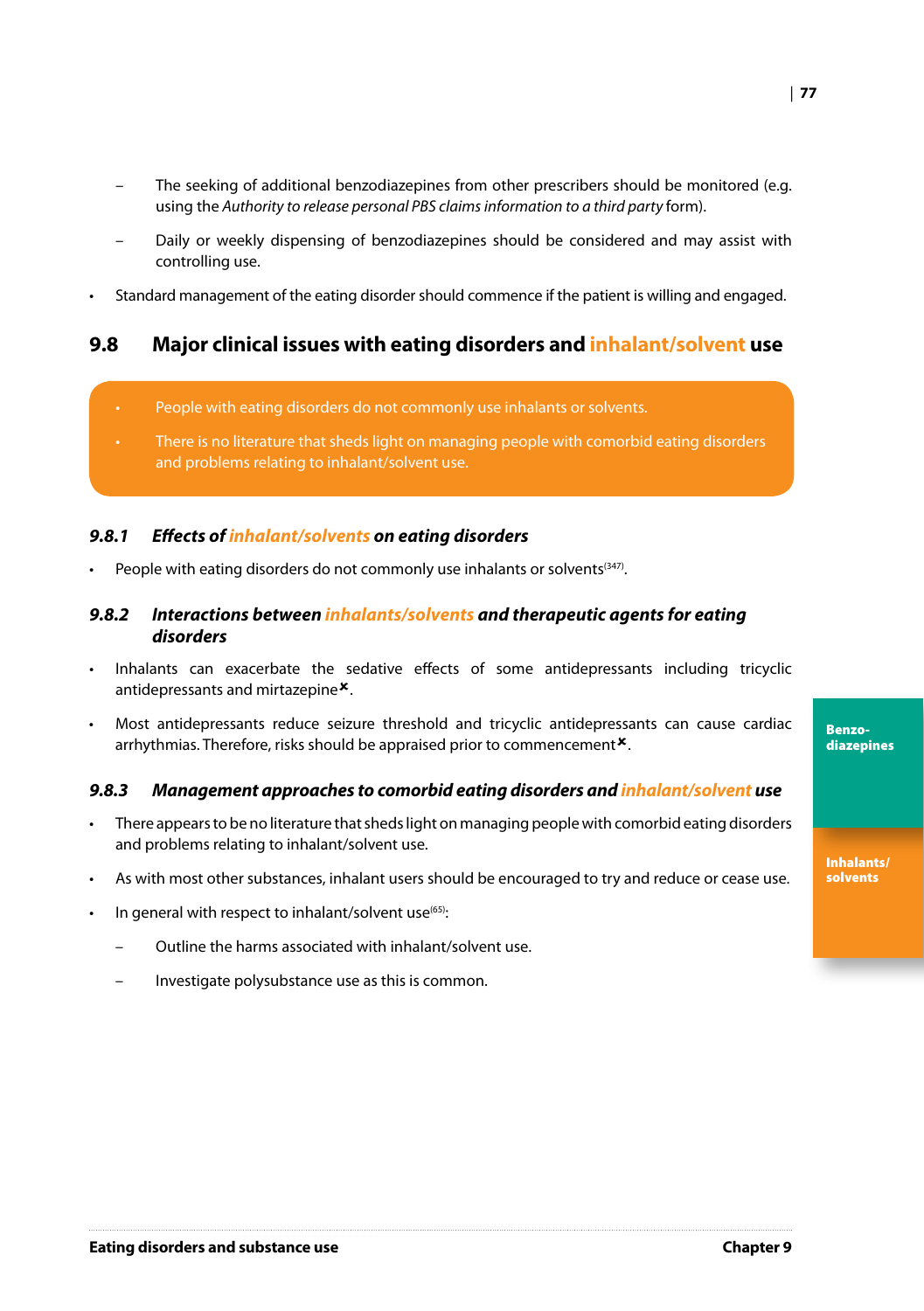- The seeking of additional benzodiazepines from other prescribers should be monitored (e.g. using the *Authority to release personal PBS claims information to a third party* form).
- Daily or weekly dispensing of benzodiazepines should be considered and may assist with controlling use.
- Standard management of the eating disorder should commence if the patient is willing and engaged.

# **9.8 Major clinical issues with eating disorders and inhalant/solvent use**

- People with eating disorders do not commonly use inhalants or solvents.
- There is no literature that sheds light on managing people with comorbid eating disorders and problems relating to inhalant/solvent use.

## *9.8.1 Effects of inhalant/solvents on eating disorders*

People with eating disorders do not commonly use inhalants or solvents<sup>(347)</sup>.

## *9.8.2 Interactions between inhalants/solvents and therapeutic agents for eating disorders*

- Inhalants can exacerbate the sedative effects of some antidepressants including tricyclic antidepressants and mirtazepine $x$ .
- Most antidepressants reduce seizure threshold and tricyclic antidepressants can cause cardiac arrhythmias. Therefore, risks should be appraised prior to commencement $x$ .

### *9.8.3 Management approaches to comorbid eating disorders and inhalant/solvent use*

- There appears to be no literature that sheds light on managing people with comorbid eating disorders and problems relating to inhalant/solvent use.
- As with most other substances, inhalant users should be encouraged to try and reduce or cease use.
- In general with respect to inhalant/solvent use $(65)$ :
	- Outline the harms associated with inhalant/solvent use.
	- Investigate polysubstance use as this is common.

Benzodiazepines

Inhalants/ solvents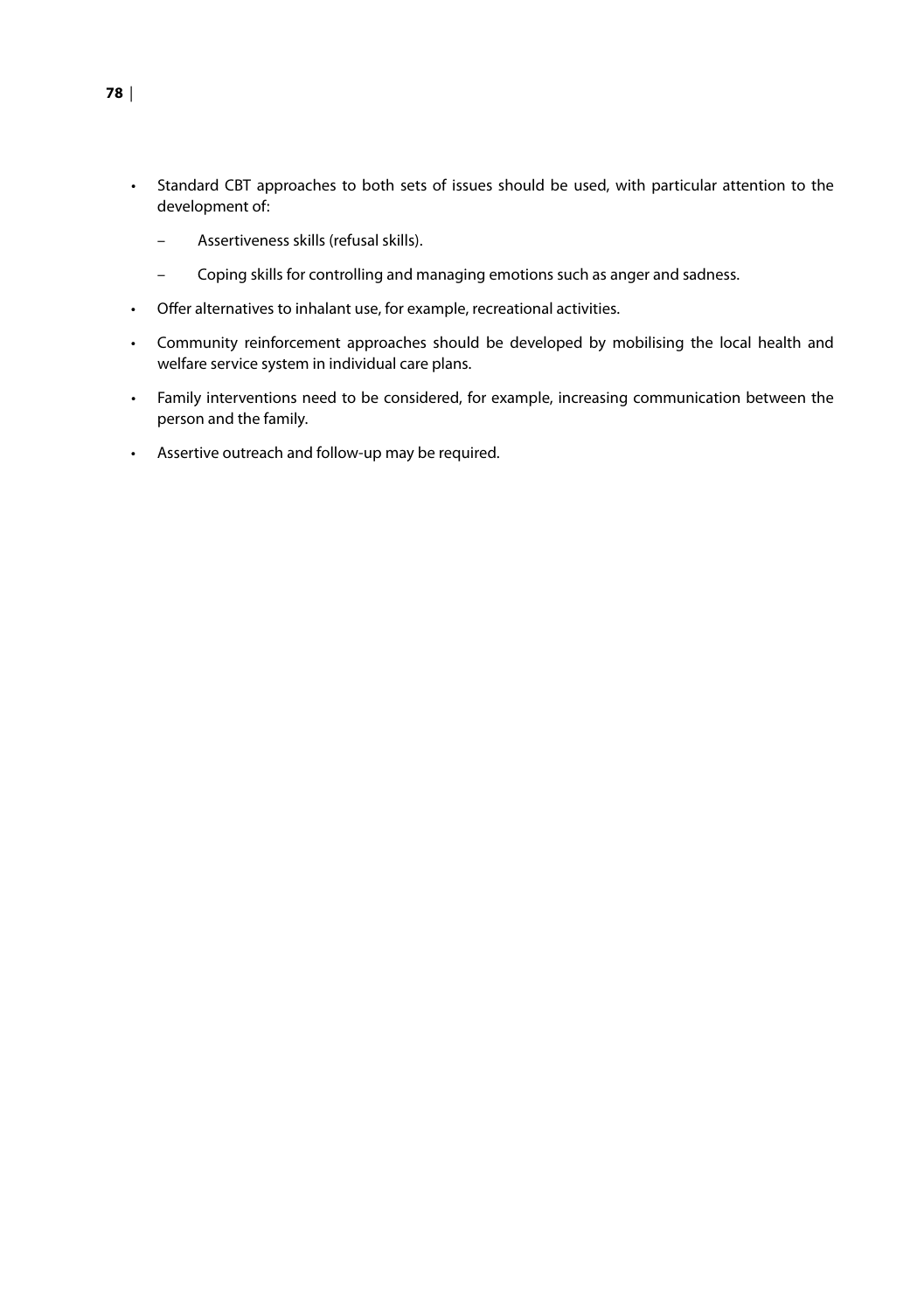- • Standard CBT approaches to both sets of issues should be used, with particular attention to the development of:
	- Assertiveness skills (refusal skills).
	- Coping skills for controlling and managing emotions such as anger and sadness.
- • Offer alternatives to inhalant use, for example, recreational activities.
- • Community reinforcement approaches should be developed by mobilising the local health and welfare service system in individual care plans.
- • Family interventions need to be considered, for example, increasing communication between the person and the family.
- • Assertive outreach and follow-up may be required.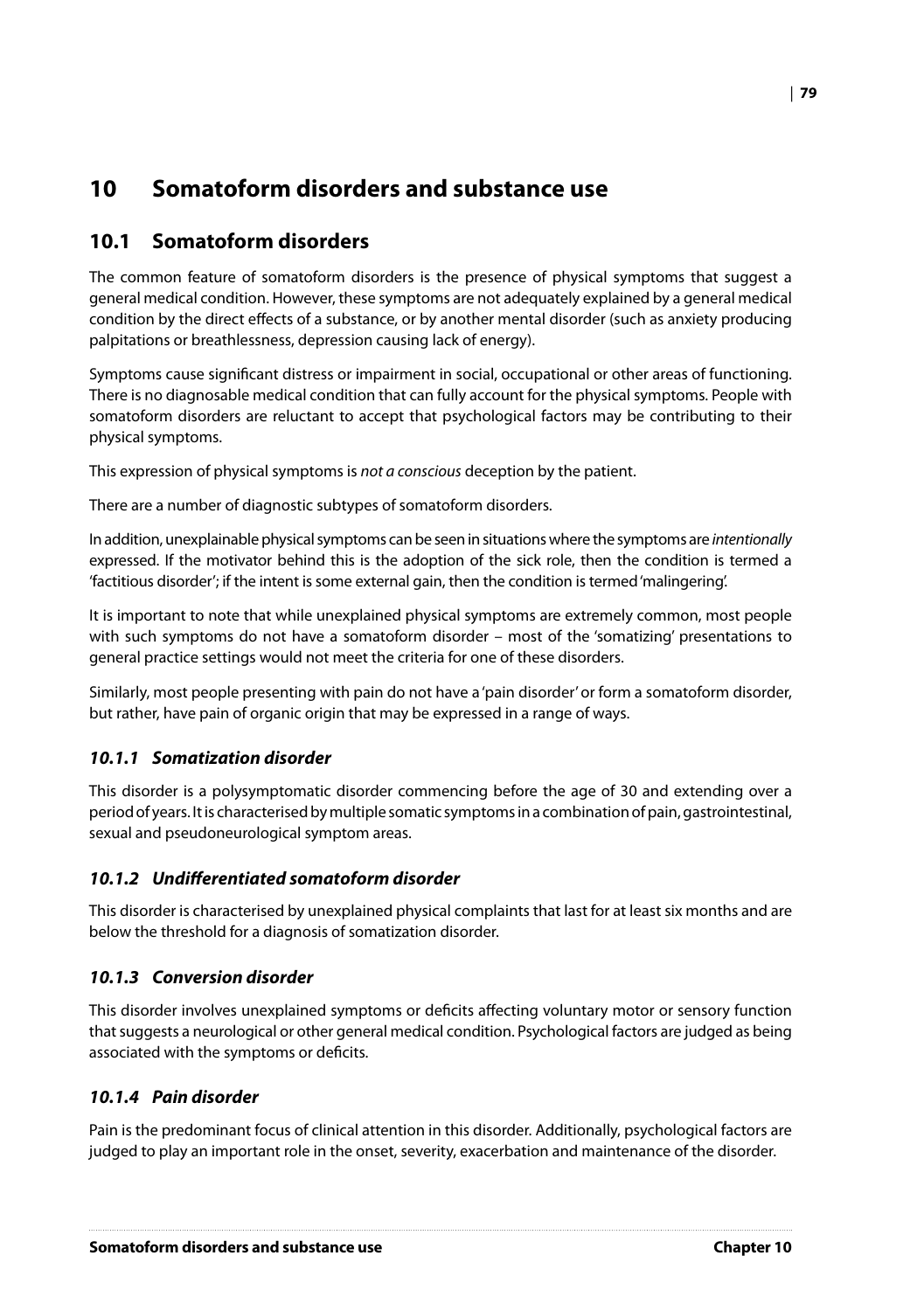# **10 Somatoform disorders and substance use**

# **10.1 Somatoform disorders**

The common feature of somatoform disorders is the presence of physical symptoms that suggest a general medical condition. However, these symptoms are not adequately explained by a general medical condition by the direct effects of a substance, or by another mental disorder (such as anxiety producing palpitations or breathlessness, depression causing lack of energy).

Symptoms cause significant distress or impairment in social, occupational or other areas of functioning. There is no diagnosable medical condition that can fully account for the physical symptoms. People with somatoform disorders are reluctant to accept that psychological factors may be contributing to their physical symptoms.

This expression of physical symptoms is *not a conscious* deception by the patient.

There are a number of diagnostic subtypes of somatoform disorders.

In addition, unexplainable physical symptoms can be seen in situations where the symptoms are *intentionally* expressed. If the motivator behind this is the adoption of the sick role, then the condition is termed a 'factitious disorder'; if the intent is some external gain, then the condition is termed 'malingering'.

It is important to note that while unexplained physical symptoms are extremely common, most people with such symptoms do not have a somatoform disorder – most of the 'somatizing' presentations to general practice settings would not meet the criteria for one of these disorders.

Similarly, most people presenting with pain do not have a 'pain disorder' or form a somatoform disorder, but rather, have pain of organic origin that may be expressed in a range of ways.

# *10.1.1 Somatization disorder*

This disorder is a polysymptomatic disorder commencing before the age of 30 and extending over a period of years. It is characterised by multiple somatic symptoms in a combination of pain, gastrointestinal, sexual and pseudoneurological symptom areas.

# *10.1.2 Undifferentiated somatoform disorder*

This disorder is characterised by unexplained physical complaints that last for at least six months and are below the threshold for a diagnosis of somatization disorder.

# *10.1.3 Conversion disorder*

This disorder involves unexplained symptoms or deficits affecting voluntary motor or sensory function that suggests a neurological or other general medical condition. Psychological factors are judged as being associated with the symptoms or deficits.

## *10.1.4 Pain disorder*

Pain is the predominant focus of clinical attention in this disorder. Additionally, psychological factors are judged to play an important role in the onset, severity, exacerbation and maintenance of the disorder.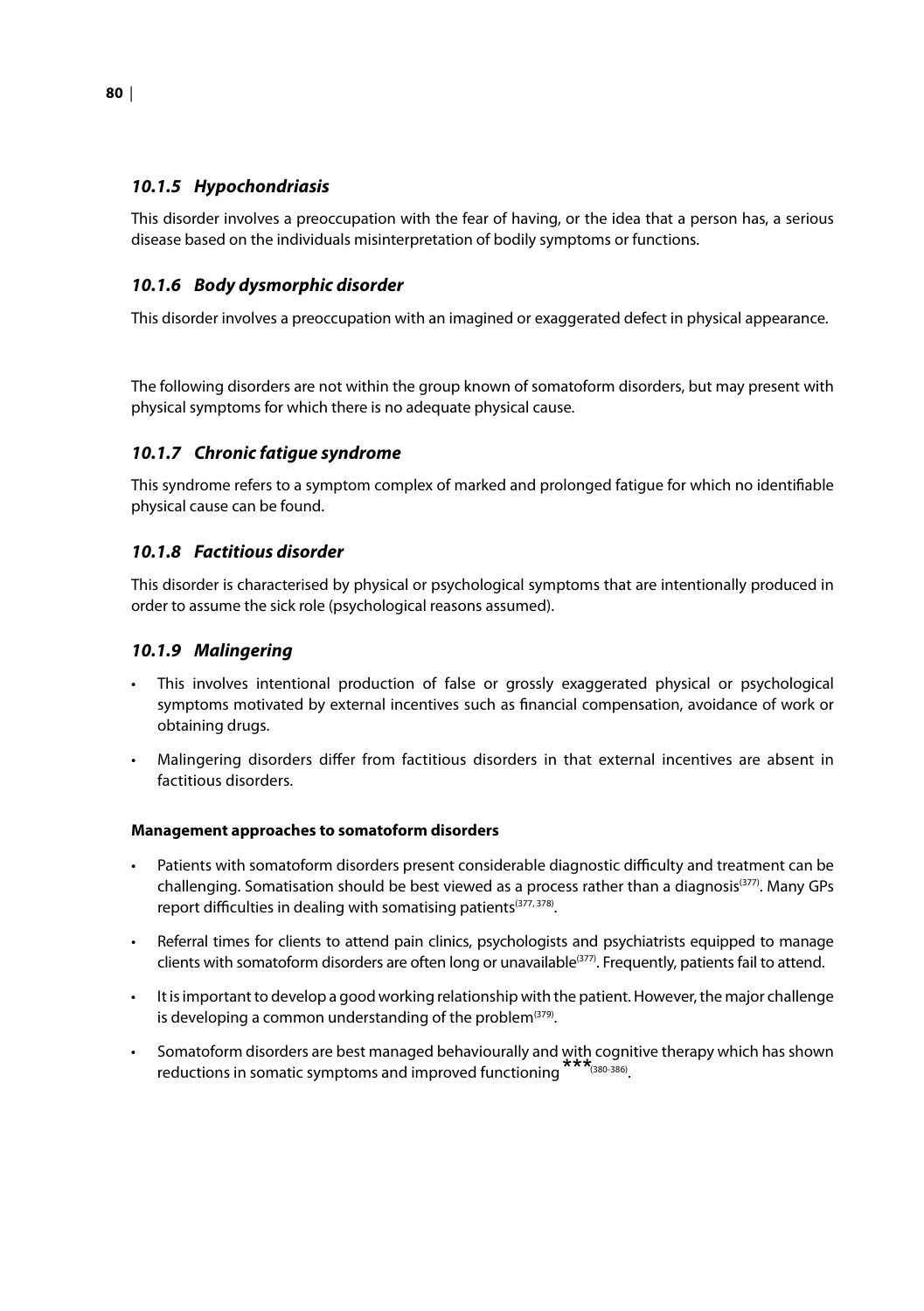## *10.1.5 Hypochondriasis*

This disorder involves a preoccupation with the fear of having, or the idea that a person has, a serious disease based on the individuals misinterpretation of bodily symptoms or functions.

# *10.1.6 Body dysmorphic disorder*

This disorder involves a preoccupation with an imagined or exaggerated defect in physical appearance.

The following disorders are not within the group known of somatoform disorders, but may present with physical symptoms for which there is no adequate physical cause.

## *10.1.7 Chronic fatigue syndrome*

This syndrome refers to a symptom complex of marked and prolonged fatigue for which no identifiable physical cause can be found.

### *10.1.8 Factitious disorder*

This disorder is characterised by physical or psychological symptoms that are intentionally produced in order to assume the sick role (psychological reasons assumed).

### *10.1.9 Malingering*

- This involves intentional production of false or grossly exaggerated physical or psychological symptoms motivated by external incentives such as financial compensation, avoidance of work or obtaining drugs.
- Malingering disorders differ from factitious disorders in that external incentives are absent in factitious disorders.

### **Management approaches to somatoform disorders**

- Patients with somatoform disorders present considerable diagnostic difficulty and treatment can be challenging. Somatisation should be best viewed as a process rather than a diagnosis<sup>(377)</sup>. Many GPs report difficulties in dealing with somatising patients<sup>(377, 378)</sup>.
- Referral times for clients to attend pain clinics, psychologists and psychiatrists equipped to manage clients with somatoform disorders are often long or unavailable<sup>(377)</sup>. Frequently, patients fail to attend.
- It is important to develop a good working relationship with the patient. However, the major challenge is developing a common understanding of the problem<sup> $(379)$ </sup>.
- Somatoform disorders are best managed behaviourally and with cognitive therapy which has shown reductions in somatic symptoms and improved functioning*\*\*\**(380-386).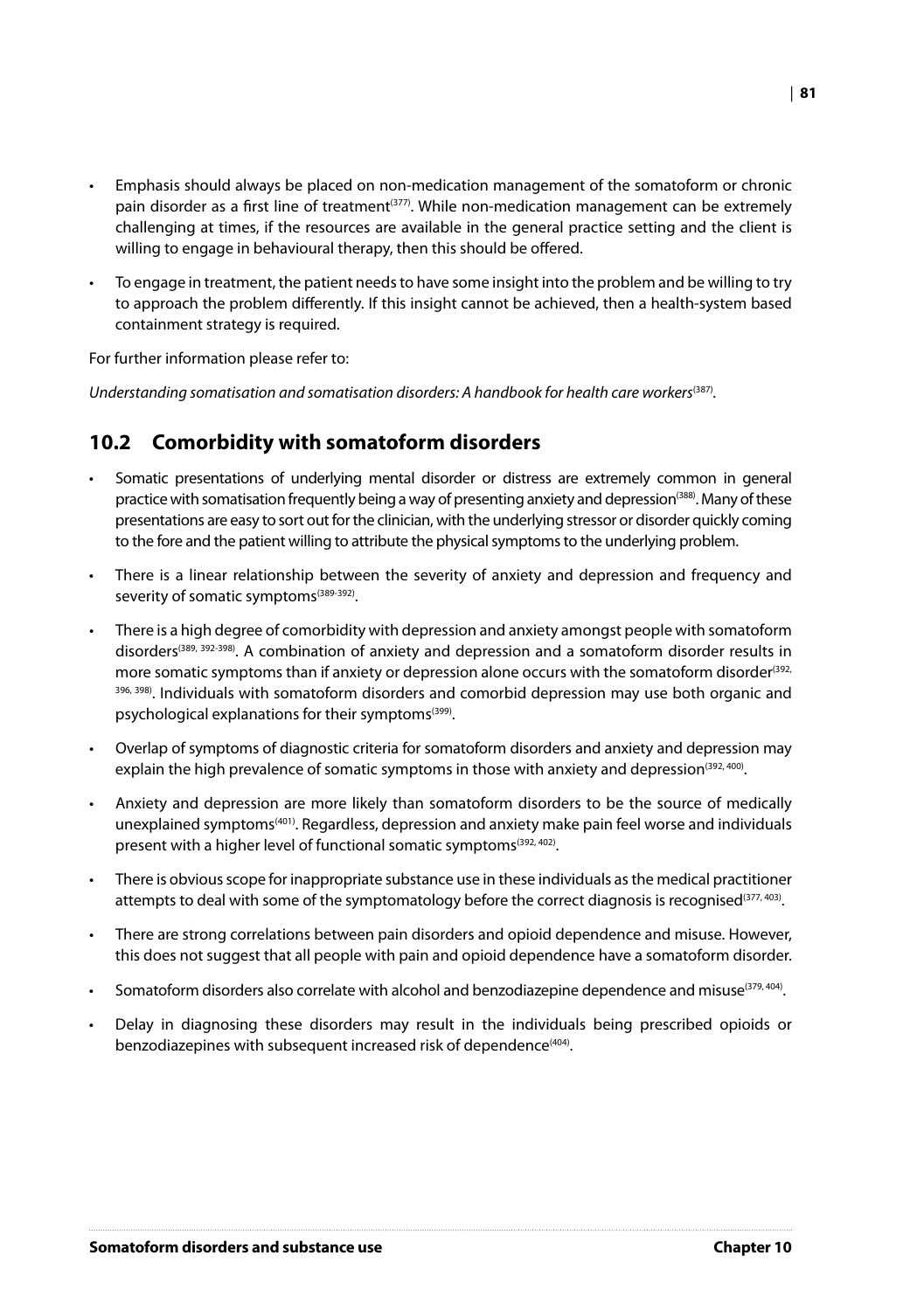- Emphasis should always be placed on non-medication management of the somatoform or chronic pain disorder as a first line of treatment<sup> $(377)$ </sup>. While non-medication management can be extremely challenging at times, if the resources are available in the general practice setting and the client is willing to engage in behavioural therapy, then this should be offered.
- To engage in treatment, the patient needs to have some insight into the problem and be willing to try to approach the problem differently. If this insight cannot be achieved, then a health-system based containment strategy is required.

For further information please refer to:

*Understanding somatisation and somatisation disorders: A handbook for health care workers*(387)*.*

# **10.2 Comorbidity with somatoform disorders**

- Somatic presentations of underlying mental disorder or distress are extremely common in general practice with somatisation frequently being a way of presenting anxiety and depression<sup>(388)</sup>. Many of these presentations are easy to sort out for the clinician, with the underlying stressor or disorder quickly coming to the fore and the patient willing to attribute the physical symptoms to the underlying problem.
- There is a linear relationship between the severity of anxiety and depression and frequency and severity of somatic symptoms<sup>(389-392)</sup>.
- There is a high degree of comorbidity with depression and anxiety amongst people with somatoform disorders(389, 392-398). A combination of anxiety and depression and a somatoform disorder results in more somatic symptoms than if anxiety or depression alone occurs with the somatoform disorder<sup>(392,</sup> 396, 398). Individuals with somatoform disorders and comorbid depression may use both organic and psychological explanations for their symptoms<sup>(399)</sup>.
- Overlap of symptoms of diagnostic criteria for somatoform disorders and anxiety and depression may explain the high prevalence of somatic symptoms in those with anxiety and depression<sup>(392, 400)</sup>.
- Anxiety and depression are more likely than somatoform disorders to be the source of medically unexplained symptoms<sup>(401)</sup>. Regardless, depression and anxiety make pain feel worse and individuals present with a higher level of functional somatic symptoms<sup>(392, 402)</sup>.
- There is obvious scope for inappropriate substance use in these individuals as the medical practitioner attempts to deal with some of the symptomatology before the correct diagnosis is recognised<sup>(377, 403)</sup>.
- There are strong correlations between pain disorders and opioid dependence and misuse. However, this does not suggest that all people with pain and opioid dependence have a somatoform disorder.
- Somatoform disorders also correlate with alcohol and benzodiazepine dependence and misuse(379, 404).
- Delay in diagnosing these disorders may result in the individuals being prescribed opioids or benzodiazepines with subsequent increased risk of dependence<sup>(404)</sup>.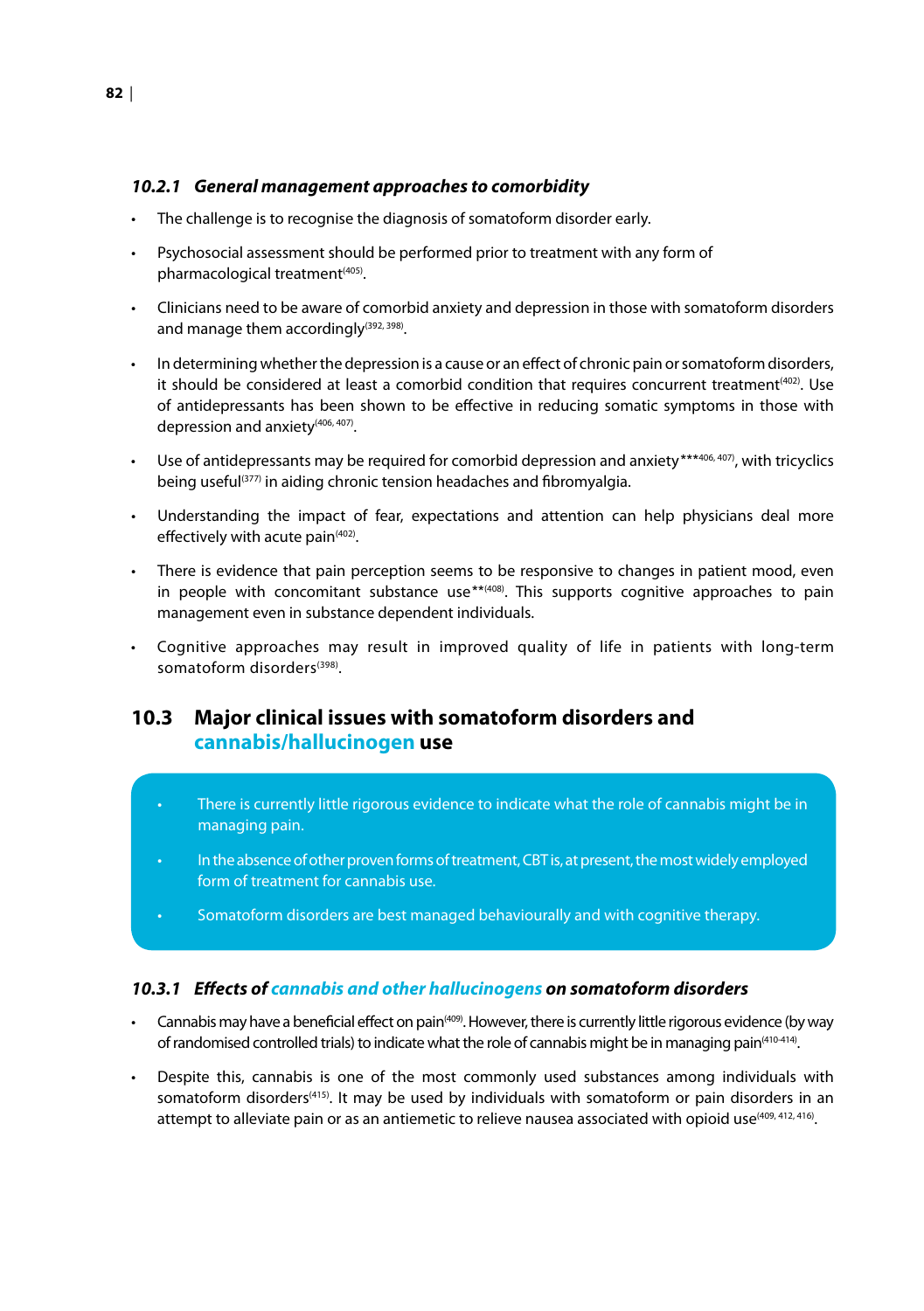### *10.2.1 General management approaches to comorbidity*

- The challenge is to recognise the diagnosis of somatoform disorder early.
- Psychosocial assessment should be performed prior to treatment with any form of pharmacological treatment<sup>(405)</sup>.
- • Clinicians need to be aware of comorbid anxiety and depression in those with somatoform disorders and manage them accordingly $(392, 398)$ .
- In determining whether the depression is a cause or an effect of chronic pain or somatoform disorders, it should be considered at least a comorbid condition that requires concurrent treatment<sup>(402)</sup>. Use of antidepressants has been shown to be effective in reducing somatic symptoms in those with depression and anxiety<sup>(406, 407)</sup>.
- Use of antidepressants may be required for comorbid depression and anxiety<sup>\*\*\*406, 407)</sup>, with tricyclics being useful<sup>(377)</sup> in aiding chronic tension headaches and fibromyalgia.
- Understanding the impact of fear, expectations and attention can help physicians deal more effectively with acute pain<sup>(402)</sup>.
- There is evidence that pain perception seems to be responsive to changes in patient mood, even in people with concomitant substance use*\*\**(408). This supports cognitive approaches to pain management even in substance dependent individuals.
- Cognitive approaches may result in improved quality of life in patients with long-term somatoform disorders<sup>(398)</sup>.

# **10.3 Major clinical issues with somatoform disorders and cannabis/hallucinogen use**

- There is currently little rigorous evidence to indicate what the role of cannabis might be in managing pain.
- In the absence of other proven forms of treatment, CBT is, at present, the most widely employed form of treatment for cannabis use.
- Somatoform disorders are best managed behaviourally and with cognitive therapy.

### *10.3.1 Effects of cannabis and other hallucinogens on somatoform disorders*

- Cannabis may have a beneficial effect on pain<sup>(409)</sup>. However, there is currently little rigorous evidence (by way of randomised controlled trials) to indicate what the role of cannabis might be in managing pain<sup>(410-414)</sup>.
- • Despite this, cannabis is one of the most commonly used substances among individuals with somatoform disorders<sup>(415)</sup>. It may be used by individuals with somatoform or pain disorders in an attempt to alleviate pain or as an antiemetic to relieve nausea associated with opioid use<sup>(409, 412, 416)</sup>.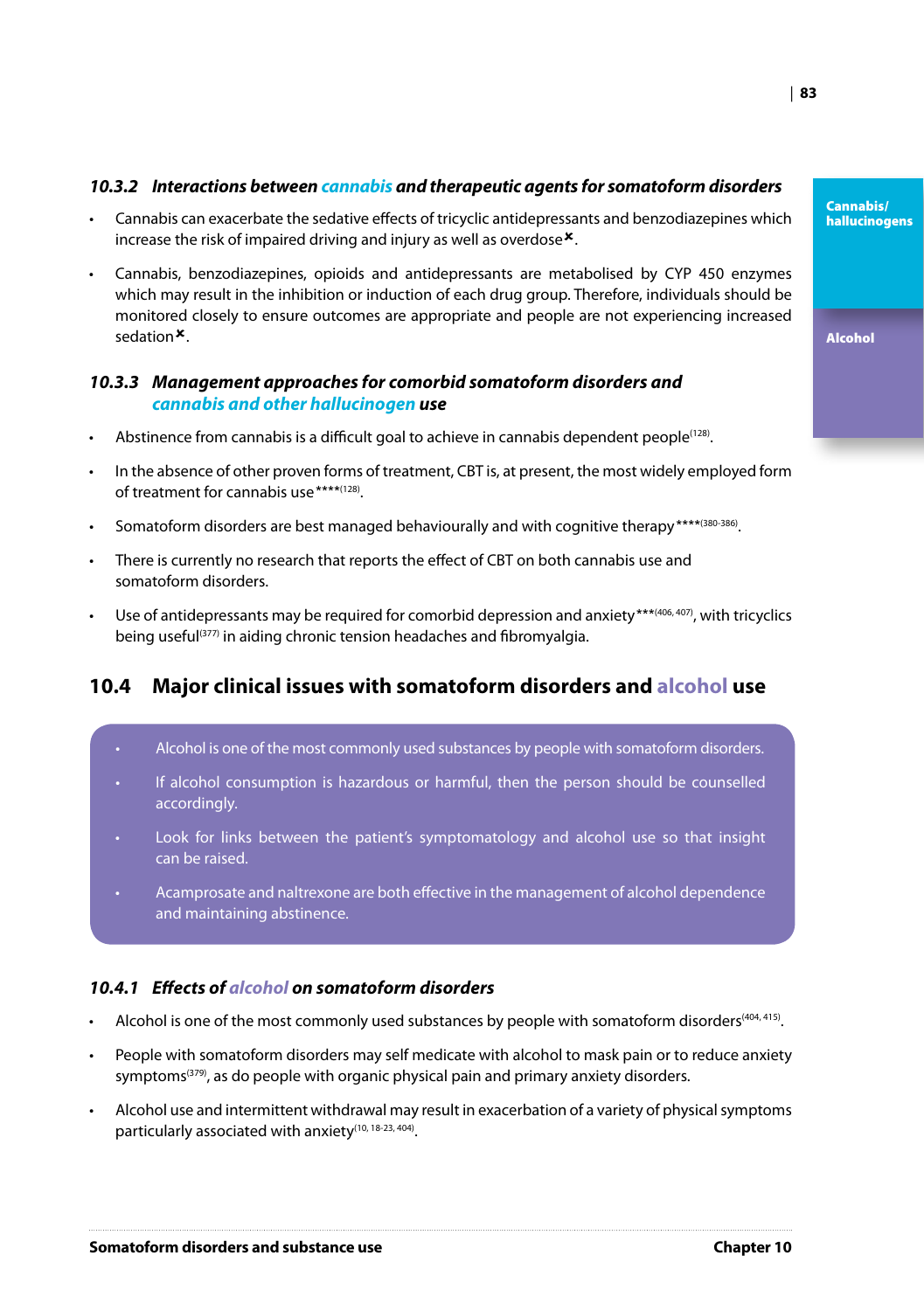# *10.3.2 Interactions between cannabis and therapeutic agents for somatoform disorders*

- • Cannabis can exacerbate the sedative effects of tricyclic antidepressants and benzodiazepines which increase the risk of impaired driving and injury as well as overdose $x$ .
- Cannabis, benzodiazepines, opioids and antidepressants are metabolised by CYP 450 enzymes which may result in the inhibition or induction of each drug group. Therefore, individuals should be monitored closely to ensure outcomes are appropriate and people are not experiencing increased sedation<sup>x</sup>.

# *10.3.3 Management approaches for comorbid somatoform disorders and cannabis and other hallucinogen use*

- Abstinence from cannabis is a difficult goal to achieve in cannabis dependent people<sup> $(128)$ </sup>.
- In the absence of other proven forms of treatment, CBT is, at present, the most widely employed form of treatment for cannabis use*\*\*\*\**(128).
- Somatoform disorders are best managed behaviourally and with cognitive therapy<sup>\*\*\*\*(380-386)</sup>.
- There is currently no research that reports the effect of CBT on both cannabis use and somatoform disorders.
- Use of antidepressants may be required for comorbid depression and anxiety<sup>\*\*\*(406, 407)</sup>, with tricyclics being useful<sup>(377)</sup> in aiding chronic tension headaches and fibromyalgia.

# **10.4 Major clinical issues with somatoform disorders and alcohol use**

- Alcohol is one of the most commonly used substances by people with somatoform disorders.
- If alcohol consumption is hazardous or harmful, then the person should be counselled accordingly.
- Look for links between the patient's symptomatology and alcohol use so that insight can be raised.
- Acamprosate and naltrexone are both effective in the management of alcohol dependence and maintaining abstinence.

# *10.4.1 Effects of alcohol on somatoform disorders*

- Alcohol is one of the most commonly used substances by people with somatoform disorders<sup>(404, 415)</sup>.
- People with somatoform disorders may self medicate with alcohol to mask pain or to reduce anxiety symptoms $(379)$ , as do people with organic physical pain and primary anxiety disorders.
- Alcohol use and intermittent withdrawal may result in exacerbation of a variety of physical symptoms particularly associated with anxiety<sup>(10, 18-23, 404)</sup>.

Cannabis/ hallucinogens

Alcohol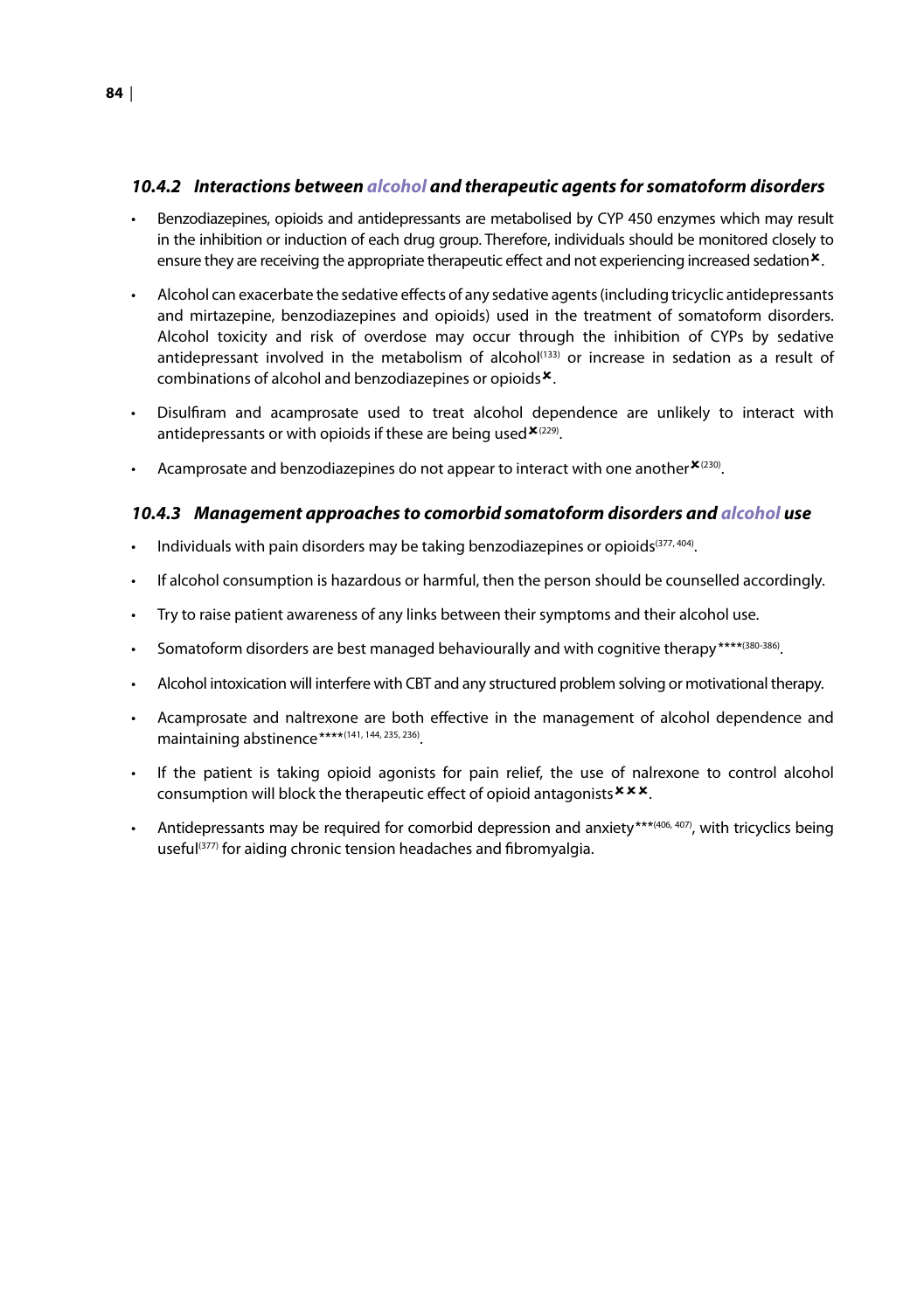## *10.4.2 Interactions between alcohol and therapeutic agents for somatoform disorders*

- Benzodiazepines, opioids and antidepressants are metabolised by CYP 450 enzymes which may result in the inhibition or induction of each drug group. Therefore, individuals should be monitored closely to ensure they are receiving the appropriate therapeutic effect and not experiencing increased sedation $\mathbf{x}$ .
- Alcohol can exacerbate the sedative effects of any sedative agents (including tricyclic antidepressants and mirtazepine, benzodiazepines and opioids) used in the treatment of somatoform disorders. Alcohol toxicity and risk of overdose may occur through the inhibition of CYPs by sedative antidepressant involved in the metabolism of alcohol<sup> $(133)$ </sup> or increase in sedation as a result of combinations of alcohol and benzodiazepines or opioids<sup>x</sup>.
- Disulfiram and acamprosate used to treat alcohol dependence are unlikely to interact with antidepressants or with opioids if these are being used  $x_{(229)}$ .
- Acamprosate and benzodiazepines do not appear to interact with one another $x_{(230)}$ .

## *10.4.3 Management approaches to comorbid somatoform disorders and alcohol use*

- Individuals with pain disorders may be taking benzodiazepines or opioids<sup>(377, 404)</sup>.
- If alcohol consumption is hazardous or harmful, then the person should be counselled accordingly.
- Try to raise patient awareness of any links between their symptoms and their alcohol use.
- Somatoform disorders are best managed behaviourally and with cognitive therapy<sup>\*\*\*\*(380-386)</sup>.
- Alcohol intoxication will interfere with CBT and any structured problem solving or motivational therapy.
- Acamprosate and naltrexone are both effective in the management of alcohol dependence and maintaining abstinence*\*\*\*\**(141, 144, 235, 236).
- If the patient is taking opioid agonists for pain relief, the use of nalrexone to control alcohol consumption will block the therapeutic effect of opioid antagonists **xxx**.
- Antidepressants may be required for comorbid depression and anxiety<sup>\*\*\*(406, 407)</sup>, with tricyclics being useful<sup>(377)</sup> for aiding chronic tension headaches and fibromyalgia.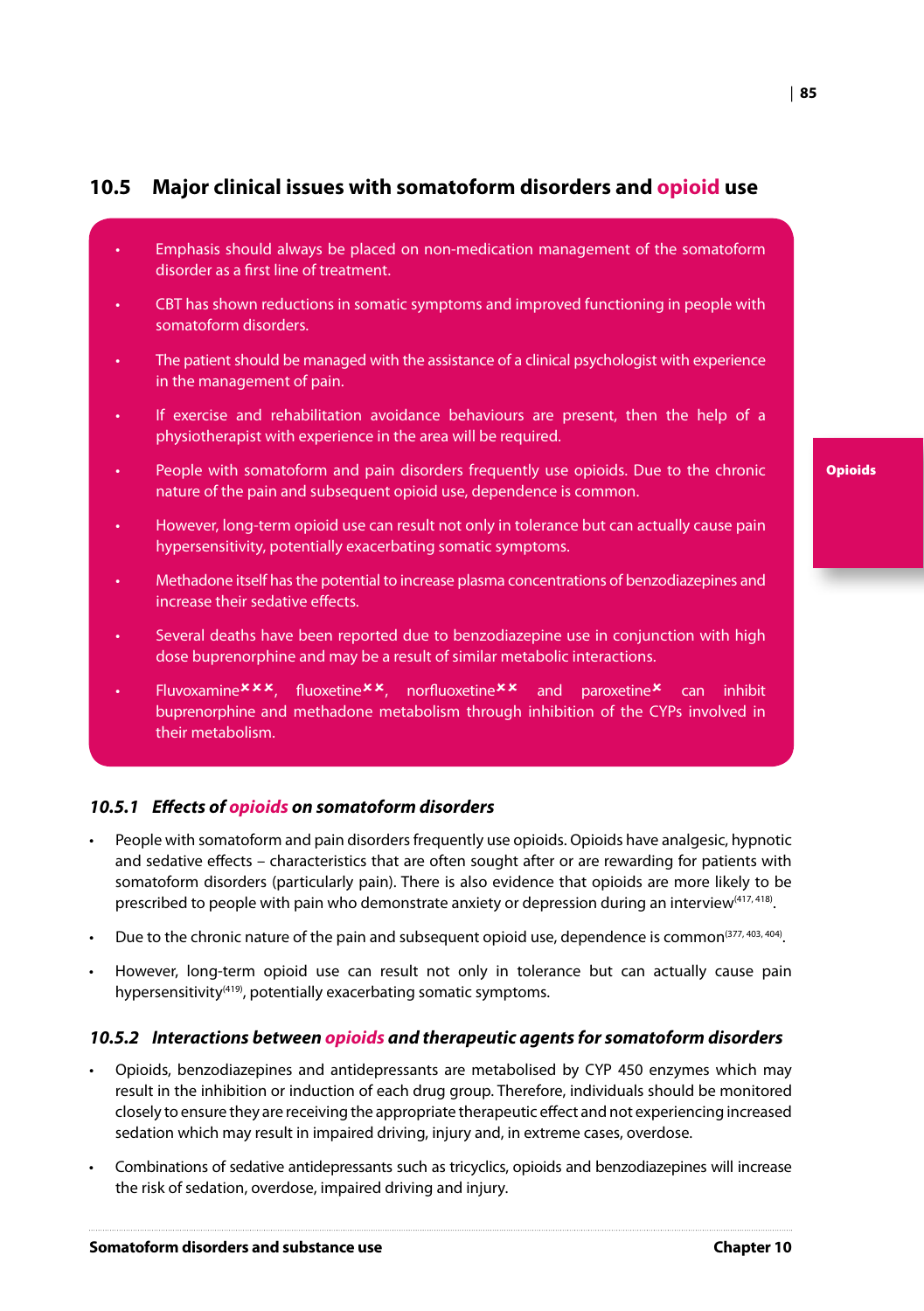# **10.5 Major clinical issues with somatoform disorders and opioid use**

- Emphasis should always be placed on non-medication management of the somatoform disorder as a first line of treatment.
- CBT has shown reductions in somatic symptoms and improved functioning in people with somatoform disorders.
- The patient should be managed with the assistance of a clinical psychologist with experience in the management of pain.
- If exercise and rehabilitation avoidance behaviours are present, then the help of a physiotherapist with experience in the area will be required.
- People with somatoform and pain disorders frequently use opioids. Due to the chronic nature of the pain and subsequent opioid use, dependence is common.
- However, long-term opioid use can result not only in tolerance but can actually cause pain hypersensitivity, potentially exacerbating somatic symptoms.
- Methadone itself has the potential to increase plasma concentrations of benzodiazepines and increase their sedative effects.
- Several deaths have been reported due to benzodiazepine use in conjunction with high dose buprenorphine and may be a result of similar metabolic interactions.
- Fluvoxamine $\mathbf{x} \times \mathbf{x}$ , fluoxetine $\mathbf{x} \times \mathbf{y}$ , norfluoxetine and paroxetine  $\mathbf{x}$  can inhibit buprenorphine and methadone metabolism through inhibition of the CYPs involved in their metabolism.

### *10.5.1 Effects of opioids on somatoform disorders*

- People with somatoform and pain disorders frequently use opioids. Opioids have analgesic, hypnotic and sedative effects – characteristics that are often sought after or are rewarding for patients with somatoform disorders (particularly pain). There is also evidence that opioids are more likely to be prescribed to people with pain who demonstrate anxiety or depression during an interview<sup>(417, 418)</sup>.
- Due to the chronic nature of the pain and subsequent opioid use, dependence is common<sup>(377, 403, 404)</sup>.
- However, long-term opioid use can result not only in tolerance but can actually cause pain hypersensitivity<sup>(419)</sup>, potentially exacerbating somatic symptoms.

#### *10.5.2 Interactions between opioids and therapeutic agents for somatoform disorders*

- Opioids, benzodiazepines and antidepressants are metabolised by CYP 450 enzymes which may result in the inhibition or induction of each drug group. Therefore, individuals should be monitored closely to ensure they are receiving the appropriate therapeutic effect and not experiencing increased sedation which may result in impaired driving, injury and, in extreme cases, overdose.
- Combinations of sedative antidepressants such as tricyclics, opioids and benzodiazepines will increase the risk of sedation, overdose, impaired driving and injury.

Opioids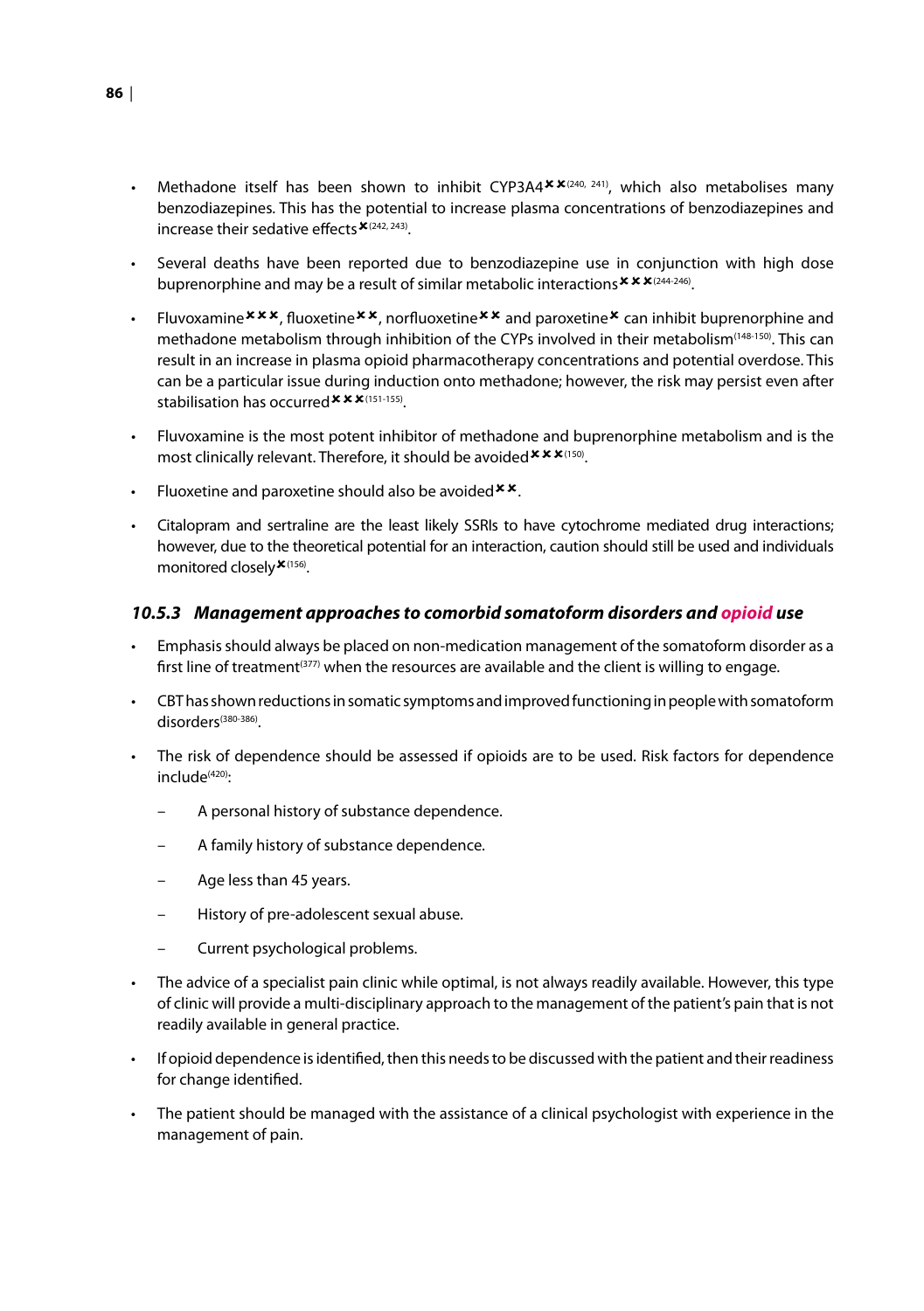- Methadone itself has been shown to inhibit CYP3A4 $\star \times 240$ , 241), which also metabolises many benzodiazepines. This has the potential to increase plasma concentrations of benzodiazepines and increase their sedative effects  $x_{(242, 243)}$ .
- Several deaths have been reported due to benzodiazepine use in conjunction with high dose buprenorphine and may be a result of similar metabolic interactions  $\mathbf{x} \times \mathbf{x}_{(244-246)}$ .
- Fluvoxamine  $\mathbf{x} \cdot \mathbf{x}$ , fluoxetine  $\mathbf{x} \cdot \mathbf{y}$ , norfluoxetine  $\mathbf{x} \cdot \mathbf{x}$  and paroxetine  $\mathbf{x}$  can inhibit buprenorphine and methadone metabolism through inhibition of the CYPs involved in their metabolism(148-150). This can result in an increase in plasma opioid pharmacotherapy concentrations and potential overdose. This can be a particular issue during induction onto methadone; however, the risk may persist even after stabilisation has occurred  $x \times x$ <sup>(151-155)</sup>.
- Fluvoxamine is the most potent inhibitor of methadone and buprenorphine metabolism and is the most clinically relevant. Therefore, it should be avoided  $x \cdot x$  (150).
- Fluoxetine and paroxetine should also be avoided  $x$ .
- Citalopram and sertraline are the least likely SSRIs to have cytochrome mediated drug interactions; however, due to the theoretical potential for an interaction, caution should still be used and individuals monitored closely $x$ <sup>(156)</sup>.

### *10.5.3 Management approaches to comorbid somatoform disorders and opioid use*

- Emphasis should always be placed on non-medication management of the somatoform disorder as a first line of treatment<sup>(377)</sup> when the resources are available and the client is willing to engage.
- CBT has shown reductions in somatic symptoms and improved functioning in people with somatoform disorders<sup>(380-386)</sup>.
- The risk of dependence should be assessed if opioids are to be used. Risk factors for dependence  $include$ <sup> $(420)$ </sup>
	- A personal history of substance dependence.
	- A family history of substance dependence.
	- Age less than 45 years.
	- History of pre-adolescent sexual abuse.
	- Current psychological problems.
- The advice of a specialist pain clinic while optimal, is not always readily available. However, this type of clinic will provide a multi-disciplinary approach to the management of the patient's pain that is not readily available in general practice.
- If opioid dependence is identified, then this needs to be discussed with the patient and their readiness for change identified.
- The patient should be managed with the assistance of a clinical psychologist with experience in the management of pain.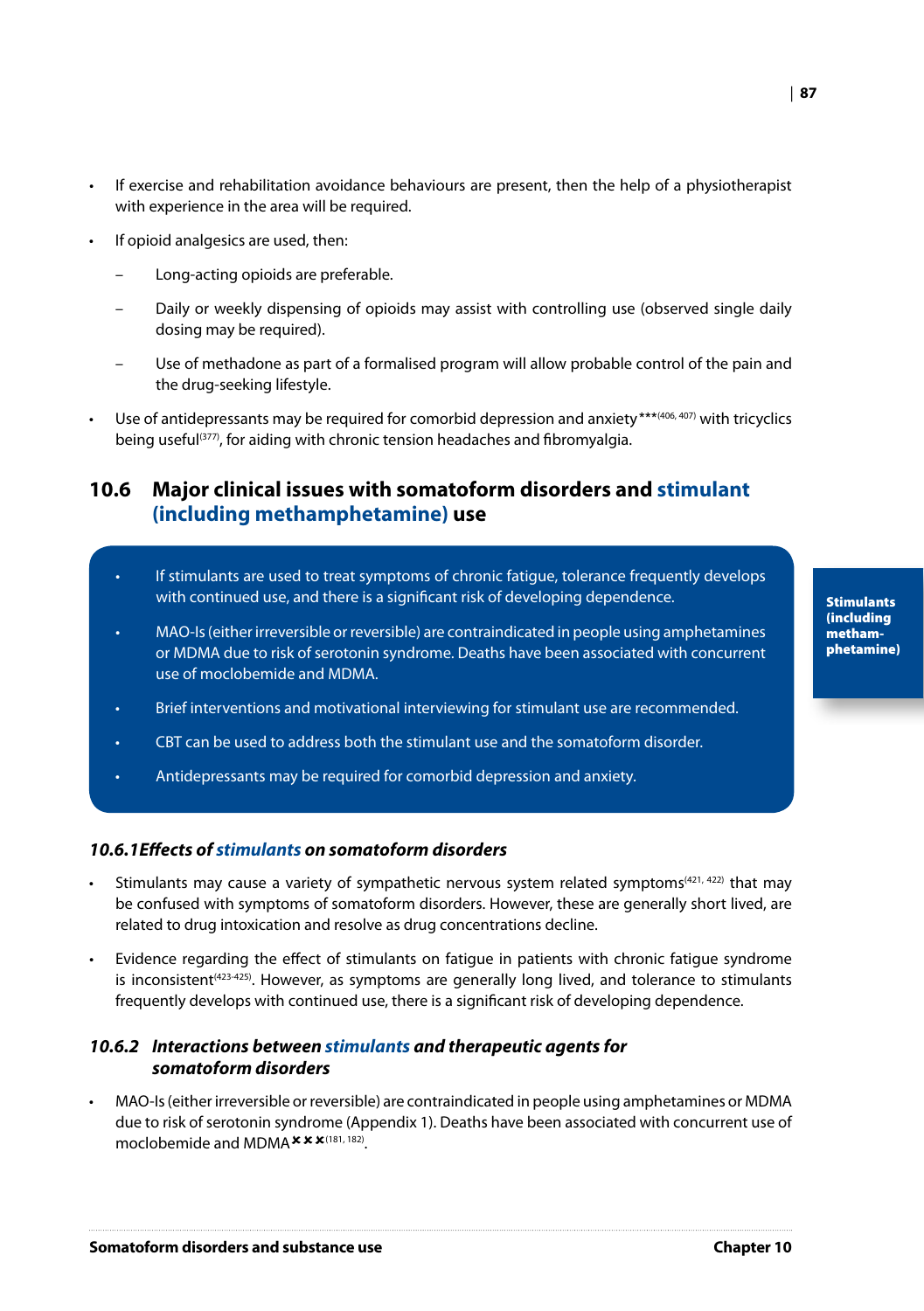• If exercise and rehabilitation avoidance behaviours are present, then the help of a physiotherapist

- Long-acting opioids are preferable.
- Daily or weekly dispensing of opioids may assist with controlling use (observed single daily dosing may be required).
- Use of methadone as part of a formalised program will allow probable control of the pain and the drug-seeking lifestyle.
- Use of antidepressants may be required for comorbid depression and anxiety<sup>\*\*\*(406, 407)</sup> with tricyclics being useful<sup>(377)</sup>, for aiding with chronic tension headaches and fibromyalgia.

# **10.6 Major clinical issues with somatoform disorders and stimulant (including methamphetamine) use**

- If stimulants are used to treat symptoms of chronic fatigue, tolerance frequently develops with continued use, and there is a significant risk of developing dependence.
- MAO-Is (either irreversible or reversible) are contraindicated in people using amphetamines or MDMA due to risk of serotonin syndrome. Deaths have been associated with concurrent use of moclobemide and MDMA.
- Brief interventions and motivational interviewing for stimulant use are recommended.
- CBT can be used to address both the stimulant use and the somatoform disorder.
- Antidepressants may be required for comorbid depression and anxiety.

### *10.6.1Effects of stimulants on somatoform disorders*

- Stimulants may cause a variety of sympathetic nervous system related symptoms<sup>(421, 422)</sup> that may be confused with symptoms of somatoform disorders. However, these are generally short lived, are related to drug intoxication and resolve as drug concentrations decline.
- Evidence regarding the effect of stimulants on fatigue in patients with chronic fatigue syndrome is inconsistent<sup>(423-425)</sup>. However, as symptoms are generally long lived, and tolerance to stimulants frequently develops with continued use, there is a significant risk of developing dependence.

## *10.6.2 Interactions between stimulants and therapeutic agents for somatoform disorders*

MAO-Is (either irreversible or reversible) are contraindicated in people using amphetamines or MDMA due to risk of serotonin syndrome (Appendix 1). Deaths have been associated with concurrent use of moclobemide and MDMA  $\star \star \star$  (181, 182).

**Stimulants** (including methamphetamine)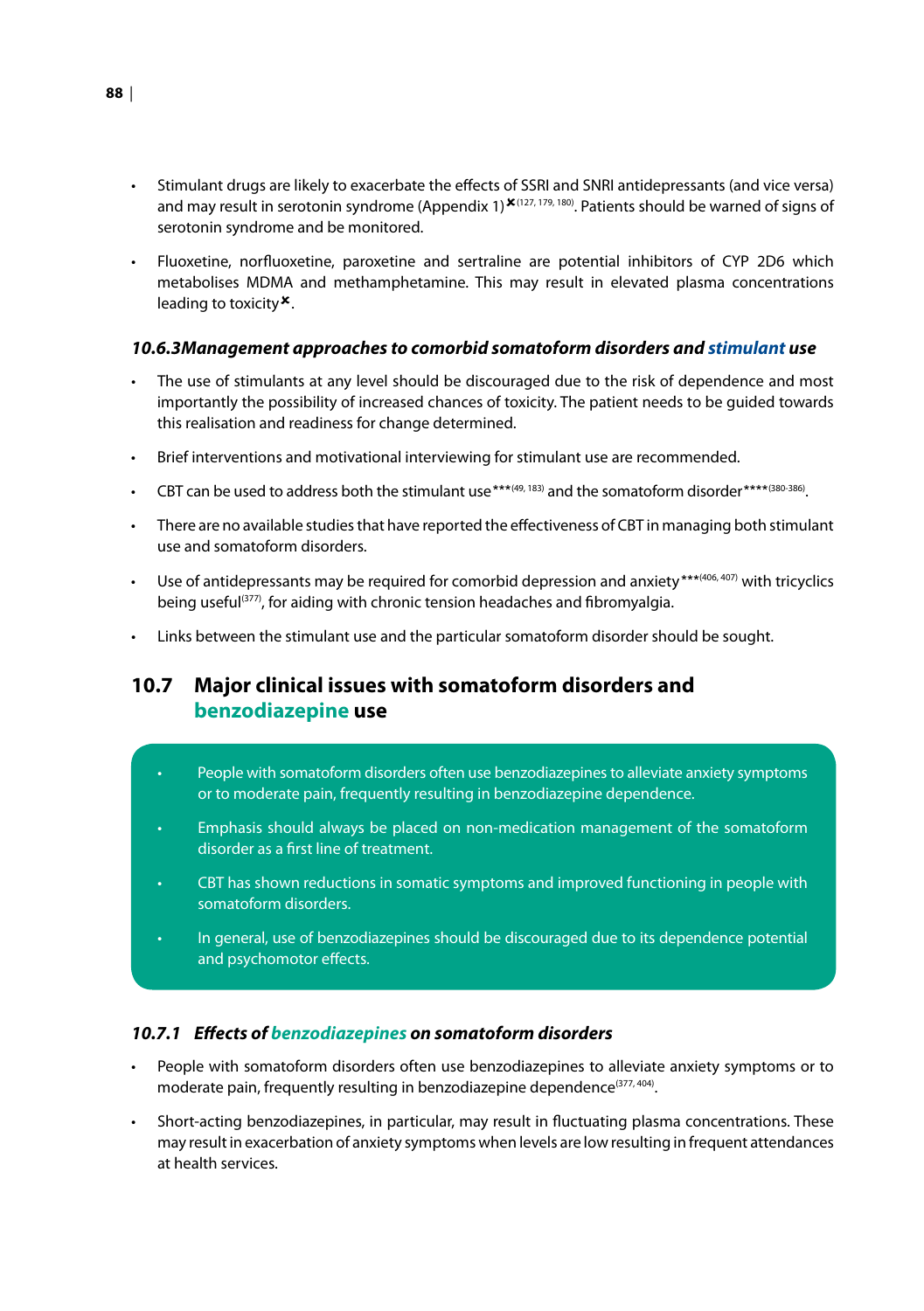- • Stimulant drugs are likely to exacerbate the effects of SSRI and SNRI antidepressants (and vice versa) and may result in serotonin syndrome (Appendix 1) $x_{(127, 179, 180)}$ . Patients should be warned of signs of serotonin syndrome and be monitored.
- Fluoxetine, norfluoxetine, paroxetine and sertraline are potential inhibitors of CYP 2D6 which metabolises MDMA and methamphetamine. This may result in elevated plasma concentrations leading to toxicity $x$ .

### *10.6.3Management approaches to comorbid somatoform disorders and stimulant use*

- The use of stimulants at any level should be discouraged due to the risk of dependence and most importantly the possibility of increased chances of toxicity. The patient needs to be guided towards this realisation and readiness for change determined.
- Brief interventions and motivational interviewing for stimulant use are recommended.
- CBT can be used to address both the stimulant use<sup>\*\*\*(49, 183)</sup> and the somatoform disorder<sup>\*\*\*\*(380-386)</sup>.
- There are no available studies that have reported the effectiveness of CBT in managing both stimulant use and somatoform disorders.
- Use of antidepressants may be required for comorbid depression and anxiety<sup>\*\*\*(406, 407)</sup> with tricyclics being useful<sup>(377)</sup>, for aiding with chronic tension headaches and fibromyalgia.
- Links between the stimulant use and the particular somatoform disorder should be sought.

# **10.7 Major clinical issues with somatoform disorders and benzodiazepine use**

- People with somatoform disorders often use benzodiazepines to alleviate anxiety symptoms or to moderate pain, frequently resulting in benzodiazepine dependence.
- Emphasis should always be placed on non-medication management of the somatoform disorder as a first line of treatment.
- CBT has shown reductions in somatic symptoms and improved functioning in people with somatoform disorders.
- In general, use of benzodiazepines should be discouraged due to its dependence potential and psychomotor effects.

### *10.7.1 Effects of benzodiazepines on somatoform disorders*

- People with somatoform disorders often use benzodiazepines to alleviate anxiety symptoms or to moderate pain, frequently resulting in benzodiazepine dependence<sup>(377, 404)</sup>.
- Short-acting benzodiazepines, in particular, may result in fluctuating plasma concentrations. These may result in exacerbation of anxiety symptoms when levels are low resulting in frequent attendances at health services.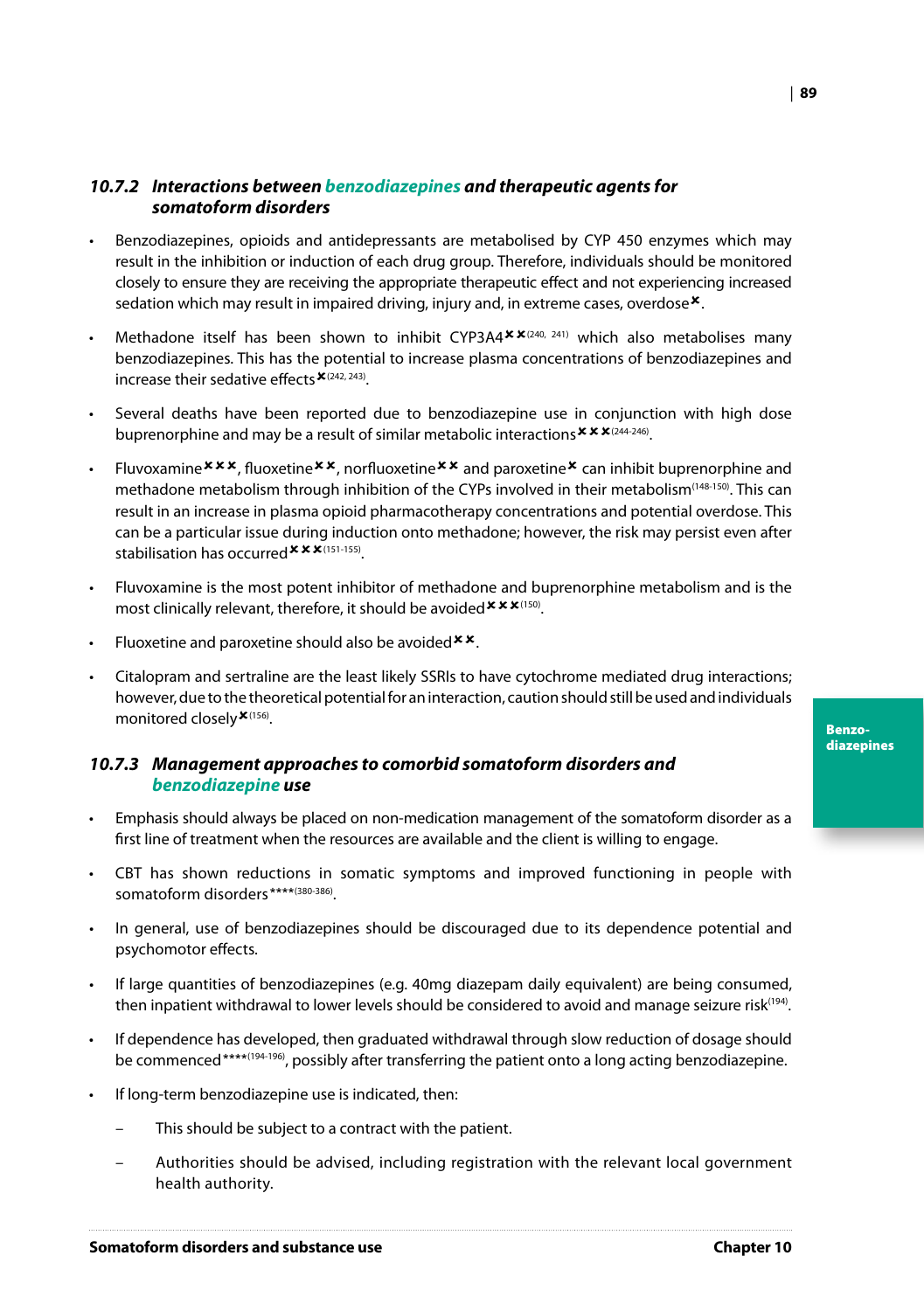### *10.7.2 Interactions between benzodiazepines and therapeutic agents for somatoform disorders*

- Benzodiazepines, opioids and antidepressants are metabolised by CYP 450 enzymes which may result in the inhibition or induction of each drug group. Therefore, individuals should be monitored closely to ensure they are receiving the appropriate therapeutic effect and not experiencing increased sedation which may result in impaired driving, injury and, in extreme cases, overdose $x$ .
- Methadone itself has been shown to inhibit CYP3A4 $\star \times (240, 241)$  which also metabolises many benzodiazepines. This has the potential to increase plasma concentrations of benzodiazepines and increase their sedative effects  $x_{(242, 243)}$ .
- Several deaths have been reported due to benzodiazepine use in conjunction with high dose buprenorphine and may be a result of similar metabolic interactions  $x \times x$  (244-246).
- Fluvoxamine  $\star \star \star$ , fluoxetine  $\star \star$ , norfluoxetine  $\star \star$  and paroxetine  $\star$  can inhibit buprenorphine and methadone metabolism through inhibition of the CYPs involved in their metabolism<sup>(148-150)</sup>. This can result in an increase in plasma opioid pharmacotherapy concentrations and potential overdose. This can be a particular issue during induction onto methadone; however, the risk may persist even after stabilisation has occurred **x x x** (151-155).
- • Fluvoxamine is the most potent inhibitor of methadone and buprenorphine metabolism and is the most clinically relevant, therefore, it should be avoided  $x \times x$ <sup>(150)</sup>.
- Fluoxetine and paroxetine should also be avoided  $x \cdot x$ .
- Citalopram and sertraline are the least likely SSRIs to have cytochrome mediated drug interactions; however, due to the theoretical potential for an interaction, caution should still be used and individuals monitored closely $\mathbf{x}$ <sup>(156)</sup>.

#### *10.7.3 Management approaches to comorbid somatoform disorders and benzodiazepine use*

- Emphasis should always be placed on non-medication management of the somatoform disorder as a first line of treatment when the resources are available and the client is willing to engage.
- • CBT has shown reductions in somatic symptoms and improved functioning in people with somatoform disorders*\*\*\*\**(380-386).
- In general, use of benzodiazepines should be discouraged due to its dependence potential and psychomotor effects.
- If large quantities of benzodiazepines (e.g. 40mg diazepam daily equivalent) are being consumed, then inpatient withdrawal to lower levels should be considered to avoid and manage seizure risk<sup>(194)</sup>.
- If dependence has developed, then graduated withdrawal through slow reduction of dosage should be commenced*\*\*\*\**(194-196), possibly after transferring the patient onto a long acting benzodiazepine.
- • If long-term benzodiazepine use is indicated, then:
	- This should be subject to a contract with the patient.
	- Authorities should be advised, including registration with the relevant local government health authority.

Benzodiazepines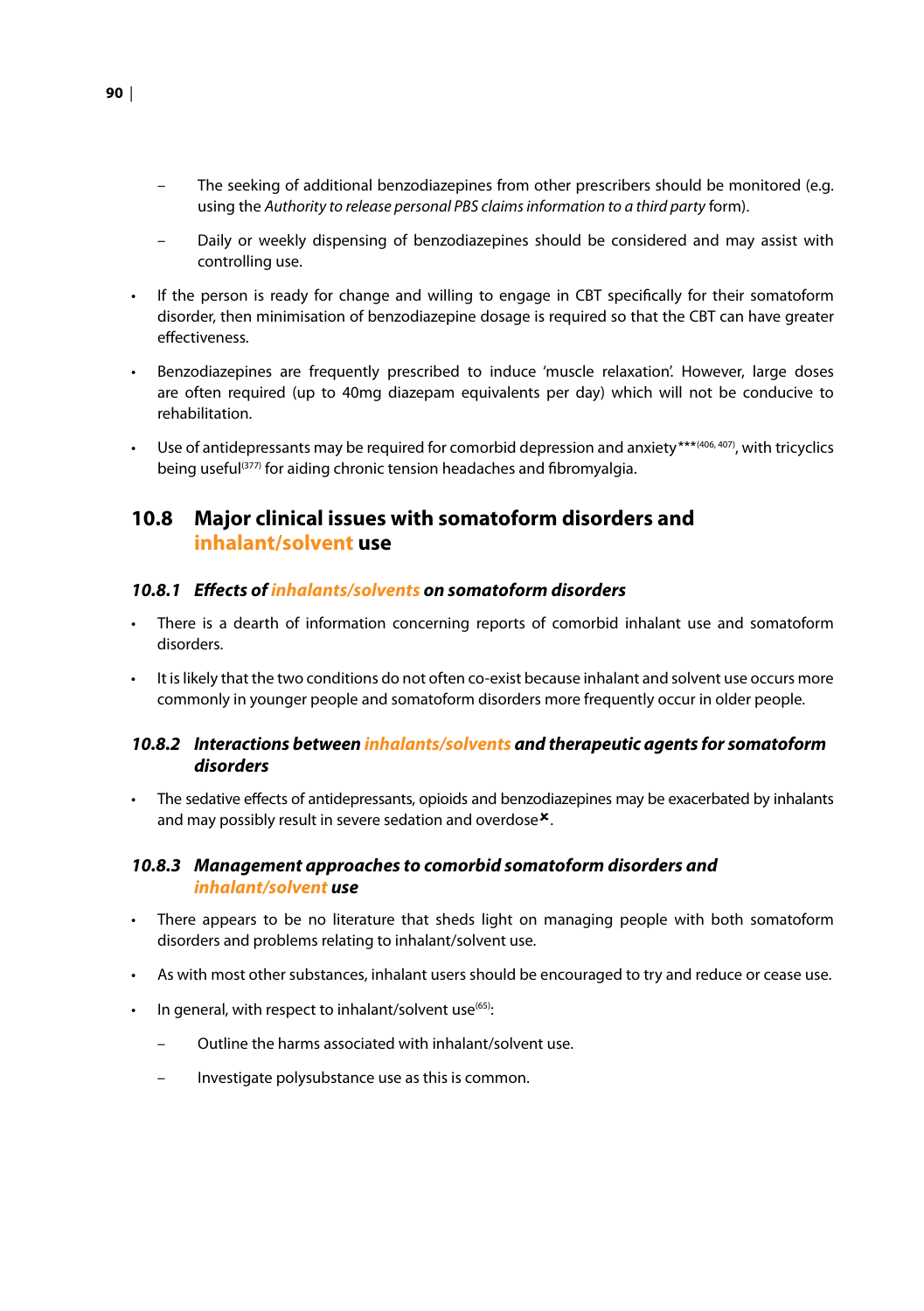- The seeking of additional benzodiazepines from other prescribers should be monitored (e.g. using the *Authority to release personal PBS claims information to a third party* form).
- Daily or weekly dispensing of benzodiazepines should be considered and may assist with controlling use.
- If the person is ready for change and willing to engage in CBT specifically for their somatoform disorder, then minimisation of benzodiazepine dosage is required so that the CBT can have greater effectiveness.
- Benzodiazepines are frequently prescribed to induce 'muscle relaxation'. However, large doses are often required (up to 40mg diazepam equivalents per day) which will not be conducive to rehabilitation.
- Use of antidepressants may be required for comorbid depression and anxiety<sup>\*\*\*(406, 407)</sup>, with tricyclics being useful<sup>(377)</sup> for aiding chronic tension headaches and fibromyalgia.

# **10.8 Major clinical issues with somatoform disorders and inhalant/solvent use**

## *10.8.1 Effects of inhalants/solvents on somatoform disorders*

- There is a dearth of information concerning reports of comorbid inhalant use and somatoform disorders.
- It is likely that the two conditions do not often co-exist because inhalant and solvent use occurs more commonly in younger people and somatoform disorders more frequently occur in older people.

## *10.8.2 Interactions between inhalants/solvents and therapeutic agents for somatoform disorders*

The sedative effects of antidepressants, opioids and benzodiazepines may be exacerbated by inhalants and may possibly result in severe sedation and overdose $x$ .

## *10.8.3 Management approaches to comorbid somatoform disorders and inhalant/solvent use*

- There appears to be no literature that sheds light on managing people with both somatoform disorders and problems relating to inhalant/solvent use.
- • As with most other substances, inhalant users should be encouraged to try and reduce or cease use.
- In general, with respect to inhalant/solvent use $(65)$ :
	- Outline the harms associated with inhalant/solvent use.
	- Investigate polysubstance use as this is common.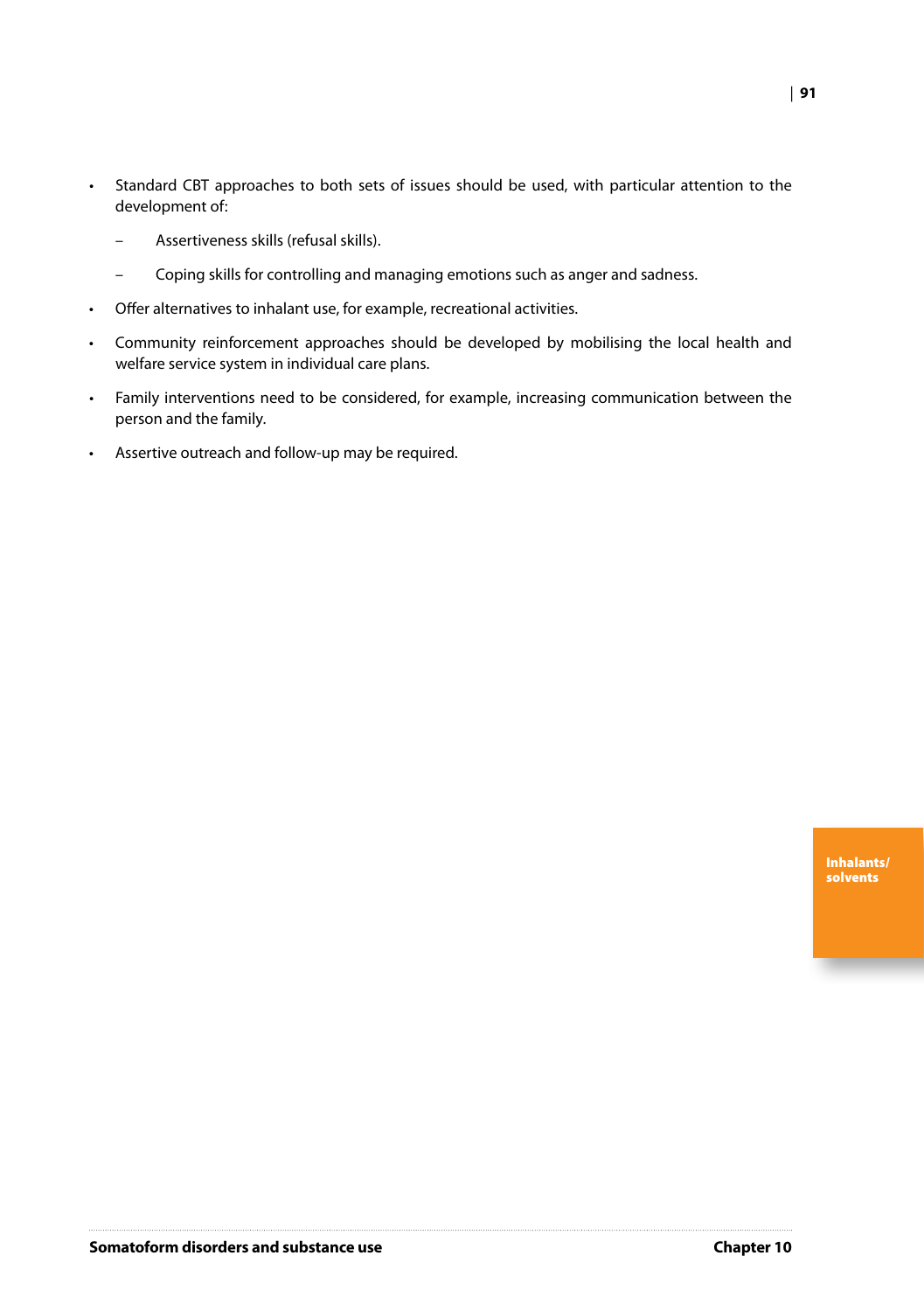- • Standard CBT approaches to both sets of issues should be used, with particular attention to the development of:
	- Assertiveness skills (refusal skills).
	- Coping skills for controlling and managing emotions such as anger and sadness.
- • Offer alternatives to inhalant use, for example, recreational activities.
- • Community reinforcement approaches should be developed by mobilising the local health and welfare service system in individual care plans.
- • Family interventions need to be considered, for example, increasing communication between the person and the family.
- • Assertive outreach and follow-up may be required.

Inhalants/ solvents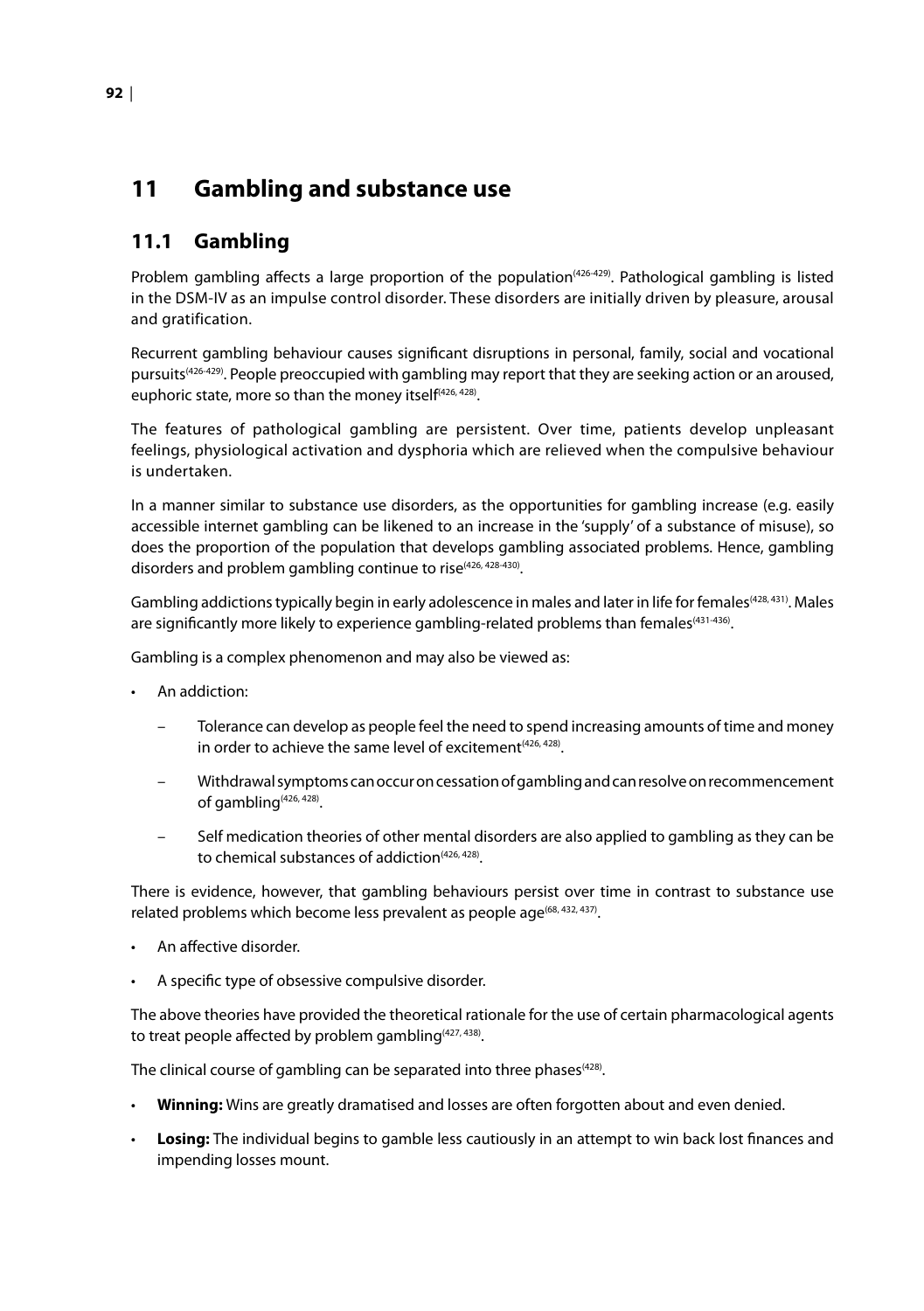# **11 Gambling and substance use**

# **11.1 Gambling**

Problem gambling affects a large proportion of the population $(426-429)$ . Pathological gambling is listed in the DSM-IV as an impulse control disorder. These disorders are initially driven by pleasure, arousal and gratification.

Recurrent gambling behaviour causes significant disruptions in personal, family, social and vocational pursuits(426-429). People preoccupied with gambling may report that they are seeking action or an aroused, euphoric state, more so than the money itself<sup>(426, 428)</sup>.

The features of pathological gambling are persistent. Over time, patients develop unpleasant feelings, physiological activation and dysphoria which are relieved when the compulsive behaviour is undertaken.

In a manner similar to substance use disorders, as the opportunities for gambling increase (e.g. easily accessible internet gambling can be likened to an increase in the 'supply' of a substance of misuse), so does the proportion of the population that develops gambling associated problems. Hence, gambling disorders and problem gambling continue to rise<sup>(426, 428-430)</sup>.

Gambling addictions typically begin in early adolescence in males and later in life for females<sup>(428, 431)</sup>. Males are significantly more likely to experience gambling-related problems than females<sup>(431-436)</sup>.

Gambling is a complex phenomenon and may also be viewed as:

- An addiction:
	- Tolerance can develop as people feel the need to spend increasing amounts of time and money in order to achieve the same level of excitement $(426, 428)$ .
	- Withdrawal symptoms can occur on cessation of gambling and can resolve on recommencement of gambling(426, 428).
	- Self medication theories of other mental disorders are also applied to gambling as they can be to chemical substances of addiction $(426, 428)$ .

There is evidence, however, that gambling behaviours persist over time in contrast to substance use related problems which become less prevalent as people age<sup>(68, 432, 437)</sup>.

- An affective disorder
- A specific type of obsessive compulsive disorder.

The above theories have provided the theoretical rationale for the use of certain pharmacological agents to treat people affected by problem gambling<sup>(427, 438)</sup>.

The clinical course of gambling can be separated into three phases<sup>(428)</sup>.

- **Winning:** Wins are greatly dramatised and losses are often forgotten about and even denied.
- **Losing:** The individual begins to gamble less cautiously in an attempt to win back lost finances and impending losses mount.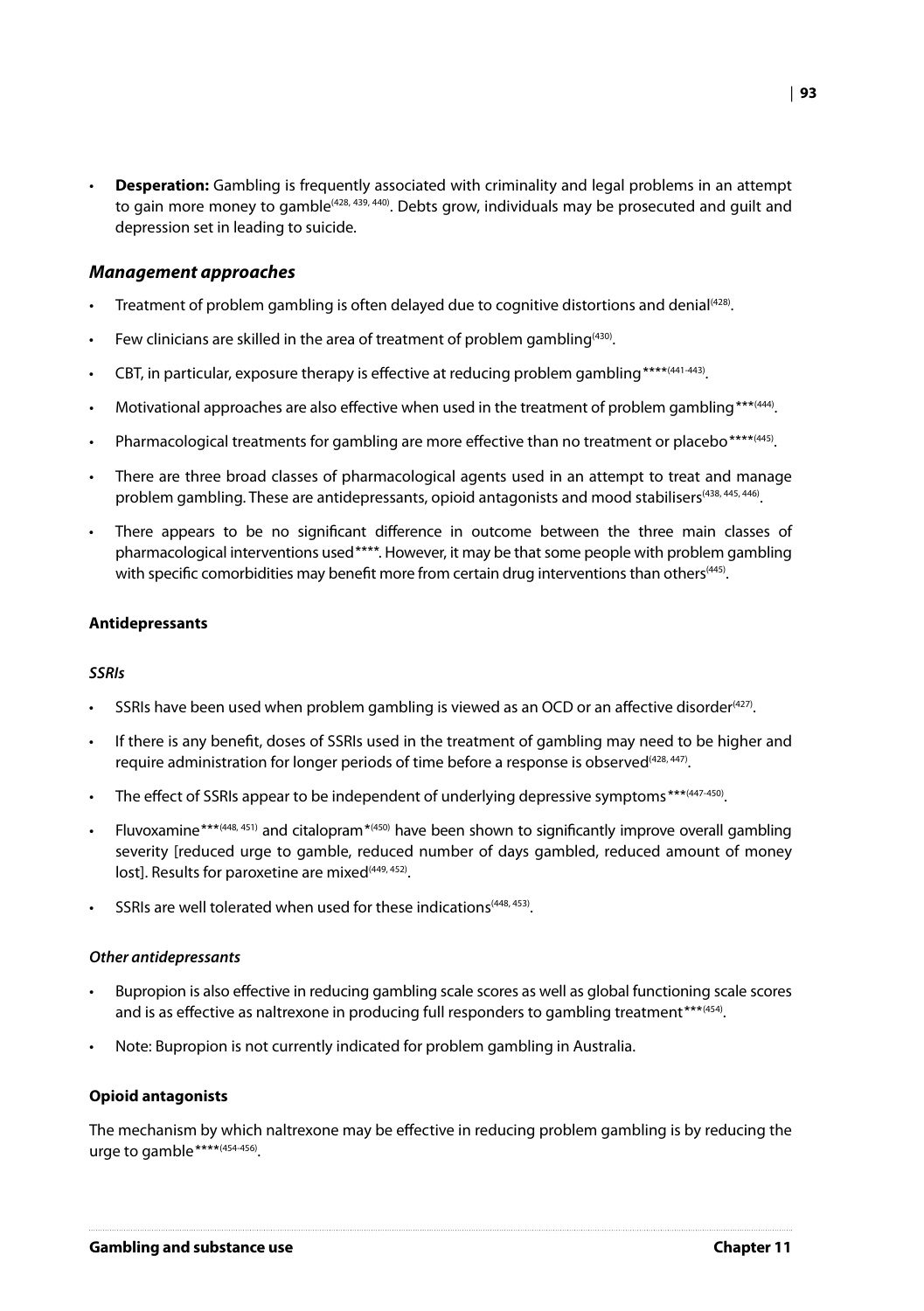• **Desperation:** Gambling is frequently associated with criminality and legal problems in an attempt to gain more money to gamble<sup>(428, 439, 440)</sup>. Debts grow, individuals may be prosecuted and guilt and depression set in leading to suicide.

#### *Management approaches*

- Treatment of problem gambling is often delayed due to cognitive distortions and denial<sup>(428)</sup>.
- Few clinicians are skilled in the area of treatment of problem gambling<sup>(430)</sup>.
- CBT, in particular, exposure therapy is effective at reducing problem gambling<sup>\*\*\*\*(441-443)</sup>.
- • Motivational approaches are also effective when used in the treatment of problem gambling*\*\*\**(444).
- Pharmacological treatments for gambling are more effective than no treatment or placebo<sup>\*\*\*\*(445)</sup>.
- There are three broad classes of pharmacological agents used in an attempt to treat and manage problem gambling. These are antidepressants, opioid antagonists and mood stabilisers<sup>(438, 445, 446)</sup>.
- There appears to be no significant difference in outcome between the three main classes of pharmacological interventions used*\*\*\*\**. However, it may be that some people with problem gambling with specific comorbidities may benefit more from certain drug interventions than others<sup>(445)</sup>.

#### **Antidepressants**

#### *SSRIs*

- SSRIs have been used when problem gambling is viewed as an OCD or an affective disorder<sup>(427)</sup>.
- If there is any benefit, doses of SSRIs used in the treatment of gambling may need to be higher and require administration for longer periods of time before a response is observed<sup>(428, 447)</sup>.
- The effect of SSRIs appear to be independent of underlying depressive symptoms<sup>\*\*\*(447-450)</sup>.
- • Fluvoxamine*\*\*\**(448, 451) and citalopram*\**(450) have been shown to significantly improve overall gambling severity [reduced urge to gamble, reduced number of days gambled, reduced amount of money lost]. Results for paroxetine are mixed<sup>(449, 452)</sup>.
- SSRIs are well tolerated when used for these indications<sup>(448, 453)</sup>.

#### *Other antidepressants*

- • Bupropion is also effective in reducing gambling scale scores as well as global functioning scale scores and is as effective as naltrexone in producing full responders to gambling treatment*\*\*\**(454).
- Note: Bupropion is not currently indicated for problem gambling in Australia.

#### **Opioid antagonists**

The mechanism by which naltrexone may be effective in reducing problem gambling is by reducing the urge to gamble*\*\*\*\**(454-456).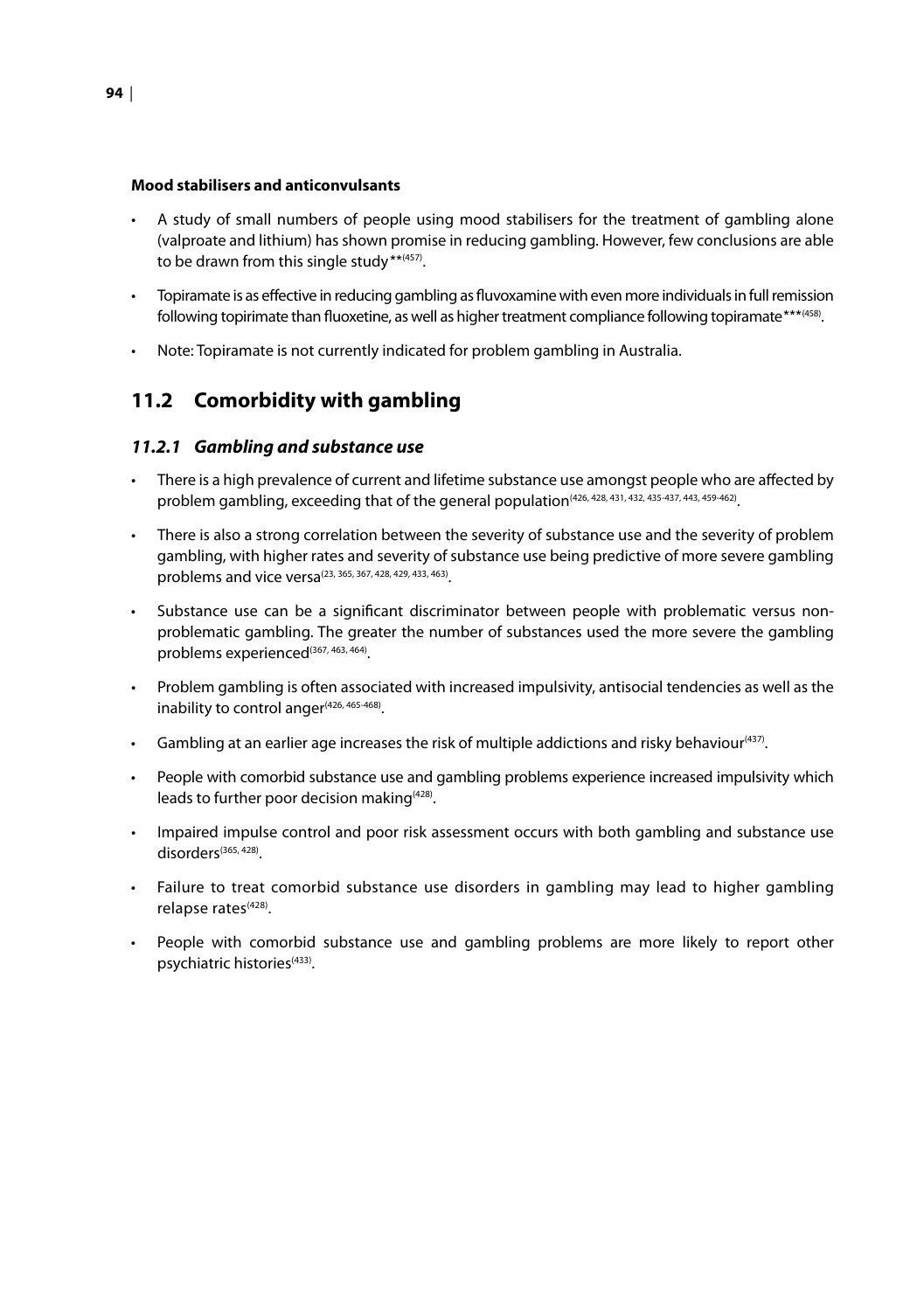#### **Mood stabilisers and anticonvulsants**

- A study of small numbers of people using mood stabilisers for the treatment of gambling alone (valproate and lithium) has shown promise in reducing gambling. However, few conclusions are able to be drawn from this single study*\*\**(457).
- Topiramate is as effective in reducing gambling as fluvoxamine with even more individuals in full remission following topirimate than fluoxetine, as well as higher treatment compliance following topiramate*\*\*\**(458).
- Note: Topiramate is not currently indicated for problem gambling in Australia.

# **11.2 Comorbidity with gambling**

#### *11.2.1 Gambling and substance use*

- There is a high prevalence of current and lifetime substance use amongst people who are affected by problem gambling, exceeding that of the general population<sup>(426, 428, 431, 432, 435-437, 443, 459-462)</sup>.
- There is also a strong correlation between the severity of substance use and the severity of problem gambling, with higher rates and severity of substance use being predictive of more severe gambling problems and vice versa<sup>(23, 365, 367, 428, 429, 433, 463)</sup>
- Substance use can be a significant discriminator between people with problematic versus nonproblematic gambling. The greater the number of substances used the more severe the gambling problems experienced<sup>(367, 463, 464)</sup>.
- Problem gambling is often associated with increased impulsivity, antisocial tendencies as well as the inability to control anger $(426, 465-468)$ .
- Gambling at an earlier age increases the risk of multiple addictions and risky behaviour<sup>(437)</sup>.
- People with comorbid substance use and gambling problems experience increased impulsivity which leads to further poor decision making<sup>(428)</sup>.
- Impaired impulse control and poor risk assessment occurs with both gambling and substance use disorders(365, 428).
- Failure to treat comorbid substance use disorders in gambling may lead to higher gambling relapse rates<sup>(428)</sup>.
- People with comorbid substance use and gambling problems are more likely to report other psychiatric histories<sup>(433)</sup>.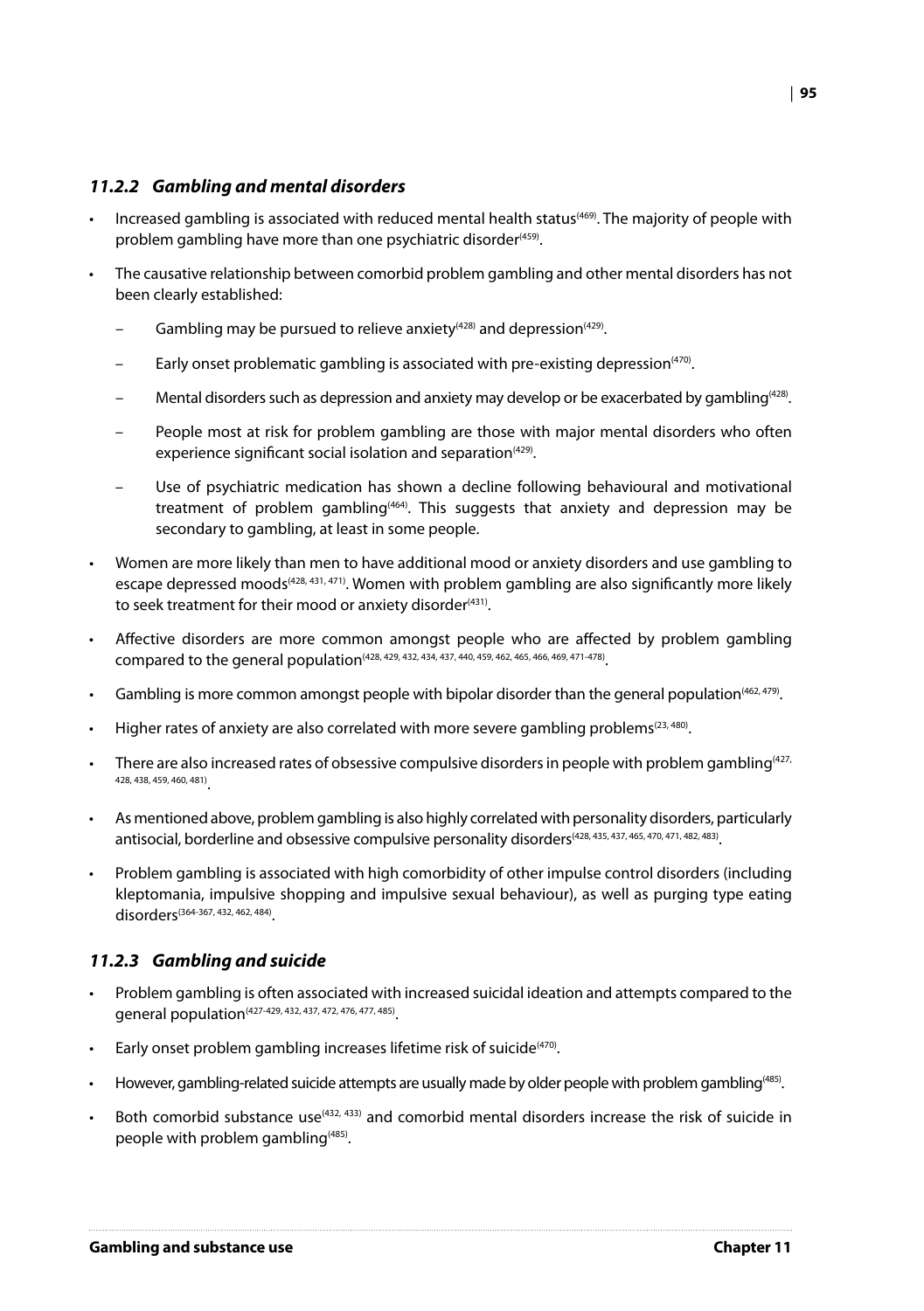### *11.2.2 Gambling and mental disorders*

- Increased gambling is associated with reduced mental health status<sup>(469)</sup>. The majority of people with problem gambling have more than one psychiatric disorder<sup>(459)</sup>.
- The causative relationship between comorbid problem gambling and other mental disorders has not been clearly established:
	- Gambling may be pursued to relieve anxiety<sup>(428)</sup> and depression<sup>(429)</sup>.
	- Early onset problematic gambling is associated with pre-existing depression $(470)$ .
	- Mental disorders such as depression and anxiety may develop or be exacerbated by gambling<sup> $(428)$ </sup>.
	- People most at risk for problem gambling are those with major mental disorders who often experience significant social isolation and separation<sup>(429)</sup>.
	- Use of psychiatric medication has shown a decline following behavioural and motivational treatment of problem gambling<sup>(464)</sup>. This suggests that anxiety and depression may be secondary to gambling, at least in some people.
- Women are more likely than men to have additional mood or anxiety disorders and use gambling to escape depressed moods<sup>(428, 431, 471)</sup>. Women with problem gambling are also significantly more likely to seek treatment for their mood or anxiety disorder<sup>(431)</sup>.
- Affective disorders are more common amongst people who are affected by problem gambling compared to the general population<sup>(428, 429, 432, 434, 437, 440, 459, 462, 465, 466, 469, 471-478)</sup>
- Gambling is more common amongst people with bipolar disorder than the general population<sup>(462, 479)</sup>.
- Higher rates of anxiety are also correlated with more severe gambling problems<sup>(23, 480)</sup>.
- There are also increased rates of obsessive compulsive disorders in people with problem gambling<sup>(427,</sup> 428, 438, 459, 460, 481).
- • As mentioned above, problem gambling is also highly correlated with personality disorders, particularly antisocial, borderline and obsessive compulsive personality disorders<sup>(428, 435, 437, 465, 470, 471, 482, 483)</sup>.
- Problem gambling is associated with high comorbidity of other impulse control disorders (including kleptomania, impulsive shopping and impulsive sexual behaviour), as well as purging type eating disorders(364-367, 432, 462, 484).

# *11.2.3 Gambling and suicide*

- Problem gambling is often associated with increased suicidal ideation and attempts compared to the general population(427-429, 432, 437, 472, 476, 477, 485).
- Early onset problem gambling increases lifetime risk of suicide<sup>(470)</sup>.
- However, gambling-related suicide attempts are usually made by older people with problem gambling<sup>(485)</sup>.
- Both comorbid substance use<sup>(432, 433)</sup> and comorbid mental disorders increase the risk of suicide in people with problem gambling<sup>(485)</sup>.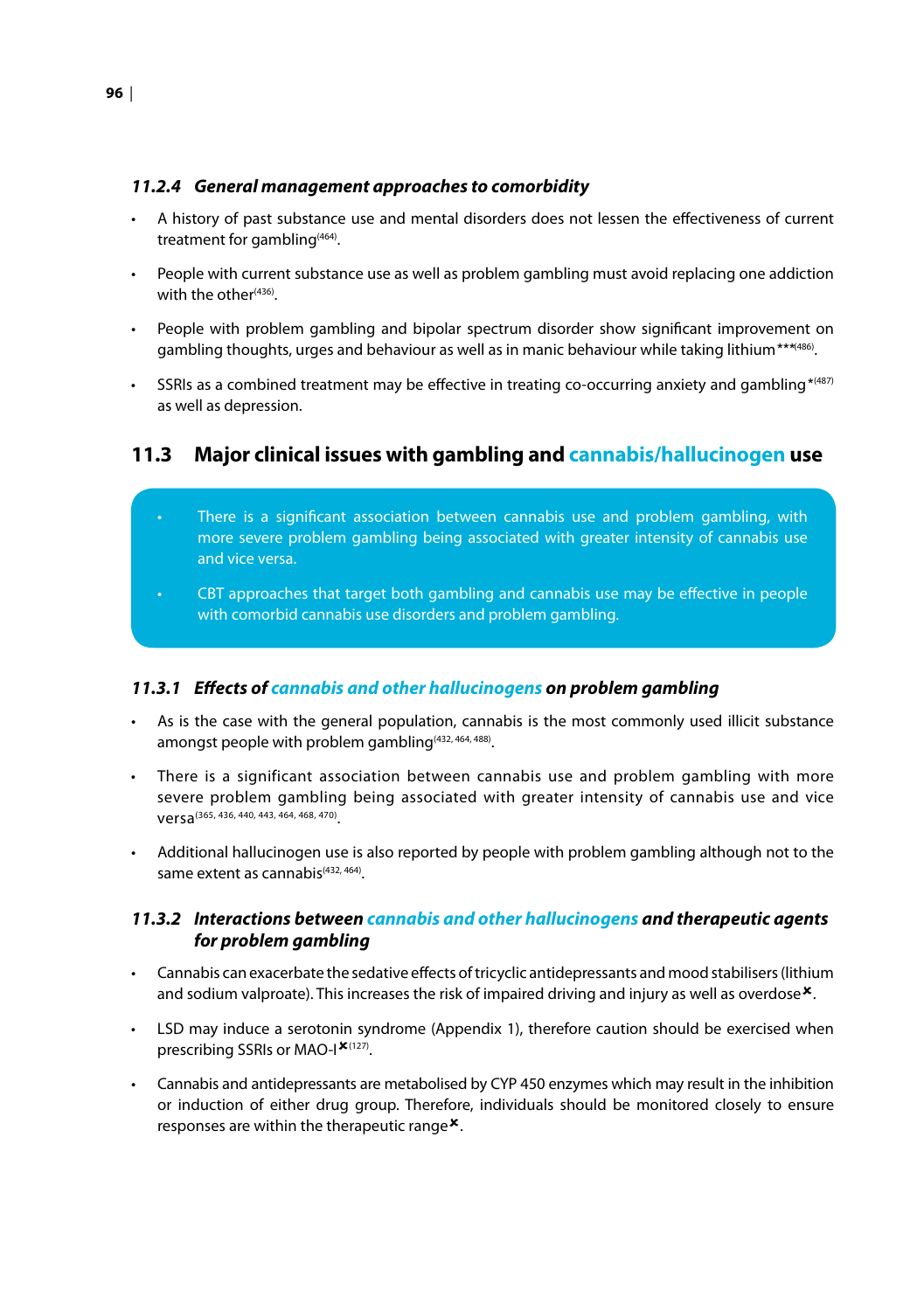### *11.2.4 General management approaches to comorbidity*

- A history of past substance use and mental disorders does not lessen the effectiveness of current treatment for gambling<sup>(464)</sup>.
- People with current substance use as well as problem gambling must avoid replacing one addiction with the other<sup>(436)</sup>.
- People with problem gambling and bipolar spectrum disorder show significant improvement on gambling thoughts, urges and behaviour as well as in manic behaviour while taking lithium*\*\*\**(486).
- SSRIs as a combined treatment may be effective in treating co-occurring anxiety and gambling<sup>\*(487)</sup> as well as depression.

# **11.3 Major clinical issues with gambling and cannabis/hallucinogen use**

- There is a significant association between cannabis use and problem gambling, with more severe problem gambling being associated with greater intensity of cannabis use and vice versa.
- CBT approaches that target both gambling and cannabis use may be effective in people with comorbid cannabis use disorders and problem gambling.

### *11.3.1 Effects of cannabis and other hallucinogens on problem gambling*

- As is the case with the general population, cannabis is the most commonly used illicit substance amongst people with problem gambling<sup>(432, 464, 488)</sup>.
- There is a significant association between cannabis use and problem gambling with more severe problem gambling being associated with greater intensity of cannabis use and vice versa(365, 436, 440, 443, 464, 468, 470).
- • Additional hallucinogen use is also reported by people with problem gambling although not to the same extent as cannabis<sup>(432, 464)</sup>.

### *11.3.2 Interactions between cannabis and other hallucinogens and therapeutic agents for problem gambling*

- • Cannabis can exacerbate the sedative effects oftricyclic antidepressants and mood stabilisers(lithium and sodium valproate). This increases the risk of impaired driving and injury as well as overdose $\mathbf{x}$ .
- LSD may induce a serotonin syndrome (Appendix 1), therefore caution should be exercised when prescribing SSRIs or MAO-I<sup>X(127)</sup>.
- • Cannabis and antidepressants are metabolised by CYP 450 enzymes which may result in the inhibition or induction of either drug group. Therefore, individuals should be monitored closely to ensure responses are within the therapeutic range $x$ .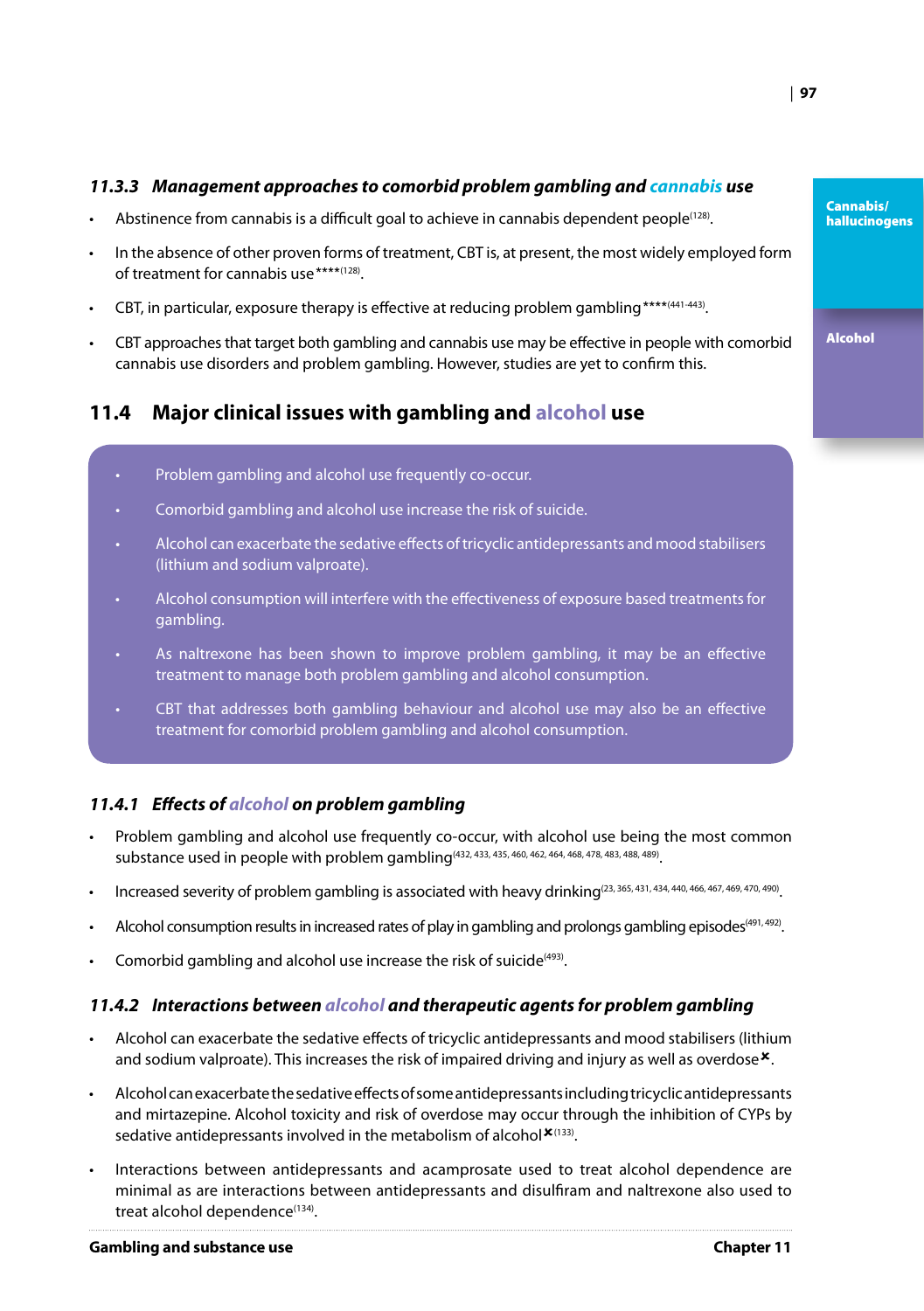#### *11.3.3 Management approaches to comorbid problem gambling and cannabis use*

- Abstinence from cannabis is a difficult goal to achieve in cannabis dependent people<sup>(128)</sup>.
- • In the absence of other proven forms of treatment, CBT is, at present, the most widely employed form of treatment for cannabis use*\*\*\*\**(128).
- • CBT, in particular, exposure therapy is effective at reducing problem gambling*\*\*\*\**(441-443).
- CBT approaches that target both gambling and cannabis use may be effective in people with comorbid cannabis use disorders and problem gambling. However, studies are yet to confirm this.

# **11.4 Major clinical issues with gambling and alcohol use**

- Problem gambling and alcohol use frequently co-occur.
- Comorbid gambling and alcohol use increase the risk of suicide.
- Alcohol can exacerbate the sedative effects of tricyclic antidepressants and mood stabilisers (lithium and sodium valproate).
- Alcohol consumption will interfere with the effectiveness of exposure based treatments for gambling.
- As naltrexone has been shown to improve problem gambling, it may be an effective treatment to manage both problem gambling and alcohol consumption.
- CBT that addresses both gambling behaviour and alcohol use may also be an effective treatment for comorbid problem gambling and alcohol consumption.

### *11.4.1 Effects of alcohol on problem gambling*

- Problem gambling and alcohol use frequently co-occur, with alcohol use being the most common substance used in people with problem gambling<sup>(432, 433, 435, 460, 462, 464, 468, 478, 483, 488, 489)</sup>.
- Increased severity of problem gambling is associated with heavy drinking<sup>(23, 365, 431, 434, 440, 466, 467, 469, 470, 490).</sup>
- Alcohol consumption results in increased rates of play in gambling and prolongs gambling episodes<sup>(491, 492)</sup>.
- Comorbid gambling and alcohol use increase the risk of suicide<sup>(493)</sup>.

#### *11.4.2 Interactions between alcohol and therapeutic agents for problem gambling*

- Alcohol can exacerbate the sedative effects of tricyclic antidepressants and mood stabilisers (lithium and sodium valproate). This increases the risk of impaired driving and injury as well as overdose $\mathbf{x}$ .
- • Alcoholcanexacerbatethesedativeeffectsofsomeantidepressantsincludingtricyclicantidepressants and mirtazepine. Alcohol toxicity and risk of overdose may occur through the inhibition of CYPs by sedative antidepressants involved in the metabolism of alcohol $\mathbf{x}$ <sup>(133)</sup>.
- Interactions between antidepressants and acamprosate used to treat alcohol dependence are minimal as are interactions between antidepressants and disulfiram and naltrexone also used to treat alcohol dependence<sup>(134)</sup>.

#### **Gambling and substance use Chapter 11**

Cannabis/ hallucinogens

#### Alcohol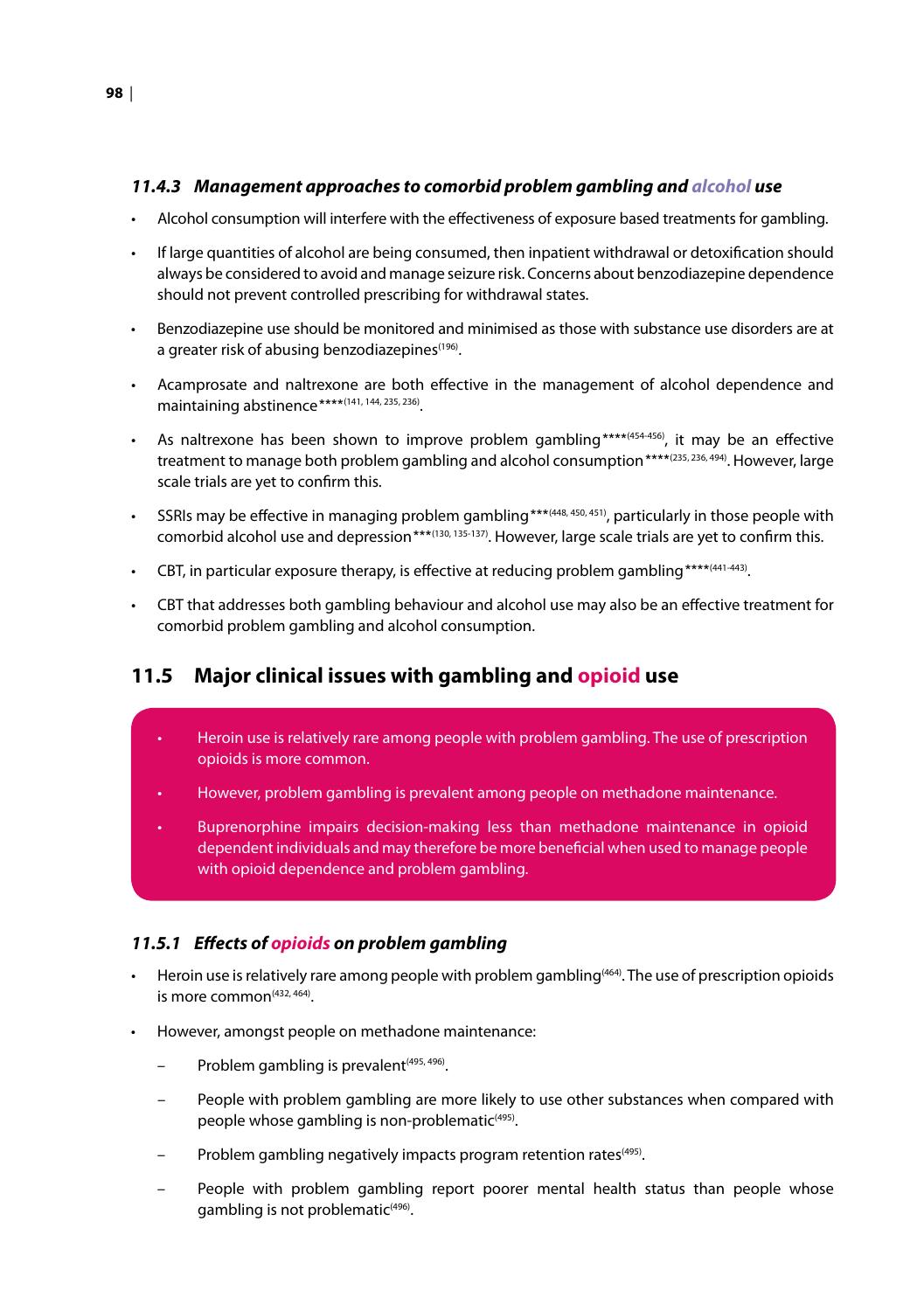#### *11.4.3 Management approaches to comorbid problem gambling and alcohol use*

- Alcohol consumption will interfere with the effectiveness of exposure based treatments for gambling.
- If large quantities of alcohol are being consumed, then inpatient withdrawal or detoxification should always be considered to avoid and manage seizure risk. Concerns about benzodiazepine dependence should not prevent controlled prescribing for withdrawal states.
- Benzodiazepine use should be monitored and minimised as those with substance use disorders are at a greater risk of abusing benzodiazepines<sup>(196)</sup>.
- Acamprosate and naltrexone are both effective in the management of alcohol dependence and maintaining abstinence*\*\*\*\**(141, 144, 235, 236).
- As naltrexone has been shown to improve problem gambling<sup>\*\*\*\*(454-456)</sup>, it may be an effective treatment to manage both problem gambling and alcohol consumption*\*\*\*\**(235, 236, 494). However, large scale trials are yet to confirm this.
- SSRIs may be effective in managing problem gambling<sup>\*\*\*(448, 450, 451)</sup>, particularly in those people with comorbid alcohol use and depression*\*\*\**(130, 135-137). However, large scale trials are yet to confirm this.
- • CBT, in particular exposure therapy, is effective at reducing problem gambling*\*\*\*\**(441-443).
- • CBT that addresses both gambling behaviour and alcohol use may also be an effective treatment for comorbid problem gambling and alcohol consumption.

# **11.5 Major clinical issues with gambling and opioid use**

- Heroin use is relatively rare among people with problem gambling. The use of prescription opioids is more common.
- However, problem gambling is prevalent among people on methadone maintenance.
- Buprenorphine impairs decision-making less than methadone maintenance in opioid dependent individuals and may therefore be more beneficial when used to manage people with opioid dependence and problem gambling.

#### *11.5.1 Effects of opioids on problem gambling*

- Heroin use is relatively rare among people with problem gambling $(464)$ . The use of prescription opioids is more common $(432, 464)$ .
- However, amongst people on methadone maintenance:
	- Problem gambling is prevalent<sup>(495, 496)</sup>.
	- People with problem gambling are more likely to use other substances when compared with people whose gambling is non-problematic<sup>(495)</sup>.
	- Problem gambling negatively impacts program retention rates<sup>(495)</sup>.
	- People with problem gambling report poorer mental health status than people whose gambling is not problematic<sup>(496)</sup>.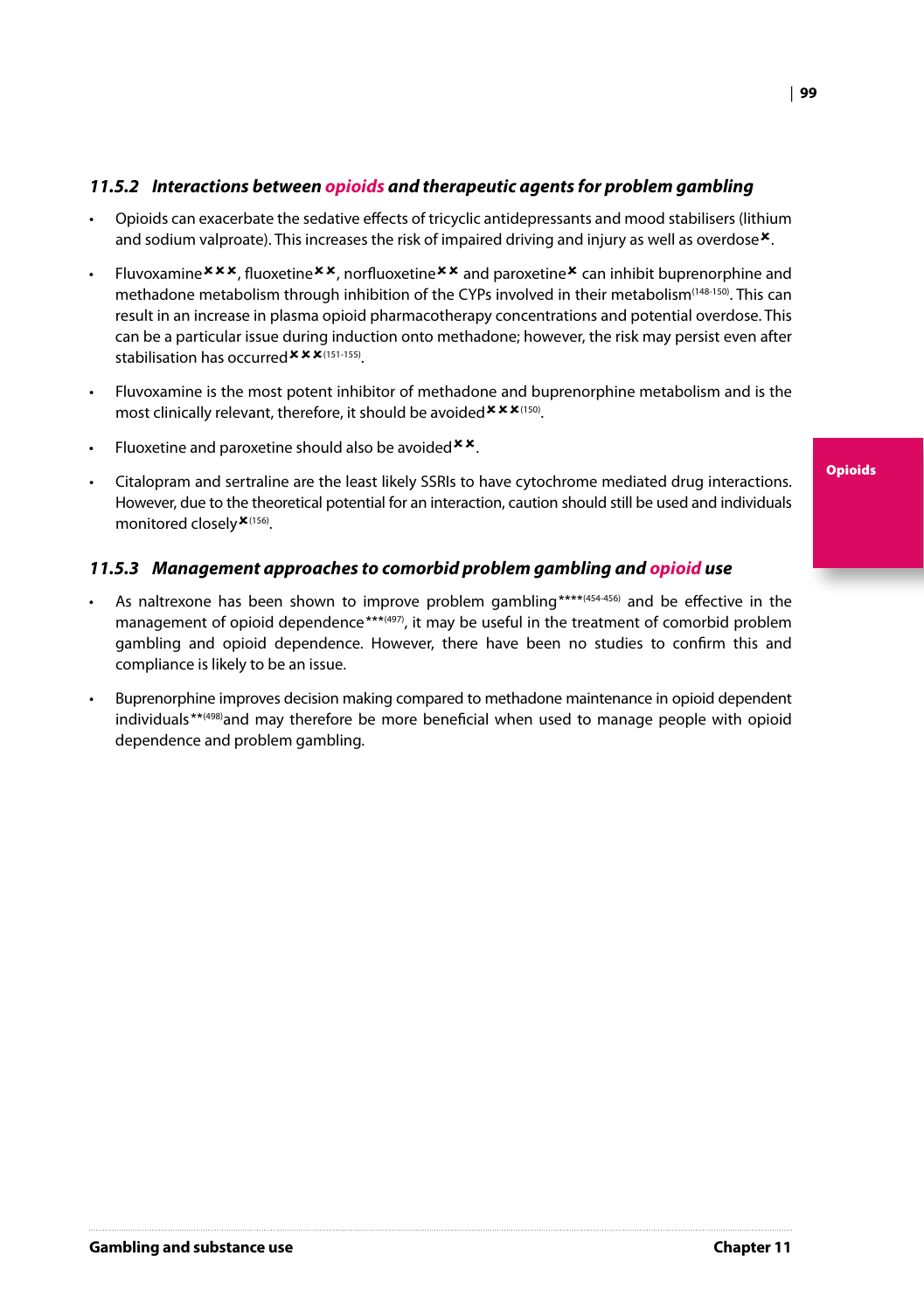#### *11.5.2 Interactions between opioids and therapeutic agents for problem gambling*

- • Opioids can exacerbate the sedative effects of tricyclic antidepressants and mood stabilisers (lithium and sodium valproate). This increases the risk of impaired driving and injury as well as overdose $\mathbf{x}$ .
- Fluvoxamine  $\boldsymbol{z} \times \boldsymbol{x}$ , fluoxetine  $\boldsymbol{z} \times \boldsymbol{z}$ , norfluoxetine  $\boldsymbol{z} \times \boldsymbol{z}$  and paroxetine  $\boldsymbol{z}$  can inhibit buprenorphine and methadone metabolism through inhibition of the CYPs involved in their metabolism<sup>(148-150)</sup>. This can result in an increase in plasma opioid pharmacotherapy concentrations and potential overdose. This can be a particular issue during induction onto methadone; however, the risk may persist even after stabilisation has occurred  $x \times x$ <sup>(151-155)</sup>.
- Fluvoxamine is the most potent inhibitor of methadone and buprenorphine metabolism and is the most clinically relevant, therefore, it should be avoided  $x \cdot x$  (150).
- Fluoxetine and paroxetine should also be avoided  $\mathbf{x} \cdot \mathbf{x}$ .
- Citalopram and sertraline are the least likely SSRIs to have cytochrome mediated drug interactions. However, due to the theoretical potential for an interaction, caution should still be used and individuals monitored closely $x$ <sup>(156)</sup>.

#### *11.5.3 Management approaches to comorbid problem gambling and opioid use*

- As naltrexone has been shown to improve problem gambling<sup>\*\*\*\*(454-456)</sup> and be effective in the management of opioid dependence*\*\*\**(497), it may be useful in the treatment of comorbid problem gambling and opioid dependence. However, there have been no studies to confirm this and compliance is likely to be an issue.
- Buprenorphine improves decision making compared to methadone maintenance in opioid dependent individuals*\*\**(498)and may therefore be more beneficial when used to manage people with opioid dependence and problem gambling.

| **99**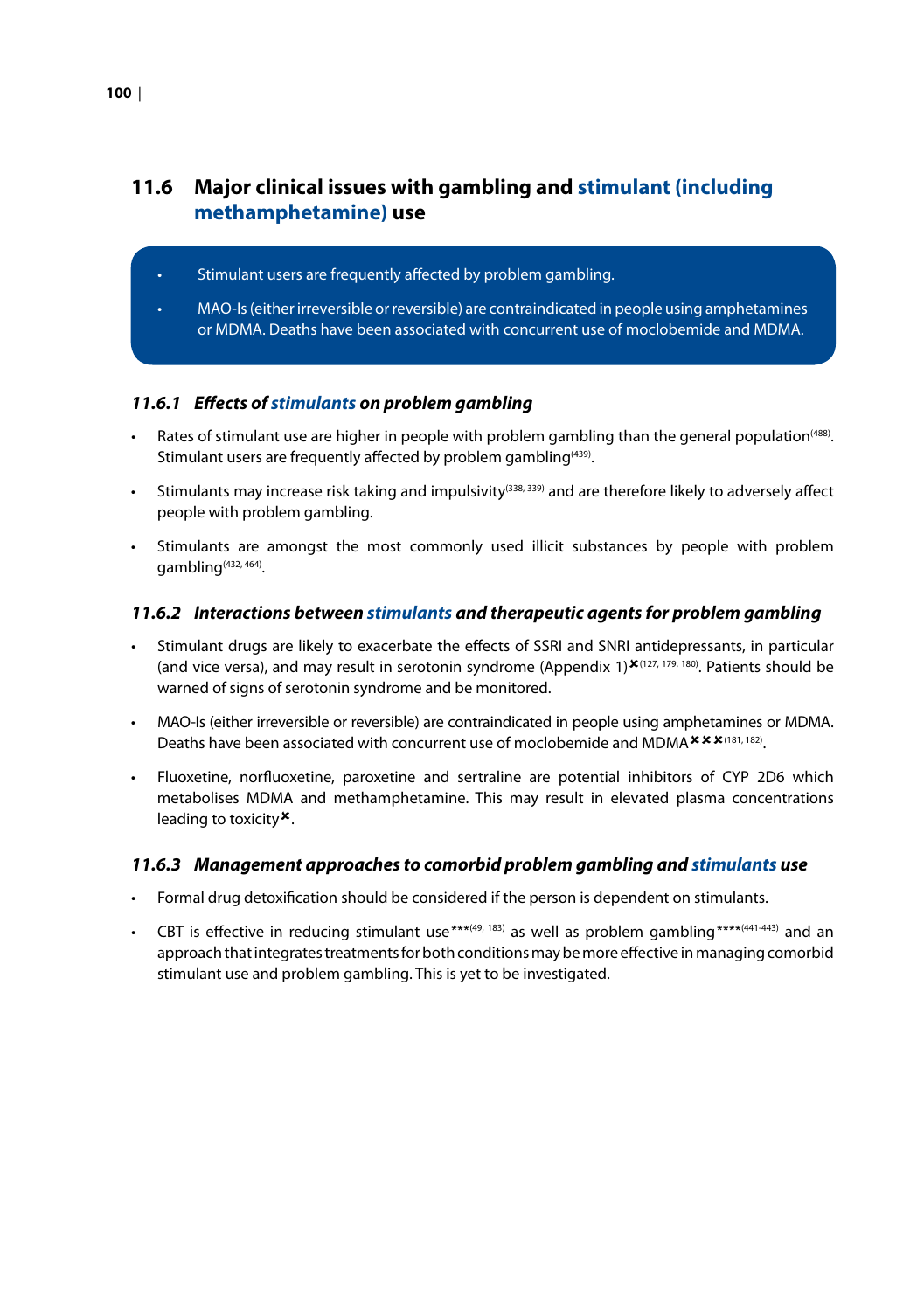# **11.6 Major clinical issues with gambling and stimulant (including methamphetamine) use**

- Stimulant users are frequently affected by problem gambling.
- MAO-Is (either irreversible or reversible) are contraindicated in people using amphetamines or MDMA. Deaths have been associated with concurrent use of moclobemide and MDMA.

### *11.6.1 Effects of stimulants on problem gambling*

- Rates of stimulant use are higher in people with problem gambling than the general population<sup>(488)</sup>. Stimulant users are frequently affected by problem gambling<sup>(439)</sup>.
- Stimulants may increase risk taking and impulsivity<sup>(338, 339)</sup> and are therefore likely to adversely affect people with problem gambling.
- Stimulants are amongst the most commonly used illicit substances by people with problem gambling(432, 464).

#### *11.6.2 Interactions between stimulants and therapeutic agents for problem gambling*

- Stimulant drugs are likely to exacerbate the effects of SSRI and SNRI antidepressants, in particular (and vice versa), and may result in serotonin syndrome (Appendix 1) $x$ (127, 179, 180). Patients should be warned of signs of serotonin syndrome and be monitored.
- MAO-Is (either irreversible or reversible) are contraindicated in people using amphetamines or MDMA. Deaths have been associated with concurrent use of moclobemide and MDMA $\star\star\star$ (181, 182).
- Fluoxetine, norfluoxetine, paroxetine and sertraline are potential inhibitors of CYP 2D6 which metabolises MDMA and methamphetamine. This may result in elevated plasma concentrations leading to toxicity $x$ .

#### *11.6.3 Management approaches to comorbid problem gambling and stimulants use*

- Formal drug detoxification should be considered if the person is dependent on stimulants.
- CBT is effective in reducing stimulant use<sup>\*\*\*(49, 183)</sup> as well as problem gambling<sup>\*\*\*\*(41-443)</sup> and an approach that integrates treatments for both conditions may be more effective in managing comorbid stimulant use and problem gambling. This is yet to be investigated.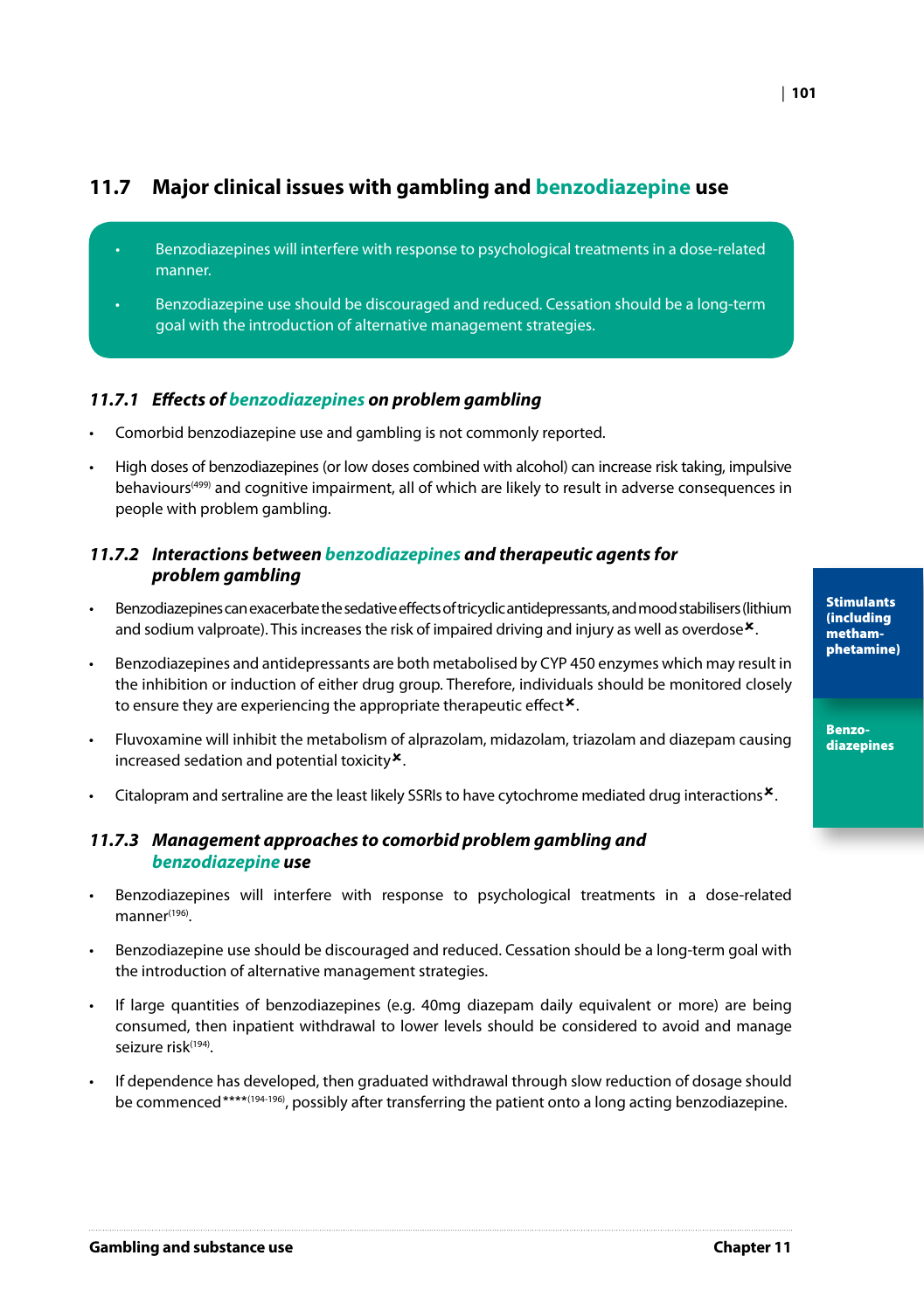# **11.7 Major clinical issues with gambling and benzodiazepine use**

- Benzodiazepines will interfere with response to psychological treatments in a dose-related manner.
- Benzodiazepine use should be discouraged and reduced. Cessation should be a long-term goal with the introduction of alternative management strategies.

### *11.7.1 Effects of benzodiazepines on problem gambling*

- Comorbid benzodiazepine use and gambling is not commonly reported.
- High doses of benzodiazepines (or low doses combined with alcohol) can increase risk taking, impulsive behaviours(499) and cognitive impairment, all of which are likely to result in adverse consequences in people with problem gambling.

### *11.7.2 Interactions between benzodiazepines and therapeutic agents for problem gambling*

- Benzodiazepines can exacerbate the sedative effects of tricyclic antidepressants, and mood stabilisers (lithium and sodium valproate). This increases the risk of impaired driving and injury as well as overdose $\mathbf{x}$ .
- Benzodiazepines and antidepressants are both metabolised by CYP 450 enzymes which may result in the inhibition or induction of either drug group. Therefore, individuals should be monitored closely to ensure they are experiencing the appropriate therapeutic effect<sup>x</sup>.
- • Fluvoxamine will inhibit the metabolism of alprazolam, midazolam, triazolam and diazepam causing increased sedation and potential toxicity $x$ .
- Citalopram and sertraline are the least likely SSRIs to have cytochrome mediated drug interactions.

### *11.7.3 Management approaches to comorbid problem gambling and benzodiazepine use*

- Benzodiazepines will interfere with response to psychological treatments in a dose-related manner<sup>(196)</sup>
- Benzodiazepine use should be discouraged and reduced. Cessation should be a long-term goal with the introduction of alternative management strategies.
- • If large quantities of benzodiazepines (e.g. 40mg diazepam daily equivalent or more) are being consumed, then inpatient withdrawal to lower levels should be considered to avoid and manage seizure risk(194).
- If dependence has developed, then graduated withdrawal through slow reduction of dosage should be commenced*\*\*\*\**(194-196), possibly after transferring the patient onto a long acting benzodiazepine.

**Stimulants** (including methamphetamine)

Benzodiazepines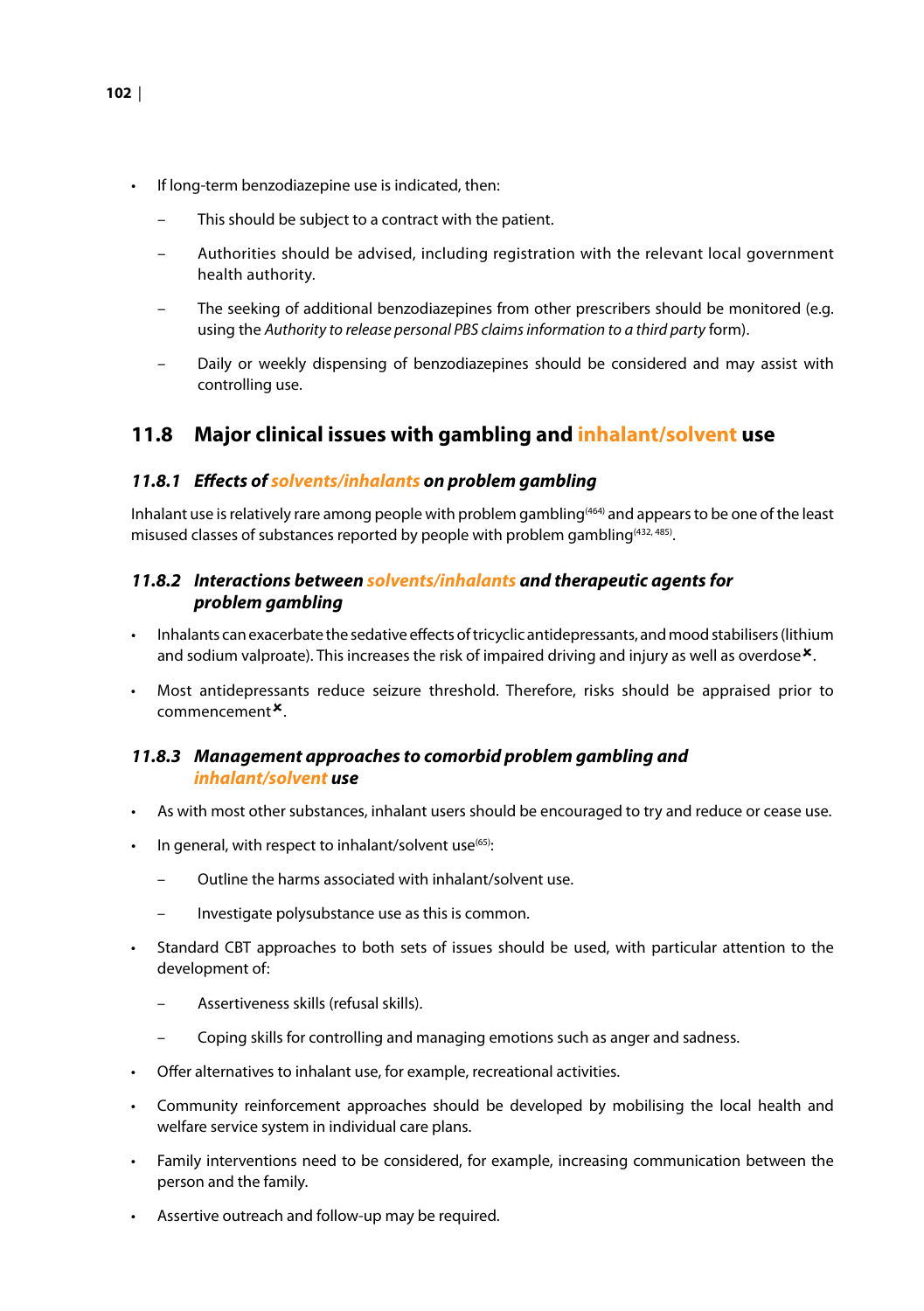- This should be subject to a contract with the patient.
- Authorities should be advised, including registration with the relevant local government health authority.
- The seeking of additional benzodiazepines from other prescribers should be monitored (e.g. using the *Authority to release personal PBS claims information to a third party* form).
- Daily or weekly dispensing of benzodiazepines should be considered and may assist with controlling use.

## **11.8 Major clinical issues with gambling and inhalant/solvent use**

#### *11.8.1 Effects of solvents/inhalants on problem gambling*

Inhalant use is relatively rare among people with problem gambling<sup>(464)</sup> and appears to be one of the least misused classes of substances reported by people with problem gambling<sup>(432, 485)</sup>.

#### *11.8.2 Interactions between solvents/inhalants and therapeutic agents for problem gambling*

- Inhalants can exacerbate the sedative effects of tricyclic antidepressants, and mood stabilisers (lithium and sodium valproate). This increases the risk of impaired driving and injury as well as overdose $\mathbf{x}$ .
- Most antidepressants reduce seizure threshold. Therefore, risks should be appraised prior to commencement<sup>x</sup>.

#### *11.8.3 Management approaches to comorbid problem gambling and inhalant/solvent use*

- As with most other substances, inhalant users should be encouraged to try and reduce or cease use.
- In general, with respect to inhalant/solvent use $(65)$ :
	- Outline the harms associated with inhalant/solvent use.
	- Investigate polysubstance use as this is common.
- Standard CBT approaches to both sets of issues should be used, with particular attention to the development of:
	- Assertiveness skills (refusal skills).
	- Coping skills for controlling and managing emotions such as anger and sadness.
- Offer alternatives to inhalant use, for example, recreational activities.
- Community reinforcement approaches should be developed by mobilising the local health and welfare service system in individual care plans.
- Family interventions need to be considered, for example, increasing communication between the person and the family.
- Assertive outreach and follow-up may be required.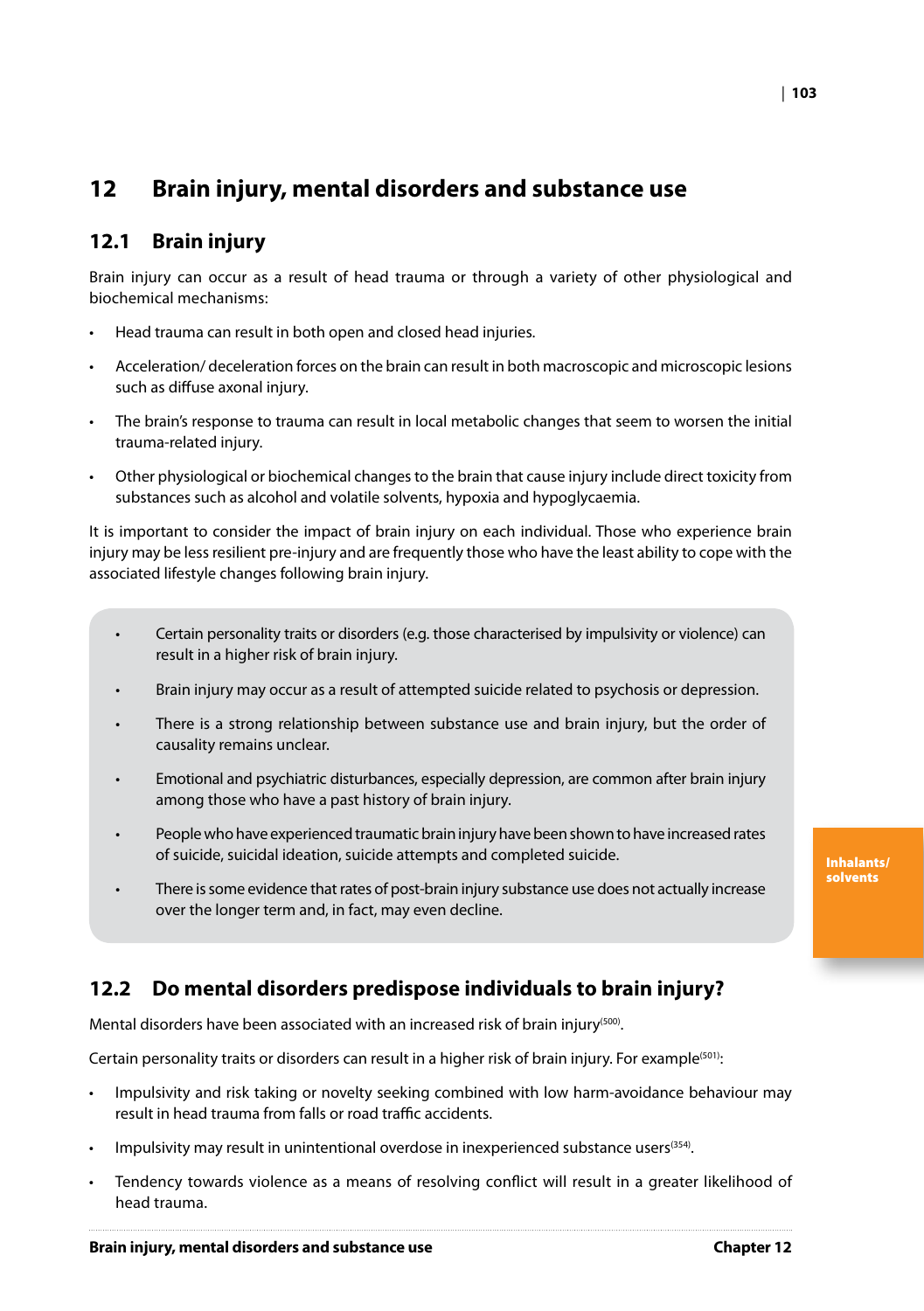# **12 Brain injury, mental disorders and substance use**

# **12.1 Brain injury**

Brain injury can occur as a result of head trauma or through a variety of other physiological and biochemical mechanisms:

- Head trauma can result in both open and closed head injuries.
- Acceleration/ deceleration forces on the brain can result in both macroscopic and microscopic lesions such as diffuse axonal injury.
- • The brain's response to trauma can result in local metabolic changes that seem to worsen the initial trauma-related injury.
- • Other physiological or biochemical changesto the brain that cause injury include direct toxicity from substances such as alcohol and volatile solvents, hypoxia and hypoglycaemia.

It is important to consider the impact of brain injury on each individual. Those who experience brain injury may be less resilient pre-injury and are frequently those who have the least ability to cope with the associated lifestyle changes following brain injury.

- Certain personality traits or disorders (e.g. those characterised by impulsivity or violence) can result in a higher risk of brain injury.
- Brain injury may occur as a result of attempted suicide related to psychosis or depression.
- There is a strong relationship between substance use and brain injury, but the order of causality remains unclear.
- Emotional and psychiatric disturbances, especially depression, are common after brain injury among those who have a past history of brain injury.
- People who have experienced traumatic brain injury have been shown to have increased rates of suicide, suicidal ideation, suicide attempts and completed suicide.
- There is some evidence that rates of post-brain injury substance use does not actually increase over the longer term and, in fact, may even decline.

# **12.2 Do mental disorders predispose individuals to brain injury?**

Mental disorders have been associated with an increased risk of brain injury<sup>(500)</sup>.

Certain personality traits or disorders can result in a higher risk of brain injury. For example<sup>(501)</sup>:

- • Impulsivity and risk taking or novelty seeking combined with low harm-avoidance behaviour may result in head trauma from falls or road traffic accidents.
- Impulsivity may result in unintentional overdose in inexperienced substance users<sup>(354)</sup>.
- Tendency towards violence as a means of resolving conflict will result in a greater likelihood of head trauma.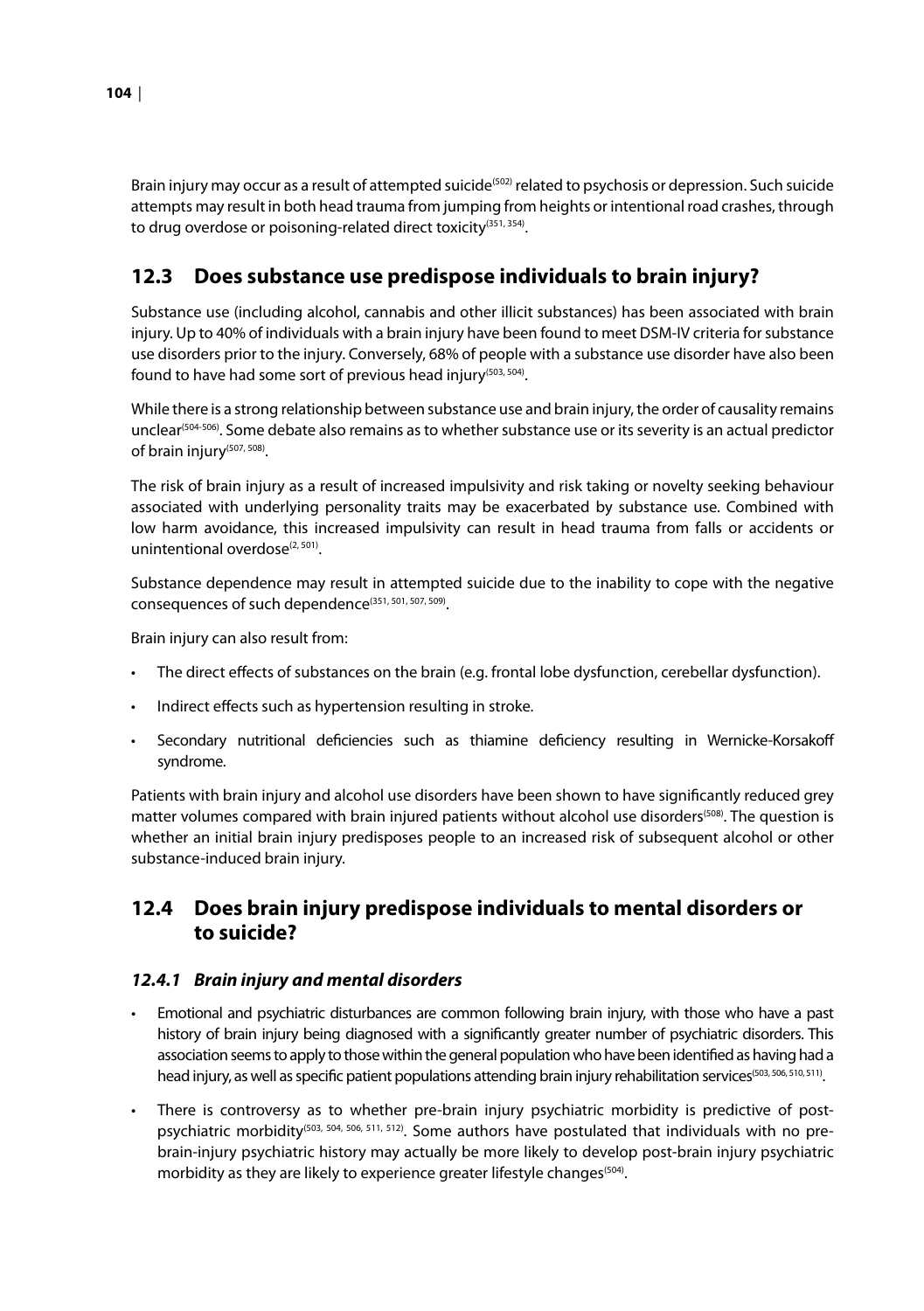Brain injury may occur as a result of attempted suicide<sup>(502)</sup> related to psychosis or depression. Such suicide attempts may result in both head trauma from jumping from heights or intentional road crashes, through to drug overdose or poisoning-related direct toxicity<sup>(351, 354)</sup>.

# **12.3 Does substance use predispose individuals to brain injury?**

Substance use (including alcohol, cannabis and other illicit substances) has been associated with brain injury. Up to 40% of individuals with a brain injury have been found to meet DSM-IV criteria for substance use disorders prior to the injury. Conversely, 68% of people with a substance use disorder have also been found to have had some sort of previous head injury<sup>(503, 504)</sup>.

While there is a strong relationship between substance use and brain injury, the order of causality remains unclear(504-506). Some debate also remains as to whether substance use or its severity is an actual predictor of brain injury(507, 508).

The risk of brain injury as a result of increased impulsivity and risk taking or novelty seeking behaviour associated with underlying personality traits may be exacerbated by substance use. Combined with low harm avoidance, this increased impulsivity can result in head trauma from falls or accidents or unintentional overdose $(2, 501)$ .

Substance dependence may result in attempted suicide due to the inability to cope with the negative consequences of such dependence<sup>(351, 501, 507, 509)</sup>.

Brain injury can also result from:

- The direct effects of substances on the brain (e.g. frontal lobe dysfunction, cerebellar dysfunction).
- Indirect effects such as hypertension resulting in stroke.
- Secondary nutritional deficiencies such as thiamine deficiency resulting in Wernicke-Korsakoff syndrome.

Patients with brain injury and alcohol use disorders have been shown to have significantly reduced grey matter volumes compared with brain injured patients without alcohol use disorders<sup>(508)</sup>. The question is whether an initial brain injury predisposes people to an increased risk of subsequent alcohol or other substance-induced brain injury.

## **12.4 Does brain injury predispose individuals to mental disorders or to suicide?**

#### *12.4.1 Brain injury and mental disorders*

- Emotional and psychiatric disturbances are common following brain injury, with those who have a past history of brain injury being diagnosed with a significantly greater number of psychiatric disorders. This association seems to apply to those within the general population who have been identified as having had a head injury, as well as specific patient populations attending brain injury rehabilitation services<sup>(503, 506, 510, 511)</sup>.
- There is controversy as to whether pre-brain injury psychiatric morbidity is predictive of postpsychiatric morbidity(503, 504, 506, 511, 512). Some authors have postulated that individuals with no prebrain-injury psychiatric history may actually be more likely to develop post-brain injury psychiatric morbidity as they are likely to experience greater lifestyle changes<sup>(504)</sup>.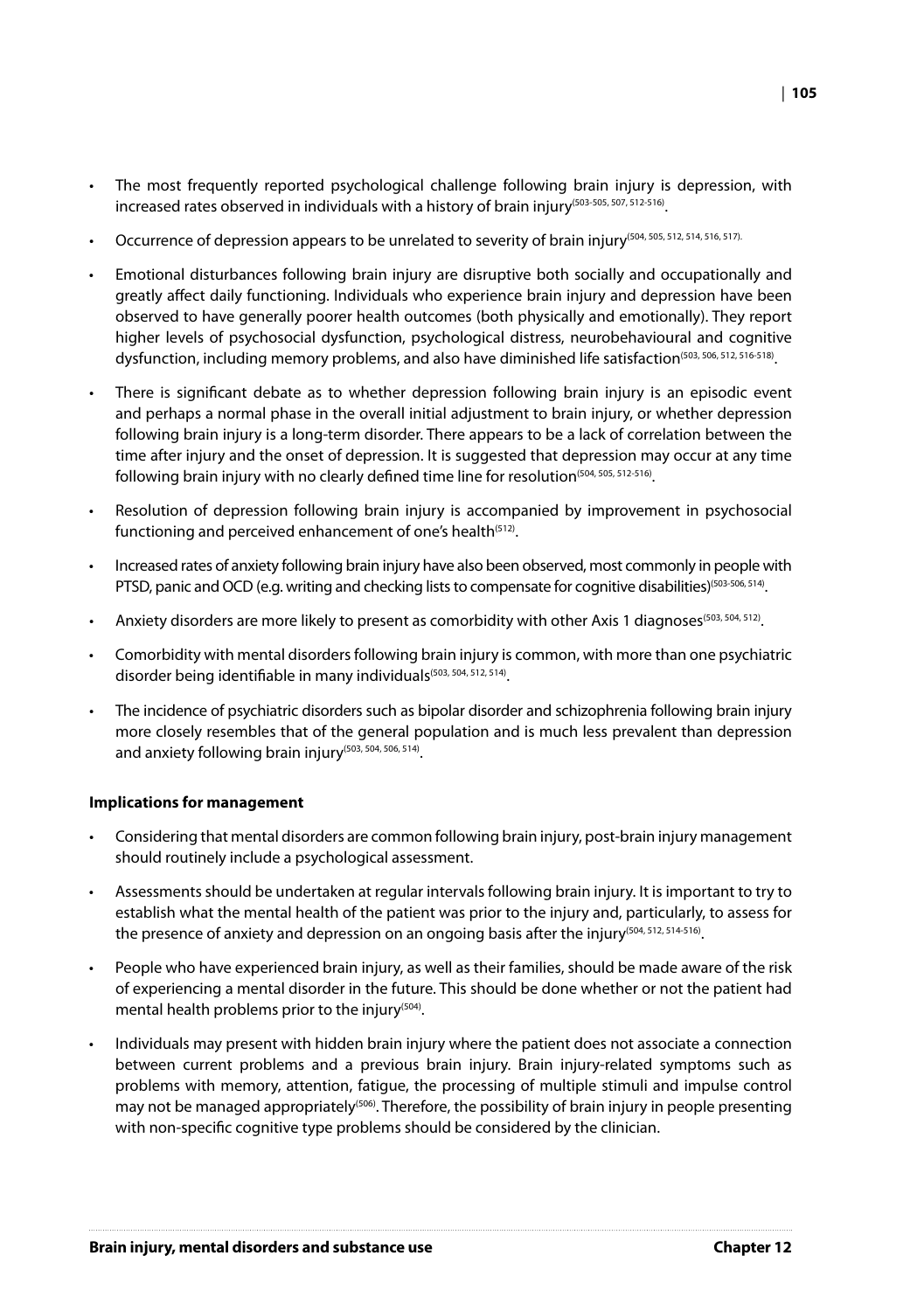- • The most frequently reported psychological challenge following brain injury is depression, with increased rates observed in individuals with a history of brain injury<sup>(503-505, 507, 512-516)</sup>.
- Occurrence of depression appears to be unrelated to severity of brain injury<sup>(504, 505, 512, 514, 516, 517).</sup>
- Emotional disturbances following brain injury are disruptive both socially and occupationally and greatly affect daily functioning. Individuals who experience brain injury and depression have been observed to have generally poorer health outcomes (both physically and emotionally). They report higher levels of psychosocial dysfunction, psychological distress, neurobehavioural and cognitive dysfunction, including memory problems, and also have diminished life satisfaction<sup>(503, 506, 512, 516-518)</sup>.
- There is significant debate as to whether depression following brain injury is an episodic event and perhaps a normal phase in the overall initial adjustment to brain injury, or whether depression following brain injury is a long-term disorder. There appears to be a lack of correlation between the time after injury and the onset of depression. It is suggested that depression may occur at any time following brain injury with no clearly defined time line for resolution<sup>(504, 505, 512-516)</sup>.
- Resolution of depression following brain injury is accompanied by improvement in psychosocial functioning and perceived enhancement of one's health $(512)$ .
- Increased rates of anxiety following brain injury have also been observed, most commonly in people with PTSD, panic and OCD (e.g. writing and checking lists to compensate for cognitive disabilities)<sup>(503-506, 514)</sup>.
- Anxiety disorders are more likely to present as comorbidity with other Axis 1 diagnoses<sup>(503, 504, 512)</sup>.
- Comorbidity with mental disorders following brain injury is common, with more than one psychiatric disorder being identifiable in many individuals<sup>(503, 504, 512, 514)</sup>.
- The incidence of psychiatric disorders such as bipolar disorder and schizophrenia following brain injury more closely resembles that of the general population and is much less prevalent than depression and anxiety following brain injury<sup>(503, 504, 506, 514)</sup>.

#### **Implications for management**

- Considering that mental disorders are common following brain injury, post-brain injury management should routinely include a psychological assessment.
- Assessments should be undertaken at regular intervals following brain injury. It is important to try to establish what the mental health of the patient was prior to the injury and, particularly, to assess for the presence of anxiety and depression on an ongoing basis after the injury<sup>(504, 512, 514-516)</sup>.
- People who have experienced brain injury, as well as their families, should be made aware of the risk of experiencing a mental disorder in the future. This should be done whether or not the patient had mental health problems prior to the injury<sup>(504)</sup>.
- Individuals may present with hidden brain injury where the patient does not associate a connection between current problems and a previous brain injury. Brain injury-related symptoms such as problems with memory, attention, fatigue, the processing of multiple stimuli and impulse control may not be managed appropriately<sup>(506)</sup>. Therefore, the possibility of brain injury in people presenting with non-specific cognitive type problems should be considered by the clinician.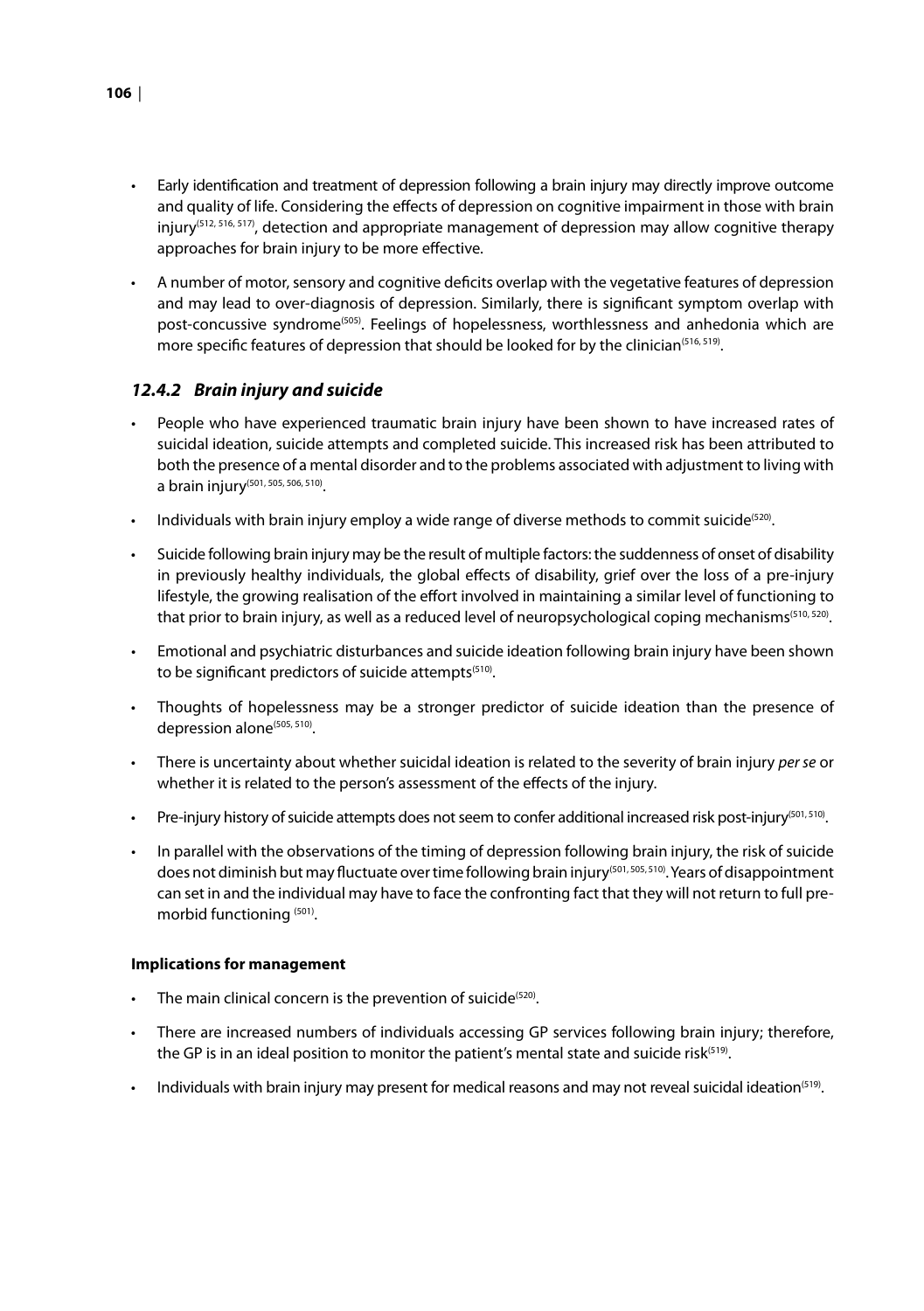- Early identification and treatment of depression following a brain injury may directly improve outcome and quality of life. Considering the effects of depression on cognitive impairment in those with brain injury<sup>(512, 516, 517)</sup>, detection and appropriate management of depression may allow cognitive therapy approaches for brain injury to be more effective.
- A number of motor, sensory and cognitive deficits overlap with the vegetative features of depression and may lead to over-diagnosis of depression. Similarly, there is significant symptom overlap with post-concussive syndrome<sup>(505)</sup>. Feelings of hopelessness, worthlessness and anhedonia which are more specific features of depression that should be looked for by the clinician<sup>(516, 519)</sup>.

## *12.4.2 Brain injury and suicide*

- People who have experienced traumatic brain injury have been shown to have increased rates of suicidal ideation, suicide attempts and completed suicide. This increased risk has been attributed to both the presence of a mental disorder and to the problems associated with adjustment to living with a brain injury(501, 505, 506, 510).
- Individuals with brain injury employ a wide range of diverse methods to commit suicide<sup>(520)</sup>.
- Suicide following brain injury may be the result of multiple factors: the suddenness of onset of disability in previously healthy individuals, the global effects of disability, grief over the loss of a pre-injury lifestyle, the growing realisation of the effort involved in maintaining a similar level of functioning to that prior to brain injury, as well as a reduced level of neuropsychological coping mechanisms<sup>(510, 520)</sup>.
- Emotional and psychiatric disturbances and suicide ideation following brain injury have been shown to be significant predictors of suicide attempts<sup>(510)</sup>.
- Thoughts of hopelessness may be a stronger predictor of suicide ideation than the presence of depression alone<sup>(505, 510)</sup>.
- There is uncertainty about whether suicidal ideation is related to the severity of brain injury *per se* or whether it is related to the person's assessment of the effects of the injury.
- Pre-injury history of suicide attempts does not seem to confer additional increased risk post-injury<sup>(501, 510)</sup>.
- In parallel with the observations of the timing of depression following brain injury, the risk of suicide does not diminish but may fluctuate over time following brain injury<sup>(501, 505, 510)</sup>. Years of disappointment can set in and the individual may have to face the confronting fact that they will not return to full premorbid functioning (501).

#### **Implications for management**

- The main clinical concern is the prevention of suicide<sup>(520)</sup>.
- There are increased numbers of individuals accessing GP services following brain injury; therefore, the GP is in an ideal position to monitor the patient's mental state and suicide risk<sup>(519)</sup>.
- Individuals with brain injury may present for medical reasons and may not reveal suicidal ideation<sup>(519)</sup>.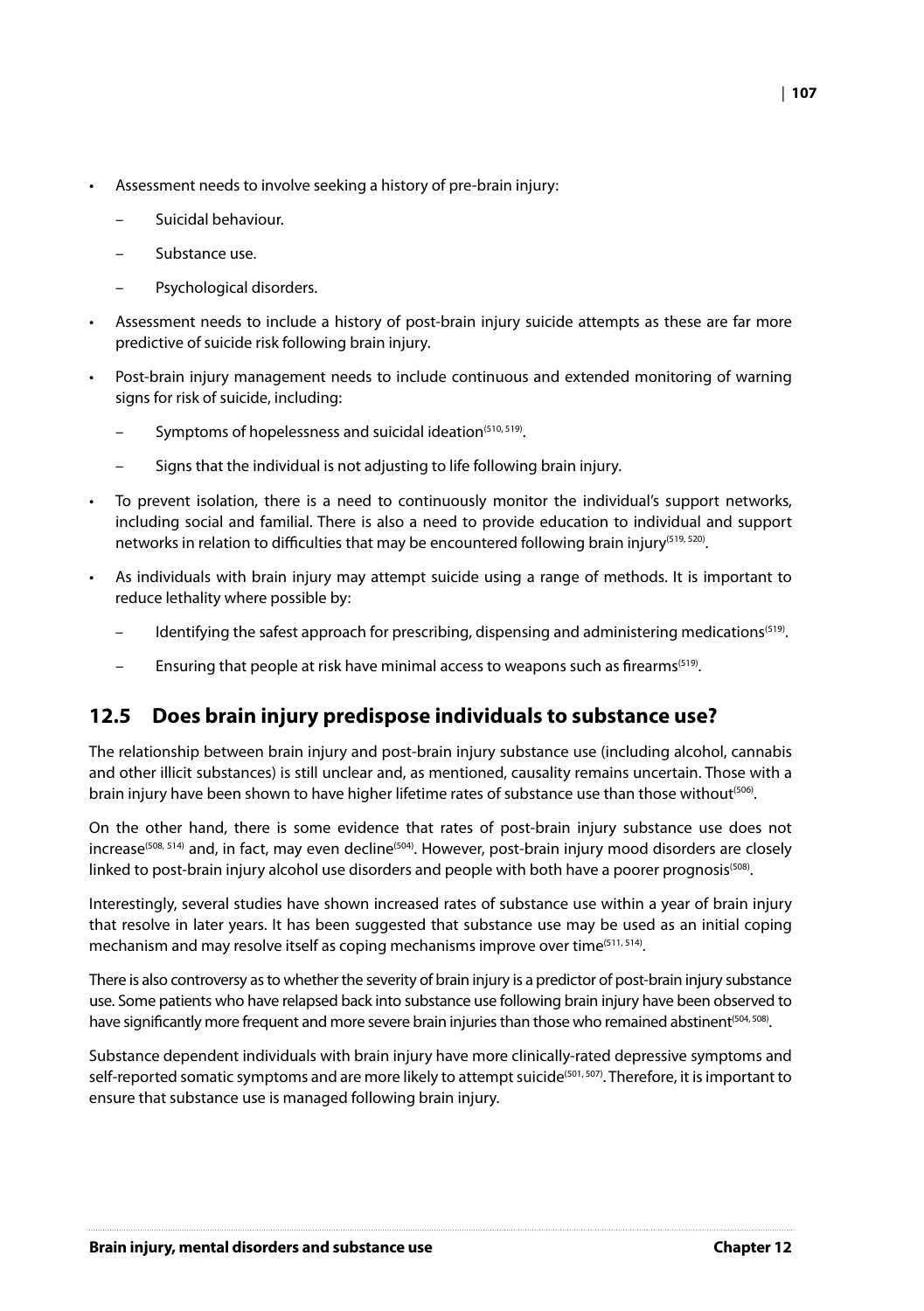- • Assessment needs to involve seeking a history of pre-brain injury:
	- Suicidal behaviour.
	- Substance use.
	- Psychological disorders.
- Assessment needs to include a history of post-brain injury suicide attempts as these are far more predictive of suicide risk following brain injury.
- • Post-brain injury management needs to include continuous and extended monitoring of warning signs for risk of suicide, including:
	- Symptoms of hopelessness and suicidal ideation<sup>(510, 519)</sup>.
	- Signs that the individual is not adjusting to life following brain injury.
- To prevent isolation, there is a need to continuously monitor the individual's support networks, including social and familial. There is also a need to provide education to individual and support networks in relation to difficulties that may be encountered following brain injury(519, 520).
- As individuals with brain injury may attempt suicide using a range of methods. It is important to reduce lethality where possible by:
	- Identifying the safest approach for prescribing, dispensing and administering medications<sup>(519)</sup>.
	- Ensuring that people at risk have minimal access to weapons such as firearms<sup>(519)</sup>.

# **12.5 Does brain injury predispose individuals to substance use?**

The relationship between brain injury and post-brain injury substance use (including alcohol, cannabis and other illicit substances) is still unclear and, as mentioned, causality remains uncertain. Those with a brain injury have been shown to have higher lifetime rates of substance use than those without<sup>(506)</sup>.

On the other hand, there is some evidence that rates of post-brain injury substance use does not increase<sup>(508, 514)</sup> and, in fact, may even decline<sup>(504)</sup>. However, post-brain injury mood disorders are closely linked to post-brain injury alcohol use disorders and people with both have a poorer prognosis<sup>(508)</sup>.

Interestingly, several studies have shown increased rates of substance use within a year of brain injury that resolve in later years. It has been suggested that substance use may be used as an initial coping mechanism and may resolve itself as coping mechanisms improve over time<sup>(511, 514)</sup>.

There is also controversy as to whether the severity of brain injury is a predictor of post-brain injury substance use. Some patients who have relapsed back into substance use following brain injury have been observed to have significantly more frequent and more severe brain injuries than those who remained abstinent<sup>(504, 508)</sup>.

Substance dependent individuals with brain injury have more clinically-rated depressive symptoms and self-reported somatic symptoms and are more likely to attempt suicide<sup>(501, 507)</sup>. Therefore, it is important to ensure that substance use is managed following brain injury.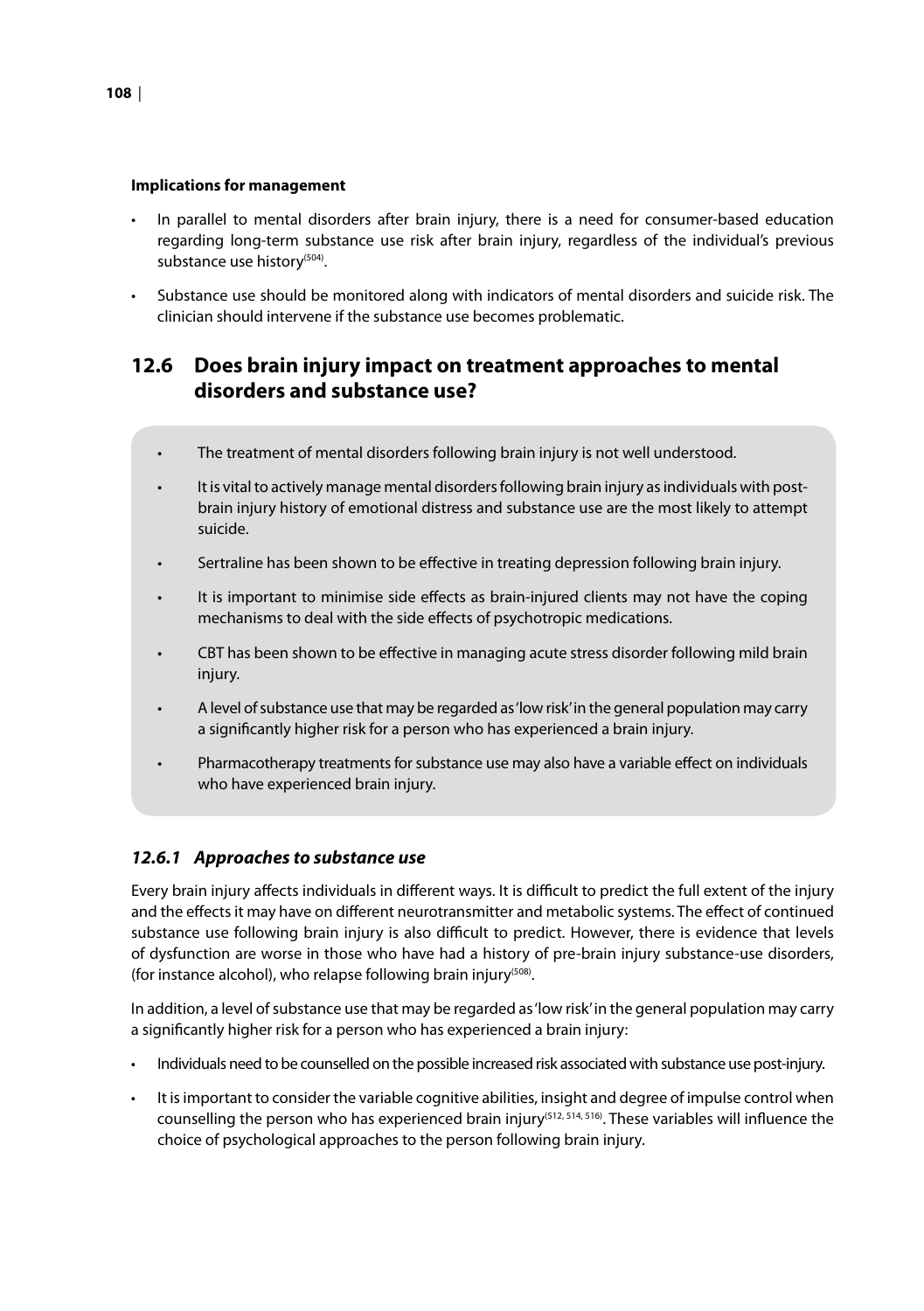#### **Implications for management**

- In parallel to mental disorders after brain injury, there is a need for consumer-based education regarding long-term substance use risk after brain injury, regardless of the individual's previous substance use history<sup>(504)</sup>.
- Substance use should be monitored along with indicators of mental disorders and suicide risk. The clinician should intervene if the substance use becomes problematic.

## **12.6 Does brain injury impact on treatment approaches to mental disorders and substance use?**

- The treatment of mental disorders following brain injury is not well understood.
- It is vital to actively manage mental disorders following brain injury as individuals with postbrain injury history of emotional distress and substance use are the most likely to attempt suicide.
- Sertraline has been shown to be effective in treating depression following brain injury.
- It is important to minimise side effects as brain-injured clients may not have the coping mechanisms to deal with the side effects of psychotropic medications.
- CBT has been shown to be effective in managing acute stress disorder following mild brain injury.
- A level of substance use that may be regarded as 'low risk' in the general population may carry a significantly higher risk for a person who has experienced a brain injury.
- Pharmacotherapy treatments for substance use may also have a variable effect on individuals who have experienced brain injury.

#### *12.6.1 Approaches to substance use*

Every brain injury affects individuals in different ways. It is difficult to predict the full extent of the injury and the effects it may have on different neurotransmitter and metabolic systems. The effect of continued substance use following brain injury is also difficult to predict. However, there is evidence that levels of dysfunction are worse in those who have had a history of pre-brain injury substance-use disorders, (for instance alcohol), who relapse following brain injury<sup>(508)</sup>.

In addition, a level of substance use that may be regarded as 'low risk' in the general population may carry a significantly higher risk for a person who has experienced a brain injury:

- Individuals need to be counselled on the possible increased risk associated with substance use post-injury.
- It is important to consider the variable cognitive abilities, insight and degree of impulse control when counselling the person who has experienced brain injury<sup>(512, 514, 516)</sup>. These variables will influence the choice of psychological approaches to the person following brain injury.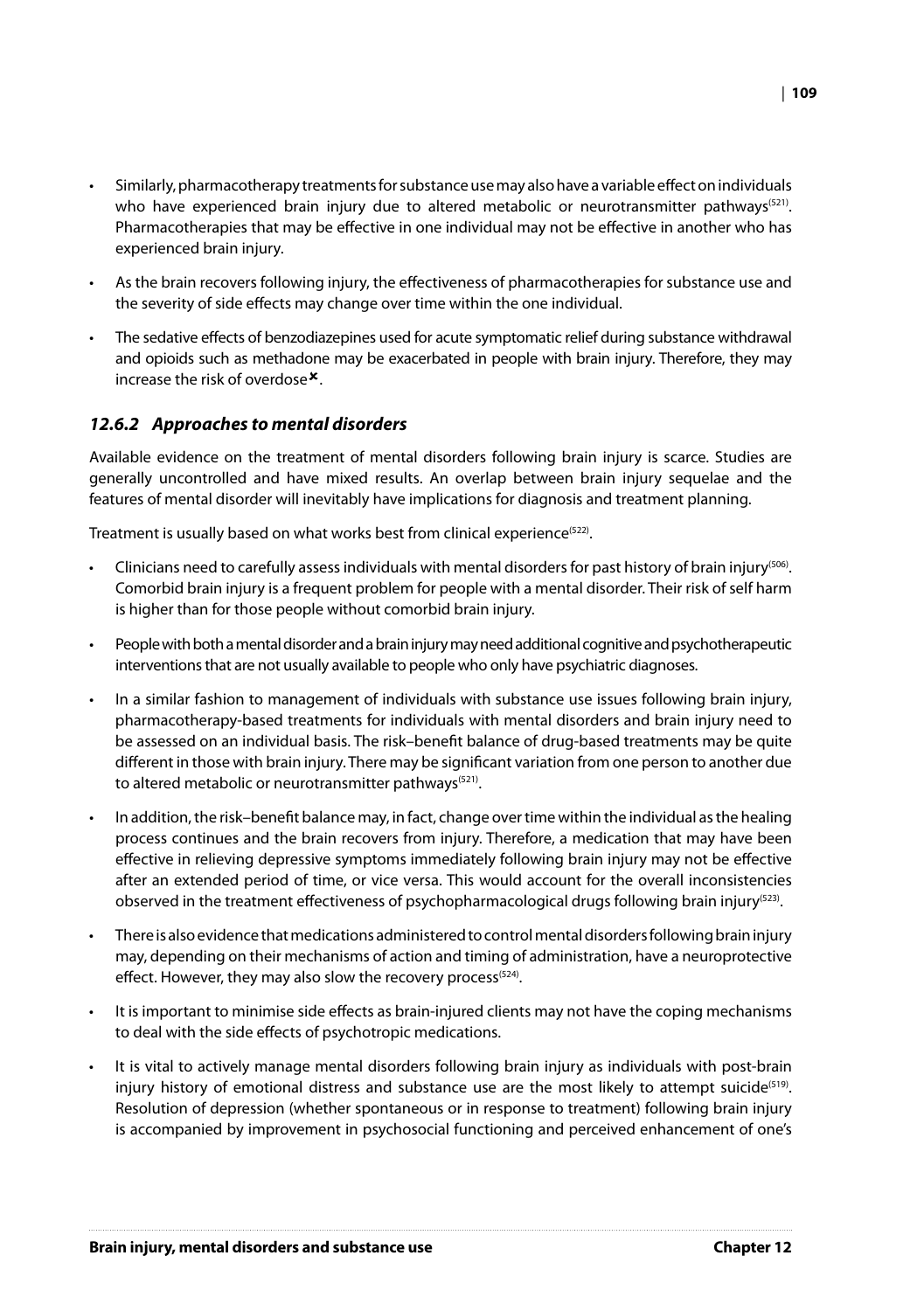- Similarly, pharmacotherapy treatments for substance use may also have a variable effect on individuals who have experienced brain injury due to altered metabolic or neurotransmitter pathways<sup>(521)</sup>. Pharmacotherapies that may be effective in one individual may not be effective in another who has experienced brain injury.
- As the brain recovers following injury, the effectiveness of pharmacotherapies for substance use and the severity of side effects may change over time within the one individual.
- • The sedative effects of benzodiazepines used for acute symptomatic relief during substance withdrawal and opioids such as methadone may be exacerbated in people with brain injury. Therefore, they may increase the risk of overdose $\boldsymbol{x}$

#### *12.6.2 Approaches to mental disorders*

Available evidence on the treatment of mental disorders following brain injury is scarce. Studies are generally uncontrolled and have mixed results. An overlap between brain injury sequelae and the features of mental disorder will inevitably have implications for diagnosis and treatment planning.

Treatment is usually based on what works best from clinical experience<sup>(522)</sup>.

- Clinicians need to carefully assess individuals with mental disorders for past history of brain injury<sup>(506)</sup>. Comorbid brain injury is a frequent problem for people with a mental disorder. Their risk of self harm is higher than for those people without comorbid brain injury.
- People with both a mental disorder and a brain injury may need additional cognitive and psychotherapeutic interventions that are not usually available to people who only have psychiatric diagnoses.
- In a similar fashion to management of individuals with substance use issues following brain injury, pharmacotherapy-based treatments for individuals with mental disorders and brain injury need to be assessed on an individual basis. The risk–benefit balance of drug-based treatments may be quite different in those with brain injury. There may be significant variation from one person to another due to altered metabolic or neurotransmitter pathways<sup>(521)</sup>.
- In addition, the risk–benefit balance may, in fact, change over time within the individual as the healing process continues and the brain recovers from injury. Therefore, a medication that may have been effective in relieving depressive symptoms immediately following brain injury may not be effective after an extended period of time, or vice versa. This would account for the overall inconsistencies observed in the treatment effectiveness of psychopharmacological drugs following brain injury(523).
- There is also evidence that medications administered to control mental disorders following brain injury may, depending on their mechanisms of action and timing of administration, have a neuroprotective effect. However, they may also slow the recovery process<sup>(524)</sup>.
- It is important to minimise side effects as brain-injured clients may not have the coping mechanisms to deal with the side effects of psychotropic medications.
- It is vital to actively manage mental disorders following brain injury as individuals with post-brain injury history of emotional distress and substance use are the most likely to attempt suicide<sup>(519)</sup>. Resolution of depression (whether spontaneous or in response to treatment) following brain injury is accompanied by improvement in psychosocial functioning and perceived enhancement of one's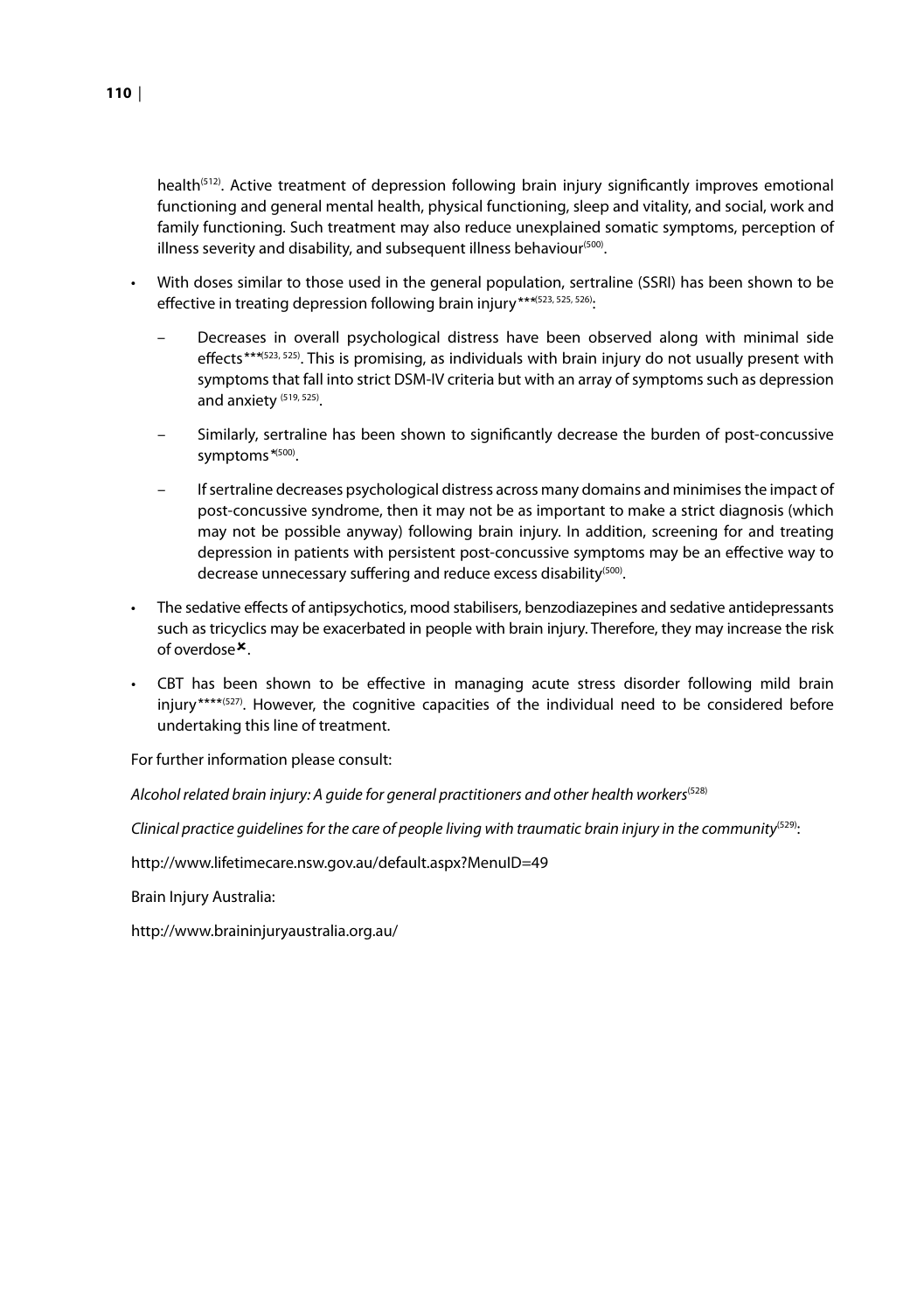health<sup>(512)</sup>. Active treatment of depression following brain injury significantly improves emotional functioning and general mental health, physical functioning, sleep and vitality, and social, work and family functioning. Such treatment may also reduce unexplained somatic symptoms, perception of illness severity and disability, and subsequent illness behaviour<sup>(500)</sup>.

- With doses similar to those used in the general population, sertraline (SSRI) has been shown to be effective in treating depression following brain injury*\*\*\**(523, 525, 526):
	- Decreases in overall psychological distress have been observed along with minimal side effects<sup>\*\*\*(523, 525)</sup>. This is promising, as individuals with brain injury do not usually present with symptoms that fall into strict DSM-IV criteria but with an array of symptoms such as depression and anxiety (519, 525).
	- Similarly, sertraline has been shown to significantly decrease the burden of post-concussive symptoms*\**(500).
	- If sertraline decreases psychological distress across many domains and minimises the impact of post-concussive syndrome, then it may not be as important to make a strict diagnosis (which may not be possible anyway) following brain injury. In addition, screening for and treating depression in patients with persistent post-concussive symptoms may be an effective way to decrease unnecessary suffering and reduce excess disability(500).
- The sedative effects of antipsychotics, mood stabilisers, benzodiazepines and sedative antidepressants such as tricyclics may be exacerbated in people with brain injury. Therefore, they may increase the risk of overdose $x$ .
- CBT has been shown to be effective in managing acute stress disorder following mild brain injury*\*\*\*\**(527). However, the cognitive capacities of the individual need to be considered before undertaking this line of treatment.

For further information please consult:

Alcohol related brain injury: A guide for general practitioners and other health workers<sup>(528)</sup>

*Clinical practice guidelines for the care of people living with traumatic brain injury in the community*<sup>(529)</sup>:

http://www.lifetimecare.nsw.gov.au/default.aspx?MenuID=49

Brain Injury Australia:

http://www.braininjuryaustralia.org.au/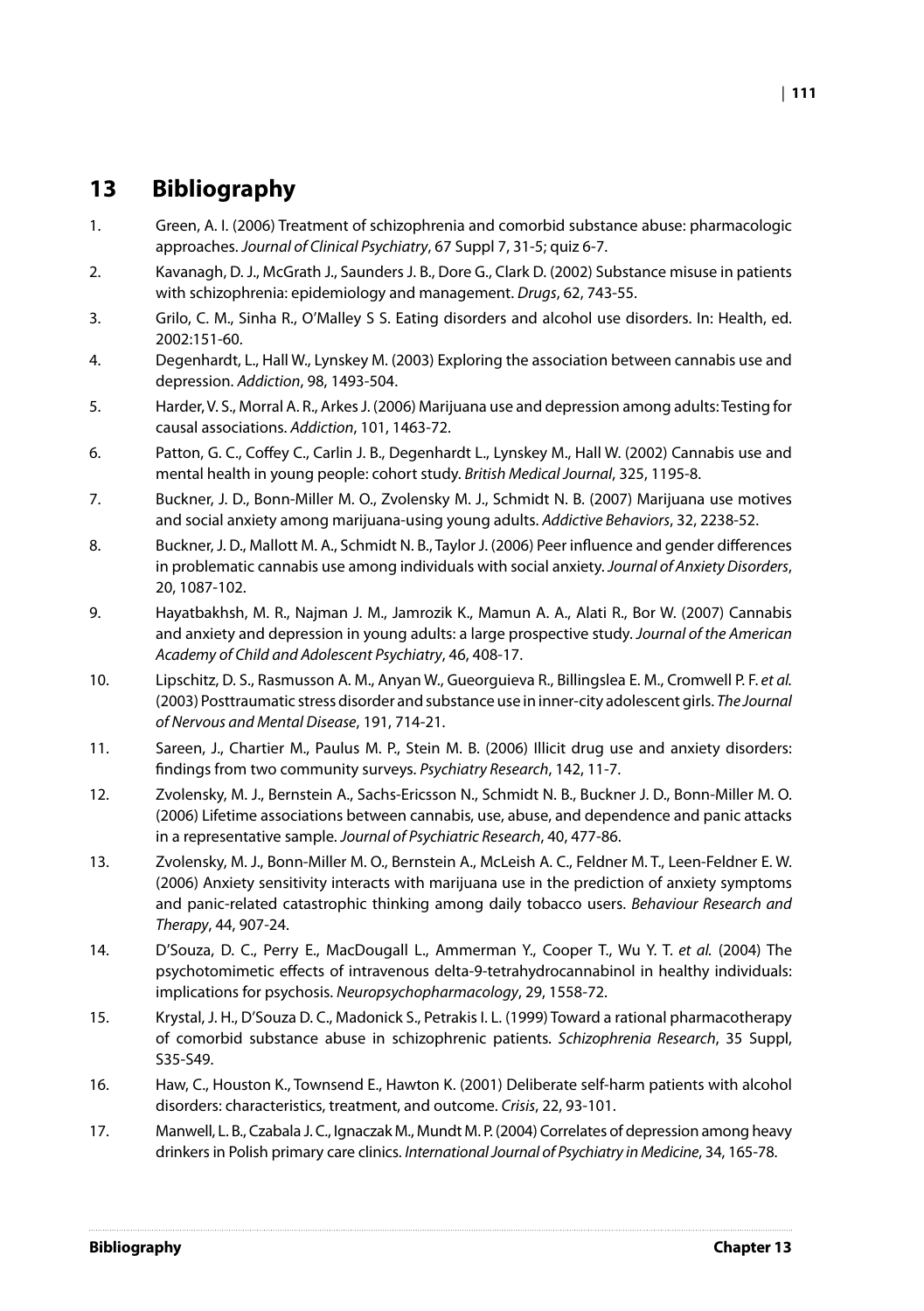# **13 Bibliography**

- 1. Green, A. I. (2006) Treatment of schizophrenia and comorbid substance abuse: pharmacologic approaches. *Journal of Clinical Psychiatry*, 67 Suppl 7, 31-5; quiz 6-7.
- 2. Kavanagh, D. J., McGrath J., Saunders J. B., Dore G., Clark D. (2002) Substance misuse in patients with schizophrenia: epidemiology and management. *Drugs*, 62, 743-55.
- 3. Grilo, C. M., Sinha R., O'Malley S S. Eating disorders and alcohol use disorders. In: Health, ed. 2002:151-60.
- 4. Degenhardt, L., Hall W., Lynskey M. (2003) Exploring the association between cannabis use and depression. *Addiction*, 98, 1493-504.
- 5. Harder, V. S., Morral A. R., Arkes J. (2006) Marijuana use and depression among adults: Testing for causal associations. *Addiction*, 101, 1463-72.
- 6. Patton, G. C., Coffey C., Carlin J. B., Degenhardt L., Lynskey M., Hall W. (2002) Cannabis use and mental health in young people: cohort study. *British Medical Journal*, 325, 1195-8.
- 7. Buckner, J. D., Bonn-Miller M. O., Zvolensky M. J., Schmidt N. B. (2007) Marijuana use motives and social anxiety among marijuana-using young adults. *Addictive Behaviors*, 32, 2238-52.
- 8. Buckner, J. D., Mallott M. A., Schmidt N. B., Taylor J. (2006) Peer influence and gender differences in problematic cannabis use among individuals with social anxiety. *Journal of Anxiety Disorders*, 20, 1087-102.
- 9. Hayatbakhsh, M. R., Najman J. M., Jamrozik K., Mamun A. A., Alati R., Bor W. (2007) Cannabis and anxiety and depression in young adults: a large prospective study. *Journal of the American Academy of Child and Adolescent Psychiatry*, 46, 408-17.
- 10. Lipschitz, D. S., Rasmusson A. M., Anyan W., Gueorguieva R., Billingslea E. M., Cromwell P. F. *et al.*  (2003) Posttraumatic stress disorder and substance use in inner-city adolescent girls. *The Journal of Nervous and Mental Disease*, 191, 714-21.
- 11. Sareen, J., Chartier M., Paulus M. P., Stein M. B. (2006) Illicit drug use and anxiety disorders: findings from two community surveys. *Psychiatry Research*, 142, 11-7.
- 12. Zvolensky, M. J., Bernstein A., Sachs-Ericsson N., Schmidt N. B., Buckner J. D., Bonn-Miller M. O. (2006) Lifetime associations between cannabis, use, abuse, and dependence and panic attacks in a representative sample. *Journal of Psychiatric Research*, 40, 477-86.
- 13. Zvolensky, M. J., Bonn-Miller M. O., Bernstein A., McLeish A. C., Feldner M. T., Leen-Feldner E. W. (2006) Anxiety sensitivity interacts with marijuana use in the prediction of anxiety symptoms and panic-related catastrophic thinking among daily tobacco users. *Behaviour Research and Therapy*, 44, 907-24.
- 14. D'Souza, D. C., Perry E., MacDougall L., Ammerman Y., Cooper T., Wu Y. T. *et al.* (2004) The psychotomimetic effects of intravenous delta-9-tetrahydrocannabinol in healthy individuals: implications for psychosis. *Neuropsychopharmacology*, 29, 1558-72.
- 15. Krystal, J. H., D'Souza D. C., Madonick S., Petrakis I. L. (1999) Toward a rational pharmacotherapy of comorbid substance abuse in schizophrenic patients. Schizophrenia Research, 35 Suppl, S35-S49.
- 16. Haw, C., Houston K., Townsend E., Hawton K. (2001) Deliberate self-harm patients with alcohol disorders: characteristics, treatment, and outcome. *Crisis*, 22, 93-101.
- 17. Manwell, L. B., Czabala J. C., Ignaczak M., Mundt M. P. (2004) Correlates of depression among heavy drinkers in Polish primary care clinics. International Journal of Psychiatry in Medicine, 34, 165-78.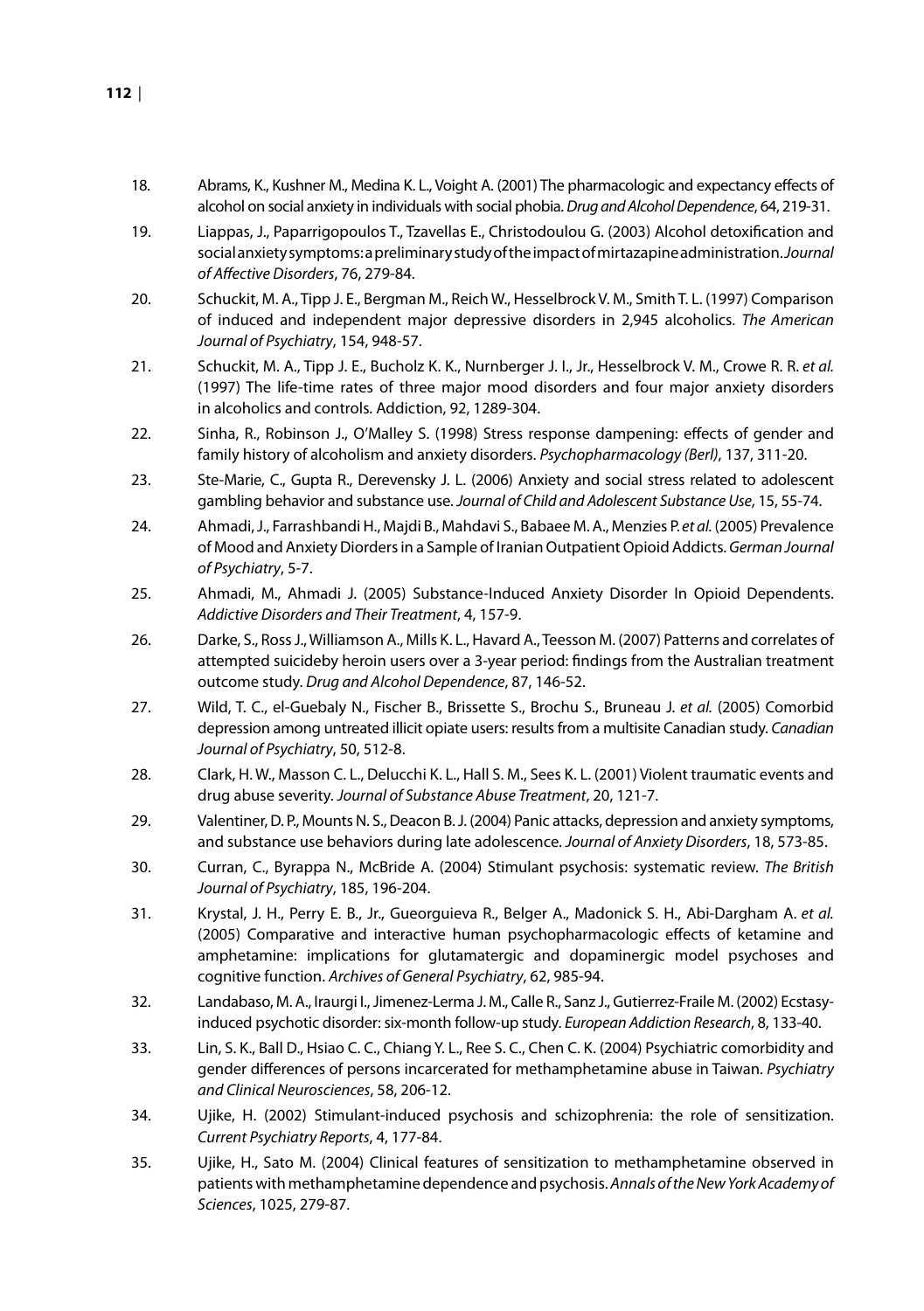- 18. Abrams, K., Kushner M., Medina K. L., Voight A. (2001) The pharmacologic and expectancy effects of alcohol on social anxiety in individuals with social phobia. *Drug and Alcohol Dependence*, 64, 219-31.
- 19. Liappas, J., Paparrigopoulos T., Tzavellas E., Christodoulou G. (2003) Alcohol detoxification and social anxiety symptoms: a preliminary study of the impact of mirtazapine administration. *Journal of Affective Disorders*, 76, 279-84.
- 20. Schuckit, M. A., Tipp J. E., Bergman M., Reich W., Hesselbrock V. M., Smith T. L. (1997) Comparison of induced and independent major depressive disorders in 2,945 alcoholics. *The American Journal of Psychiatry*, 154, 948-57.
- 21. Schuckit, M. A., Tipp J. E., Bucholz K. K., Nurnberger J. I., Jr., Hesselbrock V. M., Crowe R. R. *et al.* (1997) The life-time rates of three major mood disorders and four major anxiety disorders in alcoholics and controls. Addiction, 92, 1289-304.
- 22. Sinha, R., Robinson J., O'Malley S. (1998) Stress response dampening: effects of gender and family history of alcoholism and anxiety disorders. *Psychopharmacology (Berl)*, 137, 311-20.
- 23. Ste-Marie, C., Gupta R., Derevensky J. L. (2006) Anxiety and social stress related to adolescent gambling behavior and substance use. *Journal of Child and Adolescent Substance Use*, 15, 55-74.
- 24. Ahmadi, J., Farrashbandi H., Majdi B., Mahdavi S., Babaee M. A., Menzies P. *et al.* (2005) Prevalence of Mood and Anxiety Diorders in a Sample of Iranian Outpatient Opioid Addicts. *German Journal of Psychiatry*, 5-7.
- 25. Ahmadi, M., Ahmadi J. (2005) Substance-Induced Anxiety Disorder In Opioid Dependents. *Addictive Disorders and Their Treatment*, 4, 157-9.
- 26. Darke, S., Ross J., Williamson A., Mills K. L., Havard A., Teesson M. (2007) Patterns and correlates of attempted suicideby heroin users over a 3-year period: findings from the Australian treatment outcome study. *Drug and Alcohol Dependence*, 87, 146-52.
- 27. Wild, T. C., el-Guebaly N., Fischer B., Brissette S., Brochu S., Bruneau J*. et al.* (2005) Comorbid depression among untreated illicit opiate users: results from a multisite Canadian study. *Canadian Journal of Psychiatry*, 50, 512-8.
- 28. Clark, H. W., Masson C. L., Delucchi K. L., Hall S. M., Sees K. L. (2001) Violent traumatic events and drug abuse severity. *Journal of Substance Abuse Treatment*, 20, 121-7.
- 29. Valentiner, D. P., Mounts N. S., Deacon B. J. (2004) Panic attacks, depression and anxiety symptoms, and substance use behaviors during late adolescence. *Journal of Anxiety Disorders*, 18, 573-85.
- 30. Curran, C., Byrappa N., McBride A. (2004) Stimulant psychosis: systematic review. *The British Journal of Psychiatry*, 185, 196-204.
- 31. Krystal, J. H., Perry E. B., Jr., Gueorguieva R., Belger A., Madonick S. H., Abi-Dargham A. *et al.*  (2005) Comparative and interactive human psychopharmacologic effects of ketamine and amphetamine: implications for glutamatergic and dopaminergic model psychoses and cognitive function. *Archives of General Psychiatry*, 62, 985-94.
- 32. Landabaso, M. A., Iraurgi I., Jimenez-Lerma J. M., Calle R., Sanz J., Gutierrez-Fraile M. (2002) Ecstasyinduced psychotic disorder: six-month follow-up study. *European Addiction Research*, 8, 133-40.
- 33. Lin, S. K., Ball D., Hsiao C. C., Chiang Y. L., Ree S. C., Chen C. K. (2004) Psychiatric comorbidity and gender differences of persons incarcerated for methamphetamine abuse in Taiwan. *Psychiatry and Clinical Neurosciences*, 58, 206-12.
- 34. Ujike, H. (2002) Stimulant-induced psychosis and schizophrenia: the role of sensitization. *Current Psychiatry Reports*, 4, 177-84.
- 35. Ujike, H., Sato M. (2004) Clinical features of sensitization to methamphetamine observed in patients with methamphetamine dependence and psychosis. *Annals of the New York Academy of Sciences*, 1025, 279-87.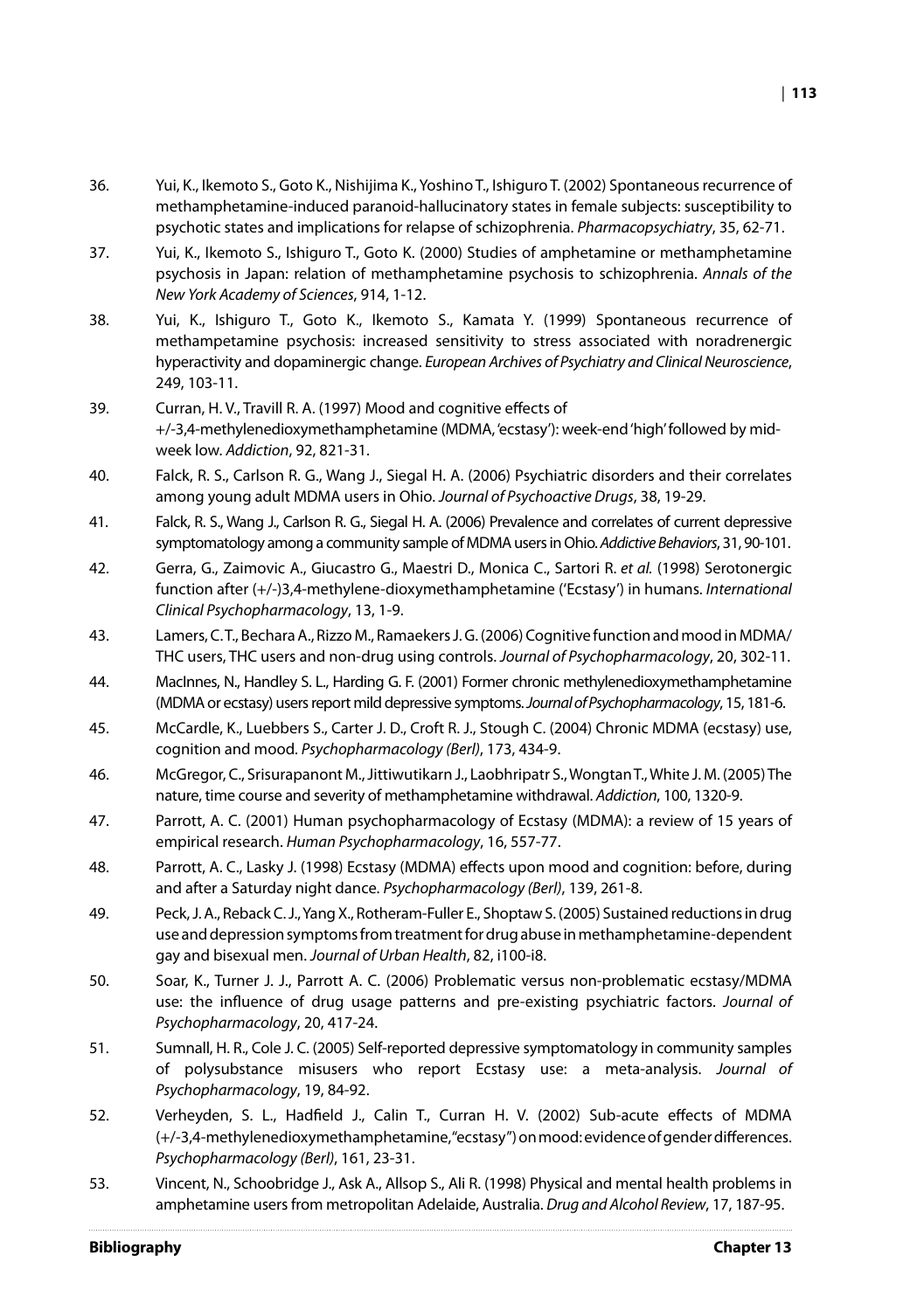- 36. Yui, K., Ikemoto S., Goto K., Nishijima K., Yoshino T., Ishiguro T. (2002) Spontaneous recurrence of methamphetamine-induced paranoid-hallucinatory states in female subjects: susceptibility to psychotic states and implications for relapse of schizophrenia. *Pharmacopsychiatry*, 35, 62-71.
- 37. Yui, K., Ikemoto S., Ishiguro T., Goto K. (2000) Studies of amphetamine or methamphetamine psychosis in Japan: relation of methamphetamine psychosis to schizophrenia. *Annals of the New York Academy of Sciences*, 914, 1-12.
- 38. Yui, K., Ishiguro T., Goto K., Ikemoto S., Kamata Y. (1999) Spontaneous recurrence of methampetamine psychosis: increased sensitivity to stress associated with noradrenergic hyperactivity and dopaminergic change. *European Archives of Psychiatry and Clinical Neuroscience*, 249, 103-11.
- 39. Curran, H. V., Travill R. A. (1997) Mood and cognitive effects of +/-3,4-methylenedioxymethamphetamine (MDMA, 'ecstasy'): week-end 'high' followed by midweek low. *Addiction*, 92, 821-31.
- 40. Falck, R. S., Carlson R. G., Wang J., Siegal H. A. (2006) Psychiatric disorders and their correlates among young adult MDMA users in Ohio. *Journal of Psychoactive Drugs*, 38, 19-29.
- 41. Falck, R. S., Wang J., Carlson R. G., Siegal H. A. (2006) Prevalence and correlates of current depressive symptomatology among a community sample of MDMA users in Ohio. *Addictive Behaviors*, 31, 90-101.
- 42. Gerra, G., Zaimovic A., Giucastro G., Maestri D., Monica C., Sartori R. *et al.* (1998) Serotonergic function after (+/-)3,4-methylene-dioxymethamphetamine ('Ecstasy') in humans. International *Clinical Psychopharmacology*, 13, 1-9.
- 43. Lamers, C. T., Bechara A., Rizzo M., Ramaekers J. G. (2006) Cognitive function and mood in MDMA/ THC users, THC users and non-drug using controls. *Journal of Psychopharmacology*, 20, 302-11.
- 44. MacInnes, N., Handley S. L., Harding G. F. (2001) Former chronic methylenedioxymethamphetamine (MDMA or ecstasy) users report mild depressive symptoms. *Journal of Psychopharmacology*, 15, 181-6.
- 45. McCardle, K., Luebbers S., Carter J. D., Croft R. J., Stough C. (2004) Chronic MDMA (ecstasy) use, cognition and mood. *Psychopharmacology (Berl)*, 173, 434-9.
- 46. McGregor, C., Srisurapanont M., Jittiwutikarn J., Laobhripatr S., Wongtan T., White J. M. (2005) The nature, time course and severity of methamphetamine withdrawal. *Addiction*, 100, 1320-9.
- 47. Parrott, A. C. (2001) Human psychopharmacology of Ecstasy (MDMA): a review of 15 years of empirical research. *Human Psychopharmacology*, 16, 557-77.
- 48. Parrott, A. C., Lasky J. (1998) Ecstasy (MDMA) effects upon mood and cognition: before, during and after a Saturday night dance. *Psychopharmacology (Berl)*, 139, 261-8.
- 49. Peck, J. A., Reback C. J., Yang X., Rotheram-Fuller E., Shoptaw S. (2005) Sustained reductions in drug use and depression symptoms from treatment for drug abuse in methamphetamine-dependent gay and bisexual men. *Journal of Urban Health*, 82, i100-i8.
- 50. Soar, K., Turner J. J., Parrott A. C. (2006) Problematic versus non-problematic ecstasy/MDMA use: the influence of drug usage patterns and pre-existing psychiatric factors. *Journal of Psychopharmacology*, 20, 417-24.
- 51. Sumnall, H. R., Cole J. C. (2005) Self-reported depressive symptomatology in community samples of polysubstance misusers who report Ecstasy use: a meta-analysis. *Journal of Psychopharmacology*, 19, 84-92.
- 52. Verheyden, S. L., Hadfield J., Calin T., Curran H. V. (2002) Sub-acute effects of MDMA (+/-3,4-methylenedioxymethamphetamine, "ecstasy") on mood: evidence of gender differences. *Psychopharmacology (Berl)*, 161, 23-31.
- 53. Vincent, N., Schoobridge J., Ask A., Allsop S., Ali R. (1998) Physical and mental health problems in amphetamine users from metropolitan Adelaide, Australia. *Drug and Alcohol Review*, 17, 187-95.

| **113**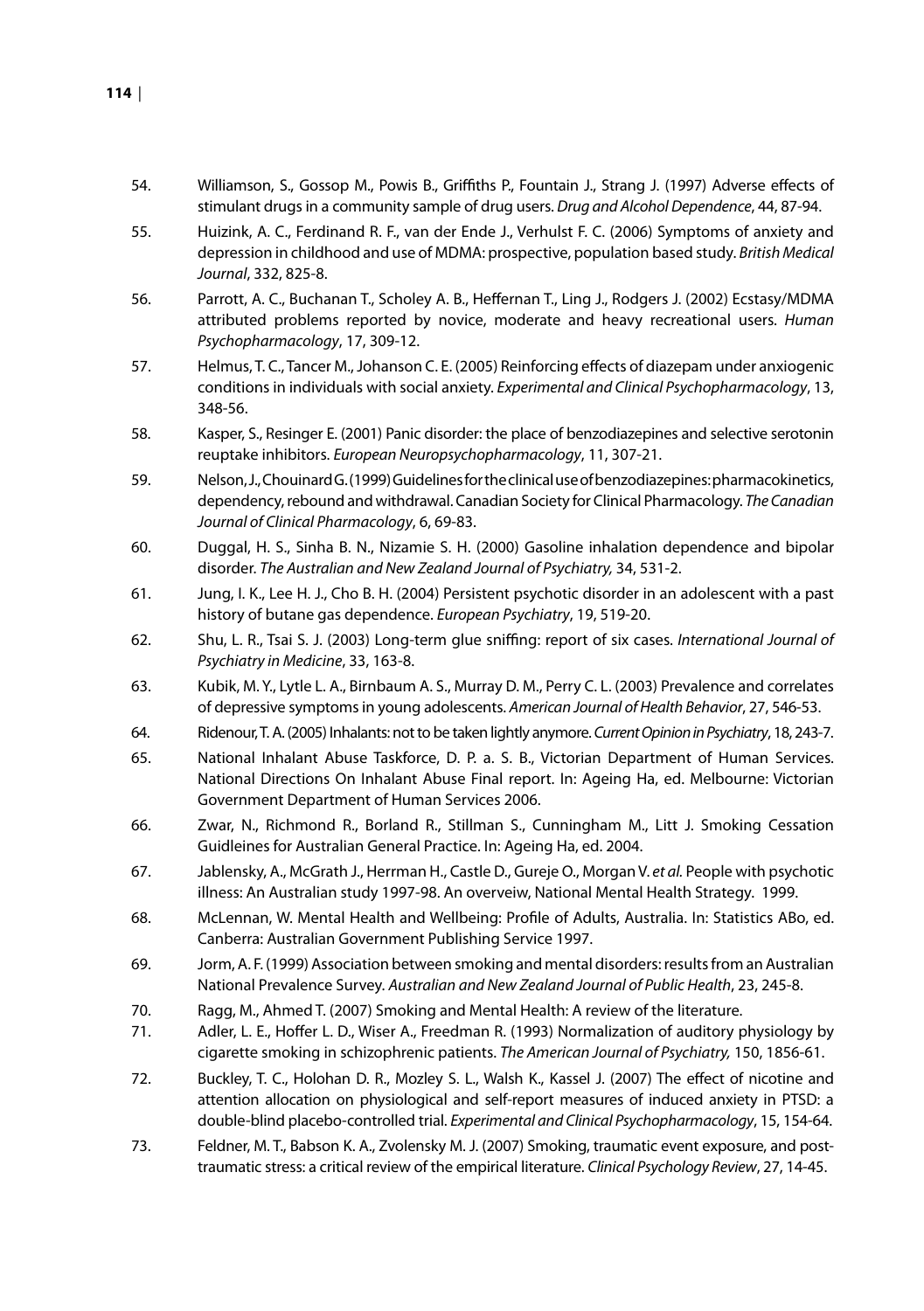- 54. Williamson, S., Gossop M., Powis B., Griffiths P., Fountain J., Strang J. (1997) Adverse effects of stimulant drugs in a community sample of drug users. *Drug and Alcohol Dependence*, 44, 87-94.
- 55. Huizink, A. C., Ferdinand R. F., van der Ende J., Verhulst F. C. (2006) Symptoms of anxiety and depression in childhood and use of MDMA: prospective, population based study. *British Medical Journal*, 332, 825-8.
- 56. Parrott, A. C., Buchanan T., Scholey A. B., Heffernan T., Ling J., Rodgers J. (2002) Ecstasy/MDMA attributed problems reported by novice, moderate and heavy recreational users. *Human Psychopharmacology*, 17, 309-12.
- 57. Helmus, T. C., Tancer M., Johanson C. E. (2005) Reinforcing effects of diazepam under anxiogenic conditions in individuals with social anxiety. *Experimental and Clinical Psychopharmacology*, 13, 348-56.
- 58. Kasper, S., Resinger E. (2001) Panic disorder: the place of benzodiazepines and selective serotonin reuptake inhibitors. *European Neuropsychopharmacology*, 11, 307-21.
- 59. Nelson, J., Chouinard G. (1999) Guidelines for the clinical use of benzodiazepines: pharmacokinetics, dependency, rebound and withdrawal. Canadian Society for Clinical Pharmacology. *The Canadian Journal of Clinical Pharmacology*, 6, 69-83.
- 60. Duggal, H. S., Sinha B. N., Nizamie S. H. (2000) Gasoline inhalation dependence and bipolar disorder. *The Australian and New Zealand Journal of Psychiatry,* 34, 531-2.
- 61. Jung, I. K., Lee H. J., Cho B. H. (2004) Persistent psychotic disorder in an adolescent with a past history of butane gas dependence. *European Psychiatry*, 19, 519-20.
- 62. Shu, L. R., Tsai S. J. (2003) Long-term glue sniffing: report of six cases. International Journal of *Psychiatry in Medicine*, 33, 163-8.
- 63. Kubik, M. Y., Lytle L. A., Birnbaum A. S., Murray D. M., Perry C. L. (2003) Prevalence and correlates of depressive symptoms in young adolescents. *American Journal of Health Behavior*, 27, 546-53.
- 64. Ridenour, T. A. (2005) Inhalants: not to be taken lightly anymore. *Current Opinion in Psychiatry*, 18, 243-7.
- 65. National Inhalant Abuse Taskforce, D. P. a. S. B., Victorian Department of Human Services. National Directions On Inhalant Abuse Final report. In: Ageing Ha, ed. Melbourne: Victorian Government Department of Human Services 2006.
- 66. Zwar, N., Richmond R., Borland R., Stillman S., Cunningham M., Litt J. Smoking Cessation Guidleines for Australian General Practice. In: Ageing Ha, ed. 2004.
- 67. Jablensky, A., McGrath J., Herrman H., Castle D., Gureje O., Morgan V. *et al.* People with psychotic illness: An Australian study 1997-98. An overveiw, National Mental Health Strategy. 1999.
- 68. McLennan, W. Mental Health and Wellbeing: Profile of Adults, Australia. In: Statistics ABo, ed. Canberra: Australian Government Publishing Service 1997.
- 69. Jorm, A. F. (1999) Association between smoking and mental disorders: results from an Australian National Prevalence Survey. *Australian and New Zealand Journal of Public Health*, 23, 245-8.
- 70. Ragg, M., Ahmed T. (2007) Smoking and Mental Health: A review of the literature.
- 71. Adler, L. E., Hoffer L. D., Wiser A., Freedman R. (1993) Normalization of auditory physiology by cigarette smoking in schizophrenic patients. *The American Journal of Psychiatry,* 150, 1856-61.
- 72. Buckley, T. C., Holohan D. R., Mozley S. L., Walsh K., Kassel J. (2007) The effect of nicotine and attention allocation on physiological and self-report measures of induced anxiety in PTSD: a double-blind placebo-controlled trial. *Experimental and Clinical Psychopharmacology*, 15, 154-64.
- 73. Feldner, M. T., Babson K. A., Zvolensky M. J. (2007) Smoking, traumatic event exposure, and posttraumatic stress: a critical review of the empirical literature. *Clinical Psychology Review*, 27, 14-45.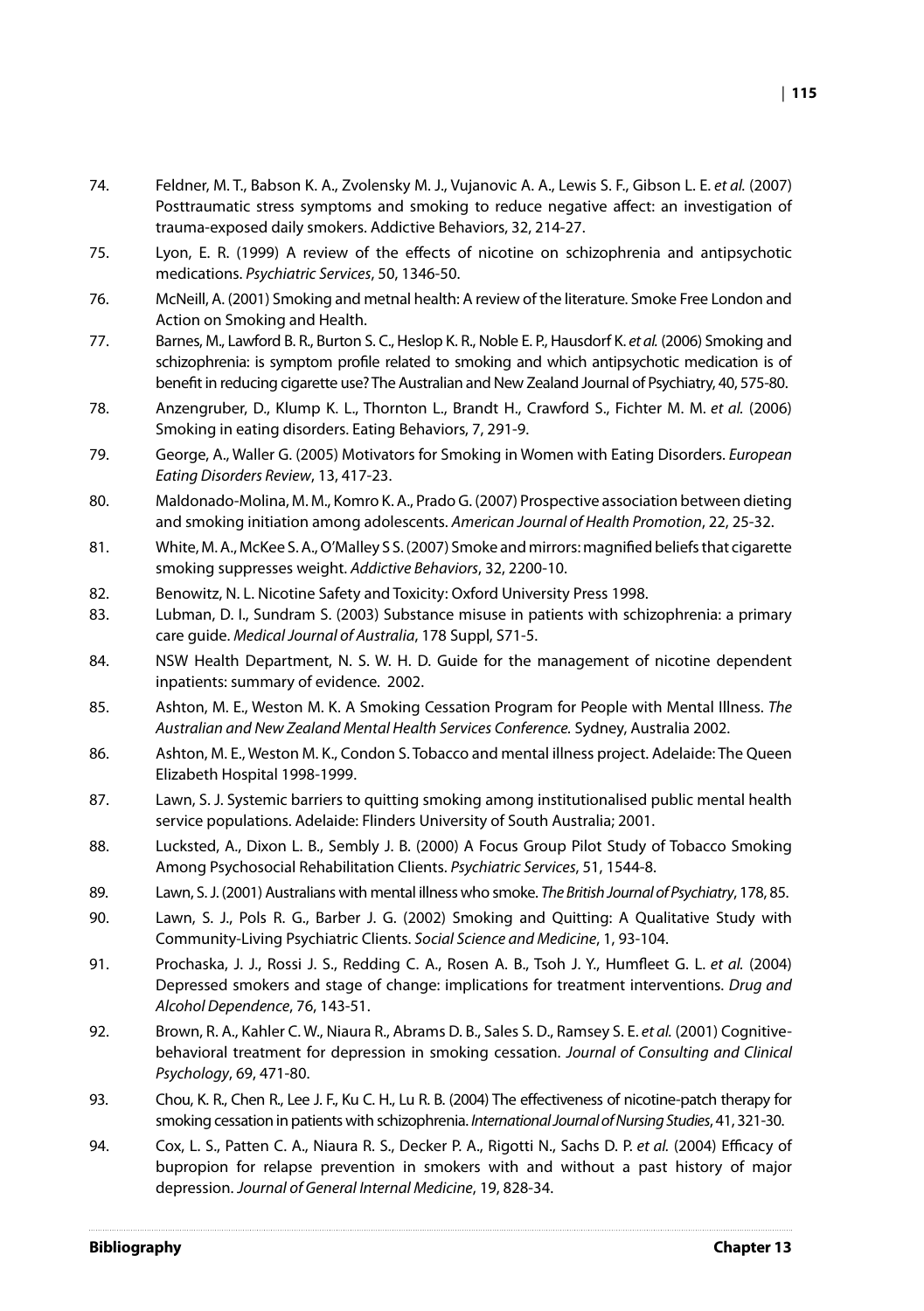- 74. Feldner, M. T., Babson K. A., Zvolensky M. J., Vujanovic A. A., Lewis S. F., Gibson L. E. *et al.* (2007) Posttraumatic stress symptoms and smoking to reduce negative affect: an investigation of trauma-exposed daily smokers. Addictive Behaviors, 32, 214-27.
- 75. Lyon, E. R. (1999) A review of the effects of nicotine on schizophrenia and antipsychotic medications. *Psychiatric Services*, 50, 1346-50.
- 76. McNeill, A. (2001) Smoking and metnal health: A review of the literature. Smoke Free London and Action on Smoking and Health.
- 77. Barnes, M., Lawford B. R., Burton S. C., Heslop K. R., Noble E. P., Hausdorf K. *et al.* (2006) Smoking and schizophrenia: is symptom profile related to smoking and which antipsychotic medication is of benefit in reducing cigarette use? The Australian and New Zealand Journal of Psychiatry, 40, 575-80.
- 78. Anzengruber, D., Klump K. L., Thornton L., Brandt H., Crawford S., Fichter M. M. *et al.* (2006) Smoking in eating disorders. Eating Behaviors, 7, 291-9.
- 79. George, A., Waller G. (2005) Motivators for Smoking in Women with Eating Disorders. *European Eating Disorders Review*, 13, 417-23.
- 80. Maldonado-Molina, M. M., Komro K. A., Prado G. (2007) Prospective association between dieting and smoking initiation among adolescents. *American Journal of Health Promotion*, 22, 25-32.
- 81. White, M. A., McKee S. A., O'Malley S S. (2007) Smoke and mirrors: magnified beliefs that cigarette smoking suppresses weight. *Addictive Behaviors*, 32, 2200-10.
- 82. Benowitz, N. L. Nicotine Safety and Toxicity: Oxford University Press 1998.
- 83. Lubman, D. I., Sundram S. (2003) Substance misuse in patients with schizophrenia: a primary care guide. *Medical Journal of Australia*, 178 Suppl, S71-5.
- 84. NSW Health Department, N. S. W. H. D. Guide for the management of nicotine dependent inpatients: summary of evidence. 2002.
- 85. Ashton, M. E., Weston M. K. A Smoking Cessation Program for People with Mental Illness. *The Australian and New Zealand Mental Health Services Conference.* Sydney, Australia 2002.
- 86. Ashton, M. E., Weston M. K., Condon S. Tobacco and mental illness project. Adelaide: The Queen Elizabeth Hospital 1998-1999.
- 87. Lawn, S. J. Systemic barriers to quitting smoking among institutionalised public mental health service populations. Adelaide: Flinders University of South Australia; 2001.
- 88. Lucksted, A., Dixon L. B., Sembly J. B. (2000) A Focus Group Pilot Study of Tobacco Smoking Among Psychosocial Rehabilitation Clients. *Psychiatric Services*, 51, 1544-8.
- 89. Lawn, S. J. (2001) Australians with mental illness who smoke. *The British Journal of Psychiatry*, 178, 85.
- 90. Lawn, S. J., Pols R. G., Barber J. G. (2002) Smoking and Quitting: A Qualitative Study with Community-Living Psychiatric Clients. *Social Science and Medicine*, 1, 93-104.
- 91. Prochaska, J. J., Rossi J. S., Redding C. A., Rosen A. B., Tsoh J. Y., Humfleet G. L. *et al.* (2004) Depressed smokers and stage of change: implications for treatment interventions. *Drug and Alcohol Dependence*, 76, 143-51.
- 92. Brown, R. A., Kahler C. W., Niaura R., Abrams D. B., Sales S. D., Ramsey S. E. *et al.* (2001) Cognitivebehavioral treatment for depression in smoking cessation. *Journal of Consulting and Clinical Psychology*, 69, 471-80.
- 93. Chou, K. R., Chen R., Lee J. F., Ku C. H., Lu R. B. (2004) The effectiveness of nicotine-patch therapy for smoking cessation in patients with schizophrenia. International Journal of Nursing Studies, 41, 321-30.
- 94. Cox, L. S., Patten C. A., Niaura R. S., Decker P. A., Rigotti N., Sachs D. P. *et al.* (2004) Efficacy of bupropion for relapse prevention in smokers with and without a past history of major depression. Journal of General Internal Medicine, 19, 828-34.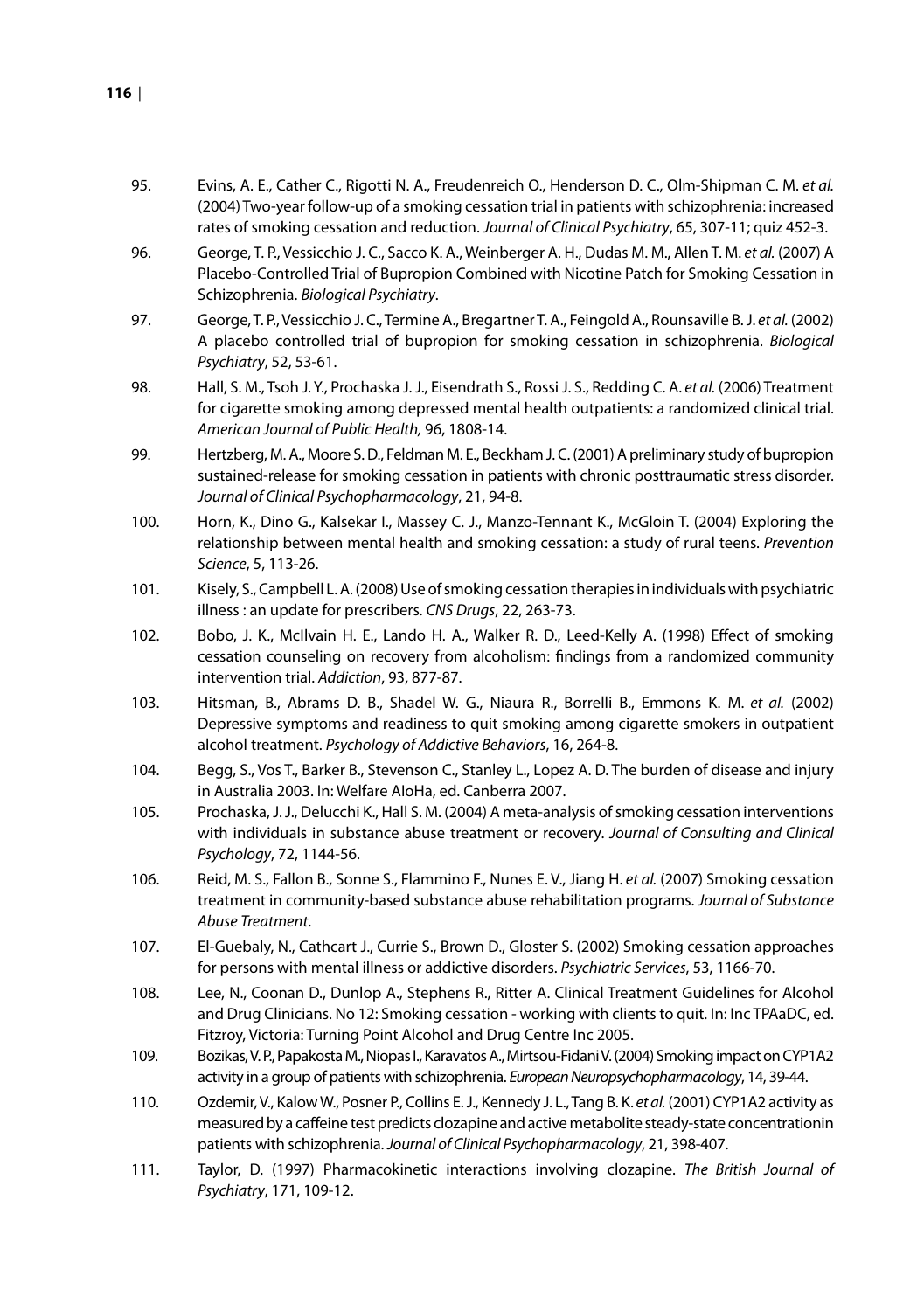- 95. Evins, A. E., Cather C., Rigotti N. A., Freudenreich O., Henderson D. C., Olm-Shipman C. M. *et al.* (2004) Two-year follow-up of a smoking cessation trial in patients with schizophrenia: increased rates of smoking cessation and reduction. *Journal of Clinical Psychiatry*, 65, 307-11; quiz 452-3.
- 96. George, T. P., Vessicchio J. C., Sacco K. A., Weinberger A. H., Dudas M. M., Allen T. M. *et al.* (2007) A Placebo-Controlled Trial of Bupropion Combined with Nicotine Patch for Smoking Cessation in Schizophrenia. *Biological Psychiatry*.
- 97. George, T. P., Vessicchio J. C., Termine A., Bregartner T. A., Feingold A., Rounsaville B. J. *et al.* (2002) A placebo controlled trial of bupropion for smoking cessation in schizophrenia. *Biological Psychiatry*, 52, 53-61.
- 98. Hall, S. M., Tsoh J. Y., Prochaska J. J., Eisendrath S., Rossi J. S., Redding C. A. *et al.* (2006) Treatment for cigarette smoking among depressed mental health outpatients: a randomized clinical trial. *American Journal of Public Health,* 96, 1808-14.
- 99. Hertzberg, M. A., Moore S. D., Feldman M. E., Beckham J. C. (2001) A preliminary study of bupropion sustained-release for smoking cessation in patients with chronic posttraumatic stress disorder. *Journal of Clinical Psychopharmacology*, 21, 94-8.
- 100. Horn, K., Dino G., Kalsekar I., Massey C. J., Manzo-Tennant K., McGloin T. (2004) Exploring the relationship between mental health and smoking cessation: a study of rural teens. *Prevention Science*, 5, 113-26.
- 101. Kisely, S., Campbell L. A. (2008) Use of smoking cessation therapies in individuals with psychiatric illness : an update for prescribers. *CNS Drugs*, 22, 263-73.
- 102. Bobo, J. K., McIlvain H. E., Lando H. A., Walker R. D., Leed-Kelly A. (1998) Effect of smoking cessation counseling on recovery from alcoholism: findings from a randomized community intervention trial. *Addiction*, 93, 877-87.
- 103. Hitsman, B., Abrams D. B., Shadel W. G., Niaura R., Borrelli B., Emmons K. M. *et al.* (2002) Depressive symptoms and readiness to quit smoking among cigarette smokers in outpatient alcohol treatment. *Psychology of Addictive Behaviors*, 16, 264-8.
- 104. Begg, S., Vos T., Barker B., Stevenson C., Stanley L., Lopez A. D. The burden of disease and injury in Australia 2003. In: Welfare AIoHa, ed. Canberra 2007.
- 105. Prochaska, J. J., Delucchi K., Hall S. M. (2004) A meta-analysis of smoking cessation interventions with individuals in substance abuse treatment or recovery. *Journal of Consulting and Clinical Psychology*, 72, 1144-56.
- 106. Reid, M. S., Fallon B., Sonne S., Flammino F., Nunes E. V., Jiang H. *et al.* (2007) Smoking cessation treatment in community-based substance abuse rehabilitation programs. *Journal of Substance Abuse Treatment*.
- 107. El-Guebaly, N., Cathcart J., Currie S., Brown D., Gloster S. (2002) Smoking cessation approaches for persons with mental illness or addictive disorders. *Psychiatric Services*, 53, 1166-70.
- 108. Lee, N., Coonan D., Dunlop A., Stephens R., Ritter A. Clinical Treatment Guidelines for Alcohol and Drug Clinicians. No 12: Smoking cessation - working with clients to quit. In: Inc TPAaDC, ed. Fitzroy, Victoria: Turning Point Alcohol and Drug Centre Inc 2005.
- 109. Bozikas, V. P., Papakosta M., Niopas I., Karavatos A., Mirtsou-Fidani V. (2004) Smoking impact on CYP1A2 activity in a group of patients with schizophrenia. *European Neuropsychopharmacology*, 14, 39-44.
- 110. Ozdemir, V., Kalow W., Posner P., Collins E. J., Kennedy J. L., Tang B. K. *et al.* (2001) CYP1A2 activity as measured by a caffeine test predicts clozapine and active metabolite steady-state concentrationin patients with schizophrenia. *Journal of Clinical Psychopharmacology*, 21, 398-407.
- 111. Taylor, D. (1997) Pharmacokinetic interactions involving clozapine. *The British Journal of Psychiatry*, 171, 109-12.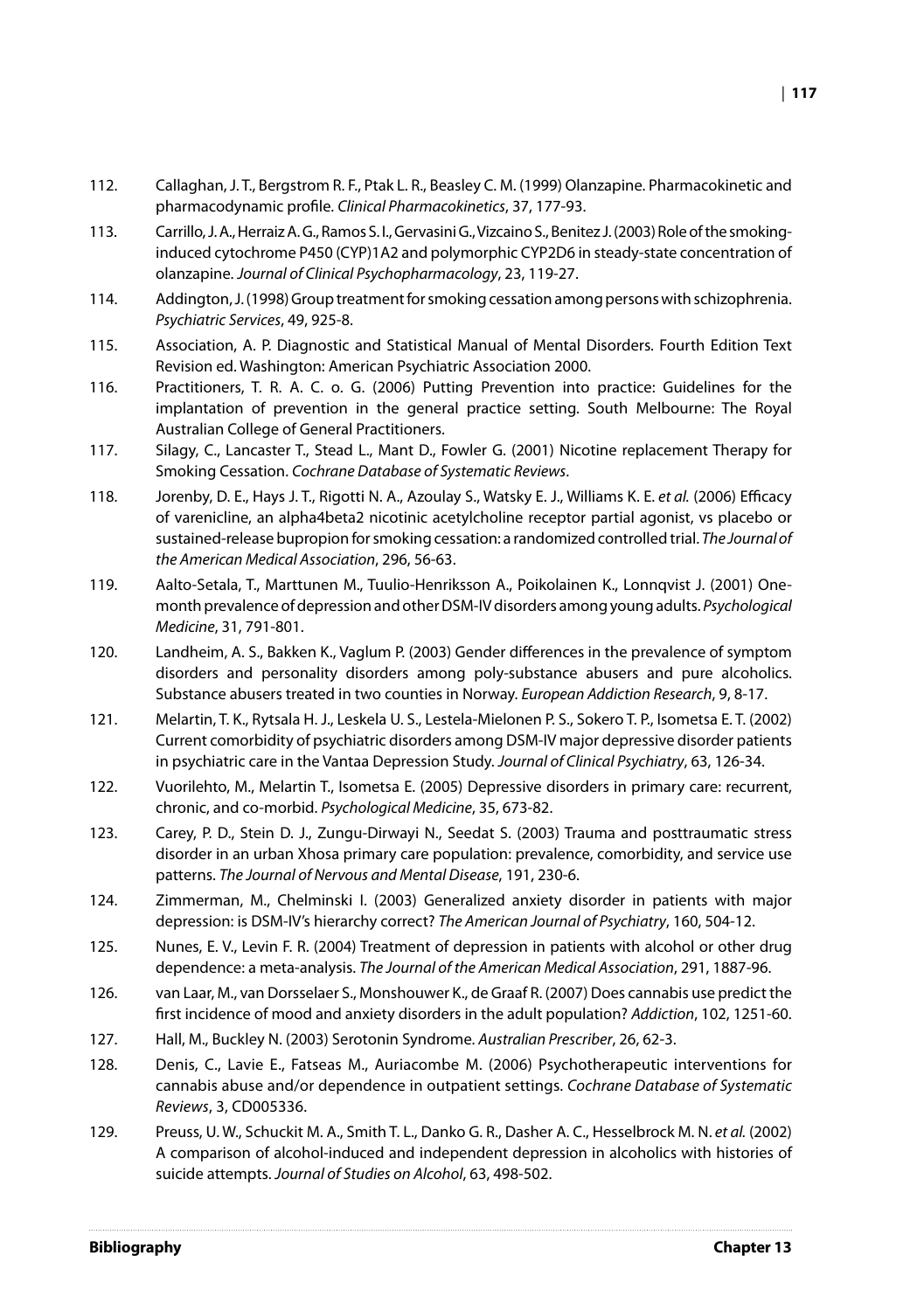- 112. Callaghan, J. T., Bergstrom R. F., Ptak L. R., Beasley C. M. (1999) Olanzapine. Pharmacokinetic and pharmacodynamic profile. *Clinical Pharmacokinetics*, 37, 177-93.
- 113. Carrillo, J. A., Herraiz A. G., Ramos S. I., Gervasini G., Vizcaino S., Benitez J. (2003) Role of the smokinginduced cytochrome P450 (CYP)1A2 and polymorphic CYP2D6 in steady-state concentration of olanzapine. *Journal of Clinical Psychopharmacology*, 23, 119-27.
- 114. Addington, J. (1998) Group treatment for smoking cessation among persons with schizophrenia. *Psychiatric Services*, 49, 925-8.
- 115. Association, A. P. Diagnostic and Statistical Manual of Mental Disorders. Fourth Edition Text Revision ed. Washington: American Psychiatric Association 2000.
- 116. Practitioners, T. R. A. C. o. G. (2006) Putting Prevention into practice: Guidelines for the implantation of prevention in the general practice setting. South Melbourne: The Royal Australian College of General Practitioners.
- 117. Silagy, C., Lancaster T., Stead L., Mant D., Fowler G. (2001) Nicotine replacement Therapy for Smoking Cessation. *Cochrane Database of Systematic Reviews*.
- 118. Jorenby, D. E., Hays J. T., Rigotti N. A., Azoulay S., Watsky E. J., Williams K. E. *et al.* (2006) Efficacy of varenicline, an alpha4beta2 nicotinic acetylcholine receptor partial agonist, vs placebo or sustained-release bupropion for smoking cessation: a randomized controlled trial. *The Journal of the American Medical Association*, 296, 56-63.
- 119. Aalto-Setala, T., Marttunen M., Tuulio-Henriksson A., Poikolainen K., Lonnqvist J. (2001) Onemonth prevalence of depression and other DSM-IV disorders among young adults. *Psychological Medicine*, 31, 791-801.
- 120. Landheim, A. S., Bakken K., Vaglum P. (2003) Gender differences in the prevalence of symptom disorders and personality disorders among poly-substance abusers and pure alcoholics. Substance abusers treated in two counties in Norway. *European Addiction Research*, 9, 8-17.
- 121. Melartin, T. K., Rytsala H. J., Leskela U. S., Lestela-Mielonen P. S., Sokero T. P., Isometsa E. T. (2002) Current comorbidity of psychiatric disorders among DSM-IV major depressive disorder patients in psychiatric care in the Vantaa Depression Study. *Journal of Clinical Psychiatry*, 63, 126-34.
- 122. Vuorilehto, M., Melartin T., Isometsa E. (2005) Depressive disorders in primary care: recurrent, chronic, and co-morbid. *Psychological Medicine*, 35, 673-82.
- 123. Carey, P. D., Stein D. J., Zungu-Dirwayi N., Seedat S. (2003) Trauma and posttraumatic stress disorder in an urban Xhosa primary care population: prevalence, comorbidity, and service use patterns. *The Journal of Nervous and Mental Disease*, 191, 230-6.
- 124. Zimmerman, M., Chelminski I. (2003) Generalized anxiety disorder in patients with major depression: is DSM-IV's hierarchy correct? *The American Journal of Psychiatry*, 160, 504-12.
- 125. Nunes, E. V., Levin F. R. (2004) Treatment of depression in patients with alcohol or other drug dependence: a meta-analysis. *The Journal of the American Medical Association*, 291, 1887-96.
- 126. van Laar, M., van Dorsselaer S., Monshouwer K., de Graaf R. (2007) Does cannabis use predict the first incidence of mood and anxiety disorders in the adult population? *Addiction*, 102, 1251-60.
- 127. Hall, M., Buckley N. (2003) Serotonin Syndrome. *Australian Prescriber*, 26, 62-3.
- 128. Denis, C., Lavie E., Fatseas M., Auriacombe M. (2006) Psychotherapeutic interventions for cannabis abuse and/or dependence in outpatient settings. *Cochrane Database of Systematic Reviews*, 3, CD005336.
- 129. Preuss, U. W., Schuckit M. A., Smith T. L., Danko G. R., Dasher A. C., Hesselbrock M. N. *et al.* (2002) A comparison of alcohol-induced and independent depression in alcoholics with histories of suicide attempts. *Journal of Studies on Alcohol*, 63, 498-502.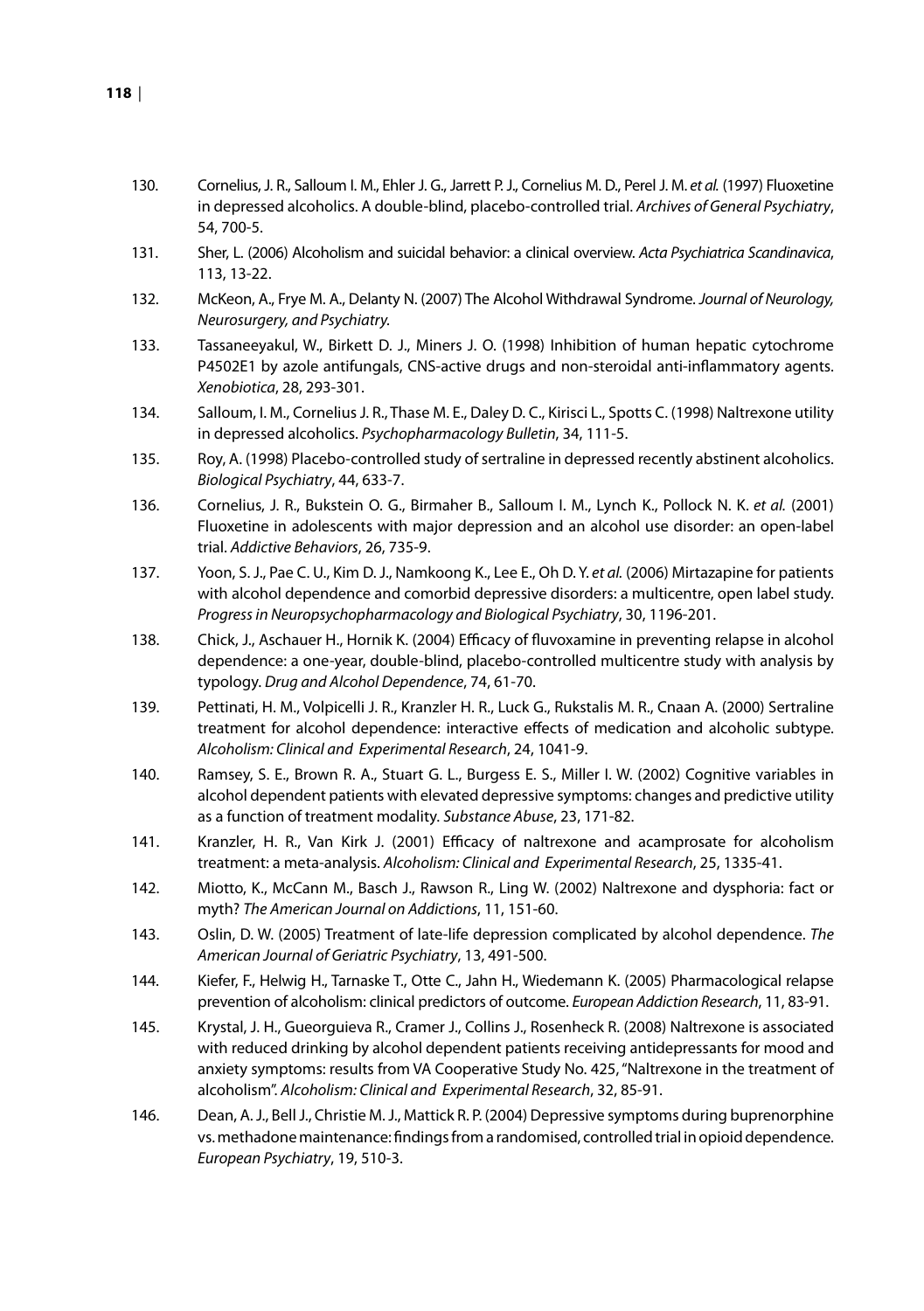- 130. Cornelius, J. R., Salloum I. M., Ehler J. G., Jarrett P. J., Cornelius M. D., Perel J. M. *et al.* (1997) Fluoxetine in depressed alcoholics. A double-blind, placebo-controlled trial. *Archives of General Psychiatry*, 54, 700-5.
- 131. Sher, L. (2006) Alcoholism and suicidal behavior: a clinical overview. *Acta Psychiatrica Scandinavica*, 113, 13-22.
- 132. McKeon, A., Frye M. A., Delanty N. (2007) The Alcohol Withdrawal Syndrome. *Journal of Neurology, Neurosurgery, and Psychiatry.*
- 133. Tassaneeyakul, W., Birkett D. J., Miners J. O. (1998) Inhibition of human hepatic cytochrome P4502E1 by azole antifungals, CNS-active drugs and non-steroidal anti-inflammatory agents. *Xenobiotica*, 28, 293-301.
- 134. Salloum, I. M., Cornelius J. R., Thase M. E., Daley D. C., Kirisci L., Spotts C. (1998) Naltrexone utility in depressed alcoholics. *Psychopharmacology Bulletin*, 34, 111-5.
- 135. Roy, A. (1998) Placebo-controlled study of sertraline in depressed recently abstinent alcoholics. *Biological Psychiatry*, 44, 633-7.
- 136. Cornelius, J. R., Bukstein O. G., Birmaher B., Salloum I. M., Lynch K., Pollock N. K. *et al.* (2001) Fluoxetine in adolescents with major depression and an alcohol use disorder: an open-label trial. *Addictive Behaviors*, 26, 735-9.
- 137. Yoon, S. J., Pae C. U., Kim D. J., Namkoong K., Lee E., Oh D. Y. *et al.* (2006) Mirtazapine for patients with alcohol dependence and comorbid depressive disorders: a multicentre, open label study. *Progress in Neuropsychopharmacology and Biological Psychiatry*, 30, 1196-201.
- 138. Chick, J., Aschauer H., Hornik K. (2004) Efficacy of fluvoxamine in preventing relapse in alcohol dependence: a one-year, double-blind, placebo-controlled multicentre study with analysis by typology. *Drug and Alcohol Dependence*, 74, 61-70.
- 139. Pettinati, H. M., Volpicelli J. R., Kranzler H. R., Luck G., Rukstalis M. R., Cnaan A. (2000) Sertraline treatment for alcohol dependence: interactive effects of medication and alcoholic subtype. *Alcoholism: Clinical and Experimental Research*, 24, 1041-9.
- 140. Ramsey, S. E., Brown R. A., Stuart G. L., Burgess E. S., Miller I. W. (2002) Cognitive variables in alcohol dependent patients with elevated depressive symptoms: changes and predictive utility as a function of treatment modality. *Substance Abuse*, 23, 171-82.
- 141. Kranzler, H. R., Van Kirk J. (2001) Efficacy of naltrexone and acamprosate for alcoholism treatment: a meta-analysis. *Alcoholism: Clinical and Experimental Research*, 25, 1335-41.
- 142. Miotto, K., McCann M., Basch J., Rawson R., Ling W. (2002) Naltrexone and dysphoria: fact or myth? *The American Journal on Addictions*, 11, 151-60.
- 143. Oslin, D. W. (2005) Treatment of late-life depression complicated by alcohol dependence. *The American Journal of Geriatric Psychiatry*, 13, 491-500.
- 144. Kiefer, F., Helwig H., Tarnaske T., Otte C., Jahn H., Wiedemann K. (2005) Pharmacological relapse prevention of alcoholism: clinical predictors of outcome. *European Addiction Research*, 11, 83-91.
- 145. Krystal, J. H., Gueorguieva R., Cramer J., Collins J., Rosenheck R. (2008) Naltrexone is associated with reduced drinking by alcohol dependent patients receiving antidepressants for mood and anxiety symptoms: results from VA Cooperative Study No. 425, "Naltrexone in the treatment of alcoholism". *Alcoholism: Clinical and Experimental Research*, 32, 85-91.
- 146. Dean, A. J., Bell J., Christie M. J., Mattick R. P. (2004) Depressive symptoms during buprenorphine vs. methadone maintenance: findings from a randomised, controlled trial in opioid dependence. *European Psychiatry*, 19, 510-3.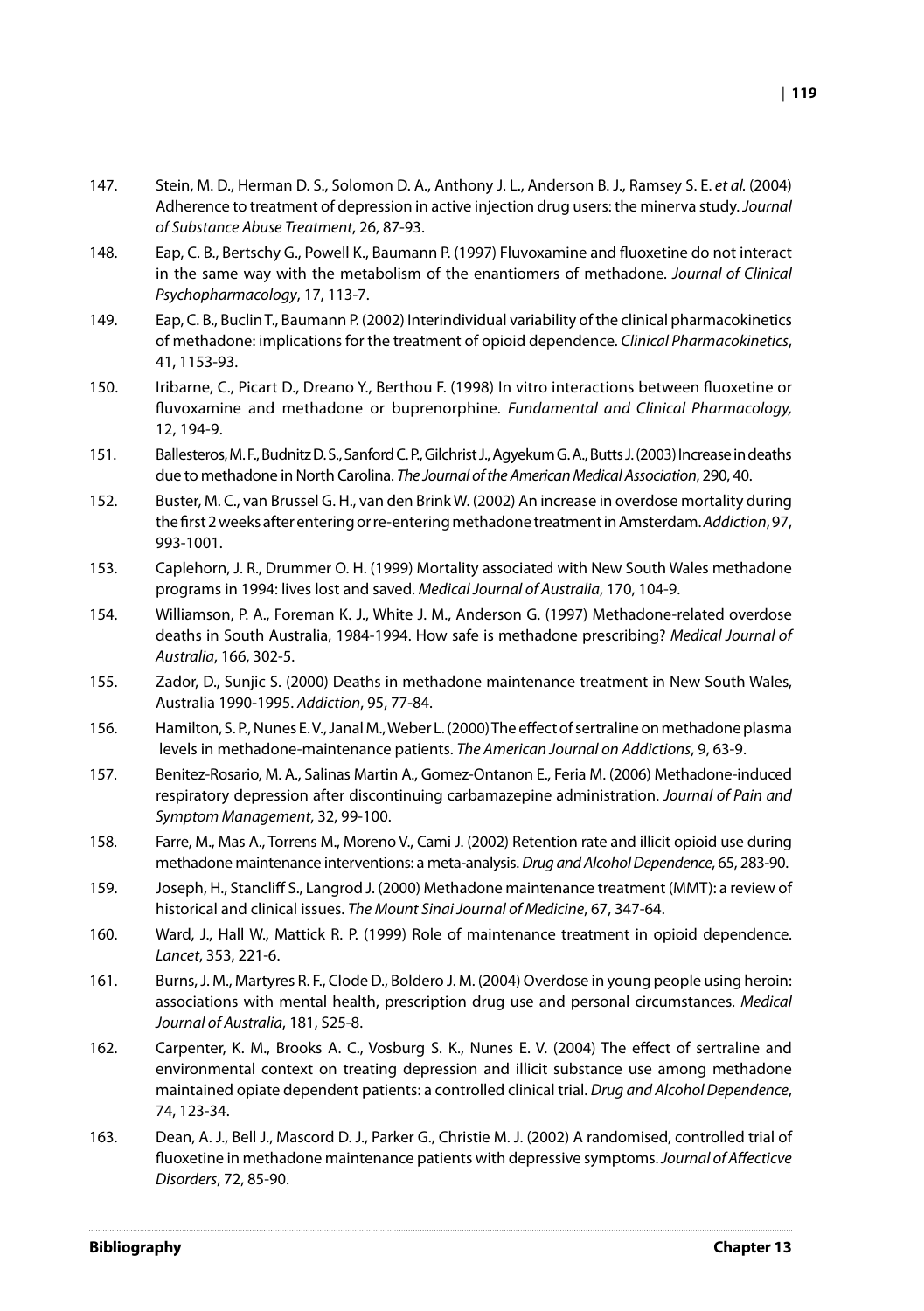- 147. Stein, M. D., Herman D. S., Solomon D. A., Anthony J. L., Anderson B. J., Ramsey S. E. *et al.* (2004) Adherence to treatment of depression in active injection drug users: the minerva study. *Journal of Substance Abuse Treatment*, 26, 87-93.
- 148. Eap, C. B., Bertschy G., Powell K., Baumann P. (1997) Fluvoxamine and fluoxetine do not interact in the same way with the metabolism of the enantiomers of methadone. *Journal of Clinical Psychopharmacology*, 17, 113-7.
- 149. Eap, C. B., Buclin T., Baumann P. (2002) Interindividual variability of the clinical pharmacokinetics of methadone: implications for the treatment of opioid dependence. *Clinical Pharmacokinetics*, 41, 1153-93.
- 150. Iribarne, C., Picart D., Dreano Y., Berthou F. (1998) In vitro interactions between fluoxetine or fluvoxamine and methadone or buprenorphine. *Fundamental and Clinical Pharmacology,* 12, 194-9.
- 151. Ballesteros, M. F., Budnitz D. S., Sanford C. P., Gilchrist J., Agyekum G. A., Butts J. (2003) Increase in deaths due to methadone in North Carolina. *The Journal of the American Medical Association*, 290, 40.
- 152. Buster, M. C., van Brussel G. H., van den Brink W. (2002) An increase in overdose mortality during the first 2 weeks after entering or re-entering methadone treatment in Amsterdam. *Addiction*, 97, 993-1001.
- 153. Caplehorn, J. R., Drummer O. H. (1999) Mortality associated with New South Wales methadone programs in 1994: lives lost and saved. *Medical Journal of Australia*, 170, 104-9.
- 154. Williamson, P. A., Foreman K. J., White J. M., Anderson G. (1997) Methadone-related overdose deaths in South Australia, 1984-1994. How safe is methadone prescribing? *Medical Journal of Australia*, 166, 302-5.
- 155. Zador, D., Sunjic S. (2000) Deaths in methadone maintenance treatment in New South Wales, Australia 1990-1995. *Addiction*, 95, 77-84.
- 156. Hamilton, S. P., Nunes E. V., Janal M., Weber L. (2000) The effect of sertraline on methadone plasma levels in methadone-maintenance patients. *The American Journal on Addictions*, 9, 63-9.
- 157. Benitez-Rosario, M. A., Salinas Martin A., Gomez-Ontanon E., Feria M. (2006) Methadone-induced respiratory depression after discontinuing carbamazepine administration. *Journal of Pain and Symptom Management*, 32, 99-100.
- 158. Farre, M., Mas A., Torrens M., Moreno V., Cami J. (2002) Retention rate and illicit opioid use during methadone maintenance interventions: a meta-analysis. *Drug and Alcohol Dependence*, 65, 283-90.
- 159. Joseph, H., Stancliff S., Langrod J. (2000) Methadone maintenance treatment (MMT): a review of historical and clinical issues. *The Mount Sinai Journal of Medicine*, 67, 347-64.
- 160. Ward, J., Hall W., Mattick R. P. (1999) Role of maintenance treatment in opioid dependence. *Lancet*, 353, 221-6.
- 161. Burns, J. M., Martyres R. F., Clode D., Boldero J. M. (2004) Overdose in young people using heroin: associations with mental health, prescription drug use and personal circumstances. *Medical Journal of Australia*, 181, S25-8.
- 162. Carpenter, K. M., Brooks A. C., Vosburg S. K., Nunes E. V. (2004) The effect of sertraline and environmental context on treating depression and illicit substance use among methadone maintained opiate dependent patients: a controlled clinical trial. *Drug and Alcohol Dependence*, 74, 123-34.
- 163. Dean, A. J., Bell J., Mascord D. J., Parker G., Christie M. J. (2002) A randomised, controlled trial of fluoxetine in methadone maintenance patients with depressive symptoms. *Journal of Affecticve Disorders*, 72, 85-90.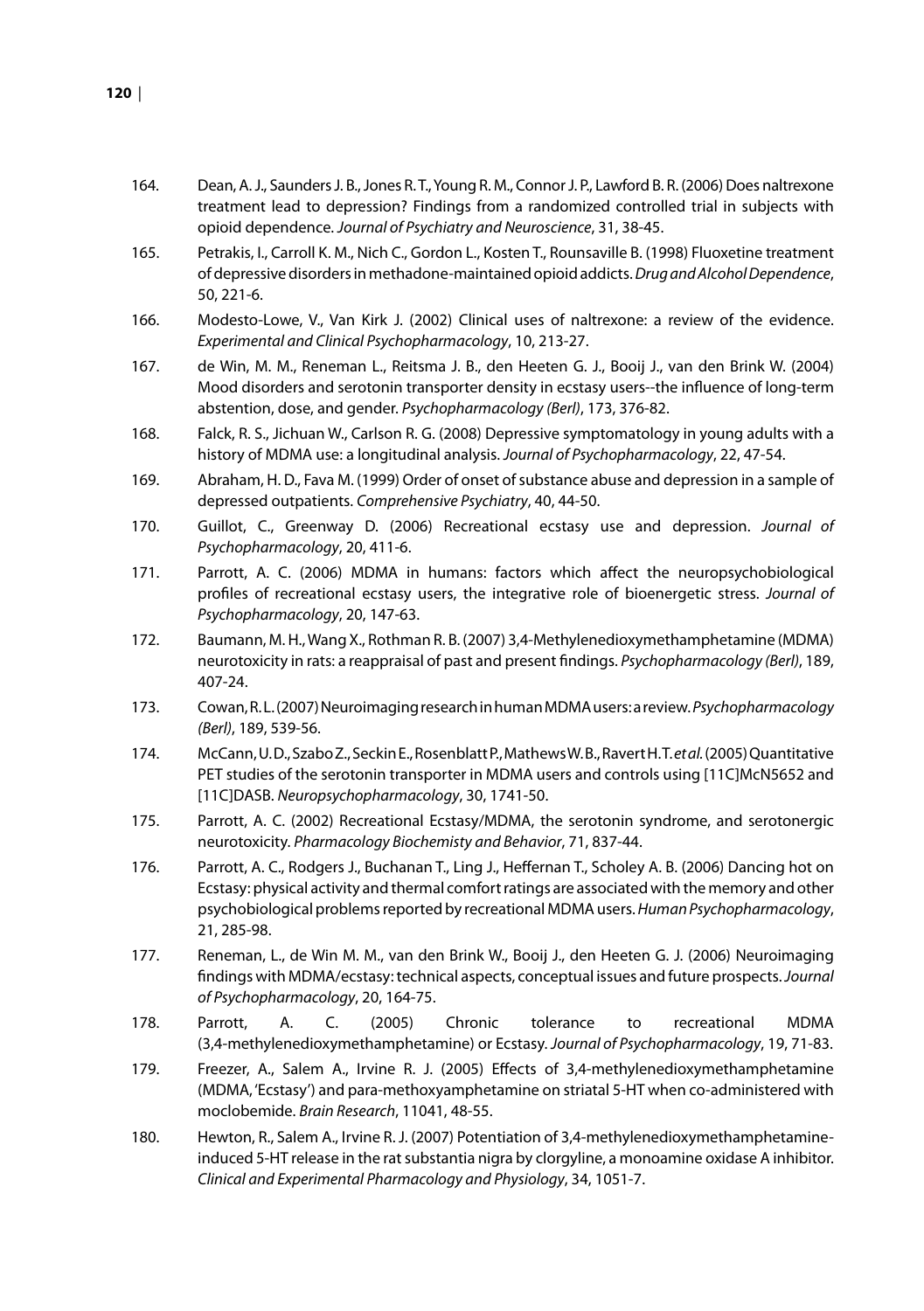- 164. Dean, A. J., Saunders J. B., Jones R. T., Young R. M., Connor J. P., Lawford B. R. (2006) Does naltrexone treatment lead to depression? Findings from a randomized controlled trial in subjects with opioid dependence. *Journal of Psychiatry and Neuroscience*, 31, 38-45.
- 165. Petrakis, I., Carroll K. M., Nich C., Gordon L., Kosten T., Rounsaville B. (1998) Fluoxetine treatment of depressive disorders in methadone-maintained opioid addicts. *Drug and Alcohol Dependence*, 50, 221-6.
- 166. Modesto-Lowe, V., Van Kirk J. (2002) Clinical uses of naltrexone: a review of the evidence. *Experimental and Clinical Psychopharmacology*, 10, 213-27.
- 167. de Win, M. M., Reneman L., Reitsma J. B., den Heeten G. J., Booij J., van den Brink W. (2004) Mood disorders and serotonin transporter density in ecstasy users--the influence of long-term abstention, dose, and gender. *Psychopharmacology (Berl)*, 173, 376-82.
- 168. Falck, R. S., Jichuan W., Carlson R. G. (2008) Depressive symptomatology in young adults with a history of MDMA use: a longitudinal analysis. *Journal of Psychopharmacology*, 22, 47-54.
- 169. Abraham, H. D., Fava M. (1999) Order of onset of substance abuse and depression in a sample of depressed outpatients. *Comprehensive Psychiatry*, 40, 44-50.
- 170. Guillot, C., Greenway D. (2006) Recreational ecstasy use and depression. *Journal of Psychopharmacology*, 20, 411-6.
- 171. Parrott, A. C. (2006) MDMA in humans: factors which affect the neuropsychobiological profiles of recreational ecstasy users, the integrative role of bioenergetic stress. *Journal of Psychopharmacology*, 20, 147-63.
- 172. Baumann, M. H., Wang X., Rothman R. B. (2007) 3,4-Methylenedioxymethamphetamine (MDMA) neurotoxicity in rats: a reappraisal of past and present findings. *Psychopharmacology (Berl)*, 189, 407-24.
- 173. Cowan, R. L. (2007) Neuroimaging research in human MDMA users: a review. *Psychopharmacology (Berl)*, 189, 539-56.
- 174. McCann, U. D., Szabo Z., Seckin E., Rosenblatt P., Mathews W. B., Ravert H. T. *et al.* (2005) Quantitative PET studies of the serotonin transporter in MDMA users and controls using [11C]McN5652 and [11C]DASB. *Neuropsychopharmacology*, 30, 1741-50.
- 175. Parrott, A. C. (2002) Recreational Ecstasy/MDMA, the serotonin syndrome, and serotonergic neurotoxicity. *Pharmacology Biochemisty and Behavior*, 71, 837-44.
- 176. Parrott, A. C., Rodgers J., Buchanan T., Ling J., Heffernan T., Scholey A. B. (2006) Dancing hot on Ecstasy: physical activity and thermal comfort ratings are associated with the memory and other psychobiological problems reported by recreational MDMA users. *Human Psychopharmacology*, 21, 285-98.
- 177. Reneman, L., de Win M. M., van den Brink W., Booij J., den Heeten G. J. (2006) Neuroimaging findings with MDMA/ecstasy: technical aspects, conceptual issues and future prospects. *Journal of Psychopharmacology*, 20, 164-75.
- 178. Parrott, A. C. (2005) Chronic tolerance to recreational MDMA (3,4-methylenedioxymethamphetamine) or Ecstasy. *Journal of Psychopharmacology*, 19, 71-83.
- 179. Freezer, A., Salem A., Irvine R. J. (2005) Effects of 3,4-methylenedioxymethamphetamine (MDMA, 'Ecstasy') and para-methoxyamphetamine on striatal 5-HT when co-administered with moclobemide. *Brain Research*, 11041, 48-55.
- 180. Hewton, R., Salem A., Irvine R. J. (2007) Potentiation of 3,4-methylenedioxymethamphetamineinduced 5-HT release in the rat substantia nigra by clorgyline, a monoamine oxidase A inhibitor. *Clinical and Experimental Pharmacology and Physiology*, 34, 1051-7.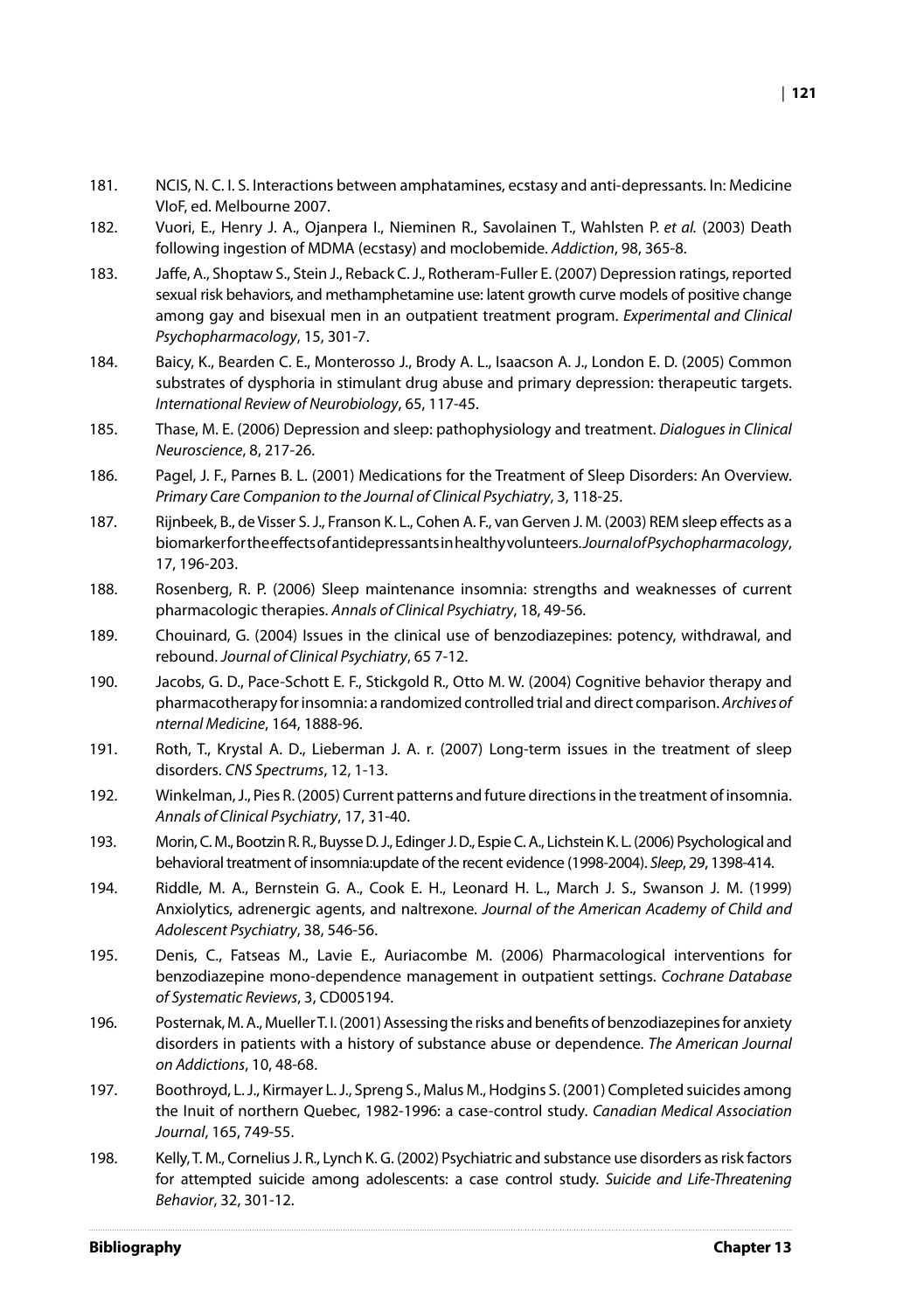- 181. NCIS, N. C. I. S. Interactions between amphatamines, ecstasy and anti-depressants. In: Medicine VIoF, ed. Melbourne 2007.
- 182. Vuori, E., Henry J. A., Ojanpera I., Nieminen R., Savolainen T., Wahlsten P. *et al.* (2003) Death following ingestion of MDMA (ecstasy) and moclobemide. *Addiction*, 98, 365-8.
- 183. Jaffe, A., Shoptaw S., Stein J., Reback C. J., Rotheram-Fuller E. (2007) Depression ratings, reported sexual risk behaviors, and methamphetamine use: latent growth curve models of positive change among gay and bisexual men in an outpatient treatment program. *Experimental and Clinical Psychopharmacology*, 15, 301-7.
- 184. Baicy, K., Bearden C. E., Monterosso J., Brody A. L., Isaacson A. J., London E. D. (2005) Common substrates of dysphoria in stimulant drug abuse and primary depression: therapeutic targets. International Review of Neurobiology, 65, 117-45.
- 185. Thase, M. E. (2006) Depression and sleep: pathophysiology and treatment. *Dialogues in Clinical Neuroscience*, 8, 217-26.
- 186. Pagel, J. F., Parnes B. L. (2001) Medications for the Treatment of Sleep Disorders: An Overview. *Primary Care Companion to the Journal of Clinical Psychiatry*, 3, 118-25.
- 187. Rijnbeek, B., de Visser S. J., Franson K. L., Cohen A. F., van Gerven J. M. (2003) REM sleep effects as a biomarker for the effects of antidepressants in healthy volunteers. *Journal of Psychopharmacology*, 17, 196-203.
- 188. Rosenberg, R. P. (2006) Sleep maintenance insomnia: strengths and weaknesses of current pharmacologic therapies. *Annals of Clinical Psychiatry*, 18, 49-56.
- 189. Chouinard, G. (2004) Issues in the clinical use of benzodiazepines: potency, withdrawal, and rebound. *Journal of Clinical Psychiatry*, 65 7-12.
- 190. Jacobs, G. D., Pace-Schott E. F., Stickgold R., Otto M. W. (2004) Cognitive behavior therapy and pharmacotherapy for insomnia: a randomized controlled trial and direct comparison. *Archives of nternal Medicine*, 164, 1888-96.
- 191. Roth, T., Krystal A. D., Lieberman J. A. r. (2007) Long-term issues in the treatment of sleep disorders. *CNS Spectrums*, 12, 1-13.
- 192. Winkelman, J., Pies R. (2005) Current patterns and future directions in the treatment of insomnia. *Annals of Clinical Psychiatry*, 17, 31-40.
- 193. Morin, C. M., Bootzin R. R., Buysse D. J., Edinger J. D., Espie C. A., Lichstein K. L. (2006) Psychological and behavioral treatment of insomnia:update of the recent evidence (1998-2004). *Sleep*, 29, 1398-414.
- 194. Riddle, M. A., Bernstein G. A., Cook E. H., Leonard H. L., March J. S., Swanson J. M. (1999) Anxiolytics, adrenergic agents, and naltrexone. *Journal of the American Academy of Child and Adolescent Psychiatry*, 38, 546-56.
- 195. Denis, C., Fatseas M., Lavie E., Auriacombe M. (2006) Pharmacological interventions for benzodiazepine mono-dependence management in outpatient settings. *Cochrane Database of Systematic Reviews*, 3, CD005194.
- 196. Posternak, M. A., Mueller T. I. (2001) Assessing the risks and benefits of benzodiazepines for anxiety disorders in patients with a history of substance abuse or dependence. *The American Journal on Addictions*, 10, 48-68.
- 197. Boothroyd, L. J., Kirmayer L. J., Spreng S., Malus M., Hodgins S. (2001) Completed suicides among the Inuit of northern Quebec, 1982-1996: a case-control study. *Canadian Medical Association Journal*, 165, 749-55.
- 198. Kelly, T. M., Cornelius J. R., Lynch K. G. (2002) Psychiatric and substance use disorders as risk factors for attempted suicide among adolescents: a case control study. *Suicide and Life-Threatening Behavior*, 32, 301-12.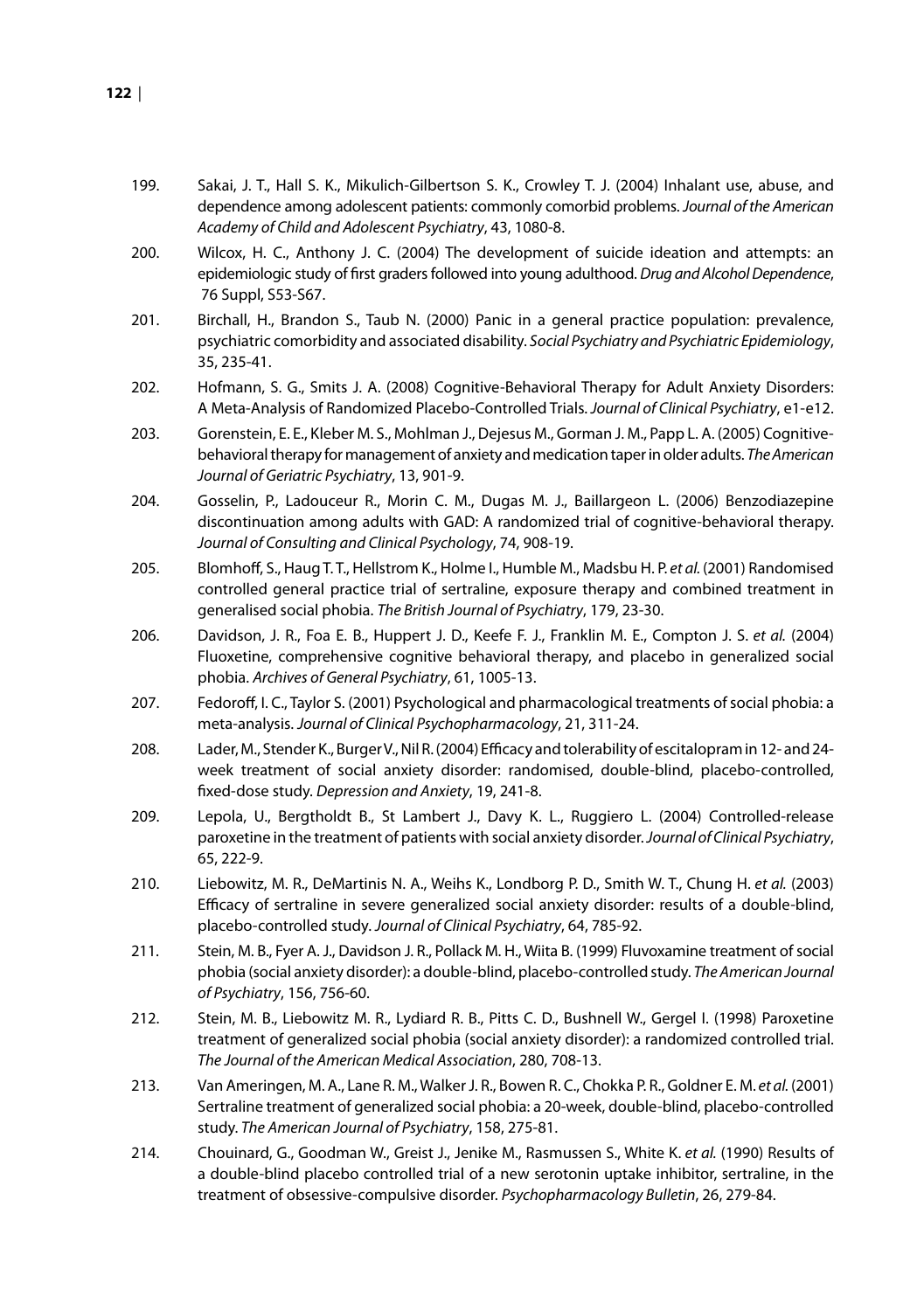- 199. Sakai, J. T., Hall S. K., Mikulich-Gilbertson S. K., Crowley T. J. (2004) Inhalant use, abuse, and dependence among adolescent patients: commonly comorbid problems. *Journal of the American Academy of Child and Adolescent Psychiatry*, 43, 1080-8.
- 200. Wilcox, H. C., Anthony J. C. (2004) The development of suicide ideation and attempts: an epidemiologic study of first graders followed into young adulthood. *Drug and Alcohol Dependence*, 76 Suppl, S53-S67.
- 201. Birchall, H., Brandon S., Taub N. (2000) Panic in a general practice population: prevalence, psychiatric comorbidity and associated disability. *Social Psychiatry and Psychiatric Epidemiology*, 35, 235-41.
- 202. Hofmann, S. G., Smits J. A. (2008) Cognitive-Behavioral Therapy for Adult Anxiety Disorders: A Meta-Analysis of Randomized Placebo-Controlled Trials. *Journal of Clinical Psychiatry*, e1-e12.
- 203. Gorenstein, E. E., Kleber M. S., Mohlman J., Dejesus M., Gorman J. M., Papp L. A. (2005) Cognitivebehavioral therapy for management of anxiety and medication taper in older adults. *The American Journal of Geriatric Psychiatry*, 13, 901-9.
- 204. Gosselin, P., Ladouceur R., Morin C. M., Dugas M. J., Baillargeon L. (2006) Benzodiazepine discontinuation among adults with GAD: A randomized trial of cognitive-behavioral therapy. *Journal of Consulting and Clinical Psychology*, 74, 908-19.
- 205. Blomhoff, S., Haug T. T., Hellstrom K., Holme I., Humble M., Madsbu H. P. *et al.* (2001) Randomised controlled general practice trial of sertraline, exposure therapy and combined treatment in generalised social phobia. *The British Journal of Psychiatry*, 179, 23-30.
- 206. Davidson, J. R., Foa E. B., Huppert J. D., Keefe F. J., Franklin M. E., Compton J. S. *et al.* (2004) Fluoxetine, comprehensive cognitive behavioral therapy, and placebo in generalized social phobia. *Archives of General Psychiatry*, 61, 1005-13.
- 207. Fedoroff, I. C., Taylor S. (2001) Psychological and pharmacological treatments of social phobia: a meta-analysis. *Journal of Clinical Psychopharmacology*, 21, 311-24.
- 208. Lader, M., Stender K., Burger V., Nil R. (2004) Efficacy and tolerability of escitalopram in 12- and 24 week treatment of social anxiety disorder: randomised, double-blind, placebo-controlled, fixed-dose study. *Depression and Anxiety*, 19, 241-8.
- 209. Lepola, U., Bergtholdt B., St Lambert J., Davy K. L., Ruggiero L. (2004) Controlled-release paroxetine in the treatment of patients with social anxiety disorder. *Journal of Clinical Psychiatry*, 65, 222-9.
- 210. Liebowitz, M. R., DeMartinis N. A., Weihs K., Londborg P. D., Smith W. T., Chung H. *et al.* (2003) Efficacy of sertraline in severe generalized social anxiety disorder: results of a double-blind, placebo-controlled study. *Journal of Clinical Psychiatry*, 64, 785-92.
- 211. Stein, M. B., Fyer A. J., Davidson J. R., Pollack M. H., Wiita B. (1999) Fluvoxamine treatment of social phobia (social anxiety disorder): a double-blind, placebo-controlled study. *The American Journal of Psychiatry*, 156, 756-60.
- 212. Stein, M. B., Liebowitz M. R., Lydiard R. B., Pitts C. D., Bushnell W., Gergel I. (1998) Paroxetine treatment of generalized social phobia (social anxiety disorder): a randomized controlled trial. *The Journal of the American Medical Association*, 280, 708-13.
- 213. Van Ameringen, M. A., Lane R. M., Walker J. R., Bowen R. C., Chokka P. R., Goldner E. M. *et al.* (2001) Sertraline treatment of generalized social phobia: a 20-week, double-blind, placebo-controlled study. *The American Journal of Psychiatry*, 158, 275-81.
- 214. Chouinard, G., Goodman W., Greist J., Jenike M., Rasmussen S., White K. *et al.* (1990) Results of a double-blind placebo controlled trial of a new serotonin uptake inhibitor, sertraline, in the treatment of obsessive-compulsive disorder. *Psychopharmacology Bulletin*, 26, 279-84.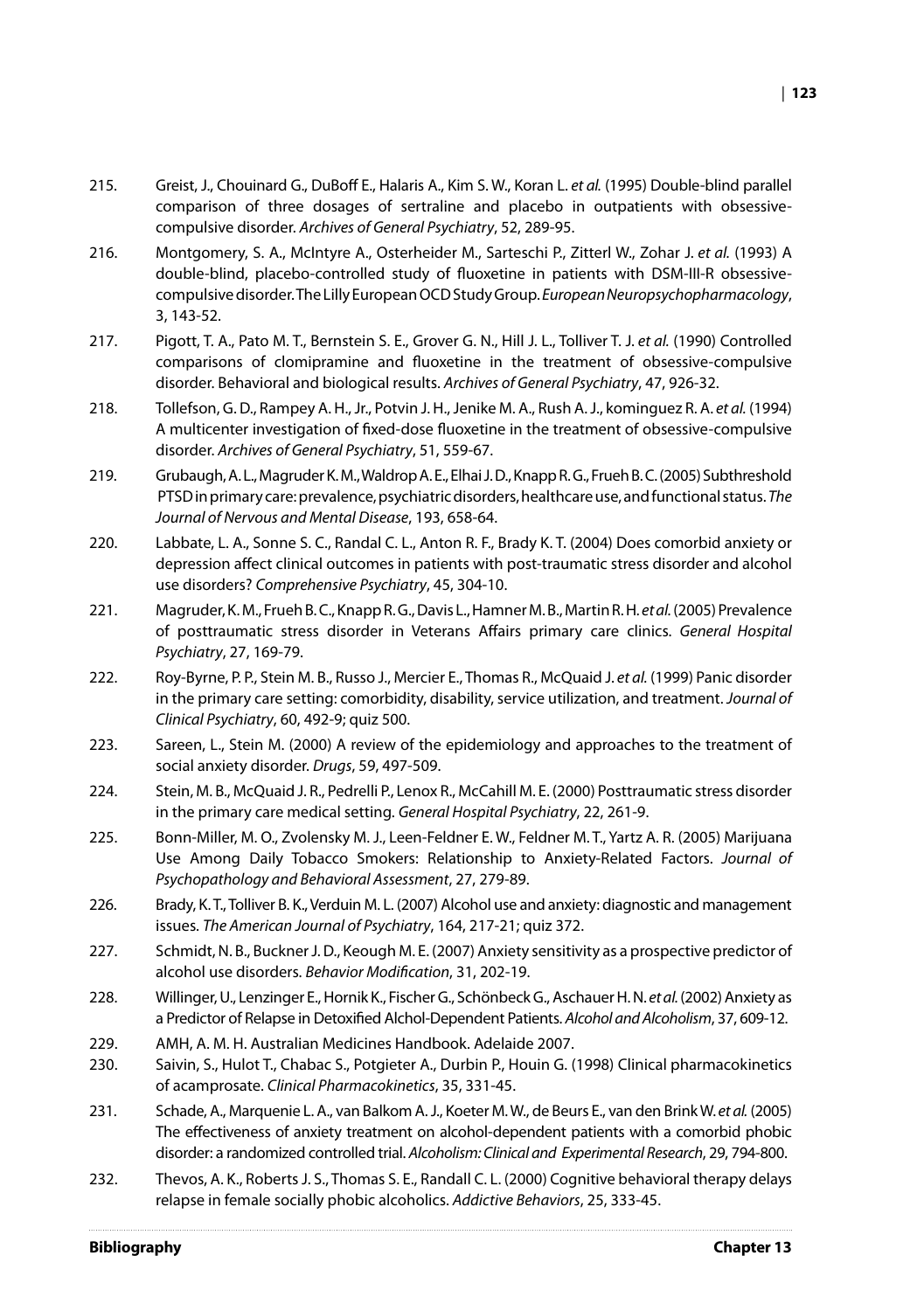- 215. Greist, J., Chouinard G., DuBoff E., Halaris A., Kim S. W., Koran L. *et al.* (1995) Double-blind parallel comparison of three dosages of sertraline and placebo in outpatients with obsessivecompulsive disorder. *Archives of General Psychiatry*, 52, 289-95.
- 216. Montgomery, S. A., McIntyre A., Osterheider M., Sarteschi P., Zitterl W., Zohar J. *et al.* (1993) A double-blind, placebo-controlled study of fluoxetine in patients with DSM-III-R obsessivecompulsive disorder. The Lilly European OCD Study Group. *European Neuropsychopharmacology*, 3, 143-52.
- 217. Pigott, T. A., Pato M. T., Bernstein S. E., Grover G. N., Hill J. L., Tolliver T. J. *et al.* (1990) Controlled comparisons of clomipramine and fluoxetine in the treatment of obsessive-compulsive disorder. Behavioral and biological results. *Archives of General Psychiatry*, 47, 926-32.
- 218. Tollefson, G. D., Rampey A. H., Jr., Potvin J. H., Jenike M. A., Rush A. J., kominguez R. A. *et al.* (1994) A multicenter investigation of fixed-dose fluoxetine in the treatment of obsessive-compulsive disorder. *Archives of General Psychiatry*, 51, 559-67.
- 219. Grubaugh, A. L., Magruder K. M., Waldrop A. E., Elhai J. D., Knapp R. G., Frueh B. C. (2005) Subthreshold PTSD in primary care: prevalence, psychiatric disorders, healthcare use, and functional status. *The Journal of Nervous and Mental Disease*, 193, 658-64.
- 220. Labbate, L. A., Sonne S. C., Randal C. L., Anton R. F., Brady K. T. (2004) Does comorbid anxiety or depression affect clinical outcomes in patients with post-traumatic stress disorder and alcohol use disorders? *Comprehensive Psychiatry*, 45, 304-10.
- 221. Magruder, K. M., Frueh B. C., Knapp R. G., Davis L., Hamner M. B., Martin R. H*. et al.* (2005) Prevalence of posttraumatic stress disorder in Veterans Affairs primary care clinics. *General Hospital Psychiatry*, 27, 169-79.
- 222. Roy-Byrne, P. P., Stein M. B., Russo J., Mercier E., Thomas R., McQuaid J. *et al.* (1999) Panic disorder in the primary care setting: comorbidity, disability, service utilization, and treatment. *Journal of Clinical Psychiatry*, 60, 492-9; quiz 500.
- 223. Sareen, L., Stein M. (2000) A review of the epidemiology and approaches to the treatment of social anxiety disorder. *Drugs*, 59, 497-509.
- 224. Stein, M. B., McQuaid J. R., Pedrelli P., Lenox R., McCahill M. E. (2000) Posttraumatic stress disorder in the primary care medical setting. *General Hospital Psychiatry*, 22, 261-9.
- 225. Bonn-Miller, M. O., Zvolensky M. J., Leen-Feldner E. W., Feldner M. T., Yartz A. R. (2005) Marijuana Use Among Daily Tobacco Smokers: Relationship to Anxiety-Related Factors. *Journal of Psychopathology and Behavioral Assessment*, 27, 279-89.
- 226. Brady, K. T., Tolliver B. K., Verduin M. L. (2007) Alcohol use and anxiety: diagnostic and management issues. *The American Journal of Psychiatry*, 164, 217-21; quiz 372.
- 227. Schmidt, N. B., Buckner J. D., Keough M. E. (2007) Anxiety sensitivity as a prospective predictor of alcohol use disorders. *Behavior Modification*, 31, 202-19.
- 228. Willinger, U., Lenzinger E., Hornik K., Fischer G., Schönbeck G., Aschauer H. N. *et al.* (2002) Anxiety as a Predictor of Relapse in Detoxified Alchol-Dependent Patients. *Alcohol and Alcoholism*, 37, 609-12.
- 229. AMH, A. M. H. Australian Medicines Handbook. Adelaide 2007.
- 230. Saivin, S., Hulot T., Chabac S., Potgieter A., Durbin P., Houin G. (1998) Clinical pharmacokinetics of acamprosate. *Clinical Pharmacokinetics*, 35, 331-45.
- 231. Schade, A., Marquenie L. A., van Balkom A. J., Koeter M. W., de Beurs E., van den Brink W. *et al.* (2005) The effectiveness of anxiety treatment on alcohol-dependent patients with a comorbid phobic disorder: a randomized controlled trial. *Alcoholism: Clinical and Experimental Research*, 29, 794-800.
- 232. Thevos, A. K., Roberts J. S., Thomas S. E., Randall C. L. (2000) Cognitive behavioral therapy delays relapse in female socially phobic alcoholics. *Addictive Behaviors*, 25, 333-45.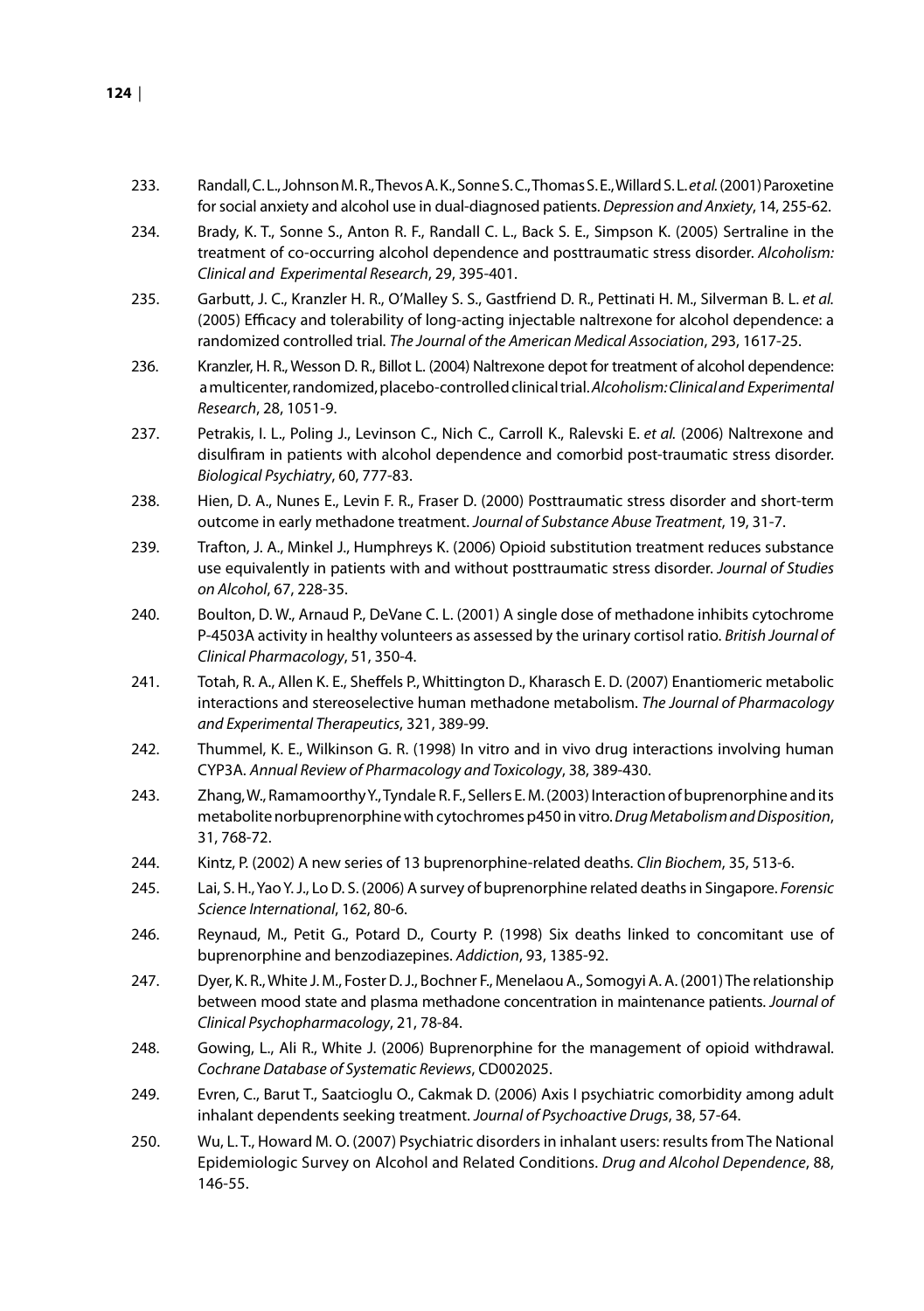- 233. Randall, C. L., Johnson M. R., Thevos A. K., Sonne S. C., Thomas S. E., Willard S. L. *et al.* (2001) Paroxetine for social anxiety and alcohol use in dual-diagnosed patients. *Depression and Anxiety*, 14, 255-62.
- 234. Brady, K. T., Sonne S., Anton R. F., Randall C. L., Back S. E., Simpson K. (2005) Sertraline in the treatment of co-occurring alcohol dependence and posttraumatic stress disorder. *Alcoholism: Clinical and Experimental Research*, 29, 395-401.
- 235. Garbutt, J. C., Kranzler H. R., O'Malley S. S., Gastfriend D. R., Pettinati H. M., Silverman B. L. *et al.* (2005) Efficacy and tolerability of long-acting injectable naltrexone for alcohol dependence: a randomized controlled trial. *The Journal of the American Medical Association*, 293, 1617-25.
- 236. Kranzler, H. R., Wesson D. R., Billot L. (2004) Naltrexone depot for treatment of alcohol dependence: a multicenter, randomized, placebo-controlled clinical trial. *Alcoholism: Clinical and Experimental Research*, 28, 1051-9.
- 237. Petrakis, I. L., Poling J., Levinson C., Nich C., Carroll K., Ralevski E. *et al.* (2006) Naltrexone and disulfiram in patients with alcohol dependence and comorbid post-traumatic stress disorder. *Biological Psychiatry*, 60, 777-83.
- 238. Hien, D. A., Nunes E., Levin F. R., Fraser D. (2000) Posttraumatic stress disorder and short-term outcome in early methadone treatment. *Journal of Substance Abuse Treatment*, 19, 31-7.
- 239. Trafton, J. A., Minkel J., Humphreys K. (2006) Opioid substitution treatment reduces substance use equivalently in patients with and without posttraumatic stress disorder. *Journal of Studies on Alcohol*, 67, 228-35.
- 240. Boulton, D. W., Arnaud P., DeVane C. L. (2001) A single dose of methadone inhibits cytochrome P-4503A activity in healthy volunteers as assessed by the urinary cortisol ratio. *British Journal of Clinical Pharmacology*, 51, 350-4.
- 241. Totah, R. A., Allen K. E., Sheffels P., Whittington D., Kharasch E. D. (2007) Enantiomeric metabolic interactions and stereoselective human methadone metabolism. *The Journal of Pharmacology and Experimental Therapeutics*, 321, 389-99.
- 242. Thummel, K. E., Wilkinson G. R. (1998) In vitro and in vivo drug interactions involving human CYP3A. *Annual Review of Pharmacology and Toxicology*, 38, 389-430.
- 243. Zhang, W., Ramamoorthy Y., Tyndale R. F., Sellers E. M. (2003) Interaction of buprenorphine and its metabolite norbuprenorphine with cytochromes p450 in vitro. *Drug Metabolism and Disposition*, 31, 768-72.
- 244. Kintz, P. (2002) A new series of 13 buprenorphine-related deaths. *Clin Biochem*, 35, 513-6.
- 245. Lai, S. H., Yao Y. J., Lo D. S. (2006) A survey of buprenorphine related deaths in Singapore. *Forensic*  Science International, 162, 80-6.
- 246. Reynaud, M., Petit G., Potard D., Courty P. (1998) Six deaths linked to concomitant use of buprenorphine and benzodiazepines. *Addiction*, 93, 1385-92.
- 247. Dyer, K. R., White J. M., Foster D. J., Bochner F., Menelaou A., Somogyi A. A. (2001) The relationship between mood state and plasma methadone concentration in maintenance patients. *Journal of Clinical Psychopharmacology*, 21, 78-84.
- 248. Gowing, L., Ali R., White J. (2006) Buprenorphine for the management of opioid withdrawal. *Cochrane Database of Systematic Reviews*, CD002025.
- 249. Evren, C., Barut T., Saatcioglu O., Cakmak D. (2006) Axis I psychiatric comorbidity among adult inhalant dependents seeking treatment. *Journal of Psychoactive Drugs*, 38, 57-64.
- 250. Wu, L. T., Howard M. O. (2007) Psychiatric disorders in inhalant users: results from The National Epidemiologic Survey on Alcohol and Related Conditions. *Drug and Alcohol Dependence*, 88, 146-55.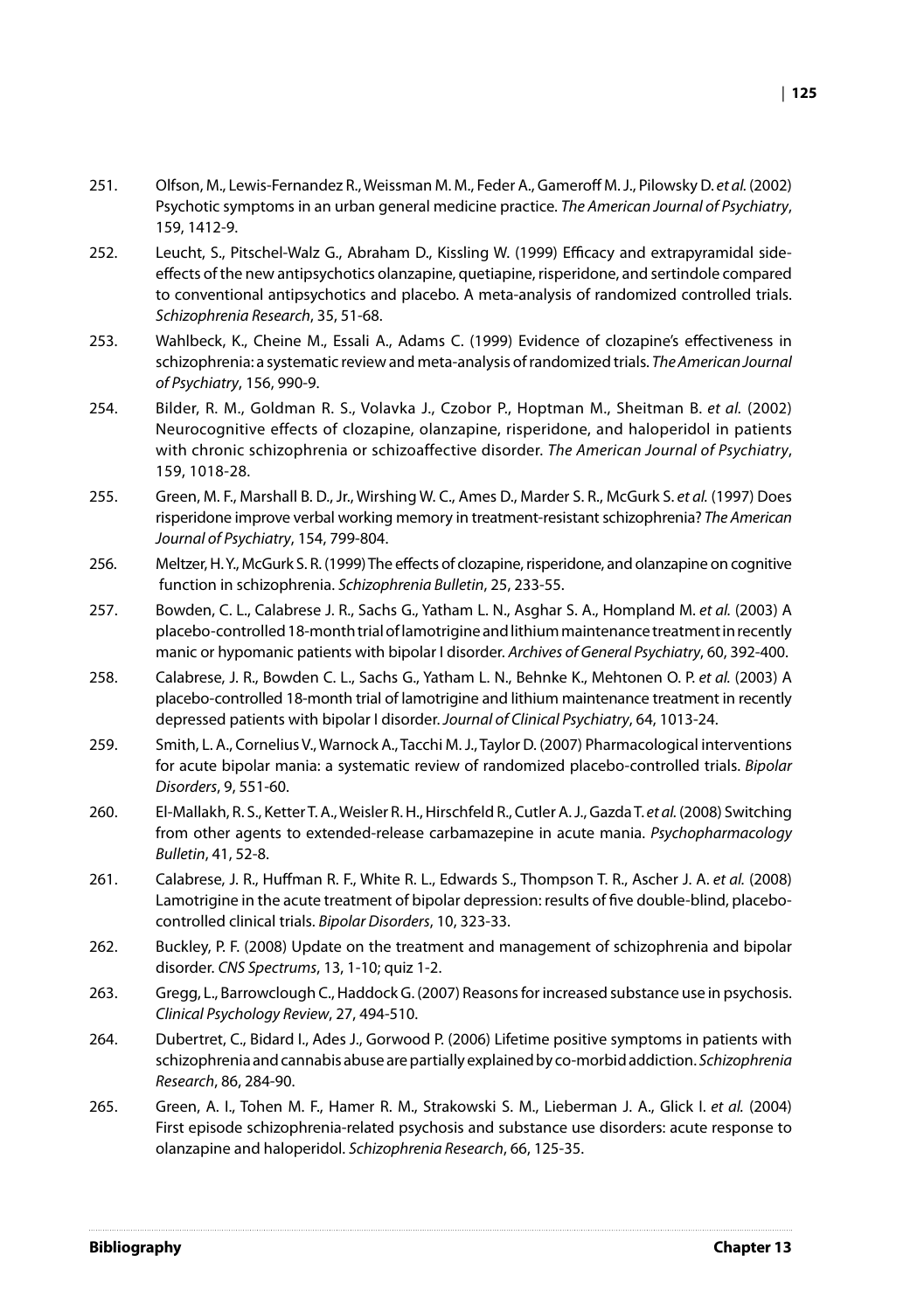- 251. Olfson, M., Lewis-Fernandez R., Weissman M. M., Feder A., Gameroff M. J., Pilowsky D. *et al.* (2002) Psychotic symptoms in an urban general medicine practice. *The American Journal of Psychiatry*, 159, 1412-9.
- 252. Leucht, S., Pitschel-Walz G., Abraham D., Kissling W. (1999) Efficacy and extrapyramidal sideeffects of the new antipsychotics olanzapine, quetiapine, risperidone, and sertindole compared to conventional antipsychotics and placebo. A meta-analysis of randomized controlled trials. Schizophrenia Research, 35, 51-68.
- 253. Wahlbeck, K., Cheine M., Essali A., Adams C. (1999) Evidence of clozapine's effectiveness in schizophrenia: a systematic review and meta-analysis of randomized trials. *The American Journal of Psychiatry*, 156, 990-9.
- 254. Bilder, R. M., Goldman R. S., Volavka J., Czobor P., Hoptman M., Sheitman B. *et al.* (2002) Neurocognitive effects of clozapine, olanzapine, risperidone, and haloperidol in patients with chronic schizophrenia or schizoaffective disorder. *The American Journal of Psychiatry*, 159, 1018-28.
- 255. Green, M. F., Marshall B. D., Jr., Wirshing W. C., Ames D., Marder S. R., McGurk S. *et al.* (1997) Does risperidone improve verbal working memory in treatment-resistant schizophrenia? *The American Journal of Psychiatry*, 154, 799-804.
- 256. Meltzer, H. Y., McGurk S. R. (1999) The effects of clozapine, risperidone, and olanzapine on cognitive function in schizophrenia. Schizophrenia Bulletin, 25, 233-55.
- 257. Bowden, C. L., Calabrese J. R., Sachs G., Yatham L. N., Asghar S. A., Hompland M. *et al.* (2003) A placebo-controlled 18-month trial of lamotrigine and lithium maintenance treatment in recently manic or hypomanic patients with bipolar I disorder. *Archives of General Psychiatry*, 60, 392-400.
- 258. Calabrese, J. R., Bowden C. L., Sachs G., Yatham L. N., Behnke K., Mehtonen O. P. *et al.* (2003) A placebo-controlled 18-month trial of lamotrigine and lithium maintenance treatment in recently depressed patients with bipolar I disorder. *Journal of Clinical Psychiatry*, 64, 1013-24.
- 259. Smith, L. A., Cornelius V., Warnock A., Tacchi M. J., Taylor D. (2007) Pharmacological interventions for acute bipolar mania: a systematic review of randomized placebo-controlled trials. *Bipolar Disorders*, 9, 551-60.
- 260. El-Mallakh, R. S., Ketter T. A., Weisler R. H., Hirschfeld R., Cutler A. J., Gazda T. *et al.* (2008) Switching from other agents to extended-release carbamazepine in acute mania. *Psychopharmacology Bulletin*, 41, 52-8.
- 261. Calabrese, J. R., Huffman R. F., White R. L., Edwards S., Thompson T. R., Ascher J. A. *et al.* (2008) Lamotrigine in the acute treatment of bipolar depression: results of five double-blind, placebocontrolled clinical trials. *Bipolar Disorders*, 10, 323-33.
- 262. Buckley, P. F. (2008) Update on the treatment and management of schizophrenia and bipolar disorder. *CNS Spectrums*, 13, 1-10; quiz 1-2.
- 263. Gregg, L., Barrowclough C., Haddock G. (2007) Reasons for increased substance use in psychosis. *Clinical Psychology Review*, 27, 494-510.
- 264. Dubertret, C., Bidard I., Ades J., Gorwood P. (2006) Lifetime positive symptoms in patients with schizophrenia and cannabis abuse are partially explained by co-morbid addiction. Schizophrenia *Research*, 86, 284-90.
- 265. Green, A. I., Tohen M. F., Hamer R. M., Strakowski S. M., Lieberman J. A., Glick I. *et al.* (2004) First episode schizophrenia-related psychosis and substance use disorders: acute response to olanzapine and haloperidol. Schizophrenia Research, 66, 125-35.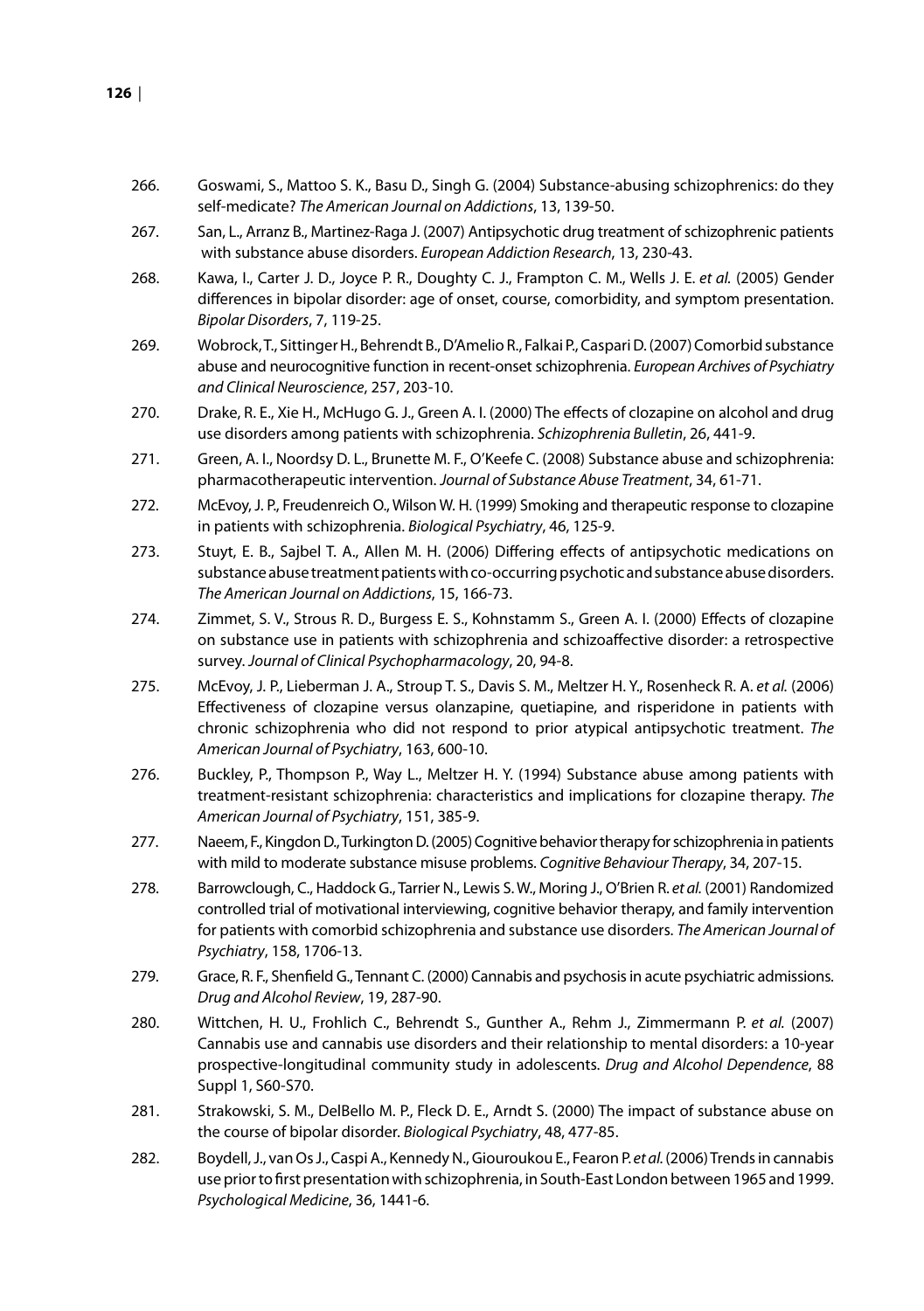- 266. Goswami, S., Mattoo S. K., Basu D., Singh G. (2004) Substance-abusing schizophrenics: do they self-medicate? *The American Journal on Addictions*, 13, 139-50.
- 267. San, L., Arranz B., Martinez-Raga J. (2007) Antipsychotic drug treatment of schizophrenic patients with substance abuse disorders. *European Addiction Research*, 13, 230-43.
- 268. Kawa, I., Carter J. D., Joyce P. R., Doughty C. J., Frampton C. M., Wells J. E. *et al.* (2005) Gender differences in bipolar disorder: age of onset, course, comorbidity, and symptom presentation. *Bipolar Disorders*, 7, 119-25.
- 269. Wobrock, T., Sittinger H., Behrendt B., D'Amelio R., Falkai P., Caspari D. (2007) Comorbid substance abuse and neurocognitive function in recent-onset schizophrenia. *European Archives of Psychiatry and Clinical Neuroscience*, 257, 203-10.
- 270. Drake, R. E., Xie H., McHugo G. J., Green A. I. (2000) The effects of clozapine on alcohol and drug use disorders among patients with schizophrenia. Schizophrenia Bulletin, 26, 441-9.
- 271. Green, A. I., Noordsy D. L., Brunette M. F., O'Keefe C. (2008) Substance abuse and schizophrenia: pharmacotherapeutic intervention. *Journal of Substance Abuse Treatment*, 34, 61-71.
- 272. McEvoy, J. P., Freudenreich O., Wilson W. H. (1999) Smoking and therapeutic response to clozapine in patients with schizophrenia. *Biological Psychiatry*, 46, 125-9.
- 273. Stuyt, E. B., Sajbel T. A., Allen M. H. (2006) Differing effects of antipsychotic medications on substance abuse treatment patients with co-occurring psychotic and substance abuse disorders. *The American Journal on Addictions*, 15, 166-73.
- 274. Zimmet, S. V., Strous R. D., Burgess E. S., Kohnstamm S., Green A. I. (2000) Effects of clozapine on substance use in patients with schizophrenia and schizoaffective disorder: a retrospective survey. *Journal of Clinical Psychopharmacology*, 20, 94-8.
- 275. McEvoy, J. P., Lieberman J. A., Stroup T. S., Davis S. M., Meltzer H. Y., Rosenheck R. A. *et al.* (2006) Effectiveness of clozapine versus olanzapine, quetiapine, and risperidone in patients with chronic schizophrenia who did not respond to prior atypical antipsychotic treatment. *The American Journal of Psychiatry*, 163, 600-10.
- 276. Buckley, P., Thompson P., Way L., Meltzer H. Y. (1994) Substance abuse among patients with treatment-resistant schizophrenia: characteristics and implications for clozapine therapy. *The American Journal of Psychiatry*, 151, 385-9.
- 277. Naeem, F., Kingdon D., Turkington D. (2005) Cognitive behavior therapy for schizophrenia in patients with mild to moderate substance misuse problems. *Cognitive Behaviour Therapy*, 34, 207-15.
- 278. Barrowclough, C., Haddock G., Tarrier N., Lewis S. W., Moring J., O'Brien R. *et al.* (2001) Randomized controlled trial of motivational interviewing, cognitive behavior therapy, and family intervention for patients with comorbid schizophrenia and substance use disorders. *The American Journal of Psychiatry*, 158, 1706-13.
- 279. Grace, R. F., Shenfield G., Tennant C. (2000) Cannabis and psychosis in acute psychiatric admissions. *Drug and Alcohol Review*, 19, 287-90.
- 280. Wittchen, H. U., Frohlich C., Behrendt S., Gunther A., Rehm J., Zimmermann P. *et al.* (2007) Cannabis use and cannabis use disorders and their relationship to mental disorders: a 10-year prospective-longitudinal community study in adolescents. *Drug and Alcohol Dependence*, 88 Suppl 1, S60-S70.
- 281. Strakowski, S. M., DelBello M. P., Fleck D. E., Arndt S. (2000) The impact of substance abuse on the course of bipolar disorder. *Biological Psychiatry*, 48, 477-85.
- 282. Boydell, J., van Os J., Caspi A., Kennedy N., Giouroukou E., Fearon P. *et al.* (2006) Trends in cannabis use prior to first presentation with schizophrenia, in South-East London between 1965 and 1999. *Psychological Medicine*, 36, 1441-6.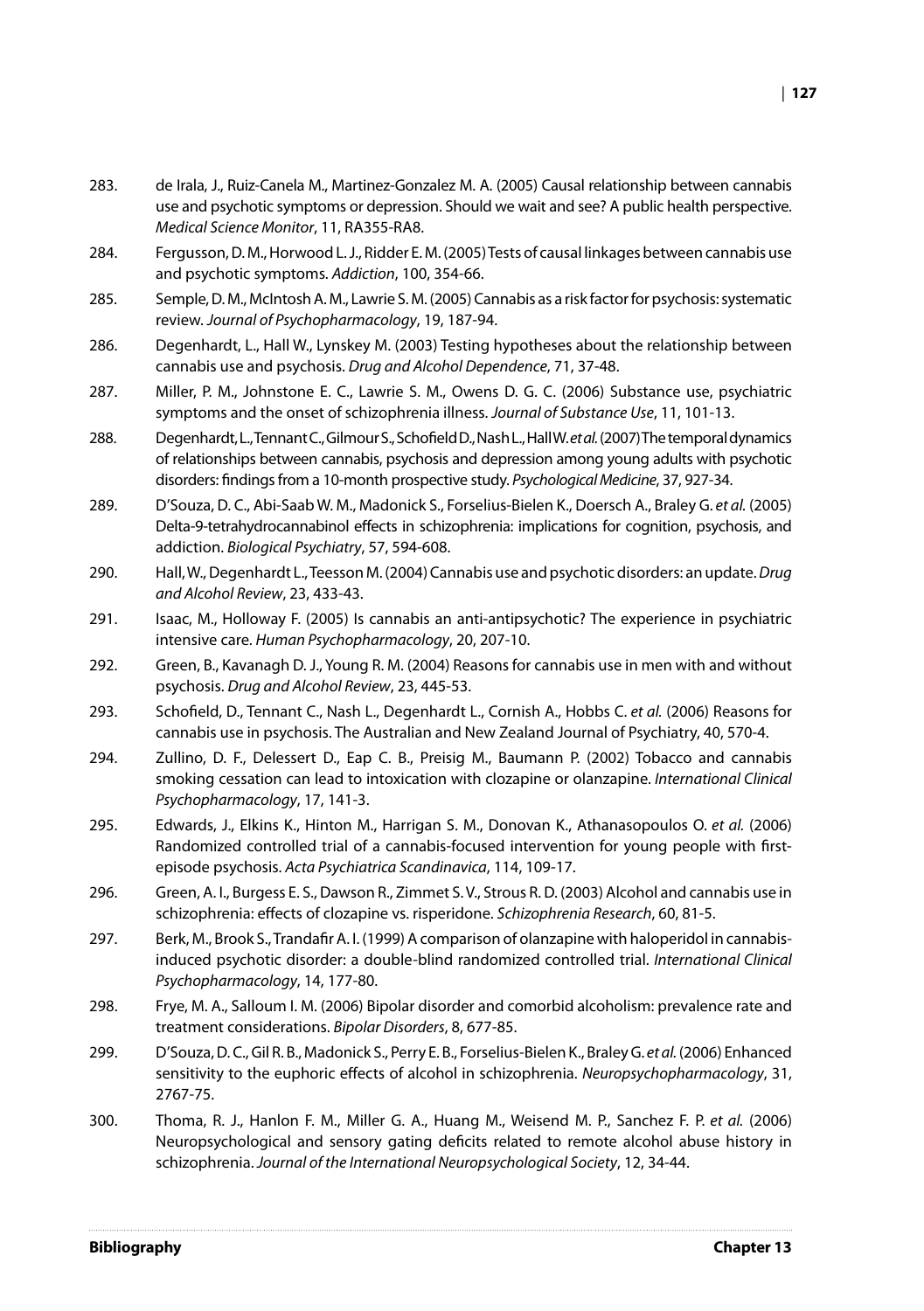- 283. de Irala, J., Ruiz-Canela M., Martinez-Gonzalez M. A. (2005) Causal relationship between cannabis use and psychotic symptoms or depression. Should we wait and see? A public health perspective. *Medical Science Monitor*, 11, RA355-RA8.
- 284. Fergusson, D. M., Horwood L. J., Ridder E. M. (2005) Tests of causal linkages between cannabis use and psychotic symptoms. *Addiction*, 100, 354-66.
- 285. Semple, D. M., McIntosh A. M., Lawrie S. M. (2005) Cannabis as a risk factor for psychosis: systematic review. *Journal of Psychopharmacology*, 19, 187-94.
- 286. Degenhardt, L., Hall W., Lynskey M. (2003) Testing hypotheses about the relationship between cannabis use and psychosis. *Drug and Alcohol Dependence*, 71, 37-48.
- 287. Miller, P. M., Johnstone E. C., Lawrie S. M., Owens D. G. C. (2006) Substance use, psychiatric symptoms and the onset of schizophrenia illness. *Journal of Substance Use*, 11, 101-13.
- 288. Degenhardt, L., Tennant C., Gilmour S., Schofield D., Nash L., Hall W. *et al.* (2007) The temporal dynamics of relationships between cannabis, psychosis and depression among young adults with psychotic disorders: findings from a 10-month prospective study. *Psychological Medicine*, 37, 927-34.
- 289. D'Souza, D. C., Abi-Saab W. M., Madonick S., Forselius-Bielen K., Doersch A., Braley G. *et al.* (2005) Delta-9-tetrahydrocannabinol effects in schizophrenia: implications for cognition, psychosis, and addiction. *Biological Psychiatry*, 57, 594-608.
- 290. Hall, W., Degenhardt L., Teesson M. (2004) Cannabis use and psychotic disorders: an update. *Drug and Alcohol Review*, 23, 433-43.
- 291. Isaac, M., Holloway F. (2005) Is cannabis an anti-antipsychotic? The experience in psychiatric intensive care. *Human Psychopharmacology*, 20, 207-10.
- 292. Green, B., Kavanagh D. J., Young R. M. (2004) Reasons for cannabis use in men with and without psychosis. *Drug and Alcohol Review*, 23, 445-53.
- 293. Schofield, D., Tennant C., Nash L., Degenhardt L., Cornish A., Hobbs C. *et al.* (2006) Reasons for cannabis use in psychosis. The Australian and New Zealand Journal of Psychiatry, 40, 570-4.
- 294. Zullino, D. F., Delessert D., Eap C. B., Preisig M., Baumann P. (2002) Tobacco and cannabis smoking cessation can lead to intoxication with clozapine or olanzapine. International Clinical *Psychopharmacology*, 17, 141-3.
- 295. Edwards, J., Elkins K., Hinton M., Harrigan S. M., Donovan K., Athanasopoulos O. *et al.* (2006) Randomized controlled trial of a cannabis-focused intervention for young people with firstepisode psychosis. *Acta Psychiatrica Scandinavica*, 114, 109-17.
- 296. Green, A. I., Burgess E. S., Dawson R., Zimmet S. V., Strous R. D. (2003) Alcohol and cannabis use in schizophrenia: effects of clozapine vs. risperidone. Schizophrenia Research, 60, 81-5.
- 297. Berk, M., Brook S., Trandafir A. I. (1999) A comparison of olanzapine with haloperidol in cannabisinduced psychotic disorder: a double-blind randomized controlled trial. International Clinical *Psychopharmacology*, 14, 177-80.
- 298. Frye, M. A., Salloum I. M. (2006) Bipolar disorder and comorbid alcoholism: prevalence rate and treatment considerations. *Bipolar Disorders*, 8, 677-85.
- 299. D'Souza, D. C., Gil R. B., Madonick S., Perry E. B., Forselius-Bielen K., Braley G. *et al.* (2006) Enhanced sensitivity to the euphoric effects of alcohol in schizophrenia. *Neuropsychopharmacology*, 31, 2767-75.
- 300. Thoma, R. J., Hanlon F. M., Miller G. A., Huang M., Weisend M. P., Sanchez F. P. *et al.* (2006) Neuropsychological and sensory gating deficits related to remote alcohol abuse history in schizophrenia.Journal of the International Neuropsychological Society, 12, 34-44.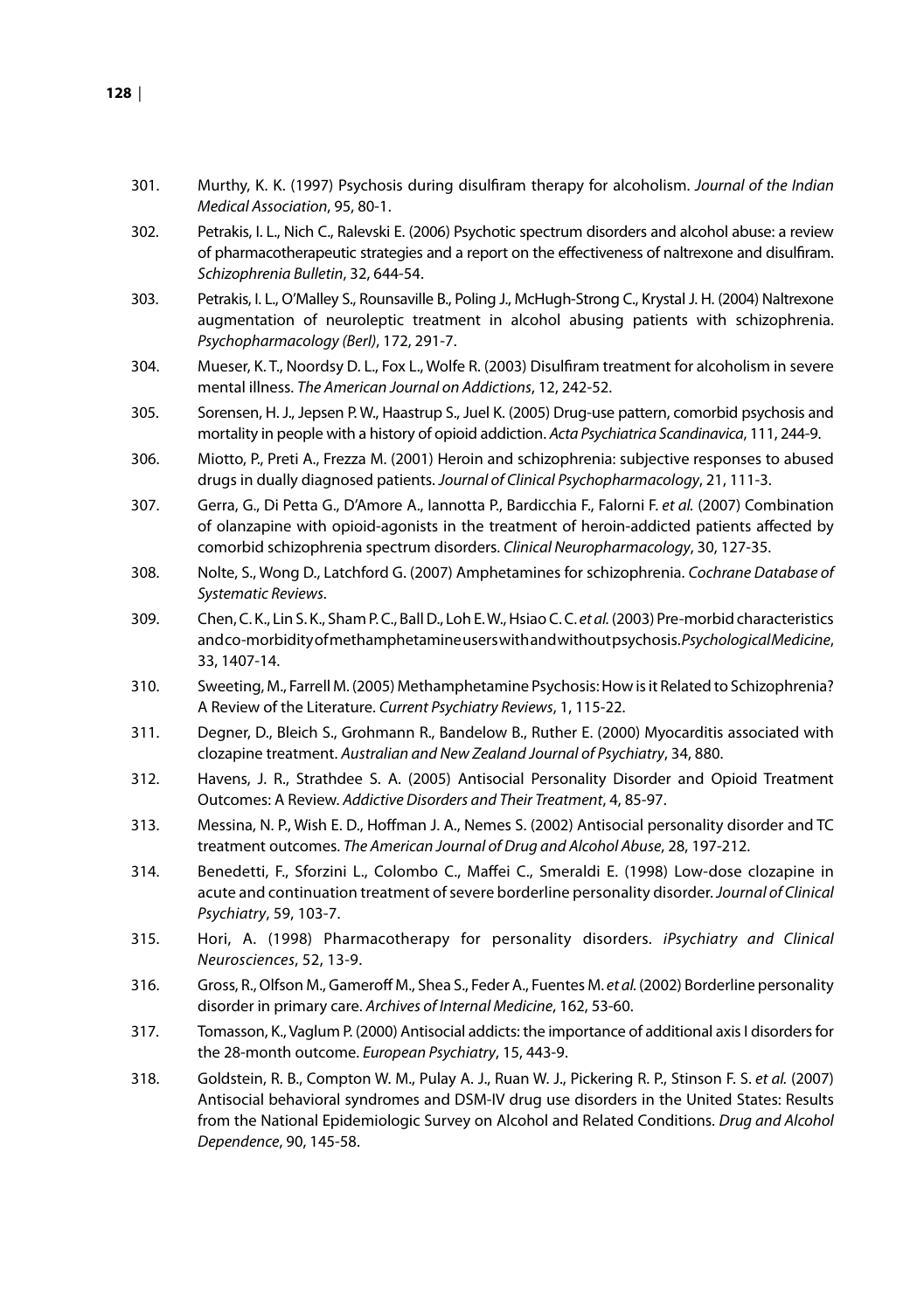- 301. Murthy, K. K. (1997) Psychosis during disulfiram therapy for alcoholism. Journal of the Indian *Medical Association*, 95, 80-1.
- 302. Petrakis, I. L., Nich C., Ralevski E. (2006) Psychotic spectrum disorders and alcohol abuse: a review of pharmacotherapeutic strategies and a report on the effectiveness of naltrexone and disulfiram. Schizophrenia Bulletin, 32, 644-54.
- 303. Petrakis, I. L., O'Malley S., Rounsaville B., Poling J., McHugh-Strong C., Krystal J. H. (2004) Naltrexone augmentation of neuroleptic treatment in alcohol abusing patients with schizophrenia. *Psychopharmacology (Berl)*, 172, 291-7.
- 304. Mueser, K. T., Noordsy D. L., Fox L., Wolfe R. (2003) Disulfiram treatment for alcoholism in severe mental illness. *The American Journal on Addictions*, 12, 242-52.
- 305. Sorensen, H. J., Jepsen P. W., Haastrup S., Juel K. (2005) Drug-use pattern, comorbid psychosis and mortality in people with a history of opioid addiction. *Acta Psychiatrica Scandinavica*, 111, 244-9.
- 306. Miotto, P., Preti A., Frezza M. (2001) Heroin and schizophrenia: subjective responses to abused drugs in dually diagnosed patients. *Journal of Clinical Psychopharmacology*, 21, 111-3.
- 307. Gerra, G., Di Petta G., D'Amore A., Iannotta P., Bardicchia F., Falorni F. *et al.* (2007) Combination of olanzapine with opioid-agonists in the treatment of heroin-addicted patients affected by comorbid schizophrenia spectrum disorders. *Clinical Neuropharmacology*, 30, 127-35.
- 308. Nolte, S., Wong D., Latchford G. (2007) Amphetamines for schizophrenia. *Cochrane Database of Systematic Reviews*.
- 309. Chen, C. K., Lin S. K., Sham P. C., Ball D., Loh E. W., Hsiao C. C. *et al.* (2003) Pre-morbid characteristics and co-morbidity of methamphetamine users with and without psychosis. *Psychological Medicine*, 33, 1407-14.
- 310. Sweeting, M., Farrell M. (2005) Methamphetamine Psychosis: How is it Related to Schizophrenia? A Review of the Literature. *Current Psychiatry Reviews*, 1, 115-22.
- 311. Degner, D., Bleich S., Grohmann R., Bandelow B., Ruther E. (2000) Myocarditis associated with clozapine treatment. *Australian and New Zealand Journal of Psychiatry*, 34, 880.
- 312. Havens, J. R., Strathdee S. A. (2005) Antisocial Personality Disorder and Opioid Treatment Outcomes: A Review. *Addictive Disorders and Their Treatment*, 4, 85-97.
- 313. Messina, N. P., Wish E. D., Hoffman J. A., Nemes S. (2002) Antisocial personality disorder and TC treatment outcomes. *The American Journal of Drug and Alcohol Abuse*, 28, 197-212.
- 314. Benedetti, F., Sforzini L., Colombo C., Maffei C., Smeraldi E. (1998) Low-dose clozapine in acute and continuation treatment of severe borderline personality disorder. *Journal of Clinical Psychiatry*, 59, 103-7.
- 315. Hori, A. (1998) Pharmacotherapy for personality disorders. *iPsychiatry and Clinical Neurosciences*, 52, 13-9.
- 316. Gross, R., Olfson M., Gameroff M., Shea S., Feder A., Fuentes M. *et al.* (2002) Borderline personality disorder in primary care. Archives of Internal Medicine, 162, 53-60.
- 317. Tomasson, K., Vaglum P. (2000) Antisocial addicts: the importance of additional axis I disorders for the 28-month outcome. *European Psychiatry*, 15, 443-9.
- 318. Goldstein, R. B., Compton W. M., Pulay A. J., Ruan W. J., Pickering R. P., Stinson F. S. *et al.* (2007) Antisocial behavioral syndromes and DSM-IV drug use disorders in the United States: Results from the National Epidemiologic Survey on Alcohol and Related Conditions. *Drug and Alcohol Dependence*, 90, 145-58.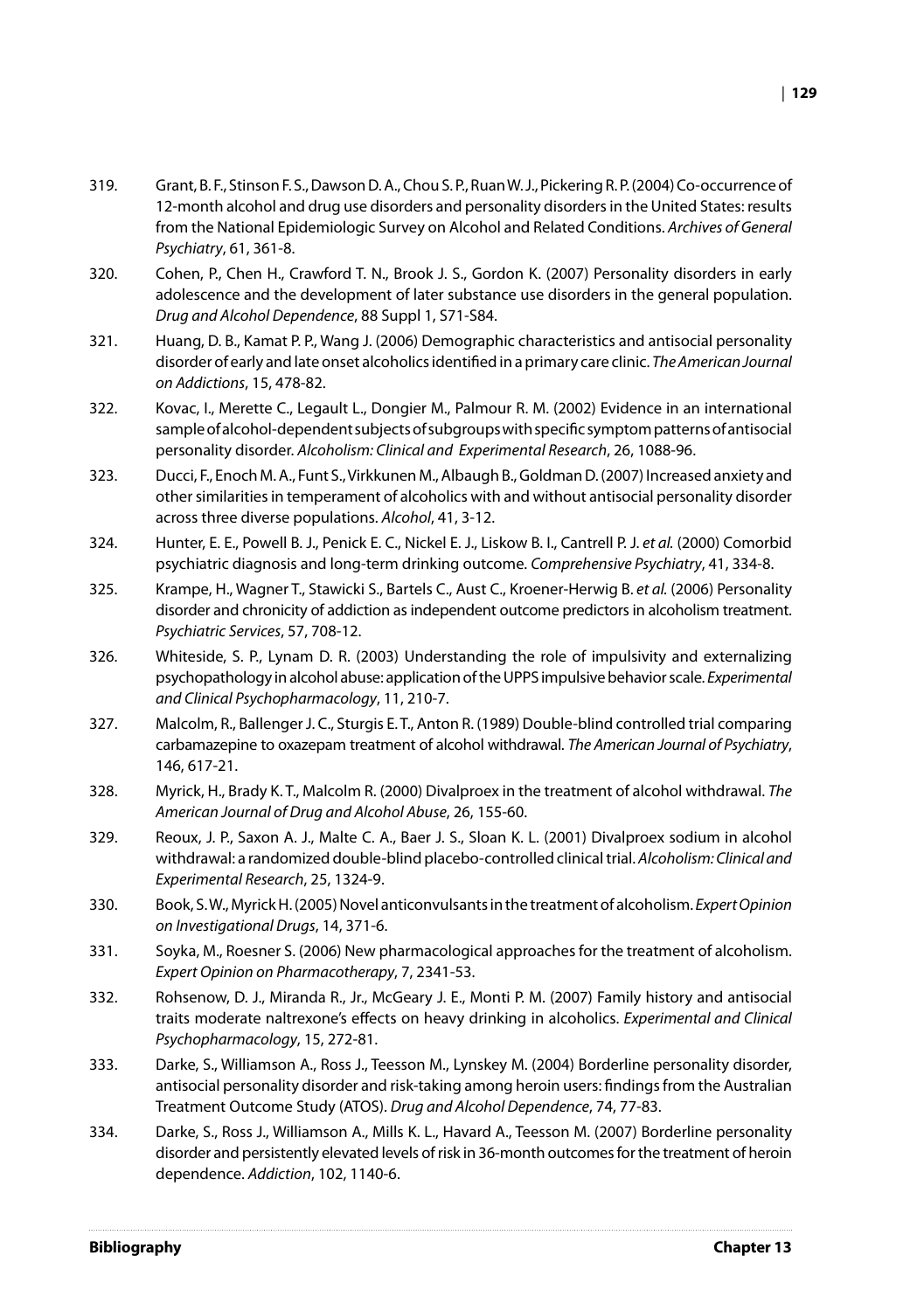- 319. Grant, B. F., Stinson F. S., Dawson D. A., Chou S. P., Ruan W. J., Pickering R. P. (2004) Co-occurrence of 12-month alcohol and drug use disorders and personality disorders in the United States: results from the National Epidemiologic Survey on Alcohol and Related Conditions. *Archives of General Psychiatry*, 61, 361-8.
- 320. Cohen, P., Chen H., Crawford T. N., Brook J. S., Gordon K. (2007) Personality disorders in early adolescence and the development of later substance use disorders in the general population. *Drug and Alcohol Dependence*, 88 Suppl 1, S71-S84.
- 321. Huang, D. B., Kamat P. P., Wang J. (2006) Demographic characteristics and antisocial personality disorder of early and late onset alcoholics identified in a primary care clinic. *The American Journal on Addictions*, 15, 478-82.
- 322. Kovac, I., Merette C., Legault L., Dongier M., Palmour R. M. (2002) Evidence in an international sample of alcohol-dependent subjects of subgroups with specific symptom patterns of antisocial personality disorder. *Alcoholism: Clinical and Experimental Research*, 26, 1088-96.
- 323. Ducci, F., Enoch M. A., Funt S., Virkkunen M., Albaugh B., Goldman D. (2007) Increased anxiety and other similarities in temperament of alcoholics with and without antisocial personality disorder across three diverse populations. *Alcohol*, 41, 3-12.
- 324. Hunter, E. E., Powell B. J., Penick E. C., Nickel E. J., Liskow B. I., Cantrell P. J. *et al.* (2000) Comorbid psychiatric diagnosis and long-term drinking outcome. *Comprehensive Psychiatry*, 41, 334-8.
- 325. Krampe, H., Wagner T., Stawicki S., Bartels C., Aust C., Kroener-Herwig B. *et al.* (2006) Personality disorder and chronicity of addiction as independent outcome predictors in alcoholism treatment. *Psychiatric Services*, 57, 708-12.
- 326. Whiteside, S. P., Lynam D. R. (2003) Understanding the role of impulsivity and externalizing psychopathology in alcohol abuse: application of the UPPS impulsive behavior scale. *Experimental and Clinical Psychopharmacology*, 11, 210-7.
- 327. Malcolm, R., Ballenger J. C., Sturgis E. T., Anton R. (1989) Double-blind controlled trial comparing carbamazepine to oxazepam treatment of alcohol withdrawal. *The American Journal of Psychiatry*, 146, 617-21.
- 328. Myrick, H., Brady K. T., Malcolm R. (2000) Divalproex in the treatment of alcohol withdrawal. *The American Journal of Drug and Alcohol Abuse*, 26, 155-60.
- 329. Reoux, J. P., Saxon A. J., Malte C. A., Baer J. S., Sloan K. L. (2001) Divalproex sodium in alcohol withdrawal: a randomized double-blind placebo-controlled clinical trial. *Alcoholism: Clinical and Experimental Research*, 25, 1324-9.
- 330. Book, S. W., Myrick H. (2005) Novel anticonvulsants in the treatment of alcoholism. *Expert Opinion* on Investigational Drugs, 14, 371-6.
- 331. Soyka, M., Roesner S. (2006) New pharmacological approaches for the treatment of alcoholism. *Expert Opinion on Pharmacotherapy*, 7, 2341-53.
- 332. Rohsenow, D. J., Miranda R., Jr., McGeary J. E., Monti P. M. (2007) Family history and antisocial traits moderate naltrexone's effects on heavy drinking in alcoholics. *Experimental and Clinical Psychopharmacology*, 15, 272-81.
- 333. Darke, S., Williamson A., Ross J., Teesson M., Lynskey M. (2004) Borderline personality disorder, antisocial personality disorder and risk-taking among heroin users: findings from the Australian Treatment Outcome Study (ATOS). *Drug and Alcohol Dependence*, 74, 77-83.
- 334. Darke, S., Ross J., Williamson A., Mills K. L., Havard A., Teesson M. (2007) Borderline personality disorder and persistently elevated levels of risk in 36-month outcomes for the treatment of heroin dependence. *Addiction*, 102, 1140-6.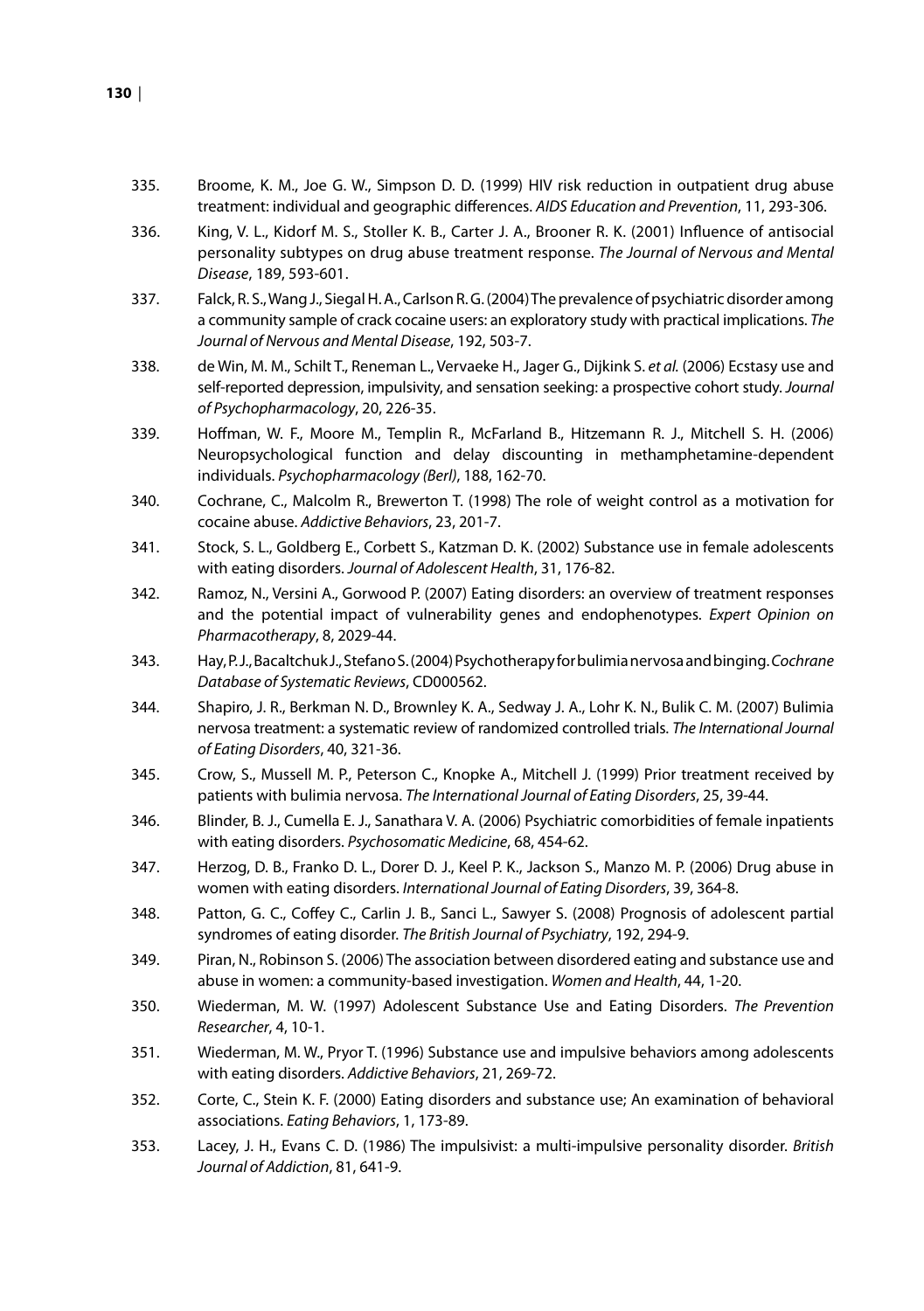- 335. Broome, K. M., Joe G. W., Simpson D. D. (1999) HIV risk reduction in outpatient drug abuse treatment: individual and geographic differences. AIDS Education and Prevention, 11, 293-306.
- 336. King, V. L., Kidorf M. S., Stoller K. B., Carter J. A., Brooner R. K. (2001) Influence of antisocial personality subtypes on drug abuse treatment response. *The Journal of Nervous and Mental Disease*, 189, 593-601.
- 337. Falck, R. S., Wang J., Siegal H. A., Carlson R. G. (2004) The prevalence of psychiatric disorder among a community sample of crack cocaine users: an exploratory study with practical implications. *The Journal of Nervous and Mental Disease*, 192, 503-7.
- 338. de Win, M. M., Schilt T., Reneman L., Vervaeke H., Jager G., Dijkink S. *et al.* (2006) Ecstasy use and self-reported depression, impulsivity, and sensation seeking: a prospective cohort study. *Journal of Psychopharmacology*, 20, 226-35.
- 339. Hoffman, W. F., Moore M., Templin R., McFarland B., Hitzemann R. J., Mitchell S. H. (2006) Neuropsychological function and delay discounting in methamphetamine-dependent individuals. *Psychopharmacology (Berl)*, 188, 162-70.
- 340. Cochrane, C., Malcolm R., Brewerton T. (1998) The role of weight control as a motivation for cocaine abuse. *Addictive Behaviors*, 23, 201-7.
- 341. Stock, S. L., Goldberg E., Corbett S., Katzman D. K. (2002) Substance use in female adolescents with eating disorders. *Journal of Adolescent Health*, 31, 176-82.
- 342. Ramoz, N., Versini A., Gorwood P. (2007) Eating disorders: an overview of treatment responses and the potential impact of vulnerability genes and endophenotypes. *Expert Opinion on Pharmacotherapy*, 8, 2029-44.
- 343. Hay, P. J., Bacaltchuk J., Stefano S. (2004) Psychotherapy for bulimia nervosa and binging. *Cochrane Database of Systematic Reviews*, CD000562.
- 344. Shapiro, J. R., Berkman N. D., Brownley K. A., Sedway J. A., Lohr K. N., Bulik C. M. (2007) Bulimia nervosa treatment: a systematic review of randomized controlled trials. The InternationalJournal *of Eating Disorders*, 40, 321-36.
- 345. Crow, S., Mussell M. P., Peterson C., Knopke A., Mitchell J. (1999) Prior treatment received by patients with bulimia nervosa. The International Journal of Eating Disorders, 25, 39-44.
- 346. Blinder, B. J., Cumella E. J., Sanathara V. A. (2006) Psychiatric comorbidities of female inpatients with eating disorders. *Psychosomatic Medicine*, 68, 454-62.
- 347. Herzog, D. B., Franko D. L., Dorer D. J., Keel P. K., Jackson S., Manzo M. P. (2006) Drug abuse in women with eating disorders. International Journal of Eating Disorders, 39, 364-8.
- 348. Patton, G. C., Coffey C., Carlin J. B., Sanci L., Sawyer S. (2008) Prognosis of adolescent partial syndromes of eating disorder. *The British Journal of Psychiatry*, 192, 294-9.
- 349. Piran, N., Robinson S. (2006) The association between disordered eating and substance use and abuse in women: a community-based investigation. *Women and Health*, 44, 1-20.
- 350. Wiederman, M. W. (1997) Adolescent Substance Use and Eating Disorders. *The Prevention Researcher*, 4, 10-1.
- 351. Wiederman, M. W., Pryor T. (1996) Substance use and impulsive behaviors among adolescents with eating disorders. *Addictive Behaviors*, 21, 269-72.
- 352. Corte, C., Stein K. F. (2000) Eating disorders and substance use; An examination of behavioral associations. *Eating Behaviors*, 1, 173-89.
- 353. Lacey, J. H., Evans C. D. (1986) The impulsivist: a multi-impulsive personality disorder. *British Journal of Addiction*, 81, 641-9.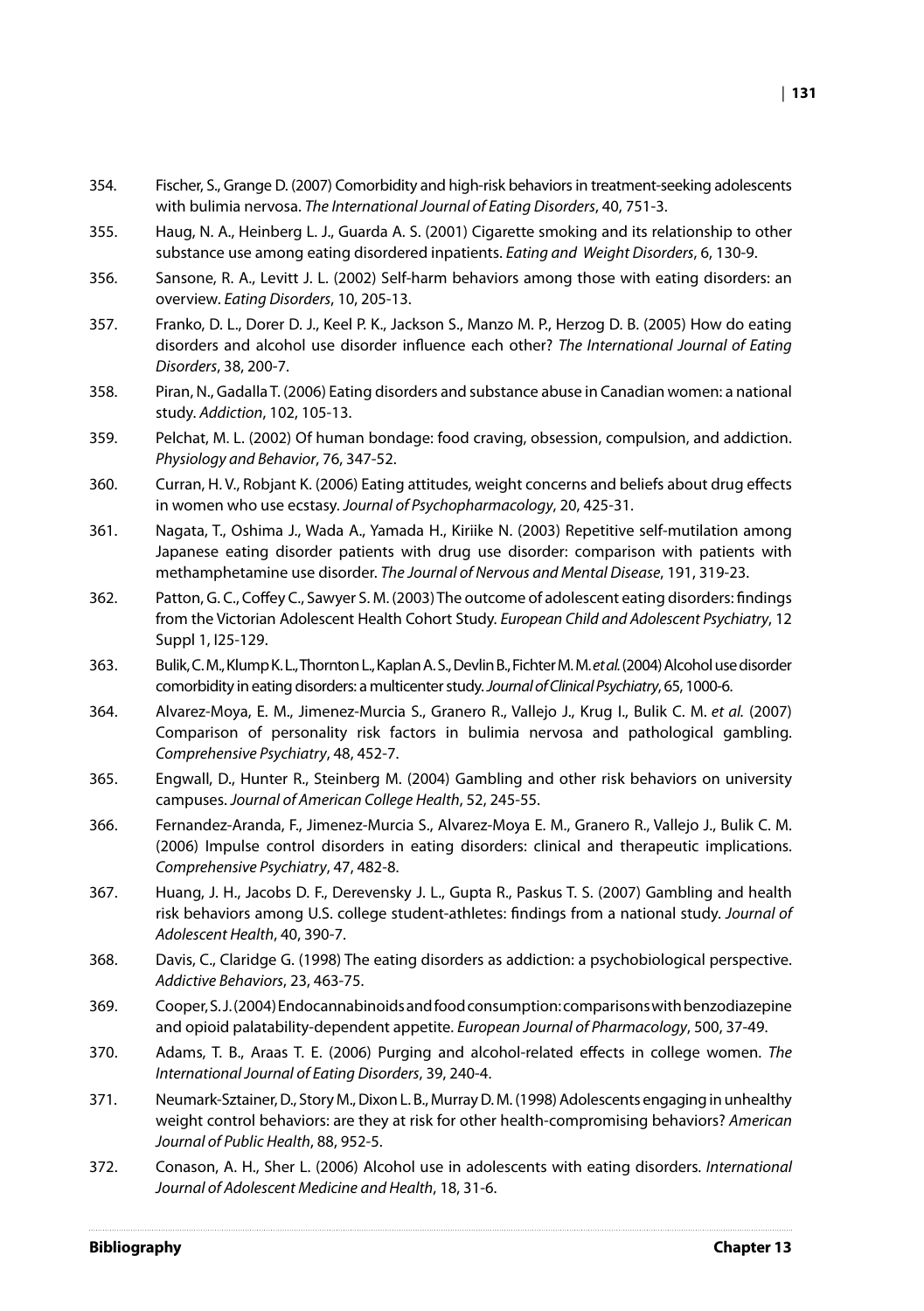- 354. Fischer, S., Grange D. (2007) Comorbidity and high-risk behaviors in treatment-seeking adolescents with bulimia nervosa. The International Journal of Eating Disorders, 40, 751-3.
- 355. Haug, N. A., Heinberg L. J., Guarda A. S. (2001) Cigarette smoking and its relationship to other substance use among eating disordered inpatients. *Eating and Weight Disorders*, 6, 130-9.
- 356. Sansone, R. A., Levitt J. L. (2002) Self-harm behaviors among those with eating disorders: an overview. *Eating Disorders*, 10, 205-13.
- 357. Franko, D. L., Dorer D. J., Keel P. K., Jackson S., Manzo M. P., Herzog D. B. (2005) How do eating disorders and alcohol use disorder influence each other? The International Journal of Eating *Disorders*, 38, 200-7.
- 358. Piran, N., Gadalla T. (2006) Eating disorders and substance abuse in Canadian women: a national study. *Addiction*, 102, 105-13.
- 359. Pelchat, M. L. (2002) Of human bondage: food craving, obsession, compulsion, and addiction. *Physiology and Behavior*, 76, 347-52.
- 360. Curran, H. V., Robjant K. (2006) Eating attitudes, weight concerns and beliefs about drug effects in women who use ecstasy. *Journal of Psychopharmacology*, 20, 425-31.
- 361. Nagata, T., Oshima J., Wada A., Yamada H., Kiriike N. (2003) Repetitive self-mutilation among Japanese eating disorder patients with drug use disorder: comparison with patients with methamphetamine use disorder. *The Journal of Nervous and Mental Disease*, 191, 319-23.
- 362. Patton, G. C., Coffey C., Sawyer S. M. (2003) The outcome of adolescent eating disorders: findings from the Victorian Adolescent Health Cohort Study. *European Child and Adolescent Psychiatry*, 12 Suppl 1, I25-129.
- 363. Bulik, C. M., Klump K. L., Thornton L., Kaplan A. S., Devlin B., Fichter M. M. *et al.* (2004) Alcohol use disorder comorbidity in eating disorders: a multicenter study. *Journal of Clinical Psychiatry*, 65, 1000-6.
- 364. Alvarez-Moya, E. M., Jimenez-Murcia S., Granero R., Vallejo J., Krug I., Bulik C. M. *et al.* (2007) Comparison of personality risk factors in bulimia nervosa and pathological gambling. *Comprehensive Psychiatry*, 48, 452-7.
- 365. Engwall, D., Hunter R., Steinberg M. (2004) Gambling and other risk behaviors on university campuses. *Journal of American College Health*, 52, 245-55.
- 366. Fernandez-Aranda, F., Jimenez-Murcia S., Alvarez-Moya E. M., Granero R., Vallejo J., Bulik C. M. (2006) Impulse control disorders in eating disorders: clinical and therapeutic implications. *Comprehensive Psychiatry*, 47, 482-8.
- 367. Huang, J. H., Jacobs D. F., Derevensky J. L., Gupta R., Paskus T. S. (2007) Gambling and health risk behaviors among U.S. college student-athletes: findings from a national study. *Journal of Adolescent Health*, 40, 390-7.
- 368. Davis, C., Claridge G. (1998) The eating disorders as addiction: a psychobiological perspective. *Addictive Behaviors*, 23, 463-75.
- 369. Cooper, S. J. (2004) Endocannabinoids and food consumption: comparisons with benzodiazepine and opioid palatability-dependent appetite. *European Journal of Pharmacology*, 500, 37-49.
- 370. Adams, T. B., Araas T. E. (2006) Purging and alcohol-related effects in college women. *The*  International Journal of Eating Disorders, 39, 240-4.
- 371. Neumark-Sztainer, D., Story M., Dixon L. B., Murray D. M. (1998) Adolescents engaging in unhealthy weight control behaviors: are they at risk for other health-compromising behaviors? *American Journal of Public Health*, 88, 952-5.
- 372. Conason, A. H., Sher L. (2006) Alcohol use in adolescents with eating disorders. International *Journal of Adolescent Medicine and Health*, 18, 31-6.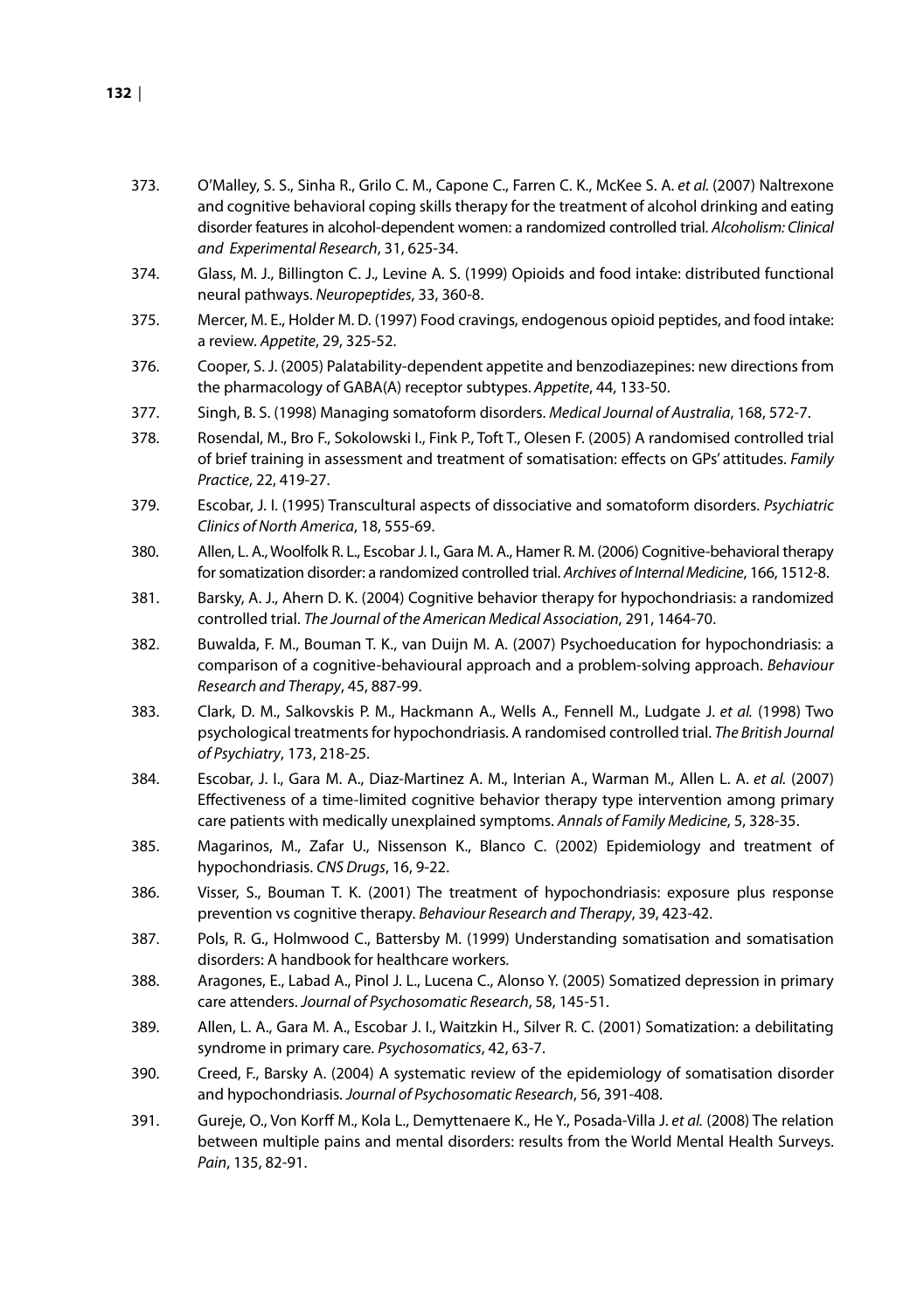- 373. O'Malley, S. S., Sinha R., Grilo C. M., Capone C., Farren C. K., McKee S. A. *et al.* (2007) Naltrexone and cognitive behavioral coping skills therapy for the treatment of alcohol drinking and eating disorder features in alcohol-dependent women: a randomized controlled trial. *Alcoholism: Clinical and Experimental Research*, 31, 625-34.
- 374. Glass, M. J., Billington C. J., Levine A. S. (1999) Opioids and food intake: distributed functional neural pathways. *Neuropeptides*, 33, 360-8.
- 375. Mercer, M. E., Holder M. D. (1997) Food cravings, endogenous opioid peptides, and food intake: a review. *Appetite*, 29, 325-52.
- 376. Cooper, S. J. (2005) Palatability-dependent appetite and benzodiazepines: new directions from the pharmacology of GABA(A) receptor subtypes. *Appetite*, 44, 133-50.
- 377. Singh, B. S. (1998) Managing somatoform disorders. *Medical Journal of Australia*, 168, 572-7.
- 378. Rosendal, M., Bro F., Sokolowski I., Fink P., Toft T., Olesen F. (2005) A randomised controlled trial of brief training in assessment and treatment of somatisation: effects on GPs' attitudes. *Family Practice*, 22, 419-27.
- 379. Escobar, J. I. (1995) Transcultural aspects of dissociative and somatoform disorders. *Psychiatric Clinics of North America*, 18, 555-69.
- 380. Allen, L. A., Woolfolk R. L., Escobar J. I., Gara M. A., Hamer R. M. (2006) Cognitive-behavioral therapy for somatization disorder: a randomized controlled trial. Archives of Internal Medicine, 166, 1512-8.
- 381. Barsky, A. J., Ahern D. K. (2004) Cognitive behavior therapy for hypochondriasis: a randomized controlled trial. *The Journal of the American Medical Association*, 291, 1464-70.
- 382. Buwalda, F. M., Bouman T. K., van Duijn M. A. (2007) Psychoeducation for hypochondriasis: a comparison of a cognitive-behavioural approach and a problem-solving approach. *Behaviour Research and Therapy*, 45, 887-99.
- 383. Clark, D. M., Salkovskis P. M., Hackmann A., Wells A., Fennell M., Ludgate J. *et al.* (1998) Two psychological treatments for hypochondriasis. A randomised controlled trial. *The British Journal of Psychiatry*, 173, 218-25.
- 384. Escobar, J. I., Gara M. A., Diaz-Martinez A. M., Interian A., Warman M., Allen L. A. *et al.* (2007) Effectiveness of a time-limited cognitive behavior therapy type intervention among primary care patients with medically unexplained symptoms. *Annals of Family Medicine*, 5, 328-35.
- 385. Magarinos, M., Zafar U., Nissenson K., Blanco C. (2002) Epidemiology and treatment of hypochondriasis. *CNS Drugs*, 16, 9-22.
- 386. Visser, S., Bouman T. K. (2001) The treatment of hypochondriasis: exposure plus response prevention vs cognitive therapy. *Behaviour Research and Therapy*, 39, 423-42.
- 387. Pols, R. G., Holmwood C., Battersby M. (1999) Understanding somatisation and somatisation disorders: A handbook for healthcare workers.
- 388. Aragones, E., Labad A., Pinol J. L., Lucena C., Alonso Y. (2005) Somatized depression in primary care attenders. *Journal of Psychosomatic Research*, 58, 145-51.
- 389. Allen, L. A., Gara M. A., Escobar J. I., Waitzkin H., Silver R. C. (2001) Somatization: a debilitating syndrome in primary care. *Psychosomatics*, 42, 63-7.
- 390. Creed, F., Barsky A. (2004) A systematic review of the epidemiology of somatisation disorder and hypochondriasis. *Journal of Psychosomatic Research*, 56, 391-408.
- 391. Gureje, O., Von Korff M., Kola L., Demyttenaere K., He Y., Posada-Villa J. *et al.* (2008) The relation between multiple pains and mental disorders: results from the World Mental Health Surveys. *Pain*, 135, 82-91.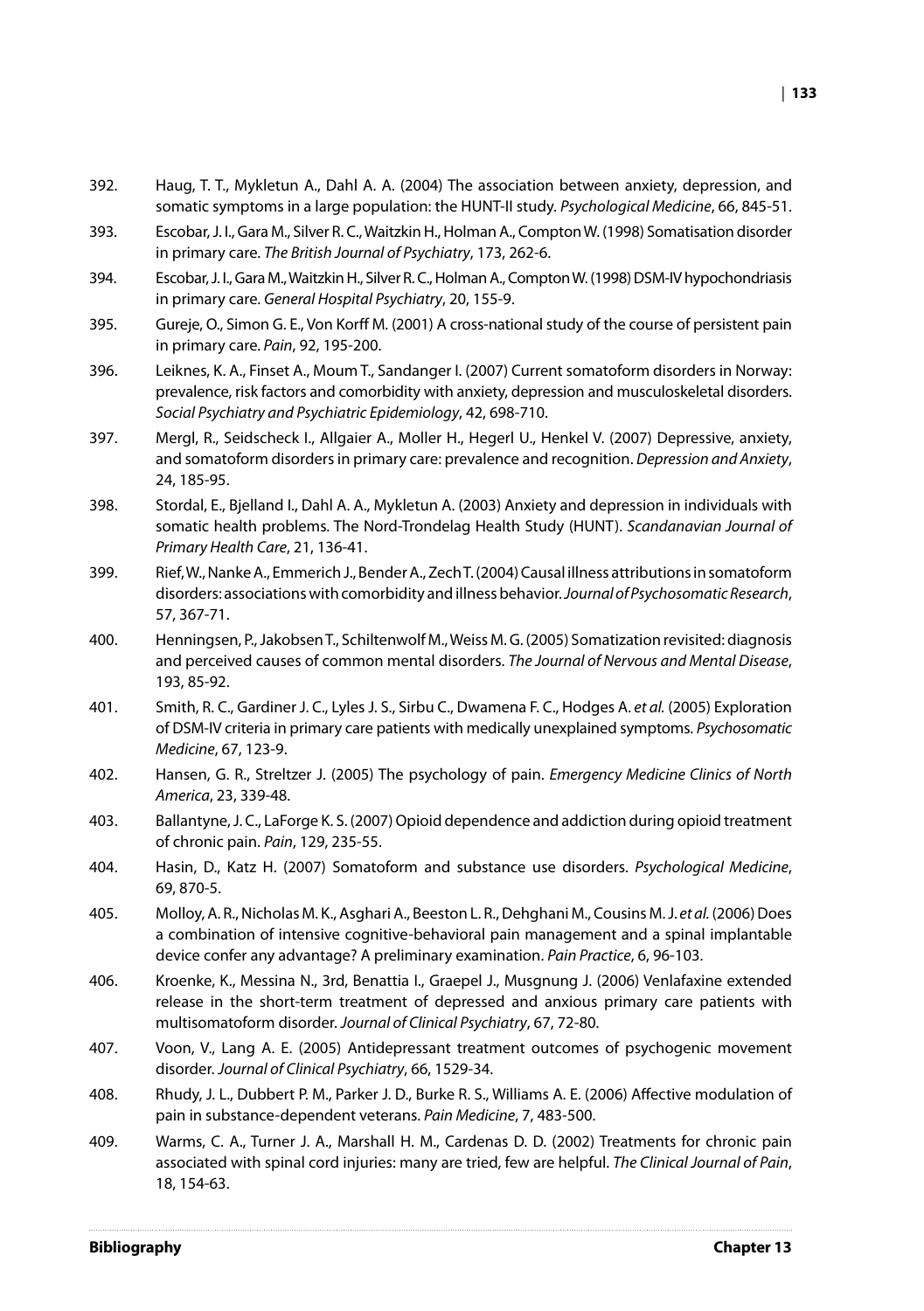- 392. Haug, T. T., Mykletun A., Dahl A. A. (2004) The association between anxiety, depression, and somatic symptoms in a large population: the HUNT-II study. *Psychological Medicine*, 66, 845-51.
- 393. Escobar, J. I., Gara M., Silver R. C., Waitzkin H., Holman A., Compton W. (1998) Somatisation disorder in primary care. *The British Journal of Psychiatry*, 173, 262-6.
- 394. Escobar, J. I., Gara M., Waitzkin H., Silver R. C., Holman A., Compton W. (1998) DSM-IV hypochondriasis in primary care. *General Hospital Psychiatry*, 20, 155-9.
- 395. Gureje, O., Simon G. E., Von Korff M. (2001) A cross-national study of the course of persistent pain in primary care. *Pain*, 92, 195-200.
- 396. Leiknes, K. A., Finset A., Moum T., Sandanger I. (2007) Current somatoform disorders in Norway: prevalence, risk factors and comorbidity with anxiety, depression and musculoskeletal disorders. *Social Psychiatry and Psychiatric Epidemiology*, 42, 698-710.
- 397. Mergl, R., Seidscheck I., Allgaier A., Moller H., Hegerl U., Henkel V. (2007) Depressive, anxiety, and somatoform disorders in primary care: prevalence and recognition. *Depression and Anxiety*, 24, 185-95.
- 398. Stordal, E., Bjelland I., Dahl A. A., Mykletun A. (2003) Anxiety and depression in individuals with somatic health problems. The Nord-Trondelag Health Study (HUNT). *Scandanavian Journal of Primary Health Care*, 21, 136-41.
- 399. Rief, W., Nanke A., Emmerich J., Bender A., Zech T. (2004) Causal illness attributions in somatoform disorders: associations with comorbidity and illness behavior. *Journal of Psychosomatic Research*, 57, 367-71.
- 400. Henningsen, P., Jakobsen T., Schiltenwolf M., Weiss M. G. (2005) Somatization revisited: diagnosis and perceived causes of common mental disorders. *The Journal of Nervous and Mental Disease*, 193, 85-92.
- 401. Smith, R. C., Gardiner J. C., Lyles J. S., Sirbu C., Dwamena F. C., Hodges A. *et al.* (2005) Exploration of DSM-IV criteria in primary care patients with medically unexplained symptoms. *Psychosomatic Medicine*, 67, 123-9.
- 402. Hansen, G. R., Streltzer J. (2005) The psychology of pain. *Emergency Medicine Clinics of North America*, 23, 339-48.
- 403. Ballantyne, J. C., LaForge K. S. (2007) Opioid dependence and addiction during opioid treatment of chronic pain. *Pain*, 129, 235-55.
- 404. Hasin, D., Katz H. (2007) Somatoform and substance use disorders. *Psychological Medicine*, 69, 870-5.
- 405. Molloy, A. R., Nicholas M. K., Asghari A., Beeston L. R., Dehghani M., Cousins M. J. *et al.* (2006) Does a combination of intensive cognitive-behavioral pain management and a spinal implantable device confer any advantage? A preliminary examination. *Pain Practice*, 6, 96-103.
- 406. Kroenke, K., Messina N., 3rd, Benattia I., Graepel J., Musgnung J. (2006) Venlafaxine extended release in the short-term treatment of depressed and anxious primary care patients with multisomatoform disorder. *Journal of Clinical Psychiatry*, 67, 72-80.
- 407. Voon, V., Lang A. E. (2005) Antidepressant treatment outcomes of psychogenic movement disorder. *Journal of Clinical Psychiatry*, 66, 1529-34.
- 408. Rhudy, J. L., Dubbert P. M., Parker J. D., Burke R. S., Williams A. E. (2006) Affective modulation of pain in substance-dependent veterans. *Pain Medicine*, 7, 483-500.
- 409. Warms, C. A., Turner J. A., Marshall H. M., Cardenas D. D. (2002) Treatments for chronic pain associated with spinal cord injuries: many are tried, few are helpful. *The Clinical Journal of Pain*, 18, 154-63.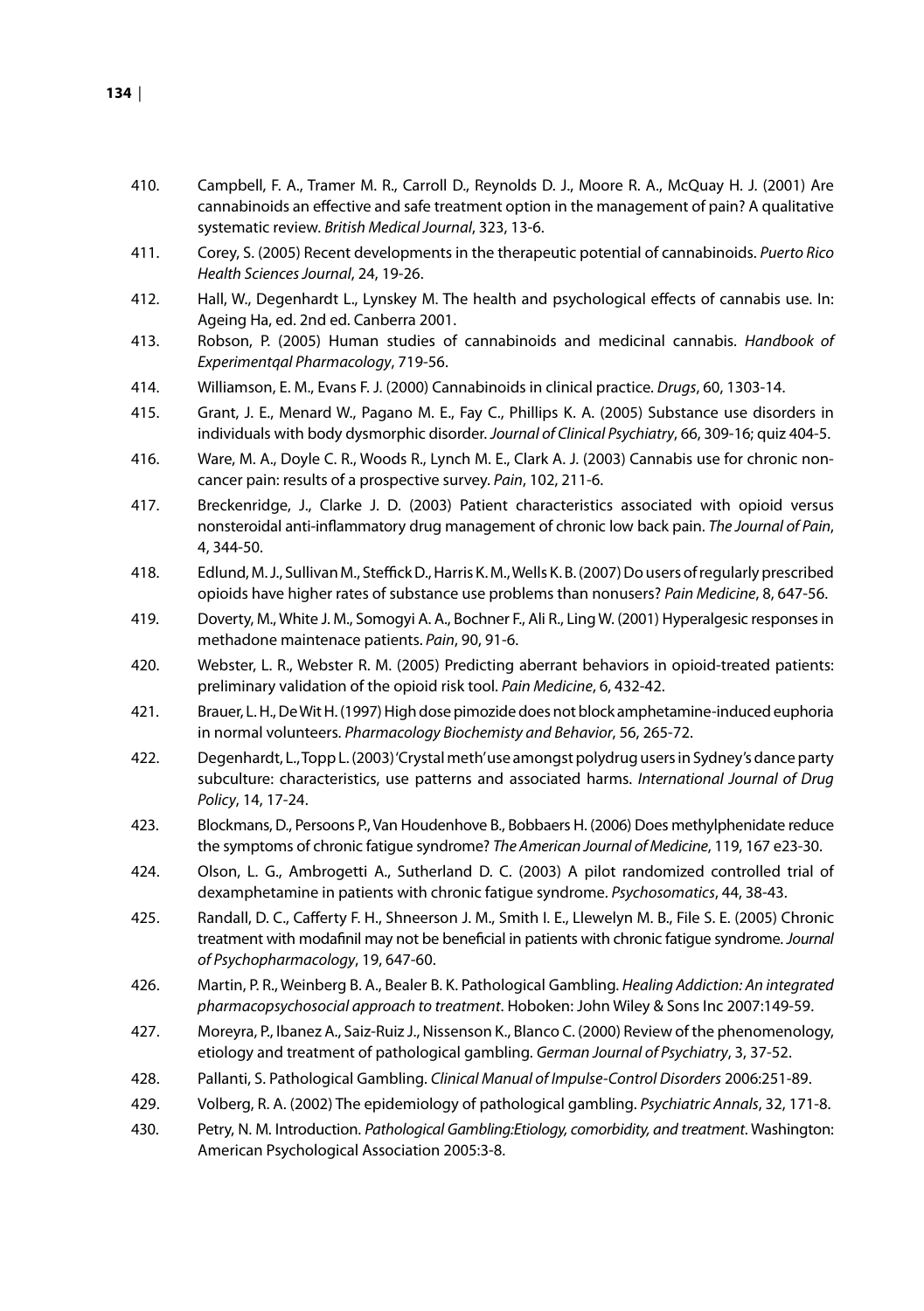- 410. Campbell, F. A., Tramer M. R., Carroll D., Reynolds D. J., Moore R. A., McQuay H. J. (2001) Are cannabinoids an effective and safe treatment option in the management of pain? A qualitative systematic review. *British Medical Journal*, 323, 13-6.
- 411. Corey, S. (2005) Recent developments in the therapeutic potential of cannabinoids. *Puerto Rico Health Sciences Journal*, 24, 19-26.
- 412. Hall, W., Degenhardt L., Lynskey M. The health and psychological effects of cannabis use. In: Ageing Ha, ed. 2nd ed. Canberra 2001.
- 413. Robson, P. (2005) Human studies of cannabinoids and medicinal cannabis. *Handbook of Experimentqal Pharmacology*, 719-56.
- 414. Williamson, E. M., Evans F. J. (2000) Cannabinoids in clinical practice. *Drugs*, 60, 1303-14.
- 415. Grant, J. E., Menard W., Pagano M. E., Fay C., Phillips K. A. (2005) Substance use disorders in individuals with body dysmorphic disorder. *Journal of Clinical Psychiatry*, 66, 309-16; quiz 404-5.
- 416. Ware, M. A., Doyle C. R., Woods R., Lynch M. E., Clark A. J. (2003) Cannabis use for chronic noncancer pain: results of a prospective survey. *Pain*, 102, 211-6.
- 417. Breckenridge, J., Clarke J. D. (2003) Patient characteristics associated with opioid versus nonsteroidal anti-inflammatory drug management of chronic low back pain. *The Journal of Pain*, 4, 344-50.
- 418. Edlund, M. J., Sullivan M., Steffick D., Harris K. M., Wells K. B. (2007) Do users of regularly prescribed opioids have higher rates of substance use problems than nonusers? *Pain Medicine*, 8, 647-56.
- 419. Doverty, M., White J. M., Somogyi A. A., Bochner F., Ali R., Ling W. (2001) Hyperalgesic responses in methadone maintenace patients. *Pain*, 90, 91-6.
- 420. Webster, L. R., Webster R. M. (2005) Predicting aberrant behaviors in opioid-treated patients: preliminary validation of the opioid risk tool. *Pain Medicine*, 6, 432-42.
- 421. Brauer, L. H., De Wit H. (1997) High dose pimozide does not block amphetamine-induced euphoria in normal volunteers. *Pharmacology Biochemisty and Behavior*, 56, 265-72.
- 422. Degenhardt, L., Topp L. (2003) 'Crystal meth' use amongst polydrug users in Sydney's dance party subculture: characteristics, use patterns and associated harms. International Journal of Drug *Policy*, 14, 17-24.
- 423. Blockmans, D., Persoons P., Van Houdenhove B., Bobbaers H. (2006) Does methylphenidate reduce the symptoms of chronic fatigue syndrome? *The American Journal of Medicine*, 119, 167 e23-30.
- 424. Olson, L. G., Ambrogetti A., Sutherland D. C. (2003) A pilot randomized controlled trial of dexamphetamine in patients with chronic fatigue syndrome. *Psychosomatics*, 44, 38-43.
- 425. Randall, D. C., Cafferty F. H., Shneerson J. M., Smith I. E., Llewelyn M. B., File S. E. (2005) Chronic treatment with modafinil may not be beneficial in patients with chronic fatigue syndrome. *Journal of Psychopharmacology*, 19, 647-60.
- 426. Martin, P. R., Weinberg B. A., Bealer B. K. Pathological Gambling. *Healing Addiction: An integrated pharmacopsychosocial approach to treatment*. Hoboken: John Wiley & Sons Inc 2007:149-59.
- 427. Moreyra, P., Ibanez A., Saiz-Ruiz J., Nissenson K., Blanco C. (2000) Review of the phenomenology, etiology and treatment of pathological gambling. *German Journal of Psychiatry*, 3, 37-52.
- 428. Pallanti, S. Pathological Gambling. Clinical Manual of Impulse-Control Disorders 2006:251-89.
- 429. Volberg, R. A. (2002) The epidemiology of pathological gambling. *Psychiatric Annals*, 32, 171-8.
- 430. Petry, N. M. Introduction. *Pathological Gambling:Etiology, comorbidity, and treatment*. Washington: American Psychological Association 2005:3-8.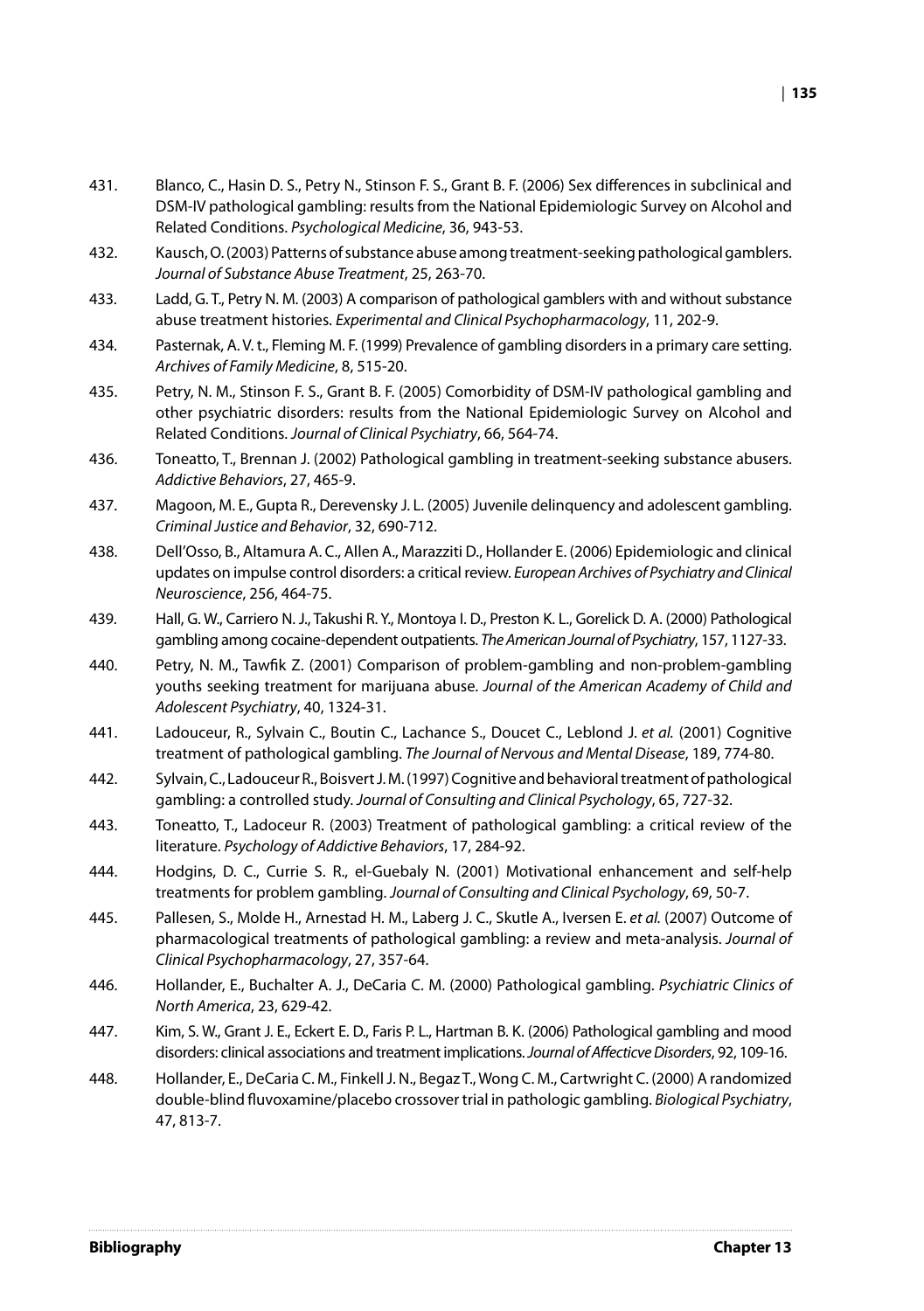- 431. Blanco, C., Hasin D. S., Petry N., Stinson F. S., Grant B. F. (2006) Sex differences in subclinical and DSM-IV pathological gambling: results from the National Epidemiologic Survey on Alcohol and Related Conditions. *Psychological Medicine*, 36, 943-53.
- 432. Kausch, O. (2003) Patterns of substance abuse among treatment-seeking pathological gamblers. *Journal of Substance Abuse Treatment*, 25, 263-70.
- 433. Ladd, G. T., Petry N. M. (2003) A comparison of pathological gamblers with and without substance abuse treatment histories. *Experimental and Clinical Psychopharmacology*, 11, 202-9.
- 434. Pasternak, A. V. t., Fleming M. F. (1999) Prevalence of gambling disorders in a primary care setting. *Archives of Family Medicine*, 8, 515-20.
- 435. Petry, N. M., Stinson F. S., Grant B. F. (2005) Comorbidity of DSM-IV pathological gambling and other psychiatric disorders: results from the National Epidemiologic Survey on Alcohol and Related Conditions. *Journal of Clinical Psychiatry*, 66, 564-74.
- 436. Toneatto, T., Brennan J. (2002) Pathological gambling in treatment-seeking substance abusers. *Addictive Behaviors*, 27, 465-9.
- 437. Magoon, M. E., Gupta R., Derevensky J. L. (2005) Juvenile delinquency and adolescent gambling. *Criminal Justice and Behavior*, 32, 690-712.
- 438. Dell'Osso, B., Altamura A. C., Allen A., Marazziti D., Hollander E. (2006) Epidemiologic and clinical updates on impulse control disorders: a critical review. *European Archives of Psychiatry and Clinical Neuroscience*, 256, 464-75.
- 439. Hall, G. W., Carriero N. J., Takushi R. Y., Montoya I. D., Preston K. L., Gorelick D. A. (2000) Pathological gambling among cocaine-dependent outpatients. *The American Journal of Psychiatry*, 157, 1127-33.
- 440. Petry, N. M., Tawfik Z. (2001) Comparison of problem-gambling and non-problem-gambling youths seeking treatment for marijuana abuse. *Journal of the American Academy of Child and Adolescent Psychiatry*, 40, 1324-31.
- 441. Ladouceur, R., Sylvain C., Boutin C., Lachance S., Doucet C., Leblond J. *et al.* (2001) Cognitive treatment of pathological gambling. *The Journal of Nervous and Mental Disease*, 189, 774-80.
- 442. Sylvain, C., Ladouceur R., Boisvert J. M. (1997) Cognitive and behavioral treatment of pathological gambling: a controlled study. *Journal of Consulting and Clinical Psychology*, 65, 727-32.
- 443. Toneatto, T., Ladoceur R. (2003) Treatment of pathological gambling: a critical review of the literature. *Psychology of Addictive Behaviors*, 17, 284-92.
- 444. Hodgins, D. C., Currie S. R., el-Guebaly N. (2001) Motivational enhancement and self-help treatments for problem gambling. *Journal of Consulting and Clinical Psychology*, 69, 50-7.
- 445. Pallesen, S., Molde H., Arnestad H. M., Laberg J. C., Skutle A., Iversen E. *et al.* (2007) Outcome of pharmacological treatments of pathological gambling: a review and meta-analysis. *Journal of Clinical Psychopharmacology*, 27, 357-64.
- 446. Hollander, E., Buchalter A. J., DeCaria C. M. (2000) Pathological gambling. *Psychiatric Clinics of North America*, 23, 629-42.
- 447. Kim, S. W., Grant J. E., Eckert E. D., Faris P. L., Hartman B. K. (2006) Pathological gambling and mood disorders: clinical associations and treatment implications. *Journal of Affecticve Disorders*, 92, 109-16.
- 448. Hollander, E., DeCaria C. M., Finkell J. N., Begaz T., Wong C. M., Cartwright C. (2000) A randomized double-blind fluvoxamine/placebo crossover trial in pathologic gambling. *Biological Psychiatry*, 47, 813-7.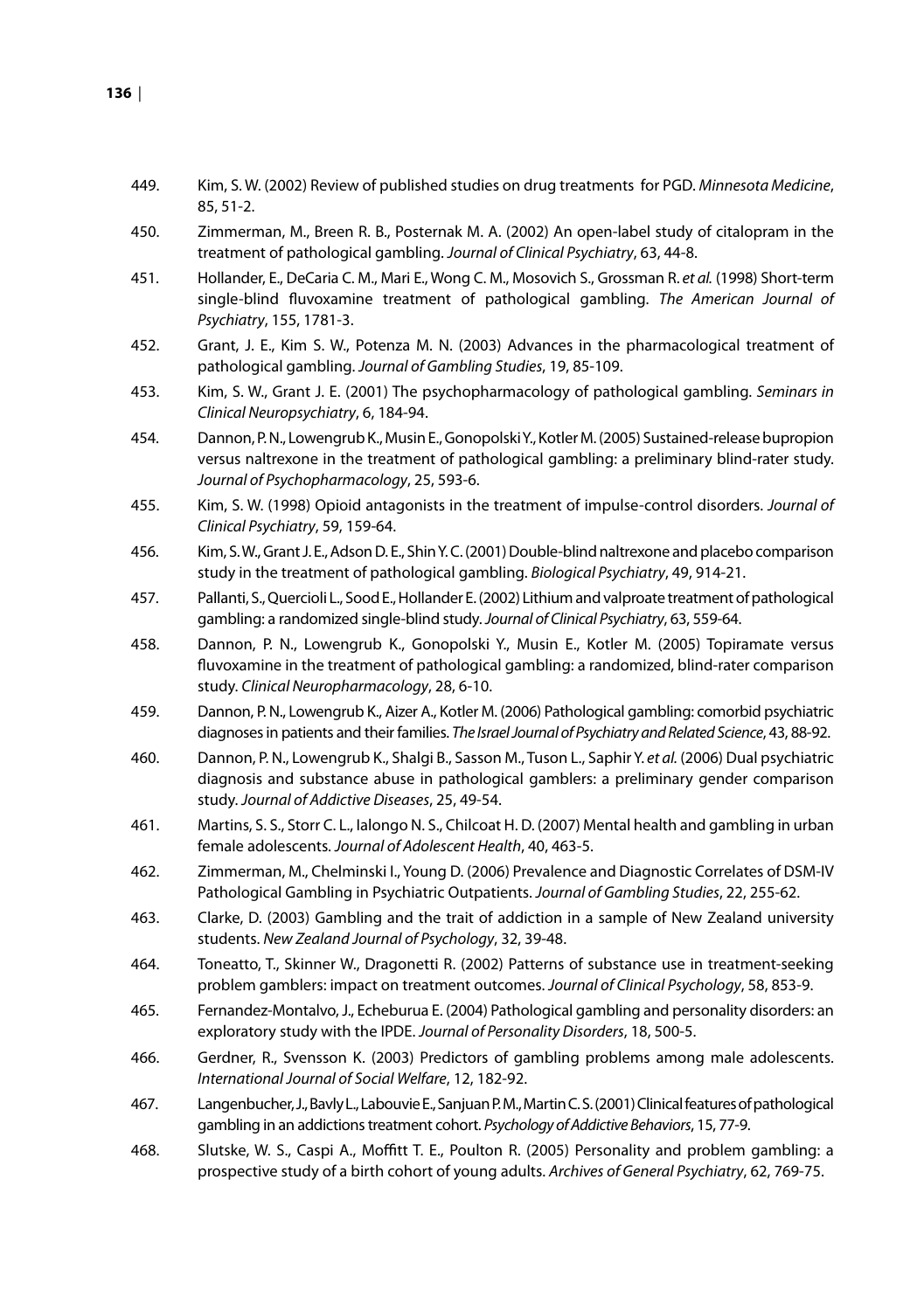- 449. Kim, S. W. (2002) Review of published studies on drug treatments for PGD. *Minnesota Medicine*, 85, 51-2.
- 450. Zimmerman, M., Breen R. B., Posternak M. A. (2002) An open-label study of citalopram in the treatment of pathological gambling. *Journal of Clinical Psychiatry*, 63, 44-8.
- 451. Hollander, E., DeCaria C. M., Mari E., Wong C. M., Mosovich S., Grossman R. *et al.* (1998) Short-term single-blind fluvoxamine treatment of pathological gambling. *The American Journal of Psychiatry*, 155, 1781-3.
- 452. Grant, J. E., Kim S. W., Potenza M. N. (2003) Advances in the pharmacological treatment of pathological gambling. *Journal of Gambling Studies*, 19, 85-109.
- 453. Kim, S. W., Grant J. E. (2001) The psychopharmacology of pathological gambling. *Seminars in Clinical Neuropsychiatry*, 6, 184-94.
- 454. Dannon, P. N., Lowengrub K., Musin E., Gonopolski Y., Kotler M. (2005) Sustained-release bupropion versus naltrexone in the treatment of pathological gambling: a preliminary blind-rater study. *Journal of Psychopharmacology*, 25, 593-6.
- 455. Kim, S. W. (1998) Opioid antagonists in the treatment of impulse-control disorders. *Journal of Clinical Psychiatry*, 59, 159-64.
- 456. Kim, S. W., Grant J. E., Adson D. E., Shin Y. C. (2001) Double-blind naltrexone and placebo comparison study in the treatment of pathological gambling. *Biological Psychiatry*, 49, 914-21.
- 457. Pallanti, S., Quercioli L., Sood E., Hollander E. (2002) Lithium and valproate treatment of pathological gambling: a randomized single-blind study. *Journal of Clinical Psychiatry*, 63, 559-64.
- 458. Dannon, P. N., Lowengrub K., Gonopolski Y., Musin E., Kotler M. (2005) Topiramate versus fluvoxamine in the treatment of pathological gambling: a randomized, blind-rater comparison study. *Clinical Neuropharmacology*, 28, 6-10.
- 459. Dannon, P. N., Lowengrub K., Aizer A., Kotler M. (2006) Pathological gambling: comorbid psychiatric diagnoses in patients and their families. The Israel Journal of Psychiatry and Related Science, 43, 88-92.
- 460. Dannon, P. N., Lowengrub K., Shalgi B., Sasson M., Tuson L., Saphir Y. *et al.* (2006) Dual psychiatric diagnosis and substance abuse in pathological gamblers: a preliminary gender comparison study. *Journal of Addictive Diseases*, 25, 49-54.
- 461. Martins, S. S., Storr C. L., Ialongo N. S., Chilcoat H. D. (2007) Mental health and gambling in urban female adolescents. *Journal of Adolescent Health*, 40, 463-5.
- 462. Zimmerman, M., Chelminski I., Young D. (2006) Prevalence and Diagnostic Correlates of DSM-IV Pathological Gambling in Psychiatric Outpatients. *Journal of Gambling Studies*, 22, 255-62.
- 463. Clarke, D. (2003) Gambling and the trait of addiction in a sample of New Zealand university students. *New Zealand Journal of Psychology*, 32, 39-48.
- 464. Toneatto, T., Skinner W., Dragonetti R. (2002) Patterns of substance use in treatment-seeking problem gamblers: impact on treatment outcomes. *Journal of Clinical Psychology*, 58, 853-9.
- 465. Fernandez-Montalvo, J., Echeburua E. (2004) Pathological gambling and personality disorders: an exploratory study with the IPDE. *Journal of Personality Disorders*, 18, 500-5.
- 466. Gerdner, R., Svensson K. (2003) Predictors of gambling problems among male adolescents. International Journal of Social Welfare, 12, 182-92.
- 467. Langenbucher, J., Bavly L., Labouvie E., Sanjuan P. M., Martin C. S. (2001) Clinical features of pathological gambling in an addictions treatment cohort. *Psychology of Addictive Behaviors*, 15, 77-9.
- 468. Slutske, W. S., Caspi A., Moffitt T. E., Poulton R. (2005) Personality and problem gambling: a prospective study of a birth cohort of young adults. *Archives of General Psychiatry*, 62, 769-75.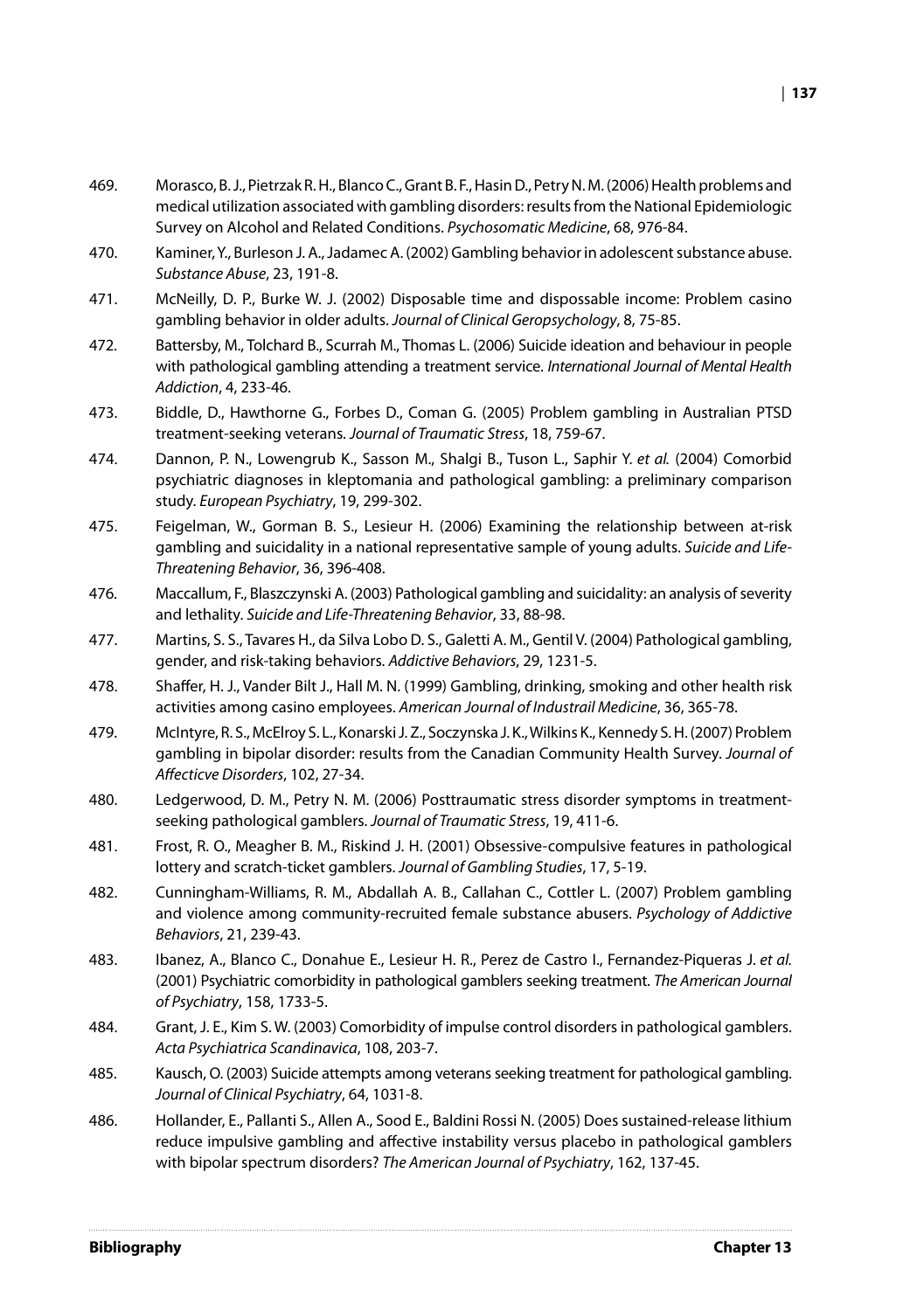- 469. Morasco, B. J., Pietrzak R. H., Blanco C., Grant B. F., Hasin D., Petry N. M. (2006) Health problems and medical utilization associated with gambling disorders: results from the National Epidemiologic Survey on Alcohol and Related Conditions. *Psychosomatic Medicine*, 68, 976-84.
- 470. Kaminer, Y., Burleson J. A., Jadamec A. (2002) Gambling behavior in adolescent substance abuse. *Substance Abuse*, 23, 191-8.
- 471. McNeilly, D. P., Burke W. J. (2002) Disposable time and dispossable income: Problem casino gambling behavior in older adults. *Journal of Clinical Geropsychology*, 8, 75-85.
- 472. Battersby, M., Tolchard B., Scurrah M., Thomas L. (2006) Suicide ideation and behaviour in people with pathological gambling attending a treatment service. International Journal of Mental Health *Addiction*, 4, 233-46.
- 473. Biddle, D., Hawthorne G., Forbes D., Coman G. (2005) Problem gambling in Australian PTSD treatment-seeking veterans. *Journal of Traumatic Stress*, 18, 759-67.
- 474. Dannon, P. N., Lowengrub K., Sasson M., Shalgi B., Tuson L., Saphir Y. *et al.* (2004) Comorbid psychiatric diagnoses in kleptomania and pathological gambling: a preliminary comparison study. *European Psychiatry*, 19, 299-302.
- 475. Feigelman, W., Gorman B. S., Lesieur H. (2006) Examining the relationship between at-risk gambling and suicidality in a national representative sample of young adults. *Suicide and Life-Threatening Behavior*, 36, 396-408.
- 476. Maccallum, F., Blaszczynski A. (2003) Pathological gambling and suicidality: an analysis of severity and lethality. *Suicide and Life-Threatening Behavior*, 33, 88-98.
- 477. Martins, S. S., Tavares H., da Silva Lobo D. S., Galetti A. M., Gentil V. (2004) Pathological gambling, gender, and risk-taking behaviors. *Addictive Behaviors*, 29, 1231-5.
- 478. Shaffer, H. J., Vander Bilt J., Hall M. N. (1999) Gambling, drinking, smoking and other health risk activities among casino employees. American Journal of Industrail Medicine, 36, 365-78.
- 479. McIntyre, R. S., McElroy S. L., Konarski J. Z., Soczynska J. K., Wilkins K., Kennedy S. H. (2007) Problem gambling in bipolar disorder: results from the Canadian Community Health Survey. *Journal of Affecticve Disorders*, 102, 27-34.
- 480. Ledgerwood, D. M., Petry N. M. (2006) Posttraumatic stress disorder symptoms in treatmentseeking pathological gamblers. *Journal of Traumatic Stress*, 19, 411-6.
- 481. Frost, R. O., Meagher B. M., Riskind J. H. (2001) Obsessive-compulsive features in pathological lottery and scratch-ticket gamblers. *Journal of Gambling Studies*, 17, 5-19.
- 482. Cunningham-Williams, R. M., Abdallah A. B., Callahan C., Cottler L. (2007) Problem gambling and violence among community-recruited female substance abusers. *Psychology of Addictive Behaviors*, 21, 239-43.
- 483. Ibanez, A., Blanco C., Donahue E., Lesieur H. R., Perez de Castro I., Fernandez-Piqueras J. *et al.*  (2001) Psychiatric comorbidity in pathological gamblers seeking treatment. *The American Journal of Psychiatry*, 158, 1733-5.
- 484. Grant, J. E., Kim S. W. (2003) Comorbidity of impulse control disorders in pathological gamblers. *Acta Psychiatrica Scandinavica*, 108, 203-7.
- 485. Kausch, O. (2003) Suicide attempts among veterans seeking treatment for pathological gambling. *Journal of Clinical Psychiatry*, 64, 1031-8.
- 486. Hollander, E., Pallanti S., Allen A., Sood E., Baldini Rossi N. (2005) Does sustained-release lithium reduce impulsive gambling and affective instability versus placebo in pathological gamblers with bipolar spectrum disorders? *The American Journal of Psychiatry*, 162, 137-45.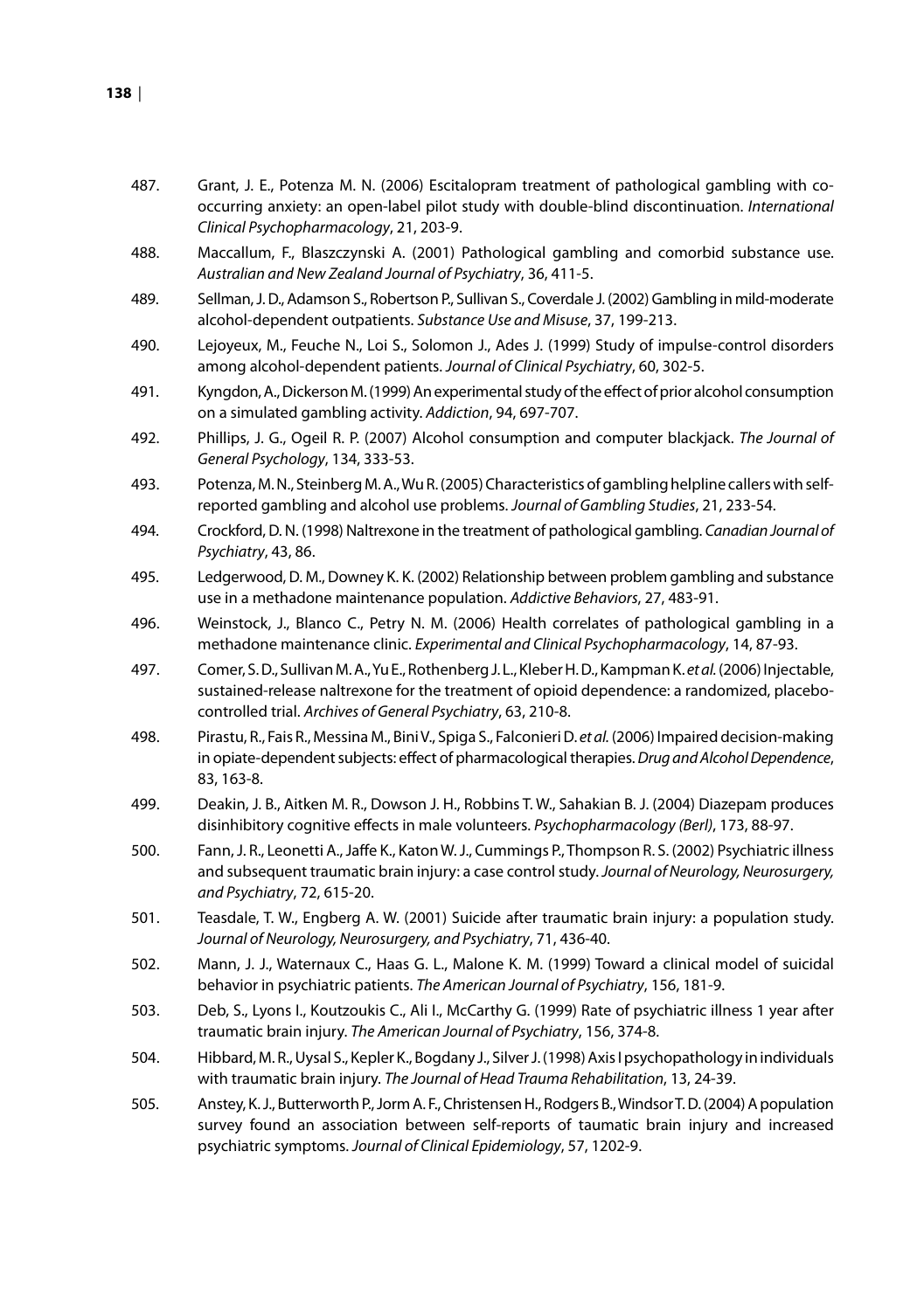- 487. Grant, J. E., Potenza M. N. (2006) Escitalopram treatment of pathological gambling with cooccurring anxiety: an open-label pilot study with double-blind discontinuation. International *Clinical Psychopharmacology*, 21, 203-9.
- 488. Maccallum, F., Blaszczynski A. (2001) Pathological gambling and comorbid substance use. *Australian and New Zealand Journal of Psychiatry*, 36, 411-5.
- 489. Sellman, J. D., Adamson S., Robertson P., Sullivan S., Coverdale J. (2002) Gambling in mild-moderate alcohol-dependent outpatients. *Substance Use and Misuse*, 37, 199-213.
- 490. Lejoyeux, M., Feuche N., Loi S., Solomon J., Ades J. (1999) Study of impulse-control disorders among alcohol-dependent patients. *Journal of Clinical Psychiatry*, 60, 302-5.
- 491. Kyngdon, A., Dickerson M. (1999) An experimental study of the effect of prior alcohol consumption on a simulated gambling activity. *Addiction*, 94, 697-707.
- 492. Phillips, J. G., Ogeil R. P. (2007) Alcohol consumption and computer blackjack. *The Journal of General Psychology*, 134, 333-53.
- 493. Potenza, M. N., Steinberg M. A., Wu R. (2005) Characteristics of gambling helpline callers with selfreported gambling and alcohol use problems. *Journal of Gambling Studies*, 21, 233-54.
- 494. Crockford, D. N. (1998) Naltrexone in the treatment of pathological gambling. *Canadian Journal of Psychiatry*, 43, 86.
- 495. Ledgerwood, D. M., Downey K. K. (2002) Relationship between problem gambling and substance use in a methadone maintenance population. *Addictive Behaviors*, 27, 483-91.
- 496. Weinstock, J., Blanco C., Petry N. M. (2006) Health correlates of pathological gambling in a methadone maintenance clinic. *Experimental and Clinical Psychopharmacology*, 14, 87-93.
- 497. Comer, S. D., Sullivan M. A., Yu E., Rothenberg J. L., Kleber H. D., Kampman K. *et al.* (2006) Injectable, sustained-release naltrexone for the treatment of opioid dependence: a randomized, placebocontrolled trial. *Archives of General Psychiatry*, 63, 210-8.
- 498. Pirastu, R., Fais R., Messina M., Bini V., Spiga S., Falconieri D. *et al.* (2006) Impaired decision-making in opiate-dependent subjects: effect of pharmacological therapies. *Drug and Alcohol Dependence*, 83, 163-8.
- 499. Deakin, J. B., Aitken M. R., Dowson J. H., Robbins T. W., Sahakian B. J. (2004) Diazepam produces disinhibitory cognitive effects in male volunteers. *Psychopharmacology (Berl)*, 173, 88-97.
- 500. Fann, J. R., Leonetti A., Jaffe K., Katon W. J., Cummings P., Thompson R. S. (2002) Psychiatric illness and subsequent traumatic brain injury: a case control study. *Journal of Neurology, Neurosurgery, and Psychiatry*, 72, 615-20.
- 501. Teasdale, T. W., Engberg A. W. (2001) Suicide after traumatic brain injury: a population study. *Journal of Neurology, Neurosurgery, and Psychiatry*, 71, 436-40.
- 502. Mann, J. J., Waternaux C., Haas G. L., Malone K. M. (1999) Toward a clinical model of suicidal behavior in psychiatric patients. *The American Journal of Psychiatry*, 156, 181-9.
- 503. Deb, S., Lyons I., Koutzoukis C., Ali I., McCarthy G. (1999) Rate of psychiatric illness 1 year after traumatic brain injury. *The American Journal of Psychiatry*, 156, 374-8.
- 504. Hibbard, M. R., Uysal S., Kepler K., Bogdany J., Silver J. (1998) Axis I psychopathology in individuals with traumatic brain injury. *The Journal of Head Trauma Rehabilitation*, 13, 24-39.
- 505. Anstey, K. J., Butterworth P., Jorm A. F., Christensen H., Rodgers B., Windsor T. D. (2004) A population survey found an association between self-reports of taumatic brain injury and increased psychiatric symptoms. *Journal of Clinical Epidemiology*, 57, 1202-9.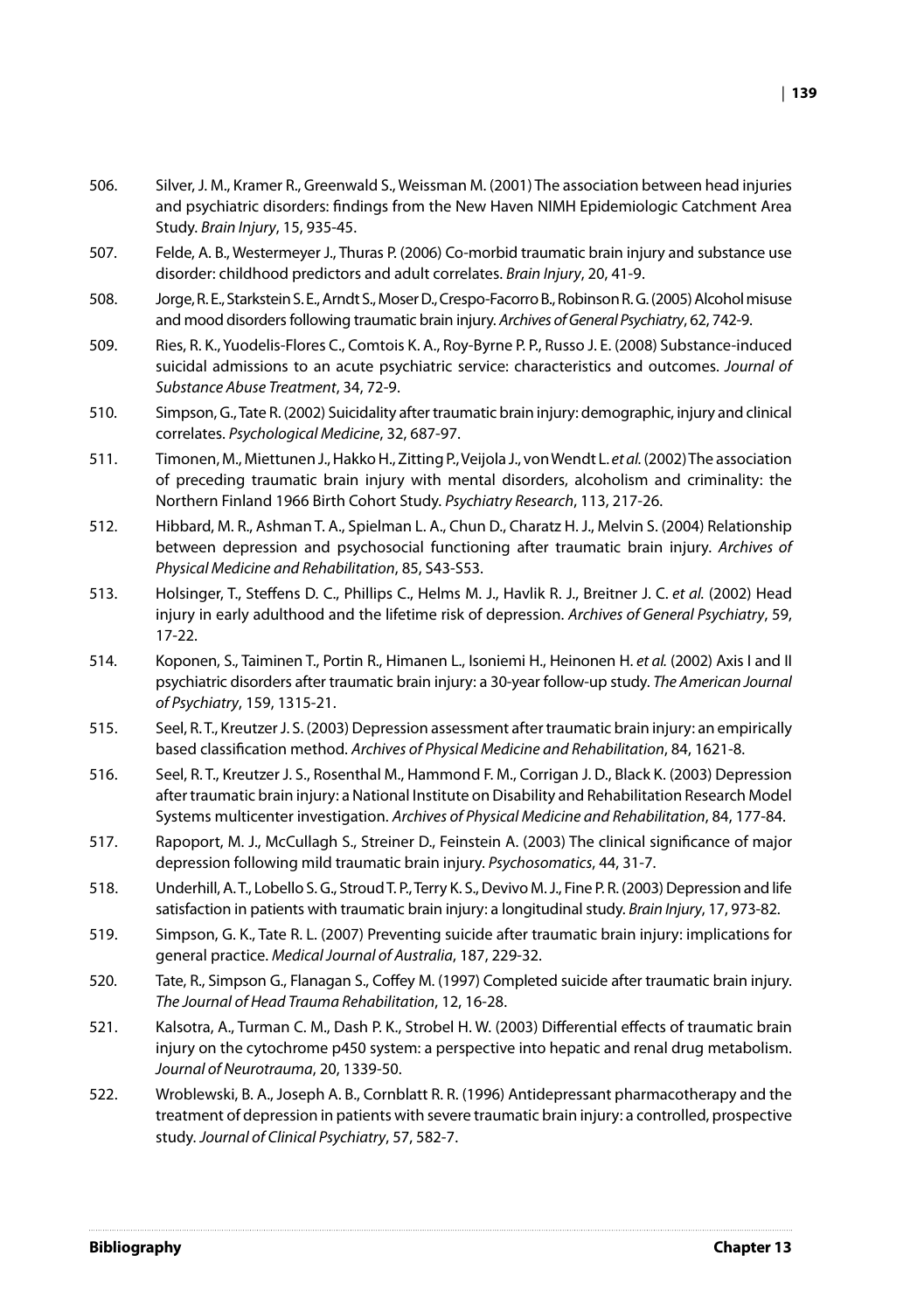- 506. Silver, J. M., Kramer R., Greenwald S., Weissman M. (2001) The association between head injuries and psychiatric disorders: findings from the New Haven NIMH Epidemiologic Catchment Area Study. Brain Injury, 15, 935-45.
- 507. Felde, A. B., Westermeyer J., Thuras P. (2006) Co-morbid traumatic brain injury and substance use disorder: childhood predictors and adult correlates. Brain Injury, 20, 41-9.
- 508. Jorge, R. E., Starkstein S. E., Arndt S., Moser D., Crespo-Facorro B., Robinson R. G. (2005) Alcohol misuse and mood disorders following traumatic brain injury. *Archives of General Psychiatry*, 62, 742-9.
- 509. Ries, R. K., Yuodelis-Flores C., Comtois K. A., Roy-Byrne P. P., Russo J. E. (2008) Substance-induced suicidal admissions to an acute psychiatric service: characteristics and outcomes. *Journal of Substance Abuse Treatment*, 34, 72-9.
- 510. Simpson, G., Tate R. (2002) Suicidality after traumatic brain injury: demographic, injury and clinical correlates. *Psychological Medicine*, 32, 687-97.
- 511. Timonen, M., Miettunen J., Hakko H., Zitting P., Veijola J., von Wendt L. *et al.* (2002) The association of preceding traumatic brain injury with mental disorders, alcoholism and criminality: the Northern Finland 1966 Birth Cohort Study. *Psychiatry Research*, 113, 217-26.
- 512. Hibbard, M. R., Ashman T. A., Spielman L. A., Chun D., Charatz H. J., Melvin S. (2004) Relationship between depression and psychosocial functioning after traumatic brain injury. *Archives of Physical Medicine and Rehabilitation*, 85, S43-S53.
- 513. Holsinger, T., Steffens D. C., Phillips C., Helms M. J., Havlik R. J., Breitner J. C. *et al.* (2002) Head injury in early adulthood and the lifetime risk of depression. *Archives of General Psychiatry*, 59, 17-22.
- 514. Koponen, S., Taiminen T., Portin R., Himanen L., Isoniemi H., Heinonen H. *et al.* (2002) Axis I and II psychiatric disorders after traumatic brain injury: a 30-year follow-up study. *The American Journal of Psychiatry*, 159, 1315-21.
- 515. Seel, R. T., Kreutzer J. S. (2003) Depression assessment after traumatic brain injury: an empirically based classification method. *Archives of Physical Medicine and Rehabilitation*, 84, 1621-8.
- 516. Seel, R. T., Kreutzer J. S., Rosenthal M., Hammond F. M., Corrigan J. D., Black K. (2003) Depression after traumatic brain injury: a National Institute on Disability and Rehabilitation Research Model Systems multicenter investigation. *Archives of Physical Medicine and Rehabilitation*, 84, 177-84.
- 517. Rapoport, M. J., McCullagh S., Streiner D., Feinstein A. (2003) The clinical significance of major depression following mild traumatic brain injury. *Psychosomatics*, 44, 31-7.
- 518. Underhill, A. T., Lobello S. G., Stroud T. P., Terry K. S., Devivo M. J., Fine P. R. (2003) Depression and life satisfaction in patients with traumatic brain injury: a longitudinal study. Brain Injury, 17, 973-82.
- 519. Simpson, G. K., Tate R. L. (2007) Preventing suicide after traumatic brain injury: implications for general practice. *Medical Journal of Australia*, 187, 229-32.
- 520. Tate, R., Simpson G., Flanagan S., Coffey M. (1997) Completed suicide after traumatic brain injury. *The Journal of Head Trauma Rehabilitation*, 12, 16-28.
- 521. Kalsotra, A., Turman C. M., Dash P. K., Strobel H. W. (2003) Differential effects of traumatic brain injury on the cytochrome p450 system: a perspective into hepatic and renal drug metabolism. *Journal of Neurotrauma*, 20, 1339-50.
- 522. Wroblewski, B. A., Joseph A. B., Cornblatt R. R. (1996) Antidepressant pharmacotherapy and the treatment of depression in patients with severe traumatic brain injury: a controlled, prospective study. *Journal of Clinical Psychiatry*, 57, 582-7.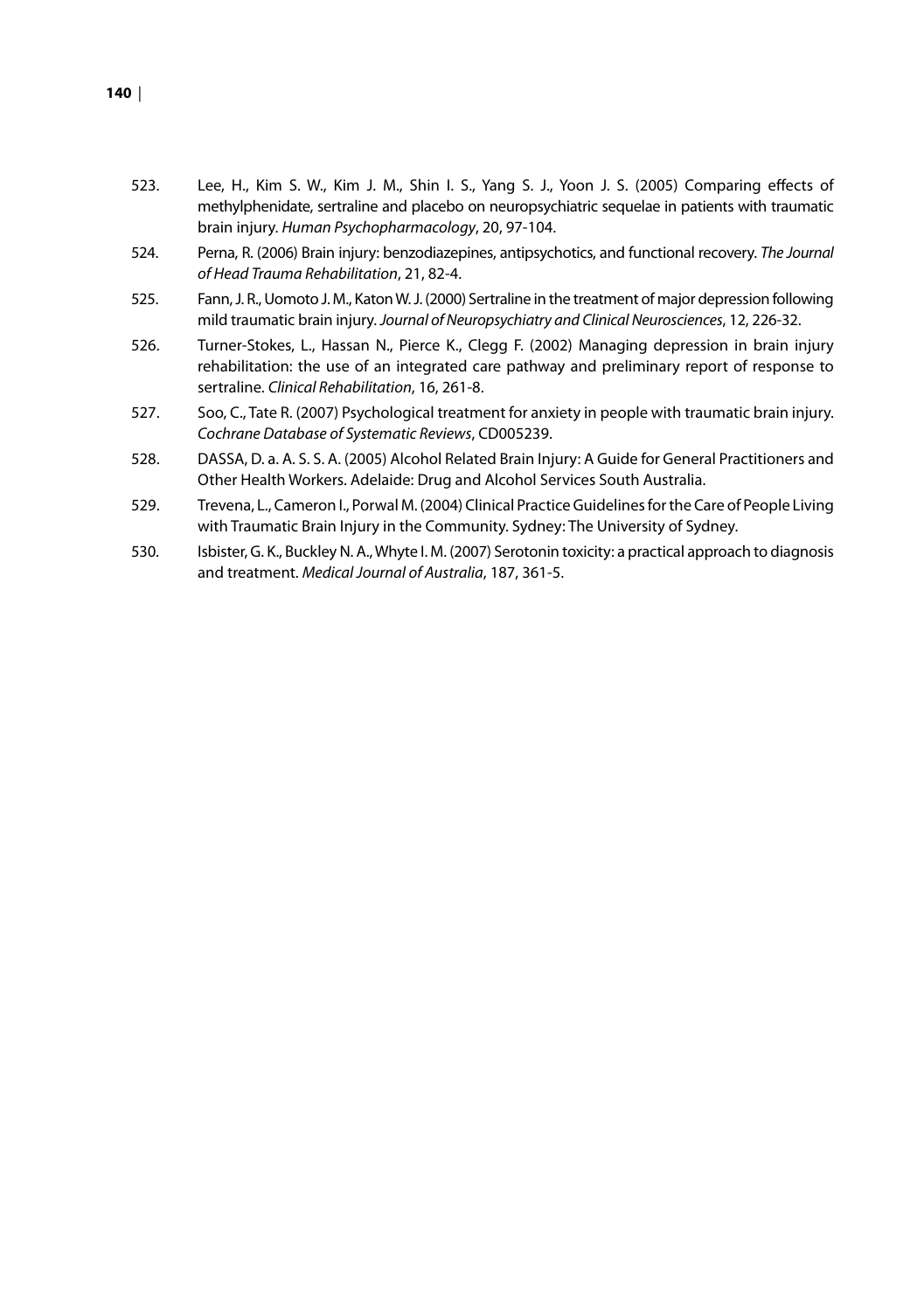- 523. Lee, H., Kim S. W., Kim J. M., Shin I. S., Yang S. J., Yoon J. S. (2005) Comparing effects of methylphenidate, sertraline and placebo on neuropsychiatric sequelae in patients with traumatic brain injury. *Human Psychopharmacology*, 20, 97-104.
- 524. Perna, R. (2006) Brain injury: benzodiazepines, antipsychotics, and functional recovery. *The Journal of Head Trauma Rehabilitation*, 21, 82-4.
- 525. Fann, J. R., Uomoto J. M., Katon W. J. (2000) Sertraline in the treatment of major depression following mild traumatic brain injury. *Journal of Neuropsychiatry and Clinical Neurosciences*, 12, 226-32.
- 526. Turner-Stokes, L., Hassan N., Pierce K., Clegg F. (2002) Managing depression in brain injury rehabilitation: the use of an integrated care pathway and preliminary report of response to sertraline. *Clinical Rehabilitation*, 16, 261-8.
- 527. Soo, C., Tate R. (2007) Psychological treatment for anxiety in people with traumatic brain injury. *Cochrane Database of Systematic Reviews*, CD005239.
- 528. DASSA, D. a. A. S. S. A. (2005) Alcohol Related Brain Injury: A Guide for General Practitioners and Other Health Workers. Adelaide: Drug and Alcohol Services South Australia.
- 529. Trevena, L., Cameron I., Porwal M. (2004) Clinical Practice Guidelines for the Care of People Living with Traumatic Brain Injury in the Community. Sydney: The University of Sydney.
- 530. Isbister, G. K., Buckley N. A., Whyte I. M. (2007) Serotonin toxicity: a practical approach to diagnosis and treatment. *Medical Journal of Australia*, 187, 361-5.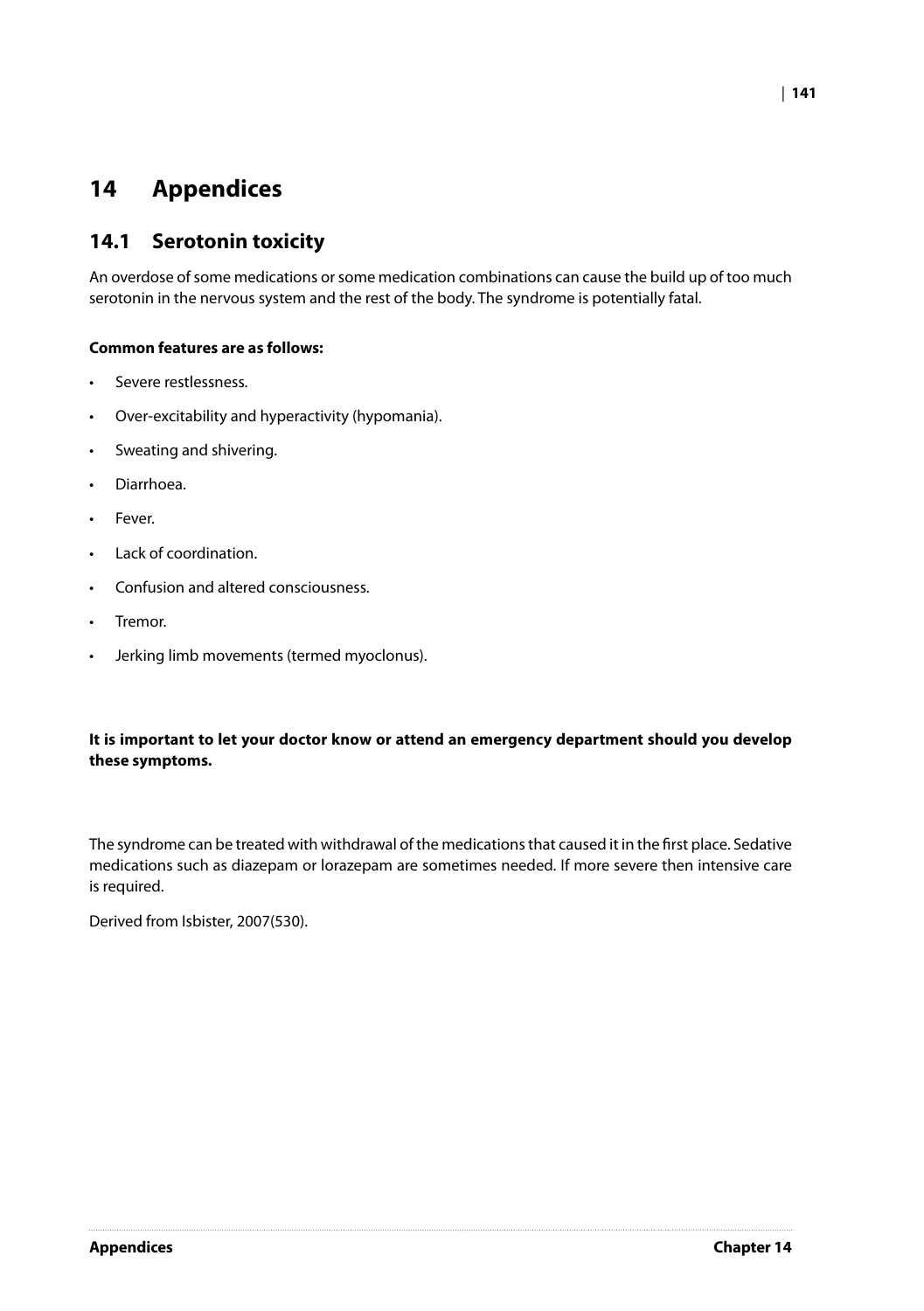# **14 Appendices**

### **14.1 Serotonin toxicity**

An overdose of some medications or some medication combinations can cause the build up of too much serotonin in the nervous system and the rest of the body. The syndrome is potentially fatal.

#### **Common features are as follows:**

- Severe restlessness.
- • Over-excitability and hyperactivity (hypomania).
- • Sweating and shivering.
- • Diarrhoea.
- • Fever.
- • Lack of coordination.
- • Confusion and altered consciousness.
- • Tremor.
- • Jerking limb movements (termed myoclonus).

#### **It is important to let your doctor know or attend an emergency department should you develop these symptoms.**

The syndrome can be treated with withdrawal of the medications that caused it in the first place. Sedative medications such as diazepam or lorazepam are sometimes needed. If more severe then intensive care is required.

Derived from Isbister, 2007(530).